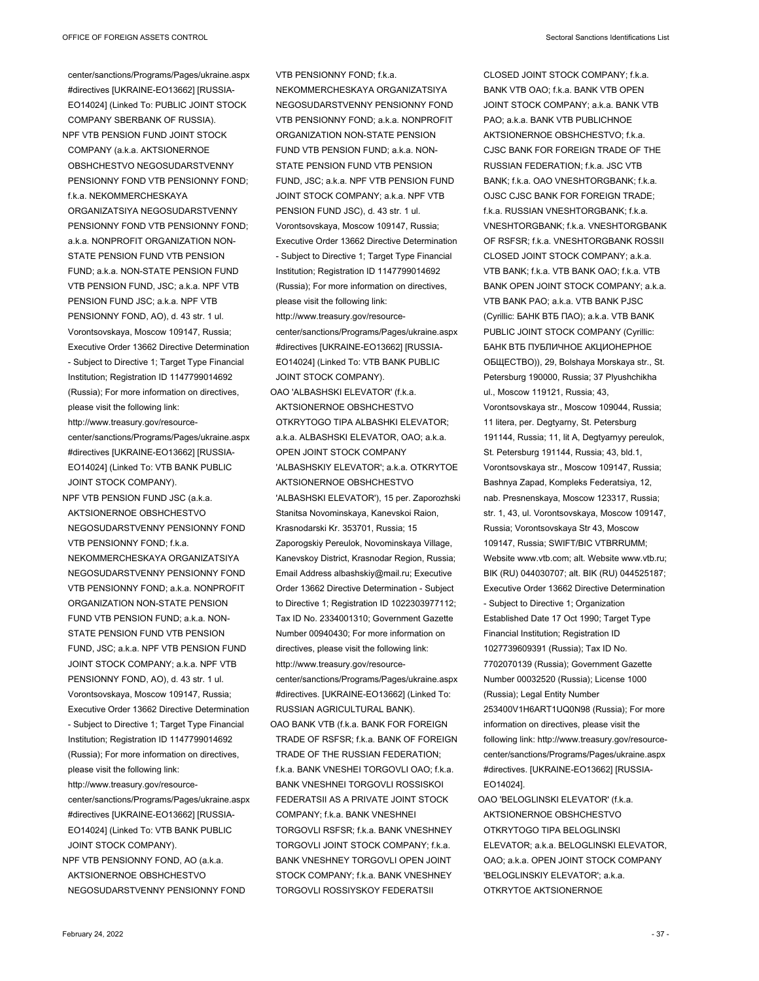center/sanctions/Programs/Pages/ukraine.aspx #directives [UKRAINE-EO13662] [RUSSIA-EO14024] (Linked To: PUBLIC JOINT STOCK COMPANY SBERBANK OF RUSSIA). NPF VTB PENSION FUND JOINT STOCK COMPANY (a.k.a. AKTSIONERNOE OBSHCHESTVO NEGOSUDARSTVENNY PENSIONNY FOND VTB PENSIONNY FOND; fk.a. NEKOMMERCHESKAYA ORGANIZATSIYA NEGOSUDARSTVENNY PENSIONNY FOND VTB PENSIONNY FOND; a.k.a. NONPROFIT ORGANIZATION NON-STATE PENSION FUND VTB PENSION FUND; a.k.a. NON-STATE PENSION FUND VTB PENSION FUND, JSC; a.k.a. NPF VTB PENSION FUND JSC; a.k.a. NPF VTB PENSIONNY FOND, AO), d. 43 str. 1 ul. Vorontsovskaya, Moscow 109147, Russia; Executive Order 13662 Directive Determination - Subject to Directive 1; Target Type Financial Institution; Registration ID 1147799014692 (Russia); For more information on directives, please visit the following link: http://www.treasury.gov/resourcecenter/sanctions/Programs/Pages/ukraine.aspx #directives [UKRAINE-EO13662] [RUSSIA-EO14024] (Linked To: VTB BANK PUBLIC JOINT STOCK COMPANY). NPF VTB PENSION FUND JSC (a.k.a. AKTSIONERNOE OBSHCHESTVO NEGOSUDARSTVENNY PENSIONNY FOND VTB PENSIONNY FOND: fka. NEKOMMERCHESKAYA ORGANIZATSIYA NEGOSUDARSTVENNY PENSIONNY FOND VTB PENSIONNY FOND; a.k.a. NONPROFIT ORGANIZATION NON-STATE PENSION FUND VTB PENSION FUND; a.k.a. NON-STATE PENSION FUND VTB PENSION FUND, JSC; a.k.a. NPF VTB PENSION FUND JOINT STOCK COMPANY; a.k.a. NPF VTB PENSIONNY FOND, AO), d. 43 str. 1 ul. Vorontsovskaya, Moscow 109147, Russia; Executive Order 13662 Directive Determination - Subject to Directive 1; Target Type Financial Institution; Registration ID 1147799014692 (Russia); For more information on directives, please visit the following link: http://www.treasury.gov/resourcecenter/sanctions/Programs/Pages/ukraine.aspx #directives [UKRAINE-EO13662] [RUSSIA-EO14024] (Linked To: VTB BANK PUBLIC JOINT STOCK COMPANY). NPF VTB PENSIONNY FOND, AO (a.k.a.

AKTSIONERNOE OBSHCHESTVO NEGOSUDARSTVENNY PENSIONNY FOND

VTB PENSIONNY FOND; f.k.a. NEKOMMERCHESKAYA ORGANIZATSIYA NEGOSUDARSTVENNY PENSIONNY FOND VTB PENSIONNY FOND; a.k.a. NONPROFIT ORGANIZATION NON-STATE PENSION FUND VTB PENSION FUND; a.k.a. NON-STATE PENSION FUND VTB PENSION FUND, JSC; a.k.a. NPF VTB PENSION FUND JOINT STOCK COMPANY; a.k.a. NPF VTB PENSION FUND JSC), d. 43 str. 1 ul. Vorontsovskaya, Moscow 109147, Russia; Executive Order 13662 Directive Determination - Subject to Directive 1; Target Type Financial Institution; Registration ID 1147799014692 (Russia); For more information on directives, please visit the following link: http://www.treasury.gov/resourcecenter/sanctions/Programs/Pages/ukraine.aspx #directives [UKRAINE-EO13662] [RUSSIA-EO14024] (Linked To: VTB BANK PUBLIC JOINT STOCK COMPANY). OAO 'ALBASHSKI ELEVATOR' (f.k.a. AKTSIONERNOE OBSHCHESTVO OTKRYTOGO TIPA ALBASHKI ELEVATOR; a.k.a. ALBASHSKI ELEVATOR, OAO; a.k.a. OPEN JOINT STOCK COMPANY 'ALBASHSKIY ELEVATOR'; a.k.a. OTKRYTOE

AKTSIONERNOE OBSHCHESTVO 'ALBASHSKI ELEVATOR'), 15 per. Zaporozhski Stanitsa Novominskaya, Kanevskoi Raion, Krasnodarski Kr. 353701, Russia; 15 Zaporogskiy Pereulok, Novominskaya Village, Kanevskoy District, Krasnodar Region, Russia; Email Address albashskiy@mail.ru; Executive Order 13662 Directive Determination - Subject to Directive 1; Registration ID 1022303977112; Tax ID No. 2334001310; Government Gazette Number 00940430; For more information on directives, please visit the following link: http://www.treasury.gov/resourcecenter/sanctions/Programs/Pages/ukraine.aspx #directives. [UKRAINE-EO13662] (Linked To: RUSSIAN AGRICULTURAL BANK).

OAO BANK VTB (f.k.a. BANK FOR FOREIGN TRADE OF RSFSR; f.k.a. BANK OF FOREIGN TRADE OF THE RUSSIAN FEDERATION; f.k.a. BANK VNESHEI TORGOVLI OAO; f.k.a. BANK VNESHNEI TORGOVLI ROSSISKOI FEDERATSII AS A PRIVATE JOINT STOCK COMPANY; f.k.a. BANK VNESHNEI TORGOVLI RSFSR; f.k.a. BANK VNESHNEY TORGOVLI JOINT STOCK COMPANY: f k a BANK VNESHNEY TORGOVLI OPEN JOINT STOCK COMPANY; f.k.a. BANK VNESHNEY TORGOVLI ROSSIYSKOY FEDERATSII

CLOSED JOINT STOCK COMPANY; f.k.a. BANK VTB OAO; fk.a. BANK VTB OPEN JOINT STOCK COMPANY; a.k.a. BANK VTB PAO; a.k.a. BANK VTB PUBLICHNOE AKTSIONERNOE OBSHCHESTVO; f.k.a. CJSC BANK FOR FOREIGN TRADE OF THE RUSSIAN FEDERATION; f.k.a. JSC VTB BANK; f.k.a. OAO VNESHTORGBANK; f.k.a. OJSC CJSC BANK FOR FOREIGN TRADE; f.k.a. RUSSIAN VNESHTORGBANK; f.k.a. VNESHTORGBANK; f.k.a. VNESHTORGBANK OF RSFSR; f.k.a. VNESHTORGBANK ROSSII CLOSED JOINT STOCK COMPANY; a.k.a. VTB BANK; f.k.a. VTB BANK OAO; f.k.a. VTB BANK OPEN JOINT STOCK COMPANY; a.k.a. VTB BANK PAO; a.k.a. VTB BANK PJSC (Cyrillic: БАНК ВТБ ПАО); a.k.a. VTB BANK PUBLIC JOINT STOCK COMPANY (Cyrillic: БАНК ВТБ ПУБЛИЧНОЕ АКЦИОНЕРНОЕ ОБЩЕСТВО)), 29, Bolshaya Morskaya str., St. Petersburg 190000, Russia; 37 Plyushchikha ul., Moscow 119121, Russia; 43, Vorontsovskaya str., Moscow 109044, Russia; 11 litera, per. Degtyarny, St. Petersburg 191144, Russia; 11, lit A, Degtyarnyy pereulok, St. Petersburg 191144, Russia; 43, bld.1, Vorontsovskaya str., Moscow 109147, Russia; Bashnya Zapad, Kompleks Federatsiya, 12, nab. Presnenskaya, Moscow 123317, Russia; str. 1, 43, ul. Vorontsovskaya, Moscow 109147, Russia; Vorontsovskaya Str 43, Moscow 109147, Russia; SWIFT/BIC VTBRRUMM; Website www.vtb.com; alt. Website www.vtb.ru; BIK (RU) 044030707; alt. BIK (RU) 044525187; Executive Order 13662 Directive Determination - Subject to Directive 1; Organization Established Date 17 Oct 1990; Target Type Financial Institution; Registration ID 1027739609391 (Russia); Tax ID No. 7702070139 (Russia); Government Gazette Number 00032520 (Russia); License 1000 (Russia); Legal Entity Number 253400V1H6ART1UQ0N98 (Russia); For more information on directives, please visit the following link: http://www.treasury.gov/resourcecenter/sanctions/Programs/Pages/ukraine.aspx #directives. [UKRAINE-EO13662] [RUSSIA-EO14024]. OAO 'BELOGLINSKI ELEVATOR' (f.k.a.

AKTSIONERNOE OBSHCHESTVO OTKRYTOGO TIPA BELOGLINSKI ELEVATOR; a.k.a. BELOGLINSKI ELEVATOR, OAO; a.k.a. OPEN JOINT STOCK COMPANY 'BELOGLINSKIY ELEVATOR'; a.k.a. OTKRYTOE AKTSIONERNOE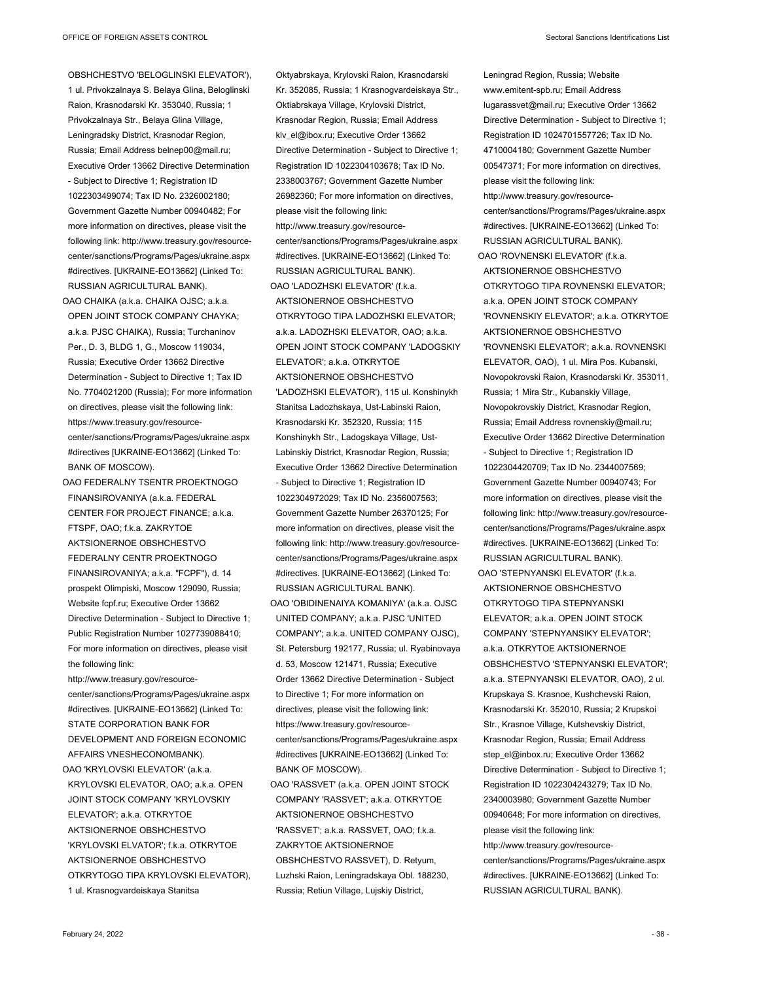OBSHCHESTVO 'BELOGLINSKI ELEVATOR'), 1 ul. Privokzalnaya S. Belaya Glina, Beloglinski Raion, Krasnodarski Kr. 353040, Russia; 1 Privokzalnaya Str., Belaya Glina Village, Leningradsky District, Krasnodar Region, Russia; Email Address belnep00@mail.ru; Executive Order 13662 Directive Determination - Subject to Directive 1; Registration ID 1022303499074; Tax ID No. 2326002180; Government Gazette Number 00940482; For more information on directives, please visit the following link: http://www.treasury.gov/resourcecenter/sanctions/Programs/Pages/ukraine.aspx #directives. [UKRAINE-EO13662] (Linked To: RUSSIAN AGRICULTURAL BANK).

OAO CHAIKA (a.k.a. CHAIKA OJSC; a.k.a. OPEN JOINT STOCK COMPANY CHAYKA; a.k.a. PJSC CHAIKA), Russia; Turchaninov Per., D. 3, BLDG 1, G., Moscow 119034, Russia; Executive Order 13662 Directive Determination - Subject to Directive 1; Tax ID No. 7704021200 (Russia); For more information on directives, please visit the following link: https://www.treasury.gov/resourcecenter/sanctions/Programs/Pages/ukraine.aspx #directives [UKRAINE-EO13662] (Linked To: BANK OF MOSCOW).

OAO FEDERALNY TSENTR PROEKTNOGO FINANSIROVANIYA (a.k.a. FEDERAL CENTER FOR PROJECT FINANCE; a.k.a. FTSPF, OAO; f.k.a. ZAKRYTOE AKTSIONERNOE OBSHCHESTVO FEDERALNY CENTR PROEKTNOGO FINANSIROVANIYA; a.k.a. "FCPF"), d. 14 prospekt Olimpiski, Moscow 129090, Russia; Website fcpf.ru; Executive Order 13662 Directive Determination - Subject to Directive 1; Public Registration Number 1027739088410; For more information on directives, please visit the following link:

http://www.treasury.gov/resourcecenter/sanctions/Programs/Pages/ukraine.aspx #directives. [UKRAINE-EO13662] (Linked To: STATE CORPORATION BANK FOR DEVELOPMENT AND FOREIGN ECONOMIC AFFAIRS VNESHECONOMBANK). OAO 'KRYLOVSKI ELEVATOR' (a.k.a. KRYLOVSKI ELEVATOR, OAO; a.k.a. OPEN JOINT STOCK COMPANY 'KRYLOVSKIY ELEVATOR'; a.k.a. OTKRYTOE AKTSIONERNOE OBSHCHESTVO 'KRYLOVSKI ELVATOR'; f.k.a. OTKRYTOE AKTSIONERNOE OBSHCHESTVO OTKRYTOGO TIPA KRYLOVSKI ELEVATOR), 1 ul. Krasnogvardeiskaya Stanitsa

Oktyabrskaya, Krylovski Raion, Krasnodarski Kr. 352085, Russia; 1 Krasnogvardeiskaya Str., Oktiabrskaya Village, Krylovski District, Krasnodar Region, Russia; Email Address klv\_el@ibox.ru; Executive Order 13662 Directive Determination - Subject to Directive 1; Registration ID 1022304103678; Tax ID No. 2338003767; Government Gazette Number 26982360; For more information on directives, please visit the following link: http://www.treasury.gov/resourcecenter/sanctions/Programs/Pages/ukraine.aspx #directives. [UKRAINE-EO13662] (Linked To: RUSSIAN AGRICULTURAL BANK). OAO 'LADOZHSKI ELEVATOR' (f.k.a. AKTSIONERNOE OBSHCHESTVO OTKRYTOGO TIPA LADOZHSKI ELEVATOR; a.k.a. LADOZHSKI ELEVATOR, OAO; a.k.a. OPEN JOINT STOCK COMPANY 'LADOGSKIY ELEVATOR'; a.k.a. OTKRYTOE AKTSIONERNOE OBSHCHESTVO 'LADOZHSKI ELEVATOR'), 115 ul. Konshinykh Stanitsa Ladozhskaya, Ust-Labinski Raion, Krasnodarski Kr. 352320, Russia; 115 Konshinykh Str., Ladogskaya Village, Ust-Labinskiy District, Krasnodar Region, Russia; Executive Order 13662 Directive Determination - Subject to Directive 1; Registration ID 1022304972029; Tax ID No. 2356007563; Government Gazette Number 26370125; For more information on directives, please visit the following link: http://www.treasury.gov/resourcecenter/sanctions/Programs/Pages/ukraine.aspx #directives. [UKRAINE-EO13662] (Linked To: RUSSIAN AGRICULTURAL BANK). OAO 'OBIDINENAIYA KOMANIYA' (a.k.a. OJSC

- UNITED COMPANY; a.k.a. PJSC 'UNITED COMPANY'; a.k.a. UNITED COMPANY OJSC), St. Petersburg 192177, Russia; ul. Ryabinovaya d. 53, Moscow 121471, Russia; Executive Order 13662 Directive Determination - Subject to Directive 1; For more information on directives, please visit the following link: https://www.treasury.gov/resourcecenter/sanctions/Programs/Pages/ukraine.aspx #directives [UKRAINE-EO13662] (Linked To: BANK OF MOSCOW).
- OAO 'RASSVET' (a.k.a. OPEN JOINT STOCK COMPANY 'RASSVET'; a.k.a. OTKRYTOE AKTSIONERNOE OBSHCHESTVO 'RASSVET'; a.k.a. RASSVET, OAO; f.k.a. ZAKRYTOE AKTSIONERNOE OBSHCHESTVO RASSVET), D. Retyum, Luzhski Raion, Leningradskaya Obl. 188230, Russia; Retiun Village, Lujskiy District,

Leningrad Region, Russia; Website www.emitent-spb.ru; Email Address lugarassvet@mail.ru; Executive Order 13662 Directive Determination - Subject to Directive 1; Registration ID 1024701557726; Tax ID No. 4710004180; Government Gazette Number 00547371; For more information on directives, please visit the following link: http://www.treasury.gov/resourcecenter/sanctions/Programs/Pages/ukraine.aspx #directives. [UKRAINE-EO13662] (Linked To: RUSSIAN AGRICULTURAL BANK). OAO 'ROVNENSKI ELEVATOR' (f.k.a. AKTSIONERNOE OBSHCHESTVO OTKRYTOGO TIPA ROVNENSKI ELEVATOR; a.k.a. OPEN JOINT STOCK COMPANY 'ROVNENSKIY ELEVATOR'; a.k.a. OTKRYTOE AKTSIONERNOE OBSHCHESTVO 'ROVNENSKI ELEVATOR'; a.k.a. ROVNENSKI ELEVATOR, OAO), 1 ul. Mira Pos. Kubanski, Novopokrovski Raion, Krasnodarski Kr. 353011, Russia; 1 Mira Str., Kubanskiy Village, Novopokrovskiy District, Krasnodar Region, Russia; Email Address rovnenskiy@mail.ru; Executive Order 13662 Directive Determination - Subject to Directive 1; Registration ID 1022304420709; Tax ID No. 2344007569; Government Gazette Number 00940743; For more information on directives, please visit the following link: http://www.treasury.gov/resourcecenter/sanctions/Programs/Pages/ukraine.aspx #directives. [UKRAINE-EO13662] (Linked To:

OAO 'STEPNYANSKI ELEVATOR' (f.k.a. AKTSIONERNOE OBSHCHESTVO OTKRYTOGO TIPA STEPNYANSKI ELEVATOR; a.k.a. OPEN JOINT STOCK COMPANY 'STEPNYANSIKY ELEVATOR'; a.k.a. OTKRYTOE AKTSIONERNOE OBSHCHESTVO 'STEPNYANSKI ELEVATOR'; a.k.a. STEPNYANSKI ELEVATOR, OAO), 2 ul. Krupskaya S. Krasnoe, Kushchevski Raion, Krasnodarski Kr. 352010, Russia; 2 Krupskoi Str., Krasnoe Village, Kutshevskiy District, Krasnodar Region, Russia; Email Address step\_el@inbox.ru; Executive Order 13662 Directive Determination - Subject to Directive 1; Registration ID 1022304243279; Tax ID No. 2340003980; Government Gazette Number 00940648; For more information on directives, please visit the following link: http://www.treasury.gov/resourcecenter/sanctions/Programs/Pages/ukraine.aspx #directives. [UKRAINE-EO13662] (Linked To:

RUSSIAN AGRICULTURAL BANK).

RUSSIAN AGRICULTURAL BANK).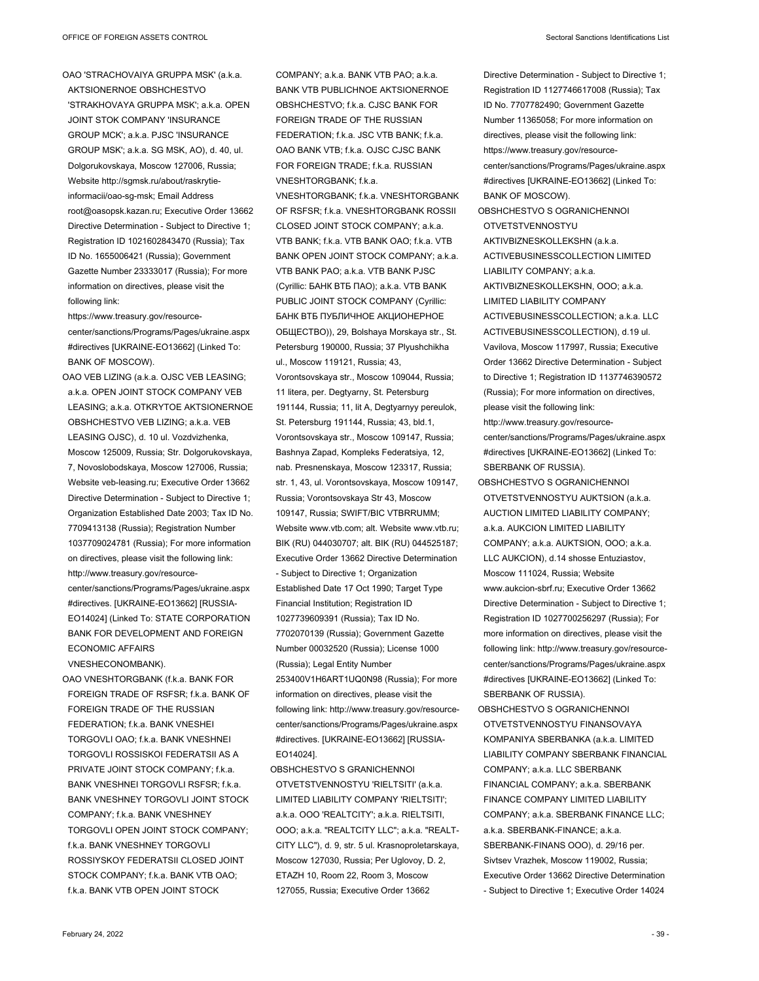OAO 'STRACHOVAIYA GRUPPA MSK' (a.k.a. AKTSIONERNOE OBSHCHESTVO 'STRAKHOVAYA GRUPPA MSK'; a.k.a. OPEN JOINT STOK COMPANY 'INSURANCE GROUP MCK'; a.k.a. PJSC 'INSURANCE GROUP MSK'; a.k.a. SG MSK, AO), d. 40, ul. Dolgorukovskaya, Moscow 127006, Russia; Website http://sgmsk.ru/about/raskrytieinformacii/oao-sg-msk; Email Address root@oasopsk.kazan.ru; Executive Order 13662 Directive Determination - Subject to Directive 1; Registration ID 1021602843470 (Russia); Tax ID No. 1655006421 (Russia); Government Gazette Number 23333017 (Russia); For more information on directives, please visit the following link:

https://www.treasury.gov/resourcecenter/sanctions/Programs/Pages/ukraine.aspx #directives [UKRAINE-EO13662] (Linked To: BANK OF MOSCOW).

OAO VEB LIZING (a.k.a. OJSC VEB LEASING; a.k.a. OPEN JOINT STOCK COMPANY VEB LEASING; a.k.a. OTKRYTOE AKTSIONERNOE OBSHCHESTVO VEB LIZING; a.k.a. VEB LEASING OJSC), d. 10 ul. Vozdvizhenka, Moscow 125009, Russia; Str. Dolgorukovskaya, 7, Novoslobodskaya, Moscow 127006, Russia; Website veb-leasing.ru; Executive Order 13662 Directive Determination - Subject to Directive 1; Organization Established Date 2003; Tax ID No. 7709413138 (Russia); Registration Number 1037709024781 (Russia); For more information on directives, please visit the following link: http://www.treasury.gov/resourcecenter/sanctions/Programs/Pages/ukraine.aspx #directives. [UKRAINE-EO13662] [RUSSIA-

EO14024] (Linked To: STATE CORPORATION BANK FOR DEVELOPMENT AND FOREIGN ECONOMIC AFFAIRS VNESHECONOMBANK).

OAO VNESHTORGBANK (f.k.a. BANK FOR FOREIGN TRADE OF RSFSR; f.k.a. BANK OF FOREIGN TRADE OF THE RUSSIAN FEDERATION; f.k.a. BANK VNESHEI TORGOVLI OAO; f.k.a. BANK VNESHNEI TORGOVLI ROSSISKOI FEDERATSII AS A PRIVATE JOINT STOCK COMPANY; f.k.a. BANK VNESHNEI TORGOVLI RSFSR; f.k.a. BANK VNESHNEY TORGOVLI JOINT STOCK COMPANY; f.k.a. BANK VNESHNEY TORGOVLI OPEN JOINT STOCK COMPANY; fka. BANK VNESHNEY TORGOVLI ROSSIYSKOY FEDERATSII CLOSED JOINT STOCK COMPANY; f.k.a. BANK VTB OAO; f.k.a. BANK VTB OPEN JOINT STOCK

COMPANY; a.k.a. BANK VTB PAO; a.k.a. BANK VTB PUBLICHNOE AKTSIONERNOE OBSHCHESTVO; f.k.a. CJSC BANK FOR FOREIGN TRADE OF THE RUSSIAN FEDERATION; f.k.a. JSC VTB BANK; f.k.a. OAO BANK VTB; f.k.a. OJSC CJSC BANK FOR FOREIGN TRADE; f.k.a. RUSSIAN VNESHTORGBANK; f.k.a. VNESHTORGBANK; f.k.a. VNESHTORGBANK OF RSFSR; f.k.a. VNESHTORGBANK ROSSII CLOSED JOINT STOCK COMPANY; a.k.a. VTB BANK; f.k.a. VTB BANK OAO; f.k.a. VTB BANK OPEN JOINT STOCK COMPANY; a.k.a. VTB BANK PAO; a.k.a. VTB BANK PJSC (Cyrillic: БАНК ВТБ ПАО); a.k.a. VTB BANK PUBLIC JOINT STOCK COMPANY (Cyrillic: БАНК ВТБ ПУБЛИЧНОЕ АКЦИОНЕРНОЕ ОБЩЕСТВО)), 29, Bolshaya Morskaya str., St. Petersburg 190000, Russia; 37 Plyushchikha ul., Moscow 119121, Russia; 43, Vorontsovskaya str., Moscow 109044, Russia; 11 litera, per. Degtyarny, St. Petersburg 191144, Russia; 11, lit A, Degtyarnyy pereulok, St. Petersburg 191144, Russia; 43, bld.1, Vorontsovskaya str., Moscow 109147, Russia; Bashnya Zapad, Kompleks Federatsiya, 12, nab. Presnenskaya, Moscow 123317, Russia; str. 1, 43, ul. Vorontsovskaya, Moscow 109147, Russia; Vorontsovskaya Str 43, Moscow 109147, Russia; SWIFT/BIC VTBRRUMM; Website www.vtb.com; alt. Website www.vtb.ru; BIK (RU) 044030707; alt. BIK (RU) 044525187; Executive Order 13662 Directive Determination - Subject to Directive 1; Organization Established Date 17 Oct 1990; Target Type Financial Institution; Registration ID 1027739609391 (Russia); Tax ID No. 7702070139 (Russia); Government Gazette Number 00032520 (Russia); License 1000 (Russia); Legal Entity Number 253400V1H6ART1UQ0N98 (Russia); For more information on directives, please visit the following link: http://www.treasury.gov/resourcecenter/sanctions/Programs/Pages/ukraine.aspx #directives. [UKRAINE-EO13662] [RUSSIA-EO14024].

OBSHCHESTVO S GRANICHENNOI OTVETSTVENNOSTYU 'RIELTSITI' (a.k.a. LIMITED LIABILITY COMPANY 'RIELTSITI'; a.k.a. OOO 'REALTCITY'; a.k.a. RIELTSITI, OOO; a.k.a. "REALTCITY LLC"; a.k.a. "REALT-CITY LLC"), d. 9, str. 5 ul. Krasnoproletarskaya, Moscow 127030, Russia; Per Uglovoy, D. 2, ETAZH 10, Room 22, Room 3, Moscow 127055, Russia; Executive Order 13662

Directive Determination - Subject to Directive 1; Registration ID 1127746617008 (Russia); Tax ID No. 7707782490; Government Gazette Number 11365058; For more information on directives, please visit the following link: https://www.treasury.gov/resourcecenter/sanctions/Programs/Pages/ukraine.aspx #directives [UKRAINE-EO13662] (Linked To: BANK OF MOSCOW). OBSHCHESTVO S OGRANICHENNOI OTVETSTVENNOSTYU AKTIVBIZNESKOLLEKSHN (a.k.a. ACTIVEBUSINESSCOLLECTION LIMITED LIABILITY COMPANY; a.k.a. AKTIVBIZNESKOLLEKSHN, OOO; a.k.a. LIMITED LIABILITY COMPANY ACTIVEBUSINESSCOLLECTION; a.k.a. LLC ACTIVEBUSINESSCOLLECTION), d.19 ul. Vavilova, Moscow 117997, Russia; Executive Order 13662 Directive Determination - Subject to Directive 1; Registration ID 1137746390572 (Russia); For more information on directives, please visit the following link: http://www.treasury.gov/resourcecenter/sanctions/Programs/Pages/ukraine.aspx #directives [UKRAINE-EO13662] (Linked To: SBERBANK OF RUSSIA). OBSHCHESTVO S OGRANICHENNOI OTVETSTVENNOSTYU AUKTSION (a.k.a. AUCTION LIMITED LIABILITY COMPANY; a.k.a. AUKCION LIMITED LIABILITY COMPANY; a.k.a. AUKTSION, OOO; a.k.a. LLC AUKCION), d.14 shosse Entuziastov, Moscow 111024, Russia; Website www.aukcion-sbrf.ru; Executive Order 13662 Directive Determination - Subject to Directive 1; Registration ID 1027700256297 (Russia); For more information on directives, please visit the following link: http://www.treasury.gov/resourcecenter/sanctions/Programs/Pages/ukraine.aspx #directives [UKRAINE-EO13662] (Linked To: SBERBANK OF RUSSIA). OBSHCHESTVO S OGRANICHENNOI OTVETSTVENNOSTYU FINANSOVAYA KOMPANIYA SBERBANKA (a.k.a. LIMITED

LIABILITY COMPANY SBERBANK FINANCIAL COMPANY; a.k.a. LLC SBERBANK FINANCIAL COMPANY; a.k.a. SBERBANK FINANCE COMPANY LIMITED LIABILITY COMPANY; a.k.a. SBERBANK FINANCE LLC; a.k.a. SBERBANK-FINANCE; a.k.a. SBERBANK-FINANS OOO), d. 29/16 per. Sivtsev Vrazhek, Moscow 119002, Russia; Executive Order 13662 Directive Determination - Subject to Directive 1; Executive Order 14024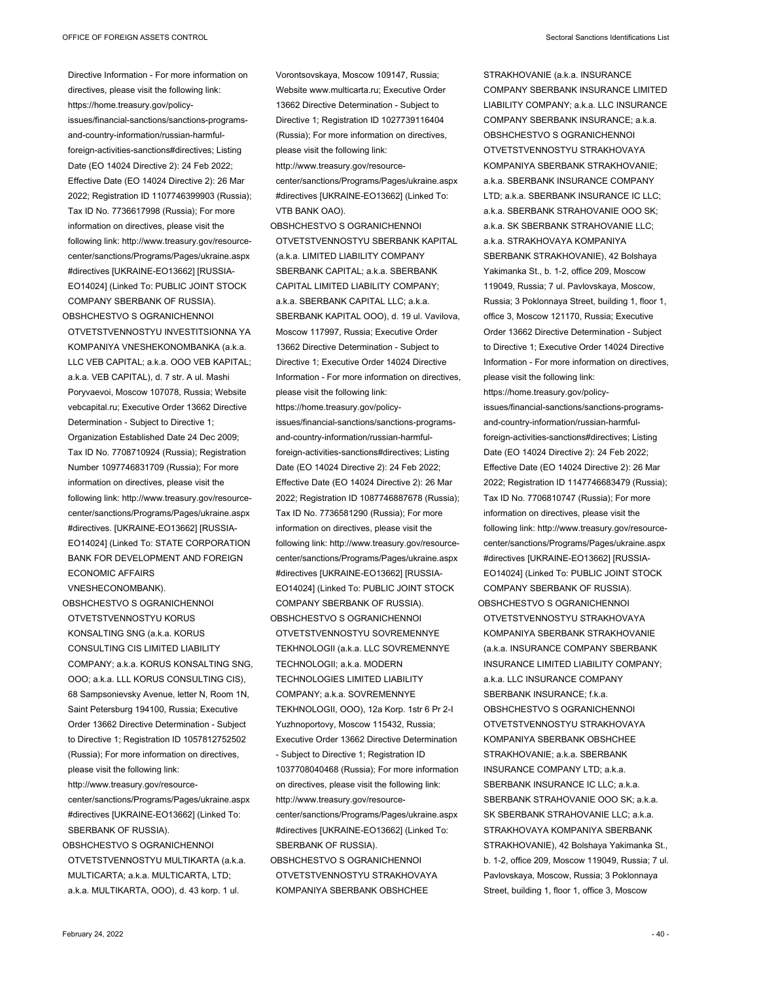Directive Information - For more information on directives, please visit the following link: https://home.treasury.gov/policyissues/financial-sanctions/sanctions-programsand-country-information/russian-harmfulforeign-activities-sanctions#directives; Listing Date (EO 14024 Directive 2): 24 Feb 2022; Effective Date (EO 14024 Directive 2): 26 Mar 2022; Registration ID 1107746399903 (Russia); Tax ID No. 7736617998 (Russia); For more information on directives, please visit the following link: http://www.treasury.gov/resourcecenter/sanctions/Programs/Pages/ukraine.aspx #directives [UKRAINE-EO13662] [RUSSIA-EO14024] (Linked To: PUBLIC JOINT STOCK COMPANY SBERBANK OF RUSSIA).

OBSHCHESTVO S OGRANICHENNOI OTVETSTVENNOSTYU INVESTITSIONNA YA KOMPANIYA VNESHEKONOMBANKA (a.k.a. LLC VEB CAPITAL; a.k.a. OOO VEB KAPITAL; a.k.a. VEB CAPITAL), d. 7 str. A ul. Mashi Poryvaevoi, Moscow 107078, Russia; Website vebcapital.ru; Executive Order 13662 Directive Determination - Subject to Directive 1; Organization Established Date 24 Dec 2009; Tax ID No. 7708710924 (Russia); Registration Number 1097746831709 (Russia); For more information on directives, please visit the following link: http://www.treasury.gov/resourcecenter/sanctions/Programs/Pages/ukraine.aspx #directives. [UKRAINE-EO13662] [RUSSIA-EO14024] (Linked To: STATE CORPORATION BANK FOR DEVELOPMENT AND FOREIGN ECONOMIC AFFAIRS VNESHECONOMBANK).

OBSHCHESTVO S OGRANICHENNOI OTVETSTVENNOSTYU KORUS KONSALTING SNG (a.k.a. KORUS CONSULTING CIS LIMITED LIABILITY COMPANY; a.k.a. KORUS KONSALTING SNG, OOO; a.k.a. LLL KORUS CONSULTING CIS), 68 Sampsonievsky Avenue, letter N, Room 1N, Saint Petersburg 194100, Russia; Executive Order 13662 Directive Determination - Subject to Directive 1; Registration ID 1057812752502 (Russia); For more information on directives, please visit the following link: http://www.treasury.gov/resourcecenter/sanctions/Programs/Pages/ukraine.aspx #directives [UKRAINE-EO13662] (Linked To: SBERBANK OF RUSSIA). OBSHCHESTVO S OGRANICHENNOI

OTVETSTVENNOSTYU MULTIKARTA (a.k.a. MULTICARTA; a.k.a. MULTICARTA, LTD; a.k.a. MULTIKARTA, OOO), d. 43 korp. 1 ul.

Vorontsovskaya, Moscow 109147, Russia; Website www.multicarta.ru; Executive Order 13662 Directive Determination - Subject to Directive 1; Registration ID 1027739116404 (Russia); For more information on directives, please visit the following link: http://www.treasury.gov/resourcecenter/sanctions/Programs/Pages/ukraine.aspx #directives [UKRAINE-EO13662] (Linked To: VTB BANK OAO).

OBSHCHESTVO S OGRANICHENNOI OTVETSTVENNOSTYU SBERBANK KAPITAL (a.k.a. LIMITED LIABILITY COMPANY SBERBANK CAPITAL; a.k.a. SBERBANK CAPITAL LIMITED LIABILITY COMPANY; a.k.a. SBERBANK CAPITAL LLC; a.k.a. SBERBANK KAPITAL OOO), d. 19 ul. Vavilova, Moscow 117997, Russia; Executive Order 13662 Directive Determination - Subject to Directive 1; Executive Order 14024 Directive Information - For more information on directives, please visit the following link:

https://home.treasury.gov/policyissues/financial-sanctions/sanctions-programsand-country-information/russian-harmfulforeign-activities-sanctions#directives; Listing Date (EO 14024 Directive 2): 24 Feb 2022; Effective Date (EO 14024 Directive 2): 26 Mar 2022; Registration ID 1087746887678 (Russia); Tax ID No. 7736581290 (Russia); For more information on directives, please visit the following link: http://www.treasury.gov/resourcecenter/sanctions/Programs/Pages/ukraine.aspx #directives [UKRAINE-EO13662] [RUSSIA-EO14024] (Linked To: PUBLIC JOINT STOCK COMPANY SBERBANK OF RUSSIA). OBSHCHESTVO S OGRANICHENNOI

OTVETSTVENNOSTYU SOVREMENNYE TEKHNOLOGII (a.k.a. LLC SOVREMENNYE TECHNOLOGII; a.k.a. MODERN TECHNOLOGIES LIMITED LIABILITY COMPANY; a.k.a. SOVREMENNYE TEKHNOLOGII, OOO), 12a Korp. 1str 6 Pr 2-I Yuzhnoportovy, Moscow 115432, Russia; Executive Order 13662 Directive Determination - Subject to Directive 1; Registration ID 1037708040468 (Russia); For more information on directives, please visit the following link: http://www.treasury.gov/resourcecenter/sanctions/Programs/Pages/ukraine.aspx #directives [UKRAINE-EO13662] (Linked To: SBERBANK OF RUSSIA).

OBSHCHESTVO S OGRANICHENNOI OTVETSTVENNOSTYU STRAKHOVAYA KOMPANIYA SBERBANK OBSHCHEE

STRAKHOVANIE (a.k.a. INSURANCE COMPANY SBERBANK INSURANCE LIMITED LIABILITY COMPANY; a.k.a. LLC INSURANCE COMPANY SBERBANK INSURANCE; a.k.a. OBSHCHESTVO S OGRANICHENNOI OTVETSTVENNOSTYU STRAKHOVAYA KOMPANIYA SBERBANK STRAKHOVANIE; a.k.a. SBERBANK INSURANCE COMPANY LTD; a.k.a. SBERBANK INSURANCE IC LLC; a.k.a. SBERBANK STRAHOVANIE OOO SK; a.k.a. SK SBERBANK STRAHOVANIE LLC; a.k.a. STRAKHOVAYA KOMPANIYA SBERBANK STRAKHOVANIE), 42 Bolshaya Yakimanka St., b. 1-2, office 209, Moscow 119049, Russia; 7 ul. Pavlovskaya, Moscow, Russia; 3 Poklonnaya Street, building 1, floor 1, office 3, Moscow 121170, Russia; Executive Order 13662 Directive Determination - Subject to Directive 1; Executive Order 14024 Directive Information - For more information on directives, please visit the following link:

https://home.treasury.gov/policyissues/financial-sanctions/sanctions-programsand-country-information/russian-harmfulforeign-activities-sanctions#directives; Listing Date (EO 14024 Directive 2): 24 Feb 2022; Effective Date (EO 14024 Directive 2): 26 Mar 2022; Registration ID 1147746683479 (Russia); Tax ID No. 7706810747 (Russia); For more information on directives, please visit the following link: http://www.treasury.gov/resourcecenter/sanctions/Programs/Pages/ukraine.aspx #directives [UKRAINE-EO13662] [RUSSIA-EO14024] (Linked To: PUBLIC JOINT STOCK COMPANY SBERBANK OF RUSSIA).

OBSHCHESTVO S OGRANICHENNOI OTVETSTVENNOSTYU STRAKHOVAYA KOMPANIYA SBERBANK STRAKHOVANIE (a.k.a. INSURANCE COMPANY SBERBANK INSURANCE LIMITED LIABILITY COMPANY; a.k.a. LLC INSURANCE COMPANY SBERBANK INSURANCE; f.k.a. OBSHCHESTVO S OGRANICHENNOI OTVETSTVENNOSTYU STRAKHOVAYA KOMPANIYA SBERBANK OBSHCHEE STRAKHOVANIE; a.k.a. SBERBANK INSURANCE COMPANY LTD; a.k.a. SBERBANK INSURANCE IC LLC; a.k.a. SBERBANK STRAHOVANIE OOO SK; a.k.a. SK SBERBANK STRAHOVANIE LLC; a.k.a. STRAKHOVAYA KOMPANIYA SBERBANK STRAKHOVANIE), 42 Bolshaya Yakimanka St., b. 1-2, office 209, Moscow 119049, Russia; 7 ul. Pavlovskaya, Moscow, Russia; 3 Poklonnaya Street, building 1, floor 1, office 3, Moscow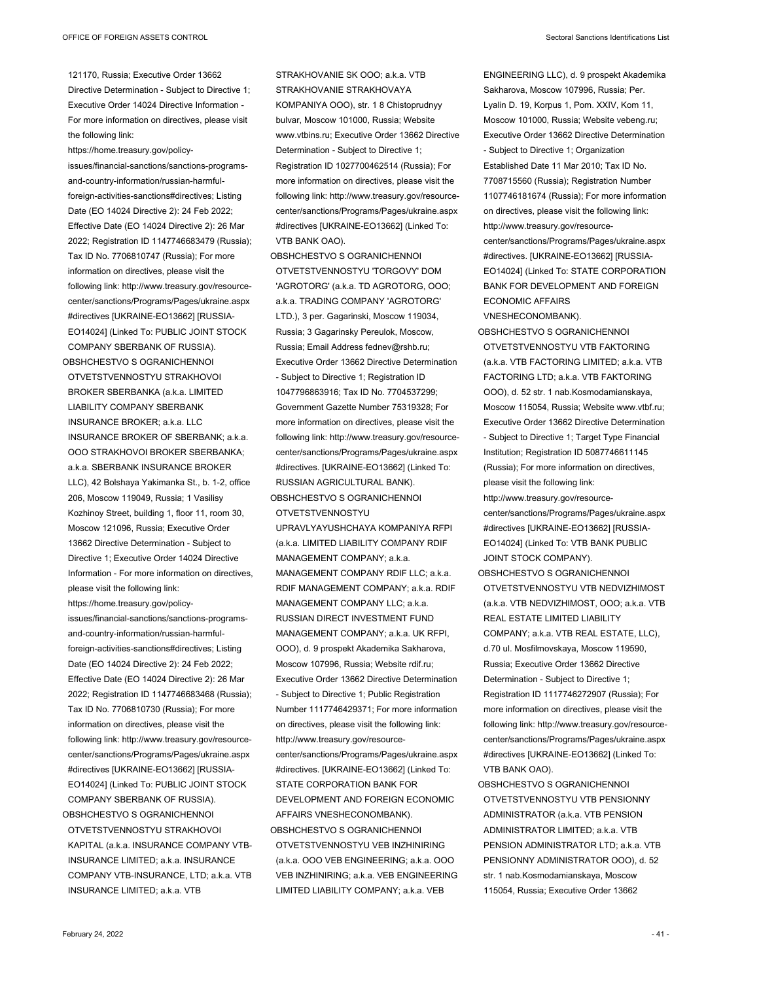121170, Russia; Executive Order 13662 Directive Determination - Subject to Directive 1; Executive Order 14024 Directive Information - For more information on directives, please visit the following link:

https://home.treasury.gov/policyissues/financial-sanctions/sanctions-programsand-country-information/russian-harmfulforeign-activities-sanctions#directives; Listing Date (EO 14024 Directive 2): 24 Feb 2022; Effective Date (EO 14024 Directive 2): 26 Mar 2022; Registration ID 1147746683479 (Russia); Tax ID No. 7706810747 (Russia); For more information on directives, please visit the following link: http://www.treasury.gov/resourcecenter/sanctions/Programs/Pages/ukraine.aspx #directives [UKRAINE-EO13662] [RUSSIA-EO14024] (Linked To: PUBLIC JOINT STOCK COMPANY SBERBANK OF RUSSIA). OBSHCHESTVO S OGRANICHENNOI

OTVETSTVENNOSTYU STRAKHOVOI BROKER SBERBANKA (a.k.a. LIMITED LIABILITY COMPANY SBERBANK INSURANCE BROKER; a.k.a. LLC INSURANCE BROKER OF SBERBANK; a.k.a. OOO STRAKHOVOI BROKER SBERBANKA; a.k.a. SBERBANK INSURANCE BROKER LLC), 42 Bolshaya Yakimanka St., b. 1-2, office 206, Moscow 119049, Russia; 1 Vasilisy Kozhinoy Street, building 1, floor 11, room 30, Moscow 121096, Russia; Executive Order 13662 Directive Determination - Subject to Directive 1; Executive Order 14024 Directive Information - For more information on directives, please visit the following link: https://home.treasury.gov/policyissues/financial-sanctions/sanctions-programsand-country-information/russian-harmfulforeign-activities-sanctions#directives; Listing Date (EO 14024 Directive 2): 24 Feb 2022; Effective Date (EO 14024 Directive 2): 26 Mar 2022; Registration ID 1147746683468 (Russia); Tax ID No. 7706810730 (Russia); For more information on directives, please visit the following link: http://www.treasury.gov/resourcecenter/sanctions/Programs/Pages/ukraine.aspx #directives [UKRAINE-EO13662] [RUSSIA-EO14024] (Linked To: PUBLIC JOINT STOCK COMPANY SBERBANK OF RUSSIA). OBSHCHESTVO S OGRANICHENNOI OTVETSTVENNOSTYU STRAKHOVOI KAPITAL (a.k.a. INSURANCE COMPANY VTB-

INSURANCE LIMITED; a.k.a. INSURANCE COMPANY VTB-INSURANCE, LTD; a.k.a. VTB INSURANCE LIMITED; a.k.a. VTB

STRAKHOVANIE SK OOO; a.k.a. VTB STRAKHOVANIE STRAKHOVAYA KOMPANIYA OOO), str. 1 8 Chistoprudnyy bulvar, Moscow 101000, Russia; Website www.vtbins.ru; Executive Order 13662 Directive Determination - Subject to Directive 1; Registration ID 1027700462514 (Russia); For more information on directives, please visit the following link: http://www.treasury.gov/resourcecenter/sanctions/Programs/Pages/ukraine.aspx #directives [UKRAINE-EO13662] (Linked To: VTB BANK OAO).

OBSHCHESTVO S OGRANICHENNOI OTVETSTVENNOSTYU 'TORGOVY' DOM 'AGROTORG' (a.k.a. TD AGROTORG, OOO; a.k.a. TRADING COMPANY 'AGROTORG' LTD.), 3 per. Gagarinski, Moscow 119034, Russia; 3 Gagarinsky Pereulok, Moscow, Russia; Email Address fednev@rshb.ru; Executive Order 13662 Directive Determination - Subject to Directive 1; Registration ID 1047796863916; Tax ID No. 7704537299; Government Gazette Number 75319328; For more information on directives, please visit the following link: http://www.treasury.gov/resourcecenter/sanctions/Programs/Pages/ukraine.aspx #directives. [UKRAINE-EO13662] (Linked To: RUSSIAN AGRICULTURAL BANK). OBSHCHESTVO S OGRANICHENNOI

OTVETSTVENNOSTYU

UPRAVLYAYUSHCHAYA KOMPANIYA RFPI (a.k.a. LIMITED LIABILITY COMPANY RDIF MANAGEMENT COMPANY; a.k.a. MANAGEMENT COMPANY RDIF LLC; a.k.a. RDIF MANAGEMENT COMPANY; a.k.a. RDIF MANAGEMENT COMPANY LLC; a.k.a. RUSSIAN DIRECT INVESTMENT FUND MANAGEMENT COMPANY; a.k.a. UK RFPI, OOO), d. 9 prospekt Akademika Sakharova, Moscow 107996, Russia; Website rdif.ru; Executive Order 13662 Directive Determination - Subject to Directive 1; Public Registration Number 1117746429371; For more information on directives, please visit the following link: http://www.treasury.gov/resourcecenter/sanctions/Programs/Pages/ukraine.aspx #directives. [UKRAINE-EO13662] (Linked To: STATE CORPORATION BANK FOR DEVELOPMENT AND FOREIGN ECONOMIC AFFAIRS VNESHECONOMBANK). OBSHCHESTVO S OGRANICHENNOI OTVETSTVENNOSTYU VEB INZHINIRING (a.k.a. OOO VEB ENGINEERING; a.k.a. OOO VEB INZHINIRING; a.k.a. VEB ENGINEERING LIMITED LIABILITY COMPANY; a.k.a. VEB

ENGINEERING LLC), d. 9 prospekt Akademika Sakharova, Moscow 107996, Russia; Per. Lyalin D. 19, Korpus 1, Pom. XXIV, Kom 11, Moscow 101000, Russia; Website vebeng.ru; Executive Order 13662 Directive Determination - Subject to Directive 1; Organization Established Date 11 Mar 2010; Tax ID No. 7708715560 (Russia); Registration Number 1107746181674 (Russia); For more information on directives, please visit the following link: http://www.treasury.gov/resourcecenter/sanctions/Programs/Pages/ukraine.aspx #directives. [UKRAINE-EO13662] [RUSSIA-EO14024] (Linked To: STATE CORPORATION BANK FOR DEVELOPMENT AND FOREIGN ECONOMIC AFFAIRS

VNESHECONOMBANK).

- OBSHCHESTVO S OGRANICHENNOI OTVETSTVENNOSTYU VTB FAKTORING (a.k.a. VTB FACTORING LIMITED; a.k.a. VTB FACTORING LTD; a.k.a. VTB FAKTORING OOO), d. 52 str. 1 nab.Kosmodamianskaya, Moscow 115054, Russia; Website www.vtbf.ru; Executive Order 13662 Directive Determination - Subject to Directive 1; Target Type Financial Institution; Registration ID 5087746611145 (Russia); For more information on directives, please visit the following link: http://www.treasury.gov/resourcecenter/sanctions/Programs/Pages/ukraine.aspx #directives [UKRAINE-EO13662] [RUSSIA-EO14024] (Linked To: VTB BANK PUBLIC JOINT STOCK COMPANY).
- OBSHCHESTVO S OGRANICHENNOI OTVETSTVENNOSTYU VTB NEDVIZHIMOST (a.k.a. VTB NEDVIZHIMOST, OOO; a.k.a. VTB REAL ESTATE LIMITED LIABILITY COMPANY; a.k.a. VTB REAL ESTATE, LLC), d.70 ul. Mosfilmovskaya, Moscow 119590, Russia; Executive Order 13662 Directive Determination - Subject to Directive 1; Registration ID 1117746272907 (Russia); For more information on directives, please visit the following link: http://www.treasury.gov/resourcecenter/sanctions/Programs/Pages/ukraine.aspx #directives [UKRAINE-EO13662] (Linked To: VTB BANK OAO).
- OBSHCHESTVO S OGRANICHENNOI OTVETSTVENNOSTYU VTB PENSIONNY ADMINISTRATOR (a.k.a. VTB PENSION ADMINISTRATOR LIMITED; a.k.a. VTB PENSION ADMINISTRATOR LTD; a.k.a. VTB PENSIONNY ADMINISTRATOR OOO), d. 52 str. 1 nab.Kosmodamianskaya, Moscow 115054, Russia; Executive Order 13662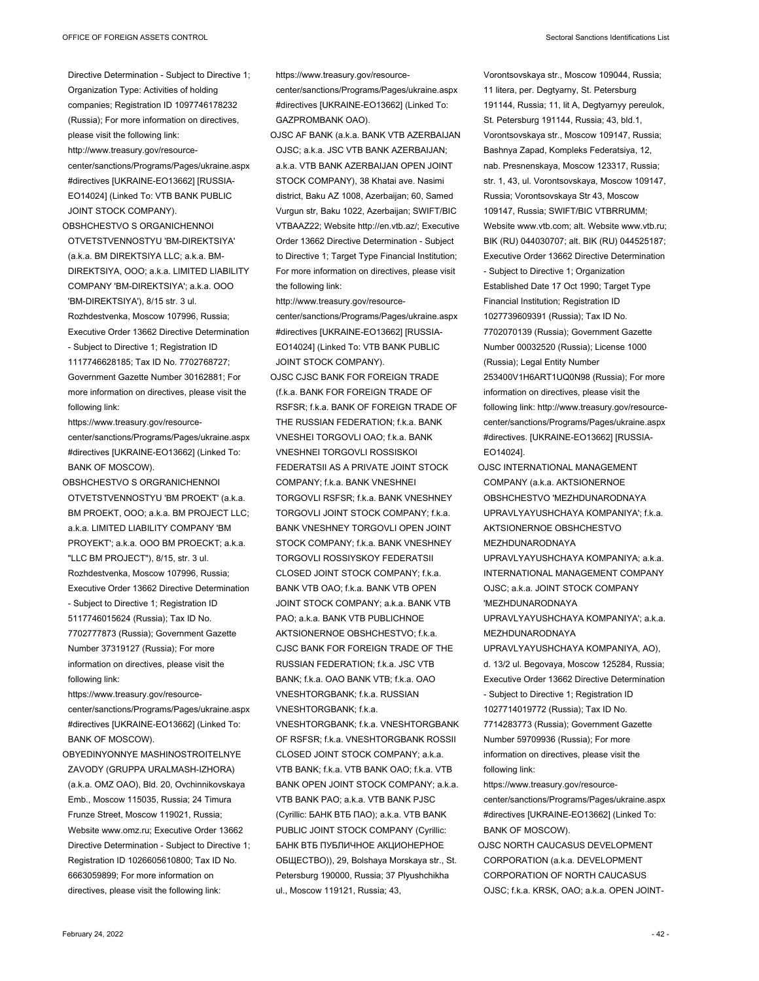- Directive Determination Subject to Directive 1; Organization Type: Activities of holding companies; Registration ID 1097746178232 (Russia); For more information on directives, please visit the following link: http://www.treasury.gov/resourcecenter/sanctions/Programs/Pages/ukraine.aspx #directives [UKRAINE-EO13662] [RUSSIA-EO14024] (Linked To: VTB BANK PUBLIC JOINT STOCK COMPANY).
- OBSHCHESTVO S ORGANICHENNOI OTVETSTVENNOSTYU 'BM-DIREKTSIYA' (a.k.a. BM DIREKTSIYA LLC; a.k.a. BM-DIREKTSIYA, OOO; a.k.a. LIMITED LIABILITY COMPANY 'BM-DIREKTSIYA'; a.k.a. OOO 'BM-DIREKTSIYA'), 8/15 str. 3 ul. Rozhdestvenka, Moscow 107996, Russia; Executive Order 13662 Directive Determination - Subject to Directive 1; Registration ID 1117746628185; Tax ID No. 7702768727; Government Gazette Number 30162881; For more information on directives, please visit the following link:
- https://www.treasury.gov/resourcecenter/sanctions/Programs/Pages/ukraine.aspx #directives [UKRAINE-EO13662] (Linked To: BANK OF MOSCOW).
- OBSHCHESTVO S ORGRANICHENNOI OTVETSTVENNOSTYU 'BM PROEKT' (a.k.a. BM PROEKT, OOO; a.k.a. BM PROJECT LLC; aka LIMITED LIABILITY COMPANY 'BM PROYEKT'; a.k.a. OOO BM PROECKT; a.k.a. "LLC BM PROJECT"), 8/15, str. 3 ul. Rozhdestvenka, Moscow 107996, Russia; Executive Order 13662 Directive Determination - Subject to Directive 1; Registration ID 5117746015624 (Russia); Tax ID No. 7702777873 (Russia); Government Gazette

Number 37319127 (Russia); For more information on directives, please visit the following link:

https://www.treasury.gov/resourcecenter/sanctions/Programs/Pages/ukraine.aspx #directives [UKRAINE-EO13662] (Linked To: BANK OF MOSCOW).

OBYEDINYONNYE MASHINOSTROITELNYE ZAVODY (GRUPPA URALMASH-IZHORA) (a.k.a. OMZ OAO), Bld. 20, Ovchinnikovskaya Emb., Moscow 115035, Russia; 24 Timura Frunze Street, Moscow 119021, Russia; Website www.omz.ru; Executive Order 13662 Directive Determination - Subject to Directive 1; Registration ID 1026605610800; Tax ID No. 6663059899; For more information on directives, please visit the following link:

https://www.treasury.gov/resourcecenter/sanctions/Programs/Pages/ukraine.aspx #directives [UKRAINE-EO13662] (Linked To: GAZPROMBANK OAO).

- OJSC AF BANK (a.k.a. BANK VTB AZERBAIJAN OJSC; a.k.a. JSC VTB BANK AZERBAIJAN; a.k.a. VTB BANK AZERBAIJAN OPEN JOINT STOCK COMPANY), 38 Khatai ave. Nasimi district, Baku AZ 1008, Azerbaijan; 60, Samed Vurgun str, Baku 1022, Azerbaijan; SWIFT/BIC VTBAAZ22; Website http://en.vtb.az/; Executive Order 13662 Directive Determination - Subject to Directive 1; Target Type Financial Institution; For more information on directives, please visit the following link:
- http://www.treasury.gov/resourcecenter/sanctions/Programs/Pages/ukraine.aspx #directives [UKRAINE-EO13662] [RUSSIA-EO14024] (Linked To: VTB BANK PUBLIC JOINT STOCK COMPANY).
- OJSC CJSC BANK FOR FOREIGN TRADE (f.k.a. BANK FOR FOREIGN TRADE OF RSFSR; f.k.a. BANK OF FOREIGN TRADE OF THE RUSSIAN FEDERATION; f.k.a. BANK VNESHEI TORGOVLI OAO; f.k.a. BANK VNESHNEI TORGOVLI ROSSISKOI FEDERATSII AS A PRIVATE JOINT STOCK COMPANY; f.k.a. BANK VNESHNEI TORGOVLI RSFSR; f.k.a. BANK VNESHNEY TORGOVLI JOINT STOCK COMPANY; f.k.a. BANK VNESHNEY TORGOVLI OPEN JOINT STOCK COMPANY; f.k.a. BANK VNESHNEY TORGOVLI ROSSIYSKOY FEDERATSII CLOSED JOINT STOCK COMPANY; f.k.a. BANK VTB OAO; f.k.a. BANK VTB OPEN JOINT STOCK COMPANY; a.k.a. BANK VTB PAO; a.k.a. BANK VTB PUBLICHNOE AKTSIONERNOE OBSHCHESTVO; f.k.a. CJSC BANK FOR FOREIGN TRADE OF THE RUSSIAN FEDERATION; f.k.a. JSC VTB BANK; fk.a. OAO BANK VTB; fk.a. OAO VNESHTORGBANK; f.k.a. RUSSIAN VNESHTORGBANK; f.k.a. VNESHTORGBANK; f.k.a. VNESHTORGBANK OF RSFSR; f.k.a. VNESHTORGBANK ROSSII CLOSED JOINT STOCK COMPANY; a.k.a. VTB BANK; f.k.a. VTB BANK OAO; f.k.a. VTB BANK OPEN JOINT STOCK COMPANY; a.k.a. VTB BANK PAO; a.k.a. VTB BANK PJSC (Cyrillic: БАНК ВТБ ПАО); a.k.a. VTB BANK PUBLIC JOINT STOCK COMPANY (Cyrillic: БАНК ВТБ ПУБЛИЧНОЕ АКЦИОНЕРНОЕ

ОБЩЕСТВО)), 29, Bolshaya Morskaya str., St. Petersburg 190000, Russia; 37 Plyushchikha

ul., Moscow 119121, Russia; 43,

Vorontsovskaya str., Moscow 109044, Russia; 11 litera, per. Degtyarny, St. Petersburg 191144, Russia; 11, lit A, Degtyarnyy pereulok, St. Petersburg 191144, Russia; 43, bld.1, Vorontsovskaya str., Moscow 109147, Russia; Bashnya Zapad, Kompleks Federatsiya, 12, nab. Presnenskaya, Moscow 123317, Russia; str. 1, 43, ul. Vorontsovskaya, Moscow 109147, Russia; Vorontsovskaya Str 43, Moscow 109147, Russia; SWIFT/BIC VTBRRUMM; Website www.vtb.com; alt. Website www.vtb.ru; BIK (RU) 044030707; alt. BIK (RU) 044525187; Executive Order 13662 Directive Determination - Subject to Directive 1; Organization Established Date 17 Oct 1990; Target Type Financial Institution; Registration ID 1027739609391 (Russia); Tax ID No. 7702070139 (Russia); Government Gazette Number 00032520 (Russia); License 1000 (Russia); Legal Entity Number 253400V1H6ART1UQ0N98 (Russia); For more information on directives, please visit the following link: http://www.treasury.gov/resourcecenter/sanctions/Programs/Pages/ukraine.aspx #directives. [UKRAINE-EO13662] [RUSSIA-EO14024].

- OJSC INTERNATIONAL MANAGEMENT COMPANY (a.k.a. AKTSIONERNOE OBSHCHESTVO 'MEZHDUNARODNAYA UPRAVLYAYUSHCHAYA KOMPANIYA'; f.k.a. AKTSIONERNOE OBSHCHESTVO MEZHDUNARODNAYA UPRAVLYAYUSHCHAYA KOMPANIYA; a.k.a. INTERNATIONAL MANAGEMENT COMPANY OJSC; a.k.a. JOINT STOCK COMPANY 'MEZHDUNARODNAYA UPRAVLYAYUSHCHAYA KOMPANIYA'; a.k.a.
- MEZHDUNARODNAYA UPRAVLYAYUSHCHAYA KOMPANIYA, AO),
- d. 13/2 ul. Begovaya, Moscow 125284, Russia; Executive Order 13662 Directive Determination - Subject to Directive 1; Registration ID 1027714019772 (Russia); Tax ID No. 7714283773 (Russia); Government Gazette Number 59709936 (Russia); For more information on directives, please visit the
- following link: https://www.treasury.gov/resourcecenter/sanctions/Programs/Pages/ukraine.aspx #directives [UKRAINE-EO13662] (Linked To: BANK OF MOSCOW).
- OJSC NORTH CAUCASUS DEVELOPMENT CORPORATION (a.k.a. DEVELOPMENT CORPORATION OF NORTH CAUCASUS OJSC; f.k.a. KRSK, OAO; a.k.a. OPEN JOINT-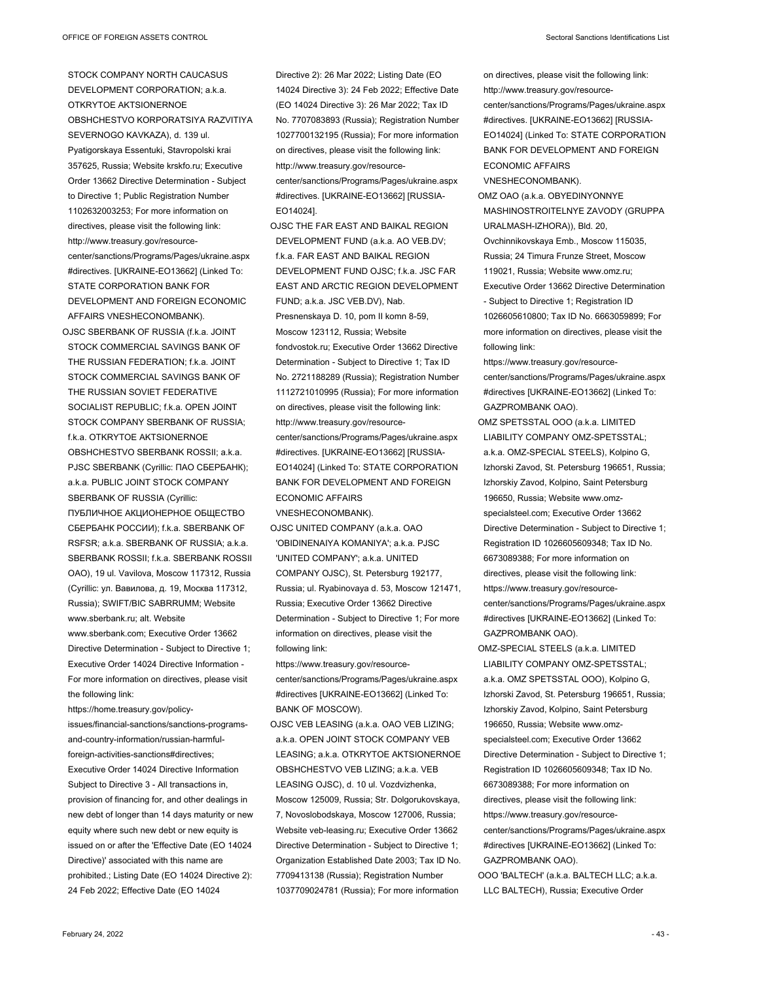STOCK COMPANY NORTH CAUCASUS DEVELOPMENT CORPORATION; a.k.a. OTKRYTOE AKTSIONERNOE OBSHCHESTVO KORPORATSIYA RAZVITIYA SEVERNOGO KAVKAZA), d. 139 ul. Pyatigorskaya Essentuki, Stavropolski krai 357625, Russia; Website krskfo.ru; Executive Order 13662 Directive Determination - Subject to Directive 1; Public Registration Number 1102632003253; For more information on directives, please visit the following link: http://www.treasury.gov/resourcecenter/sanctions/Programs/Pages/ukraine.aspx #directives. [UKRAINE-EO13662] (Linked To: STATE CORPORATION BANK FOR DEVELOPMENT AND FOREIGN ECONOMIC AFFAIRS VNESHECONOMBANK). OJSC SBERBANK OF RUSSIA (f.k.a. JOINT

STOCK COMMERCIAL SAVINGS BANK OF THE RUSSIAN FEDERATION; f.k.a. JOINT STOCK COMMERCIAL SAVINGS BANK OF THE RUSSIAN SOVIET FEDERATIVE SOCIALIST REPUBLIC; f.k.a. OPEN JOINT STOCK COMPANY SBERBANK OF RUSSIA; f.k.a. OTKRYTOE AKTSIONERNOE OBSHCHESTVO SBERBANK ROSSII; a.k.a. PJSC SBERBANK (Cyrillic: ПАО СБЕРБАНК); a.k.a. PUBLIC JOINT STOCK COMPANY SBERBANK OF RUSSIA (Cyrillic: ПУБЛИЧНОЕ АКЦИОНЕРНОЕ ОБЩЕСТВО СБЕРБАНК РОССИИ); f.k.a. SBERBANK OF RSFSR; a.k.a. SBERBANK OF RUSSIA; a.k.a. SBERBANK ROSSII; f.k.a. SBERBANK ROSSII OAO), 19 ul. Vavilova, Moscow 117312, Russia (Cyrillic: ул. Вавилова, д. 19, Москва 117312, Russia); SWIFT/BIC SABRRUMM; Website www.sberbank.ru; alt. Website www.sberbank.com; Executive Order 13662 Directive Determination - Subject to Directive 1; Executive Order 14024 Directive Information - For more information on directives, please visit the following link:

https://home.treasury.gov/policyissues/financial-sanctions/sanctions-programsand-country-information/russian-harmfulforeign-activities-sanctions#directives; Executive Order 14024 Directive Information Subject to Directive 3 - All transactions in, provision of financing for, and other dealings in new debt of longer than 14 days maturity or new equity where such new debt or new equity is issued on or after the 'Effective Date (EO 14024 Directive)' associated with this name are prohibited.; Listing Date (EO 14024 Directive 2): 24 Feb 2022; Effective Date (EO 14024

Directive 2): 26 Mar 2022; Listing Date (EO 14024 Directive 3): 24 Feb 2022; Effective Date (EO 14024 Directive 3): 26 Mar 2022; Tax ID No. 7707083893 (Russia); Registration Number 1027700132195 (Russia); For more information on directives, please visit the following link: http://www.treasury.gov/resourcecenter/sanctions/Programs/Pages/ukraine.aspx #directives. [UKRAINE-EO13662] [RUSSIA-EO14024].

OJSC THE FAR EAST AND BAIKAL REGION DEVELOPMENT FUND (a.k.a. AO VEB.DV; f.k.a. FAR EAST AND BAIKAL REGION DEVELOPMENT FUND OJSC; f.k.a. JSC FAR EAST AND ARCTIC REGION DEVELOPMENT FUND; a.k.a. JSC VEB.DV), Nab. Presnenskaya D. 10, pom II komn 8-59, Moscow 123112, Russia; Website fondvostok.ru; Executive Order 13662 Directive Determination - Subject to Directive 1; Tax ID No. 2721188289 (Russia); Registration Number 1112721010995 (Russia); For more information on directives, please visit the following link: http://www.treasury.gov/resourcecenter/sanctions/Programs/Pages/ukraine.aspx #directives. [UKRAINE-EO13662] [RUSSIA-EO14024] (Linked To: STATE CORPORATION BANK FOR DEVELOPMENT AND FOREIGN ECONOMIC AFFAIRS

VNESHECONOMBANK).

OJSC UNITED COMPANY (a.k.a. OAO 'OBIDINENAIYA KOMANIYA'; a.k.a. PJSC 'UNITED COMPANY'; a.k.a. UNITED COMPANY OJSC), St. Petersburg 192177, Russia; ul. Ryabinovaya d. 53, Moscow 121471, Russia; Executive Order 13662 Directive Determination - Subject to Directive 1; For more information on directives, please visit the following link:

https://www.treasury.gov/resourcecenter/sanctions/Programs/Pages/ukraine.aspx #directives [UKRAINE-EO13662] (Linked To: BANK OF MOSCOW).

OJSC VEB LEASING (a.k.a. OAO VEB LIZING; a.k.a. OPEN JOINT STOCK COMPANY VEB LEASING; a.k.a. OTKRYTOE AKTSIONERNOE OBSHCHESTVO VEB LIZING; a.k.a. VEB LEASING OJSC), d. 10 ul. Vozdvizhenka, Moscow 125009, Russia; Str. Dolgorukovskaya, 7, Novoslobodskaya, Moscow 127006, Russia; Website veb-leasing.ru; Executive Order 13662 Directive Determination - Subject to Directive 1; Organization Established Date 2003; Tax ID No. 7709413138 (Russia); Registration Number 1037709024781 (Russia); For more information

on directives, please visit the following link: http://www.treasury.gov/resourcecenter/sanctions/Programs/Pages/ukraine.aspx #directives. [UKRAINE-EO13662] [RUSSIA-EO14024] (Linked To: STATE CORPORATION BANK FOR DEVELOPMENT AND FOREIGN ECONOMIC AFFAIRS VNESHECONOMBANK).

OMZ OAO (a.k.a. OBYEDINYONNYE MASHINOSTROITELNYE ZAVODY (GRUPPA URALMASH-IZHORA)), Bld. 20, Ovchinnikovskaya Emb., Moscow 115035, Russia; 24 Timura Frunze Street, Moscow 119021, Russia; Website www.omz.ru; Executive Order 13662 Directive Determination - Subject to Directive 1; Registration ID 1026605610800; Tax ID No. 6663059899; For more information on directives, please visit the following link:

https://www.treasury.gov/resourcecenter/sanctions/Programs/Pages/ukraine.aspx #directives [UKRAINE-EO13662] (Linked To: GAZPROMBANK OAO).

OMZ SPETSSTAL OOO (a.k.a. LIMITED LIABILITY COMPANY OMZ-SPETSSTAL; a.k.a. OMZ-SPECIAL STEELS), Kolpino G, Izhorski Zavod, St. Petersburg 196651, Russia; Izhorskiy Zavod, Kolpino, Saint Petersburg 196650, Russia; Website www.omzspecialsteel.com; Executive Order 13662 Directive Determination - Subject to Directive 1; Registration ID 1026605609348; Tax ID No. 6673089388; For more information on directives, please visit the following link: https://www.treasury.gov/resourcecenter/sanctions/Programs/Pages/ukraine.aspx #directives [UKRAINE-EO13662] (Linked To: GAZPROMBANK OAO).

OMZ-SPECIAL STEELS (a.k.a. LIMITED LIABILITY COMPANY OMZ-SPETSSTAL; a.k.a. OMZ SPETSSTAL OOO), Kolpino G, Izhorski Zavod, St. Petersburg 196651, Russia; Izhorskiy Zavod, Kolpino, Saint Petersburg 196650, Russia; Website www.omzspecialsteel.com; Executive Order 13662 Directive Determination - Subject to Directive 1; Registration ID 1026605609348; Tax ID No. 6673089388; For more information on directives, please visit the following link: https://www.treasury.gov/resourcecenter/sanctions/Programs/Pages/ukraine.aspx #directives [UKRAINE-EO13662] (Linked To: GAZPROMBANK OAO).

OOO 'BALTECH' (a.k.a. BALTECH LLC; a.k.a. LLC BALTECH), Russia; Executive Order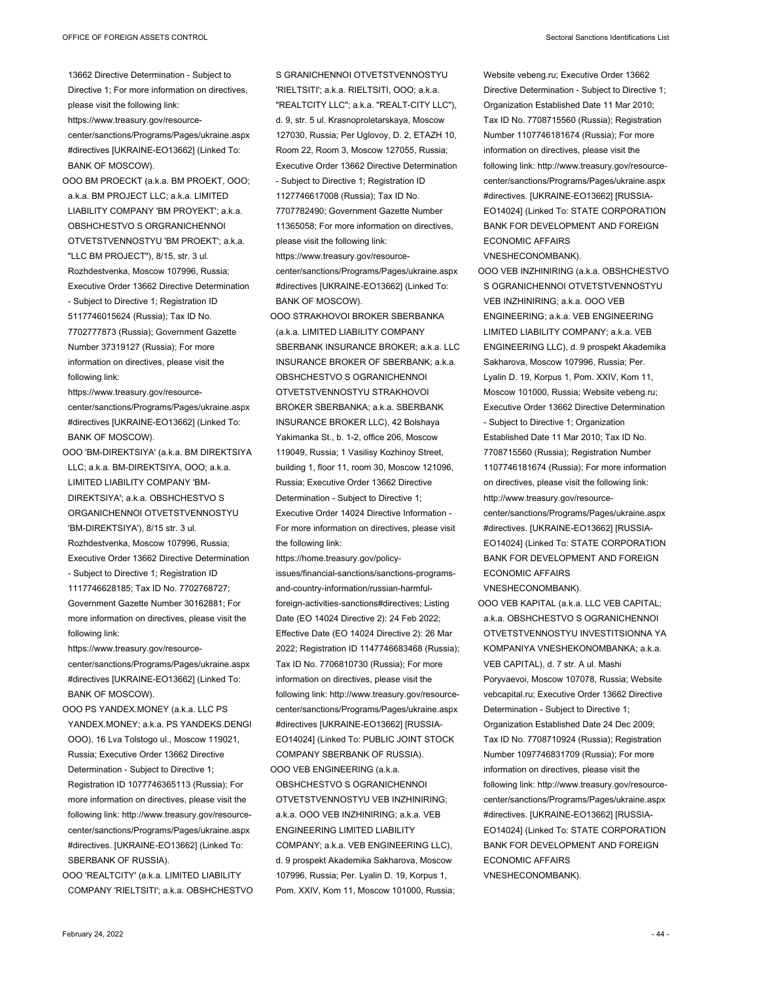13662 Directive Determination - Subject to Directive 1; For more information on directives, please visit the following link:

https://www.treasury.gov/resourcecenter/sanctions/Programs/Pages/ukraine.aspx #directives [UKRAINE-EO13662] (Linked To: BANK OF MOSCOW).

OOO BM PROECKT (a.k.a. BM PROEKT, OOO; a.k.a. BM PROJECT LLC; a.k.a. LIMITED LIABILITY COMPANY 'BM PROYEKT'; a.k.a. OBSHCHESTVO S ORGRANICHENNOI OTVETSTVENNOSTYU 'BM PROEKT'; a.k.a. "LLC BM PROJECT"), 8/15, str. 3 ul. Rozhdestvenka, Moscow 107996, Russia; Executive Order 13662 Directive Determination - Subject to Directive 1; Registration ID 5117746015624 (Russia); Tax ID No. 7702777873 (Russia); Government Gazette Number 37319127 (Russia); For more information on directives, please visit the following link:

https://www.treasury.gov/resourcecenter/sanctions/Programs/Pages/ukraine.aspx #directives [UKRAINE-EO13662] (Linked To: BANK OF MOSCOW).

OOO 'BM-DIREKTSIYA' (a.k.a. BM DIREKTSIYA LLC; a.k.a. BM-DIREKTSIYA, OOO; a.k.a. LIMITED LIABILITY COMPANY 'BM-DIREKTSIYA'; a.k.a. OBSHCHESTVO S ORGANICHENNOI OTVETSTVENNOSTYU 'BM-DIREKTSIYA'), 8/15 str. 3 ul. Rozhdestvenka, Moscow 107996, Russia; Executive Order 13662 Directive Determination - Subject to Directive 1; Registration ID 1117746628185; Tax ID No. 7702768727; Government Gazette Number 30162881; For more information on directives, please visit the following link:

https://www.treasury.gov/resourcecenter/sanctions/Programs/Pages/ukraine.aspx #directives [UKRAINE-EO13662] (Linked To: BANK OF MOSCOW).

OOO PS YANDEX.MONEY (a.k.a. LLC PS YANDEX.MONEY; a.k.a. PS YANDEKS.DENGI OOO), 16 Lva Tolstogo ul., Moscow 119021, Russia; Executive Order 13662 Directive Determination - Subject to Directive 1; Registration ID 1077746365113 (Russia); For more information on directives, please visit the following link: http://www.treasury.gov/resourcecenter/sanctions/Programs/Pages/ukraine.aspx #directives. [UKRAINE-EO13662] (Linked To: SBERBANK OF RUSSIA).

OOO 'REALTCITY' (a.k.a. LIMITED LIABILITY COMPANY 'RIELTSITI'; a.k.a. OBSHCHESTVO S GRANICHENNOI OTVETSTVENNOSTYU 'RIELTSITI'; a.k.a. RIELTSITI, OOO; a.k.a. "REALTCITY LLC"; a.k.a. "REALT-CITY LLC"), d. 9, str. 5 ul. Krasnoproletarskaya, Moscow 127030, Russia; Per Uglovoy, D. 2, ETAZH 10, Room 22, Room 3, Moscow 127055, Russia; Executive Order 13662 Directive Determination - Subject to Directive 1; Registration ID 1127746617008 (Russia); Tax ID No. 7707782490; Government Gazette Number 11365058; For more information on directives, please visit the following link: https://www.treasury.gov/resourcecenter/sanctions/Programs/Pages/ukraine.aspx #directives [UKRAINE-EO13662] (Linked To: BANK OF MOSCOW).

OOO STRAKHOVOI BROKER SBERBANKA (a.k.a. LIMITED LIABILITY COMPANY SBERBANK INSURANCE BROKER; a.k.a. LLC INSURANCE BROKER OF SBERBANK; a.k.a. OBSHCHESTVO S OGRANICHENNOI OTVETSTVENNOSTYU STRAKHOVOI BROKER SBERBANKA; a.k.a. SBERBANK INSURANCE BROKER LLC), 42 Bolshaya Yakimanka St., b. 1-2, office 206, Moscow 119049, Russia; 1 Vasilisy Kozhinoy Street, building 1, floor 11, room 30, Moscow 121096, Russia; Executive Order 13662 Directive Determination - Subject to Directive 1; Executive Order 14024 Directive Information - For more information on directives, please visit the following link:

https://home.treasury.gov/policyissues/financial-sanctions/sanctions-programsand-country-information/russian-harmfulforeign-activities-sanctions#directives; Listing Date (EO 14024 Directive 2): 24 Feb 2022; Effective Date (EO 14024 Directive 2): 26 Mar 2022; Registration ID 1147746683468 (Russia); Tax ID No. 7706810730 (Russia); For more information on directives, please visit the following link: http://www.treasury.gov/resourcecenter/sanctions/Programs/Pages/ukraine.aspx #directives [UKRAINE-EO13662] [RUSSIA-EO14024] (Linked To: PUBLIC JOINT STOCK COMPANY SBERBANK OF RUSSIA). OOO VEB ENGINEERING (a.k.a. OBSHCHESTVO S OGRANICHENNOI OTVETSTVENNOSTYU VEB INZHINIRING; a.k.a. OOO VEB INZHINIRING; a.k.a. VEB ENGINEERING LIMITED LIABILITY COMPANY; a.k.a. VEB ENGINEERING LLC), d. 9 prospekt Akademika Sakharova, Moscow 107996, Russia; Per. Lyalin D. 19, Korpus 1, Pom. XXIV, Kom 11, Moscow 101000, Russia;

Website vebeng.ru; Executive Order 13662 Directive Determination - Subject to Directive 1; Organization Established Date 11 Mar 2010; Tax ID No. 7708715560 (Russia); Registration Number 1107746181674 (Russia); For more information on directives, please visit the following link: http://www.treasury.gov/resourcecenter/sanctions/Programs/Pages/ukraine.aspx #directives. [UKRAINE-EO13662] [RUSSIA-EO14024] (Linked To: STATE CORPORATION BANK FOR DEVELOPMENT AND FOREIGN ECONOMIC AFFAIRS

VNESHECONOMBANK).

- OOO VEB INZHINIRING (a.k.a. OBSHCHESTVO S OGRANICHENNOI OTVETSTVENNOSTYU VEB INZHINIRING; a.k.a. OOO VEB ENGINEERING; a.k.a. VEB ENGINEERING LIMITED LIABILITY COMPANY; a.k.a. VEB ENGINEERING LLC), d. 9 prospekt Akademika Sakharova, Moscow 107996, Russia; Per. Lyalin D. 19, Korpus 1, Pom. XXIV, Kom 11, Moscow 101000, Russia; Website vebeng.ru; Executive Order 13662 Directive Determination - Subject to Directive 1; Organization Established Date 11 Mar 2010; Tax ID No. 7708715560 (Russia); Registration Number 1107746181674 (Russia); For more information on directives, please visit the following link: http://www.treasury.gov/resourcecenter/sanctions/Programs/Pages/ukraine.aspx #directives. [UKRAINE-EO13662] [RUSSIA-EO14024] (Linked To: STATE CORPORATION BANK FOR DEVELOPMENT AND FOREIGN ECONOMIC AFFAIRS VNESHECONOMBANK).
- OOO VEB KAPITAL (a.k.a. LLC VEB CAPITAL; a.k.a. OBSHCHESTVO S OGRANICHENNOI OTVETSTVENNOSTYU INVESTITSIONNA YA KOMPANIYA VNESHEKONOMBANKA; a.k.a. VEB CAPITAL), d. 7 str. A ul. Mashi Poryvaevoi, Moscow 107078, Russia; Website vebcapital.ru; Executive Order 13662 Directive Determination - Subject to Directive 1; Organization Established Date 24 Dec 2009; Tax ID No. 7708710924 (Russia); Registration Number 1097746831709 (Russia); For more information on directives, please visit the following link: http://www.treasury.gov/resourcecenter/sanctions/Programs/Pages/ukraine.aspx #directives. [UKRAINE-EO13662] [RUSSIA-EO14024] (Linked To: STATE CORPORATION BANK FOR DEVELOPMENT AND FOREIGN ECONOMIC AFFAIRS VNESHECONOMBANK).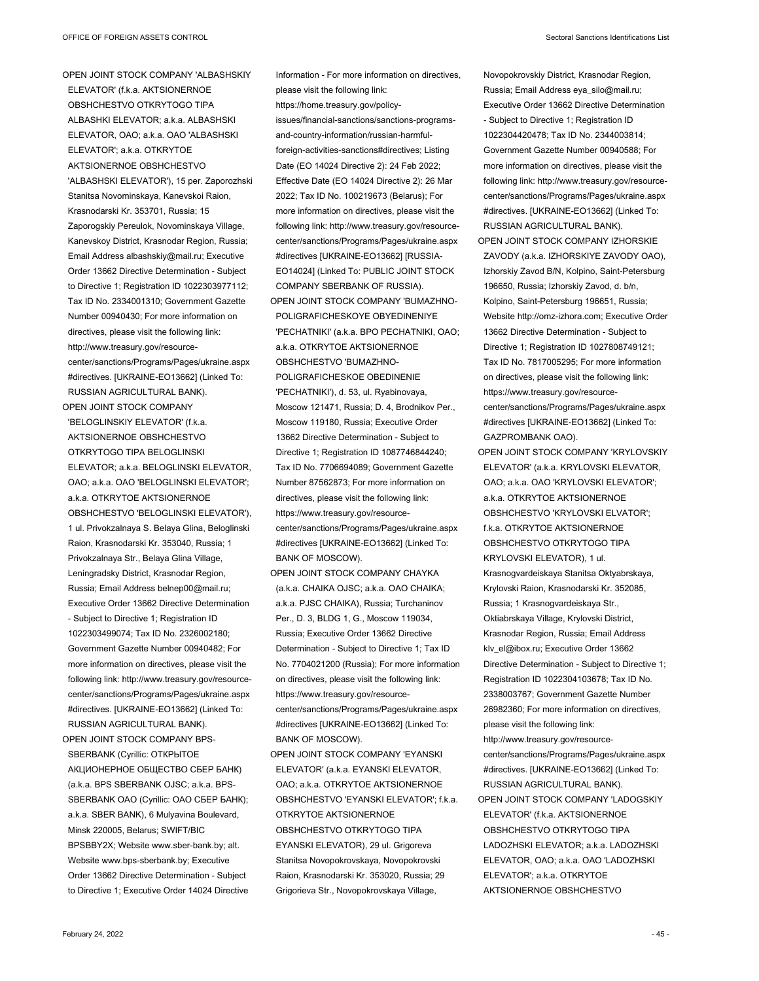OPEN JOINT STOCK COMPANY 'ALBASHSKIY ELEVATOR' (f.k.a. AKTSIONERNOE OBSHCHESTVO OTKRYTOGO TIPA ALBASHKI ELEVATOR; a.k.a. ALBASHSKI ELEVATOR, OAO; a.k.a. OAO 'ALBASHSKI ELEVATOR'; a.k.a. OTKRYTOE AKTSIONERNOE OBSHCHESTVO 'ALBASHSKI ELEVATOR'), 15 per. Zaporozhski Stanitsa Novominskaya, Kanevskoi Raion, Krasnodarski Kr. 353701, Russia; 15 Zaporogskiy Pereulok, Novominskaya Village, Kanevskoy District, Krasnodar Region, Russia; Email Address albashskiy@mail.ru; Executive Order 13662 Directive Determination - Subject to Directive 1; Registration ID 1022303977112; Tax ID No. 2334001310; Government Gazette Number 00940430; For more information on directives, please visit the following link: http://www.treasury.gov/resourcecenter/sanctions/Programs/Pages/ukraine.aspx #directives. [UKRAINE-EO13662] (Linked To: RUSSIAN AGRICULTURAL BANK).

'BELOGLINSKIY ELEVATOR' (f.k.a. AKTSIONERNOE OBSHCHESTVO OTKRYTOGO TIPA BELOGLINSKI ELEVATOR; a.k.a. BELOGLINSKI ELEVATOR, OAO; a.k.a. OAO 'BELOGLINSKI ELEVATOR'; a.k.a. OTKRYTOE AKTSIONERNOE OBSHCHESTVO 'BELOGLINSKI ELEVATOR'), 1 ul. Privokzalnaya S. Belaya Glina, Beloglinski Raion, Krasnodarski Kr. 353040, Russia; 1 Privokzalnaya Str., Belaya Glina Village, Leningradsky District, Krasnodar Region, Russia; Email Address belnep00@mail.ru; Executive Order 13662 Directive Determination - Subject to Directive 1; Registration ID 1022303499074; Tax ID No. 2326002180; Government Gazette Number 00940482; For more information on directives, please visit the following link: http://www.treasury.gov/resourcecenter/sanctions/Programs/Pages/ukraine.aspx #directives. [UKRAINE-EO13662] (Linked To: RUSSIAN AGRICULTURAL BANK). OPEN JOINT STOCK COMPANY BPS-

OPEN JOINT STOCK COMPANY

SBERBANK (Cyrillic: ОТКРЫТОЕ АКЦИОНЕРНОЕ ОБЩЕСТВО СБЕР БАНК) (a.k.a. BPS SBERBANK OJSC; a.k.a. BPS-SBERBANK OAO (Cyrillic: ОАО СБЕР БАНК); a.k.a. SBER BANK), 6 Mulyavina Boulevard, Minsk 220005, Belarus; SWIFT/BIC BPSBBY2X; Website www.sber-bank.by; alt. Website www.bps-sberbank.by; Executive Order 13662 Directive Determination - Subject to Directive 1; Executive Order 14024 Directive

Information - For more information on directives, please visit the following link: https://home.treasury.gov/policyissues/financial-sanctions/sanctions-programsand-country-information/russian-harmfulforeign-activities-sanctions#directives; Listing Date (EO 14024 Directive 2): 24 Feb 2022; Effective Date (EO 14024 Directive 2): 26 Mar 2022; Tax ID No. 100219673 (Belarus); For more information on directives, please visit the following link: http://www.treasury.gov/resourcecenter/sanctions/Programs/Pages/ukraine.aspx #directives [UKRAINE-EO13662] [RUSSIA-EO14024] (Linked To: PUBLIC JOINT STOCK COMPANY SBERBANK OF RUSSIA). OPEN JOINT STOCK COMPANY 'BUMAZHNO-POLIGRAFICHESKOYE OBYEDINENIYE 'PECHATNIKI' (a.k.a. BPO PECHATNIKI, OAO; a.k.a. OTKRYTOE AKTSIONERNOE OBSHCHESTVO 'BUMAZHNO-POLIGRAFICHESKOE OBEDINENIE 'PECHATNIKI'), d. 53, ul. Ryabinovaya, Moscow 121471, Russia; D. 4, Brodnikov Per., Moscow 119180, Russia; Executive Order 13662 Directive Determination - Subject to Directive 1; Registration ID 1087746844240; Tax ID No. 7706694089; Government Gazette Number 87562873; For more information on directives, please visit the following link: https://www.treasury.gov/resourcecenter/sanctions/Programs/Pages/ukraine.aspx #directives [UKRAINE-EO13662] (Linked To: BANK OF MOSCOW).

- OPEN JOINT STOCK COMPANY CHAYKA (a.k.a. CHAIKA OJSC; a.k.a. OAO CHAIKA; a.k.a. PJSC CHAIKA), Russia; Turchaninov Per., D. 3, BLDG 1, G., Moscow 119034, Russia; Executive Order 13662 Directive Determination - Subject to Directive 1; Tax ID No. 7704021200 (Russia); For more information on directives, please visit the following link: https://www.treasury.gov/resourcecenter/sanctions/Programs/Pages/ukraine.aspx #directives [UKRAINE-EO13662] (Linked To: BANK OF MOSCOW).
- OPEN JOINT STOCK COMPANY 'EYANSKI ELEVATOR' (a.k.a. EYANSKI ELEVATOR, OAO; a.k.a. OTKRYTOE AKTSIONERNOE OBSHCHESTVO 'EYANSKI ELEVATOR'; f.k.a. OTKRYTOE AKTSIONERNOE OBSHCHESTVO OTKRYTOGO TIPA EYANSKI ELEVATOR), 29 ul. Grigoreva Stanitsa Novopokrovskaya, Novopokrovski Raion, Krasnodarski Kr. 353020, Russia; 29 Grigorieva Str., Novopokrovskaya Village,

Novopokrovskiy District, Krasnodar Region, Russia; Email Address eya\_silo@mail.ru; Executive Order 13662 Directive Determination - Subject to Directive 1; Registration ID 1022304420478; Tax ID No. 2344003814; Government Gazette Number 00940588; For more information on directives, please visit the following link: http://www.treasury.gov/resourcecenter/sanctions/Programs/Pages/ukraine.aspx #directives. [UKRAINE-EO13662] (Linked To: RUSSIAN AGRICULTURAL BANK).

- OPEN JOINT STOCK COMPANY IZHORSKIE ZAVODY (a.k.a. IZHORSKIYE ZAVODY OAO), Izhorskiy Zavod B/N, Kolpino, Saint-Petersburg 196650, Russia; Izhorskiy Zavod, d. b/n, Kolpino, Saint-Petersburg 196651, Russia; Website http://omz-izhora.com; Executive Order 13662 Directive Determination - Subject to Directive 1; Registration ID 1027808749121; Tax ID No. 7817005295; For more information on directives, please visit the following link: https://www.treasury.gov/resourcecenter/sanctions/Programs/Pages/ukraine.aspx #directives [UKRAINE-EO13662] (Linked To: GAZPROMBANK OAO).
- OPEN JOINT STOCK COMPANY 'KRYLOVSKIY ELEVATOR' (a.k.a. KRYLOVSKI ELEVATOR, OAO; a.k.a. OAO 'KRYLOVSKI ELEVATOR'; a.k.a. OTKRYTOE AKTSIONERNOE OBSHCHESTVO 'KRYLOVSKI ELVATOR'; f.k.a. OTKRYTOE AKTSIONERNOE OBSHCHESTVO OTKRYTOGO TIPA KRYLOVSKI ELEVATOR), 1 ul. Krasnogvardeiskaya Stanitsa Oktyabrskaya, Krylovski Raion, Krasnodarski Kr. 352085, Russia; 1 Krasnogvardeiskaya Str., Oktiabrskaya Village, Krylovski District, Krasnodar Region, Russia; Email Address klv\_el@ibox.ru; Executive Order 13662 Directive Determination - Subject to Directive 1; Registration ID 1022304103678; Tax ID No. 2338003767; Government Gazette Number 26982360; For more information on directives, please visit the following link: http://www.treasury.gov/resource-
- center/sanctions/Programs/Pages/ukraine.aspx #directives. [UKRAINE-EO13662] (Linked To: RUSSIAN AGRICULTURAL BANK). OPEN JOINT STOCK COMPANY 'LADOGSKIY ELEVATOR' (f.k.a. AKTSIONERNOE OBSHCHESTVO OTKRYTOGO TIPA LADOZHSKI ELEVATOR; a.k.a. LADOZHSKI ELEVATOR, OAO; a.k.a. OAO 'LADOZHSKI ELEVATOR'; a.k.a. OTKRYTOE AKTSIONERNOE OBSHCHESTVO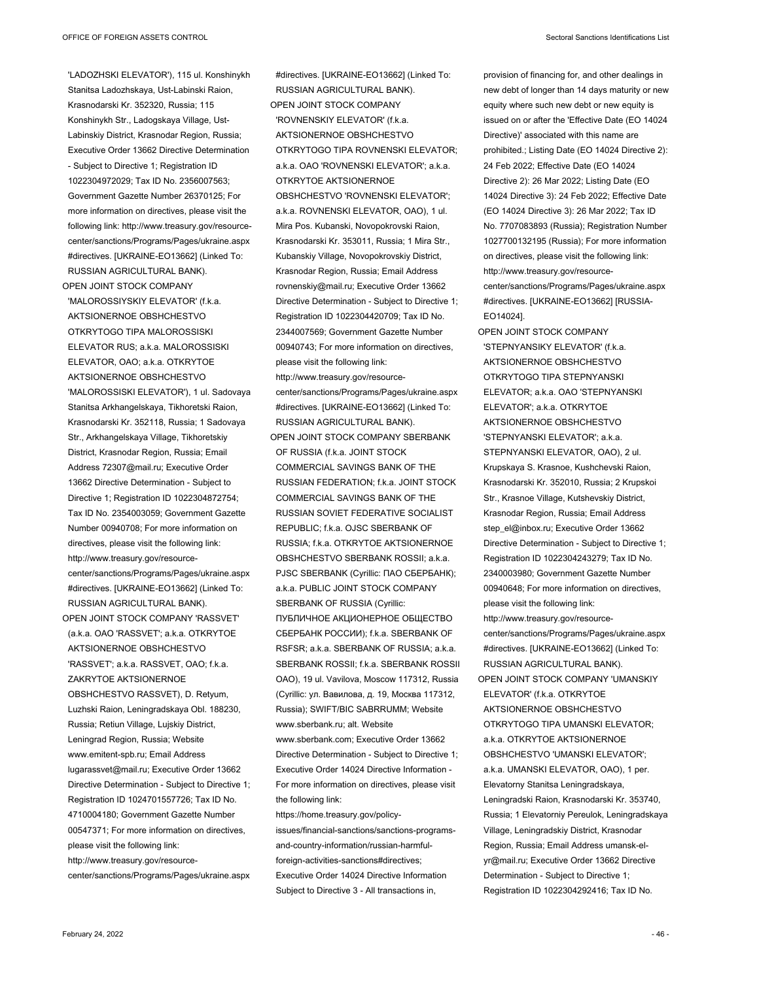'LADOZHSKI ELEVATOR'), 115 ul. Konshinykh Stanitsa Ladozhskaya, Ust-Labinski Raion, Krasnodarski Kr. 352320, Russia; 115 Konshinykh Str., Ladogskaya Village, Ust-Labinskiy District, Krasnodar Region, Russia; Executive Order 13662 Directive Determination - Subject to Directive 1; Registration ID 1022304972029; Tax ID No. 2356007563; Government Gazette Number 26370125; For more information on directives, please visit the following link: http://www.treasury.gov/resourcecenter/sanctions/Programs/Pages/ukraine.aspx #directives. [UKRAINE-EO13662] (Linked To: RUSSIAN AGRICULTURAL BANK).

OPEN JOINT STOCK COMPANY 'MALOROSSIYSKIY ELEVATOR' (f.k.a. AKTSIONERNOE OBSHCHESTVO OTKRYTOGO TIPA MALOROSSISKI ELEVATOR RUS; a.k.a. MALOROSSISKI ELEVATOR, OAO; a.k.a. OTKRYTOE AKTSIONERNOE OBSHCHESTVO 'MALOROSSISKI ELEVATOR'), 1 ul. Sadovaya Stanitsa Arkhangelskaya, Tikhoretski Raion, Krasnodarski Kr. 352118, Russia; 1 Sadovaya Str., Arkhangelskaya Village, Tikhoretskiy District, Krasnodar Region, Russia; Email Address 72307@mail.ru; Executive Order 13662 Directive Determination - Subject to Directive 1; Registration ID 1022304872754; Tax ID No. 2354003059; Government Gazette Number 00940708; For more information on directives, please visit the following link: http://www.treasury.gov/resourcecenter/sanctions/Programs/Pages/ukraine.aspx #directives. [UKRAINE-EO13662] (Linked To: RUSSIAN AGRICULTURAL BANK). OPEN JOINT STOCK COMPANY 'RASSVET' (a.k.a. OAO 'RASSVET'; a.k.a. OTKRYTOE AKTSIONERNOE OBSHCHESTVO 'RASSVET'; a.k.a. RASSVET, OAO; f.k.a. ZAKRYTOE AKTSIONERNOE OBSHCHESTVO RASSVET), D. Retyum, Luzhski Raion, Leningradskaya Obl. 188230, Russia; Retiun Village, Lujskiy District, Leningrad Region, Russia; Website www.emitent-spb.ru; Email Address lugarassvet@mail.ru; Executive Order 13662 Directive Determination - Subject to Directive 1; Registration ID 1024701557726; Tax ID No. 4710004180; Government Gazette Number 00547371; For more information on directives, please visit the following link: http://www.treasury.gov/resource-

center/sanctions/Programs/Pages/ukraine.aspx

#directives. [UKRAINE-EO13662] (Linked To: RUSSIAN AGRICULTURAL BANK). OPEN JOINT STOCK COMPANY 'ROVNENSKIY ELEVATOR' (f.k.a. AKTSIONERNOE OBSHCHESTVO OTKRYTOGO TIPA ROVNENSKI ELEVATOR; a.k.a. OAO 'ROVNENSKI ELEVATOR'; a.k.a. OTKRYTOE AKTSIONERNOE OBSHCHESTVO 'ROVNENSKI ELEVATOR'; a.k.a. ROVNENSKI ELEVATOR, OAO), 1 ul. Mira Pos. Kubanski, Novopokrovski Raion, Krasnodarski Kr. 353011, Russia; 1 Mira Str., Kubanskiy Village, Novopokrovskiy District, Krasnodar Region, Russia; Email Address rovnenskiy@mail.ru; Executive Order 13662 Directive Determination - Subject to Directive 1; Registration ID 1022304420709; Tax ID No. 2344007569; Government Gazette Number 00940743; For more information on directives, please visit the following link: http://www.treasury.gov/resourcecenter/sanctions/Programs/Pages/ukraine.aspx #directives. [UKRAINE-EO13662] (Linked To: RUSSIAN AGRICULTURAL BANK). OPEN JOINT STOCK COMPANY SBERBANK OF RUSSIA (f.k.a. JOINT STOCK COMMERCIAL SAVINGS BANK OF THE RUSSIAN FEDERATION; f.k.a. JOINT STOCK COMMERCIAL SAVINGS BANK OF THE RUSSIAN SOVIET FEDERATIVE SOCIALIST

REPUBLIC; f.k.a. OJSC SBERBANK OF RUSSIA; f.k.a. OTKRYTOE AKTSIONERNOE OBSHCHESTVO SBERBANK ROSSII; a.k.a. PJSC SBERBANK (Cyrillic: ПАО СБЕРБАНК); a.k.a. PUBLIC JOINT STOCK COMPANY SBERBANK OF RUSSIA (Cyrillic: ПУБЛИЧНОЕ АКЦИОНЕРНОЕ ОБЩЕСТВО СБЕРБАНК РОССИИ); f.k.a. SBERBANK OF RSFSR; a.k.a. SBERBANK OF RUSSIA; a.k.a. SBERBANK ROSSII; f.k.a. SBERBANK ROSSII OAO), 19 ul. Vavilova, Moscow 117312, Russia (Cyrillic: ул. Вавилова, д. 19, Москва 117312, Russia); SWIFT/BIC SABRRUMM; Website www.sberbank.ru; alt. Website www.sberbank.com; Executive Order 13662 Directive Determination - Subject to Directive 1;

Executive Order 14024 Directive Information - For more information on directives, please visit the following link:

https://home.treasury.gov/policyissues/financial-sanctions/sanctions-programsand-country-information/russian-harmfulforeign-activities-sanctions#directives: Executive Order 14024 Directive Information Subject to Directive 3 - All transactions in,

provision of financing for, and other dealings in new debt of longer than 14 days maturity or new equity where such new debt or new equity is issued on or after the 'Effective Date (EO 14024 Directive)' associated with this name are prohibited.; Listing Date (EO 14024 Directive 2): 24 Feb 2022; Effective Date (EO 14024 Directive 2): 26 Mar 2022; Listing Date (EO 14024 Directive 3): 24 Feb 2022; Effective Date (EO 14024 Directive 3): 26 Mar 2022; Tax ID No. 7707083893 (Russia); Registration Number 1027700132195 (Russia); For more information on directives, please visit the following link: http://www.treasury.gov/resourcecenter/sanctions/Programs/Pages/ukraine.aspx #directives. [UKRAINE-EO13662] [RUSSIA-EO14024].

OPEN JOINT STOCK COMPANY 'STEPNYANSIKY ELEVATOR' (f.k.a. AKTSIONERNOE OBSHCHESTVO OTKRYTOGO TIPA STEPNYANSKI ELEVATOR; a.k.a. OAO 'STEPNYANSKI ELEVATOR'; a.k.a. OTKRYTOE AKTSIONERNOE OBSHCHESTVO 'STEPNYANSKI ELEVATOR'; a.k.a. STEPNYANSKI ELEVATOR, OAO), 2 ul. Krupskaya S. Krasnoe, Kushchevski Raion, Krasnodarski Kr. 352010, Russia; 2 Krupskoi Str., Krasnoe Village, Kutshevskiy District, Krasnodar Region, Russia; Email Address step\_el@inbox.ru; Executive Order 13662 Directive Determination - Subject to Directive 1; Registration ID 1022304243279; Tax ID No. 2340003980; Government Gazette Number 00940648; For more information on directives, please visit the following link: http://www.treasury.gov/resourcecenter/sanctions/Programs/Pages/ukraine.aspx #directives. [UKRAINE-EO13662] (Linked To: RUSSIAN AGRICULTURAL BANK). OPEN JOINT STOCK COMPANY 'UMANSKIY ELEVATOR' (f.k.a. OTKRYTOE AKTSIONERNOE OBSHCHESTVO OTKRYTOGO TIPA UMANSKI ELEVATOR; a.k.a. OTKRYTOE AKTSIONERNOE OBSHCHESTVO 'UMANSKI ELEVATOR'; a.k.a. UMANSKI ELEVATOR, OAO), 1 per. Elevatorny Stanitsa Leningradskaya, Leningradski Raion, Krasnodarski Kr. 353740, Russia; 1 Elevatorniy Pereulok, Leningradskaya Village, Leningradskiy District, Krasnodar Region, Russia; Email Address umansk-elyr@mail.ru; Executive Order 13662 Directive Determination - Subject to Directive 1; Registration ID 1022304292416; Tax ID No.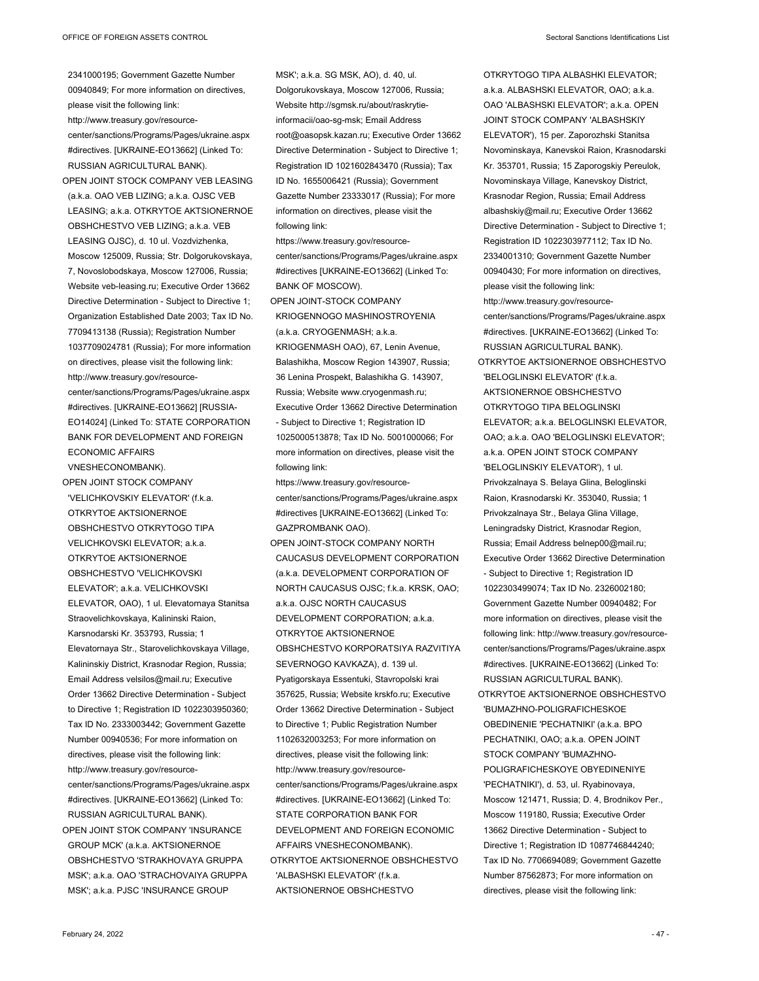2341000195; Government Gazette Number

00940849; For more information on directives, please visit the following link: http://www.treasury.gov/resourcecenter/sanctions/Programs/Pages/ukraine.aspx #directives. [UKRAINE-EO13662] (Linked To: RUSSIAN AGRICULTURAL BANK). OPEN JOINT STOCK COMPANY VEB LEASING (a.k.a. OAO VEB LIZING; a.k.a. OJSC VEB LEASING; a.k.a. OTKRYTOE AKTSIONERNOE OBSHCHESTVO VEB LIZING; a.k.a. VEB LEASING OJSC), d. 10 ul. Vozdvizhenka, Moscow 125009, Russia; Str. Dolgorukovskaya, 7, Novoslobodskaya, Moscow 127006, Russia; Website veb-leasing.ru; Executive Order 13662 Directive Determination - Subject to Directive 1; Organization Established Date 2003; Tax ID No. 7709413138 (Russia); Registration Number 1037709024781 (Russia); For more information on directives, please visit the following link: http://www.treasury.gov/resourcecenter/sanctions/Programs/Pages/ukraine.aspx #directives. [UKRAINE-EO13662] [RUSSIA-EO14024] (Linked To: STATE CORPORATION BANK FOR DEVELOPMENT AND FOREIGN ECONOMIC AFFAIRS VNESHECONOMBANK).

OPEN JOINT STOCK COMPANY 'VELICHKOVSKIY ELEVATOR' (f.k.a. OTKRYTOE AKTSIONERNOE OBSHCHESTVO OTKRYTOGO TIPA VELICHKOVSKI ELEVATOR; a.k.a. OTKRYTOE AKTSIONERNOE OBSHCHESTVO 'VELICHKOVSKI ELEVATOR'; a.k.a. VELICHKOVSKI ELEVATOR, OAO), 1 ul. Elevatornaya Stanitsa Straovelichkovskaya, Kalininski Raion, Karsnodarski Kr. 353793, Russia; 1 Elevatornaya Str., Starovelichkovskaya Village, Kalininskiy District, Krasnodar Region, Russia; Email Address velsilos@mail.ru; Executive Order 13662 Directive Determination - Subject to Directive 1; Registration ID 1022303950360; Tax ID No. 2333003442; Government Gazette Number 00940536; For more information on directives, please visit the following link: http://www.treasury.gov/resourcecenter/sanctions/Programs/Pages/ukraine.aspx #directives. [UKRAINE-EO13662] (Linked To: RUSSIAN AGRICULTURAL BANK). OPEN JOINT STOK COMPANY 'INSURANCE

GROUP MCK' (a.k.a. AKTSIONERNOE OBSHCHESTVO 'STRAKHOVAYA GRUPPA MSK'; a.k.a. OAO 'STRACHOVAIYA GRUPPA MSK'; a.k.a. PJSC 'INSURANCE GROUP

MSK'; a.k.a. SG MSK, AO), d. 40, ul. Dolgorukovskaya, Moscow 127006, Russia; Website http://sgmsk.ru/about/raskrytieinformacii/oao-sg-msk; Email Address root@oasopsk.kazan.ru; Executive Order 13662 Directive Determination - Subject to Directive 1; Registration ID 1021602843470 (Russia); Tax ID No. 1655006421 (Russia); Government Gazette Number 23333017 (Russia); For more information on directives, please visit the following link:

https://www.treasury.gov/resourcecenter/sanctions/Programs/Pages/ukraine.aspx #directives [UKRAINE-EO13662] (Linked To: BANK OF MOSCOW).

OPEN JOINT-STOCK COMPANY KRIOGENNOGO MASHINOSTROYENIA (a.k.a. CRYOGENMASH; a.k.a. KRIOGENMASH OAO), 67, Lenin Avenue, Balashikha, Moscow Region 143907, Russia; 36 Lenina Prospekt, Balashikha G. 143907, Russia; Website www.cryogenmash.ru; Executive Order 13662 Directive Determination - Subject to Directive 1; Registration ID 1025000513878; Tax ID No. 5001000066; For more information on directives, please visit the following link:

https://www.treasury.gov/resourcecenter/sanctions/Programs/Pages/ukraine.aspx #directives [UKRAINE-EO13662] (Linked To: GAZPROMBANK OAO).

OPEN JOINT-STOCK COMPANY NORTH CAUCASUS DEVELOPMENT CORPORATION (a.k.a. DEVELOPMENT CORPORATION OF NORTH CAUCASUS OJSC; f.k.a. KRSK, OAO; a.k.a. OJSC NORTH CAUCASUS DEVELOPMENT CORPORATION; a.k.a. OTKRYTOE AKTSIONERNOE OBSHCHESTVO KORPORATSIYA RAZVITIYA SEVERNOGO KAVKAZA), d. 139 ul. Pyatigorskaya Essentuki, Stavropolski krai 357625, Russia; Website krskfo.ru; Executive Order 13662 Directive Determination - Subject to Directive 1; Public Registration Number 1102632003253; For more information on directives, please visit the following link: http://www.treasury.gov/resourcecenter/sanctions/Programs/Pages/ukraine.aspx #directives. [UKRAINE-EO13662] (Linked To: STATE CORPORATION BANK FOR DEVELOPMENT AND FOREIGN ECONOMIC AFFAIRS VNESHECONOMBANK). OTKRYTOE AKTSIONERNOE OBSHCHESTVO 'ALBASHSKI ELEVATOR' (f.k.a. AKTSIONERNOE OBSHCHESTVO

OTKRYTOGO TIPA ALBASHKI ELEVATOR; a.k.a. ALBASHSKI ELEVATOR, OAO; a.k.a. OAO 'ALBASHSKI ELEVATOR'; a.k.a. OPEN JOINT STOCK COMPANY 'ALBASHSKIY ELEVATOR'), 15 per. Zaporozhski Stanitsa Novominskaya, Kanevskoi Raion, Krasnodarski Kr. 353701, Russia; 15 Zaporogskiy Pereulok, Novominskaya Village, Kanevskoy District, Krasnodar Region, Russia; Email Address albashskiy@mail.ru; Executive Order 13662 Directive Determination - Subject to Directive 1; Registration ID 1022303977112; Tax ID No. 2334001310; Government Gazette Number 00940430; For more information on directives, please visit the following link: http://www.treasury.gov/resourcecenter/sanctions/Programs/Pages/ukraine.aspx #directives. [UKRAINE-EO13662] (Linked To: RUSSIAN AGRICULTURAL BANK). OTKRYTOE AKTSIONERNOE OBSHCHESTVO 'BELOGLINSKI ELEVATOR' (f.k.a. AKTSIONERNOE OBSHCHESTVO OTKRYTOGO TIPA BELOGLINSKI ELEVATOR; a.k.a. BELOGLINSKI ELEVATOR, OAO; a.k.a. OAO 'BELOGLINSKI ELEVATOR'; a.k.a. OPEN JOINT STOCK COMPANY 'BELOGLINSKIY ELEVATOR'), 1 ul. Privokzalnaya S. Belaya Glina, Beloglinski Raion, Krasnodarski Kr. 353040, Russia; 1 Privokzalnaya Str., Belaya Glina Village, Leningradsky District, Krasnodar Region, Russia; Email Address belnep00@mail.ru; Executive Order 13662 Directive Determination - Subject to Directive 1; Registration ID 1022303499074; Tax ID No. 2326002180; Government Gazette Number 00940482; For more information on directives, please visit the following link: http://www.treasury.gov/resource-

center/sanctions/Programs/Pages/ukraine.aspx #directives. [UKRAINE-EO13662] (Linked To: RUSSIAN AGRICULTURAL BANK). OTKRYTOE AKTSIONERNOE OBSHCHESTVO

'BUMAZHNO-POLIGRAFICHESKOE OBEDINENIE 'PECHATNIKI' (a.k.a. BPO PECHATNIKI, OAO; a.k.a. OPEN JOINT STOCK COMPANY 'BUMAZHNO-POLIGRAFICHESKOYE OBYEDINENIYE 'PECHATNIKI'), d. 53, ul. Ryabinovaya, Moscow 121471, Russia; D. 4, Brodnikov Per., Moscow 119180, Russia; Executive Order 13662 Directive Determination - Subject to Directive 1; Registration ID 1087746844240; Tax ID No. 7706694089; Government Gazette Number 87562873; For more information on directives, please visit the following link: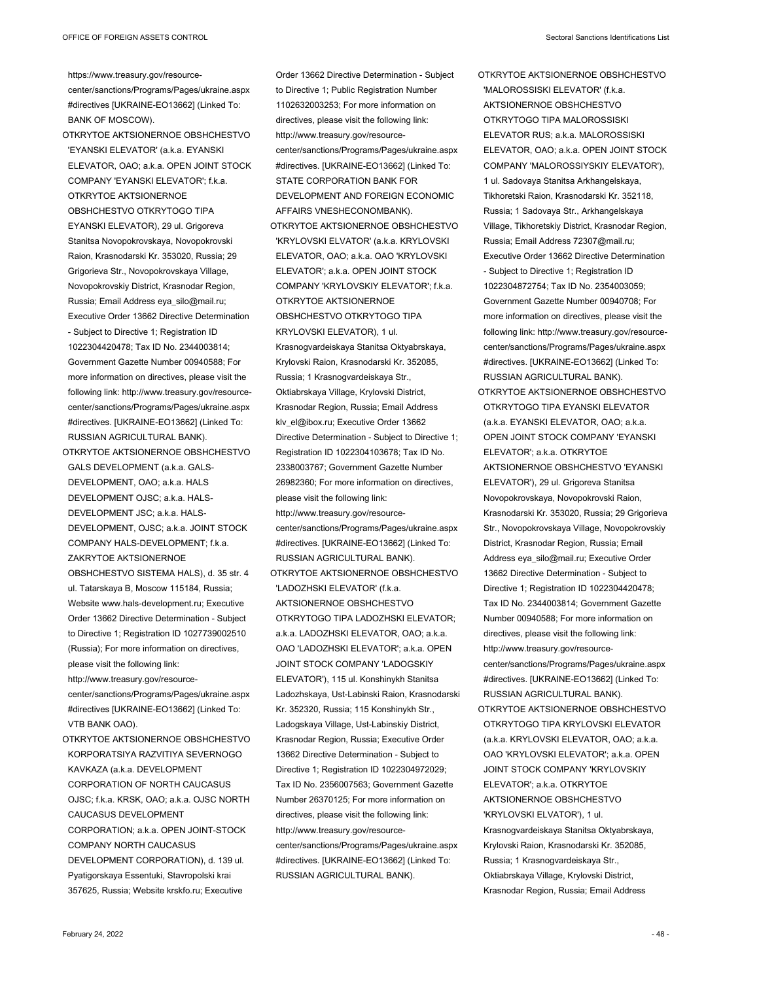https://www.treasury.gov/resourcecenter/sanctions/Programs/Pages/ukraine.aspx #directives [UKRAINE-EO13662] (Linked To: BANK OF MOSCOW).

- OTKRYTOE AKTSIONERNOE OBSHCHESTVO 'EYANSKI ELEVATOR' (a.k.a. EYANSKI ELEVATOR, OAO; a.k.a. OPEN JOINT STOCK COMPANY 'EYANSKI ELEVATOR'; f.k.a. OTKRYTOE AKTSIONERNOE OBSHCHESTVO OTKRYTOGO TIPA EYANSKI ELEVATOR), 29 ul. Grigoreva Stanitsa Novopokrovskaya, Novopokrovski Raion, Krasnodarski Kr. 353020, Russia; 29 Grigorieva Str., Novopokrovskaya Village, Novopokrovskiy District, Krasnodar Region, Russia; Email Address eya\_silo@mail.ru; Executive Order 13662 Directive Determination - Subject to Directive 1; Registration ID 1022304420478; Tax ID No. 2344003814; Government Gazette Number 00940588; For more information on directives, please visit the following link: http://www.treasury.gov/resourcecenter/sanctions/Programs/Pages/ukraine.aspx #directives. [UKRAINE-EO13662] (Linked To: RUSSIAN AGRICULTURAL BANK).
- OTKRYTOE AKTSIONERNOE OBSHCHESTVO GALS DEVELOPMENT (a.k.a. GALS-DEVELOPMENT, OAO; a.k.a. HALS DEVELOPMENT OJSC; a.k.a. HALS-DEVELOPMENT JSC; a.k.a. HALS-DEVELOPMENT, OJSC; a.k.a. JOINT STOCK COMPANY HALS-DEVELOPMENT: fka ZAKRYTOE AKTSIONERNOE OBSHCHESTVO SISTEMA HALS), d. 35 str. 4 ul. Tatarskaya B, Moscow 115184, Russia; Website www.hals-development.ru; Executive Order 13662 Directive Determination - Subject to Directive 1; Registration ID 1027739002510 (Russia); For more information on directives, please visit the following link: http://www.treasury.gov/resourcecenter/sanctions/Programs/Pages/ukraine.aspx #directives [UKRAINE-EO13662] (Linked To: VTB BANK OAO).
- OTKRYTOE AKTSIONERNOE OBSHCHESTVO KORPORATSIYA RAZVITIYA SEVERNOGO KAVKAZA (a.k.a. DEVELOPMENT CORPORATION OF NORTH CAUCASUS OJSC; f.k.a. KRSK, OAO; a.k.a. OJSC NORTH CAUCASUS DEVELOPMENT CORPORATION; a.k.a. OPEN JOINT-STOCK COMPANY NORTH CAUCASUS DEVELOPMENT CORPORATION), d. 139 ul. Pyatigorskaya Essentuki, Stavropolski krai 357625, Russia; Website krskfo.ru; Executive

to Directive 1; Public Registration Number 1102632003253; For more information on directives, please visit the following link: http://www.treasury.gov/resourcecenter/sanctions/Programs/Pages/ukraine.aspx #directives. [UKRAINE-EO13662] (Linked To: STATE CORPORATION BANK FOR DEVELOPMENT AND FOREIGN ECONOMIC AFFAIRS VNESHECONOMBANK). OTKRYTOE AKTSIONERNOE OBSHCHESTVO 'KRYLOVSKI ELVATOR' (a.k.a. KRYLOVSKI ELEVATOR, OAO; a.k.a. OAO 'KRYLOVSKI ELEVATOR'; a.k.a. OPEN JOINT STOCK COMPANY 'KRYLOVSKIY ELEVATOR'; f.k.a. OTKRYTOE AKTSIONERNOE OBSHCHESTVO OTKRYTOGO TIPA KRYLOVSKI ELEVATOR), 1 ul. Krasnogvardeiskaya Stanitsa Oktyabrskaya, Krylovski Raion, Krasnodarski Kr. 352085, Russia; 1 Krasnogvardeiskaya Str., Oktiabrskaya Village, Krylovski District, Krasnodar Region, Russia; Email Address klv\_el@ibox.ru; Executive Order 13662 Directive Determination - Subject to Directive 1; Registration ID 1022304103678; Tax ID No. 2338003767; Government Gazette Number 26982360; For more information on directives, please visit the following link: http://www.treasury.gov/resourcecenter/sanctions/Programs/Pages/ukraine.aspx #directives. [UKRAINE-EO13662] (Linked To: RUSSIAN AGRICULTURAL BANK). OTKRYTOE AKTSIONERNOE OBSHCHESTVO 'LADOZHSKI ELEVATOR' (f.k.a. AKTSIONERNOE OBSHCHESTVO OTKRYTOGO TIPA LADOZHSKI ELEVATOR; a.k.a. LADOZHSKI ELEVATOR, OAO; a.k.a. OAO 'LADOZHSKI ELEVATOR'; a.k.a. OPEN JOINT STOCK COMPANY 'LADOGSKIY ELEVATOR'), 115 ul. Konshinykh Stanitsa Ladozhskaya, Ust-Labinski Raion, Krasnodarski Kr. 352320, Russia; 115 Konshinykh Str., Ladogskaya Village, Ust-Labinskiy District, Krasnodar Region, Russia; Executive Order 13662 Directive Determination - Subject to Directive 1; Registration ID 1022304972029; Tax ID No. 2356007563; Government Gazette Number 26370125; For more information on directives, please visit the following link: http://www.treasury.gov/resourcecenter/sanctions/Programs/Pages/ukraine.aspx

#directives. [UKRAINE-EO13662] (Linked To: RUSSIAN AGRICULTURAL BANK).

Order 13662 Directive Determination - Subject

- OTKRYTOE AKTSIONERNOE OBSHCHESTVO 'MALOROSSISKI ELEVATOR' (f.k.a. AKTSIONERNOE OBSHCHESTVO OTKRYTOGO TIPA MALOROSSISKI ELEVATOR RUS; a.k.a. MALOROSSISKI ELEVATOR, OAO; a.k.a. OPEN JOINT STOCK COMPANY 'MALOROSSIYSKIY ELEVATOR'), 1 ul. Sadovaya Stanitsa Arkhangelskaya, Tikhoretski Raion, Krasnodarski Kr. 352118, Russia; 1 Sadovaya Str., Arkhangelskaya Village, Tikhoretskiy District, Krasnodar Region, Russia; Email Address 72307@mail.ru; Executive Order 13662 Directive Determination - Subject to Directive 1; Registration ID 1022304872754; Tax ID No. 2354003059; Government Gazette Number 00940708; For more information on directives, please visit the following link: http://www.treasury.gov/resourcecenter/sanctions/Programs/Pages/ukraine.aspx #directives. [UKRAINE-EO13662] (Linked To: RUSSIAN AGRICULTURAL BANK).
- OTKRYTOE AKTSIONERNOE OBSHCHESTVO OTKRYTOGO TIPA EYANSKI ELEVATOR (a.k.a. EYANSKI ELEVATOR, OAO; a.k.a. OPEN JOINT STOCK COMPANY 'EYANSKI ELEVATOR'; a.k.a. OTKRYTOE AKTSIONERNOE OBSHCHESTVO 'EYANSKI ELEVATOR'), 29 ul. Grigoreva Stanitsa Novopokrovskaya, Novopokrovski Raion, Krasnodarski Kr. 353020, Russia; 29 Grigorieva Str., Novopokrovskaya Village, Novopokrovskiy District, Krasnodar Region, Russia; Email Address eya\_silo@mail.ru; Executive Order 13662 Directive Determination - Subject to Directive 1; Registration ID 1022304420478; Tax ID No. 2344003814; Government Gazette Number 00940588; For more information on directives, please visit the following link: http://www.treasury.gov/resourcecenter/sanctions/Programs/Pages/ukraine.aspx #directives. [UKRAINE-EO13662] (Linked To: RUSSIAN AGRICULTURAL BANK). OTKRYTOE AKTSIONERNOE OBSHCHESTVO OTKRYTOGO TIPA KRYLOVSKI ELEVATOR (a.k.a. KRYLOVSKI ELEVATOR, OAO; a.k.a. OAO 'KRYLOVSKI ELEVATOR'; a.k.a. OPEN JOINT STOCK COMPANY 'KRYLOVSKIY ELEVATOR'; a.k.a. OTKRYTOE AKTSIONERNOE OBSHCHESTVO 'KRYLOVSKI ELVATOR'), 1 ul. Krasnogvardeiskaya Stanitsa Oktyabrskaya, Krylovski Raion, Krasnodarski Kr. 352085, Russia; 1 Krasnogvardeiskaya Str., Oktiabrskaya Village, Krylovski District, Krasnodar Region, Russia; Email Address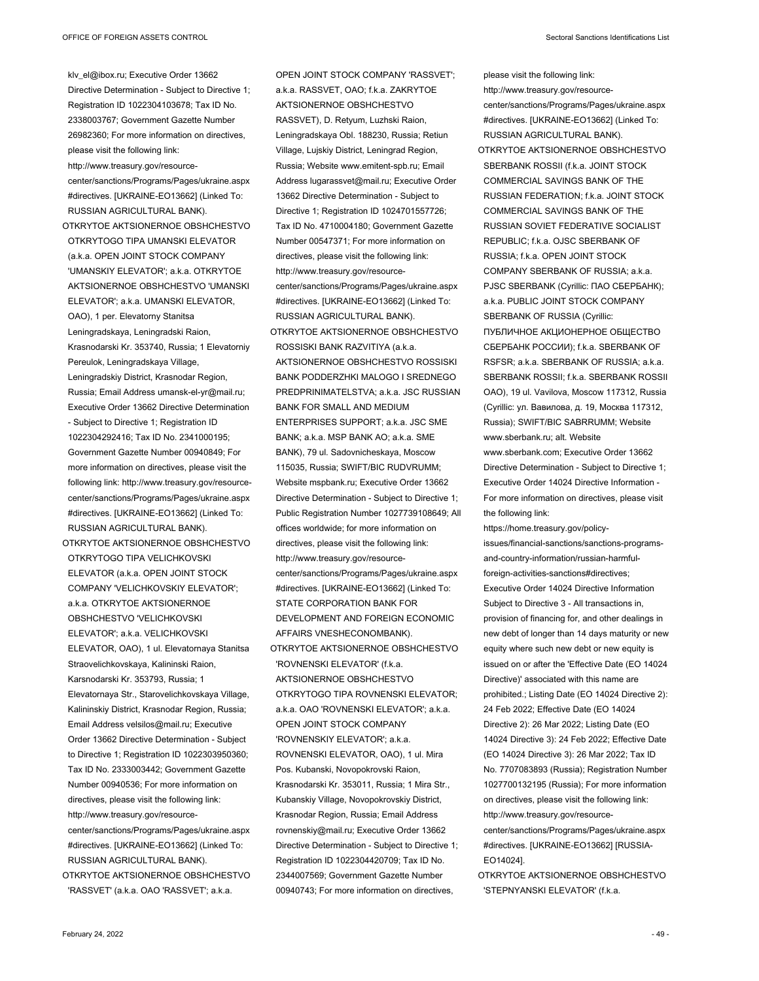klv\_el@ibox.ru; Executive Order 13662

Directive Determination - Subject to Directive 1; Registration ID 1022304103678; Tax ID No. 2338003767; Government Gazette Number 26982360; For more information on directives, please visit the following link: http://www.treasury.gov/resourcecenter/sanctions/Programs/Pages/ukraine.aspx #directives. [UKRAINE-EO13662] (Linked To: RUSSIAN AGRICULTURAL BANK). OTKRYTOE AKTSIONERNOE OBSHCHESTVO OTKRYTOGO TIPA UMANSKI ELEVATOR (a.k.a. OPEN JOINT STOCK COMPANY 'UMANSKIY ELEVATOR'; a.k.a. OTKRYTOE AKTSIONERNOE OBSHCHESTVO 'UMANSKI ELEVATOR'; a.k.a. UMANSKI ELEVATOR, OAO), 1 per. Elevatorny Stanitsa Leningradskaya, Leningradski Raion, Krasnodarski Kr. 353740, Russia; 1 Elevatorniy Pereulok, Leningradskaya Village, Leningradskiy District, Krasnodar Region, Russia; Email Address umansk-el-yr@mail.ru; Executive Order 13662 Directive Determination - Subject to Directive 1; Registration ID 1022304292416; Tax ID No. 2341000195; Government Gazette Number 00940849; For more information on directives, please visit the following link: http://www.treasury.gov/resourcecenter/sanctions/Programs/Pages/ukraine.aspx

RUSSIAN AGRICULTURAL BANK). OTKRYTOE AKTSIONERNOE OBSHCHESTVO OTKRYTOGO TIPA VELICHKOVSKI ELEVATOR (a.k.a. OPEN JOINT STOCK COMPANY 'VELICHKOVSKIY ELEVATOR'; a.k.a. OTKRYTOE AKTSIONERNOE OBSHCHESTVO 'VELICHKOVSKI ELEVATOR'; a.k.a. VELICHKOVSKI ELEVATOR, OAO), 1 ul. Elevatornaya Stanitsa Straovelichkovskaya, Kalininski Raion, Karsnodarski Kr. 353793, Russia; 1 Elevatornaya Str., Starovelichkovskaya Village, Kalininskiy District, Krasnodar Region, Russia; Email Address velsilos@mail.ru; Executive Order 13662 Directive Determination - Subject to Directive 1; Registration ID 1022303950360; Tax ID No. 2333003442; Government Gazette Number 00940536; For more information on directives, please visit the following link: http://www.treasury.gov/resourcecenter/sanctions/Programs/Pages/ukraine.aspx #directives. [UKRAINE-EO13662] (Linked To: RUSSIAN AGRICULTURAL BANK). OTKRYTOE AKTSIONERNOE OBSHCHESTVO 'RASSVET' (a.k.a. OAO 'RASSVET'; a.k.a.

#directives. [UKRAINE-EO13662] (Linked To:

a.k.a. RASSVET, OAO; f.k.a. ZAKRYTOE AKTSIONERNOE OBSHCHESTVO RASSVET), D. Retyum, Luzhski Raion, Leningradskaya Obl. 188230, Russia; Retiun Village, Lujskiy District, Leningrad Region, Russia; Website www.emitent-spb.ru; Email Address lugarassvet@mail.ru; Executive Order 13662 Directive Determination - Subject to Directive 1; Registration ID 1024701557726; Tax ID No. 4710004180; Government Gazette Number 00547371; For more information on directives, please visit the following link: http://www.treasury.gov/resourcecenter/sanctions/Programs/Pages/ukraine.aspx #directives. [UKRAINE-EO13662] (Linked To: RUSSIAN AGRICULTURAL BANK). OTKRYTOE AKTSIONERNOE OBSHCHESTVO ROSSISKI BANK RAZVITIYA (a.k.a. AKTSIONERNOE OBSHCHESTVO ROSSISKI BANK PODDERZHKI MALOGO I SREDNEGO PREDPRINIMATELSTVA; a.k.a. JSC RUSSIAN BANK FOR SMALL AND MEDIUM ENTERPRISES SUPPORT; a.k.a. JSC SME BANK; a.k.a. MSP BANK AO; a.k.a. SME BANK), 79 ul. Sadovnicheskaya, Moscow 115035, Russia; SWIFT/BIC RUDVRUMM; Website mspbank.ru; Executive Order 13662 Directive Determination - Subject to Directive 1; Public Registration Number 1027739108649; All offices worldwide; for more information on directives, please visit the following link: http://www.treasury.gov/resourcecenter/sanctions/Programs/Pages/ukraine.aspx #directives. [UKRAINE-EO13662] (Linked To: STATE CORPORATION BANK FOR DEVELOPMENT AND FOREIGN ECONOMIC AFFAIRS VNESHECONOMBANK). OTKRYTOE AKTSIONERNOE OBSHCHESTVO 'ROVNENSKI ELEVATOR' (f.k.a. AKTSIONERNOE OBSHCHESTVO OTKRYTOGO TIPA ROVNENSKI ELEVATOR; a.k.a. OAO 'ROVNENSKI ELEVATOR'; a.k.a. OPEN JOINT STOCK COMPANY 'ROVNENSKIY ELEVATOR'; a.k.a. ROVNENSKI ELEVATOR, OAO), 1 ul. Mira Pos. Kubanski, Novopokrovski Raion, Krasnodarski Kr. 353011, Russia; 1 Mira Str., Kubanskiy Village, Novopokrovskiy District, Krasnodar Region, Russia; Email Address rovnenskiy@mail.ru; Executive Order 13662 Directive Determination - Subject to Directive 1; Registration ID 1022304420709; Tax ID No. 2344007569; Government Gazette Number 00940743; For more information on directives,

OPEN JOINT STOCK COMPANY 'RASSVET';

please visit the following link: http://www.treasury.gov/resourcecenter/sanctions/Programs/Pages/ukraine.aspx #directives. [UKRAINE-EO13662] (Linked To: RUSSIAN AGRICULTURAL BANK).

OTKRYTOE AKTSIONERNOE OBSHCHESTVO SBERBANK ROSSII (f.k.a. JOINT STOCK COMMERCIAL SAVINGS BANK OF THE RUSSIAN FEDERATION; f.k.a. JOINT STOCK COMMERCIAL SAVINGS BANK OF THE RUSSIAN SOVIET FEDERATIVE SOCIALIST REPUBLIC; f.k.a. OJSC SBERBANK OF RUSSIA; f.k.a. OPEN JOINT STOCK COMPANY SBERBANK OF RUSSIA; a.k.a. PJSC SBERBANK (Cyrillic: ПАО СБЕРБАНК); a.k.a. PUBLIC JOINT STOCK COMPANY SBERBANK OF RUSSIA (Cyrillic: ПУБЛИЧНОЕ АКЦИОНЕРНОЕ ОБЩЕСТВО СБЕРБАНК РОССИИ); f.k.a. SBERBANK OF RSFSR; a.k.a. SBERBANK OF RUSSIA; a.k.a. SBERBANK ROSSII; f.k.a. SBERBANK ROSSII OAO), 19 ul. Vavilova, Moscow 117312, Russia (Cyrillic: ул. Вавилова, д. 19, Москва 117312, Russia); SWIFT/BIC SABRRUMM; Website www.sberbank.ru; alt. Website

www.sberbank.com; Executive Order 13662 Directive Determination - Subject to Directive 1; Executive Order 14024 Directive Information - For more information on directives, please visit the following link:

https://home.treasury.gov/policyissues/financial-sanctions/sanctions-programsand-country-information/russian-harmfulforeign-activities-sanctions#directives; Executive Order 14024 Directive Information Subject to Directive 3 - All transactions in, provision of financing for, and other dealings in new debt of longer than 14 days maturity or new equity where such new debt or new equity is issued on or after the 'Effective Date (EO 14024 Directive)' associated with this name are prohibited.; Listing Date (EO 14024 Directive 2): 24 Feb 2022; Effective Date (EO 14024 Directive 2): 26 Mar 2022; Listing Date (EO 14024 Directive 3): 24 Feb 2022; Effective Date (EO 14024 Directive 3): 26 Mar 2022; Tax ID No. 7707083893 (Russia); Registration Number 1027700132195 (Russia); For more information on directives, please visit the following link: http://www.treasury.gov/resourcecenter/sanctions/Programs/Pages/ukraine.aspx #directives. [UKRAINE-EO13662] [RUSSIA-EO14024].

OTKRYTOE AKTSIONERNOE OBSHCHESTVO 'STEPNYANSKI ELEVATOR' (f.k.a.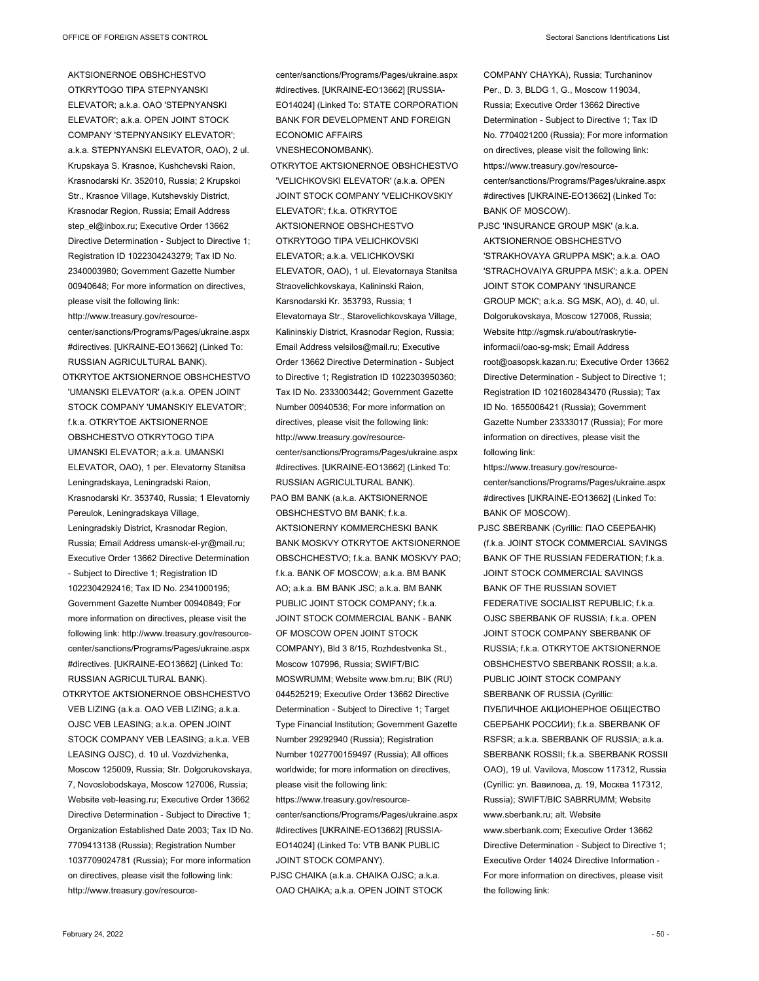AKTSIONERNOE OBSHCHESTVO OTKRYTOGO TIPA STEPNYANSKI ELEVATOR; a.k.a. OAO 'STEPNYANSKI ELEVATOR'; a.k.a. OPEN JOINT STOCK COMPANY 'STEPNYANSIKY ELEVATOR'; a.k.a. STEPNYANSKI ELEVATOR, OAO), 2 ul. Krupskaya S. Krasnoe, Kushchevski Raion, Krasnodarski Kr. 352010, Russia; 2 Krupskoi Str., Krasnoe Village, Kutshevskiy District, Krasnodar Region, Russia; Email Address step\_el@inbox.ru; Executive Order 13662 Directive Determination - Subject to Directive 1; Registration ID 1022304243279; Tax ID No. 2340003980; Government Gazette Number 00940648; For more information on directives, please visit the following link: http://www.treasury.gov/resourcecenter/sanctions/Programs/Pages/ukraine.aspx #directives. [UKRAINE-EO13662] (Linked To: RUSSIAN AGRICULTURAL BANK).

OTKRYTOE AKTSIONERNOE OBSHCHESTVO 'UMANSKI ELEVATOR' (a.k.a. OPEN JOINT STOCK COMPANY 'UMANSKIY ELEVATOR'; f.k.a. OTKRYTOE AKTSIONERNOE OBSHCHESTVO OTKRYTOGO TIPA UMANSKI ELEVATOR; a.k.a. UMANSKI ELEVATOR, OAO), 1 per. Elevatorny Stanitsa Leningradskaya, Leningradski Raion, Krasnodarski Kr. 353740, Russia; 1 Elevatorniy Pereulok, Leningradskaya Village, Leningradskiy District, Krasnodar Region, Russia; Email Address umansk-el-yr@mail.ru; Executive Order 13662 Directive Determination - Subject to Directive 1; Registration ID 1022304292416; Tax ID No. 2341000195; Government Gazette Number 00940849; For more information on directives, please visit the following link: http://www.treasury.gov/resourcecenter/sanctions/Programs/Pages/ukraine.aspx #directives. [UKRAINE-EO13662] (Linked To: RUSSIAN AGRICULTURAL BANK).

OTKRYTOE AKTSIONERNOE OBSHCHESTVO VEB LIZING (a.k.a. OAO VEB LIZING; a.k.a. OJSC VEB LEASING; a.k.a. OPEN JOINT STOCK COMPANY VEB LEASING; a.k.a. VEB LEASING OJSC), d. 10 ul. Vozdvizhenka, Moscow 125009, Russia; Str. Dolgorukovskaya, 7, Novoslobodskaya, Moscow 127006, Russia; Website veb-leasing.ru; Executive Order 13662 Directive Determination - Subject to Directive 1; Organization Established Date 2003; Tax ID No. 7709413138 (Russia); Registration Number 1037709024781 (Russia); For more information on directives, please visit the following link: http://www.treasury.gov/resourcecenter/sanctions/Programs/Pages/ukraine.aspx #directives. [UKRAINE-EO13662] [RUSSIA-EO14024] (Linked To: STATE CORPORATION BANK FOR DEVELOPMENT AND FOREIGN ECONOMIC AFFAIRS VNESHECONOMBANK).

OTKRYTOE AKTSIONERNOE OBSHCHESTVO 'VELICHKOVSKI ELEVATOR' (a.k.a. OPEN JOINT STOCK COMPANY 'VELICHKOVSKIY ELEVATOR'; f.k.a. OTKRYTOE AKTSIONERNOE OBSHCHESTVO OTKRYTOGO TIPA VELICHKOVSKI ELEVATOR; a.k.a. VELICHKOVSKI ELEVATOR, OAO), 1 ul. Elevatornaya Stanitsa Straovelichkovskaya, Kalininski Raion, Karsnodarski Kr. 353793, Russia; 1 Elevatornaya Str., Starovelichkovskaya Village, Kalininskiy District, Krasnodar Region, Russia; Email Address velsilos@mail.ru; Executive Order 13662 Directive Determination - Subject to Directive 1; Registration ID 1022303950360; Tax ID No. 2333003442; Government Gazette Number 00940536; For more information on directives, please visit the following link: http://www.treasury.gov/resourcecenter/sanctions/Programs/Pages/ukraine.aspx #directives. [UKRAINE-EO13662] (Linked To: RUSSIAN AGRICULTURAL BANK). PAO BM BANK (a.k.a. AKTSIONERNOE OBSHCHESTVO BM BANK; f.k.a. AKTSIONERNY KOMMERCHESKI BANK BANK MOSKVY OTKRYTOE AKTSIONERNOE OBSCHCHESTVO; f.k.a. BANK MOSKVY PAO; f.k.a. BANK OF MOSCOW; a.k.a. BM BANK AO; a.k.a. BM BANK JSC; a.k.a. BM BANK PUBLIC JOINT STOCK COMPANY: f k a JOINT STOCK COMMERCIAL BANK - BANK OF MOSCOW OPEN JOINT STOCK COMPANY), Bld 3 8/15, Rozhdestvenka St., Moscow 107996, Russia; SWIFT/BIC MOSWRUMM; Website www.bm.ru; BIK (RU) 044525219; Executive Order 13662 Directive Determination - Subject to Directive 1; Target Type Financial Institution; Government Gazette Number 29292940 (Russia); Registration Number 1027700159497 (Russia); All offices worldwide; for more information on directives, please visit the following link: https://www.treasury.gov/resourcecenter/sanctions/Programs/Pages/ukraine.aspx #directives [UKRAINE-EO13662] [RUSSIA-EO14024] (Linked To: VTB BANK PUBLIC JOINT STOCK COMPANY). PJSC CHAIKA (a.k.a. CHAIKA OJSC; a.k.a. OAO CHAIKA; a.k.a. OPEN JOINT STOCK

COMPANY CHAYKA), Russia; Turchaninov Per., D. 3, BLDG 1, G., Moscow 119034, Russia; Executive Order 13662 Directive Determination - Subject to Directive 1; Tax ID No. 7704021200 (Russia); For more information on directives, please visit the following link: https://www.treasury.gov/resourcecenter/sanctions/Programs/Pages/ukraine.aspx #directives [UKRAINE-EO13662] (Linked To: BANK OF MOSCOW).

PJSC 'INSURANCE GROUP MSK' (a.k.a. AKTSIONERNOE OBSHCHESTVO 'STRAKHOVAYA GRUPPA MSK'; a.k.a. OAO 'STRACHOVAIYA GRUPPA MSK'; a.k.a. OPEN JOINT STOK COMPANY 'INSURANCE GROUP MCK'; a.k.a. SG MSK, AO), d. 40, ul. Dolgorukovskaya, Moscow 127006, Russia; Website http://sgmsk.ru/about/raskrytieinformacii/oao-sg-msk; Email Address root@oasopsk.kazan.ru; Executive Order 13662 Directive Determination - Subject to Directive 1; Registration ID 1021602843470 (Russia); Tax ID No. 1655006421 (Russia); Government Gazette Number 23333017 (Russia); For more information on directives, please visit the following link:

https://www.treasury.gov/resourcecenter/sanctions/Programs/Pages/ukraine.aspx #directives [UKRAINE-EO13662] (Linked To: BANK OF MOSCOW).

PJSC SBERBANK (Cyrillic: ПАО СБЕРБАНК) (f.k.a. JOINT STOCK COMMERCIAL SAVINGS BANK OF THE RUSSIAN FEDERATION; f.k.a. JOINT STOCK COMMERCIAL SAVINGS BANK OF THE RUSSIAN SOVIET FEDERATIVE SOCIALIST REPUBLIC: f k a OJSC SBERBANK OF RUSSIA; f.k.a. OPEN JOINT STOCK COMPANY SBERBANK OF RUSSIA; f.k.a. OTKRYTOE AKTSIONERNOE OBSHCHESTVO SBERBANK ROSSII; a.k.a. PUBLIC JOINT STOCK COMPANY SBERBANK OF RUSSIA (Cyrillic: ПУБЛИЧНОЕ АКЦИОНЕРНОЕ ОБЩЕСТВО СБЕРБАНК РОССИИ); f.k.a. SBERBANK OF RSFSR; a.k.a. SBERBANK OF RUSSIA; a.k.a. SBERBANK ROSSII; f.k.a. SBERBANK ROSSII OAO), 19 ul. Vavilova, Moscow 117312, Russia (Cyrillic: ул. Вавилова, д. 19, Москва 117312, Russia); SWIFT/BIC SABRRUMM; Website www.sberbank.ru; alt. Website www.sberbank.com; Executive Order 13662 Directive Determination - Subject to Directive 1; Executive Order 14024 Directive Information - For more information on directives, please visit the following link: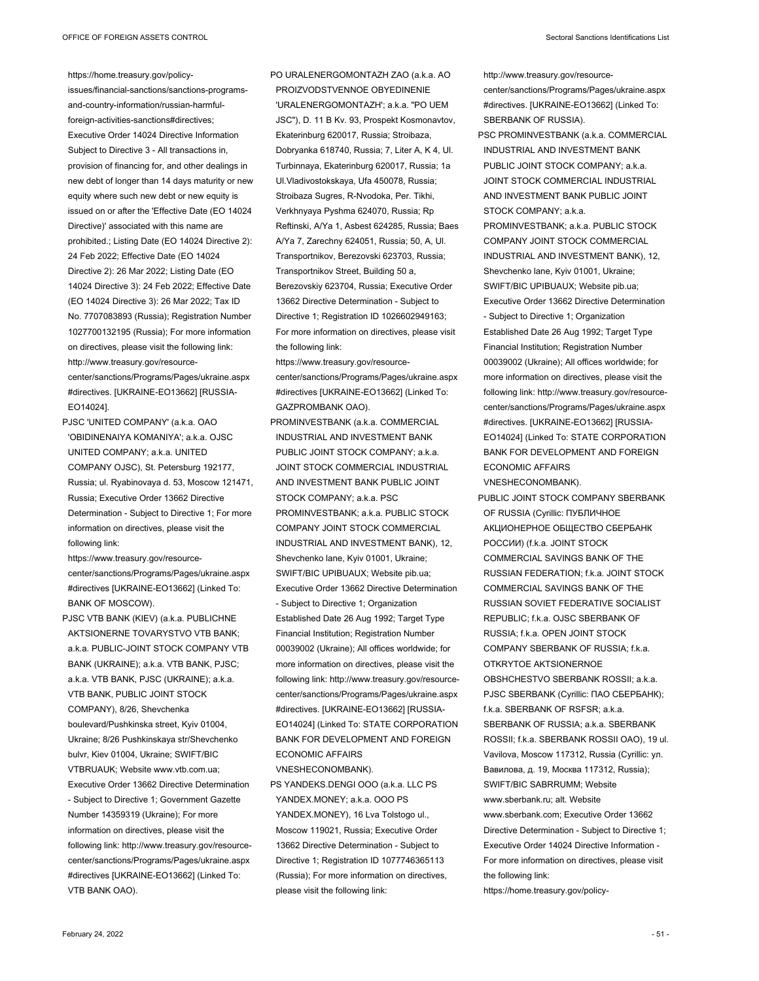https://home.treasury.gov/policy-

issues/financial-sanctions/sanctions-programsand-country-information/russian-harmfulforeign-activities-sanctions#directives; Executive Order 14024 Directive Information Subject to Directive 3 - All transactions in, provision of financing for, and other dealings in new debt of longer than 14 days maturity or new equity where such new debt or new equity is issued on or after the 'Effective Date (EO 14024 Directive)' associated with this name are prohibited.; Listing Date (EO 14024 Directive 2): 24 Feb 2022; Effective Date (EO 14024 Directive 2): 26 Mar 2022; Listing Date (EO 14024 Directive 3): 24 Feb 2022; Effective Date (EO 14024 Directive 3): 26 Mar 2022; Tax ID No. 7707083893 (Russia); Registration Number 1027700132195 (Russia); For more information on directives, please visit the following link: http://www.treasury.gov/resourcecenter/sanctions/Programs/Pages/ukraine.aspx #directives. [UKRAINE-EO13662] [RUSSIA-EO14024].

PJSC 'UNITED COMPANY' (a.k.a. OAO 'OBIDINENAIYA KOMANIYA'; a.k.a. OJSC UNITED COMPANY; a.k.a. UNITED COMPANY OJSC), St. Petersburg 192177, Russia; ul. Ryabinovaya d. 53, Moscow 121471, Russia; Executive Order 13662 Directive Determination - Subject to Directive 1; For more information on directives, please visit the following link:

https://www.treasury.gov/resourcecenter/sanctions/Programs/Pages/ukraine.aspx #directives [UKRAINE-EO13662] (Linked To: BANK OF MOSCOW).

PJSC VTB BANK (KIEV) (a.k.a. PUBLICHNE AKTSIONERNE TOVARYSTVO VTB BANK; a.k.a. PUBLIC-JOINT STOCK COMPANY VTB BANK (UKRAINE); a.k.a. VTB BANK, PJSC; a.k.a. VTB BANK, PJSC (UKRAINE); a.k.a. VTB BANK, PUBLIC JOINT STOCK COMPANY), 8/26, Shevchenka boulevard/Pushkinska street, Kyiv 01004, Ukraine; 8/26 Pushkinskaya str/Shevchenko bulvr, Kiev 01004, Ukraine; SWIFT/BIC VTBRUAUK; Website www.vtb.com.ua; Executive Order 13662 Directive Determination - Subject to Directive 1; Government Gazette Number 14359319 (Ukraine); For more information on directives, please visit the following link: http://www.treasury.gov/resourcecenter/sanctions/Programs/Pages/ukraine.aspx #directives [UKRAINE-EO13662] (Linked To: VTB BANK OAO).

PO URALENERGOMONTAZH ZAO (a.k.a. AO PROIZVODSTVENNOE OBYEDINENIE 'URALENERGOMONTAZH'; a.k.a. "PO UEM JSC"), D. 11 B Kv. 93, Prospekt Kosmonavtov, Ekaterinburg 620017, Russia; Stroibaza, Dobryanka 618740, Russia; 7, Liter A, K 4, Ul. Turbinnaya, Ekaterinburg 620017, Russia; 1a Ul.Vladivostokskaya, Ufa 450078, Russia; Stroibaza Sugres, R-Nvodoka, Per. Tikhi, Verkhnyaya Pyshma 624070, Russia; Rp Reftinski, A/Ya 1, Asbest 624285, Russia; Baes A/Ya 7, Zarechny 624051, Russia; 50, A, Ul. Transportnikov, Berezovski 623703, Russia; Transportnikov Street, Building 50 a, Berezovskiy 623704, Russia; Executive Order 13662 Directive Determination - Subject to Directive 1; Registration ID 1026602949163; For more information on directives, please visit the following link:

- https://www.treasury.gov/resourcecenter/sanctions/Programs/Pages/ukraine.aspx #directives [UKRAINE-EO13662] (Linked To: GAZPROMBANK OAO).
- PROMINVESTBANK (a.k.a. COMMERCIAL INDUSTRIAL AND INVESTMENT BANK PUBLIC JOINT STOCK COMPANY; a.k.a. JOINT STOCK COMMERCIAL INDUSTRIAL AND INVESTMENT BANK PUBLIC JOINT STOCK COMPANY; a.k.a. PSC PROMINVESTBANK; a.k.a. PUBLIC STOCK COMPANY JOINT STOCK COMMERCIAL INDUSTRIAL AND INVESTMENT BANK), 12, Shevchenko lane, Kyiv 01001, Ukraine; SWIFT/BIC UPIBUAUX; Website pib.ua; Executive Order 13662 Directive Determination - Subject to Directive 1; Organization Established Date 26 Aug 1992; Target Type Financial Institution; Registration Number 00039002 (Ukraine); All offices worldwide; for more information on directives, please visit the following link: http://www.treasury.gov/resourcecenter/sanctions/Programs/Pages/ukraine.aspx #directives. [UKRAINE-EO13662] [RUSSIA-EO14024] (Linked To: STATE CORPORATION BANK FOR DEVELOPMENT AND FOREIGN ECONOMIC AFFAIRS VNESHECONOMBANK).
- PS YANDEKS.DENGI OOO (a.k.a. LLC PS YANDEX.MONEY; a.k.a. OOO PS YANDEX.MONEY), 16 Lva Tolstogo ul., Moscow 119021, Russia; Executive Order 13662 Directive Determination - Subject to Directive 1; Registration ID 1077746365113 (Russia); For more information on directives, please visit the following link:

http://www.treasury.gov/resourcecenter/sanctions/Programs/Pages/ukraine.aspx #directives. [UKRAINE-EO13662] (Linked To: SBERBANK OF RUSSIA).

PSC PROMINVESTBANK (a.k.a. COMMERCIAL INDUSTRIAL AND INVESTMENT BANK PUBLIC JOINT STOCK COMPANY; a.k.a. JOINT STOCK COMMERCIAL INDUSTRIAL AND INVESTMENT BANK PUBLIC JOINT  $STOCK$  COMPANY: a k a PROMINVESTBANK; a.k.a. PUBLIC STOCK COMPANY JOINT STOCK COMMERCIAL INDUSTRIAL AND INVESTMENT BANK), 12, Shevchenko lane, Kyiv 01001, Ukraine; SWIFT/BIC UPIBUAUX; Website pib.ua; Executive Order 13662 Directive Determination - Subject to Directive 1; Organization Established Date 26 Aug 1992; Target Type Financial Institution; Registration Number 00039002 (Ukraine); All offices worldwide; for more information on directives, please visit the following link: http://www.treasury.gov/resourcecenter/sanctions/Programs/Pages/ukraine.aspx #directives. [UKRAINE-EO13662] [RUSSIA-EO14024] (Linked To: STATE CORPORATION BANK FOR DEVELOPMENT AND FOREIGN ECONOMIC AFFAIRS VNESHECONOMBANK).

PUBLIC JOINT STOCK COMPANY SBERBANK OF RUSSIA (Cyrillic: ПУБЛИЧНОЕ АКЦИОНЕРНОЕ ОБЩЕСТВО СБЕРБАНК РОССИИ) (f.k.a. JOINT STOCK COMMERCIAL SAVINGS BANK OF THE RUSSIAN FEDERATION; f.k.a. JOINT STOCK COMMERCIAL SAVINGS BANK OF THE RUSSIAN SOVIET FEDERATIVE SOCIALIST REPUBLIC; f.k.a. OJSC SBERBANK OF RUSSIA; f.k.a. OPEN JOINT STOCK COMPANY SBERBANK OF RUSSIA; fka. OTKRYTOE AKTSIONERNOE OBSHCHESTVO SBERBANK ROSSII; a.k.a. PJSC SBERBANK (Cyrillic: ПАО СБЕРБАНК); f.k.a. SBERBANK OF RSFSR; a.k.a. SBERBANK OF RUSSIA; a.k.a. SBERBANK ROSSII; f.k.a. SBERBANK ROSSII OAO), 19 ul. Vavilova, Moscow 117312, Russia (Cyrillic: ул. Вавилова, д. 19, Москва 117312, Russia); SWIFT/BIC SABRRUMM; Website www.sberbank.ru; alt. Website www.sberbank.com; Executive Order 13662 Directive Determination - Subject to Directive 1; Executive Order 14024 Directive Information - For more information on directives, please visit the following link: https://home.treasury.gov/policy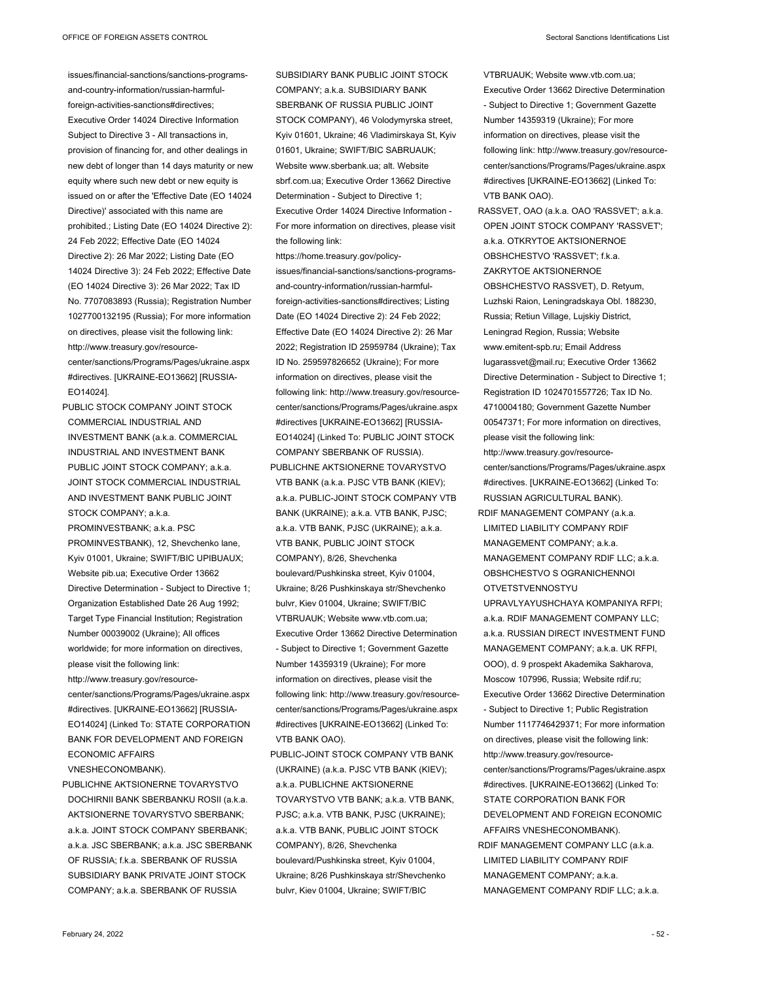issues/financial-sanctions/sanctions-programsand-country-information/russian-harmfulforeign-activities-sanctions#directives; Executive Order 14024 Directive Information Subject to Directive 3 - All transactions in, provision of financing for, and other dealings in new debt of longer than 14 days maturity or new equity where such new debt or new equity is issued on or after the 'Effective Date (EO 14024 Directive)' associated with this name are prohibited.; Listing Date (EO 14024 Directive 2): 24 Feb 2022; Effective Date (EO 14024 Directive 2): 26 Mar 2022; Listing Date (EO 14024 Directive 3): 24 Feb 2022; Effective Date (EO 14024 Directive 3): 26 Mar 2022; Tax ID No. 7707083893 (Russia); Registration Number 1027700132195 (Russia); For more information on directives, please visit the following link: http://www.treasury.gov/resourcecenter/sanctions/Programs/Pages/ukraine.aspx #directives. [UKRAINE-EO13662] [RUSSIA-EO14024].

PUBLIC STOCK COMPANY JOINT STOCK COMMERCIAL INDUSTRIAL AND INVESTMENT BANK (a.k.a. COMMERCIAL INDUSTRIAL AND INVESTMENT BANK PUBLIC JOINT STOCK COMPANY; a.k.a. JOINT STOCK COMMERCIAL INDUSTRIAL AND INVESTMENT BANK PUBLIC JOINT STOCK COMPANY; a.k.a. PROMINVESTBANK; a.k.a. PSC PROMINVESTBANK), 12, Shevchenko lane, Kyiv 01001, Ukraine; SWIFT/BIC UPIBUAUX; Website pib.ua; Executive Order 13662 Directive Determination - Subject to Directive 1; Organization Established Date 26 Aug 1992; Target Type Financial Institution; Registration Number 00039002 (Ukraine); All offices worldwide; for more information on directives, please visit the following link: http://www.treasury.gov/resourcecenter/sanctions/Programs/Pages/ukraine.aspx #directives. [UKRAINE-EO13662] [RUSSIA-EO14024] (Linked To: STATE CORPORATION BANK FOR DEVELOPMENT AND FOREIGN ECONOMIC AFFAIRS

VNESHECONOMBANK).

PUBLICHNE AKTSIONERNE TOVARYSTVO DOCHIRNII BANK SBERBANKU ROSII (a.k.a. AKTSIONERNE TOVARYSTVO SBERBANK; a.k.a. JOINT STOCK COMPANY SBERBANK; a.k.a. JSC SBERBANK; a.k.a. JSC SBERBANK OF RUSSIA; f.k.a. SBERBANK OF RUSSIA SUBSIDIARY BANK PRIVATE JOINT STOCK COMPANY; a.k.a. SBERBANK OF RUSSIA

SUBSIDIARY BANK PUBLIC JOINT STOCK COMPANY; a.k.a. SUBSIDIARY BANK SBERBANK OF RUSSIA PUBLIC JOINT STOCK COMPANY), 46 Volodymyrska street, Kyiv 01601, Ukraine; 46 Vladimirskaya St, Kyiv 01601, Ukraine; SWIFT/BIC SABRUAUK; Website www.sberbank.ua; alt. Website sbrf.com.ua; Executive Order 13662 Directive Determination - Subject to Directive 1; Executive Order 14024 Directive Information - For more information on directives, please visit the following link:

https://home.treasury.gov/policyissues/financial-sanctions/sanctions-programsand-country-information/russian-harmfulforeign-activities-sanctions#directives; Listing Date (EO 14024 Directive 2): 24 Feb 2022; Effective Date (EO 14024 Directive 2): 26 Mar 2022; Registration ID 25959784 (Ukraine); Tax ID No. 259597826652 (Ukraine); For more information on directives, please visit the following link: http://www.treasury.gov/resourcecenter/sanctions/Programs/Pages/ukraine.aspx #directives [UKRAINE-EO13662] [RUSSIA-EO14024] (Linked To: PUBLIC JOINT STOCK COMPANY SBERBANK OF RUSSIA).

PUBLICHNE AKTSIONERNE TOVARYSTVO VTB BANK (a.k.a. PJSC VTB BANK (KIEV); a.k.a. PUBLIC-JOINT STOCK COMPANY VTB BANK (UKRAINE); a.k.a. VTB BANK, PJSC; a.k.a. VTB BANK, PJSC (UKRAINE); a.k.a. VTB BANK, PUBLIC JOINT STOCK COMPANY), 8/26, Shevchenka boulevard/Pushkinska street, Kyiv 01004, Ukraine; 8/26 Pushkinskaya str/Shevchenko bulvr, Kiev 01004, Ukraine; SWIFT/BIC VTBRUAUK; Website www.vtb.com.ua; Executive Order 13662 Directive Determination - Subject to Directive 1; Government Gazette Number 14359319 (Ukraine); For more information on directives, please visit the following link: http://www.treasury.gov/resourcecenter/sanctions/Programs/Pages/ukraine.aspx #directives [UKRAINE-EO13662] (Linked To: VTB BANK OAO).

PUBLIC-JOINT STOCK COMPANY VTB BANK (UKRAINE) (a.k.a. PJSC VTB BANK (KIEV); a.k.a. PUBLICHNE AKTSIONERNE TOVARYSTVO VTB BANK; a.k.a. VTB BANK, PJSC; a.k.a. VTB BANK, PJSC (UKRAINE); a.k.a. VTB BANK, PUBLIC JOINT STOCK COMPANY), 8/26, Shevchenka boulevard/Pushkinska street, Kyiv 01004, Ukraine; 8/26 Pushkinskaya str/Shevchenko bulvr, Kiev 01004, Ukraine; SWIFT/BIC

VTBRUAUK; Website www.vtb.com.ua; Executive Order 13662 Directive Determination - Subject to Directive 1; Government Gazette Number 14359319 (Ukraine); For more information on directives, please visit the following link: http://www.treasury.gov/resourcecenter/sanctions/Programs/Pages/ukraine.aspx #directives [UKRAINE-EO13662] (Linked To: VTB BANK OAO).

RASSVET, OAO (a.k.a. OAO 'RASSVET'; a.k.a. OPEN JOINT STOCK COMPANY 'RASSVET'; a.k.a. OTKRYTOE AKTSIONERNOE OBSHCHESTVO 'RASSVET'; f.k.a. ZAKRYTOE AKTSIONERNOE OBSHCHESTVO RASSVET), D. Retyum, Luzhski Raion, Leningradskaya Obl. 188230, Russia; Retiun Village, Lujskiy District, Leningrad Region, Russia; Website www.emitent-spb.ru; Email Address lugarassvet@mail.ru; Executive Order 13662 Directive Determination - Subject to Directive 1; Registration ID 1024701557726; Tax ID No. 4710004180; Government Gazette Number 00547371; For more information on directives, please visit the following link: http://www.treasury.gov/resourcecenter/sanctions/Programs/Pages/ukraine.aspx #directives. [UKRAINE-EO13662] (Linked To: RUSSIAN AGRICULTURAL BANK). RDIF MANAGEMENT COMPANY (a.k.a. LIMITED LIABILITY COMPANY RDIF MANAGEMENT COMPANY: a k a MANAGEMENT COMPANY RDIF LLC; a.k.a. OBSHCHESTVO S OGRANICHENNOI OTVETSTVENNOSTYU UPRAVLYAYUSHCHAYA KOMPANIYA RFPI; a.k.a. RDIF MANAGEMENT COMPANY LLC; a.k.a. RUSSIAN DIRECT INVESTMENT FUND MANAGEMENT COMPANY; a.k.a. UK RFPI, OOO), d. 9 prospekt Akademika Sakharova, Moscow 107996, Russia; Website rdif.ru; Executive Order 13662 Directive Determination - Subject to Directive 1; Public Registration Number 1117746429371; For more information on directives, please visit the following link: http://www.treasury.gov/resourcecenter/sanctions/Programs/Pages/ukraine.aspx #directives. [UKRAINE-EO13662] (Linked To: STATE CORPORATION BANK FOR DEVELOPMENT AND FOREIGN ECONOMIC

AFFAIRS VNESHECONOMBANK). RDIF MANAGEMENT COMPANY LLC (a.k.a. LIMITED LIABILITY COMPANY RDIF MANAGEMENT COMPANY; a.k.a. MANAGEMENT COMPANY RDIF LLC; a.k.a.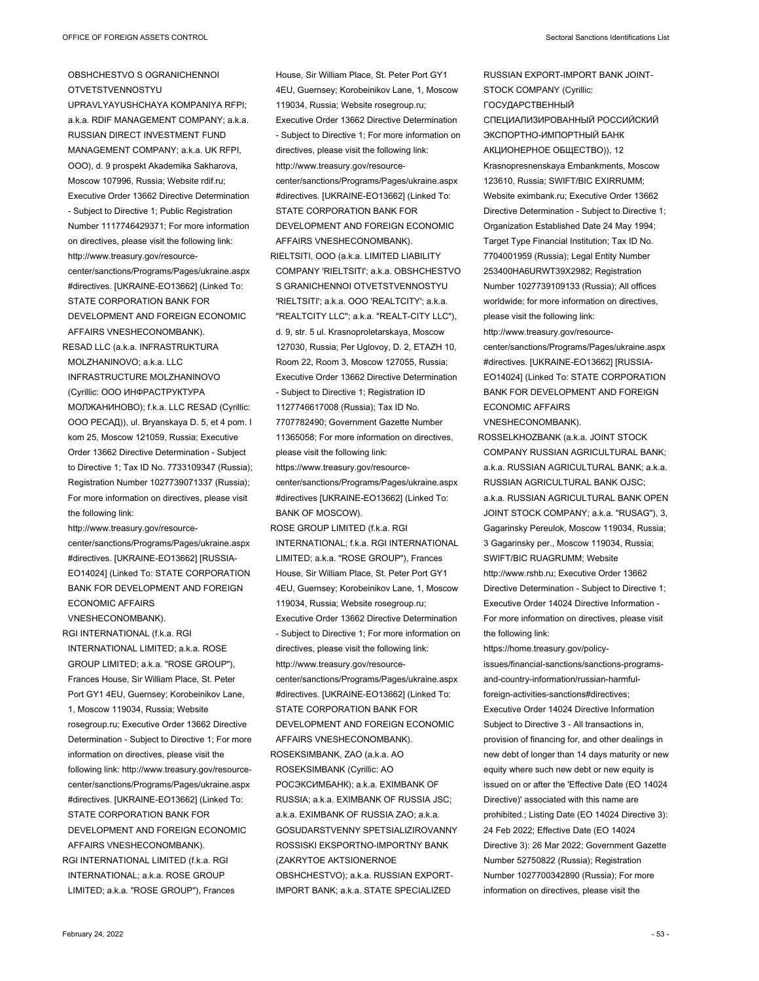## OBSHCHESTVO S OGRANICHENNOI OTVETSTVENNOSTYU

UPRAVLYAYUSHCHAYA KOMPANIYA RFPI; a.k.a. RDIF MANAGEMENT COMPANY; a.k.a. RUSSIAN DIRECT INVESTMENT FUND MANAGEMENT COMPANY; a.k.a. UK RFPI, OOO), d. 9 prospekt Akademika Sakharova, Moscow 107996, Russia; Website rdif.ru; Executive Order 13662 Directive Determination - Subject to Directive 1; Public Registration Number 1117746429371; For more information on directives, please visit the following link: http://www.treasury.gov/resourcecenter/sanctions/Programs/Pages/ukraine.aspx #directives. [UKRAINE-EO13662] (Linked To: STATE CORPORATION BANK FOR DEVELOPMENT AND FOREIGN ECONOMIC AFFAIRS VNESHECONOMBANK). RESAD LLC (a.k.a. INFRASTRUKTURA MOLZHANINOVO; a.k.a. LLC INFRASTRUCTURE MOLZHANINOVO (Cyrillic: ООО ИНФРАСТРУКТУРА МОЛЖАНИНОВО); f.k.a. LLC RESAD (Cyrillic: ООО РЕСАД)), ul. Bryanskaya D. 5, et 4 pom. I kom 25, Moscow 121059, Russia; Executive Order 13662 Directive Determination - Subject to Directive 1; Tax ID No. 7733109347 (Russia); Registration Number 1027739071337 (Russia); For more information on directives, please visit the following link:

http://www.treasury.gov/resourcecenter/sanctions/Programs/Pages/ukraine.aspx #directives. [UKRAINE-EO13662] [RUSSIA-EO14024] (Linked To: STATE CORPORATION BANK FOR DEVELOPMENT AND FOREIGN ECONOMIC AFFAIRS VNESHECONOMBANK).

RGI INTERNATIONAL (f.k.a. RGI INTERNATIONAL LIMITED; a.k.a. ROSE GROUP LIMITED; a.k.a. "ROSE GROUP"), Frances House, Sir William Place, St. Peter Port GY1 4EU, Guernsey; Korobeinikov Lane, 1, Moscow 119034, Russia; Website rosegroup.ru; Executive Order 13662 Directive Determination - Subject to Directive 1; For more information on directives, please visit the following link: http://www.treasury.gov/resourcecenter/sanctions/Programs/Pages/ukraine.aspx #directives. [UKRAINE-EO13662] (Linked To: STATE CORPORATION BANK FOR DEVELOPMENT AND FOREIGN ECONOMIC AFFAIRS VNESHECONOMBANK). RGI INTERNATIONAL LIMITED (f.k.a. RGI

INTERNATIONAL; a.k.a. ROSE GROUP LIMITED; a.k.a. "ROSE GROUP"), Frances

House, Sir William Place, St. Peter Port GY1 4EU, Guernsey; Korobeinikov Lane, 1, Moscow 119034, Russia; Website rosegroup.ru; Executive Order 13662 Directive Determination - Subject to Directive 1; For more information on directives, please visit the following link: http://www.treasury.gov/resourcecenter/sanctions/Programs/Pages/ukraine.aspx #directives. [UKRAINE-EO13662] (Linked To: STATE CORPORATION BANK FOR DEVELOPMENT AND FOREIGN ECONOMIC AFFAIRS VNESHECONOMBANK). RIELTSITI, OOO (a.k.a. LIMITED LIABILITY COMPANY 'RIELTSITI'; a.k.a. OBSHCHESTVO S GRANICHENNOI OTVETSTVENNOSTYU 'RIELTSITI'; a.k.a. OOO 'REALTCITY'; a.k.a. "REALTCITY LLC"; a.k.a. "REALT-CITY LLC"), d. 9, str. 5 ul. Krasnoproletarskaya, Moscow 127030, Russia; Per Uglovoy, D. 2, ETAZH 10, Room 22, Room 3, Moscow 127055, Russia; Executive Order 13662 Directive Determination - Subject to Directive 1; Registration ID 1127746617008 (Russia); Tax ID No. 7707782490; Government Gazette Number 11365058; For more information on directives, please visit the following link: https://www.treasury.gov/resourcecenter/sanctions/Programs/Pages/ukraine.aspx #directives [UKRAINE-EO13662] (Linked To: BANK OF MOSCOW). ROSE GROUP LIMITED (f.k.a. RGI INTERNATIONAL; f.k.a. RGI INTERNATIONAL LIMITED; a.k.a. "ROSE GROUP"), Frances House, Sir William Place, St. Peter Port GY1 4EU, Guernsey; Korobeinikov Lane, 1, Moscow 119034, Russia; Website rosegroup.ru; Executive Order 13662 Directive Determination - Subject to Directive 1; For more information on directives, please visit the following link: http://www.treasury.gov/resourcecenter/sanctions/Programs/Pages/ukraine.aspx #directives. [UKRAINE-EO13662] (Linked To: STATE CORPORATION BANK FOR DEVELOPMENT AND FOREIGN ECONOMIC AFFAIRS VNESHECONOMBANK). ROSEKSIMBANK, ZAO (a.k.a. AO ROSEKSIMBANK (Cyrillic: АО РОСЭКСИМБАНК); a.k.a. EXIMBANK OF RUSSIA; a.k.a. EXIMBANK OF RUSSIA JSC;

a.k.a. EXIMBANK OF RUSSIA ZAO; a.k.a. GOSUDARSTVENNY SPETSIALIZIROVANNY ROSSISKI EKSPORTNO-IMPORTNY BANK (ZAKRYTOE AKTSIONERNOE OBSHCHESTVO); a.k.a. RUSSIAN EXPORT-IMPORT BANK; a.k.a. STATE SPECIALIZED

RUSSIAN EXPORT-IMPORT BANK JOINT-STOCK COMPANY (Cyrillic: ГОСУДАРСТВЕННЫЙ СПЕЦИАЛИЗИРОВАННЫЙ РОССИЙСКИЙ ЭКСПОРТНО-ИМПОРТНЫЙ БАНК АКЦИОНЕРНОЕ ОБЩЕСТВО)), 12 Krasnopresnenskaya Embankments, Moscow 123610, Russia; SWIFT/BIC EXIRRUMM; Website eximbank.ru; Executive Order 13662 Directive Determination - Subject to Directive 1; Organization Established Date 24 May 1994; Target Type Financial Institution; Tax ID No. 7704001959 (Russia); Legal Entity Number 253400HA6URWT39X2982; Registration Number 1027739109133 (Russia); All offices worldwide; for more information on directives, please visit the following link: http://www.treasury.gov/resourcecenter/sanctions/Programs/Pages/ukraine.aspx #directives. [UKRAINE-EO13662] [RUSSIA-EO14024] (Linked To: STATE CORPORATION BANK FOR DEVELOPMENT AND FOREIGN ECONOMIC AFFAIRS VNESHECONOMBANK).

ROSSELKHOZBANK (a.k.a. JOINT STOCK COMPANY RUSSIAN AGRICULTURAL BANK; a.k.a. RUSSIAN AGRICULTURAL BANK; a.k.a. RUSSIAN AGRICULTURAL BANK OJSC; a.k.a. RUSSIAN AGRICULTURAL BANK OPEN JOINT STOCK COMPANY; a.k.a. "RUSAG"), 3, Gagarinsky Pereulok, Moscow 119034, Russia; 3 Gagarinsky per., Moscow 119034, Russia; SWIFT/BIC RUAGRUMM; Website http://www.rshb.ru; Executive Order 13662 Directive Determination - Subject to Directive 1; Executive Order 14024 Directive Information - For more information on directives, please visit the following link:

https://home.treasury.gov/policyissues/financial-sanctions/sanctions-programsand-country-information/russian-harmfulforeign-activities-sanctions#directives; Executive Order 14024 Directive Information Subject to Directive 3 - All transactions in, provision of financing for, and other dealings in new debt of longer than 14 days maturity or new equity where such new debt or new equity is issued on or after the 'Effective Date (EO 14024 Directive)' associated with this name are prohibited.; Listing Date (EO 14024 Directive 3): 24 Feb 2022; Effective Date (EO 14024 Directive 3): 26 Mar 2022; Government Gazette Number 52750822 (Russia); Registration Number 1027700342890 (Russia); For more information on directives, please visit the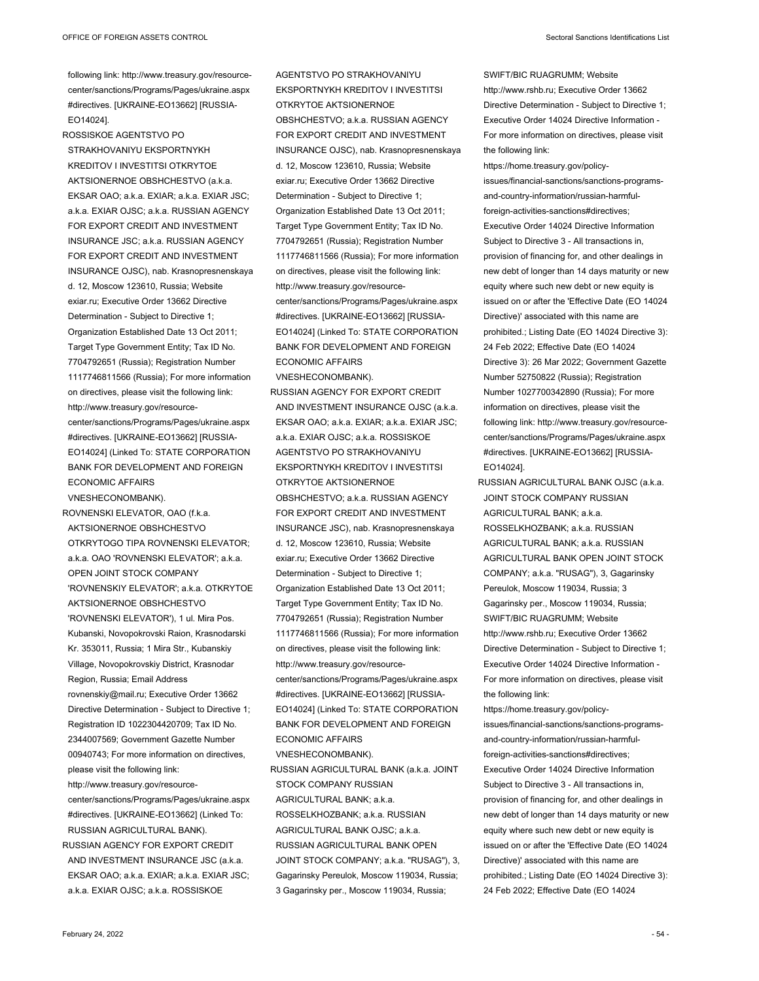following link: http://www.treasury.gov/resourcecenter/sanctions/Programs/Pages/ukraine.aspx #directives. [UKRAINE-EO13662] [RUSSIA-EO14024].

ROSSISKOE AGENTSTVO PO STRAKHOVANIYU EKSPORTNYKH KREDITOV I INVESTITSI OTKRYTOE AKTSIONERNOE OBSHCHESTVO (a.k.a. EKSAR OAO; a.k.a. EXIAR; a.k.a. EXIAR JSC; a.k.a. EXIAR OJSC; a.k.a. RUSSIAN AGENCY FOR EXPORT CREDIT AND INVESTMENT INSURANCE JSC; a.k.a. RUSSIAN AGENCY FOR EXPORT CREDIT AND INVESTMENT INSURANCE OJSC), nab. Krasnopresnenskaya d. 12, Moscow 123610, Russia; Website exiar.ru; Executive Order 13662 Directive Determination - Subject to Directive 1; Organization Established Date 13 Oct 2011; Target Type Government Entity; Tax ID No. 7704792651 (Russia); Registration Number 1117746811566 (Russia); For more information on directives, please visit the following link: http://www.treasury.gov/resourcecenter/sanctions/Programs/Pages/ukraine.aspx #directives. [UKRAINE-EO13662] [RUSSIA-EO14024] (Linked To: STATE CORPORATION BANK FOR DEVELOPMENT AND FOREIGN ECONOMIC AFFAIRS

VNESHECONOMBANK).

ROVNENSKI ELEVATOR, OAO (f.k.a. AKTSIONERNOE OBSHCHESTVO OTKRYTOGO TIPA ROVNENSKI ELEVATOR; a.k.a. OAO 'ROVNENSKI ELEVATOR'; a.k.a. OPEN JOINT STOCK COMPANY 'ROVNENSKIY ELEVATOR'; a.k.a. OTKRYTOE AKTSIONERNOE OBSHCHESTVO 'ROVNENSKI ELEVATOR'), 1 ul. Mira Pos. Kubanski, Novopokrovski Raion, Krasnodarski Kr. 353011, Russia; 1 Mira Str., Kubanskiy Village, Novopokrovskiy District, Krasnodar Region, Russia; Email Address rovnenskiy@mail.ru; Executive Order 13662 Directive Determination - Subject to Directive 1; Registration ID 1022304420709; Tax ID No. 2344007569; Government Gazette Number 00940743; For more information on directives, please visit the following link: http://www.treasury.gov/resourcecenter/sanctions/Programs/Pages/ukraine.aspx #directives. [UKRAINE-EO13662] (Linked To: RUSSIAN AGRICULTURAL BANK). RUSSIAN AGENCY FOR EXPORT CREDIT AND INVESTMENT INSURANCE JSC (a.k.a. EKSAR OAO; a.k.a. EXIAR; a.k.a. EXIAR JSC; a.k.a. EXIAR OJSC; a.k.a. ROSSISKOE

AGENTSTVO PO STRAKHOVANIYU EKSPORTNYKH KREDITOV I INVESTITSI OTKRYTOE AKTSIONERNOE OBSHCHESTVO; a.k.a. RUSSIAN AGENCY FOR EXPORT CREDIT AND INVESTMENT INSURANCE OJSC), nab. Krasnopresnenskaya d. 12, Moscow 123610, Russia; Website exiar.ru; Executive Order 13662 Directive Determination - Subject to Directive 1; Organization Established Date 13 Oct 2011; Target Type Government Entity; Tax ID No. 7704792651 (Russia); Registration Number 1117746811566 (Russia); For more information on directives, please visit the following link: http://www.treasury.gov/resourcecenter/sanctions/Programs/Pages/ukraine.aspx #directives. [UKRAINE-EO13662] [RUSSIA-EO14024] (Linked To: STATE CORPORATION BANK FOR DEVELOPMENT AND FOREIGN ECONOMIC AFFAIRS

VNESHECONOMBANK).

RUSSIAN AGENCY FOR EXPORT CREDIT AND INVESTMENT INSURANCE OJSC (a.k.a. EKSAR OAO; a.k.a. EXIAR; a.k.a. EXIAR JSC; a.k.a. EXIAR OJSC; a.k.a. ROSSISKOE AGENTSTVO PO STRAKHOVANIYU EKSPORTNYKH KREDITOV I INVESTITSI OTKRYTOE AKTSIONERNOE OBSHCHESTVO; a.k.a. RUSSIAN AGENCY FOR EXPORT CREDIT AND INVESTMENT INSURANCE JSC), nab. Krasnopresnenskaya d. 12, Moscow 123610, Russia; Website exiar.ru; Executive Order 13662 Directive Determination - Subject to Directive 1; Organization Established Date 13 Oct 2011; Target Type Government Entity; Tax ID No. 7704792651 (Russia); Registration Number 1117746811566 (Russia); For more information on directives, please visit the following link: http://www.treasury.gov/resourcecenter/sanctions/Programs/Pages/ukraine.aspx #directives. [UKRAINE-EO13662] [RUSSIA-EO14024] (Linked To: STATE CORPORATION BANK FOR DEVELOPMENT AND FOREIGN ECONOMIC AFFAIRS VNESHECONOMBANK).

RUSSIAN AGRICULTURAL BANK (a.k.a. JOINT STOCK COMPANY RUSSIAN AGRICULTURAL BANK; a.k.a. ROSSELKHOZBANK; a.k.a. RUSSIAN AGRICULTURAL BANK OJSC; a.k.a. RUSSIAN AGRICULTURAL BANK OPEN JOINT STOCK COMPANY; a.k.a. "RUSAG"), 3, Gagarinsky Pereulok, Moscow 119034, Russia; 3 Gagarinsky per., Moscow 119034, Russia;

SWIFT/BIC RUAGRUMM; Website http://www.rshb.ru; Executive Order 13662 Directive Determination - Subject to Directive 1; Executive Order 14024 Directive Information - For more information on directives, please visit the following link:

https://home.treasury.gov/policyissues/financial-sanctions/sanctions-programsand-country-information/russian-harmfulforeign-activities-sanctions#directives; Executive Order 14024 Directive Information Subject to Directive 3 - All transactions in, provision of financing for, and other dealings in new debt of longer than 14 days maturity or new equity where such new debt or new equity is issued on or after the 'Effective Date (EO 14024 Directive)' associated with this name are prohibited.; Listing Date (EO 14024 Directive 3): 24 Feb 2022; Effective Date (EO 14024 Directive 3): 26 Mar 2022; Government Gazette Number 52750822 (Russia); Registration Number 1027700342890 (Russia); For more information on directives, please visit the following link: http://www.treasury.gov/resourcecenter/sanctions/Programs/Pages/ukraine.aspx #directives. [UKRAINE-EO13662] [RUSSIA-EO14024].

RUSSIAN AGRICULTURAL BANK OJSC (a.k.a. JOINT STOCK COMPANY RUSSIAN AGRICULTURAL BANK; a.k.a. ROSSELKHOZBANK; a.k.a. RUSSIAN AGRICULTURAL BANK; a k a RUSSIAN AGRICULTURAL BANK OPEN JOINT STOCK COMPANY; a.k.a. "RUSAG"), 3, Gagarinsky Pereulok, Moscow 119034, Russia; 3 Gagarinsky per., Moscow 119034, Russia; SWIFT/BIC RUAGRUMM; Website http://www.rshb.ru; Executive Order 13662 Directive Determination - Subject to Directive 1; Executive Order 14024 Directive Information - For more information on directives, please visit the following link:

https://home.treasury.gov/policyissues/financial-sanctions/sanctions-programsand-country-information/russian-harmfulforeign-activities-sanctions#directives; Executive Order 14024 Directive Information Subject to Directive 3 - All transactions in, provision of financing for, and other dealings in new debt of longer than 14 days maturity or new equity where such new debt or new equity is issued on or after the 'Effective Date (EO 14024 Directive)' associated with this name are prohibited.; Listing Date (EO 14024 Directive 3): 24 Feb 2022; Effective Date (EO 14024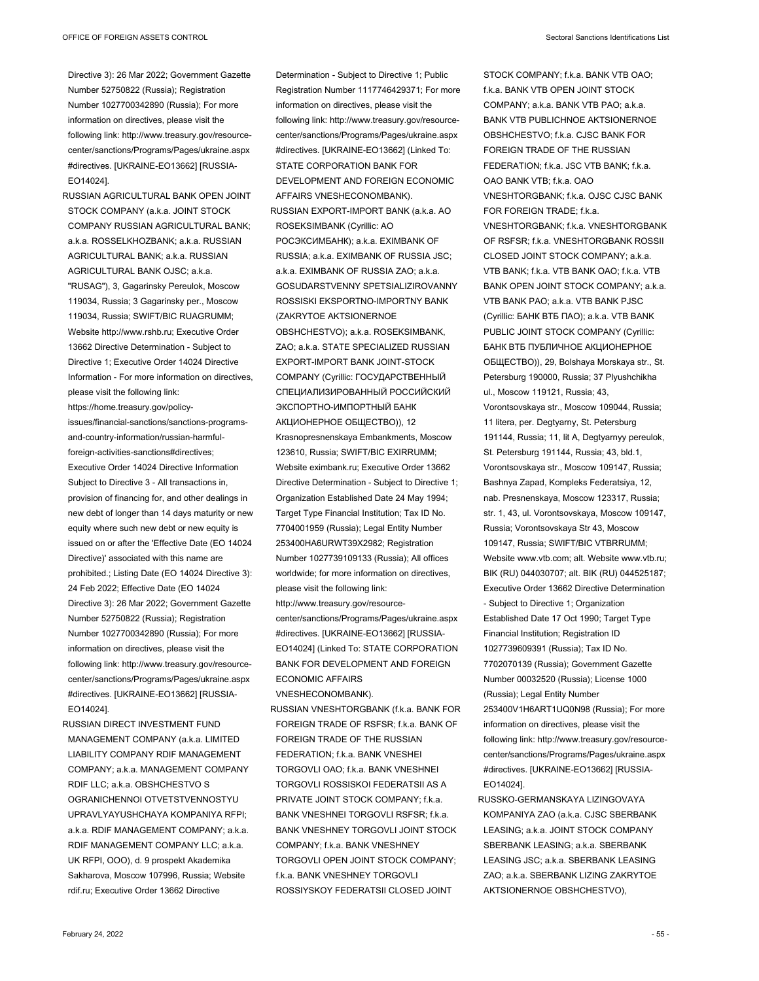Directive 3): 26 Mar 2022; Government Gazette Number 52750822 (Russia); Registration Number 1027700342890 (Russia); For more information on directives, please visit the following link: http://www.treasury.gov/resourcecenter/sanctions/Programs/Pages/ukraine.aspx #directives. [UKRAINE-EO13662] [RUSSIA-EO14024].

RUSSIAN AGRICULTURAL BANK OPEN JOINT STOCK COMPANY (a.k.a. JOINT STOCK) COMPANY RUSSIAN AGRICULTURAL BANK; a.k.a. ROSSELKHOZBANK; a.k.a. RUSSIAN AGRICULTURAL BANK; a.k.a. RUSSIAN AGRICULTURAL BANK OJSC; a.k.a. "RUSAG"), 3, Gagarinsky Pereulok, Moscow 119034, Russia; 3 Gagarinsky per., Moscow 119034, Russia; SWIFT/BIC RUAGRUMM; Website http://www.rshb.ru; Executive Order 13662 Directive Determination - Subject to Directive 1; Executive Order 14024 Directive Information - For more information on directives, please visit the following link: https://home.treasury.gov/policyissues/financial-sanctions/sanctions-programsand-country-information/russian-harmfulforeign-activities-sanctions#directives; Executive Order 14024 Directive Information Subject to Directive 3 - All transactions in, provision of financing for, and other dealings in new debt of longer than 14 days maturity or new equity where such new debt or new equity is issued on or after the 'Effective Date (EO 14024 Directive)' associated with this name are prohibited.; Listing Date (EO 14024 Directive 3): 24 Feb 2022; Effective Date (EO 14024 Directive 3): 26 Mar 2022; Government Gazette Number 52750822 (Russia); Registration

Number 1027700342890 (Russia); For more information on directives, please visit the following link: http://www.treasury.gov/resourcecenter/sanctions/Programs/Pages/ukraine.aspx #directives. [UKRAINE-EO13662] [RUSSIA-EO14024].

RUSSIAN DIRECT INVESTMENT FUND MANAGEMENT COMPANY (a.k.a. LIMITED LIABILITY COMPANY RDIF MANAGEMENT COMPANY; a.k.a. MANAGEMENT COMPANY RDIF LLC; a.k.a. OBSHCHESTVO S OGRANICHENNOI OTVETSTVENNOSTYU UPRAVLYAYUSHCHAYA KOMPANIYA RFPI; a.k.a. RDIF MANAGEMENT COMPANY; a.k.a. RDIF MANAGEMENT COMPANY LLC; a.k.a. UK RFPI, OOO), d. 9 prospekt Akademika Sakharova, Moscow 107996, Russia; Website rdif.ru; Executive Order 13662 Directive

Registration Number 1117746429371; For more information on directives, please visit the following link: http://www.treasury.gov/resourcecenter/sanctions/Programs/Pages/ukraine.aspx #directives. [UKRAINE-EO13662] (Linked To: STATE CORPORATION BANK FOR DEVELOPMENT AND FOREIGN ECONOMIC AFFAIRS VNESHECONOMBANK). RUSSIAN EXPORT-IMPORT BANK (a.k.a. AO ROSEKSIMBANK (Cyrillic: АО РОСЭКСИМБАНК); a.k.a. EXIMBANK OF RUSSIA; a.k.a. EXIMBANK OF RUSSIA JSC; a.k.a. EXIMBANK OF RUSSIA ZAO; a.k.a. GOSUDARSTVENNY SPETSIALIZIROVANNY ROSSISKI EKSPORTNO-IMPORTNY BANK (ZAKRYTOE AKTSIONERNOE OBSHCHESTVO); a.k.a. ROSEKSIMBANK, ZAO; a.k.a. STATE SPECIALIZED RUSSIAN EXPORT-IMPORT BANK JOINT-STOCK COMPANY (Cyrillic: ГОСУДАРСТВЕННЫЙ СПЕЦИАЛИЗИРОВАННЫЙ РОССИЙСКИЙ ЭКСПОРТНО-ИМПОРТНЫЙ БАНК АКЦИОНЕРНОЕ ОБЩЕСТВО)), 12 Krasnopresnenskaya Embankments, Moscow 123610, Russia; SWIFT/BIC EXIRRUMM; Website eximbank.ru; Executive Order 13662 Directive Determination - Subject to Directive 1; Organization Established Date 24 May 1994; Target Type Financial Institution; Tax ID No. 7704001959 (Russia); Legal Entity Number 253400HA6URWT39X2982; Registration Number 1027739109133 (Russia); All offices worldwide; for more information on directives, please visit the following link: http://www.treasury.gov/resourcecenter/sanctions/Programs/Pages/ukraine.aspx #directives. [UKRAINE-EO13662] [RUSSIA-EO14024] (Linked To: STATE CORPORATION BANK FOR DEVELOPMENT AND FOREIGN ECONOMIC AFFAIRS VNESHECONOMBANK). RUSSIAN VNESHTORGBANK (f.k.a. BANK FOR FOREIGN TRADE OF RSFSR; f.k.a. BANK OF

Determination - Subject to Directive 1; Public

FOREIGN TRADE OF THE RUSSIAN FEDERATION; f.k.a. BANK VNESHEI TORGOVLI OAO; f.k.a. BANK VNESHNEI TORGOVLI ROSSISKOI FEDERATSII AS A PRIVATE JOINT STOCK COMPANY; f.k.a. BANK VNESHNEI TORGOVLI RSFSR; f.k.a. BANK VNESHNEY TORGOVLI JOINT STOCK COMPANY: fk.a. BANK VNESHNEY TORGOVLI OPEN JOINT STOCK COMPANY; f.k.a. BANK VNESHNEY TORGOVLI ROSSIYSKOY FEDERATSII CLOSED JOINT

STOCK COMPANY; f.k.a. BANK VTB OAO; f.k.a. BANK VTB OPEN JOINT STOCK COMPANY; a.k.a. BANK VTB PAO; a.k.a. BANK VTB PUBLICHNOE AKTSIONERNOE OBSHCHESTVO; f.k.a. CJSC BANK FOR FOREIGN TRADE OF THE RUSSIAN FEDERATION; f.k.a. JSC VTB BANK; f.k.a. OAO BANK VTB; f.k.a. OAO VNESHTORGBANK; f.k.a. OJSC CJSC BANK FOR FOREIGN TRADE; f.k.a. VNESHTORGBANK; f.k.a. VNESHTORGBANK OF RSFSR; f.k.a. VNESHTORGBANK ROSSII CLOSED JOINT STOCK COMPANY; a.k.a. VTB BANK; f.k.a. VTB BANK OAO; f.k.a. VTB BANK OPEN JOINT STOCK COMPANY; a.k.a. VTB BANK PAO; a.k.a. VTB BANK PJSC (Cyrillic: БАНК ВТБ ПАО); a.k.a. VTB BANK PUBLIC JOINT STOCK COMPANY (Cyrillic: БАНК ВТБ ПУБЛИЧНОЕ АКЦИОНЕРНОЕ ОБЩЕСТВО)), 29, Bolshaya Morskaya str., St. Petersburg 190000, Russia; 37 Plyushchikha ul., Moscow 119121, Russia; 43, Vorontsovskaya str., Moscow 109044, Russia; 11 litera, per. Degtyarny, St. Petersburg 191144, Russia; 11, lit A, Degtyarnyy pereulok, St. Petersburg 191144, Russia; 43, bld.1, Vorontsovskaya str., Moscow 109147, Russia; Bashnya Zapad, Kompleks Federatsiya, 12, nab. Presnenskaya, Moscow 123317, Russia; str. 1, 43, ul. Vorontsovskaya, Moscow 109147, Russia; Vorontsovskaya Str 43, Moscow 109147, Russia; SWIFT/BIC VTBRRUMM; Website www.vtb.com; alt. Website www.vtb.ru; BIK (RU) 044030707; alt. BIK (RU) 044525187; Executive Order 13662 Directive Determination - Subject to Directive 1; Organization Established Date 17 Oct 1990; Target Type Financial Institution; Registration ID 1027739609391 (Russia); Tax ID No. 7702070139 (Russia); Government Gazette Number 00032520 (Russia); License 1000 (Russia); Legal Entity Number 253400V1H6ART1UQ0N98 (Russia); For more information on directives, please visit the following link: http://www.treasury.gov/resourcecenter/sanctions/Programs/Pages/ukraine.aspx #directives. [UKRAINE-EO13662] [RUSSIA-EO14024].

RUSSKO-GERMANSKAYA LIZINGOVAYA KOMPANIYA ZAO (a.k.a. CJSC SBERBANK LEASING; a.k.a. JOINT STOCK COMPANY SBERBANK LEASING; a.k.a. SBERBANK LEASING JSC; a.k.a. SBERBANK LEASING ZAO; a.k.a. SBERBANK LIZING ZAKRYTOE AKTSIONERNOE OBSHCHESTVO),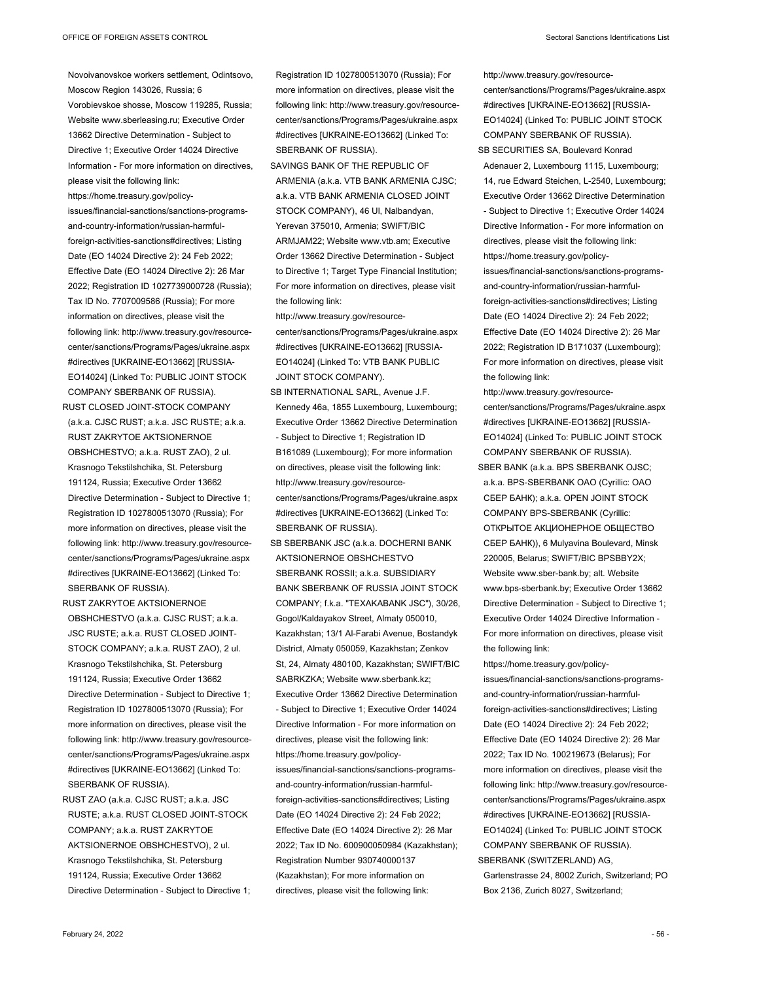Novoivanovskoe workers settlement, Odintsovo, Moscow Region 143026, Russia; 6 Vorobievskoe shosse, Moscow 119285, Russia; Website www.sberleasing.ru; Executive Order 13662 Directive Determination - Subject to Directive 1; Executive Order 14024 Directive Information - For more information on directives, please visit the following link: https://home.treasury.gov/policyissues/financial-sanctions/sanctions-programsand-country-information/russian-harmfulforeign-activities-sanctions#directives; Listing Date (EO 14024 Directive 2): 24 Feb 2022; Effective Date (EO 14024 Directive 2): 26 Mar 2022; Registration ID 1027739000728 (Russia); Tax ID No. 7707009586 (Russia); For more information on directives, please visit the following link: http://www.treasury.gov/resourcecenter/sanctions/Programs/Pages/ukraine.aspx #directives [UKRAINE-EO13662] [RUSSIA-EO14024] (Linked To: PUBLIC JOINT STOCK COMPANY SBERBANK OF RUSSIA).

RUST CLOSED JOINT-STOCK COMPANY (a.k.a. CJSC RUST; a.k.a. JSC RUSTE; a.k.a. RUST ZAKRYTOE AKTSIONERNOE OBSHCHESTVO; a.k.a. RUST ZAO), 2 ul. Krasnogo Tekstilshchika, St. Petersburg 191124, Russia; Executive Order 13662 Directive Determination - Subject to Directive 1; Registration ID 1027800513070 (Russia); For more information on directives, please visit the following link: http://www.treasury.gov/resourcecenter/sanctions/Programs/Pages/ukraine.aspx #directives [UKRAINE-EO13662] (Linked To: SBERBANK OF RUSSIA).

- RUST ZAKRYTOE AKTSIONERNOE OBSHCHESTVO (a.k.a. CJSC RUST; a.k.a. JSC RUSTE; a.k.a. RUST CLOSED JOINT-STOCK COMPANY; a.k.a. RUST ZAO), 2 ul. Krasnogo Tekstilshchika, St. Petersburg 191124, Russia; Executive Order 13662 Directive Determination - Subject to Directive 1; Registration ID 1027800513070 (Russia); For more information on directives, please visit the following link: http://www.treasury.gov/resourcecenter/sanctions/Programs/Pages/ukraine.aspx #directives [UKRAINE-EO13662] (Linked To: SBERBANK OF RUSSIA).
- RUST ZAO (a.k.a. CJSC RUST; a.k.a. JSC RUSTE; a.k.a. RUST CLOSED JOINT-STOCK COMPANY; a.k.a. RUST ZAKRYTOE AKTSIONERNOE OBSHCHESTVO), 2 ul. Krasnogo Tekstilshchika, St. Petersburg 191124, Russia; Executive Order 13662 Directive Determination - Subject to Directive 1;

Registration ID 1027800513070 (Russia); For more information on directives, please visit the following link: http://www.treasury.gov/resourcecenter/sanctions/Programs/Pages/ukraine.aspx #directives [UKRAINE-EO13662] (Linked To: SBERBANK OF RUSSIA).

SAVINGS BANK OF THE REPUBLIC OF ARMENIA (a.k.a. VTB BANK ARMENIA CJSC; a.k.a. VTB BANK ARMENIA CLOSED JOINT STOCK COMPANY), 46 Ul, Nalbandyan, Yerevan 375010, Armenia; SWIFT/BIC ARMJAM22; Website www.vtb.am; Executive Order 13662 Directive Determination - Subject to Directive 1; Target Type Financial Institution; For more information on directives, please visit the following link:

http://www.treasury.gov/resourcecenter/sanctions/Programs/Pages/ukraine.aspx #directives [UKRAINE-EO13662] [RUSSIA-EO14024] (Linked To: VTB BANK PUBLIC JOINT STOCK COMPANY).

- SB INTERNATIONAL SARL, Avenue J.F. Kennedy 46a, 1855 Luxembourg, Luxembourg; Executive Order 13662 Directive Determination - Subject to Directive 1; Registration ID B161089 (Luxembourg); For more information on directives, please visit the following link: http://www.treasury.gov/resourcecenter/sanctions/Programs/Pages/ukraine.aspx #directives [UKRAINE-EO13662] (Linked To: SBERBANK OF RUSSIA).
- SB SBERBANK JSC (a.k.a. DOCHERNI BANK AKTSIONERNOE OBSHCHESTVO SBERBANK ROSSII; a.k.a. SUBSIDIARY BANK SBERBANK OF RUSSIA JOINT STOCK COMPANY; f.k.a. "TEXAKABANK JSC"), 30/26, Gogol/Kaldayakov Street, Almaty 050010, Kazakhstan; 13/1 Al-Farabi Avenue, Bostandyk District, Almaty 050059, Kazakhstan; Zenkov St, 24, Almaty 480100, Kazakhstan; SWIFT/BIC SABRKZKA; Website www.sberbank.kz; Executive Order 13662 Directive Determination - Subject to Directive 1; Executive Order 14024 Directive Information - For more information on directives, please visit the following link: https://home.treasury.gov/policyissues/financial-sanctions/sanctions-programsand-country-information/russian-harmfulforeign-activities-sanctions#directives; Listing Date (EO 14024 Directive 2): 24 Feb 2022; Effective Date (EO 14024 Directive 2): 26 Mar 2022; Tax ID No. 600900050984 (Kazakhstan); Registration Number 930740000137 (Kazakhstan); For more information on directives, please visit the following link:

http://www.treasury.gov/resourcecenter/sanctions/Programs/Pages/ukraine.aspx #directives [UKRAINE-EO13662] [RUSSIA-EO14024] (Linked To: PUBLIC JOINT STOCK

COMPANY SBERBANK OF RUSSIA). SB SECURITIES SA, Boulevard Konrad Adenauer 2, Luxembourg 1115, Luxembourg; 14, rue Edward Steichen, L-2540, Luxembourg;

Executive Order 13662 Directive Determination - Subject to Directive 1; Executive Order 14024 Directive Information - For more information on directives, please visit the following link: https://home.treasury.gov/policy-

issues/financial-sanctions/sanctions-programsand-country-information/russian-harmfulforeign-activities-sanctions#directives; Listing Date (EO 14024 Directive 2): 24 Feb 2022; Effective Date (EO 14024 Directive 2): 26 Mar 2022; Registration ID B171037 (Luxembourg); For more information on directives, please visit the following link:

http://www.treasury.gov/resourcecenter/sanctions/Programs/Pages/ukraine.aspx #directives [UKRAINE-EO13662] [RUSSIA-EO14024] (Linked To: PUBLIC JOINT STOCK COMPANY SBERBANK OF RUSSIA).

SBER BANK (a.k.a. BPS SBERBANK OJSC; a.k.a. BPS-SBERBANK OAO (Cyrillic: ОАО СБЕР БАНК); a.k.a. OPEN JOINT STOCK COMPANY BPS-SBERBANK (Cyrillic: ОТКРЫТОЕ АКЦИОНЕРНОЕ ОБЩЕСТВО СБЕР БАНК)), 6 Mulyavina Boulevard, Minsk 220005, Belarus; SWIFT/BIC BPSBBY2X; Website www.sber-bank.by; alt. Website www.bps-sberbank.by; Executive Order 13662 Directive Determination - Subject to Directive 1; Executive Order 14024 Directive Information - For more information on directives, please visit the following link:

https://home.treasury.gov/policy-

issues/financial-sanctions/sanctions-programsand-country-information/russian-harmfulforeign-activities-sanctions#directives; Listing Date (EO 14024 Directive 2): 24 Feb 2022; Effective Date (EO 14024 Directive 2): 26 Mar 2022; Tax ID No. 100219673 (Belarus); For more information on directives, please visit the following link: http://www.treasury.gov/resourcecenter/sanctions/Programs/Pages/ukraine.aspx #directives [UKRAINE-EO13662] [RUSSIA-EO14024] (Linked To: PUBLIC JOINT STOCK COMPANY SBERBANK OF RUSSIA). SBERBANK (SWITZERLAND) AG,

Gartenstrasse 24, 8002 Zurich, Switzerland; PO Box 2136, Zurich 8027, Switzerland;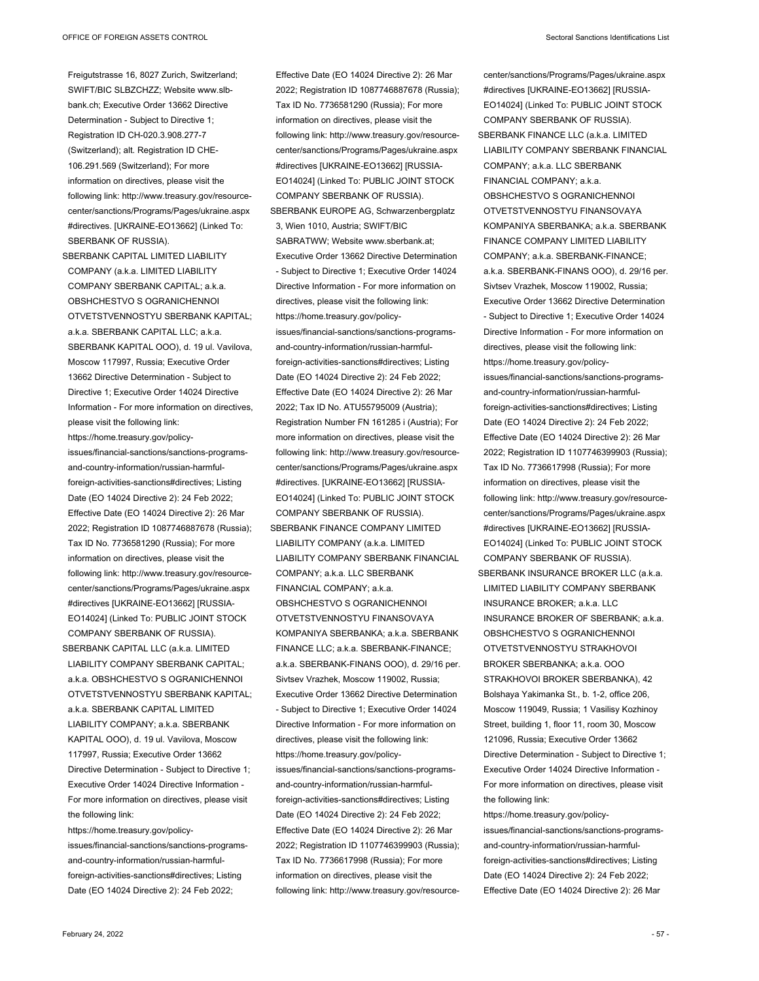Freigutstrasse 16, 8027 Zurich, Switzerland; SWIFT/BIC SLBZCHZZ; Website www.slbbank.ch; Executive Order 13662 Directive Determination - Subject to Directive 1; Registration ID CH-020.3.908.277-7 (Switzerland); alt. Registration ID CHE-106.291.569 (Switzerland); For more information on directives, please visit the following link: http://www.treasury.gov/resourcecenter/sanctions/Programs/Pages/ukraine.aspx #directives. [UKRAINE-EO13662] (Linked To: SBERBANK OF RUSSIA).

SBERBANK CAPITAL LIMITED LIABILITY COMPANY (a.k.a. LIMITED LIABILITY COMPANY SBERBANK CAPITAL; a.k.a. OBSHCHESTVO S OGRANICHENNOI OTVETSTVENNOSTYU SBERBANK KAPITAL; a.k.a. SBERBANK CAPITAL LLC; a.k.a. SBERBANK KAPITAL OOO), d. 19 ul. Vavilova, Moscow 117997, Russia; Executive Order 13662 Directive Determination - Subject to Directive 1; Executive Order 14024 Directive Information - For more information on directives, please visit the following link: https://home.treasury.gov/policyissues/financial-sanctions/sanctions-programsand-country-information/russian-harmfulforeign-activities-sanctions#directives; Listing Date (EO 14024 Directive 2): 24 Feb 2022; Effective Date (EO 14024 Directive 2): 26 Mar 2022; Registration ID 1087746887678 (Russia); Tax ID No. 7736581290 (Russia); For more information on directives, please visit the following link: http://www.treasury.gov/resourcecenter/sanctions/Programs/Pages/ukraine.aspx #directives [UKRAINE-EO13662] [RUSSIA-EO14024] (Linked To: PUBLIC JOINT STOCK COMPANY SBERBANK OF RUSSIA).

SBERBANK CAPITAL LLC (a.k.a. LIMITED LIABILITY COMPANY SBERBANK CAPITAL; a.k.a. OBSHCHESTVO S OGRANICHENNOI OTVETSTVENNOSTYU SBERBANK KAPITAL; a.k.a. SBERBANK CAPITAL LIMITED LIABILITY COMPANY; a.k.a. SBERBANK KAPITAL OOO), d. 19 ul. Vavilova, Moscow 117997, Russia; Executive Order 13662 Directive Determination - Subject to Directive 1; Executive Order 14024 Directive Information - For more information on directives, please visit the following link:

https://home.treasury.gov/policyissues/financial-sanctions/sanctions-programsand-country-information/russian-harmfulforeign-activities-sanctions#directives; Listing Date (EO 14024 Directive 2): 24 Feb 2022;

Effective Date (EO 14024 Directive 2): 26 Mar 2022; Registration ID 1087746887678 (Russia); Tax ID No. 7736581290 (Russia); For more information on directives, please visit the following link: http://www.treasury.gov/resourcecenter/sanctions/Programs/Pages/ukraine.aspx #directives [UKRAINE-EO13662] [RUSSIA-EO14024] (Linked To: PUBLIC JOINT STOCK COMPANY SBERBANK OF RUSSIA). SBERBANK EUROPE AG, Schwarzenbergplatz 3, Wien 1010, Austria; SWIFT/BIC SABRATWW; Website www.sberbank.at; Executive Order 13662 Directive Determination - Subject to Directive 1; Executive Order 14024 Directive Information - For more information on directives, please visit the following link: https://home.treasury.gov/policyissues/financial-sanctions/sanctions-programsand-country-information/russian-harmfulforeign-activities-sanctions#directives; Listing Date (EO 14024 Directive 2): 24 Feb 2022; Effective Date (EO 14024 Directive 2): 26 Mar 2022; Tax ID No. ATU55795009 (Austria); Registration Number FN 161285 i (Austria); For more information on directives, please visit the following link: http://www.treasury.gov/resourcecenter/sanctions/Programs/Pages/ukraine.aspx #directives. [UKRAINE-EO13662] [RUSSIA-EO14024] (Linked To: PUBLIC JOINT STOCK COMPANY SBERBANK OF RUSSIA). SBERBANK FINANCE COMPANY LIMITED LIABILITY COMPANY (a.k.a. LIMITED LIABILITY COMPANY SBERBANK FINANCIAL COMPANY; a.k.a. LLC SBERBANK FINANCIAL COMPANY; a.k.a. OBSHCHESTVO S OGRANICHENNOI OTVETSTVENNOSTYU FINANSOVAYA KOMPANIYA SBERBANKA; a.k.a. SBERBANK FINANCE LLC; a.k.a. SBERBANK-FINANCE; a.k.a. SBERBANK-FINANS OOO), d. 29/16 per. Sivtsev Vrazhek, Moscow 119002, Russia; Executive Order 13662 Directive Determination - Subject to Directive 1; Executive Order 14024 Directive Information - For more information on directives, please visit the following link: https://home.treasury.gov/policyissues/financial-sanctions/sanctions-programsand-country-information/russian-harmfulforeign-activities-sanctions#directives; Listing Date (EO 14024 Directive 2): 24 Feb 2022; Effective Date (EO 14024 Directive 2): 26 Mar 2022; Registration ID 1107746399903 (Russia); Tax ID No. 7736617998 (Russia); For more information on directives, please visit the following link: http://www.treasury.gov/resource-

center/sanctions/Programs/Pages/ukraine.aspx #directives [UKRAINE-EO13662] [RUSSIA-EO14024] (Linked To: PUBLIC JOINT STOCK COMPANY SBERBANK OF RUSSIA). SBERBANK FINANCE LLC (a.k.a. LIMITED LIABILITY COMPANY SBERBANK FINANCIAL COMPANY; a.k.a. LLC SBERBANK FINANCIAL COMPANY; a.k.a. OBSHCHESTVO S OGRANICHENNOI OTVETSTVENNOSTYU FINANSOVAYA KOMPANIYA SBERBANKA; a.k.a. SBERBANK FINANCE COMPANY LIMITED LIABILITY COMPANY; a.k.a. SBERBANK-FINANCE; a.k.a. SBERBANK-FINANS OOO), d. 29/16 per. Sivtsev Vrazhek, Moscow 119002, Russia; Executive Order 13662 Directive Determination - Subject to Directive 1; Executive Order 14024 Directive Information - For more information on directives, please visit the following link: https://home.treasury.gov/policyissues/financial-sanctions/sanctions-programsand-country-information/russian-harmfulforeign-activities-sanctions#directives; Listing Date (EO 14024 Directive 2): 24 Feb 2022; Effective Date (EO 14024 Directive 2): 26 Mar 2022; Registration ID 1107746399903 (Russia); Tax ID No. 7736617998 (Russia); For more information on directives, please visit the following link: http://www.treasury.gov/resourcecenter/sanctions/Programs/Pages/ukraine.aspx #directives [UKRAINE-EO13662] [RUSSIA-EO14024] (Linked To: PUBLIC JOINT STOCK COMPANY SBERBANK OF RUSSIA). SBERBANK INSURANCE BROKER LLC (a.k.a.

LIMITED LIABILITY COMPANY SBERBANK INSURANCE BROKER; a.k.a. LLC INSURANCE BROKER OF SBERBANK; a.k.a. OBSHCHESTVO S OGRANICHENNOI OTVETSTVENNOSTYU STRAKHOVOI BROKER SBERBANKA; a.k.a. OOO STRAKHOVOI BROKER SBERBANKA), 42 Bolshaya Yakimanka St., b. 1-2, office 206, Moscow 119049, Russia; 1 Vasilisy Kozhinoy Street, building 1, floor 11, room 30, Moscow 121096, Russia; Executive Order 13662 Directive Determination - Subject to Directive 1; Executive Order 14024 Directive Information - For more information on directives, please visit the following link:

https://home.treasury.gov/policyissues/financial-sanctions/sanctions-programsand-country-information/russian-harmfulforeign-activities-sanctions#directives; Listing Date (EO 14024 Directive 2): 24 Feb 2022; Effective Date (EO 14024 Directive 2): 26 Mar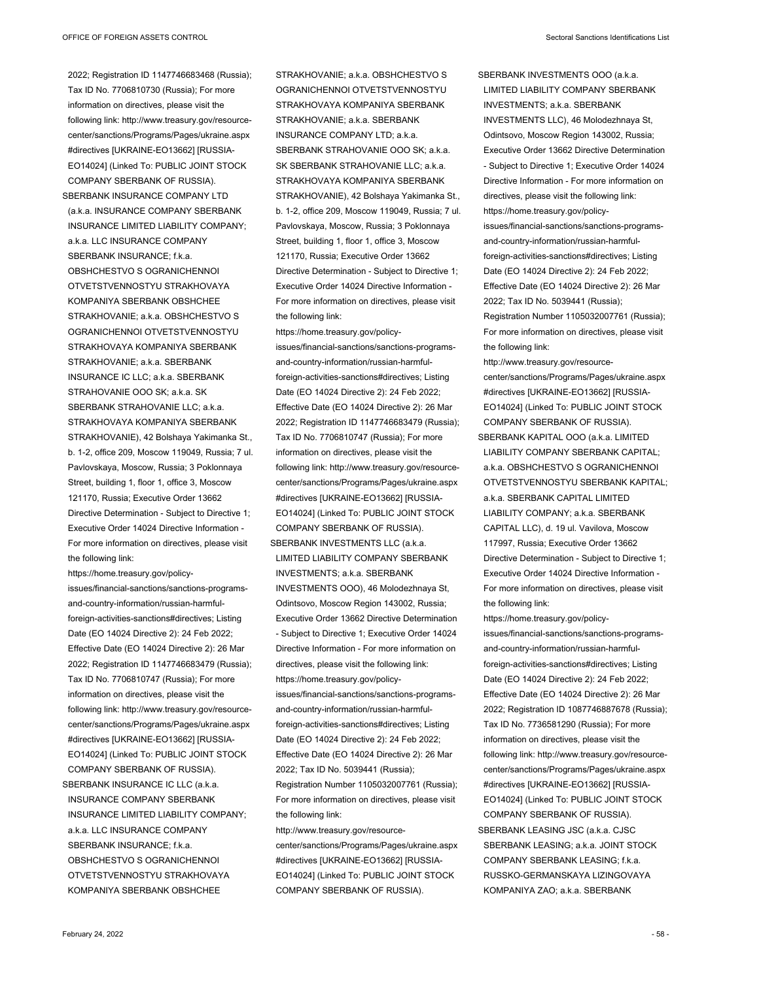COMPANY SBERBANK OF RUSSIA).

2022; Registration ID 1147746683468 (Russia); Tax ID No. 7706810730 (Russia); For more information on directives, please visit the following link: http://www.treasury.gov/resourcecenter/sanctions/Programs/Pages/ukraine.aspx #directives [UKRAINE-EO13662] [RUSSIA-EO14024] (Linked To: PUBLIC JOINT STOCK

SBERBANK INSURANCE COMPANY LTD (a.k.a. INSURANCE COMPANY SBERBANK INSURANCE LIMITED LIABILITY COMPANY; a.k.a. LLC INSURANCE COMPANY SBERBANK INSURANCE; f.k.a. OBSHCHESTVO S OGRANICHENNOI OTVETSTVENNOSTYU STRAKHOVAYA KOMPANIYA SBERBANK OBSHCHEE STRAKHOVANIE; a.k.a. OBSHCHESTVO S OGRANICHENNOI OTVETSTVENNOSTYU STRAKHOVAYA KOMPANIYA SBERBANK STRAKHOVANIE; a.k.a. SBERBANK INSURANCE IC LLC; a.k.a. SBERBANK STRAHOVANIE OOO SK; a.k.a. SK SBERBANK STRAHOVANIE LLC; a.k.a. STRAKHOVAYA KOMPANIYA SBERBANK STRAKHOVANIE), 42 Bolshaya Yakimanka St., b. 1-2, office 209, Moscow 119049, Russia; 7 ul. Pavlovskaya, Moscow, Russia; 3 Poklonnaya Street, building 1, floor 1, office 3, Moscow 121170, Russia; Executive Order 13662 Directive Determination - Subject to Directive 1; Executive Order 14024 Directive Information - For more information on directives, please visit the following link:

https://home.treasury.gov/policyissues/financial-sanctions/sanctions-programsand-country-information/russian-harmfulforeign-activities-sanctions#directives; Listing Date (EO 14024 Directive 2): 24 Feb 2022; Effective Date (EO 14024 Directive 2): 26 Mar 2022; Registration ID 1147746683479 (Russia); Tax ID No. 7706810747 (Russia); For more information on directives, please visit the following link: http://www.treasury.gov/resourcecenter/sanctions/Programs/Pages/ukraine.aspx #directives [UKRAINE-EO13662] [RUSSIA-EO14024] (Linked To: PUBLIC JOINT STOCK COMPANY SBERBANK OF RUSSIA). SBERBANK INSURANCE IC LLC (a.k.a.

INSURANCE COMPANY SBERBANK INSURANCE LIMITED LIABILITY COMPANY; a.k.a. LLC INSURANCE COMPANY SBERBANK INSURANCE: fka. OBSHCHESTVO S OGRANICHENNOI OTVETSTVENNOSTYU STRAKHOVAYA KOMPANIYA SBERBANK OBSHCHEE

STRAKHOVANIE; a.k.a. OBSHCHESTVO S OGRANICHENNOI OTVETSTVENNOSTYU STRAKHOVAYA KOMPANIYA SBERBANK STRAKHOVANIE; a.k.a. SBERBANK INSURANCE COMPANY LTD; a.k.a. SBERBANK STRAHOVANIE OOO SK; a.k.a. SK SBERBANK STRAHOVANIE LLC; a.k.a. STRAKHOVAYA KOMPANIYA SBERBANK STRAKHOVANIE), 42 Bolshaya Yakimanka St., b. 1-2, office 209, Moscow 119049, Russia; 7 ul. Pavlovskaya, Moscow, Russia; 3 Poklonnaya Street, building 1, floor 1, office 3, Moscow 121170, Russia; Executive Order 13662 Directive Determination - Subject to Directive 1; Executive Order 14024 Directive Information - For more information on directives, please visit the following link:

https://home.treasury.gov/policyissues/financial-sanctions/sanctions-programsand-country-information/russian-harmfulforeign-activities-sanctions#directives; Listing Date (EO 14024 Directive 2): 24 Feb 2022; Effective Date (EO 14024 Directive 2): 26 Mar 2022; Registration ID 1147746683479 (Russia); Tax ID No. 7706810747 (Russia); For more information on directives, please visit the following link: http://www.treasury.gov/resourcecenter/sanctions/Programs/Pages/ukraine.aspx #directives [UKRAINE-EO13662] [RUSSIA-EO14024] (Linked To: PUBLIC JOINT STOCK COMPANY SBERBANK OF RUSSIA).

SBERBANK INVESTMENTS LLC (a.k.a. LIMITED LIABILITY COMPANY SBERBANK INVESTMENTS; a.k.a. SBERBANK INVESTMENTS OOO), 46 Molodezhnaya St, Odintsovo, Moscow Region 143002, Russia; Executive Order 13662 Directive Determination - Subject to Directive 1; Executive Order 14024 Directive Information - For more information on directives, please visit the following link: https://home.treasury.gov/policyissues/financial-sanctions/sanctions-programsand-country-information/russian-harmfulforeign-activities-sanctions#directives; Listing Date (EO 14024 Directive 2): 24 Feb 2022; Effective Date (EO 14024 Directive 2): 26 Mar 2022; Tax ID No. 5039441 (Russia); Registration Number 1105032007761 (Russia); For more information on directives, please visit the following link:

http://www.treasury.gov/resourcecenter/sanctions/Programs/Pages/ukraine.aspx #directives [UKRAINE-EO13662] [RUSSIA-EO14024] (Linked To: PUBLIC JOINT STOCK COMPANY SBERBANK OF RUSSIA).

SBERBANK INVESTMENTS OOO (a.k.a. LIMITED LIABILITY COMPANY SBERBANK INVESTMENTS; a.k.a. SBERBANK INVESTMENTS LLC), 46 Molodezhnaya St, Odintsovo, Moscow Region 143002, Russia; Executive Order 13662 Directive Determination - Subject to Directive 1; Executive Order 14024 Directive Information - For more information on directives, please visit the following link: https://home.treasury.gov/policyissues/financial-sanctions/sanctions-programsand-country-information/russian-harmfulforeign-activities-sanctions#directives; Listing Date (EO 14024 Directive 2): 24 Feb 2022; Effective Date (EO 14024 Directive 2): 26 Mar 2022; Tax ID No. 5039441 (Russia); Registration Number 1105032007761 (Russia); For more information on directives, please visit the following link:

http://www.treasury.gov/resourcecenter/sanctions/Programs/Pages/ukraine.aspx #directives [UKRAINE-EO13662] [RUSSIA-EO14024] (Linked To: PUBLIC JOINT STOCK COMPANY SBERBANK OF RUSSIA).

SBERBANK KAPITAL OOO (a.k.a. LIMITED LIABILITY COMPANY SBERBANK CAPITAL; a.k.a. OBSHCHESTVO S OGRANICHENNOI OTVETSTVENNOSTYU SBERBANK KAPITAL; a.k.a. SBERBANK CAPITAL LIMITED LIABILITY COMPANY; a.k.a. SBERBANK CAPITAL LLC), d. 19 ul. Vavilova, Moscow 117997, Russia; Executive Order 13662 Directive Determination - Subject to Directive 1; Executive Order 14024 Directive Information - For more information on directives, please visit the following link:

https://home.treasury.gov/policyissues/financial-sanctions/sanctions-programsand-country-information/russian-harmfulforeign-activities-sanctions#directives; Listing Date (EO 14024 Directive 2): 24 Feb 2022; Effective Date (EO 14024 Directive 2): 26 Mar 2022; Registration ID 1087746887678 (Russia); Tax ID No. 7736581290 (Russia); For more information on directives, please visit the following link: http://www.treasury.gov/resourcecenter/sanctions/Programs/Pages/ukraine.aspx #directives [UKRAINE-EO13662] [RUSSIA-EO14024] (Linked To: PUBLIC JOINT STOCK COMPANY SBERBANK OF RUSSIA).

SBERBANK LEASING JSC (a.k.a. CJSC SBERBANK LEASING; a.k.a. JOINT STOCK COMPANY SBERBANK LEASING; f.k.a. RUSSKO-GERMANSKAYA LIZINGOVAYA KOMPANIYA ZAO; a.k.a. SBERBANK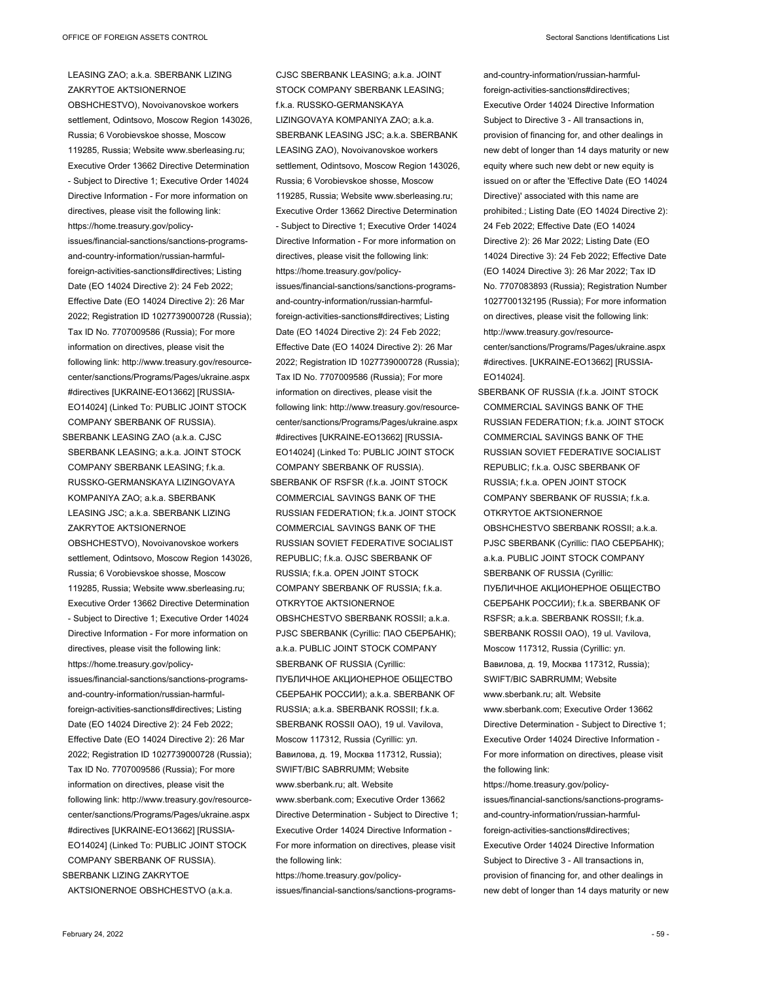## LEASING ZAO; a.k.a. SBERBANK LIZING ZAKRYTOE AKTSIONERNOE

OBSHCHESTVO), Novoivanovskoe workers settlement, Odintsovo, Moscow Region 143026, Russia; 6 Vorobievskoe shosse, Moscow 119285, Russia; Website www.sberleasing.ru; Executive Order 13662 Directive Determination - Subject to Directive 1; Executive Order 14024 Directive Information - For more information on directives, please visit the following link: https://home.treasury.gov/policyissues/financial-sanctions/sanctions-programsand-country-information/russian-harmfulforeign-activities-sanctions#directives; Listing Date (EO 14024 Directive 2): 24 Feb 2022; Effective Date (EO 14024 Directive 2): 26 Mar 2022; Registration ID 1027739000728 (Russia); Tax ID No. 7707009586 (Russia); For more information on directives, please visit the following link: http://www.treasury.gov/resourcecenter/sanctions/Programs/Pages/ukraine.aspx #directives [UKRAINE-EO13662] [RUSSIA-EO14024] (Linked To: PUBLIC JOINT STOCK COMPANY SBERBANK OF RUSSIA).

SBERBANK LEASING ZAO (a.k.a. CJSC

SBERBANK LEASING; a.k.a. JOINT STOCK COMPANY SBERBANK LEASING; f.k.a. RUSSKO-GERMANSKAYA LIZINGOVAYA KOMPANIYA ZAO; a.k.a. SBERBANK LEASING JSC; a.k.a. SBERBANK LIZING ZAKRYTOE AKTSIONERNOE OBSHCHESTVO), Novoivanovskoe workers settlement, Odintsovo, Moscow Region 143026, Russia; 6 Vorobievskoe shosse, Moscow 119285, Russia; Website www.sberleasing.ru; Executive Order 13662 Directive Determination - Subject to Directive 1; Executive Order 14024 Directive Information - For more information on directives, please visit the following link: https://home.treasury.gov/policyissues/financial-sanctions/sanctions-programsand-country-information/russian-harmfulforeign-activities-sanctions#directives; Listing Date (EO 14024 Directive 2): 24 Feb 2022; Effective Date (EO 14024 Directive 2): 26 Mar 2022; Registration ID 1027739000728 (Russia); Tax ID No. 7707009586 (Russia); For more information on directives, please visit the following link: http://www.treasury.gov/resourcecenter/sanctions/Programs/Pages/ukraine.aspx #directives [UKRAINE-EO13662] [RUSSIA-EO14024] (Linked To: PUBLIC JOINT STOCK COMPANY SBERBANK OF RUSSIA). SBERBANK LIZING ZAKRYTOE

AKTSIONERNOE OBSHCHESTVO (a.k.a.

CJSC SBERBANK LEASING; a.k.a. JOINT STOCK COMPANY SBERBANK LEASING: f.k.a. RUSSKO-GERMANSKAYA LIZINGOVAYA KOMPANIYA ZAO; a.k.a. SBERBANK LEASING JSC; a k a SBERBANK LEASING ZAO), Novoivanovskoe workers settlement, Odintsovo, Moscow Region 143026, Russia; 6 Vorobievskoe shosse, Moscow 119285, Russia; Website www.sberleasing.ru; Executive Order 13662 Directive Determination - Subject to Directive 1; Executive Order 14024 Directive Information - For more information on directives, please visit the following link: https://home.treasury.gov/policyissues/financial-sanctions/sanctions-programsand-country-information/russian-harmfulforeign-activities-sanctions#directives; Listing Date (EO 14024 Directive 2): 24 Feb 2022; Effective Date (EO 14024 Directive 2): 26 Mar 2022; Registration ID 1027739000728 (Russia); Tax ID No. 7707009586 (Russia); For more information on directives, please visit the following link: http://www.treasury.gov/resourcecenter/sanctions/Programs/Pages/ukraine.aspx #directives [UKRAINE-EO13662] [RUSSIA-EO14024] (Linked To: PUBLIC JOINT STOCK COMPANY SBERBANK OF RUSSIA). SBERBANK OF RSFSR (f.k.a. JOINT STOCK COMMERCIAL SAVINGS BANK OF THE RUSSIAN FEDERATION; f.k.a. JOINT STOCK COMMERCIAL SAVINGS BANK OF THE RUSSIAN SOVIET FEDERATIVE SOCIALIST REPUBLIC; f.k.a. OJSC SBERBANK OF

RUSSIA; f.k.a. OPEN JOINT STOCK COMPANY SBERBANK OF RUSSIA; f.k.a. OTKRYTOE AKTSIONERNOE OBSHCHESTVO SBERBANK ROSSII; a.k.a. PJSC SBERBANK (Cyrillic: ПАО СБЕРБАНК); a.k.a. PUBLIC JOINT STOCK COMPANY SBERBANK OF RUSSIA (Cyrillic: ПУБЛИЧНОЕ АКЦИОНЕРНОЕ ОБЩЕСТВО СБЕРБАНК РОССИИ); a.k.a. SBERBANK OF RUSSIA; a.k.a. SBERBANK ROSSII; f.k.a. SBERBANK ROSSII OAO), 19 ul. Vavilova, Moscow 117312, Russia (Cyrillic: ул. Вавилова, д. 19, Москва 117312, Russia); SWIFT/BIC SABRRUMM; Website www.sberbank.ru; alt. Website www.sberbank.com; Executive Order 13662 Directive Determination - Subject to Directive 1; Executive Order 14024 Directive Information - For more information on directives, please visit the following link:

https://home.treasury.gov/policyissues/financial-sanctions/sanctions-programs-

and-country-information/russian-harmfulforeign-activities-sanctions#directives; Executive Order 14024 Directive Information Subject to Directive 3 - All transactions in, provision of financing for, and other dealings in new debt of longer than 14 days maturity or new equity where such new debt or new equity is issued on or after the 'Effective Date (EO 14024 Directive)' associated with this name are prohibited.; Listing Date (EO 14024 Directive 2): 24 Feb 2022; Effective Date (EO 14024 Directive 2): 26 Mar 2022; Listing Date (EO 14024 Directive 3): 24 Feb 2022; Effective Date (EO 14024 Directive 3): 26 Mar 2022; Tax ID No. 7707083893 (Russia); Registration Number 1027700132195 (Russia); For more information on directives, please visit the following link: http://www.treasury.gov/resourcecenter/sanctions/Programs/Pages/ukraine.aspx #directives. [UKRAINE-EO13662] [RUSSIA-

EO14024].

SBERBANK OF RUSSIA (f.k.a. JOINT STOCK COMMERCIAL SAVINGS BANK OF THE RUSSIAN FEDERATION; f.k.a. JOINT STOCK COMMERCIAL SAVINGS BANK OF THE RUSSIAN SOVIET FEDERATIVE SOCIALIST REPUBLIC; f.k.a. OJSC SBERBANK OF RUSSIA; f.k.a. OPEN JOINT STOCK COMPANY SBERBANK OF RUSSIA; f.k.a. OTKRYTOE AKTSIONERNOE OBSHCHESTVO SBERBANK ROSSII; a.k.a. PJSC SBERBANK (Cyrillic: ПАО СБЕРБАНК); a.k.a. PUBLIC JOINT STOCK COMPANY SBERBANK OF RUSSIA (Cyrillic: ПУБЛИЧНОЕ АКЦИОНЕРНОЕ ОБЩЕСТВО СБЕРБАНК РОССИИ); f.k.a. SBERBANK OF RSFSR; a.k.a. SBERBANK ROSSII; f.k.a. SBERBANK ROSSII OAO), 19 ul. Vavilova, Moscow 117312, Russia (Cyrillic: ул. Вавилова, д. 19, Москва 117312, Russia); SWIFT/BIC SABRRUMM; Website www.sberbank.ru; alt. Website www.sberbank.com; Executive Order 13662 Directive Determination - Subject to Directive 1; Executive Order 14024 Directive Information - For more information on directives, please visit the following link: https://home.treasury.gov/policyissues/financial-sanctions/sanctions-programsand-country-information/russian-harmfulforeign-activities-sanctions#directives; Executive Order 14024 Directive Information Subject to Directive 3 - All transactions in, provision of financing for, and other dealings in

new debt of longer than 14 days maturity or new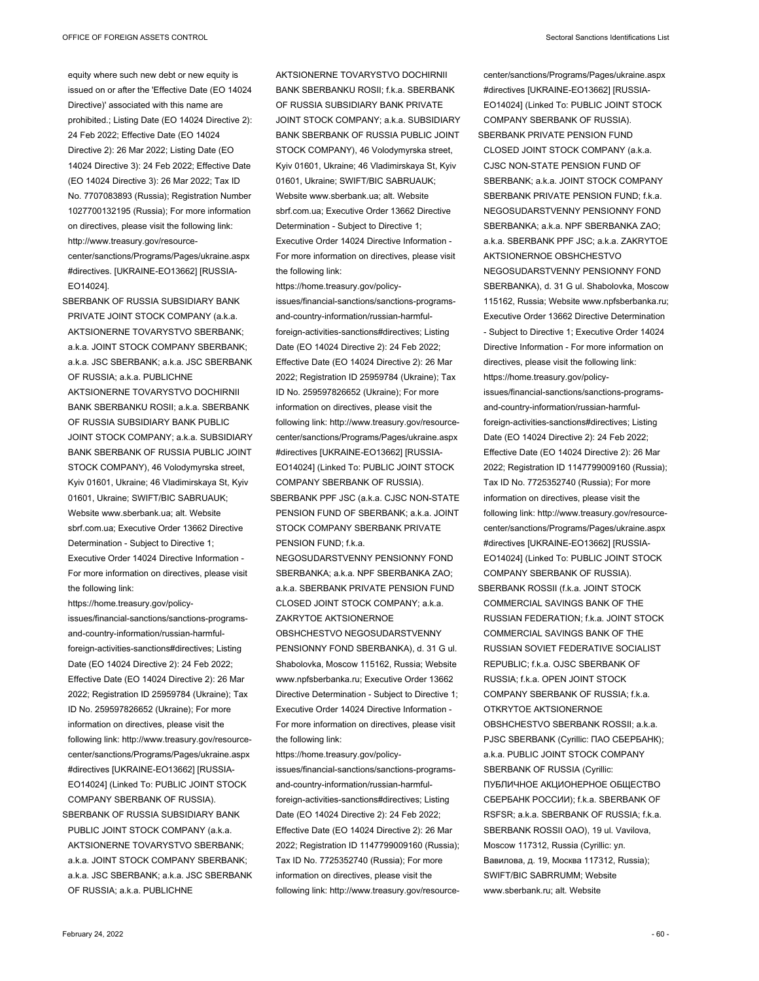equity where such new debt or new equity is issued on or after the 'Effective Date (EO 14024 Directive)' associated with this name are prohibited.; Listing Date (EO 14024 Directive 2): 24 Feb 2022; Effective Date (EO 14024 Directive 2): 26 Mar 2022; Listing Date (EO 14024 Directive 3): 24 Feb 2022; Effective Date (EO 14024 Directive 3): 26 Mar 2022; Tax ID No. 7707083893 (Russia); Registration Number 1027700132195 (Russia); For more information on directives, please visit the following link: http://www.treasury.gov/resourcecenter/sanctions/Programs/Pages/ukraine.aspx #directives. [UKRAINE-EO13662] [RUSSIA-EO14024].

SBERBANK OF RUSSIA SUBSIDIARY BANK PRIVATE JOINT STOCK COMPANY (a.k.a. AKTSIONERNE TOVARYSTVO SBERBANK; a.k.a. JOINT STOCK COMPANY SBERBANK; a.k.a. JSC SBERBANK; a.k.a. JSC SBERBANK OF RUSSIA; a.k.a. PUBLICHNE AKTSIONERNE TOVARYSTVO DOCHIRNII BANK SBERBANKU ROSII; a.k.a. SBERBANK OF RUSSIA SUBSIDIARY BANK PUBLIC JOINT STOCK COMPANY; a.k.a. SUBSIDIARY BANK SBERBANK OF RUSSIA PUBLIC JOINT STOCK COMPANY), 46 Volodymyrska street, Kyiv 01601, Ukraine; 46 Vladimirskaya St, Kyiv 01601, Ukraine; SWIFT/BIC SABRUAUK; Website www.sberbank.ua; alt. Website sbrf.com.ua; Executive Order 13662 Directive Determination - Subject to Directive 1; Executive Order 14024 Directive Information - For more information on directives, please visit the following link:

https://home.treasury.gov/policyissues/financial-sanctions/sanctions-programsand-country-information/russian-harmfulforeign-activities-sanctions#directives; Listing Date (EO 14024 Directive 2): 24 Feb 2022; Effective Date (EO 14024 Directive 2): 26 Mar 2022; Registration ID 25959784 (Ukraine); Tax ID No. 259597826652 (Ukraine); For more information on directives, please visit the following link: http://www.treasury.gov/resourcecenter/sanctions/Programs/Pages/ukraine.aspx #directives [UKRAINE-EO13662] [RUSSIA-EO14024] (Linked To: PUBLIC JOINT STOCK COMPANY SBERBANK OF RUSSIA).

SBERBANK OF RUSSIA SUBSIDIARY BANK PUBLIC JOINT STOCK COMPANY (a.k.a. AKTSIONERNE TOVARYSTVO SBERBANK; a.k.a. JOINT STOCK COMPANY SBERBANK; a.k.a. JSC SBERBANK; a.k.a. JSC SBERBANK OF RUSSIA; a.k.a. PUBLICHNE

AKTSIONERNE TOVARYSTVO DOCHIRNII BANK SBERBANKU ROSII; f.k.a. SBERBANK OF RUSSIA SUBSIDIARY BANK PRIVATE JOINT STOCK COMPANY; a.k.a. SUBSIDIARY BANK SBERBANK OF RUSSIA PUBLIC JOINT STOCK COMPANY), 46 Volodymyrska street, Kyiv 01601, Ukraine; 46 Vladimirskaya St, Kyiv 01601, Ukraine; SWIFT/BIC SABRUAUK; Website www.sberbank.ua; alt. Website sbrf.com.ua; Executive Order 13662 Directive Determination - Subject to Directive 1; Executive Order 14024 Directive Information - For more information on directives, please visit

the following link:

https://home.treasury.gov/policyissues/financial-sanctions/sanctions-programsand-country-information/russian-harmfulforeign-activities-sanctions#directives; Listing Date (EO 14024 Directive 2): 24 Feb 2022; Effective Date (EO 14024 Directive 2): 26 Mar 2022; Registration ID 25959784 (Ukraine); Tax ID No. 259597826652 (Ukraine); For more information on directives, please visit the following link: http://www.treasury.gov/resourcecenter/sanctions/Programs/Pages/ukraine.aspx #directives [UKRAINE-EO13662] [RUSSIA-EO14024] (Linked To: PUBLIC JOINT STOCK COMPANY SBERBANK OF RUSSIA). SBERBANK PPF JSC (a.k.a. CJSC NON-STATE PENSION FUND OF SBERBANK; a.k.a. JOINT STOCK COMPANY SBERBANK PRIVATE  $P$ FNSION FUND; fka.

NEGOSUDARSTVENNY PENSIONNY FOND SBERBANKA; a.k.a. NPF SBERBANKA ZAO; a.k.a. SBERBANK PRIVATE PENSION FUND CLOSED JOINT STOCK COMPANY; a k a ZAKRYTOE AKTSIONERNOE

OBSHCHESTVO NEGOSUDARSTVENNY PENSIONNY FOND SBERBANKA), d. 31 G ul. Shabolovka, Moscow 115162, Russia; Website www.npfsberbanka.ru; Executive Order 13662 Directive Determination - Subject to Directive 1; Executive Order 14024 Directive Information - For more information on directives, please visit the following link:

https://home.treasury.gov/policyissues/financial-sanctions/sanctions-programsand-country-information/russian-harmfulforeign-activities-sanctions#directives; Listing Date (EO 14024 Directive 2): 24 Feb 2022; Effective Date (EO 14024 Directive 2): 26 Mar 2022; Registration ID 1147799009160 (Russia); Tax ID No. 7725352740 (Russia); For more information on directives, please visit the following link: http://www.treasury.gov/resource-

center/sanctions/Programs/Pages/ukraine.aspx #directives [UKRAINE-EO13662] [RUSSIA-EO14024] (Linked To: PUBLIC JOINT STOCK COMPANY SBERBANK OF RUSSIA). SBERBANK PRIVATE PENSION FUND CLOSED JOINT STOCK COMPANY (a.k.a. CJSC NON-STATE PENSION FUND OF SBERBANK; a.k.a. JOINT STOCK COMPANY SBERBANK PRIVATE PENSION FUND; f.k.a. NEGOSUDARSTVENNY PENSIONNY FOND SBERBANKA; a.k.a. NPF SBERBANKA ZAO; a.k.a. SBERBANK PPF JSC; a.k.a. ZAKRYTOE AKTSIONERNOE OBSHCHESTVO NEGOSUDARSTVENNY PENSIONNY FOND SBERBANKA), d. 31 G ul. Shabolovka, Moscow 115162, Russia; Website www.npfsberbanka.ru; Executive Order 13662 Directive Determination - Subject to Directive 1; Executive Order 14024 Directive Information - For more information on directives, please visit the following link: https://home.treasury.gov/policyissues/financial-sanctions/sanctions-programsand-country-information/russian-harmfulforeign-activities-sanctions#directives; Listing Date (EO 14024 Directive 2): 24 Feb 2022; Effective Date (EO 14024 Directive 2): 26 Mar 2022; Registration ID 1147799009160 (Russia); Tax ID No. 7725352740 (Russia); For more information on directives, please visit the following link: http://www.treasury.gov/resourcecenter/sanctions/Programs/Pages/ukraine.aspx #directives [UKRAINE-EO13662] [RUSSIA-EO14024] (Linked To: PUBLIC JOINT STOCK COMPANY SBERBANK OF RUSSIA). SBERBANK ROSSII (f.k.a. JOINT STOCK COMMERCIAL SAVINGS BANK OF THE RUSSIAN FEDERATION; f.k.a. JOINT STOCK COMMERCIAL SAVINGS BANK OF THE RUSSIAN SOVIET FEDERATIVE SOCIALIST REPUBLIC; f.k.a. OJSC SBERBANK OF RUSSIA; f.k.a. OPEN JOINT STOCK COMPANY SBERBANK OF RUSSIA; f.k.a. OTKRYTOE AKTSIONERNOE OBSHCHESTVO SBERBANK ROSSII; a.k.a. PJSC SBERBANK (Cyrillic: ПАО СБЕРБАНК); a.k.a. PUBLIC JOINT STOCK COMPANY

SBERBANK OF RUSSIA (Cyrillic: ПУБЛИЧНОЕ АКЦИОНЕРНОЕ ОБЩЕСТВО СБЕРБАНК РОССИИ); f.k.a. SBERBANK OF RSFSR; a.k.a. SBERBANK OF RUSSIA; f.k.a. SBERBANK ROSSII OAO), 19 ul. Vavilova, Moscow 117312, Russia (Cyrillic: ул. Вавилова, д. 19, Москва 117312, Russia); SWIFT/BIC SABRRUMM; Website www.sberbank.ru; alt. Website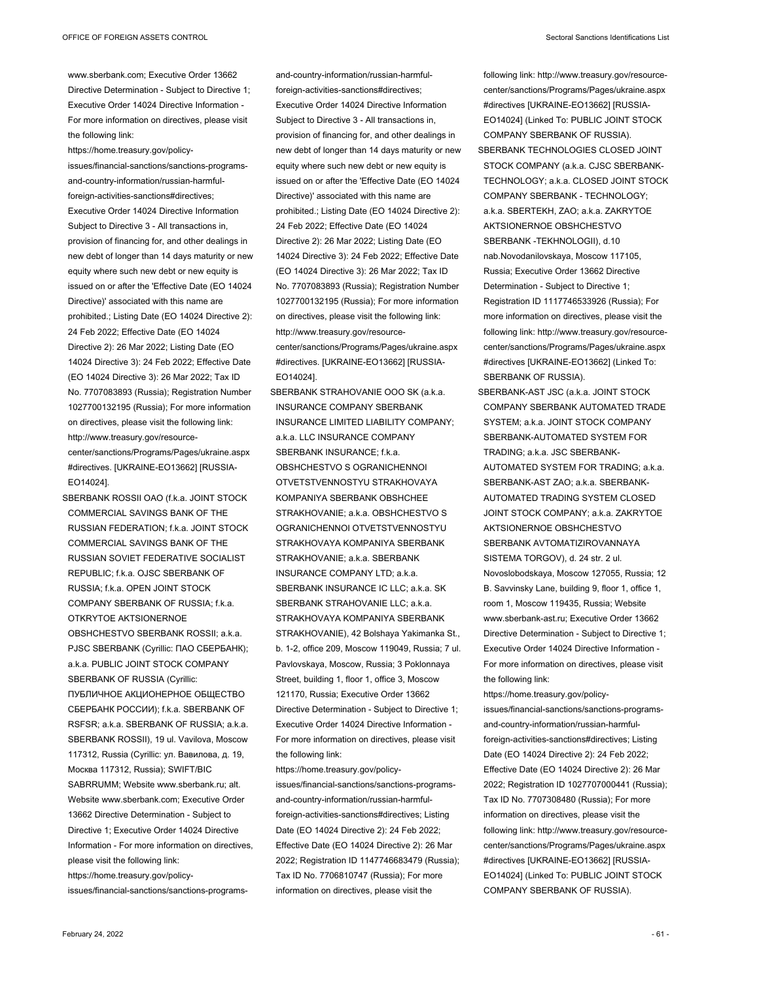www.sberbank.com; Executive Order 13662 Directive Determination - Subject to Directive 1; Executive Order 14024 Directive Information - For more information on directives, please visit the following link:

https://home.treasury.gov/policyissues/financial-sanctions/sanctions-programsand-country-information/russian-harmfulforeign-activities-sanctions#directives; Executive Order 14024 Directive Information Subject to Directive 3 - All transactions in, provision of financing for, and other dealings in new debt of longer than 14 days maturity or new equity where such new debt or new equity is issued on or after the 'Effective Date (EO 14024 Directive)' associated with this name are prohibited.; Listing Date (EO 14024 Directive 2): 24 Feb 2022; Effective Date (EO 14024 Directive 2): 26 Mar 2022; Listing Date (EO 14024 Directive 3): 24 Feb 2022; Effective Date (EO 14024 Directive 3): 26 Mar 2022; Tax ID No. 7707083893 (Russia); Registration Number 1027700132195 (Russia); For more information on directives, please visit the following link: http://www.treasury.gov/resourcecenter/sanctions/Programs/Pages/ukraine.aspx #directives. [UKRAINE-EO13662] [RUSSIA-EO14024].

SBERBANK ROSSII OAO (f.k.a. JOINT STOCK COMMERCIAL SAVINGS BANK OF THE RUSSIAN FEDERATION; f.k.a. JOINT STOCK COMMERCIAL SAVINGS BANK OF THE RUSSIAN SOVIET FEDERATIVE SOCIALIST REPUBLIC; f.k.a. OJSC SBERBANK OF RUSSIA; f.k.a. OPEN JOINT STOCK COMPANY SBERBANK OF RUSSIA; f.k.a. OTKRYTOE AKTSIONERNOE OBSHCHESTVO SBERBANK ROSSII; a.k.a. PJSC SBERBANK (Cyrillic: ПАО СБЕРБАНК); a.k.a. PUBLIC JOINT STOCK COMPANY SBERBANK OF RUSSIA (Cyrillic: ПУБЛИЧНОЕ АКЦИОНЕРНОЕ ОБЩЕСТВО СБЕРБАНК РОССИИ); f.k.a. SBERBANK OF RSFSR; a.k.a. SBERBANK OF RUSSIA; a.k.a. SBERBANK ROSSII), 19 ul. Vavilova, Moscow 117312, Russia (Cyrillic: ул. Вавилова, д. 19, Москва 117312, Russia); SWIFT/BIC SABRRUMM; Website www.sberbank.ru; alt. Website www.sberbank.com; Executive Order 13662 Directive Determination - Subject to Directive 1; Executive Order 14024 Directive Information - For more information on directives, please visit the following link: https://home.treasury.gov/policyissues/financial-sanctions/sanctions-programsand-country-information/russian-harmfulforeign-activities-sanctions#directives; Executive Order 14024 Directive Information Subject to Directive 3 - All transactions in, provision of financing for, and other dealings in new debt of longer than 14 days maturity or new equity where such new debt or new equity is issued on or after the 'Effective Date (EO 14024 Directive)' associated with this name are prohibited.; Listing Date (EO 14024 Directive 2): 24 Feb 2022; Effective Date (EO 14024 Directive 2): 26 Mar 2022; Listing Date (EO 14024 Directive 3): 24 Feb 2022; Effective Date (EO 14024 Directive 3): 26 Mar 2022; Tax ID No. 7707083893 (Russia); Registration Number 1027700132195 (Russia); For more information on directives, please visit the following link: http://www.treasury.gov/resourcecenter/sanctions/Programs/Pages/ukraine.aspx #directives. [UKRAINE-EO13662] [RUSSIA-

EO14024]. SBERBANK STRAHOVANIE OOO SK (a.k.a. INSURANCE COMPANY SBERBANK INSURANCE LIMITED LIABILITY COMPANY; a.k.a. LLC INSURANCE COMPANY SBERBANK INSURANCE; f.k.a. OBSHCHESTVO S OGRANICHENNOI OTVETSTVENNOSTYU STRAKHOVAYA KOMPANIYA SBERBANK OBSHCHEE STRAKHOVANIE; a.k.a. OBSHCHESTVO S OGRANICHENNOI OTVETSTVENNOSTYU STRAKHOVAYA KOMPANIYA SBERBANK STRAKHOVANIE; a.k.a. SBERBANK INSURANCE COMPANY LTD; a.k.a. SBERBANK INSURANCE IC LLC; a.k.a. SK SBERBANK STRAHOVANIE LLC: a.k.a. STRAKHOVAYA KOMPANIYA SBERBANK STRAKHOVANIE), 42 Bolshaya Yakimanka St., b. 1-2, office 209, Moscow 119049, Russia; 7 ul. Pavlovskaya, Moscow, Russia; 3 Poklonnaya Street, building 1, floor 1, office 3, Moscow 121170, Russia; Executive Order 13662 Directive Determination - Subject to Directive 1; Executive Order 14024 Directive Information - For more information on directives, please visit the following link:

https://home.treasury.gov/policyissues/financial-sanctions/sanctions-programsand-country-information/russian-harmfulforeign-activities-sanctions#directives; Listing Date (EO 14024 Directive 2): 24 Feb 2022; Effective Date (EO 14024 Directive 2): 26 Mar 2022; Registration ID 1147746683479 (Russia); Tax ID No. 7706810747 (Russia); For more information on directives, please visit the

following link: http://www.treasury.gov/resourcecenter/sanctions/Programs/Pages/ukraine.aspx #directives [UKRAINE-EO13662] [RUSSIA-EO14024] (Linked To: PUBLIC JOINT STOCK COMPANY SBERBANK OF RUSSIA). SBERBANK TECHNOLOGIES CLOSED JOINT

- STOCK COMPANY (a.k.a. CJSC SBERBANK-TECHNOLOGY; a.k.a. CLOSED JOINT STOCK COMPANY SBERBANK - TECHNOLOGY; a.k.a. SBERTEKH, ZAO; a.k.a. ZAKRYTOE AKTSIONERNOE OBSHCHESTVO SBERBANK -TEKHNOLOGII), d.10 nab.Novodanilovskaya, Moscow 117105, Russia; Executive Order 13662 Directive Determination - Subject to Directive 1; Registration ID 1117746533926 (Russia); For more information on directives, please visit the following link: http://www.treasury.gov/resourcecenter/sanctions/Programs/Pages/ukraine.aspx #directives [UKRAINE-EO13662] (Linked To: SBERBANK OF RUSSIA).
- SBERBANK-AST JSC (a.k.a. JOINT STOCK COMPANY SBERBANK AUTOMATED TRADE SYSTEM; a.k.a. JOINT STOCK COMPANY SBERBANK-AUTOMATED SYSTEM FOR TRADING; a.k.a. JSC SBERBANK-AUTOMATED SYSTEM FOR TRADING; a.k.a. SBERBANK-AST ZAO; a.k.a. SBERBANK-AUTOMATED TRADING SYSTEM CLOSED JOINT STOCK COMPANY; a.k.a. ZAKRYTOE AKTSIONERNOE OBSHCHESTVO SBERBANK AVTOMATIZIROVANNAYA SISTEMA TORGOV), d. 24 str. 2 ul. Novoslobodskaya, Moscow 127055, Russia; 12 B. Savvinsky Lane, building 9, floor 1, office 1, room 1, Moscow 119435, Russia; Website www.sberbank-ast.ru; Executive Order 13662 Directive Determination - Subject to Directive 1; Executive Order 14024 Directive Information - For more information on directives, please visit the following link:

https://home.treasury.gov/policyissues/financial-sanctions/sanctions-programsand-country-information/russian-harmfulforeign-activities-sanctions#directives; Listing Date (EO 14024 Directive 2): 24 Feb 2022; Effective Date (EO 14024 Directive 2): 26 Mar 2022; Registration ID 1027707000441 (Russia); Tax ID No. 7707308480 (Russia); For more information on directives, please visit the following link: http://www.treasury.gov/resourcecenter/sanctions/Programs/Pages/ukraine.aspx #directives [UKRAINE-EO13662] [RUSSIA-EO14024] (Linked To: PUBLIC JOINT STOCK COMPANY SBERBANK OF RUSSIA).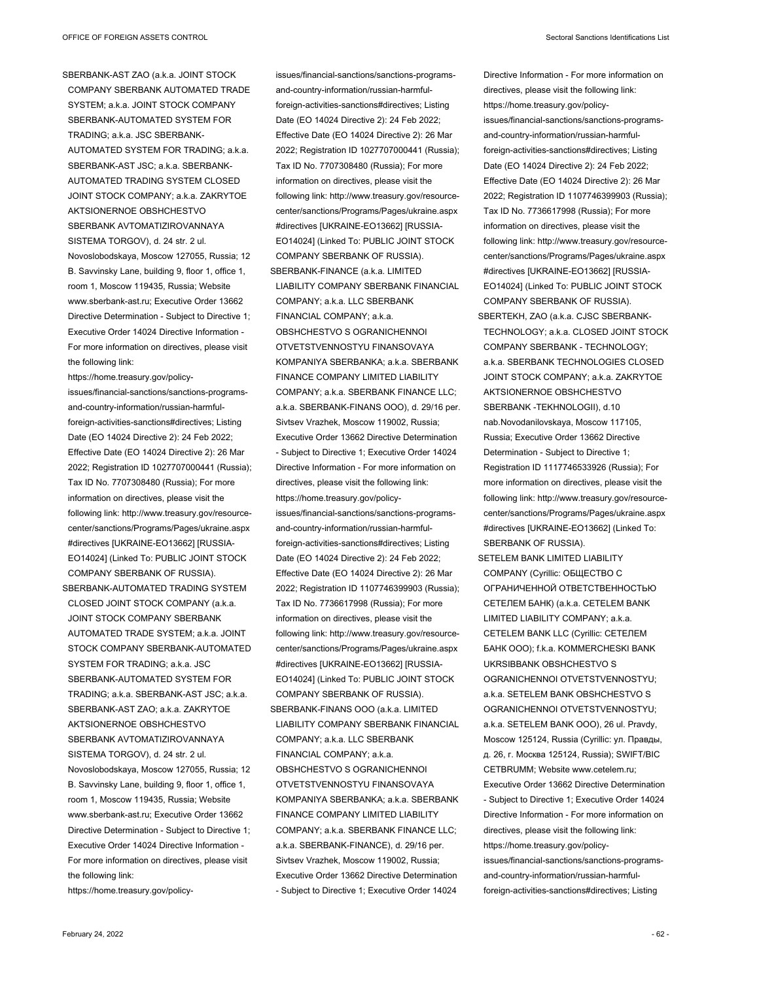SBERBANK-AST ZAO (a.k.a. JOINT STOCK COMPANY SBERBANK AUTOMATED TRADE SYSTEM; a.k.a. JOINT STOCK COMPANY SBERBANK-AUTOMATED SYSTEM FOR TRADING; a.k.a. JSC SBERBANK-AUTOMATED SYSTEM FOR TRADING; a.k.a. SBERBANK-AST JSC; a.k.a. SBERBANK-AUTOMATED TRADING SYSTEM CLOSED JOINT STOCK COMPANY; a.k.a. ZAKRYTOE AKTSIONERNOE OBSHCHESTVO SBERBANK AVTOMATIZIROVANNAYA SISTEMA TORGOV), d. 24 str. 2 ul. Novoslobodskaya, Moscow 127055, Russia; 12 B. Savvinsky Lane, building 9, floor 1, office 1, room 1, Moscow 119435, Russia; Website www.sberbank-ast.ru; Executive Order 13662 Directive Determination - Subject to Directive 1; Executive Order 14024 Directive Information - For more information on directives, please visit the following link:

https://home.treasury.gov/policyissues/financial-sanctions/sanctions-programsand-country-information/russian-harmfulforeign-activities-sanctions#directives; Listing Date (EO 14024 Directive 2): 24 Feb 2022; Effective Date (EO 14024 Directive 2): 26 Mar 2022; Registration ID 1027707000441 (Russia); Tax ID No. 7707308480 (Russia); For more information on directives, please visit the following link: http://www.treasury.gov/resourcecenter/sanctions/Programs/Pages/ukraine.aspx #directives [UKRAINE-EO13662] [RUSSIA-EO14024] (Linked To: PUBLIC JOINT STOCK COMPANY SBERBANK OF RUSSIA). SBERBANK-AUTOMATED TRADING SYSTEM CLOSED JOINT STOCK COMPANY (a.k.a. JOINT STOCK COMPANY SBERBANK AUTOMATED TRADE SYSTEM; a.k.a. JOINT STOCK COMPANY SBERBANK-AUTOMATED SYSTEM FOR TRADING; a.k.a. JSC SBERBANK-AUTOMATED SYSTEM FOR TRADING; a.k.a. SBERBANK-AST JSC; a.k.a. SBERBANK-AST ZAO; a.k.a. ZAKRYTOE AKTSIONERNOE OBSHCHESTVO SBERBANK AVTOMATIZIROVANNAYA SISTEMA TORGOV), d. 24 str. 2 ul. Novoslobodskaya, Moscow 127055, Russia; 12 B. Savvinsky Lane, building 9, floor 1, office 1, room 1, Moscow 119435, Russia; Website www.sberbank-ast.ru; Executive Order 13662 Directive Determination - Subject to Directive 1; Executive Order 14024 Directive Information - For more information on directives, please visit the following link:

https://home.treasury.gov/policy-

issues/financial-sanctions/sanctions-programsand-country-information/russian-harmfulforeign-activities-sanctions#directives; Listing Date (EO 14024 Directive 2): 24 Feb 2022; Effective Date (EO 14024 Directive 2): 26 Mar 2022; Registration ID 1027707000441 (Russia); Tax ID No. 7707308480 (Russia); For more information on directives, please visit the following link: http://www.treasury.gov/resourcecenter/sanctions/Programs/Pages/ukraine.aspx #directives [UKRAINE-EO13662] [RUSSIA-EO14024] (Linked To: PUBLIC JOINT STOCK COMPANY SBERBANK OF RUSSIA). SBERBANK-FINANCE (a.k.a. LIMITED LIABILITY COMPANY SBERBANK FINANCIAL COMPANY; a.k.a. LLC SBERBANK FINANCIAL COMPANY; a.k.a. OBSHCHESTVO S OGRANICHENNOI OTVETSTVENNOSTYU FINANSOVAYA KOMPANIYA SBERBANKA; a.k.a. SBERBANK FINANCE COMPANY LIMITED LIABILITY COMPANY; a.k.a. SBERBANK FINANCE LLC; a.k.a. SBERBANK-FINANS OOO), d. 29/16 per. Sivtsev Vrazhek, Moscow 119002, Russia; Executive Order 13662 Directive Determination - Subject to Directive 1; Executive Order 14024 Directive Information - For more information on directives, please visit the following link: https://home.treasury.gov/policyissues/financial-sanctions/sanctions-programsand-country-information/russian-harmfulforeign-activities-sanctions#directives; Listing Date (EO 14024 Directive 2): 24 Feb 2022; Effective Date (EO 14024 Directive 2): 26 Mar 2022; Registration ID 1107746399903 (Russia); Tax ID No. 7736617998 (Russia); For more information on directives, please visit the following link: http://www.treasury.gov/resourcecenter/sanctions/Programs/Pages/ukraine.aspx #directives [UKRAINE-EO13662] [RUSSIA-EO14024] (Linked To: PUBLIC JOINT STOCK COMPANY SBERBANK OF RUSSIA). SBERBANK-FINANS OOO (a.k.a. LIMITED LIABILITY COMPANY SBERBANK FINANCIAL COMPANY; a.k.a. LLC SBERBANK FINANCIAL COMPANY; a.k.a. OBSHCHESTVO S OGRANICHENNOI OTVETSTVENNOSTYU FINANSOVAYA KOMPANIYA SBERBANKA; a.k.a. SBERBANK FINANCE COMPANY LIMITED LIABILITY COMPANY; a.k.a. SBERBANK FINANCE LLC; a.k.a. SBERBANK-FINANCE), d. 29/16 per. Sivtsev Vrazhek, Moscow 119002, Russia; Executive Order 13662 Directive Determination - Subject to Directive 1; Executive Order 14024

Directive Information - For more information on directives, please visit the following link: https://home.treasury.gov/policyissues/financial-sanctions/sanctions-programsand-country-information/russian-harmfulforeign-activities-sanctions#directives; Listing Date (EO 14024 Directive 2): 24 Feb 2022; Effective Date (EO 14024 Directive 2): 26 Mar 2022; Registration ID 1107746399903 (Russia); Tax ID No. 7736617998 (Russia); For more information on directives, please visit the following link: http://www.treasury.gov/resourcecenter/sanctions/Programs/Pages/ukraine.aspx #directives [UKRAINE-EO13662] [RUSSIA-EO14024] (Linked To: PUBLIC JOINT STOCK COMPANY SBERBANK OF RUSSIA).

- SBERTEKH, ZAO (a.k.a. CJSC SBERBANK-TECHNOLOGY; a.k.a. CLOSED JOINT STOCK COMPANY SBERBANK - TECHNOLOGY; a.k.a. SBERBANK TECHNOLOGIES CLOSED JOINT STOCK COMPANY; a.k.a. ZAKRYTOE AKTSIONERNOE OBSHCHESTVO SBERBANK -TEKHNOLOGII), d.10 nab.Novodanilovskaya, Moscow 117105, Russia; Executive Order 13662 Directive Determination - Subject to Directive 1; Registration ID 1117746533926 (Russia); For more information on directives, please visit the following link: http://www.treasury.gov/resourcecenter/sanctions/Programs/Pages/ukraine.aspx #directives [UKRAINE-EO13662] (Linked To: SBERBANK OF RUSSIA).
- SETELEM BANK LIMITED LIABILITY COMPANY (Cyrillic: ОБЩЕСТВО С ОГРАНИЧЕННОЙ ОТВЕТСТВЕННОСТЬЮ СЕТЕЛЕМ БАНК) (a.k.a. CETELEM BANK LIMITED LIABILITY COMPANY; a.k.a. CETELEM BANK LLC (Cyrillic: СЕТЕЛЕМ БАНК ООО); f.k.a. KOMMERCHESKI BANK UKRSIBBANK OBSHCHESTVO S OGRANICHENNOI OTVETSTVENNOSTYU; a.k.a. SETELEM BANK OBSHCHESTVO S OGRANICHENNOI OTVETSTVENNOSTYU; a.k.a. SETELEM BANK OOO), 26 ul. Pravdy, Moscow 125124, Russia (Cyrillic: ул. Правды, д. 26, г. Москва 125124, Russia); SWIFT/BIC CETBRUMM; Website www.cetelem.ru; Executive Order 13662 Directive Determination - Subject to Directive 1; Executive Order 14024 Directive Information - For more information on directives, please visit the following link: https://home.treasury.gov/policyissues/financial-sanctions/sanctions-programsand-country-information/russian-harmfulforeign-activities-sanctions#directives; Listing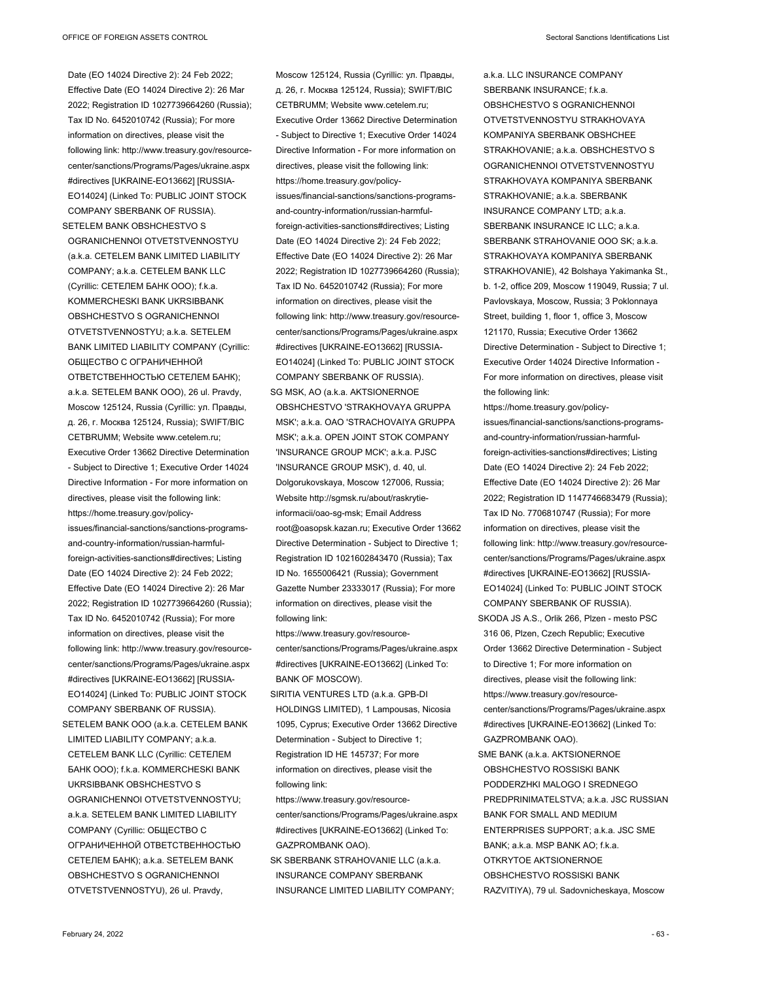Date (EO 14024 Directive 2): 24 Feb 2022; Effective Date (EO 14024 Directive 2): 26 Mar 2022; Registration ID 1027739664260 (Russia); Tax ID No. 6452010742 (Russia); For more information on directives, please visit the following link: http://www.treasury.gov/resourcecenter/sanctions/Programs/Pages/ukraine.aspx #directives [UKRAINE-EO13662] [RUSSIA-EO14024] (Linked To: PUBLIC JOINT STOCK COMPANY SBERBANK OF RUSSIA).

SETELEM BANK OBSHCHESTVO S OGRANICHENNOI OTVETSTVENNOSTYU (a.k.a. CETELEM BANK LIMITED LIABILITY COMPANY; a.k.a. CETELEM BANK LLC (Cyrillic: СЕТЕЛЕМ БАНК ООО); f.k.a. KOMMERCHESKI BANK UKRSIBBANK OBSHCHESTVO S OGRANICHENNOI OTVETSTVENNOSTYU; a.k.a. SETELEM BANK LIMITED LIABILITY COMPANY (Cyrillic: ОБЩЕСТВО С ОГРАНИЧЕННОЙ ОТВЕТСТВЕННОСТЬЮ СЕТЕЛЕМ БАНК); a.k.a. SETELEM BANK OOO), 26 ul. Pravdy, Moscow 125124, Russia (Cyrillic: ул. Правды, д. 26, г. Москва 125124, Russia); SWIFT/BIC CETBRUMM; Website www.cetelem.ru; Executive Order 13662 Directive Determination - Subject to Directive 1; Executive Order 14024 Directive Information - For more information on directives, please visit the following link: https://home.treasury.gov/policyissues/financial-sanctions/sanctions-programsand-country-information/russian-harmfulforeign-activities-sanctions#directives; Listing Date (EO 14024 Directive 2): 24 Feb 2022; Effective Date (EO 14024 Directive 2): 26 Mar 2022; Registration ID 1027739664260 (Russia); Tax ID No. 6452010742 (Russia); For more information on directives, please visit the following link: http://www.treasury.gov/resourcecenter/sanctions/Programs/Pages/ukraine.aspx #directives [UKRAINE-EO13662] [RUSSIA-EO14024] (Linked To: PUBLIC JOINT STOCK

COMPANY SBERBANK OF RUSSIA). SETELEM BANK OOO (a.k.a. CETELEM BANK LIMITED LIABILITY COMPANY; a.k.a. CETELEM BANK LLC (Cyrillic: СЕТЕЛЕМ БАНК ООО); f.k.a. KOMMERCHESKI BANK UKRSIBBANK OBSHCHESTVO S OGRANICHENNOI OTVETSTVENNOSTYU; a.k.a. SETELEM BANK LIMITED LIABILITY COMPANY (Cyrillic: ОБЩЕСТВО С ОГРАНИЧЕННОЙ ОТВЕТСТВЕННОСТЬЮ СЕТЕЛЕМ БАНК); a.k.a. SETELEM BANK OBSHCHESTVO S OGRANICHENNOI OTVETSTVENNOSTYU), 26 ul. Pravdy,

Moscow 125124, Russia (Cyrillic: ул. Правды, д. 26, г. Москва 125124, Russia); SWIFT/BIC CETBRUMM; Website www.cetelem.ru; Executive Order 13662 Directive Determination - Subject to Directive 1; Executive Order 14024 Directive Information - For more information on directives, please visit the following link: https://home.treasury.gov/policyissues/financial-sanctions/sanctions-programsand-country-information/russian-harmfulforeign-activities-sanctions#directives; Listing Date (EO 14024 Directive 2): 24 Feb 2022; Effective Date (EO 14024 Directive 2): 26 Mar 2022; Registration ID 1027739664260 (Russia); Tax ID No. 6452010742 (Russia); For more information on directives, please visit the following link: http://www.treasury.gov/resourcecenter/sanctions/Programs/Pages/ukraine.aspx #directives [UKRAINE-EO13662] [RUSSIA-EO14024] (Linked To: PUBLIC JOINT STOCK COMPANY SBERBANK OF RUSSIA). SG MSK, AO (a.k.a. AKTSIONERNOE OBSHCHESTVO 'STRAKHOVAYA GRUPPA MSK'; a.k.a. OAO 'STRACHOVAIYA GRUPPA MSK'; a.k.a. OPEN JOINT STOK COMPANY 'INSURANCE GROUP MCK'; a.k.a. PJSC 'INSURANCE GROUP MSK'), d. 40, ul. Dolgorukovskaya, Moscow 127006, Russia; Website http://sgmsk.ru/about/raskrytieinformacii/oao-sg-msk; Email Address

root@oasopsk.kazan.ru; Executive Order 13662 Directive Determination - Subject to Directive 1; Registration ID 1021602843470 (Russia); Tax ID No. 1655006421 (Russia); Government Gazette Number 23333017 (Russia); For more information on directives, please visit the following link:

https://www.treasury.gov/resourcecenter/sanctions/Programs/Pages/ukraine.aspx #directives [UKRAINE-EO13662] (Linked To: BANK OF MOSCOW).

- SIRITIA VENTURES LTD (a.k.a. GPB-DI HOLDINGS LIMITED), 1 Lampousas, Nicosia 1095, Cyprus; Executive Order 13662 Directive Determination - Subject to Directive 1; Registration ID HE 145737; For more information on directives, please visit the following link:
- https://www.treasury.gov/resourcecenter/sanctions/Programs/Pages/ukraine.aspx #directives [UKRAINE-EO13662] (Linked To: GAZPROMBANK OAO).
- SK SBERBANK STRAHOVANIE LLC (a.k.a. INSURANCE COMPANY SBERBANK INSURANCE LIMITED LIABILITY COMPANY;

a.k.a. LLC INSURANCE COMPANY SBERBANK INSURANCE:  $f k a$ OBSHCHESTVO S OGRANICHENNOI OTVETSTVENNOSTYU STRAKHOVAYA KOMPANIYA SBERBANK OBSHCHEE STRAKHOVANIE; a.k.a. OBSHCHESTVO S OGRANICHENNOI OTVETSTVENNOSTYU STRAKHOVAYA KOMPANIYA SBERBANK STRAKHOVANIE; a.k.a. SBERBANK INSURANCE COMPANY LTD; a.k.a. SBERBANK INSURANCE IC LLC; a.k.a. SBERBANK STRAHOVANIE OOO SK; a.k.a. STRAKHOVAYA KOMPANIYA SBERBANK STRAKHOVANIE), 42 Bolshaya Yakimanka St., b. 1-2, office 209, Moscow 119049, Russia; 7 ul. Pavlovskaya, Moscow, Russia; 3 Poklonnaya Street, building 1, floor 1, office 3, Moscow 121170, Russia; Executive Order 13662 Directive Determination - Subject to Directive 1; Executive Order 14024 Directive Information - For more information on directives, please visit the following link:

- https://home.treasury.gov/policyissues/financial-sanctions/sanctions-programsand-country-information/russian-harmfulforeign-activities-sanctions#directives; Listing Date (EO 14024 Directive 2): 24 Feb 2022; Effective Date (EO 14024 Directive 2): 26 Mar 2022; Registration ID 1147746683479 (Russia); Tax ID No. 7706810747 (Russia); For more information on directives, please visit the following link: http://www.treasury.gov/resourcecenter/sanctions/Programs/Pages/ukraine.aspx #directives [UKRAINE-EO13662] [RUSSIA-EO14024] (Linked To: PUBLIC JOINT STOCK COMPANY SBERBANK OF RUSSIA).
- SKODA JS A.S., Orlik 266, Plzen mesto PSC 316 06, Plzen, Czech Republic; Executive Order 13662 Directive Determination - Subject to Directive 1; For more information on directives, please visit the following link: https://www.treasury.gov/resourcecenter/sanctions/Programs/Pages/ukraine.aspx #directives [UKRAINE-EO13662] (Linked To: GAZPROMBANK OAO).
- SME BANK (a.k.a. AKTSIONERNOE OBSHCHESTVO ROSSISKI BANK PODDERZHKI MALOGO I SREDNEGO PREDPRINIMATELSTVA; a.k.a. JSC RUSSIAN BANK FOR SMALL AND MEDIUM ENTERPRISES SUPPORT; a.k.a. JSC SME  $BANK: a k.a$  MSP BANK AO; fk.a. OTKRYTOE AKTSIONERNOE OBSHCHESTVO ROSSISKI BANK RAZVITIYA), 79 ul. Sadovnicheskaya, Moscow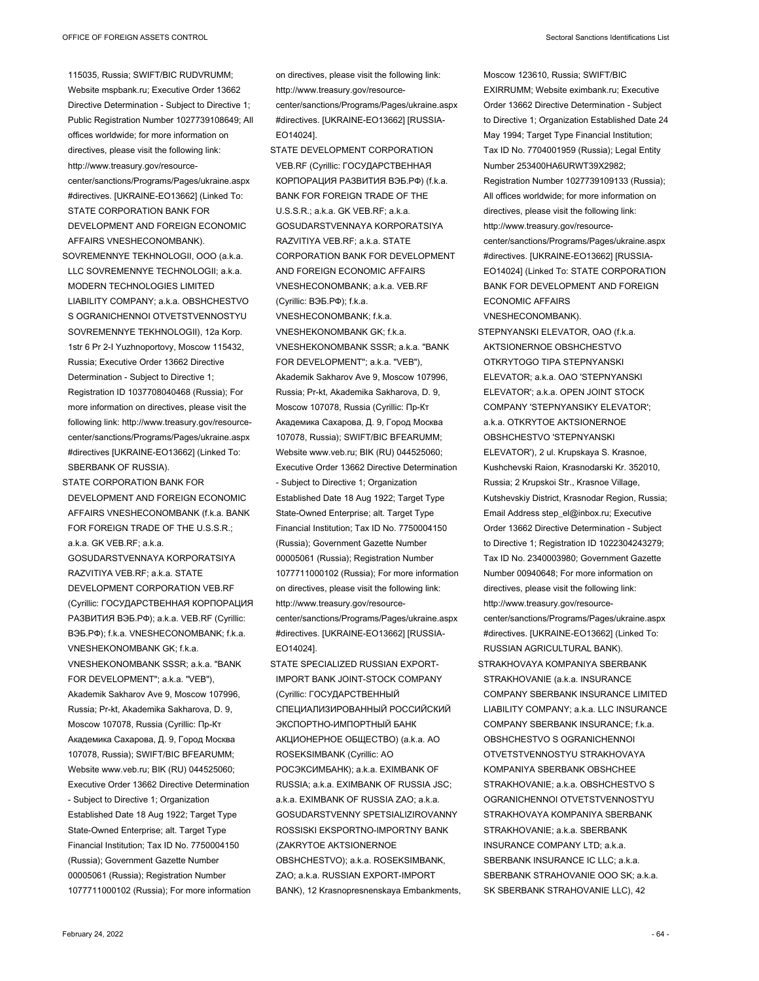115035, Russia; SWIFT/BIC RUDVRUMM; Website mspbank.ru; Executive Order 13662 Directive Determination - Subject to Directive 1; Public Registration Number 1027739108649; All offices worldwide; for more information on directives, please visit the following link: http://www.treasury.gov/resourcecenter/sanctions/Programs/Pages/ukraine.aspx #directives. [UKRAINE-EO13662] (Linked To: STATE CORPORATION BANK FOR DEVELOPMENT AND FOREIGN ECONOMIC AFFAIRS VNESHECONOMBANK).

SOVREMENNYE TEKHNOLOGII, OOO (a.k.a. LLC SOVREMENNYE TECHNOLOGII; a.k.a. MODERN TECHNOLOGIES LIMITED LIABILITY COMPANY; a.k.a. OBSHCHESTVO S OGRANICHENNOI OTVETSTVENNOSTYU SOVREMENNYE TEKHNOLOGII), 12a Korp. 1str 6 Pr 2-I Yuzhnoportovy, Moscow 115432, Russia; Executive Order 13662 Directive Determination - Subject to Directive 1; Registration ID 1037708040468 (Russia); For more information on directives, please visit the following link: http://www.treasury.gov/resourcecenter/sanctions/Programs/Pages/ukraine.aspx #directives [UKRAINE-EO13662] (Linked To: SBERBANK OF RUSSIA).

STATE CORPORATION BANK FOR DEVELOPMENT AND FOREIGN ECONOMIC AFFAIRS VNESHECONOMBANK (f.k.a. BANK FOR FOREIGN TRADE OF THE U.S.S.R.;  $aka$ . GK VEB.RF; a.k.a. GOSUDARSTVENNAYA KORPORATSIYA RAZVITIYA VEB.RF; a.k.a. STATE DEVELOPMENT CORPORATION VEB.RF (Cyrillic: ГОСУДАРСТВЕННАЯ КОРПОРАЦИЯ РАЗВИТИЯ ВЭБ.РФ); a.k.a. VEB.RF (Cyrillic: ВЭБ.РФ); f.k.a. VNESHECONOMBANK; f.k.a. VNESHEKONOMBANK GK·fka VNESHEKONOMBANK SSSR; a.k.a. "BANK FOR DEVELOPMENT"; a.k.a. "VEB"), Akademik Sakharov Ave 9, Moscow 107996, Russia; Pr-kt, Akademika Sakharova, D. 9, Moscow 107078, Russia (Cyrillic: Пр-Кт Академика Сахарова, Д. 9, Город Москва 107078, Russia); SWIFT/BIC BFEARUMM; Website www.veb.ru; BIK (RU) 044525060; Executive Order 13662 Directive Determination - Subject to Directive 1; Organization Established Date 18 Aug 1922; Target Type State-Owned Enterprise; alt. Target Type Financial Institution; Tax ID No. 7750004150 (Russia); Government Gazette Number 00005061 (Russia); Registration Number 1077711000102 (Russia); For more information

on directives, please visit the following link: http://www.treasury.gov/resourcecenter/sanctions/Programs/Pages/ukraine.aspx #directives. [UKRAINE-EO13662] [RUSSIA-EO14024].

STATE DEVELOPMENT CORPORATION VEB.RF (Cyrillic: ГОСУДАРСТВЕННАЯ КОРПОРАЦИЯ РАЗВИТИЯ ВЭБ.РФ) (f.k.a. BANK FOR FOREIGN TRADE OF THE U.S.S.R.; a.k.a. GK VEB.RF; a.k.a. GOSUDARSTVENNAYA KORPORATSIYA RAZVITIYA VEB.RF; a.k.a. STATE CORPORATION BANK FOR DEVELOPMENT AND FOREIGN ECONOMIC AFFAIRS VNESHECONOMBANK; a.k.a. VEB.RF (Cyrillic: ВЭБ.РФ); f.k.a. VNESHECONOMBANK; f.k.a. VNESHEKONOMBANK GK; f.k.a. VNESHEKONOMBANK SSSR; a.k.a. "BANK FOR DEVELOPMENT"; a.k.a. "VEB"), Akademik Sakharov Ave 9, Moscow 107996, Russia; Pr-kt, Akademika Sakharova, D. 9, Moscow 107078, Russia (Cyrillic: Пр-Кт Академика Сахарова, Д. 9, Город Москва 107078, Russia); SWIFT/BIC BFEARUMM; Website www.veb.ru; BIK (RU) 044525060; Executive Order 13662 Directive Determination - Subject to Directive 1; Organization Established Date 18 Aug 1922; Target Type State-Owned Enterprise; alt. Target Type Financial Institution; Tax ID No. 7750004150 (Russia); Government Gazette Number 00005061 (Russia); Registration Number 1077711000102 (Russia); For more information on directives, please visit the following link: http://www.treasury.gov/resourcecenter/sanctions/Programs/Pages/ukraine.aspx #directives. [UKRAINE-EO13662] [RUSSIA-EO14024].

STATE SPECIALIZED RUSSIAN EXPORT-IMPORT BANK JOINT-STOCK COMPANY (Cyrillic: ГОСУДАРСТВЕННЫЙ СПЕЦИАЛИЗИРОВАННЫЙ РОССИЙСКИЙ ЭКСПОРТНО-ИМПОРТНЫЙ БАНК АКЦИОНЕРНОЕ ОБЩЕСТВО) (a.k.a. AO ROSEKSIMBANK (Cyrillic: АО РОСЭКСИМБАНК); a.k.a. EXIMBANK OF RUSSIA; a.k.a. EXIMBANK OF RUSSIA JSC; a.k.a. EXIMBANK OF RUSSIA ZAO; a.k.a. GOSUDARSTVENNY SPETSIALIZIROVANNY ROSSISKI EKSPORTNO-IMPORTNY BANK (ZAKRYTOE AKTSIONERNOE OBSHCHESTVO); a.k.a. ROSEKSIMBANK, ZAO; a.k.a. RUSSIAN EXPORT-IMPORT BANK), 12 Krasnopresnenskaya Embankments, Moscow 123610, Russia; SWIFT/BIC EXIRRUMM; Website eximbank.ru; Executive Order 13662 Directive Determination - Subject to Directive 1; Organization Established Date 24 May 1994; Target Type Financial Institution; Tax ID No. 7704001959 (Russia); Legal Entity Number 253400HA6URWT39X2982; Registration Number 1027739109133 (Russia); All offices worldwide; for more information on directives, please visit the following link: http://www.treasury.gov/resourcecenter/sanctions/Programs/Pages/ukraine.aspx #directives. [UKRAINE-EO13662] [RUSSIA-EO14024] (Linked To: STATE CORPORATION BANK FOR DEVELOPMENT AND FOREIGN ECONOMIC AFFAIRS VNESHECONOMBANK).

STEPNYANSKI ELEVATOR, OAO (f.k.a. AKTSIONERNOE OBSHCHESTVO OTKRYTOGO TIPA STEPNYANSKI ELEVATOR; a.k.a. OAO 'STEPNYANSKI ELEVATOR'; a.k.a. OPEN JOINT STOCK COMPANY 'STEPNYANSIKY ELEVATOR'; a.k.a. OTKRYTOE AKTSIONERNOE OBSHCHESTVO 'STEPNYANSKI ELEVATOR'), 2 ul. Krupskaya S. Krasnoe, Kushchevski Raion, Krasnodarski Kr. 352010, Russia; 2 Krupskoi Str., Krasnoe Village, Kutshevskiy District, Krasnodar Region, Russia; Email Address step\_el@inbox.ru; Executive Order 13662 Directive Determination - Subject to Directive 1; Registration ID 1022304243279; Tax ID No. 2340003980; Government Gazette Number 00940648; For more information on directives, please visit the following link: http://www.treasury.gov/resourcecenter/sanctions/Programs/Pages/ukraine.aspx #directives. [UKRAINE-EO13662] (Linked To: RUSSIAN AGRICULTURAL BANK). STRAKHOVAYA KOMPANIYA SBERBANK STRAKHOVANIE (a.k.a. INSURANCE COMPANY SBERBANK INSURANCE LIMITED LIABILITY COMPANY; a.k.a. LLC INSURANCE

COMPANY SBERBANK INSURANCE: fka OBSHCHESTVO S OGRANICHENNOI OTVETSTVENNOSTYU STRAKHOVAYA KOMPANIYA SBERBANK OBSHCHEE STRAKHOVANIE; a.k.a. OBSHCHESTVO S OGRANICHENNOI OTVETSTVENNOSTYU STRAKHOVAYA KOMPANIYA SBERBANK STRAKHOVANIE; a.k.a. SBERBANK INSURANCE COMPANY LTD; a.k.a. SBERBANK INSURANCE IC LLC; a.k.a. SBERBANK STRAHOVANIE OOO SK; a.k.a. SK SBERBANK STRAHOVANIE LLC), 42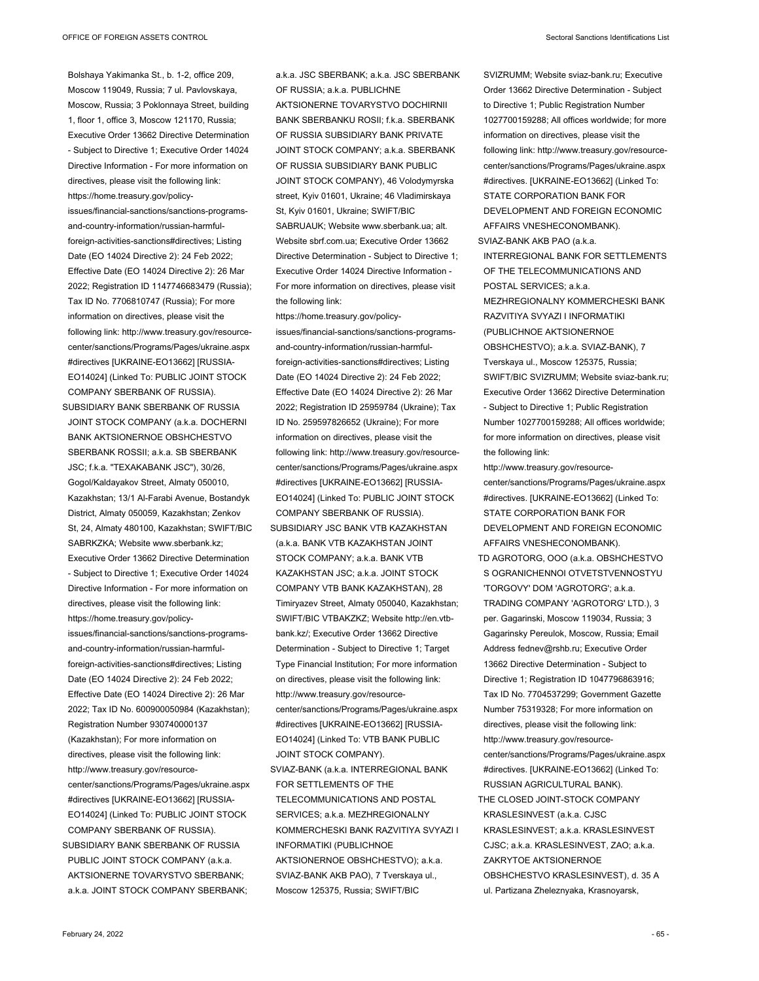Bolshaya Yakimanka St., b. 1-2, office 209, Moscow 119049, Russia; 7 ul. Pavlovskaya, Moscow, Russia; 3 Poklonnaya Street, building 1, floor 1, office 3, Moscow 121170, Russia; Executive Order 13662 Directive Determination - Subject to Directive 1; Executive Order 14024 Directive Information - For more information on directives, please visit the following link: https://home.treasury.gov/policyissues/financial-sanctions/sanctions-programsand-country-information/russian-harmfulforeign-activities-sanctions#directives; Listing Date (EO 14024 Directive 2): 24 Feb 2022; Effective Date (EO 14024 Directive 2): 26 Mar 2022; Registration ID 1147746683479 (Russia); Tax ID No. 7706810747 (Russia); For more information on directives, please visit the following link: http://www.treasury.gov/resourcecenter/sanctions/Programs/Pages/ukraine.aspx #directives [UKRAINE-EO13662] [RUSSIA-EO14024] (Linked To: PUBLIC JOINT STOCK COMPANY SBERBANK OF RUSSIA).

SUBSIDIARY BANK SBERBANK OF RUSSIA JOINT STOCK COMPANY (a.k.a. DOCHERNI BANK AKTSIONERNOE OBSHCHESTVO SBERBANK ROSSII; a.k.a. SB SBERBANK JSC; f.k.a. "TEXAKABANK JSC"), 30/26, Gogol/Kaldayakov Street, Almaty 050010, Kazakhstan; 13/1 Al-Farabi Avenue, Bostandyk District, Almaty 050059, Kazakhstan; Zenkov St, 24, Almaty 480100, Kazakhstan; SWIFT/BIC SABRKZKA; Website www.sberbank.kz; Executive Order 13662 Directive Determination - Subject to Directive 1; Executive Order 14024 Directive Information - For more information on directives, please visit the following link: https://home.treasury.gov/policyissues/financial-sanctions/sanctions-programsand-country-information/russian-harmfulforeign-activities-sanctions#directives; Listing Date (EO 14024 Directive 2): 24 Feb 2022; Effective Date (EO 14024 Directive 2): 26 Mar 2022; Tax ID No. 600900050984 (Kazakhstan); Registration Number 930740000137 (Kazakhstan); For more information on directives, please visit the following link: http://www.treasury.gov/resourcecenter/sanctions/Programs/Pages/ukraine.aspx #directives [UKRAINE-EO13662] [RUSSIA-EO14024] (Linked To: PUBLIC JOINT STOCK COMPANY SBERBANK OF RUSSIA). SUBSIDIARY BANK SBERBANK OF RUSSIA PUBLIC JOINT STOCK COMPANY (a.k.a. AKTSIONERNE TOVARYSTVO SBERBANK;

a.k.a. JOINT STOCK COMPANY SBERBANK;

a.k.a. JSC SBERBANK; a.k.a. JSC SBERBANK OF RUSSIA; a.k.a. PUBLICHNE AKTSIONERNE TOVARYSTVO DOCHIRNII BANK SBERBANKU ROSII; f.k.a. SBERBANK OF RUSSIA SUBSIDIARY BANK PRIVATE JOINT STOCK COMPANY; a.k.a. SBERBANK OF RUSSIA SUBSIDIARY BANK PUBLIC JOINT STOCK COMPANY), 46 Volodymyrska street, Kyiv 01601, Ukraine; 46 Vladimirskaya St, Kyiv 01601, Ukraine; SWIFT/BIC SABRUAUK; Website www.sberbank.ua; alt. Website sbrf.com.ua; Executive Order 13662 Directive Determination - Subject to Directive 1; Executive Order 14024 Directive Information - For more information on directives, please visit the following link:

https://home.treasury.gov/policyissues/financial-sanctions/sanctions-programsand-country-information/russian-harmfulforeign-activities-sanctions#directives; Listing Date (EO 14024 Directive 2): 24 Feb 2022; Effective Date (EO 14024 Directive 2): 26 Mar 2022; Registration ID 25959784 (Ukraine); Tax ID No. 259597826652 (Ukraine); For more information on directives, please visit the following link: http://www.treasury.gov/resourcecenter/sanctions/Programs/Pages/ukraine.aspx #directives [UKRAINE-EO13662] [RUSSIA-EO14024] (Linked To: PUBLIC JOINT STOCK COMPANY SBERBANK OF RUSSIA). SUBSIDIARY JSC BANK VTB KAZAKHSTAN (a.k.a. BANK VTB KAZAKHSTAN JOINT STOCK COMPANY; a.k.a. BANK VTB KAZAKHSTAN JSC; a.k.a. JOINT STOCK COMPANY VTB BANK KAZAKHSTAN), 28 Timiryazev Street, Almaty 050040, Kazakhstan; SWIFT/BIC VTBAKZKZ; Website http://en.vtbbank.kz/; Executive Order 13662 Directive Determination - Subject to Directive 1; Target Type Financial Institution; For more information on directives, please visit the following link: http://www.treasury.gov/resourcecenter/sanctions/Programs/Pages/ukraine.aspx #directives [UKRAINE-EO13662] [RUSSIA-EO14024] (Linked To: VTB BANK PUBLIC JOINT STOCK COMPANY). SVIAZ-BANK (a.k.a. INTERREGIONAL BANK FOR SETTLEMENTS OF THE TELECOMMUNICATIONS AND POSTAL SERVICES; a.k.a. MEZHREGIONALNY KOMMERCHESKI BANK RAZVITIYA SVYAZI I INFORMATIKI (PUBLICHNOE AKTSIONERNOE OBSHCHESTVO); a.k.a. SVIAZ-BANK AKB PAO), 7 Tverskaya ul., Moscow 125375, Russia; SWIFT/BIC

SVIZRUMM; Website sviaz-bank.ru; Executive Order 13662 Directive Determination - Subject to Directive 1; Public Registration Number 1027700159288; All offices worldwide; for more information on directives, please visit the following link: http://www.treasury.gov/resourcecenter/sanctions/Programs/Pages/ukraine.aspx #directives. [UKRAINE-EO13662] (Linked To: STATE CORPORATION BANK FOR DEVELOPMENT AND FOREIGN ECONOMIC AFFAIRS VNESHECONOMBANK). SVIAZ-BANK AKB PAO (a.k.a. INTERREGIONAL BANK FOR SETTLEMENTS OF THE TELECOMMUNICATIONS AND POSTAL SERVICES; a.k.a. MEZHREGIONALNY KOMMERCHESKI BANK RAZVITIYA SVYAZI I INFORMATIKI (PUBLICHNOE AKTSIONERNOE OBSHCHESTVO); a.k.a. SVIAZ-BANK), 7 Tverskaya ul., Moscow 125375, Russia; SWIFT/BIC SVIZRUMM; Website sviaz-bank.ru; Executive Order 13662 Directive Determination - Subject to Directive 1; Public Registration Number 1027700159288; All offices worldwide; for more information on directives, please visit the following link:

http://www.treasury.gov/resourcecenter/sanctions/Programs/Pages/ukraine.aspx #directives. [UKRAINE-EO13662] (Linked To: STATE CORPORATION BANK FOR DEVELOPMENT AND FOREIGN ECONOMIC AFFAIRS VNESHECONOMBANK).

TD AGROTORG, OOO (a.k.a. OBSHCHESTVO S OGRANICHENNOI OTVETSTVENNOSTYU 'TORGOVY' DOM 'AGROTORG'; a.k.a. TRADING COMPANY 'AGROTORG' LTD.), 3 per. Gagarinski, Moscow 119034, Russia; 3 Gagarinsky Pereulok, Moscow, Russia; Email Address fednev@rshb.ru; Executive Order 13662 Directive Determination - Subject to Directive 1; Registration ID 1047796863916; Tax ID No. 7704537299; Government Gazette Number 75319328; For more information on directives, please visit the following link: http://www.treasury.gov/resourcecenter/sanctions/Programs/Pages/ukraine.aspx #directives. [UKRAINE-EO13662] (Linked To:

RUSSIAN AGRICULTURAL BANK). THE CLOSED JOINT-STOCK COMPANY KRASLESINVEST (a.k.a. CJSC KRASLESINVEST; a.k.a. KRASLESINVEST CJSC; a.k.a. KRASLESINVEST, ZAO; a.k.a. ZAKRYTOE AKTSIONERNOE OBSHCHESTVO KRASLESINVEST), d. 35 A ul. Partizana Zheleznyaka, Krasnoyarsk,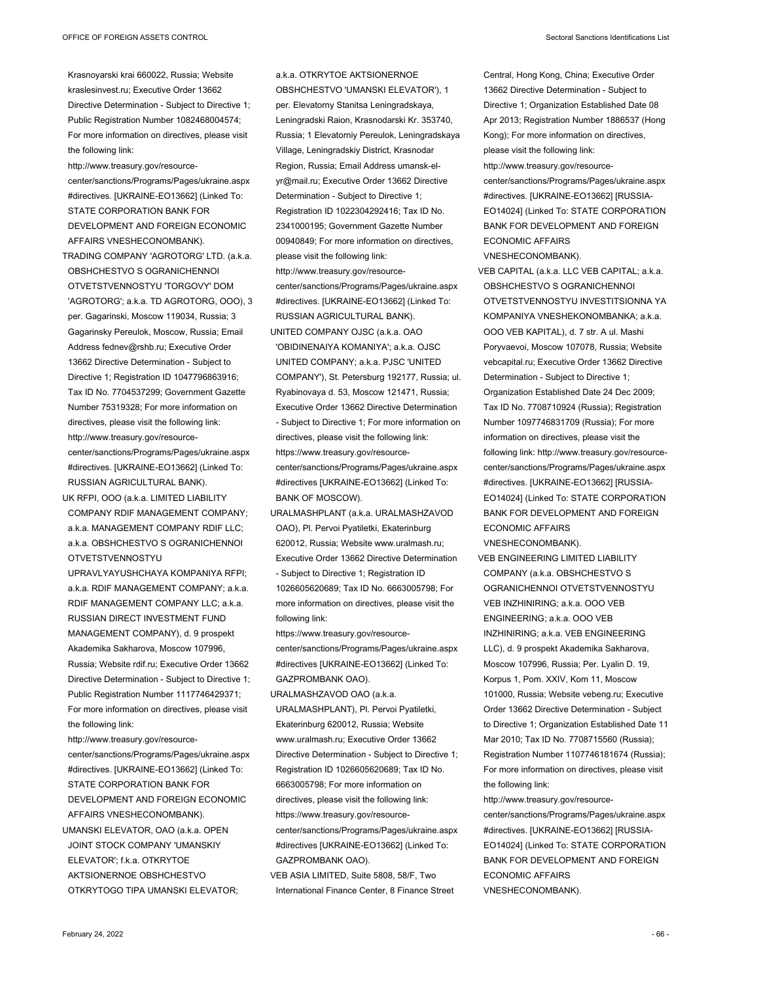Krasnoyarski krai 660022, Russia; Website kraslesinvest.ru; Executive Order 13662 Directive Determination - Subject to Directive 1; Public Registration Number 1082468004574; For more information on directives, please visit the following link:

http://www.treasury.gov/resourcecenter/sanctions/Programs/Pages/ukraine.aspx #directives. [UKRAINE-EO13662] (Linked To: STATE CORPORATION BANK FOR DEVELOPMENT AND FOREIGN ECONOMIC AFFAIRS VNESHECONOMBANK).

TRADING COMPANY 'AGROTORG' LTD. (a.k.a. OBSHCHESTVO S OGRANICHENNOI OTVETSTVENNOSTYU 'TORGOVY' DOM 'AGROTORG'; a.k.a. TD AGROTORG, OOO), 3 per. Gagarinski, Moscow 119034, Russia; 3 Gagarinsky Pereulok, Moscow, Russia; Email Address fednev@rshb.ru; Executive Order 13662 Directive Determination - Subject to Directive 1; Registration ID 1047796863916; Tax ID No. 7704537299; Government Gazette Number 75319328; For more information on directives, please visit the following link: http://www.treasury.gov/resourcecenter/sanctions/Programs/Pages/ukraine.aspx #directives. [UKRAINE-EO13662] (Linked To: RUSSIAN AGRICULTURAL BANK). UK RFPI, OOO (a.k.a. LIMITED LIABILITY

COMPANY RDIF MANAGEMENT COMPANY; a.k.a. MANAGEMENT COMPANY RDIF LLC; a.k.a. OBSHCHESTVO S OGRANICHENNOI OTVETSTVENNOSTYU

UPRAVLYAYUSHCHAYA KOMPANIYA RFPI; a.k.a. RDIF MANAGEMENT COMPANY; a.k.a. RDIF MANAGEMENT COMPANY LLC; a.k.a. RUSSIAN DIRECT INVESTMENT FUND MANAGEMENT COMPANY), d. 9 prospekt Akademika Sakharova, Moscow 107996, Russia; Website rdif.ru; Executive Order 13662 Directive Determination - Subject to Directive 1; Public Registration Number 1117746429371; For more information on directives, please visit the following link:

http://www.treasury.gov/resourcecenter/sanctions/Programs/Pages/ukraine.aspx #directives. [UKRAINE-EO13662] (Linked To: STATE CORPORATION BANK FOR DEVELOPMENT AND FOREIGN ECONOMIC AFFAIRS VNESHECONOMBANK). UMANSKI ELEVATOR, OAO (a.k.a. OPEN JOINT STOCK COMPANY 'UMANSKIY ELEVATOR'; f.k.a. OTKRYTOE AKTSIONERNOE OBSHCHESTVO OTKRYTOGO TIPA UMANSKI ELEVATOR;

a.k.a. OTKRYTOE AKTSIONERNOE OBSHCHESTVO 'UMANSKI ELEVATOR'), 1 per. Elevatorny Stanitsa Leningradskaya, Leningradski Raion, Krasnodarski Kr. 353740, Russia; 1 Elevatorniy Pereulok, Leningradskaya Village, Leningradskiy District, Krasnodar Region, Russia; Email Address umansk-elyr@mail.ru; Executive Order 13662 Directive Determination - Subject to Directive 1; Registration ID 1022304292416; Tax ID No. 2341000195; Government Gazette Number 00940849; For more information on directives, please visit the following link: http://www.treasury.gov/resourcecenter/sanctions/Programs/Pages/ukraine.aspx #directives. [UKRAINE-EO13662] (Linked To: RUSSIAN AGRICULTURAL BANK). UNITED COMPANY OJSC (a.k.a. OAO 'OBIDINENAIYA KOMANIYA'; a.k.a. OJSC UNITED COMPANY; a.k.a. PJSC 'UNITED COMPANY'), St. Petersburg 192177, Russia; ul. Ryabinovaya d. 53, Moscow 121471, Russia; Executive Order 13662 Directive Determination - Subject to Directive 1; For more information on directives, please visit the following link:

https://www.treasury.gov/resourcecenter/sanctions/Programs/Pages/ukraine.aspx #directives [UKRAINE-EO13662] (Linked To: BANK OF MOSCOW).

URALMASHPLANT (a.k.a. URALMASHZAVOD OAO), Pl. Pervoi Pyatiletki, Ekaterinburg 620012, Russia; Website www.uralmash.ru; Executive Order 13662 Directive Determination - Subject to Directive 1; Registration ID 1026605620689; Tax ID No. 6663005798; For more information on directives, please visit the following link:

https://www.treasury.gov/resourcecenter/sanctions/Programs/Pages/ukraine.aspx #directives [UKRAINE-EO13662] (Linked To: GAZPROMBANK OAO).

URALMASHZAVOD OAO (a.k.a. URALMASHPLANT), Pl. Pervoi Pyatiletki, Ekaterinburg 620012, Russia; Website www.uralmash.ru; Executive Order 13662 Directive Determination - Subject to Directive 1; Registration ID 1026605620689; Tax ID No. 6663005798; For more information on directives, please visit the following link: https://www.treasury.gov/resourcecenter/sanctions/Programs/Pages/ukraine.aspx #directives [UKRAINE-EO13662] (Linked To: GAZPROMBANK OAO).

VEB ASIA LIMITED, Suite 5808, 58/F, Two International Finance Center, 8 Finance Street Central, Hong Kong, China; Executive Order 13662 Directive Determination - Subject to Directive 1; Organization Established Date 08 Apr 2013; Registration Number 1886537 (Hong Kong); For more information on directives, please visit the following link: http://www.treasury.gov/resourcecenter/sanctions/Programs/Pages/ukraine.aspx #directives. [UKRAINE-EO13662] [RUSSIA-EO14024] (Linked To: STATE CORPORATION BANK FOR DEVELOPMENT AND FOREIGN ECONOMIC AFFAIRS VNESHECONOMBANK).

VEB CAPITAL (a.k.a. LLC VEB CAPITAL; a.k.a. OBSHCHESTVO S OGRANICHENNOI OTVETSTVENNOSTYU INVESTITSIONNA YA KOMPANIYA VNESHEKONOMBANKA; a.k.a. OOO VEB KAPITAL), d. 7 str. A ul. Mashi Poryvaevoi, Moscow 107078, Russia; Website vebcapital.ru; Executive Order 13662 Directive Determination - Subject to Directive 1; Organization Established Date 24 Dec 2009; Tax ID No. 7708710924 (Russia); Registration Number 1097746831709 (Russia); For more information on directives, please visit the following link: http://www.treasury.gov/resourcecenter/sanctions/Programs/Pages/ukraine.aspx #directives. [UKRAINE-EO13662] [RUSSIA-EO14024] (Linked To: STATE CORPORATION BANK FOR DEVELOPMENT AND FOREIGN ECONOMIC AFFAIRS

VNESHECONOMBANK).

VEB ENGINEERING LIMITED LIABILITY COMPANY (a.k.a. OBSHCHESTVO S OGRANICHENNOI OTVETSTVENNOSTYU VEB INZHINIRING; a.k.a. OOO VEB ENGINEERING; a.k.a. OOO VEB INZHINIRING; a.k.a. VEB ENGINEERING LLC), d. 9 prospekt Akademika Sakharova, Moscow 107996, Russia; Per. Lyalin D. 19, Korpus 1, Pom. XXIV, Kom 11, Moscow 101000, Russia; Website vebeng.ru; Executive Order 13662 Directive Determination - Subject to Directive 1; Organization Established Date 11 Mar 2010; Tax ID No. 7708715560 (Russia); Registration Number 1107746181674 (Russia); For more information on directives, please visit the following link:

http://www.treasury.gov/resource-

center/sanctions/Programs/Pages/ukraine.aspx #directives. [UKRAINE-EO13662] [RUSSIA-EO14024] (Linked To: STATE CORPORATION BANK FOR DEVELOPMENT AND FOREIGN ECONOMIC AFFAIRS VNESHECONOMBANK).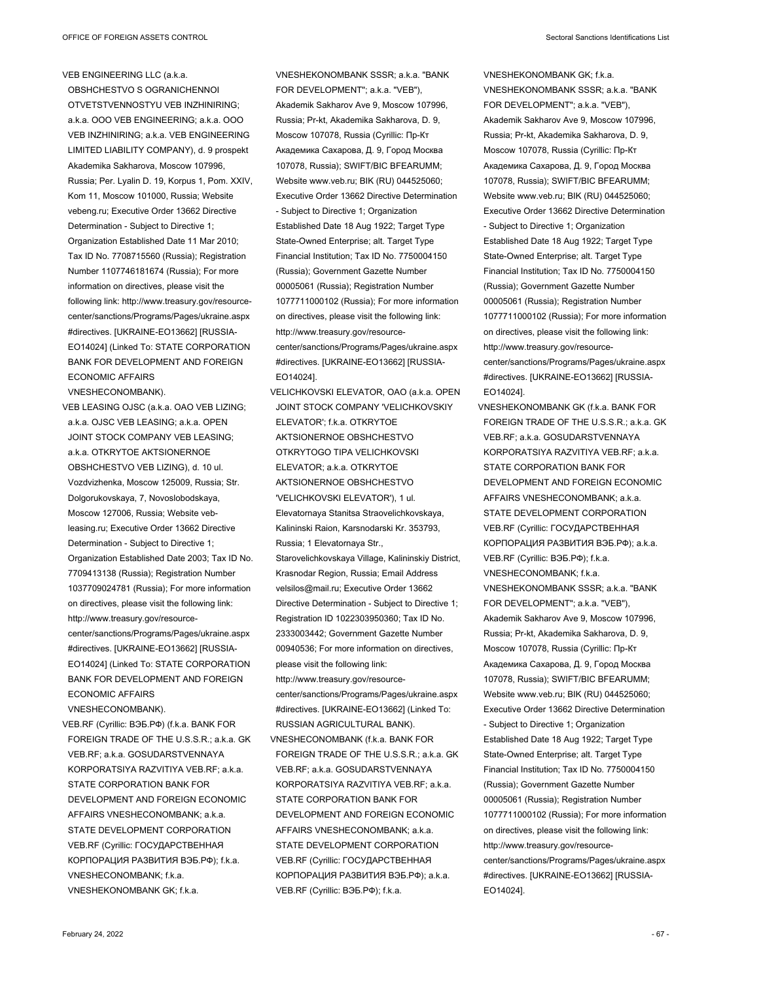VEB ENGINEERING LLC (a.k.a. OBSHCHESTVO S OGRANICHENNOI OTVETSTVENNOSTYU VEB INZHINIRING; a.k.a. OOO VEB ENGINEERING; a.k.a. OOO VEB INZHINIRING; a.k.a. VEB ENGINEERING LIMITED LIABILITY COMPANY), d. 9 prospekt Akademika Sakharova, Moscow 107996, Russia; Per. Lyalin D. 19, Korpus 1, Pom. XXIV, Kom 11, Moscow 101000, Russia; Website vebeng.ru; Executive Order 13662 Directive Determination - Subject to Directive 1; Organization Established Date 11 Mar 2010; Tax ID No. 7708715560 (Russia); Registration Number 1107746181674 (Russia); For more information on directives, please visit the following link: http://www.treasury.gov/resourcecenter/sanctions/Programs/Pages/ukraine.aspx #directives. [UKRAINE-EO13662] [RUSSIA-EO14024] (Linked To: STATE CORPORATION BANK FOR DEVELOPMENT AND FOREIGN ECONOMIC AFFAIRS

VNESHECONOMBANK).

VEB LEASING OJSC (a.k.a. OAO VEB LIZING; a.k.a. OJSC VEB LEASING; a.k.a. OPEN JOINT STOCK COMPANY VEB LEASING; a.k.a. OTKRYTOE AKTSIONERNOE OBSHCHESTVO VEB LIZING), d. 10 ul. Vozdvizhenka, Moscow 125009, Russia; Str. Dolgorukovskaya, 7, Novoslobodskaya, Moscow 127006, Russia; Website vebleasing.ru; Executive Order 13662 Directive Determination - Subject to Directive 1; Organization Established Date 2003; Tax ID No. 7709413138 (Russia); Registration Number 1037709024781 (Russia); For more information on directives, please visit the following link: http://www.treasury.gov/resourcecenter/sanctions/Programs/Pages/ukraine.aspx #directives. [UKRAINE-EO13662] [RUSSIA-EO14024] (Linked To: STATE CORPORATION BANK FOR DEVELOPMENT AND FOREIGN ECONOMIC AFFAIRS VNESHECONOMBANK).

VEB.RF (Cyrillic: ВЭБ.РФ) (f.k.a. BANK FOR FOREIGN TRADE OF THE U.S.S.R.; a.k.a. GK VEB.RF; a.k.a. GOSUDARSTVENNAYA KORPORATSIYA RAZVITIYA VEB.RF; a.k.a. STATE CORPORATION BANK FOR DEVELOPMENT AND FOREIGN ECONOMIC AFFAIRS VNESHECONOMBANK; a.k.a. STATE DEVELOPMENT CORPORATION VEB.RF (Cyrillic: ГОСУДАРСТВЕННАЯ КОРПОРАЦИЯ РАЗВИТИЯ ВЭБ.РФ); f.k.a. VNESHECONOMBANK; f.k.a. VNESHEKONOMBANK GK; f.k.a.

VNESHEKONOMBANK SSSR; a.k.a. "BANK FOR DEVELOPMENT"; a.k.a. "VEB"), Akademik Sakharov Ave 9, Moscow 107996, Russia; Pr-kt, Akademika Sakharova, D. 9, Moscow 107078, Russia (Cyrillic: Пр-Кт Академика Сахарова, Д. 9, Город Москва 107078, Russia); SWIFT/BIC BFEARUMM; Website www.veb.ru; BIK (RU) 044525060; Executive Order 13662 Directive Determination - Subject to Directive 1; Organization Established Date 18 Aug 1922; Target Type State-Owned Enterprise; alt. Target Type Financial Institution; Tax ID No. 7750004150 (Russia); Government Gazette Number 00005061 (Russia); Registration Number 1077711000102 (Russia); For more information on directives, please visit the following link: http://www.treasury.gov/resourcecenter/sanctions/Programs/Pages/ukraine.aspx #directives. [UKRAINE-EO13662] [RUSSIA-EO14024].

VELICHKOVSKI ELEVATOR, OAO (a.k.a. OPEN JOINT STOCK COMPANY 'VELICHKOVSKIY ELEVATOR'; f.k.a. OTKRYTOE AKTSIONERNOE OBSHCHESTVO OTKRYTOGO TIPA VELICHKOVSKI ELEVATOR; a.k.a. OTKRYTOE AKTSIONERNOE OBSHCHESTVO 'VELICHKOVSKI ELEVATOR'), 1 ul. Elevatornaya Stanitsa Straovelichkovskaya, Kalininski Raion, Karsnodarski Kr. 353793, Russia; 1 Elevatornaya Str., Starovelichkovskaya Village, Kalininskiy District, Krasnodar Region, Russia; Email Address velsilos@mail.ru; Executive Order 13662 Directive Determination - Subject to Directive 1; Registration ID 1022303950360; Tax ID No. 2333003442; Government Gazette Number 00940536; For more information on directives, please visit the following link: http://www.treasury.gov/resourcecenter/sanctions/Programs/Pages/ukraine.aspx #directives. [UKRAINE-EO13662] (Linked To: RUSSIAN AGRICULTURAL BANK). VNESHECONOMBANK (f.k.a. BANK FOR FOREIGN TRADE OF THE U.S.S.R.; a.k.a. GK VEB.RF; a.k.a. GOSUDARSTVENNAYA KORPORATSIYA RAZVITIYA VEB.RF; a.k.a. STATE CORPORATION BANK FOR DEVELOPMENT AND FOREIGN ECONOMIC AFFAIRS VNESHECONOMBANK; a.k.a. STATE DEVELOPMENT CORPORATION VEB.RF (Cyrillic: ГОСУДАРСТВЕННАЯ КОРПОРАЦИЯ РАЗВИТИЯ ВЭБ.РФ); a.k.a. VEB.RF (Cyrillic: ВЭБ.РФ); f.k.a.

VNESHEKONOMBANK GK; f.k.a. VNESHEKONOMBANK SSSR; a.k.a. "BANK FOR DEVELOPMENT"; a.k.a. "VEB"), Akademik Sakharov Ave 9, Moscow 107996, Russia; Pr-kt, Akademika Sakharova, D. 9, Moscow 107078, Russia (Cyrillic: Пр-Кт Академика Сахарова, Д. 9, Город Москва 107078, Russia); SWIFT/BIC BFEARUMM; Website www.veb.ru; BIK (RU) 044525060; Executive Order 13662 Directive Determination - Subject to Directive 1; Organization Established Date 18 Aug 1922; Target Type State-Owned Enterprise; alt. Target Type Financial Institution; Tax ID No. 7750004150 (Russia); Government Gazette Number 00005061 (Russia); Registration Number 1077711000102 (Russia); For more information on directives, please visit the following link: http://www.treasury.gov/resourcecenter/sanctions/Programs/Pages/ukraine.aspx #directives. [UKRAINE-EO13662] [RUSSIA-EO14024].

VNESHEKONOMBANK GK (f.k.a. BANK FOR FOREIGN TRADE OF THE U.S.S.R.; a.k.a. GK VEB.RF; a.k.a. GOSUDARSTVENNAYA KORPORATSIYA RAZVITIYA VEB.RF; a.k.a. STATE CORPORATION BANK FOR DEVELOPMENT AND FOREIGN ECONOMIC AFFAIRS VNESHECONOMBANK; a.k.a. STATE DEVELOPMENT CORPORATION VEB.RF (Cyrillic: ГОСУДАРСТВЕННАЯ КОРПОРАЦИЯ РАЗВИТИЯ ВЭБ.РФ); a.k.a. VEB.RF (Cyrillic: ВЭБ.РФ); f.k.a. VNESHECONOMBANK; f.k.a. VNESHEKONOMBANK SSSR; a.k.a. "BANK FOR DEVELOPMENT"; a.k.a. "VEB"), Akademik Sakharov Ave 9, Moscow 107996, Russia; Pr-kt, Akademika Sakharova, D. 9, Moscow 107078, Russia (Cyrillic: Пр-Кт Академика Сахарова, Д. 9, Город Москва 107078, Russia); SWIFT/BIC BFEARUMM; Website www.veb.ru; BIK (RU) 044525060; Executive Order 13662 Directive Determination - Subject to Directive 1; Organization Established Date 18 Aug 1922; Target Type State-Owned Enterprise; alt. Target Type Financial Institution; Tax ID No. 7750004150 (Russia); Government Gazette Number 00005061 (Russia); Registration Number 1077711000102 (Russia); For more information on directives, please visit the following link: http://www.treasury.gov/resourcecenter/sanctions/Programs/Pages/ukraine.aspx #directives. [UKRAINE-EO13662] [RUSSIA-EO14024].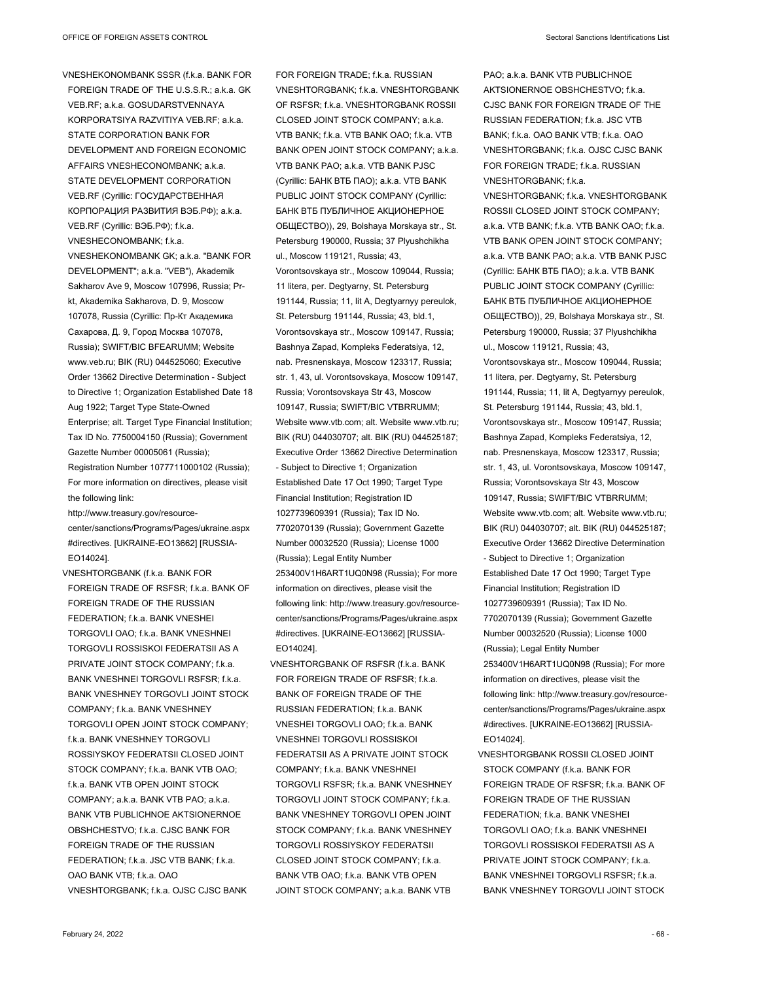VNESHEKONOMBANK SSSR (f.k.a. BANK FOR FOREIGN TRADE OF THE U.S.S.R.; a.k.a. GK VEB.RF; a.k.a. GOSUDARSTVENNAYA KORPORATSIYA RAZVITIYA VEB.RF; a.k.a. STATE CORPORATION BANK FOR DEVELOPMENT AND FOREIGN ECONOMIC AFFAIRS VNESHECONOMBANK; a.k.a. STATE DEVELOPMENT CORPORATION VEB.RF (Cyrillic: ГОСУДАРСТВЕННАЯ КОРПОРАЦИЯ РАЗВИТИЯ ВЭБ.РФ); a.k.a. VEB.RF (Cyrillic: ВЭБ.РФ); f.k.a. VNESHECONOMBANK; f.k.a. VNESHEKONOMBANK GK; a.k.a. "BANK FOR DEVELOPMENT"; a.k.a. "VEB"), Akademik Sakharov Ave 9, Moscow 107996, Russia; Prkt, Akademika Sakharova, D. 9, Moscow 107078, Russia (Cyrillic: Пр-Кт Академика Сахарова, Д. 9, Город Москва 107078, Russia); SWIFT/BIC BFEARUMM; Website www.veb.ru; BIK (RU) 044525060; Executive Order 13662 Directive Determination - Subject to Directive 1; Organization Established Date 18 Aug 1922; Target Type State-Owned Enterprise; alt. Target Type Financial Institution; Tax ID No. 7750004150 (Russia); Government Gazette Number 00005061 (Russia); Registration Number 1077711000102 (Russia); For more information on directives, please visit the following link:

http://www.treasury.gov/resourcecenter/sanctions/Programs/Pages/ukraine.aspx #directives. [UKRAINE-EO13662] [RUSSIA-EO14024].

VNESHTORGBANK (f.k.a. BANK FOR FOREIGN TRADE OF RSFSR; f.k.a. BANK OF FOREIGN TRADE OF THE RUSSIAN FEDERATION; f.k.a. BANK VNESHEI TORGOVLI OAO; f.k.a. BANK VNESHNEI TORGOVLI ROSSISKOI FEDERATSII AS A PRIVATE JOINT STOCK COMPANY; f.k.a. BANK VNESHNEI TORGOVLI RSFSR; f.k.a. BANK VNESHNEY TORGOVLI JOINT STOCK COMPANY; f.k.a. BANK VNESHNEY TORGOVLI OPEN JOINT STOCK COMPANY; f.k.a. BANK VNESHNEY TORGOVLI ROSSIYSKOY FEDERATSII CLOSED JOINT STOCK COMPANY; f.k.a. BANK VTB OAO; f.k.a. BANK VTB OPEN JOINT STOCK COMPANY; a.k.a. BANK VTB PAO; a.k.a. BANK VTB PUBLICHNOE AKTSIONERNOE OBSHCHESTVO; f.k.a. CJSC BANK FOR FOREIGN TRADE OF THE RUSSIAN FEDERATION; f.k.a. JSC VTB BANK; f.k.a. OAO BANK VTB; f.k.a. OAO VNESHTORGBANK; f.k.a. OJSC CJSC BANK

FOR FOREIGN TRADE; f.k.a. RUSSIAN VNESHTORGBANK; f.k.a. VNESHTORGBANK OF RSFSR; f.k.a. VNESHTORGBANK ROSSII CLOSED JOINT STOCK COMPANY; a.k.a. VTB BANK; f.k.a. VTB BANK OAO; f.k.a. VTB BANK OPEN JOINT STOCK COMPANY; a.k.a. VTB BANK PAO; a.k.a. VTB BANK PJSC (Cyrillic: БАНК ВТБ ПАО); a.k.a. VTB BANK PUBLIC JOINT STOCK COMPANY (Cyrillic: БАНК ВТБ ПУБЛИЧНОЕ АКЦИОНЕРНОЕ ОБЩЕСТВО)), 29, Bolshaya Morskaya str., St. Petersburg 190000, Russia; 37 Plyushchikha ul., Moscow 119121, Russia; 43, Vorontsovskaya str., Moscow 109044, Russia; 11 litera, per. Degtyarny, St. Petersburg 191144, Russia; 11, lit A, Degtyarnyy pereulok, St. Petersburg 191144, Russia; 43, bld.1, Vorontsovskaya str., Moscow 109147, Russia; Bashnya Zapad, Kompleks Federatsiya, 12, nab. Presnenskaya, Moscow 123317, Russia; str. 1, 43, ul. Vorontsovskaya, Moscow 109147, Russia; Vorontsovskaya Str 43, Moscow 109147, Russia; SWIFT/BIC VTBRRUMM; Website www.vtb.com; alt. Website www.vtb.ru; BIK (RU) 044030707; alt. BIK (RU) 044525187; Executive Order 13662 Directive Determination - Subject to Directive 1; Organization Established Date 17 Oct 1990; Target Type Financial Institution; Registration ID 1027739609391 (Russia); Tax ID No. 7702070139 (Russia); Government Gazette Number 00032520 (Russia); License 1000 (Russia); Legal Entity Number 253400V1H6ART1UQ0N98 (Russia); For more information on directives, please visit the following link: http://www.treasury.gov/resourcecenter/sanctions/Programs/Pages/ukraine.aspx #directives. [UKRAINE-EO13662] [RUSSIA-EO14024].

VNESHTORGBANK OF RSFSR (f.k.a. BANK FOR FOREIGN TRADE OF RSFSR; f.k.a. BANK OF FOREIGN TRADE OF THE RUSSIAN FEDERATION; f.k.a. BANK VNESHEI TORGOVLLOAO; f.k.a. BANK VNESHNEI TORGOVLI ROSSISKOI FEDERATSII AS A PRIVATE JOINT STOCK COMPANY; f.k.a. BANK VNESHNEI TORGOVLI RSFSR; f.k.a. BANK VNESHNEY TORGOVLI JOINT STOCK COMPANY; f.k.a. BANK VNESHNEY TORGOVLI OPEN JOINT STOCK COMPANY; f.k.a. BANK VNESHNEY TORGOVLI ROSSIYSKOY FEDERATSIL CLOSED JOINT STOCK COMPANY; f.k.a. BANK VTB OAO; f.k.a. BANK VTB OPEN JOINT STOCK COMPANY; a.k.a. BANK VTB

PAO; a.k.a. BANK VTB PUBLICHNOE AKTSIONERNOE OBSHCHESTVO; f.k.a. CJSC BANK FOR FOREIGN TRADE OF THE RUSSIAN FEDERATION; f.k.a. JSC VTB BANK; f.k.a. OAO BANK VTB; f.k.a. OAO VNESHTORGBANK; f.k.a. OJSC CJSC BANK FOR FOREIGN TRADE; f.k.a. RUSSIAN VNESHTORGBANK; f.k.a. VNESHTORGBANK; f.k.a. VNESHTORGBANK ROSSII CLOSED JOINT STOCK COMPANY; a.k.a. VTB BANK; f.k.a. VTB BANK OAO; f.k.a. VTB BANK OPEN JOINT STOCK COMPANY; a.k.a. VTB BANK PAO; a.k.a. VTB BANK PJSC (Cyrillic: БАНК ВТБ ПАО); a.k.a. VTB BANK PUBLIC JOINT STOCK COMPANY (Cyrillic: БАНК ВТБ ПУБЛИЧНОЕ АКЦИОНЕРНОЕ ОБЩЕСТВО)), 29, Bolshaya Morskaya str., St. Petersburg 190000, Russia; 37 Plyushchikha ul., Moscow 119121, Russia; 43, Vorontsovskaya str., Moscow 109044, Russia; 11 litera, per. Degtyarny, St. Petersburg 191144, Russia; 11, lit A, Degtyarnyy pereulok, St. Petersburg 191144, Russia; 43, bld.1, Vorontsovskaya str., Moscow 109147, Russia; Bashnya Zapad, Kompleks Federatsiya, 12, nab. Presnenskaya, Moscow 123317, Russia; str. 1, 43, ul. Vorontsovskaya, Moscow 109147, Russia; Vorontsovskaya Str 43, Moscow 109147, Russia; SWIFT/BIC VTBRRUMM; Website www.vtb.com; alt. Website www.vtb.ru; BIK (RU) 044030707; alt. BIK (RU) 044525187; Executive Order 13662 Directive Determination - Subject to Directive 1; Organization Established Date 17 Oct 1990; Target Type Financial Institution; Registration ID 1027739609391 (Russia); Tax ID No. 7702070139 (Russia); Government Gazette Number 00032520 (Russia); License 1000 (Russia); Legal Entity Number 253400V1H6ART1UQ0N98 (Russia); For more information on directives, please visit the following link: http://www.treasury.gov/resourcecenter/sanctions/Programs/Pages/ukraine.aspx #directives. [UKRAINE-EO13662] [RUSSIA-EO14024].

VNESHTORGBANK ROSSII CLOSED JOINT STOCK COMPANY (f.k.a. BANK FOR FOREIGN TRADE OF RSFSR; f.k.a. BANK OF FOREIGN TRADE OF THE RUSSIAN FEDERATION; f.k.a. BANK VNESHEI TORGOVLI OAO; f.k.a. BANK VNESHNEI TORGOVLI ROSSISKOI FEDERATSII AS A PRIVATE JOINT STOCK COMPANY; f.k.a. BANK VNESHNEI TORGOVLI RSFSR; f.k.a. BANK VNESHNEY TORGOVLI JOINT STOCK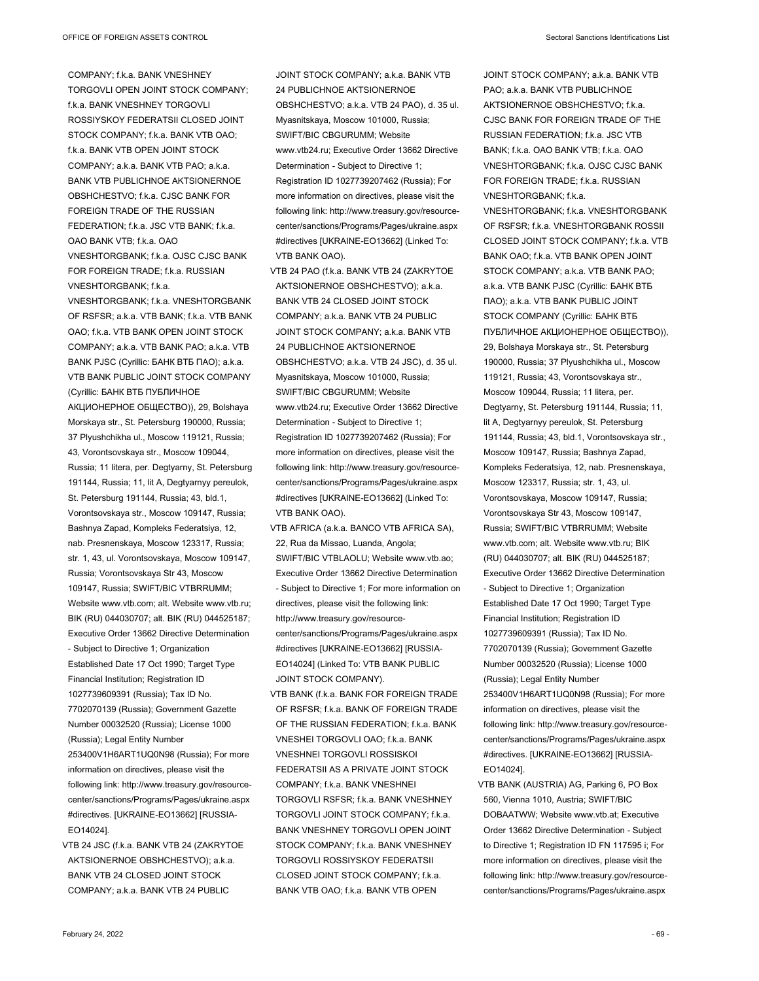COMPANY; f.k.a. BANK VNESHNEY TORGOVLI OPEN JOINT STOCK COMPANY; f.k.a. BANK VNESHNEY TORGOVLI ROSSIYSKOY FEDERATSII CLOSED JOINT STOCK COMPANY; f.k.a. BANK VTB OAO; f.k.a. BANK VTB OPEN JOINT STOCK COMPANY; a.k.a. BANK VTB PAO; a.k.a. BANK VTB PUBLICHNOE AKTSIONERNOE OBSHCHESTVO; f.k.a. CJSC BANK FOR FOREIGN TRADE OF THE RUSSIAN FEDERATION; f.k.a. JSC VTB BANK; f.k.a. OAO BANK VTB; f.k.a. OAO VNESHTORGBANK; f.k.a. OJSC CJSC BANK FOR FOREIGN TRADE; f.k.a. RUSSIAN VNESHTORGBANK; f.k.a. VNESHTORGBANK; f.k.a. VNESHTORGBANK OF RSFSR; a.k.a. VTB BANK; f.k.a. VTB BANK OAO; f.k.a. VTB BANK OPEN JOINT STOCK COMPANY; a.k.a. VTB BANK PAO; a.k.a. VTB BANK PJSC (Cyrillic: БАНК ВТБ ПАО); a.k.a. VTB BANK PUBLIC JOINT STOCK COMPANY (Cyrillic: БАНК ВТБ ПУБЛИЧНОЕ АКЦИОНЕРНОЕ ОБЩЕСТВО)), 29, Bolshaya Morskaya str., St. Petersburg 190000, Russia; 37 Plyushchikha ul., Moscow 119121, Russia; 43, Vorontsovskaya str., Moscow 109044, Russia; 11 litera, per. Degtyarny, St. Petersburg 191144, Russia; 11, lit A, Degtyarnyy pereulok, St. Petersburg 191144, Russia; 43, bld.1, Vorontsovskaya str., Moscow 109147, Russia; Bashnya Zapad, Kompleks Federatsiya, 12, nab. Presnenskaya, Moscow 123317, Russia; str. 1, 43, ul. Vorontsovskaya, Moscow 109147, Russia; Vorontsovskaya Str 43, Moscow 109147, Russia; SWIFT/BIC VTBRRUMM; Website www.vtb.com; alt. Website www.vtb.ru; BIK (RU) 044030707; alt. BIK (RU) 044525187; Executive Order 13662 Directive Determination - Subject to Directive 1; Organization Established Date 17 Oct 1990; Target Type Financial Institution; Registration ID 1027739609391 (Russia); Tax ID No. 7702070139 (Russia); Government Gazette Number 00032520 (Russia); License 1000 (Russia); Legal Entity Number 253400V1H6ART1UQ0N98 (Russia); For more information on directives, please visit the following link: http://www.treasury.gov/resourcecenter/sanctions/Programs/Pages/ukraine.aspx #directives. [UKRAINE-EO13662] [RUSSIA-EO14024].

VTB 24 JSC (f.k.a. BANK VTB 24 (ZAKRYTOE AKTSIONERNOE OBSHCHESTVO); a.k.a. BANK VTB 24 CLOSED JOINT STOCK COMPANY; a.k.a. BANK VTB 24 PUBLIC

JOINT STOCK COMPANY; a.k.a. BANK VTB 24 PUBLICHNOE AKTSIONERNOE OBSHCHESTVO; a.k.a. VTB 24 PAO), d. 35 ul. Myasnitskaya, Moscow 101000, Russia; SWIFT/BIC CBGURUMM; Website www.vtb24.ru; Executive Order 13662 Directive Determination - Subject to Directive 1; Registration ID 1027739207462 (Russia); For more information on directives, please visit the following link: http://www.treasury.gov/resourcecenter/sanctions/Programs/Pages/ukraine.aspx #directives [UKRAINE-EO13662] (Linked To: VTB BANK OAO).

VTB 24 PAO (f.k.a. BANK VTB 24 (ZAKRYTOE AKTSIONERNOE OBSHCHESTVO); a.k.a. BANK VTB 24 CLOSED JOINT STOCK COMPANY; a.k.a. BANK VTB 24 PUBLIC JOINT STOCK COMPANY; a.k.a. BANK VTB 24 PUBLICHNOE AKTSIONERNOE OBSHCHESTVO; a.k.a. VTB 24 JSC), d. 35 ul. Myasnitskaya, Moscow 101000, Russia; SWIFT/BIC CBGURUMM; Website www.vtb24.ru; Executive Order 13662 Directive Determination - Subject to Directive 1; Registration ID 1027739207462 (Russia); For more information on directives, please visit the following link: http://www.treasury.gov/resourcecenter/sanctions/Programs/Pages/ukraine.aspx #directives [UKRAINE-EO13662] (Linked To: VTB BANK OAO).

VTB AFRICA (a.k.a. BANCO VTB AFRICA SA), 22, Rua da Missao, Luanda, Angola; SWIFT/BIC VTBLAOLU; Website www.vtb.ao; Executive Order 13662 Directive Determination - Subject to Directive 1; For more information on directives, please visit the following link: http://www.treasury.gov/resourcecenter/sanctions/Programs/Pages/ukraine.aspx #directives [UKRAINE-EO13662] [RUSSIA-EO14024] (Linked To: VTB BANK PUBLIC JOINT STOCK COMPANY).

VTB BANK (f.k.a. BANK FOR FOREIGN TRADE OF RSFSR; f.k.a. BANK OF FOREIGN TRADE OF THE RUSSIAN FEDERATION: fk a BANK VNESHEI TORGOVLI OAO; f.k.a. BANK VNESHNEI TORGOVLI ROSSISKOI FEDERATSII AS A PRIVATE JOINT STOCK COMPANY; f.k.a. BANK VNESHNEI TORGOVLI RSFSR; f.k.a. BANK VNESHNEY TORGOVLI JOINT STOCK COMPANY; f.k.a. BANK VNESHNEY TORGOVLI OPEN JOINT STOCK COMPANY: fk a BANK VNESHNEY TORGOVLI ROSSIYSKOY FEDERATSII CLOSED JOINT STOCK COMPANY; f.k.a. BANK VTB OAO; f.k.a. BANK VTB OPEN

JOINT STOCK COMPANY; a.k.a. BANK VTB PAO: a.k.a. BANK VTB PUBLICHNOE AKTSIONERNOE OBSHCHESTVO; f.k.a. CJSC BANK FOR FOREIGN TRADE OF THE RUSSIAN FEDERATION; f.k.a. JSC VTB BANK; f.k.a. OAO BANK VTB; f.k.a. OAO VNESHTORGBANK; f.k.a. OJSC CJSC BANK FOR FOREIGN TRADE; f.k.a. RUSSIAN VNESHTORGBANK; f.k.a. VNESHTORGBANK; f.k.a. VNESHTORGBANK OF RSFSR; f.k.a. VNESHTORGBANK ROSSII CLOSED JOINT STOCK COMPANY; f.k.a. VTB BANK OAO; f.k.a. VTB BANK OPEN JOINT STOCK COMPANY; a.k.a. VTB BANK PAO; a.k.a. VTB BANK PJSC (Cyrillic: БАНК ВТБ ПАО); a.k.a. VTB BANK PUBLIC JOINT STOCK COMPANY (Cyrillic: БАНК ВТБ ПУБЛИЧНОЕ АКЦИОНЕРНОЕ ОБЩЕСТВО)), 29, Bolshaya Morskaya str., St. Petersburg 190000, Russia; 37 Plyushchikha ul., Moscow 119121, Russia; 43, Vorontsovskaya str., Moscow 109044, Russia; 11 litera, per. Degtyarny, St. Petersburg 191144, Russia; 11, lit A, Degtyarnyy pereulok, St. Petersburg 191144, Russia; 43, bld.1, Vorontsovskaya str., Moscow 109147, Russia; Bashnya Zapad, Kompleks Federatsiya, 12, nab. Presnenskaya, Moscow 123317, Russia; str. 1, 43, ul. Vorontsovskaya, Moscow 109147, Russia; Vorontsovskaya Str 43, Moscow 109147, Russia; SWIFT/BIC VTBRRUMM; Website www.vtb.com; alt. Website www.vtb.ru; BIK (RU) 044030707; alt. BIK (RU) 044525187; Executive Order 13662 Directive Determination - Subject to Directive 1; Organization Established Date 17 Oct 1990; Target Type Financial Institution; Registration ID 1027739609391 (Russia); Tax ID No. 7702070139 (Russia); Government Gazette Number 00032520 (Russia); License 1000 (Russia); Legal Entity Number 253400V1H6ART1UQ0N98 (Russia); For more information on directives, please visit the following link: http://www.treasury.gov/resourcecenter/sanctions/Programs/Pages/ukraine.aspx #directives. [UKRAINE-EO13662] [RUSSIA-EO14024].

VTB BANK (AUSTRIA) AG, Parking 6, PO Box 560, Vienna 1010, Austria; SWIFT/BIC DOBAATWW; Website www.vtb.at; Executive Order 13662 Directive Determination - Subject to Directive 1; Registration ID FN 117595 i; For more information on directives, please visit the following link: http://www.treasury.gov/resourcecenter/sanctions/Programs/Pages/ukraine.aspx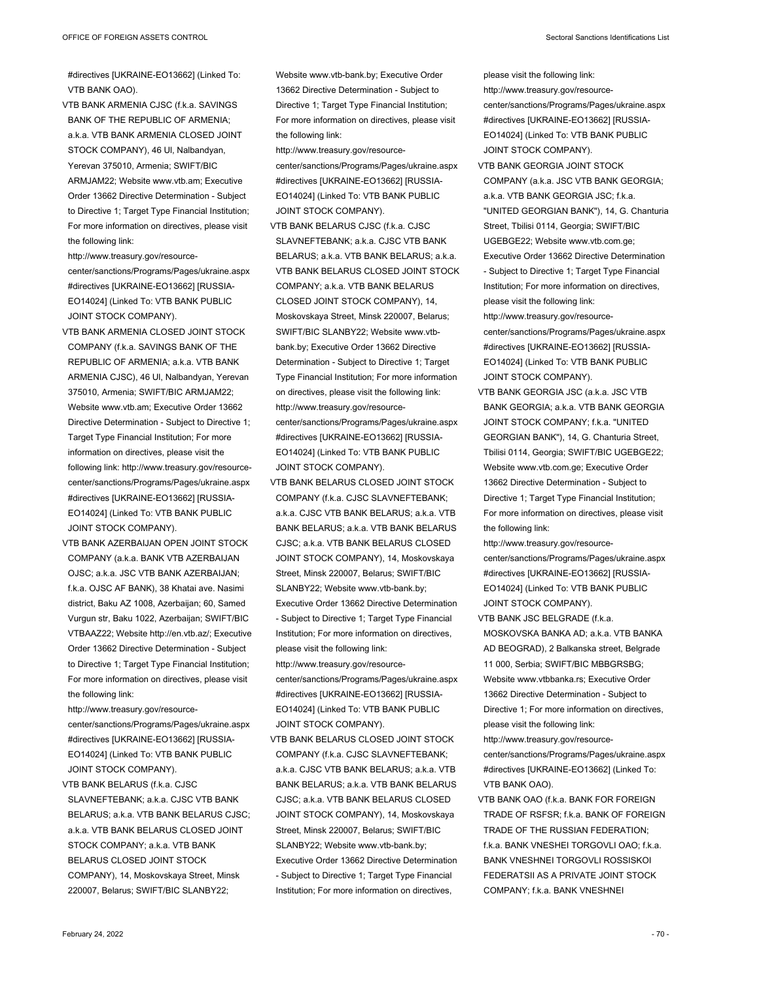#directives [UKRAINE-EO13662] (Linked To: VTB BANK OAO).

- VTB BANK ARMENIA CJSC (f.k.a. SAVINGS BANK OF THE REPUBLIC OF ARMENIA; a.k.a. VTB BANK ARMENIA CLOSED JOINT STOCK COMPANY), 46 Ul, Nalbandyan, Yerevan 375010, Armenia; SWIFT/BIC ARMJAM22; Website www.vtb.am; Executive Order 13662 Directive Determination - Subject to Directive 1; Target Type Financial Institution; For more information on directives, please visit the following link:
- http://www.treasury.gov/resourcecenter/sanctions/Programs/Pages/ukraine.aspx #directives [UKRAINE-EO13662] [RUSSIA-EO14024] (Linked To: VTB BANK PUBLIC JOINT STOCK COMPANY).
- VTB BANK ARMENIA CLOSED JOINT STOCK COMPANY (f.k.a. SAVINGS BANK OF THE REPUBLIC OF ARMENIA; a.k.a. VTB BANK ARMENIA CJSC), 46 Ul, Nalbandyan, Yerevan 375010, Armenia; SWIFT/BIC ARMJAM22; Website www.vtb.am; Executive Order 13662 Directive Determination - Subject to Directive 1; Target Type Financial Institution; For more information on directives, please visit the following link: http://www.treasury.gov/resourcecenter/sanctions/Programs/Pages/ukraine.aspx #directives [UKRAINE-EO13662] [RUSSIA-EO14024] (Linked To: VTB BANK PUBLIC JOINT STOCK COMPANY).
- VTB BANK AZERBAIJAN OPEN JOINT STOCK COMPANY (a.k.a. BANK VTB AZERBAIJAN OJSC; a.k.a. JSC VTB BANK AZERBAIJAN; f.k.a. OJSC AF BANK), 38 Khatai ave. Nasimi district, Baku AZ 1008, Azerbaijan; 60, Samed Vurgun str, Baku 1022, Azerbaijan; SWIFT/BIC VTBAAZ22; Website http://en.vtb.az/; Executive Order 13662 Directive Determination - Subject to Directive 1; Target Type Financial Institution; For more information on directives, please visit the following link:

http://www.treasury.gov/resourcecenter/sanctions/Programs/Pages/ukraine.aspx #directives [UKRAINE-EO13662] [RUSSIA-EO14024] (Linked To: VTB BANK PUBLIC JOINT STOCK COMPANY).

VTB BANK BELARUS (f.k.a. CJSC SLAVNEFTEBANK; a.k.a. CJSC VTB BANK BELARUS; a.k.a. VTB BANK BELARUS CJSC; a.k.a. VTB BANK BELARUS CLOSED JOINT STOCK COMPANY; a.k.a. VTB BANK BELARUS CLOSED JOINT STOCK COMPANY), 14, Moskovskaya Street, Minsk 220007, Belarus; SWIFT/BIC SLANBY22;

Website www.vtb-bank.by; Executive Order 13662 Directive Determination - Subject to Directive 1; Target Type Financial Institution; For more information on directives, please visit the following link:

- http://www.treasury.gov/resourcecenter/sanctions/Programs/Pages/ukraine.aspx #directives [UKRAINE-EO13662] [RUSSIA-EO14024] (Linked To: VTB BANK PUBLIC JOINT STOCK COMPANY).
- VTB BANK BELARUS CJSC (f.k.a. CJSC SLAVNEFTEBANK; a.k.a. CJSC VTB BANK BELARUS; a.k.a. VTB BANK BELARUS; a.k.a. VTB BANK BELARUS CLOSED JOINT STOCK COMPANY; a.k.a. VTB BANK BELARUS CLOSED JOINT STOCK COMPANY), 14, Moskovskaya Street, Minsk 220007, Belarus; SWIFT/BIC SLANBY22; Website www.vtbbank.by; Executive Order 13662 Directive Determination - Subject to Directive 1; Target Type Financial Institution; For more information on directives, please visit the following link: http://www.treasury.gov/resourcecenter/sanctions/Programs/Pages/ukraine.aspx #directives [UKRAINE-EO13662] [RUSSIA-EO14024] (Linked To: VTB BANK PUBLIC JOINT STOCK COMPANY).
- VTB BANK BELARUS CLOSED JOINT STOCK COMPANY (f.k.a. CJSC SLAVNEFTEBANK; a.k.a. CJSC VTB BANK BELARUS; a.k.a. VTB BANK BELARUS; a.k.a. VTB BANK BELARUS CJSC; a.k.a. VTB BANK BELARUS CLOSED JOINT STOCK COMPANY), 14, Moskovskaya Street, Minsk 220007, Belarus; SWIFT/BIC SLANBY22; Website www.vtb-bank.by; Executive Order 13662 Directive Determination - Subject to Directive 1; Target Type Financial Institution; For more information on directives, please visit the following link: http://www.treasury.gov/resourcecenter/sanctions/Programs/Pages/ukraine.aspx

#directives [UKRAINE-EO13662] [RUSSIA-EO14024] (Linked To: VTB BANK PUBLIC JOINT STOCK COMPANY).

VTB BANK BELARUS CLOSED JOINT STOCK COMPANY (f.k.a. CJSC SLAVNEFTEBANK; a.k.a. CJSC VTB BANK BELARUS; a.k.a. VTB BANK BELARUS; a.k.a. VTB BANK BELARUS CJSC; a.k.a. VTB BANK BELARUS CLOSED JOINT STOCK COMPANY), 14, Moskovskaya Street, Minsk 220007, Belarus; SWIFT/BIC SLANBY22; Website www.vtb-bank.by; Executive Order 13662 Directive Determination - Subject to Directive 1; Target Type Financial Institution; For more information on directives,

- please visit the following link: http://www.treasury.gov/resourcecenter/sanctions/Programs/Pages/ukraine.aspx #directives [UKRAINE-EO13662] [RUSSIA-EO14024] (Linked To: VTB BANK PUBLIC JOINT STOCK COMPANY). VTB BANK GEORGIA JOINT STOCK
- COMPANY (a.k.a. JSC VTB BANK GEORGIA; a.k.a. VTB BANK GEORGIA JSC; f.k.a. "UNITED GEORGIAN BANK"), 14, G. Chanturia Street, Tbilisi 0114, Georgia; SWIFT/BIC UGEBGE22; Website www.vtb.com.ge; Executive Order 13662 Directive Determination - Subject to Directive 1; Target Type Financial Institution; For more information on directives, please visit the following link: http://www.treasury.gov/resourcecenter/sanctions/Programs/Pages/ukraine.aspx #directives [UKRAINE-EO13662] [RUSSIA-

EO14024] (Linked To: VTB BANK PUBLIC JOINT STOCK COMPANY).

VTB BANK GEORGIA JSC (a.k.a. JSC VTB BANK GEORGIA; a.k.a. VTB BANK GEORGIA JOINT STOCK COMPANY; f.k.a. "UNITED GEORGIAN BANK"), 14, G. Chanturia Street, Tbilisi 0114, Georgia; SWIFT/BIC UGEBGE22; Website www.vtb.com.ge; Executive Order 13662 Directive Determination - Subject to Directive 1; Target Type Financial Institution; For more information on directives, please visit the following link:

http://www.treasury.gov/resourcecenter/sanctions/Programs/Pages/ukraine.aspx #directives [UKRAINE-EO13662] [RUSSIA-EO14024] (Linked To: VTB BANK PUBLIC JOINT STOCK COMPANY).

VTB BANK JSC BELGRADE (f.k.a. MOSKOVSKA BANKA AD; a.k.a. VTB BANKA AD BEOGRAD), 2 Balkanska street, Belgrade 11 000, Serbia; SWIFT/BIC MBBGRSBG; Website www.vtbbanka.rs; Executive Order 13662 Directive Determination - Subject to Directive 1; For more information on directives, please visit the following link:

http://www.treasury.gov/resource-

center/sanctions/Programs/Pages/ukraine.aspx #directives [UKRAINE-EO13662] (Linked To: VTB BANK OAO).

VTB BANK OAO (f.k.a. BANK FOR FOREIGN TRADE OF RSFSR; f.k.a. BANK OF FOREIGN TRADE OF THE RUSSIAN FEDERATION; f.k.a. BANK VNESHEI TORGOVLI OAO; f.k.a. BANK VNESHNEI TORGOVLI ROSSISKOI FEDERATSII AS A PRIVATE JOINT STOCK COMPANY; f.k.a. BANK VNESHNEI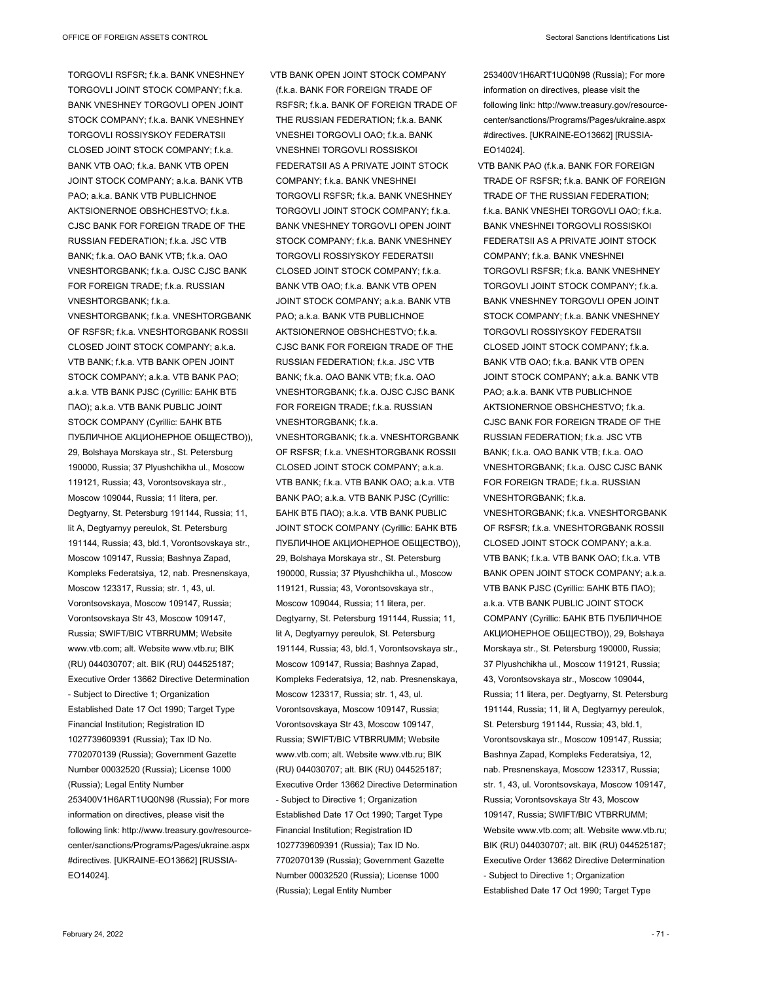TORGOVLI RSFSR; f.k.a. BANK VNESHNEY TORGOVLLJOINT STOCK COMPANY; f.k.a. BANK VNESHNEY TORGOVLI OPEN JOINT STOCK COMPANY; f.k.a. BANK VNESHNEY TORGOVLI ROSSIYSKOY FEDERATSII CLOSED JOINT STOCK COMPANY; f.k.a. BANK VTB OAO; f.k.a. BANK VTB OPEN JOINT STOCK COMPANY; a.k.a. BANK VTB PAO; a.k.a. BANK VTB PUBLICHNOE AKTSIONERNOE OBSHCHESTVO; f.k.a. CJSC BANK FOR FOREIGN TRADE OF THE RUSSIAN FEDERATION; f.k.a. JSC VTB BANK; f.k.a. OAO BANK VTB; f.k.a. OAO VNESHTORGBANK; f.k.a. OJSC CJSC BANK FOR FOREIGN TRADE; f.k.a. RUSSIAN VNESHTORGBANK; f.k.a. VNESHTORGBANK; f.k.a. VNESHTORGBANK OF RSFSR; f.k.a. VNESHTORGBANK ROSSII CLOSED JOINT STOCK COMPANY; a.k.a. VTB BANK; f.k.a. VTB BANK OPEN JOINT STOCK COMPANY; a.k.a. VTB BANK PAO; a.k.a. VTB BANK PJSC (Cyrillic: БАНК ВТБ ПАО); a.k.a. VTB BANK PUBLIC JOINT STOCK COMPANY (Cyrillic: БАНК ВТБ ПУБЛИЧНОЕ АКЦИОНЕРНОЕ ОБЩЕСТВО)), 29, Bolshaya Morskaya str., St. Petersburg 190000, Russia; 37 Plyushchikha ul., Moscow 119121, Russia; 43, Vorontsovskaya str., Moscow 109044, Russia; 11 litera, per. Degtyarny, St. Petersburg 191144, Russia; 11, lit A, Degtyarnyy pereulok, St. Petersburg 191144, Russia; 43, bld.1, Vorontsovskaya str., Moscow 109147, Russia; Bashnya Zapad, Kompleks Federatsiya, 12, nab. Presnenskaya, Moscow 123317, Russia; str. 1, 43, ul. Vorontsovskaya, Moscow 109147, Russia; Vorontsovskaya Str 43, Moscow 109147, Russia; SWIFT/BIC VTBRRUMM; Website www.vtb.com; alt. Website www.vtb.ru; BIK (RU) 044030707; alt. BIK (RU) 044525187; Executive Order 13662 Directive Determination - Subject to Directive 1; Organization Established Date 17 Oct 1990; Target Type Financial Institution; Registration ID 1027739609391 (Russia); Tax ID No. 7702070139 (Russia); Government Gazette Number 00032520 (Russia); License 1000 (Russia); Legal Entity Number 253400V1H6ART1UQ0N98 (Russia); For more information on directives, please visit the following link: http://www.treasury.gov/resourcecenter/sanctions/Programs/Pages/ukraine.aspx #directives. [UKRAINE-EO13662] [RUSSIA-EO14024].

VTB BANK OPEN JOINT STOCK COMPANY (f.k.a. BANK FOR FOREIGN TRADE OF RSFSR; f.k.a. BANK OF FOREIGN TRADE OF THE RUSSIAN FEDERATION; f.k.a. BANK VNESHEI TORGOVLI OAO; f.k.a. BANK VNESHNEI TORGOVLI ROSSISKOI FEDERATSII AS A PRIVATE JOINT STOCK COMPANY; f.k.a. BANK VNESHNEI TORGOVLI RSFSR; f.k.a. BANK VNESHNEY TORGOVLI JOINT STOCK COMPANY; f.k.a. BANK VNESHNEY TORGOVLI OPEN JOINT STOCK COMPANY; f.k.a. BANK VNESHNEY TORGOVLI ROSSIYSKOY FEDERATSII CLOSED JOINT STOCK COMPANY; f.k.a. BANK VTB OAO; f.k.a. BANK VTB OPEN JOINT STOCK COMPANY; a.k.a. BANK VTB PAO; a.k.a. BANK VTB PUBLICHNOE AKTSIONERNOE OBSHCHESTVO; f.k.a. CJSC BANK FOR FOREIGN TRADE OF THE RUSSIAN FEDERATION; f.k.a. JSC VTB BANK; f.k.a. OAO BANK VTB; f.k.a. OAO VNESHTORGBANK; f.k.a. OJSC CJSC BANK FOR FOREIGN TRADE; f.k.a. RUSSIAN VNESHTORGBANK; f.k.a. VNESHTORGBANK; f.k.a. VNESHTORGBANK OF RSFSR; f.k.a. VNESHTORGBANK ROSSII CLOSED JOINT STOCK COMPANY; a.k.a.

VTB BANK; f.k.a. VTB BANK OAO; a.k.a. VTB BANK PAO; a.k.a. VTB BANK PJSC (Cyrillic: БАНК ВТБ ПАО); a.k.a. VTB BANK PUBLIC JOINT STOCK COMPANY (Cyrillic: БАНК ВТБ ПУБЛИЧНОЕ АКЦИОНЕРНОЕ ОБЩЕСТВО)), 29, Bolshaya Morskaya str., St. Petersburg 190000, Russia; 37 Plyushchikha ul., Moscow 119121, Russia; 43, Vorontsovskaya str., Moscow 109044, Russia; 11 litera, per. Degtyarny, St. Petersburg 191144, Russia; 11, lit A, Degtyarnyy pereulok, St. Petersburg 191144, Russia; 43, bld.1, Vorontsovskaya str., Moscow 109147, Russia; Bashnya Zapad, Kompleks Federatsiya, 12, nab. Presnenskaya, Moscow 123317, Russia; str. 1, 43, ul. Vorontsovskaya, Moscow 109147, Russia; Vorontsovskaya Str 43, Moscow 109147, Russia; SWIFT/BIC VTBRRUMM; Website www.vtb.com; alt. Website www.vtb.ru; BIK (RU) 044030707; alt. BIK (RU) 044525187; Executive Order 13662 Directive Determination - Subject to Directive 1; Organization Established Date 17 Oct 1990; Target Type Financial Institution; Registration ID 1027739609391 (Russia); Tax ID No. 7702070139 (Russia); Government Gazette Number 00032520 (Russia); License 1000 (Russia); Legal Entity Number

253400V1H6ART1UQ0N98 (Russia); For more information on directives, please visit the following link: http://www.treasury.gov/resourcecenter/sanctions/Programs/Pages/ukraine.aspx #directives. [UKRAINE-EO13662] [RUSSIA-EO14024].

VTB BANK PAO (f.k.a. BANK FOR FOREIGN TRADE OF RSFSR; f.k.a. BANK OF FOREIGN TRADE OF THE RUSSIAN FEDERATION; f.k.a. BANK VNESHEI TORGOVLI OAO; f.k.a. BANK VNESHNEI TORGOVLI ROSSISKOI FEDERATSII AS A PRIVATE JOINT STOCK COMPANY; f.k.a. BANK VNESHNEI TORGOVLI RSFSR; f.k.a. BANK VNESHNEY TORGOVLI JOINT STOCK COMPANY; f.k.a. BANK VNESHNEY TORGOVLI OPEN JOINT STOCK COMPANY; f.k.a. BANK VNESHNEY TORGOVLI ROSSIYSKOY FEDERATSII CLOSED JOINT STOCK COMPANY; f.k.a. BANK VTB OAO; f.k.a. BANK VTB OPEN JOINT STOCK COMPANY; a.k.a. BANK VTB PAO; a.k.a. BANK VTB PUBLICHNOE AKTSIONERNOE OBSHCHESTVO; f.k.a. CJSC BANK FOR FOREIGN TRADE OF THE RUSSIAN FEDERATION; f.k.a. JSC VTB BANK; f.k.a. OAO BANK VTB; f.k.a. OAO VNESHTORGBANK; f.k.a. OJSC CJSC BANK FOR FOREIGN TRADE; f.k.a. RUSSIAN VNESHTORGBANK; f.k.a. VNESHTORGBANK; f.k.a. VNESHTORGBANK OF RSFSR; f.k.a. VNESHTORGBANK ROSSII CLOSED JOINT STOCK COMPANY; a.k.a. VTB BANK; f.k.a. VTB BANK OAO; f.k.a. VTB

BANK OPEN JOINT STOCK COMPANY; a.k.a. VTB BANK PJSC (Cyrillic: БАНК ВТБ ПАО); a.k.a. VTB BANK PUBLIC JOINT STOCK COMPANY (Cyrillic: БАНК ВТБ ПУБЛИЧНОЕ АКЦИОНЕРНОЕ ОБЩЕСТВО)), 29, Bolshaya Morskaya str., St. Petersburg 190000, Russia; 37 Plyushchikha ul., Moscow 119121, Russia; 43, Vorontsovskaya str., Moscow 109044, Russia; 11 litera, per. Degtyarny, St. Petersburg 191144, Russia; 11, lit A, Degtyarnyy pereulok, St. Petersburg 191144, Russia; 43, bld.1, Vorontsovskaya str., Moscow 109147, Russia; Bashnya Zapad, Kompleks Federatsiya, 12, nab. Presnenskaya, Moscow 123317, Russia; str. 1, 43, ul. Vorontsovskaya, Moscow 109147, Russia; Vorontsovskaya Str 43, Moscow 109147, Russia; SWIFT/BIC VTBRRUMM; Website www.vtb.com; alt. Website www.vtb.ru; BIK (RU) 044030707; alt. BIK (RU) 044525187; Executive Order 13662 Directive Determination - Subject to Directive 1; Organization

Established Date 17 Oct 1990; Target Type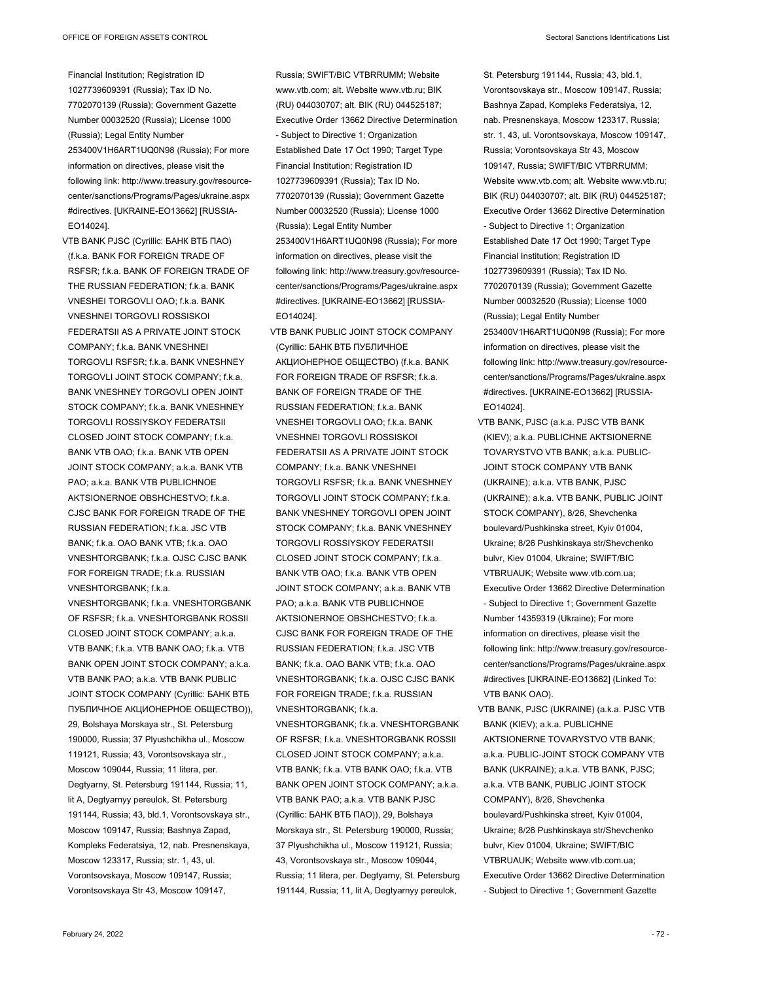Financial Institution; Registration ID 1027739609391 (Russia); Tax ID No. 7702070139 (Russia); Government Gazette Number 00032520 (Russia); License 1000 (Russia); Legal Entity Number 253400V1H6ART1UQ0N98 (Russia); For more information on directives, please visit the following link: http://www.treasury.gov/resourcecenter/sanctions/Programs/Pages/ukraine.aspx #directives. [UKRAINE-EO13662] [RUSSIA-EO14024].

VTB BANK PJSC (Cyrillic: БАНК ВТБ ПАО) (f.k.a. BANK FOR FOREIGN TRADE OF RSFSR; f.k.a. BANK OF FOREIGN TRADE OF THE RUSSIAN FEDERATION; f.k.a. BANK VNESHEI TORGOVLI OAO; f.k.a. BANK VNESHNEI TORGOVLI ROSSISKOI FEDERATSII AS A PRIVATE JOINT STOCK COMPANY; f.k.a. BANK VNESHNEI TORGOVLI RSFSR; f.k.a. BANK VNESHNEY TORGOVLI JOINT STOCK COMPANY; f.k.a. BANK VNESHNEY TORGOVLI OPEN JOINT STOCK COMPANY; f.k.a. BANK VNESHNEY TORGOVLI ROSSIYSKOY FEDERATSII CLOSED JOINT STOCK COMPANY; f.k.a. BANK VTB OAO; f.k.a. BANK VTB OPEN JOINT STOCK COMPANY; a.k.a. BANK VTB PAO: a.k.a. BANK VTB PUBLICHNOE AKTSIONERNOE OBSHCHESTVO; f.k.a. CJSC BANK FOR FOREIGN TRADE OF THE RUSSIAN FEDERATION; f.k.a. JSC VTB BANK; f.k.a. OAO BANK VTB; f.k.a. OAO VNESHTORGBANK; f.k.a. OJSC CJSC BANK FOR FOREIGN TRADE; f.k.a. RUSSIAN VNESHTORGBANK; f.k.a.

VNESHTORGBANK; f.k.a. VNESHTORGBANK OF RSFSR; f.k.a. VNESHTORGBANK ROSSII CLOSED JOINT STOCK COMPANY; a.k.a. VTB BANK; f.k.a. VTB BANK OAO; f.k.a. VTB BANK OPEN JOINT STOCK COMPANY; a.k.a. VTB BANK PAO; a.k.a. VTB BANK PUBLIC JOINT STOCK COMPANY (Cyrillic: БАНК ВТБ ПУБЛИЧНОЕ АКЦИОНЕРНОЕ ОБЩЕСТВО)), 29, Bolshaya Morskaya str., St. Petersburg 190000, Russia; 37 Plyushchikha ul., Moscow 119121, Russia; 43, Vorontsovskaya str., Moscow 109044, Russia; 11 litera, per. Degtyarny, St. Petersburg 191144, Russia; 11, lit A, Degtyarnyy pereulok, St. Petersburg 191144, Russia; 43, bld.1, Vorontsovskaya str., Moscow 109147, Russia; Bashnya Zapad, Kompleks Federatsiya, 12, nab. Presnenskaya, Moscow 123317, Russia; str. 1, 43, ul. Vorontsovskaya, Moscow 109147, Russia; Vorontsovskaya Str 43, Moscow 109147,

Russia; SWIFT/BIC VTBRRUMM; Website www.vtb.com; alt. Website www.vtb.ru; BIK (RU) 044030707; alt. BIK (RU) 044525187; Executive Order 13662 Directive Determination - Subject to Directive 1; Organization Established Date 17 Oct 1990; Target Type Financial Institution; Registration ID 1027739609391 (Russia); Tax ID No. 7702070139 (Russia); Government Gazette Number 00032520 (Russia); License 1000 (Russia); Legal Entity Number 253400V1H6ART1UQ0N98 (Russia); For more information on directives, please visit the following link: http://www.treasury.gov/resourcecenter/sanctions/Programs/Pages/ukraine.aspx #directives. [UKRAINE-EO13662] [RUSSIA-EO14024].

VTB BANK PUBLIC JOINT STOCK COMPANY (Cyrillic: БАНК ВТБ ПУБЛИЧНОЕ АКЦИОНЕРНОЕ ОБЩЕСТВО) (f.k.a. BANK FOR FOREIGN TRADE OF RSFSR; f.k.a. BANK OF FOREIGN TRADE OF THE RUSSIAN FEDERATION; f.k.a. BANK VNESHEI TORGOVLI OAO; f.k.a. BANK VNESHNEI TORGOVLI ROSSISKOI FEDERATSII AS A PRIVATE JOINT STOCK COMPANY; f.k.a. BANK VNESHNEI TORGOVLI RSFSR; f.k.a. BANK VNESHNEY TORGOVLI JOINT STOCK COMPANY; f.k.a. BANK VNESHNEY TORGOVLI OPEN JOINT STOCK COMPANY; f.k.a. BANK VNESHNEY TORGOVLI ROSSIYSKOY FEDERATSIL CLOSED JOINT STOCK COMPANY; f.k.a. BANK VTB OAO; f.k.a. BANK VTB OPEN JOINT STOCK COMPANY; a.k.a. BANK VTB PAO; a.k.a. BANK VTB PUBLICHNOE AKTSIONERNOE OBSHCHESTVO; f.k.a. CJSC BANK FOR FOREIGN TRADE OF THE RUSSIAN FEDERATION; f.k.a. JSC VTB BANK; f.k.a. OAO BANK VTB; f.k.a. OAO VNESHTORGBANK; f.k.a. OJSC CJSC BANK FOR FOREIGN TRADE; f.k.a. RUSSIAN VNESHTORGBANK; f.k.a. VNESHTORGBANK; f.k.a. VNESHTORGBANK OF RSFSR; f.k.a. VNESHTORGBANK ROSSII CLOSED JOINT STOCK COMPANY; a.k.a. VTB BANK; fk.a. VTB BANK OAO; fk.a. VTB BANK OPEN JOINT STOCK COMPANY; a.k.a. VTB BANK PAO; a.k.a. VTB BANK PJSC (Cyrillic: БАНК ВТБ ПАО)), 29, Bolshaya Morskaya str., St. Petersburg 190000, Russia; 37 Plyushchikha ul., Moscow 119121, Russia; 43, Vorontsovskaya str., Moscow 109044, Russia; 11 litera, per. Degtyarny, St. Petersburg

191144, Russia; 11, lit A, Degtyarnyy pereulok,

St. Petersburg 191144, Russia; 43, bld.1, Vorontsovskaya str., Moscow 109147, Russia; Bashnya Zapad, Kompleks Federatsiya, 12, nab. Presnenskaya, Moscow 123317, Russia; str. 1, 43, ul. Vorontsovskaya, Moscow 109147, Russia; Vorontsovskaya Str 43, Moscow 109147, Russia; SWIFT/BIC VTBRRUMM; Website www.vtb.com; alt. Website www.vtb.ru; BIK (RU) 044030707; alt. BIK (RU) 044525187; Executive Order 13662 Directive Determination - Subject to Directive 1; Organization Established Date 17 Oct 1990; Target Type Financial Institution; Registration ID 1027739609391 (Russia); Tax ID No. 7702070139 (Russia); Government Gazette Number 00032520 (Russia); License 1000 (Russia); Legal Entity Number 253400V1H6ART1UQ0N98 (Russia); For more information on directives, please visit the following link: http://www.treasury.gov/resourcecenter/sanctions/Programs/Pages/ukraine.aspx #directives. [UKRAINE-EO13662] [RUSSIA-EO14024].

VTB BANK, PJSC (a.k.a. PJSC VTB BANK (KIEV); a.k.a. PUBLICHNE AKTSIONERNE TOVARYSTVO VTB BANK; a.k.a. PUBLIC-JOINT STOCK COMPANY VTB BANK (UKRAINE); a.k.a. VTB BANK, PJSC (UKRAINE); a.k.a. VTB BANK, PUBLIC JOINT STOCK COMPANY), 8/26, Shevchenka boulevard/Pushkinska street, Kyiv 01004, Ukraine; 8/26 Pushkinskaya str/Shevchenko bulvr, Kiev 01004, Ukraine; SWIFT/BIC VTBRUAUK; Website www.vtb.com.ua; Executive Order 13662 Directive Determination - Subject to Directive 1; Government Gazette Number 14359319 (Ukraine); For more information on directives, please visit the following link: http://www.treasury.gov/resourcecenter/sanctions/Programs/Pages/ukraine.aspx #directives [UKRAINE-EO13662] (Linked To: VTB BANK OAO).

VTB BANK, PJSC (UKRAINE) (a.k.a. PJSC VTB BANK (KIEV); a.k.a. PUBLICHNE AKTSIONERNE TOVARYSTVO VTB BANK; a.k.a. PUBLIC-JOINT STOCK COMPANY VTB BANK (UKRAINE); a.k.a. VTB BANK, PJSC; a.k.a. VTB BANK, PUBLIC JOINT STOCK COMPANY), 8/26, Shevchenka boulevard/Pushkinska street, Kyiv 01004, Ukraine; 8/26 Pushkinskaya str/Shevchenko bulvr, Kiev 01004, Ukraine; SWIFT/BIC VTBRUAUK; Website www.vtb.com.ua; Executive Order 13662 Directive Determination - Subject to Directive 1; Government Gazette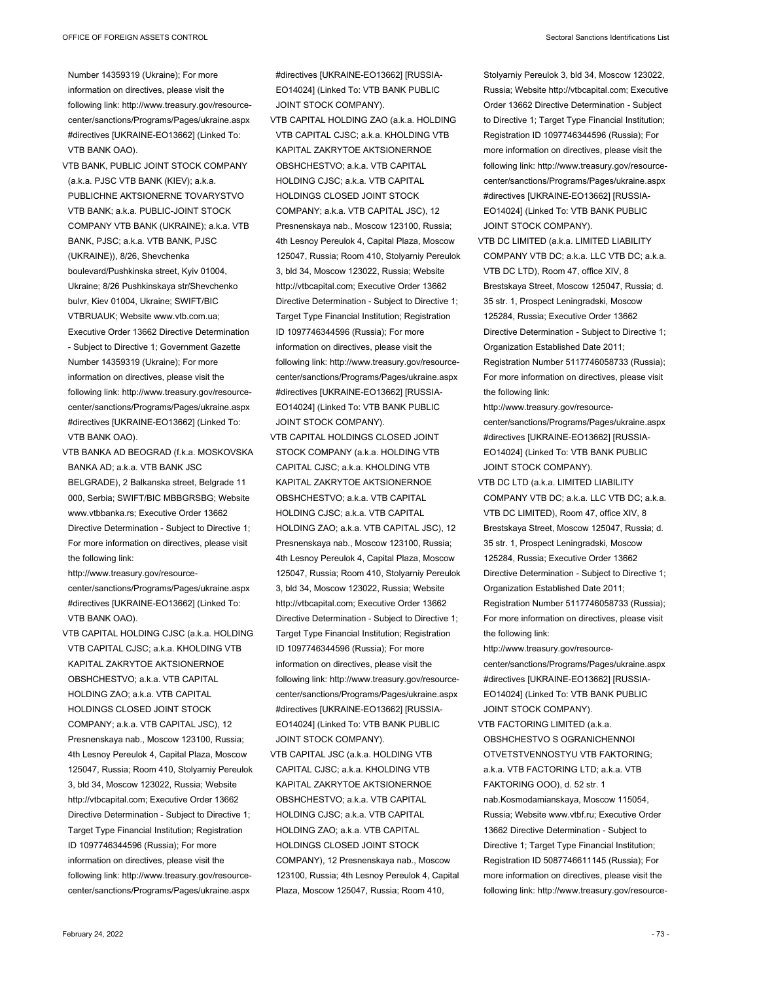- VTB BANK, PUBLIC JOINT STOCK COMPANY (a.k.a. PJSC VTB BANK (KIEV); a.k.a. PUBLICHNE AKTSIONERNE TOVARYSTVO VTB BANK; a.k.a. PUBLIC-JOINT STOCK COMPANY VTB BANK (UKRAINE); a.k.a. VTB BANK, PJSC; a.k.a. VTB BANK, PJSC (UKRAINE)), 8/26, Shevchenka boulevard/Pushkinska street, Kyiv 01004, Ukraine; 8/26 Pushkinskaya str/Shevchenko bulvr, Kiev 01004, Ukraine; SWIFT/BIC VTBRUAUK; Website www.vtb.com.ua; Executive Order 13662 Directive Determination - Subject to Directive 1; Government Gazette Number 14359319 (Ukraine); For more information on directives, please visit the following link: http://www.treasury.gov/resourcecenter/sanctions/Programs/Pages/ukraine.aspx #directives [UKRAINE-EO13662] (Linked To: VTB BANK OAO).
- VTB BANKA AD BEOGRAD (f.k.a. MOSKOVSKA BANKA AD; a.k.a. VTB BANK JSC BELGRADE), 2 Balkanska street, Belgrade 11 000, Serbia; SWIFT/BIC MBBGRSBG; Website www.vtbbanka.rs; Executive Order 13662 Directive Determination - Subject to Directive 1; For more information on directives, please visit the following link:

http://www.treasury.gov/resourcecenter/sanctions/Programs/Pages/ukraine.aspx #directives [UKRAINE-EO13662] (Linked To: VTB BANK OAO).

VTB CAPITAL HOLDING CJSC (a.k.a. HOLDING VTB CAPITAL CJSC; a.k.a. KHOLDING VTB KAPITAL ZAKRYTOE AKTSIONERNOE OBSHCHESTVO; a.k.a. VTB CAPITAL HOLDING ZAO; a.k.a. VTB CAPITAL HOLDINGS CLOSED JOINT STOCK COMPANY; a.k.a. VTB CAPITAL JSC), 12 Presnenskaya nab., Moscow 123100, Russia; 4th Lesnoy Pereulok 4, Capital Plaza, Moscow 125047, Russia; Room 410, Stolyarniy Pereulok 3, bld 34, Moscow 123022, Russia; Website http://vtbcapital.com; Executive Order 13662 Directive Determination - Subject to Directive 1; Target Type Financial Institution; Registration ID 1097746344596 (Russia); For more information on directives, please visit the following link: http://www.treasury.gov/resourcecenter/sanctions/Programs/Pages/ukraine.aspx

#directives [UKRAINE-EO13662] [RUSSIA-EO14024] (Linked To: VTB BANK PUBLIC JOINT STOCK COMPANY).

VTB CAPITAL HOLDING ZAO (a.k.a. HOLDING VTB CAPITAL CJSC; a.k.a. KHOLDING VTB KAPITAL ZAKRYTOE AKTSIONERNOE OBSHCHESTVO; a.k.a. VTB CAPITAL HOLDING CJSC; a.k.a. VTB CAPITAL HOLDINGS CLOSED JOINT STOCK COMPANY; a.k.a. VTB CAPITAL JSC), 12 Presnenskaya nab., Moscow 123100, Russia; 4th Lesnoy Pereulok 4, Capital Plaza, Moscow 125047, Russia; Room 410, Stolyarniy Pereulok 3, bld 34, Moscow 123022, Russia; Website http://vtbcapital.com; Executive Order 13662 Directive Determination - Subject to Directive 1; Target Type Financial Institution; Registration ID 1097746344596 (Russia); For more information on directives, please visit the following link: http://www.treasury.gov/resourcecenter/sanctions/Programs/Pages/ukraine.aspx #directives [UKRAINE-EO13662] [RUSSIA-EO14024] (Linked To: VTB BANK PUBLIC JOINT STOCK COMPANY).

- VTB CAPITAL HOLDINGS CLOSED JOINT STOCK COMPANY (a.k.a. HOLDING VTB CAPITAL CJSC; a.k.a. KHOLDING VTB KAPITAL ZAKRYTOE AKTSIONERNOE OBSHCHESTVO; a.k.a. VTB CAPITAL HOLDING CJSC; a.k.a. VTB CAPITAL HOLDING ZAO; a.k.a. VTB CAPITAL JSC), 12 Presnenskaya nab., Moscow 123100, Russia; 4th Lesnoy Pereulok 4, Capital Plaza, Moscow 125047, Russia; Room 410, Stolyarniy Pereulok 3, bld 34, Moscow 123022, Russia; Website http://vtbcapital.com; Executive Order 13662 Directive Determination - Subject to Directive 1; Target Type Financial Institution; Registration ID 1097746344596 (Russia); For more information on directives, please visit the following link: http://www.treasury.gov/resourcecenter/sanctions/Programs/Pages/ukraine.aspx #directives [UKRAINE-EO13662] [RUSSIA-EO14024] (Linked To: VTB BANK PUBLIC JOINT STOCK COMPANY).
- VTB CAPITAL JSC (a.k.a. HOLDING VTB CAPITAL CJSC; a.k.a. KHOLDING VTB KAPITAL ZAKRYTOE AKTSIONERNOE OBSHCHESTVO; a.k.a. VTB CAPITAL HOLDING CJSC; a.k.a. VTB CAPITAL HOLDING ZAO; a.k.a. VTB CAPITAL HOLDINGS CLOSED JOINT STOCK COMPANY), 12 Presnenskaya nab., Moscow 123100, Russia; 4th Lesnoy Pereulok 4, Capital Plaza, Moscow 125047, Russia; Room 410,

Stolyarniy Pereulok 3, bld 34, Moscow 123022, Russia; Website http://vtbcapital.com; Executive Order 13662 Directive Determination - Subject to Directive 1; Target Type Financial Institution; Registration ID 1097746344596 (Russia); For more information on directives, please visit the following link: http://www.treasury.gov/resourcecenter/sanctions/Programs/Pages/ukraine.aspx #directives [UKRAINE-EO13662] [RUSSIA-EO14024] (Linked To: VTB BANK PUBLIC JOINT STOCK COMPANY).

- VTB DC LIMITED (a.k.a. LIMITED LIABILITY COMPANY VTB DC; a.k.a. LLC VTB DC; a.k.a. VTB DC LTD), Room 47, office XIV, 8 Brestskaya Street, Moscow 125047, Russia; d. 35 str. 1, Prospect Leningradski, Moscow 125284, Russia; Executive Order 13662 Directive Determination - Subject to Directive 1; Organization Established Date 2011; Registration Number 5117746058733 (Russia); For more information on directives, please visit the following link:
- http://www.treasury.gov/resourcecenter/sanctions/Programs/Pages/ukraine.aspx #directives [UKRAINE-EO13662] [RUSSIA-EO14024] (Linked To: VTB BANK PUBLIC JOINT STOCK COMPANY).
- VTB DC LTD (a.k.a. LIMITED LIABILITY COMPANY VTB DC; a.k.a. LLC VTB DC; a.k.a. VTB DC LIMITED), Room 47, office XIV, 8 Brestskaya Street, Moscow 125047, Russia; d. 35 str. 1, Prospect Leningradski, Moscow 125284, Russia; Executive Order 13662 Directive Determination - Subject to Directive 1; Organization Established Date 2011; Registration Number 5117746058733 (Russia); For more information on directives, please visit the following link:
- http://www.treasury.gov/resourcecenter/sanctions/Programs/Pages/ukraine.aspx #directives [UKRAINE-EO13662] [RUSSIA-EO14024] (Linked To: VTB BANK PUBLIC JOINT STOCK COMPANY).
- VTB FACTORING LIMITED (a.k.a. OBSHCHESTVO S OGRANICHENNOI OTVETSTVENNOSTYU VTB FAKTORING; a.k.a. VTB FACTORING LTD; a.k.a. VTB FAKTORING OOO), d. 52 str. 1 nab.Kosmodamianskaya, Moscow 115054, Russia; Website www.vtbf.ru; Executive Order 13662 Directive Determination - Subject to Directive 1; Target Type Financial Institution; Registration ID 5087746611145 (Russia); For more information on directives, please visit the following link: http://www.treasury.gov/resource-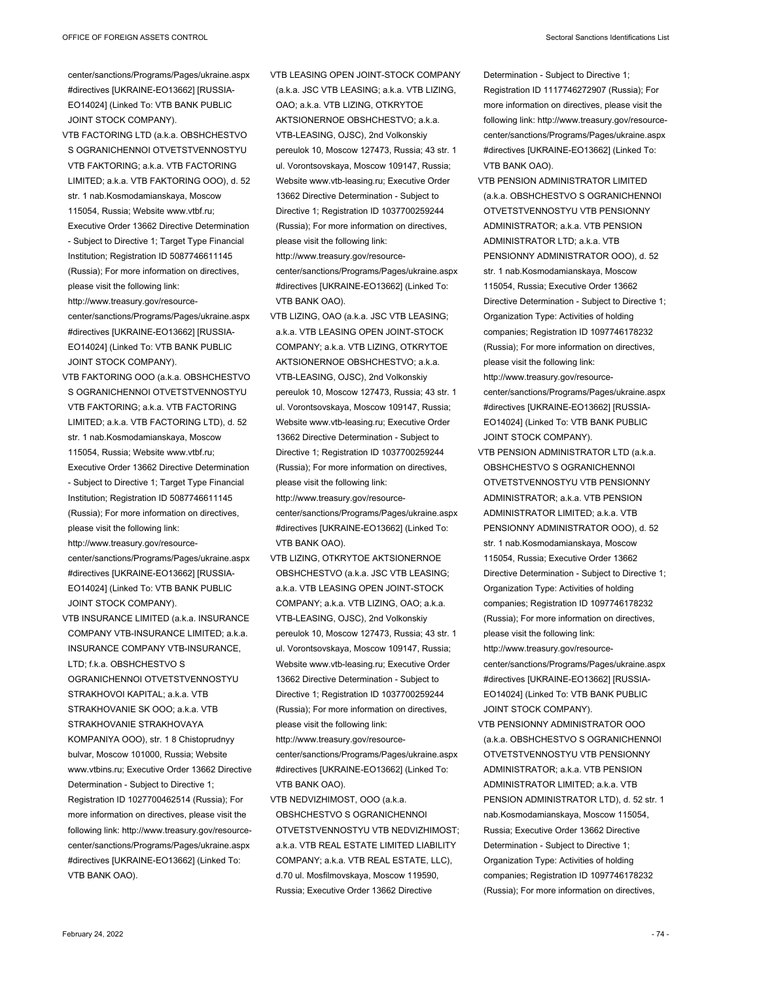center/sanctions/Programs/Pages/ukraine.aspx #directives [UKRAINE-EO13662] [RUSSIA-EO14024] (Linked To: VTB BANK PUBLIC JOINT STOCK COMPANY).

- VTB FACTORING LTD (a.k.a. OBSHCHESTVO S OGRANICHENNOI OTVETSTVENNOSTYU VTB FAKTORING; a.k.a. VTB FACTORING LIMITED; a.k.a. VTB FAKTORING OOO), d. 52 str. 1 nab.Kosmodamianskaya, Moscow 115054, Russia; Website www.vtbf.ru; Executive Order 13662 Directive Determination - Subject to Directive 1; Target Type Financial Institution; Registration ID 5087746611145 (Russia); For more information on directives, please visit the following link: http://www.treasury.gov/resourcecenter/sanctions/Programs/Pages/ukraine.aspx #directives [UKRAINE-EO13662] [RUSSIA-EO14024] (Linked To: VTB BANK PUBLIC JOINT STOCK COMPANY).
- VTB FAKTORING OOO (a.k.a. OBSHCHESTVO S OGRANICHENNOI OTVETSTVENNOSTYU VTB FAKTORING; a.k.a. VTB FACTORING LIMITED; a.k.a. VTB FACTORING LTD), d. 52 str. 1 nab.Kosmodamianskaya, Moscow 115054, Russia; Website www.vtbf.ru; Executive Order 13662 Directive Determination - Subject to Directive 1; Target Type Financial Institution; Registration ID 5087746611145 (Russia); For more information on directives, please visit the following link: http://www.treasury.gov/resourcecenter/sanctions/Programs/Pages/ukraine.aspx #directives [UKRAINE-EO13662] [RUSSIA-EO14024] (Linked To: VTB BANK PUBLIC JOINT STOCK COMPANY).
- VTB INSURANCE LIMITED (a.k.a. INSURANCE COMPANY VTB-INSURANCE LIMITED; a.k.a. INSURANCE COMPANY VTB-INSURANCE, LTD; f.k.a. OBSHCHESTVO S OGRANICHENNOI OTVETSTVENNOSTYU STRAKHOVOI KAPITAL; a.k.a. VTB STRAKHOVANIE SK OOO; a.k.a. VTB STRAKHOVANIE STRAKHOVAYA KOMPANIYA OOO), str. 1 8 Chistoprudnyy bulvar, Moscow 101000, Russia; Website www.vtbins.ru; Executive Order 13662 Directive Determination - Subject to Directive 1; Registration ID 1027700462514 (Russia); For more information on directives, please visit the following link: http://www.treasury.gov/resourcecenter/sanctions/Programs/Pages/ukraine.aspx #directives [UKRAINE-EO13662] (Linked To: VTB BANK OAO).

VTB LEASING OPEN JOINT-STOCK COMPANY (a.k.a. JSC VTB LEASING; a.k.a. VTB LIZING, OAO; a.k.a. VTB LIZING, OTKRYTOE AKTSIONERNOE OBSHCHESTVO; a.k.a. VTB-LEASING, OJSC), 2nd Volkonskiy pereulok 10, Moscow 127473, Russia; 43 str. 1 ul. Vorontsovskaya, Moscow 109147, Russia; Website www.vtb-leasing.ru; Executive Order 13662 Directive Determination - Subject to Directive 1; Registration ID 1037700259244 (Russia); For more information on directives, please visit the following link: http://www.treasury.gov/resourcecenter/sanctions/Programs/Pages/ukraine.aspx #directives [UKRAINE-EO13662] (Linked To: VTB BANK OAO).

- VTB LIZING, OAO (a.k.a. JSC VTB LEASING; a.k.a. VTB LEASING OPEN JOINT-STOCK COMPANY; a.k.a. VTB LIZING, OTKRYTOE AKTSIONERNOE OBSHCHESTVO; a.k.a. VTB-LEASING, OJSC), 2nd Volkonskiy pereulok 10, Moscow 127473, Russia; 43 str. 1 ul. Vorontsovskaya, Moscow 109147, Russia; Website www.vtb-leasing.ru; Executive Order 13662 Directive Determination - Subject to Directive 1; Registration ID 1037700259244 (Russia); For more information on directives, please visit the following link:
- http://www.treasury.gov/resourcecenter/sanctions/Programs/Pages/ukraine.aspx #directives [UKRAINE-EO13662] (Linked To: VTB BANK OAO).
- VTB LIZING, OTKRYTOE AKTSIONERNOE OBSHCHESTVO (a.k.a. JSC VTB LEASING; a.k.a. VTB LEASING OPEN JOINT-STOCK COMPANY; a.k.a. VTB LIZING, OAO; a.k.a. VTB-LEASING, OJSC), 2nd Volkonskiy pereulok 10, Moscow 127473, Russia; 43 str. 1 ul. Vorontsovskaya, Moscow 109147, Russia; Website www.vtb-leasing.ru; Executive Order 13662 Directive Determination - Subject to Directive 1; Registration ID 1037700259244 (Russia); For more information on directives, please visit the following link:

http://www.treasury.gov/resourcecenter/sanctions/Programs/Pages/ukraine.aspx #directives [UKRAINE-EO13662] (Linked To: VTB BANK OAO).

VTB NEDVIZHIMOST, OOO (a.k.a. OBSHCHESTVO S OGRANICHENNOI OTVETSTVENNOSTYU VTB NEDVIZHIMOST; a.k.a. VTB REAL ESTATE LIMITED LIABILITY COMPANY; a.k.a. VTB REAL ESTATE, LLC), d.70 ul. Mosfilmovskaya, Moscow 119590, Russia; Executive Order 13662 Directive

Determination - Subject to Directive 1; Registration ID 1117746272907 (Russia); For more information on directives, please visit the following link: http://www.treasury.gov/resourcecenter/sanctions/Programs/Pages/ukraine.aspx #directives [UKRAINE-EO13662] (Linked To: VTB BANK OAO).

- VTB PENSION ADMINISTRATOR LIMITED (a.k.a. OBSHCHESTVO S OGRANICHENNOI OTVETSTVENNOSTYU VTB PENSIONNY ADMINISTRATOR; a.k.a. VTB PENSION ADMINISTRATOR LTD; a.k.a. VTB PENSIONNY ADMINISTRATOR OOO), d. 52 str. 1 nab.Kosmodamianskaya, Moscow 115054, Russia; Executive Order 13662 Directive Determination - Subject to Directive 1; Organization Type: Activities of holding companies; Registration ID 1097746178232 (Russia); For more information on directives, please visit the following link: http://www.treasury.gov/resourcecenter/sanctions/Programs/Pages/ukraine.aspx #directives [UKRAINE-EO13662] [RUSSIA-EO14024] (Linked To: VTB BANK PUBLIC
- JOINT STOCK COMPANY). VTB PENSION ADMINISTRATOR LTD (a.k.a. OBSHCHESTVO S OGRANICHENNOI OTVETSTVENNOSTYU VTB PENSIONNY ADMINISTRATOR; a.k.a. VTB PENSION ADMINISTRATOR LIMITED; a.k.a. VTB PENSIONNY ADMINISTRATOR OOO), d. 52 str. 1 nab.Kosmodamianskaya, Moscow 115054, Russia; Executive Order 13662 Directive Determination - Subject to Directive 1; Organization Type: Activities of holding companies; Registration ID 1097746178232 (Russia); For more information on directives, please visit the following link:
- http://www.treasury.gov/resourcecenter/sanctions/Programs/Pages/ukraine.aspx #directives [UKRAINE-EO13662] [RUSSIA-EO14024] (Linked To: VTB BANK PUBLIC JOINT STOCK COMPANY).
- VTB PENSIONNY ADMINISTRATOR OOO (a.k.a. OBSHCHESTVO S OGRANICHENNOI OTVETSTVENNOSTYU VTB PENSIONNY ADMINISTRATOR; a.k.a. VTB PENSION ADMINISTRATOR LIMITED; a.k.a. VTB PENSION ADMINISTRATOR LTD), d. 52 str. 1 nab.Kosmodamianskaya, Moscow 115054, Russia; Executive Order 13662 Directive Determination - Subject to Directive 1; Organization Type: Activities of holding companies; Registration ID 1097746178232 (Russia); For more information on directives,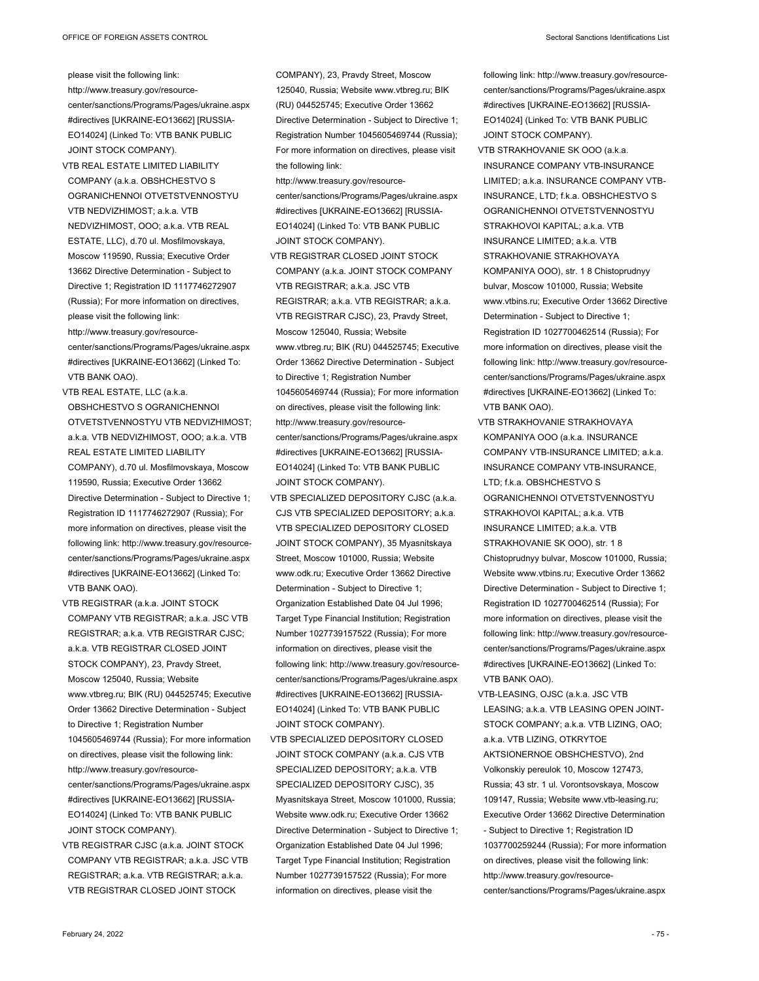please visit the following link: http://www.treasury.gov/resourcecenter/sanctions/Programs/Pages/ukraine.aspx #directives [UKRAINE-EO13662] [RUSSIA-EO14024] (Linked To: VTB BANK PUBLIC JOINT STOCK COMPANY).

- VTB REAL ESTATE LIMITED LIABILITY COMPANY (a.k.a. OBSHCHESTVO S OGRANICHENNOI OTVETSTVENNOSTYU VTB NEDVIZHIMOST; a.k.a. VTB NEDVIZHIMOST, OOO; a.k.a. VTB REAL ESTATE, LLC), d.70 ul. Mosfilmovskaya, Moscow 119590, Russia; Executive Order 13662 Directive Determination - Subject to Directive 1; Registration ID 1117746272907 (Russia); For more information on directives, please visit the following link: http://www.treasury.gov/resourcecenter/sanctions/Programs/Pages/ukraine.aspx #directives [UKRAINE-EO13662] (Linked To: VTB BANK OAO).
- VTB REAL ESTATE, LLC (a.k.a. OBSHCHESTVO S OGRANICHENNOI OTVETSTVENNOSTYU VTB NEDVIZHIMOST; a.k.a. VTB NEDVIZHIMOST, OOO; a.k.a. VTB REAL ESTATE LIMITED LIABILITY COMPANY), d.70 ul. Mosfilmovskaya, Moscow 119590, Russia; Executive Order 13662 Directive Determination - Subject to Directive 1; Registration ID 1117746272907 (Russia); For more information on directives, please visit the following link: http://www.treasury.gov/resourcecenter/sanctions/Programs/Pages/ukraine.aspx #directives [UKRAINE-EO13662] (Linked To: VTB BANK OAO).
- VTB REGISTRAR (a.k.a. JOINT STOCK COMPANY VTB REGISTRAR; a.k.a. JSC VTB REGISTRAR; a.k.a. VTB REGISTRAR CJSC; a.k.a. VTB REGISTRAR CLOSED JOINT STOCK COMPANY), 23, Pravdy Street, Moscow 125040, Russia; Website www.vtbreg.ru; BIK (RU) 044525745; Executive Order 13662 Directive Determination - Subject to Directive 1; Registration Number 1045605469744 (Russia); For more information on directives, please visit the following link: http://www.treasury.gov/resourcecenter/sanctions/Programs/Pages/ukraine.aspx #directives [UKRAINE-EO13662] [RUSSIA-EO14024] (Linked To: VTB BANK PUBLIC JOINT STOCK COMPANY).
- VTB REGISTRAR CJSC (a.k.a. JOINT STOCK COMPANY VTB REGISTRAR; a.k.a. JSC VTB REGISTRAR; a.k.a. VTB REGISTRAR; a.k.a. VTB REGISTRAR CLOSED JOINT STOCK

COMPANY), 23, Pravdy Street, Moscow 125040, Russia; Website www.vtbreg.ru; BIK (RU) 044525745; Executive Order 13662 Directive Determination - Subject to Directive 1; Registration Number 1045605469744 (Russia); For more information on directives, please visit the following link:

- http://www.treasury.gov/resourcecenter/sanctions/Programs/Pages/ukraine.aspx #directives [UKRAINE-EO13662] [RUSSIA-EO14024] (Linked To: VTB BANK PUBLIC JOINT STOCK COMPANY).
- VTB REGISTRAR CLOSED JOINT STOCK COMPANY (a.k.a. JOINT STOCK COMPANY VTB REGISTRAR; a.k.a. JSC VTB REGISTRAR; a.k.a. VTB REGISTRAR; a.k.a. VTB REGISTRAR CJSC), 23, Pravdy Street, Moscow 125040, Russia; Website www.vtbreg.ru; BIK (RU) 044525745; Executive Order 13662 Directive Determination - Subject to Directive 1; Registration Number 1045605469744 (Russia); For more information on directives, please visit the following link: http://www.treasury.gov/resourcecenter/sanctions/Programs/Pages/ukraine.aspx #directives [UKRAINE-EO13662] [RUSSIA-EO14024] (Linked To: VTB BANK PUBLIC JOINT STOCK COMPANY).
- VTB SPECIALIZED DEPOSITORY CJSC (a.k.a. CJS VTB SPECIALIZED DEPOSITORY; a.k.a. VTB SPECIALIZED DEPOSITORY CLOSED JOINT STOCK COMPANY), 35 Myasnitskaya Street, Moscow 101000, Russia; Website www.odk.ru; Executive Order 13662 Directive Determination - Subject to Directive 1; Organization Established Date 04 Jul 1996; Target Type Financial Institution; Registration Number 1027739157522 (Russia); For more information on directives, please visit the following link: http://www.treasury.gov/resourcecenter/sanctions/Programs/Pages/ukraine.aspx #directives [UKRAINE-EO13662] [RUSSIA-EO14024] (Linked To: VTB BANK PUBLIC JOINT STOCK COMPANY).
- VTB SPECIALIZED DEPOSITORY CLOSED JOINT STOCK COMPANY (a.k.a. CJS VTB SPECIALIZED DEPOSITORY; a.k.a. VTB SPECIALIZED DEPOSITORY CJSC), 35 Myasnitskaya Street, Moscow 101000, Russia; Website www.odk.ru; Executive Order 13662 Directive Determination - Subject to Directive 1; Organization Established Date 04 Jul 1996; Target Type Financial Institution; Registration Number 1027739157522 (Russia); For more information on directives, please visit the

following link: http://www.treasury.gov/resourcecenter/sanctions/Programs/Pages/ukraine.aspx #directives [UKRAINE-EO13662] [RUSSIA-EO14024] (Linked To: VTB BANK PUBLIC JOINT STOCK COMPANY).

- VTB STRAKHOVANIE SK OOO (a.k.a. INSURANCE COMPANY VTB-INSURANCE LIMITED; a.k.a. INSURANCE COMPANY VTB-INSURANCE, LTD; f.k.a. OBSHCHESTVO S OGRANICHENNOI OTVETSTVENNOSTYU STRAKHOVOI KAPITAL; a.k.a. VTB INSURANCE LIMITED; a.k.a. VTB STRAKHOVANIE STRAKHOVAYA KOMPANIYA OOO), str. 1 8 Chistoprudnyy bulvar, Moscow 101000, Russia; Website www.vtbins.ru; Executive Order 13662 Directive Determination - Subject to Directive 1; Registration ID 1027700462514 (Russia); For more information on directives, please visit the following link: http://www.treasury.gov/resourcecenter/sanctions/Programs/Pages/ukraine.aspx #directives [UKRAINE-EO13662] (Linked To: VTB BANK OAO).
- VTB STRAKHOVANIE STRAKHOVAYA KOMPANIYA OOO (a.k.a. INSURANCE COMPANY VTB-INSURANCE LIMITED; a.k.a. INSURANCE COMPANY VTB-INSURANCE, LTD; f.k.a. OBSHCHESTVO S OGRANICHENNOI OTVETSTVENNOSTYU STRAKHOVOI KAPITAL; a.k.a. VTB INSURANCE LIMITED; a.k.a. VTB STRAKHOVANIE SK OOO), str. 18 Chistoprudnyy bulvar, Moscow 101000, Russia; Website www.vtbins.ru; Executive Order 13662 Directive Determination - Subject to Directive 1; Registration ID 1027700462514 (Russia); For more information on directives, please visit the following link: http://www.treasury.gov/resourcecenter/sanctions/Programs/Pages/ukraine.aspx #directives [UKRAINE-EO13662] (Linked To: VTB BANK OAO).
- VTB-LEASING, OJSC (a.k.a. JSC VTB LEASING; a.k.a. VTB LEASING OPEN JOINT-STOCK COMPANY; a.k.a. VTB LIZING, OAO; a.k.a. VTB LIZING, OTKRYTOE AKTSIONERNOE OBSHCHESTVO), 2nd Volkonskiy pereulok 10, Moscow 127473, Russia; 43 str. 1 ul. Vorontsovskaya, Moscow 109147, Russia; Website www.vtb-leasing.ru; Executive Order 13662 Directive Determination - Subject to Directive 1; Registration ID 1037700259244 (Russia); For more information on directives, please visit the following link: http://www.treasury.gov/resourcecenter/sanctions/Programs/Pages/ukraine.aspx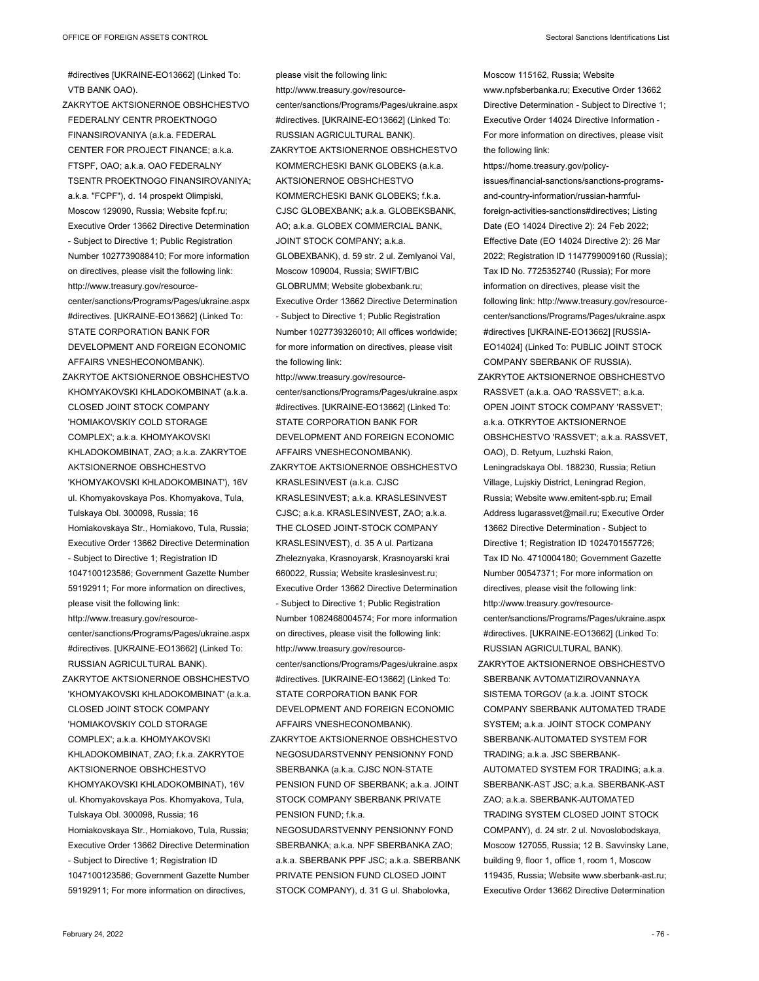#directives [UKRAINE-EO13662] (Linked To: VTB BANK OAO).

ZAKRYTOE AKTSIONERNOE OBSHCHESTVO FEDERALNY CENTR PROEKTNOGO FINANSIROVANIYA (a.k.a. FEDERAL CENTER FOR PROJECT FINANCE; a.k.a. FTSPF, OAO; a.k.a. OAO FEDERALNY TSENTR PROEKTNOGO FINANSIROVANIYA; a.k.a. "FCPF"), d. 14 prospekt Olimpiski, Moscow 129090, Russia; Website fcpf.ru; Executive Order 13662 Directive Determination - Subject to Directive 1; Public Registration Number 1027739088410; For more information on directives, please visit the following link: http://www.treasury.gov/resourcecenter/sanctions/Programs/Pages/ukraine.aspx #directives. [UKRAINE-EO13662] (Linked To: STATE CORPORATION BANK FOR DEVELOPMENT AND FOREIGN ECONOMIC AFFAIRS VNESHECONOMBANK). ZAKRYTOE AKTSIONERNOE OBSHCHESTVO

KHOMYAKOVSKI KHLADOKOMBINAT (a.k.a. CLOSED JOINT STOCK COMPANY 'HOMIAKOVSKIY COLD STORAGE COMPLEX'; a.k.a. KHOMYAKOVSKI KHLADOKOMBINAT, ZAO; a.k.a. ZAKRYTOE AKTSIONERNOE OBSHCHESTVO 'KHOMYAKOVSKI KHLADOKOMBINAT'), 16V ul. Khomyakovskaya Pos. Khomyakova, Tula, Tulskaya Obl. 300098, Russia; 16 Homiakovskaya Str., Homiakovo, Tula, Russia; Executive Order 13662 Directive Determination - Subject to Directive 1; Registration ID 1047100123586; Government Gazette Number 59192911; For more information on directives, please visit the following link: http://www.treasury.gov/resourcecenter/sanctions/Programs/Pages/ukraine.aspx

#directives. [UKRAINE-EO13662] (Linked To: RUSSIAN AGRICULTURAL BANK). ZAKRYTOE AKTSIONERNOE OBSHCHESTVO

'KHOMYAKOVSKI KHLADOKOMBINAT' (a.k.a. CLOSED JOINT STOCK COMPANY 'HOMIAKOVSKIY COLD STORAGE COMPLEX'; a.k.a. KHOMYAKOVSKI KHLADOKOMBINAT, ZAO; f.k.a. ZAKRYTOE AKTSIONERNOE OBSHCHESTVO KHOMYAKOVSKI KHLADOKOMBINAT), 16V ul. Khomyakovskaya Pos. Khomyakova, Tula, Tulskaya Obl. 300098, Russia; 16 Homiakovskaya Str., Homiakovo, Tula, Russia; Executive Order 13662 Directive Determination - Subject to Directive 1; Registration ID 1047100123586; Government Gazette Number 59192911; For more information on directives,

please visit the following link: http://www.treasury.gov/resourcecenter/sanctions/Programs/Pages/ukraine.aspx #directives. [UKRAINE-EO13662] (Linked To: RUSSIAN AGRICULTURAL BANK). ZAKRYTOE AKTSIONERNOE OBSHCHESTVO KOMMERCHESKI BANK GLOBEKS (a.k.a. AKTSIONERNOE OBSHCHESTVO KOMMERCHESKI BANK GLOBEKS; f.k.a. CJSC GLOBEXBANK; a.k.a. GLOBEKSBANK, AO; a.k.a. GLOBEX COMMERCIAL BANK, JOINT STOCK COMPANY; a.k.a. GLOBEXBANK), d. 59 str. 2 ul. Zemlyanoi Val, Moscow 109004, Russia; SWIFT/BIC GLOBRUMM; Website globexbank.ru; Executive Order 13662 Directive Determination - Subject to Directive 1; Public Registration Number 1027739326010; All offices worldwide; for more information on directives, please visit the following link: http://www.treasury.gov/resourcecenter/sanctions/Programs/Pages/ukraine.aspx #directives. [UKRAINE-EO13662] (Linked To: STATE CORPORATION BANK FOR DEVELOPMENT AND FOREIGN ECONOMIC AFFAIRS VNESHECONOMBANK). ZAKRYTOE AKTSIONERNOE OBSHCHESTVO KRASLESINVEST (a.k.a. CJSC

KRASLESINVEST; a.k.a. KRASLESINVEST CJSC; a.k.a. KRASLESINVEST, ZAO; a.k.a. THE CLOSED JOINT-STOCK COMPANY KRASLESINVEST), d. 35 A ul. Partizana Zheleznyaka, Krasnoyarsk, Krasnoyarski krai 660022, Russia; Website kraslesinvest.ru; Executive Order 13662 Directive Determination - Subject to Directive 1; Public Registration Number 1082468004574; For more information on directives, please visit the following link: http://www.treasury.gov/resourcecenter/sanctions/Programs/Pages/ukraine.aspx #directives. [UKRAINE-EO13662] (Linked To: STATE CORPORATION BANK FOR DEVELOPMENT AND FOREIGN ECONOMIC AFFAIRS VNESHECONOMBANK).

ZAKRYTOE AKTSIONERNOE OBSHCHESTVO NEGOSUDARSTVENNY PENSIONNY FOND SBERBANKA (a.k.a. CJSC NON-STATE PENSION FUND OF SBERBANK; a.k.a. JOINT STOCK COMPANY SBERBANK PRIVATE PENSION FUND; f.k.a.

NEGOSUDARSTVENNY PENSIONNY FOND SBERBANKA; a.k.a. NPF SBERBANKA ZAO; a.k.a. SBERBANK PPF JSC; a.k.a. SBERBANK PRIVATE PENSION FUND CLOSED JOINT STOCK COMPANY), d. 31 G ul. Shabolovka,

Moscow 115162, Russia; Website www.npfsberbanka.ru; Executive Order 13662 Directive Determination - Subject to Directive 1; Executive Order 14024 Directive Information - For more information on directives, please visit the following link:

https://home.treasury.gov/policy-

issues/financial-sanctions/sanctions-programsand-country-information/russian-harmfulforeign-activities-sanctions#directives; Listing Date (EO 14024 Directive 2): 24 Feb 2022; Effective Date (EO 14024 Directive 2): 26 Mar 2022; Registration ID 1147799009160 (Russia); Tax ID No. 7725352740 (Russia); For more information on directives, please visit the following link: http://www.treasury.gov/resourcecenter/sanctions/Programs/Pages/ukraine.aspx #directives [UKRAINE-EO13662] [RUSSIA-EO14024] (Linked To: PUBLIC JOINT STOCK COMPANY SBERBANK OF RUSSIA).

- ZAKRYTOE AKTSIONERNOE OBSHCHESTVO RASSVET (a.k.a. OAO 'RASSVET'; a.k.a. OPEN JOINT STOCK COMPANY 'RASSVET'; a.k.a. OTKRYTOE AKTSIONERNOE OBSHCHESTVO 'RASSVET'; a.k.a. RASSVET, OAO), D. Retyum, Luzhski Raion, Leningradskaya Obl. 188230, Russia; Retiun Village, Lujskiy District, Leningrad Region, Russia; Website www.emitent-spb.ru; Email Address lugarassvet@mail.ru; Executive Order 13662 Directive Determination - Subject to Directive 1; Registration ID 1024701557726; Tax ID No. 4710004180; Government Gazette Number 00547371; For more information on directives, please visit the following link: http://www.treasury.gov/resourcecenter/sanctions/Programs/Pages/ukraine.aspx #directives. [UKRAINE-EO13662] (Linked To: RUSSIAN AGRICULTURAL BANK).
- ZAKRYTOE AKTSIONERNOE OBSHCHESTVO SBERBANK AVTOMATIZIROVANNAYA SISTEMA TORGOV (a.k.a. JOINT STOCK COMPANY SBERBANK AUTOMATED TRADE SYSTEM; a.k.a. JOINT STOCK COMPANY SBERBANK-AUTOMATED SYSTEM FOR TRADING; a.k.a. JSC SBERBANK-AUTOMATED SYSTEM FOR TRADING; a.k.a. SBERBANK-AST JSC; a.k.a. SBERBANK-AST ZAO; a.k.a. SBERBANK-AUTOMATED TRADING SYSTEM CLOSED JOINT STOCK COMPANY), d. 24 str. 2 ul. Novoslobodskaya, Moscow 127055, Russia; 12 B. Savvinsky Lane, building 9, floor 1, office 1, room 1, Moscow 119435, Russia; Website www.sberbank-ast.ru; Executive Order 13662 Directive Determination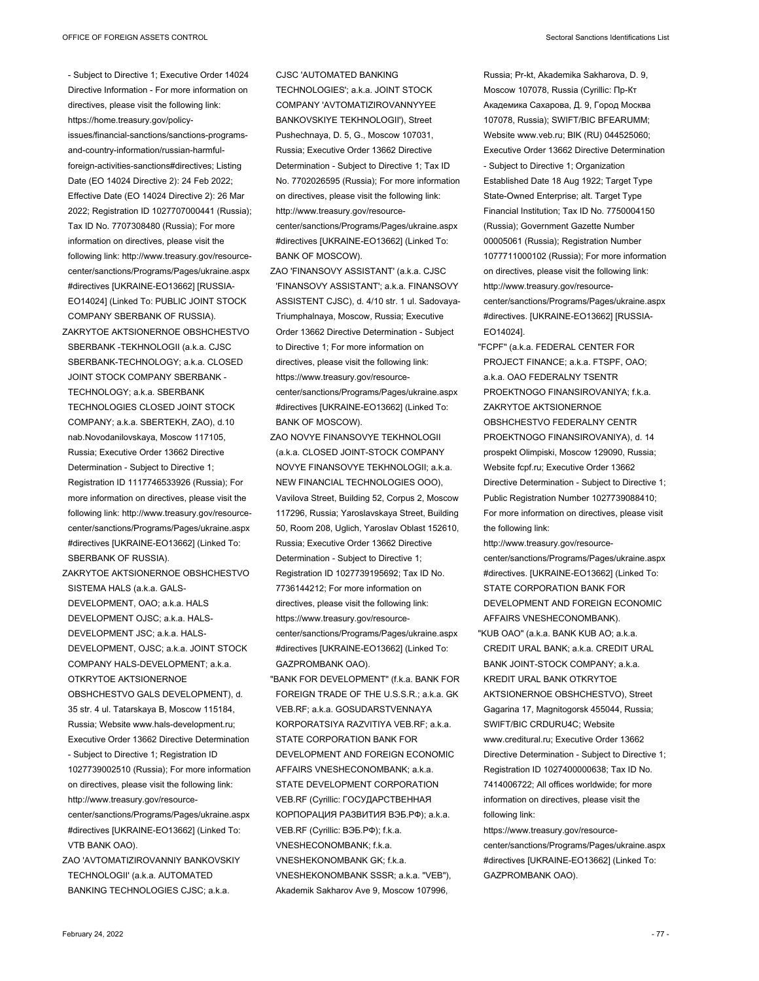- Subject to Directive 1; Executive Order 14024 Directive Information - For more information on directives, please visit the following link: https://home.treasury.gov/policyissues/financial-sanctions/sanctions-programsand-country-information/russian-harmfulforeign-activities-sanctions#directives; Listing Date (EO 14024 Directive 2): 24 Feb 2022; Effective Date (EO 14024 Directive 2): 26 Mar 2022; Registration ID 1027707000441 (Russia); Tax ID No. 7707308480 (Russia); For more information on directives, please visit the following link: http://www.treasury.gov/resourcecenter/sanctions/Programs/Pages/ukraine.aspx #directives [UKRAINE-EO13662] [RUSSIA-EO14024] (Linked To: PUBLIC JOINT STOCK COMPANY SBERBANK OF RUSSIA).

ZAKRYTOE AKTSIONERNOE OBSHCHESTVO SBERBANK -TEKHNOLOGII (a.k.a. CJSC SBERBANK-TECHNOLOGY; a.k.a. CLOSED JOINT STOCK COMPANY SBERBANK - TECHNOLOGY; a.k.a. SBERBANK TECHNOLOGIES CLOSED JOINT STOCK COMPANY; a.k.a. SBERTEKH, ZAO), d.10 nab.Novodanilovskaya, Moscow 117105, Russia; Executive Order 13662 Directive Determination - Subject to Directive 1; Registration ID 1117746533926 (Russia); For more information on directives, please visit the following link: http://www.treasury.gov/resourcecenter/sanctions/Programs/Pages/ukraine.aspx #directives [UKRAINE-EO13662] (Linked To: SBERBANK OF RUSSIA).

ZAKRYTOE AKTSIONERNOE OBSHCHESTVO SISTEMA HALS (a.k.a. GALS-DEVELOPMENT, OAO; a.k.a. HALS DEVELOPMENT OJSC; a.k.a. HALS-DEVELOPMENT JSC; a.k.a. HALS-DEVELOPMENT, OJSC; a.k.a. JOINT STOCK COMPANY HALS-DEVELOPMENT; a.k.a. OTKRYTOE AKTSIONERNOE OBSHCHESTVO GALS DEVELOPMENT), d. 35 str. 4 ul. Tatarskaya B, Moscow 115184,

Russia; Website www.hals-development.ru; Executive Order 13662 Directive Determination - Subject to Directive 1; Registration ID 1027739002510 (Russia); For more information on directives, please visit the following link: http://www.treasury.gov/resourcecenter/sanctions/Programs/Pages/ukraine.aspx

#directives [UKRAINE-EO13662] (Linked To: VTB BANK OAO).

ZAO 'AVTOMATIZIROVANNIY BANKOVSKIY TECHNOLOGII' (a.k.a. AUTOMATED BANKING TECHNOLOGIES CJSC; a.k.a.

CJSC 'AUTOMATED BANKING TECHNOLOGIES'; a.k.a. JOINT STOCK COMPANY 'AVTOMATIZIROVANNYYEE BANKOVSKIYE TEKHNOLOGII'), Street Pushechnaya, D. 5, G., Moscow 107031, Russia; Executive Order 13662 Directive Determination - Subject to Directive 1; Tax ID No. 7702026595 (Russia); For more information on directives, please visit the following link: http://www.treasury.gov/resourcecenter/sanctions/Programs/Pages/ukraine.aspx #directives [UKRAINE-EO13662] (Linked To: BANK OF MOSCOW).

- ZAO 'FINANSOVY ASSISTANT' (a.k.a. CJSC 'FINANSOVY ASSISTANT'; a.k.a. FINANSOVY ASSISTENT CJSC), d. 4/10 str. 1 ul. Sadovaya-Triumphalnaya, Moscow, Russia; Executive Order 13662 Directive Determination - Subject to Directive 1; For more information on directives, please visit the following link: https://www.treasury.gov/resourcecenter/sanctions/Programs/Pages/ukraine.aspx #directives [UKRAINE-EO13662] (Linked To: BANK OF MOSCOW).
- ZAO NOVYE FINANSOVYE TEKHNOLOGII (a.k.a. CLOSED JOINT-STOCK COMPANY NOVYE FINANSOVYE TEKHNOLOGII; a.k.a. NEW FINANCIAL TECHNOLOGIES OOO), Vavilova Street, Building 52, Corpus 2, Moscow 117296, Russia; Yaroslavskaya Street, Building 50, Room 208, Uglich, Yaroslav Oblast 152610, Russia; Executive Order 13662 Directive Determination - Subject to Directive 1; Registration ID 1027739195692; Tax ID No. 7736144212; For more information on directives, please visit the following link: https://www.treasury.gov/resourcecenter/sanctions/Programs/Pages/ukraine.aspx #directives [UKRAINE-EO13662] (Linked To: GAZPROMBANK OAO).
- "BANK FOR DEVELOPMENT" (f.k.a. BANK FOR FOREIGN TRADE OF THE U.S.S.R.; a.k.a. GK VEB.RF; a.k.a. GOSUDARSTVENNAYA KORPORATSIYA RAZVITIYA VEB.RF; a.k.a. STATE CORPORATION BANK FOR DEVELOPMENT AND FOREIGN ECONOMIC AFFAIRS VNESHECONOMBANK; a.k.a. STATE DEVELOPMENT CORPORATION VEB.RF (Cyrillic: ГОСУДАРСТВЕННАЯ КОРПОРАЦИЯ РАЗВИТИЯ ВЭБ.РФ); a.k.a. VEB.RF (Cyrillic: ВЭБ.РФ); f.k.a. VNESHECONOMBANK; f.k.a. VNESHEKONOMBANK GK; f.k.a. VNESHEKONOMBANK SSSR; a.k.a. "VEB"), Akademik Sakharov Ave 9, Moscow 107996,

Russia; Pr-kt, Akademika Sakharova, D. 9, Moscow 107078, Russia (Cyrillic: Пр-Кт Академика Сахарова, Д. 9, Город Москва 107078, Russia); SWIFT/BIC BFEARUMM; Website www.veb.ru; BIK (RU) 044525060; Executive Order 13662 Directive Determination - Subject to Directive 1; Organization Established Date 18 Aug 1922; Target Type State-Owned Enterprise; alt. Target Type Financial Institution; Tax ID No. 7750004150 (Russia); Government Gazette Number 00005061 (Russia); Registration Number 1077711000102 (Russia); For more information on directives, please visit the following link: http://www.treasury.gov/resourcecenter/sanctions/Programs/Pages/ukraine.aspx #directives. [UKRAINE-EO13662] [RUSSIA-EO14024].

"FCPF" (a.k.a. FEDERAL CENTER FOR PROJECT FINANCE; a.k.a. FTSPF, OAO; a.k.a. OAO FEDERALNY TSENTR PROEKTNOGO FINANSIROVANIYA; f.k.a. ZAKRYTOE AKTSIONERNOE OBSHCHESTVO FEDERALNY CENTR PROEKTNOGO FINANSIROVANIYA), d. 14 prospekt Olimpiski, Moscow 129090, Russia; Website fcpf.ru; Executive Order 13662 Directive Determination - Subject to Directive 1; Public Registration Number 1027739088410; For more information on directives, please visit the following link:

http://www.treasury.gov/resourcecenter/sanctions/Programs/Pages/ukraine.aspx #directives. [UKRAINE-EO13662] (Linked To: STATE CORPORATION BANK FOR DEVELOPMENT AND FOREIGN ECONOMIC AFFAIRS VNESHECONOMBANK). "KUB OAO" (a.k.a. BANK KUB AO; a.k.a. CREDIT URAL BANK; a.k.a. CREDIT URAL BANK JOINT-STOCK COMPANY; a.k.a. KREDIT URAL BANK OTKRYTOE AKTSIONERNOE OBSHCHESTVO), Street Gagarina 17, Magnitogorsk 455044, Russia; SWIFT/BIC CRDURU4C; Website www.creditural.ru; Executive Order 13662 Directive Determination - Subject to Directive 1; Registration ID 1027400000638; Tax ID No. 7414006722; All offices worldwide; for more information on directives, please visit the following link:

https://www.treasury.gov/resourcecenter/sanctions/Programs/Pages/ukraine.aspx #directives [UKRAINE-EO13662] (Linked To: GAZPROMBANK OAO).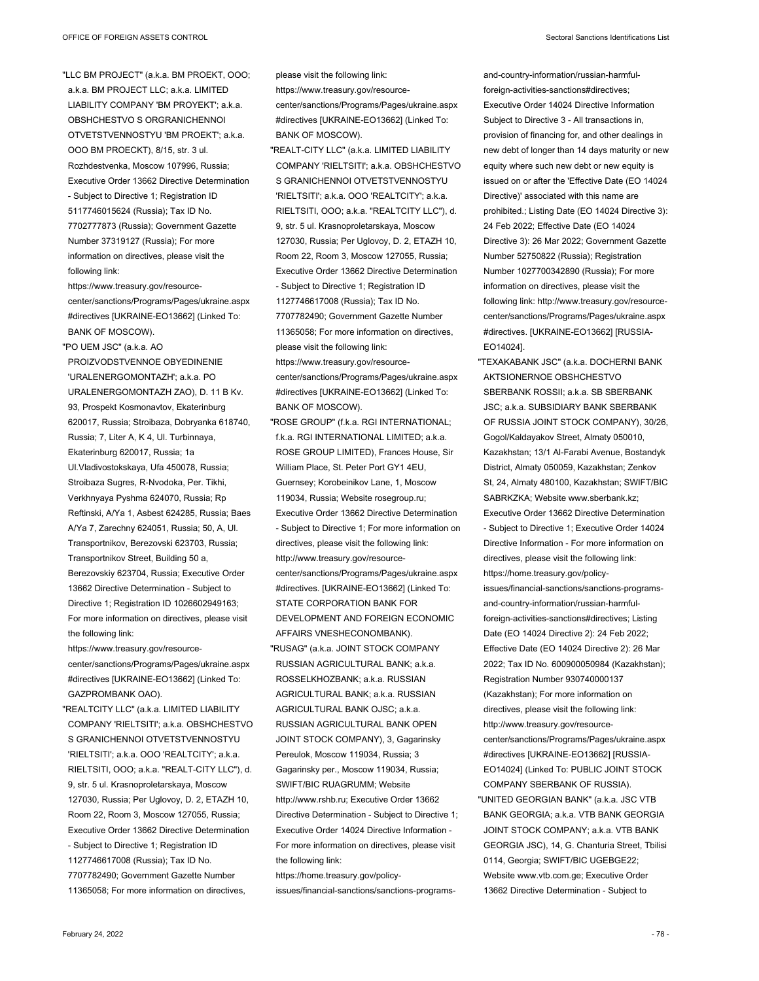"LLC BM PROJECT" (a.k.a. BM PROEKT, OOO; a.k.a. BM PROJECT LLC; a.k.a. LIMITED LIABILITY COMPANY 'BM PROYEKT'; a.k.a. OBSHCHESTVO S ORGRANICHENNOI OTVETSTVENNOSTYU 'BM PROEKT'; a.k.a. OOO BM PROECKT), 8/15, str. 3 ul. Rozhdestvenka, Moscow 107996, Russia; Executive Order 13662 Directive Determination - Subject to Directive 1; Registration ID 5117746015624 (Russia); Tax ID No. 7702777873 (Russia); Government Gazette Number 37319127 (Russia); For more information on directives, please visit the following link:

https://www.treasury.gov/resourcecenter/sanctions/Programs/Pages/ukraine.aspx #directives [UKRAINE-EO13662] (Linked To: BANK OF MOSCOW).

"PO UEM JSC" (a.k.a. AO PROIZVODSTVENNOE OBYEDINENIE 'URALENERGOMONTAZH'; a.k.a. PO URALENERGOMONTAZH ZAO), D. 11 B Kv. 93, Prospekt Kosmonavtov, Ekaterinburg 620017, Russia; Stroibaza, Dobryanka 618740, Russia; 7, Liter A, K 4, Ul. Turbinnaya, Ekaterinburg 620017, Russia; 1a Ul.Vladivostokskaya, Ufa 450078, Russia; Stroibaza Sugres, R-Nvodoka, Per. Tikhi, Verkhnyaya Pyshma 624070, Russia; Rp Reftinski, A/Ya 1, Asbest 624285, Russia; Baes A/Ya 7, Zarechny 624051, Russia; 50, A, Ul. Transportnikov, Berezovski 623703, Russia; Transportnikov Street, Building 50 a, Berezovskiy 623704, Russia; Executive Order 13662 Directive Determination - Subject to Directive 1; Registration ID 1026602949163; For more information on directives, please visit the following link:

https://www.treasury.gov/resourcecenter/sanctions/Programs/Pages/ukraine.aspx #directives [UKRAINE-EO13662] (Linked To: GAZPROMBANK OAO).

"REALTCITY LLC" (a.k.a. LIMITED LIABILITY COMPANY 'RIELTSITI'; a.k.a. OBSHCHESTVO S GRANICHENNOI OTVETSTVENNOSTYU 'RIELTSITI'; a.k.a. OOO 'REALTCITY'; a.k.a. RIELTSITI, OOO; a.k.a. "REALT-CITY LLC"), d. 9, str. 5 ul. Krasnoproletarskaya, Moscow 127030, Russia; Per Uglovoy, D. 2, ETAZH 10, Room 22, Room 3, Moscow 127055, Russia; Executive Order 13662 Directive Determination - Subject to Directive 1; Registration ID 1127746617008 (Russia); Tax ID No. 7707782490; Government Gazette Number 11365058; For more information on directives,

please visit the following link: https://www.treasury.gov/resourcecenter/sanctions/Programs/Pages/ukraine.aspx #directives [UKRAINE-EO13662] (Linked To: BANK OF MOSCOW). "REALT-CITY LLC" (a.k.a. LIMITED LIABILITY

- COMPANY 'RIELTSITI'; a.k.a. OBSHCHESTVO S GRANICHENNOI OTVETSTVENNOSTYU 'RIELTSITI'; a.k.a. OOO 'REALTCITY'; a.k.a. RIELTSITI, OOO; a.k.a. "REALTCITY LLC"), d. 9, str. 5 ul. Krasnoproletarskaya, Moscow 127030, Russia; Per Uglovoy, D. 2, ETAZH 10, Room 22, Room 3, Moscow 127055, Russia; Executive Order 13662 Directive Determination - Subject to Directive 1; Registration ID 1127746617008 (Russia); Tax ID No. 7707782490; Government Gazette Number 11365058; For more information on directives, please visit the following link: https://www.treasury.gov/resourcecenter/sanctions/Programs/Pages/ukraine.aspx
- #directives [UKRAINE-EO13662] (Linked To: BANK OF MOSCOW).
- "ROSE GROUP" (f.k.a. RGI INTERNATIONAL; f.k.a. RGI INTERNATIONAL LIMITED; a.k.a. ROSE GROUP LIMITED), Frances House, Sir William Place, St. Peter Port GY1 4EU, Guernsey; Korobeinikov Lane, 1, Moscow 119034, Russia; Website rosegroup.ru; Executive Order 13662 Directive Determination - Subject to Directive 1; For more information on directives, please visit the following link: http://www.treasury.gov/resourcecenter/sanctions/Programs/Pages/ukraine.aspx #directives. [UKRAINE-EO13662] (Linked To: STATE CORPORATION BANK FOR DEVELOPMENT AND FOREIGN ECONOMIC AFFAIRS VNESHECONOMBANK). "RUSAG" (a.k.a. JOINT STOCK COMPANY RUSSIAN AGRICULTURAL BANK; a.k.a. ROSSELKHOZBANK; a.k.a. RUSSIAN AGRICULTURAL BANK; a.k.a. RUSSIAN AGRICULTURAL BANK OJSC; a.k.a. RUSSIAN AGRICULTURAL BANK OPEN JOINT STOCK COMPANY), 3, Gagarinsky Pereulok, Moscow 119034, Russia; 3 Gagarinsky per., Moscow 119034, Russia; SWIFT/BIC RUAGRUMM; Website

http://www.rshb.ru; Executive Order 13662 Directive Determination - Subject to Directive 1; Executive Order 14024 Directive Information - For more information on directives, please visit the following link:

https://home.treasury.gov/policyissues/financial-sanctions/sanctions-programs-

and-country-information/russian-harmfulforeign-activities-sanctions#directives; Executive Order 14024 Directive Information Subject to Directive 3 - All transactions in, provision of financing for, and other dealings in new debt of longer than 14 days maturity or new equity where such new debt or new equity is issued on or after the 'Effective Date (EO 14024 Directive)' associated with this name are prohibited.; Listing Date (EO 14024 Directive 3): 24 Feb 2022; Effective Date (EO 14024 Directive 3): 26 Mar 2022; Government Gazette Number 52750822 (Russia); Registration Number 1027700342890 (Russia); For more information on directives, please visit the following link: http://www.treasury.gov/resourcecenter/sanctions/Programs/Pages/ukraine.aspx #directives. [UKRAINE-EO13662] [RUSSIA-EO14024].

- "TEXAKABANK JSC" (a.k.a. DOCHERNI BANK AKTSIONERNOE OBSHCHESTVO SBERBANK ROSSII; a.k.a. SB SBERBANK JSC; a.k.a. SUBSIDIARY BANK SBERBANK OF RUSSIA JOINT STOCK COMPANY), 30/26, Gogol/Kaldayakov Street, Almaty 050010, Kazakhstan; 13/1 Al-Farabi Avenue, Bostandyk District, Almaty 050059, Kazakhstan; Zenkov St, 24, Almaty 480100, Kazakhstan; SWIFT/BIC SABRKZKA; Website www.sberbank.kz; Executive Order 13662 Directive Determination - Subject to Directive 1; Executive Order 14024 Directive Information - For more information on directives, please visit the following link: https://home.treasury.gov/policyissues/financial-sanctions/sanctions-programsand-country-information/russian-harmfulforeign-activities-sanctions#directives; Listing Date (EO 14024 Directive 2): 24 Feb 2022; Effective Date (EO 14024 Directive 2): 26 Mar 2022; Tax ID No. 600900050984 (Kazakhstan); Registration Number 930740000137 (Kazakhstan); For more information on directives, please visit the following link: http://www.treasury.gov/resourcecenter/sanctions/Programs/Pages/ukraine.aspx #directives [UKRAINE-EO13662] [RUSSIA-EO14024] (Linked To: PUBLIC JOINT STOCK COMPANY SBERBANK OF RUSSIA).
- "UNITED GEORGIAN BANK" (a.k.a. JSC VTB BANK GEORGIA; a.k.a. VTB BANK GEORGIA JOINT STOCK COMPANY; a.k.a. VTB BANK GEORGIA JSC), 14, G. Chanturia Street, Tbilisi 0114, Georgia; SWIFT/BIC UGEBGE22; Website www.vtb.com.ge; Executive Order 13662 Directive Determination - Subject to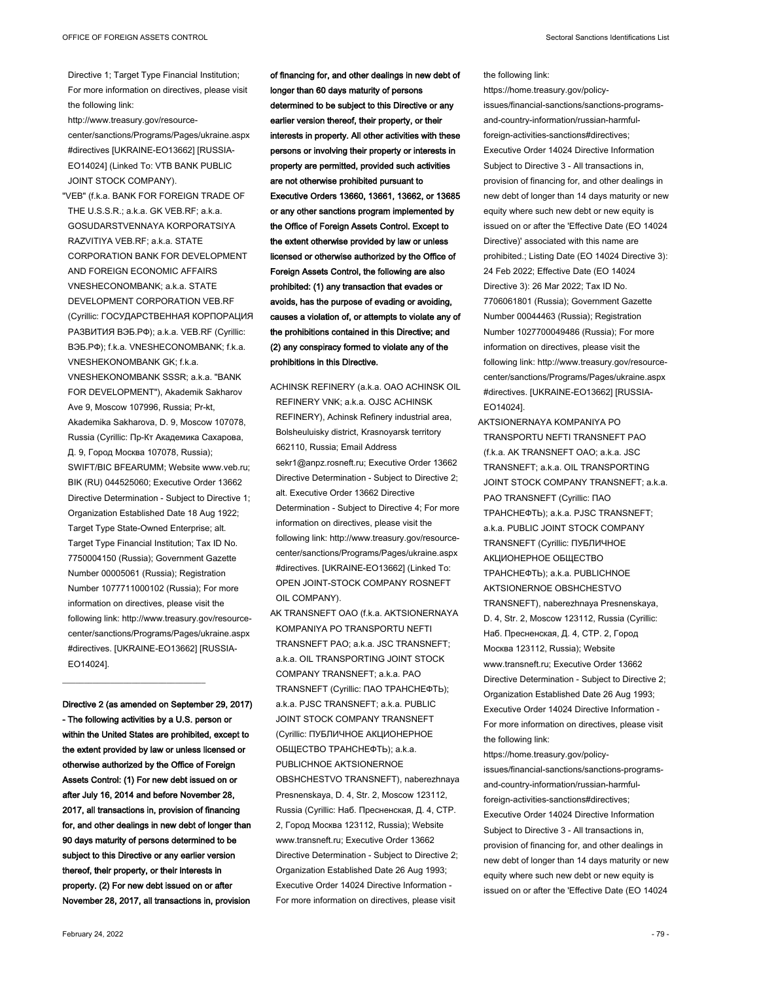Directive 1; Target Type Financial Institution; For more information on directives, please visit the following link:

http://www.treasury.gov/resourcecenter/sanctions/Programs/Pages/ukraine.aspx #directives [UKRAINE-EO13662] [RUSSIA-EO14024] (Linked To: VTB BANK PUBLIC JOINT STOCK COMPANY).

"VEB" (f.k.a. BANK FOR FOREIGN TRADE OF THE U.S.S.R.; a.k.a. GK VEB.RF; a.k.a. GOSUDARSTVENNAYA KORPORATSIYA RAZVITIYA VEB.RF; a.k.a. STATE CORPORATION BANK FOR DEVELOPMENT AND FOREIGN ECONOMIC AFFAIRS VNESHECONOMBANK; a.k.a. STATE DEVELOPMENT CORPORATION VEB.RF (Cyrillic: ГОСУДАРСТВЕННАЯ КОРПОРАЦИЯ РАЗВИТИЯ ВЭБ.РФ); a.k.a. VEB.RF (Cyrillic: ВЭБ.РФ); f.k.a. VNESHECONOMBANK; f.k.a. VNESHEKONOMBANK GK; f.k.a. VNESHEKONOMBANK SSSR; a.k.a. "BANK FOR DEVELOPMENT"), Akademik Sakharov Ave 9, Moscow 107996, Russia; Pr-kt, Akademika Sakharova, D. 9, Moscow 107078, Russia (Cyrillic: Пр-Кт Академика Сахарова, Д. 9, Город Москва 107078, Russia); SWIFT/BIC BFEARUMM; Website www.veb.ru; BIK (RU) 044525060; Executive Order 13662 Directive Determination - Subject to Directive 1; Organization Established Date 18 Aug 1922; Target Type State-Owned Enterprise; alt. Target Type Financial Institution; Tax ID No. 7750004150 (Russia); Government Gazette Number 00005061 (Russia); Registration Number 1077711000102 (Russia); For more information on directives, please visit the following link: http://www.treasury.gov/resourcecenter/sanctions/Programs/Pages/ukraine.aspx #directives. [UKRAINE-EO13662] [RUSSIA-EO14024].

**Directive 2 (as amended on September 29, 2017) - The following activities by a U.S. person or within the United States are prohibited, except to the extent provided by law or unless licensed or otherwise authorized by the Office of Foreign Assets Control: (1) For new debt issued on or after July 16, 2014 and before November 28, 2017, all transactions in, provision of financing for, and other dealings in new debt of longer than 90 days maturity of persons determined to be subject to this Directive or any earlier version thereof, their property, or their interests in property. (2) For new debt issued on or after November 28, 2017, all transactions in, provision** 

 $\_$ 

**of financing for, and other dealings in new debt of longer than 60 days maturity of persons determined to be subject to this Directive or any earlier version thereof, their property, or their interests in property. All other activities with these persons or involving their property or interests in property are permitted, provided such activities are not otherwise prohibited pursuant to Executive Orders 13660, 13661, 13662, or 13685 or any other sanctions program implemented by the Office of Foreign Assets Control. Except to the extent otherwise provided by law or unless licensed or otherwise authorized by the Office of Foreign Assets Control, the following are also prohibited: (1) any transaction that evades or avoids, has the purpose of evading or avoiding, causes a violation of, or attempts to violate any of the prohibitions contained in this Directive; and (2) any conspiracy formed to violate any of the prohibitions in this Directive.**

- ACHINSK REFINERY (a.k.a. OAO ACHINSK OIL REFINERY VNK; a.k.a. OJSC ACHINSK REFINERY), Achinsk Refinery industrial area, Bolsheuluisky district, Krasnoyarsk territory 662110, Russia; Email Address sekr1@anpz.rosneft.ru; Executive Order 13662 Directive Determination - Subject to Directive 2; alt. Executive Order 13662 Directive Determination - Subject to Directive 4; For more information on directives, please visit the following link: http://www.treasury.gov/resourcecenter/sanctions/Programs/Pages/ukraine.aspx #directives. [UKRAINE-EO13662] (Linked To: OPEN JOINT-STOCK COMPANY ROSNEFT OIL COMPANY).
- AK TRANSNEFT OAO (f.k.a. AKTSIONERNAYA KOMPANIYA PO TRANSPORTU NEFTI TRANSNEFT PAO; a.k.a. JSC TRANSNEFT; a.k.a. OIL TRANSPORTING JOINT STOCK COMPANY TRANSNEFT; a.k.a. PAO TRANSNEFT (Cyrillic: ПАО ТРАНСНЕФТЬ); a.k.a. PJSC TRANSNEFT; a.k.a. PUBLIC JOINT STOCK COMPANY TRANSNEFT (Cyrillic: ПУБЛИЧНОЕ АКЦИОНЕРНОЕ ОБЩЕСТВО ТРАНСНЕФТЬ); a.k.a. PUBLICHNOE AKTSIONERNOE OBSHCHESTVO TRANSNEFT), naberezhnaya Presnenskaya, D. 4, Str. 2, Moscow 123112, Russia (Cyrillic: Наб. Пресненская, Д. 4, СТР. 2, Город Москва 123112, Russia); Website www.transneft.ru; Executive Order 13662 Directive Determination - Subject to Directive 2; Organization Established Date 26 Aug 1993; Executive Order 14024 Directive Information - For more information on directives, please visit

the following link: https://home.treasury.gov/policyissues/financial-sanctions/sanctions-programsand-country-information/russian-harmfulforeign-activities-sanctions#directives; Executive Order 14024 Directive Information Subject to Directive 3 - All transactions in, provision of financing for, and other dealings in new debt of longer than 14 days maturity or new equity where such new debt or new equity is issued on or after the 'Effective Date (EO 14024 Directive)' associated with this name are prohibited.; Listing Date (EO 14024 Directive 3): 24 Feb 2022; Effective Date (EO 14024 Directive 3): 26 Mar 2022; Tax ID No. 7706061801 (Russia); Government Gazette Number 00044463 (Russia); Registration Number 1027700049486 (Russia); For more information on directives, please visit the following link: http://www.treasury.gov/resourcecenter/sanctions/Programs/Pages/ukraine.aspx #directives. [UKRAINE-EO13662] [RUSSIA-EO14024].

AKTSIONERNAYA KOMPANIYA PO TRANSPORTU NEFTI TRANSNEFT PAO (f.k.a. AK TRANSNEFT OAO; a.k.a. JSC TRANSNEFT; a.k.a. OIL TRANSPORTING JOINT STOCK COMPANY TRANSNEFT; a.k.a. PAO TRANSNEFT (Cyrillic: ПАО ТРАНСНЕФТЬ); a.k.a. PJSC TRANSNEFT; a.k.a. PUBLIC JOINT STOCK COMPANY TRANSNEFT (Cyrillic: ПУБЛИЧНОЕ АКЦИОНЕРНОЕ ОБЩЕСТВО ТРАНСНЕФТЬ); a.k.a. PUBLICHNOE AKTSIONERNOE OBSHCHESTVO TRANSNEFT), naberezhnaya Presnenskaya, D. 4, Str. 2, Moscow 123112, Russia (Cyrillic: Наб. Пресненская, Д. 4, СТР. 2, Город Москва 123112, Russia); Website www.transneft.ru; Executive Order 13662 Directive Determination - Subject to Directive 2; Organization Established Date 26 Aug 1993; Executive Order 14024 Directive Information - For more information on directives, please visit the following link:

https://home.treasury.gov/policyissues/financial-sanctions/sanctions-programsand-country-information/russian-harmfulforeign-activities-sanctions#directives; Executive Order 14024 Directive Information Subject to Directive 3 - All transactions in, provision of financing for, and other dealings in new debt of longer than 14 days maturity or new equity where such new debt or new equity is issued on or after the 'Effective Date (EO 14024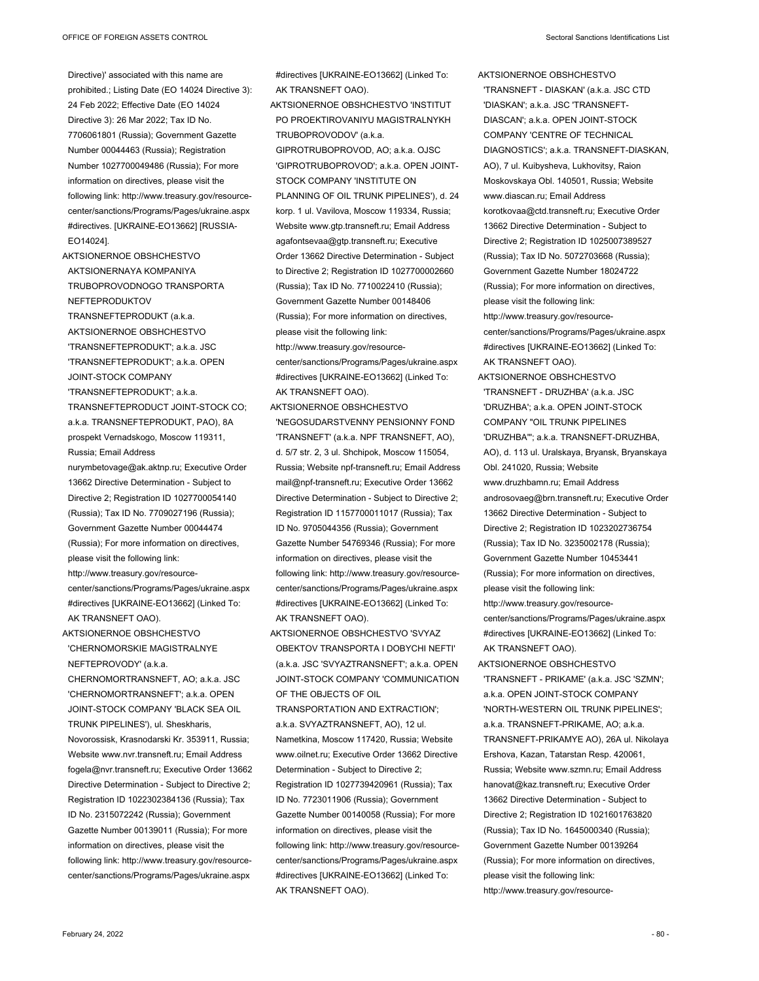Directive)' associated with this name are prohibited.; Listing Date (EO 14024 Directive 3): 24 Feb 2022; Effective Date (EO 14024 Directive 3): 26 Mar 2022; Tax ID No. 7706061801 (Russia); Government Gazette Number 00044463 (Russia); Registration Number 1027700049486 (Russia); For more information on directives, please visit the following link: http://www.treasury.gov/resourcecenter/sanctions/Programs/Pages/ukraine.aspx #directives. [UKRAINE-EO13662] [RUSSIA-EO14024].

AKTSIONERNOE OBSHCHESTVO AKTSIONERNAYA KOMPANIYA TRUBOPROVODNOGO TRANSPORTA NEFTEPRODUKTOV TRANSNEFTEPRODUKT (a.k.a. AKTSIONERNOE OBSHCHESTVO 'TRANSNEFTEPRODUKT'; a.k.a. JSC 'TRANSNEFTEPRODUKT'; a.k.a. OPEN JOINT-STOCK COMPANY 'TRANSNEFTEPRODUKT'; a.k.a. TRANSNEFTEPRODUCT JOINT-STOCK CO; a.k.a. TRANSNEFTEPRODUKT, PAO), 8A prospekt Vernadskogo, Moscow 119311, Russia; Email Address

nurymbetovage@ak.aktnp.ru; Executive Order 13662 Directive Determination - Subject to Directive 2; Registration ID 1027700054140 (Russia); Tax ID No. 7709027196 (Russia); Government Gazette Number 00044474 (Russia); For more information on directives, please visit the following link:

http://www.treasury.gov/resourcecenter/sanctions/Programs/Pages/ukraine.aspx #directives [UKRAINE-EO13662] (Linked To: AK TRANSNEFT OAO).

AKTSIONERNOE OBSHCHESTVO 'CHERNOMORSKIE MAGISTRALNYE NEFTEPROVODY' (a.k.a. CHERNOMORTRANSNEFT, AO; a.k.a. JSC 'CHERNOMORTRANSNEFT'; a.k.a. OPEN JOINT-STOCK COMPANY 'BLACK SEA OIL TRUNK PIPELINES'), ul. Sheskharis, Novorossisk, Krasnodarski Kr. 353911, Russia; Website www.nvr.transneft.ru; Email Address fogela@nvr.transneft.ru; Executive Order 13662 Directive Determination - Subject to Directive 2; Registration ID 1022302384136 (Russia); Tax ID No. 2315072242 (Russia); Government Gazette Number 00139011 (Russia); For more information on directives, please visit the following link: http://www.treasury.gov/resourcecenter/sanctions/Programs/Pages/ukraine.aspx

#directives [UKRAINE-EO13662] (Linked To: AK TRANSNEFT OAO).

- AKTSIONERNOE OBSHCHESTVO 'INSTITUT PO PROEKTIROVANIYU MAGISTRALNYKH TRUBOPROVODOV' (a.k.a. GIPROTRUBOPROVOD, AO; a.k.a. OJSC 'GIPROTRUBOPROVOD'; a.k.a. OPEN JOINT-STOCK COMPANY 'INSTITUTE ON PLANNING OF OIL TRUNK PIPELINES'), d. 24 korp. 1 ul. Vavilova, Moscow 119334, Russia; Website www.gtp.transneft.ru; Email Address agafontsevaa@gtp.transneft.ru; Executive Order 13662 Directive Determination - Subject to Directive 2; Registration ID 1027700002660 (Russia); Tax ID No. 7710022410 (Russia); Government Gazette Number 00148406 (Russia); For more information on directives, please visit the following link: http://www.treasury.gov/resourcecenter/sanctions/Programs/Pages/ukraine.aspx
- AK TRANSNEFT OAO). AKTSIONERNOE OBSHCHESTVO 'NEGOSUDARSTVENNY PENSIONNY FOND 'TRANSNEFT' (a.k.a. NPF TRANSNEFT, AO), d. 5/7 str. 2, 3 ul. Shchipok, Moscow 115054, Russia; Website npf-transneft.ru; Email Address mail@npf-transneft.ru; Executive Order 13662 Directive Determination - Subject to Directive 2; Registration ID 1157700011017 (Russia); Tax ID No. 9705044356 (Russia); Government Gazette Number 54769346 (Russia); For more information on directives, please visit the following link: http://www.treasury.gov/resourcecenter/sanctions/Programs/Pages/ukraine.aspx

#directives [UKRAINE-EO13662] (Linked To:

#directives [UKRAINE-EO13662] (Linked To: AK TRANSNEFT OAO). AKTSIONERNOE OBSHCHESTVO 'SVYAZ OBEKTOV TRANSPORTA I DOBYCHI NEFTI' (a.k.a. JSC 'SVYAZTRANSNEFT'; a.k.a. OPEN JOINT-STOCK COMPANY 'COMMUNICATION OF THE OBJECTS OF OIL TRANSPORTATION AND EXTRACTION';

a.k.a. SVYAZTRANSNEFT, AO), 12 ul. Nametkina, Moscow 117420, Russia; Website www.oilnet.ru; Executive Order 13662 Directive Determination - Subject to Directive 2; Registration ID 1027739420961 (Russia); Tax ID No. 7723011906 (Russia); Government Gazette Number 00140058 (Russia); For more information on directives, please visit the following link: http://www.treasury.gov/resourcecenter/sanctions/Programs/Pages/ukraine.aspx #directives [UKRAINE-EO13662] (Linked To: AK TRANSNEFT OAO).

AKTSIONERNOE OBSHCHESTVO 'TRANSNEFT - DIASKAN' (a.k.a. JSC CTD 'DIASKAN'; a.k.a. JSC 'TRANSNEFT-DIASCAN'; a.k.a. OPEN JOINT-STOCK COMPANY 'CENTRE OF TECHNICAL DIAGNOSTICS'; a.k.a. TRANSNEFT-DIASKAN, AO), 7 ul. Kuibysheva, Lukhovitsy, Raion Moskovskaya Obl. 140501, Russia; Website www.diascan.ru; Email Address korotkovaa@ctd.transneft.ru; Executive Order 13662 Directive Determination - Subject to Directive 2; Registration ID 1025007389527 (Russia); Tax ID No. 5072703668 (Russia); Government Gazette Number 18024722 (Russia); For more information on directives, please visit the following link: http://www.treasury.gov/resourcecenter/sanctions/Programs/Pages/ukraine.aspx #directives [UKRAINE-EO13662] (Linked To: AK TRANSNEFT OAO).

AKTSIONERNOE OBSHCHESTVO 'TRANSNEFT - DRUZHBA' (a.k.a. JSC 'DRUZHBA'; a.k.a. OPEN JOINT-STOCK COMPANY "OIL TRUNK PIPELINES 'DRUZHBA'"; a.k.a. TRANSNEFT-DRUZHBA, AO), d. 113 ul. Uralskaya, Bryansk, Bryanskaya Obl. 241020, Russia; Website www.druzhbamn.ru; Email Address androsovaeg@brn.transneft.ru; Executive Order 13662 Directive Determination - Subject to Directive 2; Registration ID 1023202736754 (Russia); Tax ID No. 3235002178 (Russia); Government Gazette Number 10453441 (Russia); For more information on directives, please visit the following link: http://www.treasury.gov/resourcecenter/sanctions/Programs/Pages/ukraine.aspx #directives [UKRAINE-EO13662] (Linked To: AK TRANSNEFT OAO).

AKTSIONERNOE OBSHCHESTVO 'TRANSNEFT - PRIKAME' (a.k.a. JSC 'SZMN'; a.k.a. OPEN JOINT-STOCK COMPANY 'NORTH-WESTERN OIL TRUNK PIPELINES'; a.k.a. TRANSNEFT-PRIKAME, AO; a.k.a. TRANSNEFT-PRIKAMYE AO), 26A ul. Nikolaya Ershova, Kazan, Tatarstan Resp. 420061, Russia; Website www.szmn.ru; Email Address hanovat@kaz.transneft.ru; Executive Order 13662 Directive Determination - Subject to Directive 2; Registration ID 1021601763820 (Russia); Tax ID No. 1645000340 (Russia); Government Gazette Number 00139264 (Russia); For more information on directives, please visit the following link: http://www.treasury.gov/resource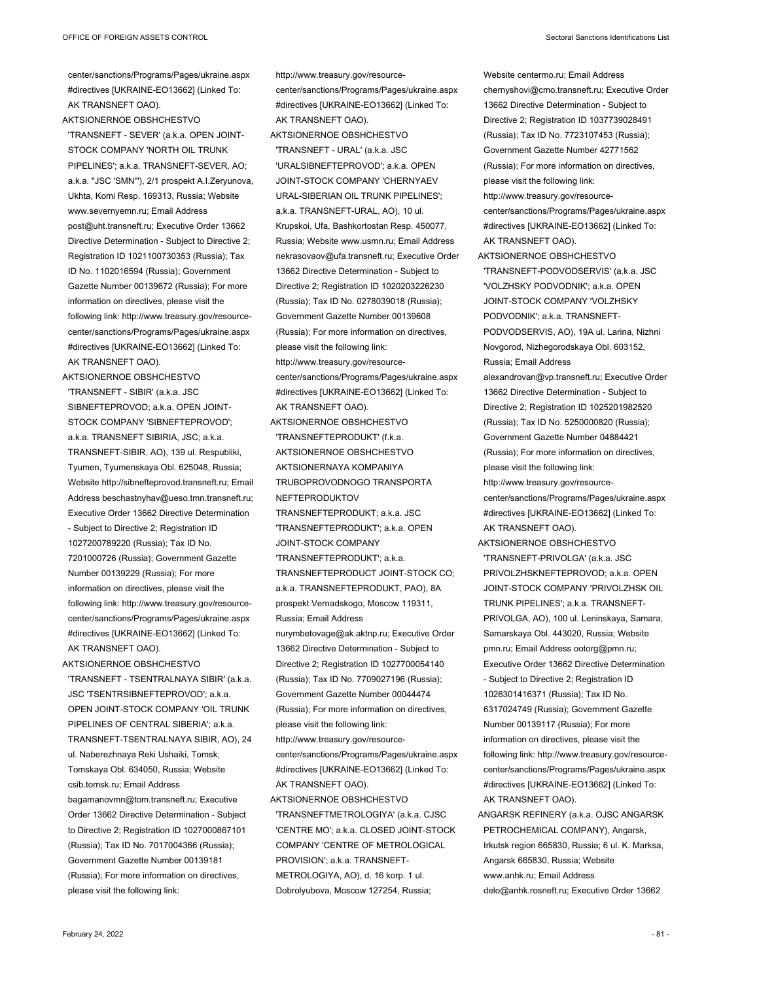center/sanctions/Programs/Pages/ukraine.aspx #directives [UKRAINE-EO13662] (Linked To: AK TRANSNEFT OAO).

AKTSIONERNOE OBSHCHESTVO 'TRANSNEFT - SEVER' (a.k.a. OPEN JOINT-STOCK COMPANY 'NORTH OIL TRUNK PIPELINES'; a.k.a. TRANSNEFT-SEVER, AO; a.k.a. "JSC 'SMN'"), 2/1 prospekt A.I.Zeryunova, Ukhta, Komi Resp. 169313, Russia; Website www.severnyemn.ru; Email Address post@uht.transneft.ru; Executive Order 13662 Directive Determination - Subject to Directive 2; Registration ID 1021100730353 (Russia); Tax ID No. 1102016594 (Russia); Government Gazette Number 00139672 (Russia); For more information on directives, please visit the following link: http://www.treasury.gov/resourcecenter/sanctions/Programs/Pages/ukraine.aspx #directives [UKRAINE-EO13662] (Linked To: AK TRANSNEFT OAO).

AKTSIONERNOE OBSHCHESTVO 'TRANSNEFT - SIBIR' (a.k.a. JSC SIBNEFTEPROVOD; a.k.a. OPEN JOINT-STOCK COMPANY 'SIBNEFTEPROVOD'; a.k.a. TRANSNEFT SIBIRIA, JSC; a.k.a. TRANSNEFT-SIBIR, AO), 139 ul. Respubliki, Tyumen, Tyumenskaya Obl. 625048, Russia; Website http://sibnefteprovod.transneft.ru; Email Address beschastnyhav@ueso.tmn.transneft.ru; Executive Order 13662 Directive Determination - Subject to Directive 2; Registration ID 1027200789220 (Russia); Tax ID No. 7201000726 (Russia); Government Gazette Number 00139229 (Russia); For more information on directives, please visit the following link: http://www.treasury.gov/resourcecenter/sanctions/Programs/Pages/ukraine.aspx #directives [UKRAINE-EO13662] (Linked To: AK TRANSNEFT OAO).

AKTSIONERNOE OBSHCHESTVO 'TRANSNEFT - TSENTRALNAYA SIBIR' (a.k.a. JSC 'TSENTRSIBNEFTEPROVOD'; a.k.a. OPEN JOINT-STOCK COMPANY 'OIL TRUNK PIPELINES OF CENTRAL SIBERIA'; a.k.a. TRANSNEFT-TSENTRALNAYA SIBIR, AO), 24 ul. Naberezhnaya Reki Ushaiki, Tomsk, Tomskaya Obl. 634050, Russia; Website csib.tomsk.ru; Email Address bagamanovmn@tom.transneft.ru; Executive Order 13662 Directive Determination - Subject to Directive 2; Registration ID 1027000867101 (Russia); Tax ID No. 7017004366 (Russia); Government Gazette Number 00139181 (Russia); For more information on directives, please visit the following link:

http://www.treasury.gov/resourcecenter/sanctions/Programs/Pages/ukraine.aspx #directives [UKRAINE-EO13662] (Linked To: AK TRANSNEFT OAO). AKTSIONERNOE OBSHCHESTVO 'TRANSNEFT - URAL' (a.k.a. JSC 'URALSIBNEFTEPROVOD'; a.k.a. OPEN JOINT-STOCK COMPANY 'CHERNYAEV URAL-SIBERIAN OIL TRUNK PIPELINES'; a.k.a. TRANSNEFT-URAL, AO), 10 ul. Krupskoi, Ufa, Bashkortostan Resp. 450077, Russia; Website www.usmn.ru; Email Address nekrasovaov@ufa.transneft.ru; Executive Order 13662 Directive Determination - Subject to Directive 2; Registration ID 1020203226230 (Russia); Tax ID No. 0278039018 (Russia); Government Gazette Number 00139608 (Russia); For more information on directives, please visit the following link: http://www.treasury.gov/resourcecenter/sanctions/Programs/Pages/ukraine.aspx #directives [UKRAINE-EO13662] (Linked To: AK TRANSNEFT OAO). AKTSIONERNOE OBSHCHESTVO 'TRANSNEFTEPRODUKT' (f.k.a. AKTSIONERNOE OBSHCHESTVO AKTSIONERNAYA KOMPANIYA TRUBOPROVODNOGO TRANSPORTA NEFTEPRODUKTOV TRANSNEFTEPRODUKT; a.k.a. JSC 'TRANSNEFTEPRODUKT'; a.k.a. OPEN JOINT-STOCK COMPANY 'TRANSNEFTEPRODUKT'; a.k.a. TRANSNEFTEPRODUCT JOINT-STOCK CO; a.k.a. TRANSNEFTEPRODUKT, PAO), 8A prospekt Vernadskogo, Moscow 119311, Russia; Email Address nurymbetovage@ak.aktnp.ru; Executive Order 13662 Directive Determination - Subject to Directive 2; Registration ID 1027700054140 (Russia); Tax ID No. 7709027196 (Russia); Government Gazette Number 00044474 (Russia); For more information on directives, please visit the following link: http://www.treasury.gov/resourcecenter/sanctions/Programs/Pages/ukraine.aspx #directives [UKRAINE-EO13662] (Linked To: AK TRANSNEFT OAO). AKTSIONERNOE OBSHCHESTVO 'TRANSNEFTMETROLOGIYA' (a.k.a. CJSC 'CENTRE MO'; a.k.a. CLOSED JOINT-STOCK COMPANY 'CENTRE OF METROLOGICAL PROVISION'; a.k.a. TRANSNEFT-

METROLOGIYA, AO), d. 16 korp. 1 ul. Dobrolyubova, Moscow 127254, Russia;

Website centermo.ru; Email Address chernyshovi@cmo.transneft.ru; Executive Order 13662 Directive Determination - Subject to Directive 2; Registration ID 1037739028491 (Russia); Tax ID No. 7723107453 (Russia); Government Gazette Number 42771562 (Russia); For more information on directives, please visit the following link: http://www.treasury.gov/resourcecenter/sanctions/Programs/Pages/ukraine.aspx #directives [UKRAINE-EO13662] (Linked To: AK TRANSNEFT OAO). AKTSIONERNOE OBSHCHESTVO 'TRANSNEFT-PODVODSERVIS' (a.k.a. JSC 'VOLZHSKY PODVODNIK'; a.k.a. OPEN JOINT-STOCK COMPANY 'VOLZHSKY PODVODNIK'; a.k.a. TRANSNEFT-PODVODSERVIS, AO), 19A ul. Larina, Nizhni Novgorod, Nizhegorodskaya Obl. 603152, Russia; Email Address alexandrovan@vp.transneft.ru; Executive Order 13662 Directive Determination - Subject to Directive 2; Registration ID 1025201982520 (Russia); Tax ID No. 5250000820 (Russia); Government Gazette Number 04884421 (Russia); For more information on directives, please visit the following link: http://www.treasury.gov/resourcecenter/sanctions/Programs/Pages/ukraine.aspx #directives [UKRAINE-EO13662] (Linked To: AK TRANSNEFT OAO). AKTSIONERNOE OBSHCHESTVO 'TRANSNEFT-PRIVOLGA' (a.k.a. JSC PRIVOLZHSKNEFTEPROVOD; a.k.a. OPEN JOINT-STOCK COMPANY 'PRIVOLZHSK OIL TRUNK PIPELINES'; a.k.a. TRANSNEFT-PRIVOLGA, AO), 100 ul. Leninskaya, Samara, Samarskaya Obl. 443020, Russia; Website pmn.ru; Email Address ootorg@pmn.ru;

information on directives, please visit the following link: http://www.treasury.gov/resourcecenter/sanctions/Programs/Pages/ukraine.aspx #directives [UKRAINE-EO13662] (Linked To: AK TRANSNEFT OAO). ANGARSK REFINERY (a.k.a. OJSC ANGARSK PETROCHEMICAL COMPANY), Angarsk, Irkutsk region 665830, Russia; 6 ul. K. Marksa, Angarsk 665830, Russia; Website www.anhk.ru; Email Address

Executive Order 13662 Directive Determination - Subject to Directive 2; Registration ID 1026301416371 (Russia); Tax ID No. 6317024749 (Russia); Government Gazette Number 00139117 (Russia); For more

delo@anhk.rosneft.ru; Executive Order 13662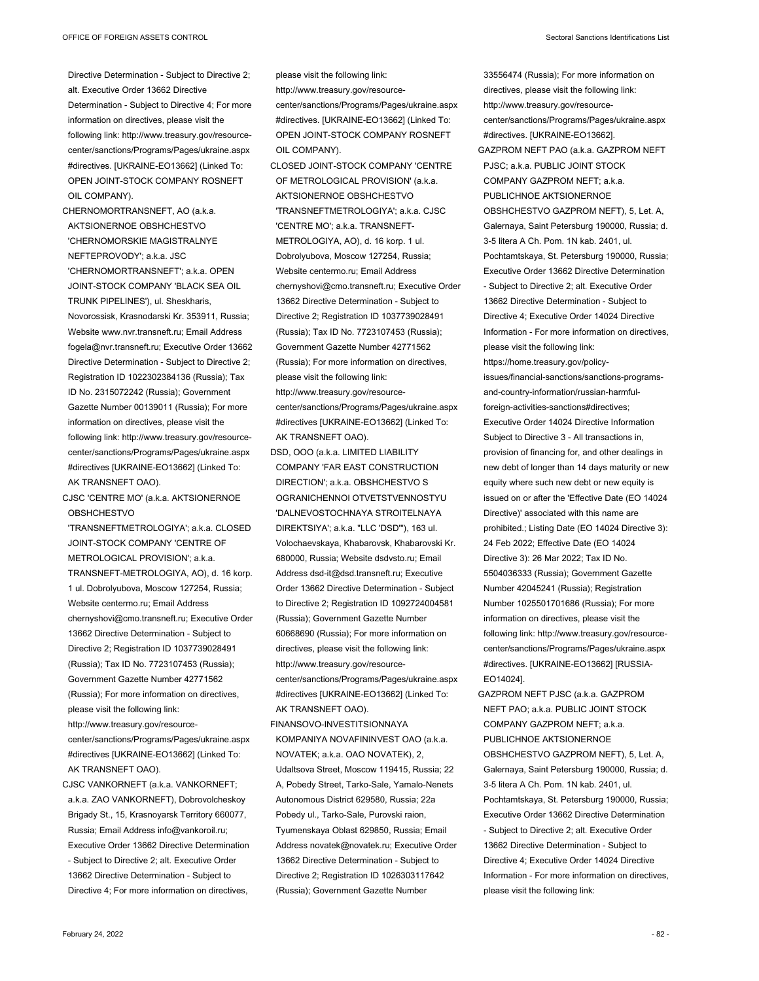33556474 (Russia); For more information on

- Directive Determination Subject to Directive 2; alt. Executive Order 13662 Directive Determination - Subject to Directive 4; For more information on directives, please visit the following link: http://www.treasury.gov/resourcecenter/sanctions/Programs/Pages/ukraine.aspx #directives. [UKRAINE-EO13662] (Linked To: OPEN JOINT-STOCK COMPANY ROSNEFT OIL COMPANY).
- CHERNOMORTRANSNEFT, AO (a.k.a. AKTSIONERNOE OBSHCHESTVO 'CHERNOMORSKIE MAGISTRALNYE NEFTEPROVODY'; a.k.a. JSC 'CHERNOMORTRANSNEFT'; a.k.a. OPEN JOINT-STOCK COMPANY 'BLACK SEA OIL TRUNK PIPELINES'), ul. Sheskharis, Novorossisk, Krasnodarski Kr. 353911, Russia; Website www.nvr.transneft.ru; Email Address fogela@nvr.transneft.ru; Executive Order 13662 Directive Determination - Subject to Directive 2; Registration ID 1022302384136 (Russia); Tax ID No. 2315072242 (Russia); Government Gazette Number 00139011 (Russia); For more information on directives, please visit the following link: http://www.treasury.gov/resourcecenter/sanctions/Programs/Pages/ukraine.aspx #directives [UKRAINE-EO13662] (Linked To: AK TRANSNEFT OAO).
- CJSC 'CENTRE MO' (a.k.a. AKTSIONERNOE OBSHCHESTVO
- 'TRANSNEFTMETROLOGIYA'; a.k.a. CLOSED JOINT-STOCK COMPANY 'CENTRE OF METROLOGICAL PROVISION'; a.k.a. TRANSNEFT-METROLOGIYA, AO), d. 16 korp. 1 ul. Dobrolyubova, Moscow 127254, Russia; Website centermo.ru; Email Address chernyshovi@cmo.transneft.ru; Executive Order 13662 Directive Determination - Subject to Directive 2; Registration ID 1037739028491 (Russia); Tax ID No. 7723107453 (Russia); Government Gazette Number 42771562 (Russia); For more information on directives, please visit the following link: http://www.treasury.gov/resourcecenter/sanctions/Programs/Pages/ukraine.aspx #directives [UKRAINE-EO13662] (Linked To: AK TRANSNEFT OAO).
- CJSC VANKORNEFT (a.k.a. VANKORNEFT; a.k.a. ZAO VANKORNEFT), Dobrovolcheskoy Brigady St., 15, Krasnoyarsk Territory 660077, Russia; Email Address info@vankoroil.ru; Executive Order 13662 Directive Determination - Subject to Directive 2; alt. Executive Order 13662 Directive Determination - Subject to Directive 4: For more information on directives

please visit the following link: http://www.treasury.gov/resourcecenter/sanctions/Programs/Pages/ukraine.aspx #directives. [UKRAINE-EO13662] (Linked To: OPEN JOINT-STOCK COMPANY ROSNEFT OIL COMPANY).

- CLOSED JOINT-STOCK COMPANY 'CENTRE OF METROLOGICAL PROVISION' (a.k.a. AKTSIONERNOE OBSHCHESTVO 'TRANSNEFTMETROLOGIYA'; a.k.a. CJSC 'CENTRE MO'; a.k.a. TRANSNEFT-METROLOGIYA, AO), d. 16 korp. 1 ul. Dobrolyubova, Moscow 127254, Russia; Website centermo.ru; Email Address chernyshovi@cmo.transneft.ru; Executive Order 13662 Directive Determination - Subject to Directive 2; Registration ID 1037739028491 (Russia); Tax ID No. 7723107453 (Russia); Government Gazette Number 42771562 (Russia); For more information on directives, please visit the following link: http://www.treasury.gov/resource-
- center/sanctions/Programs/Pages/ukraine.aspx #directives [UKRAINE-EO13662] (Linked To: AK TRANSNEFT OAO).
- DSD, OOO (a.k.a. LIMITED LIABILITY COMPANY 'FAR EAST CONSTRUCTION DIRECTION'; a.k.a. OBSHCHESTVO S OGRANICHENNOI OTVETSTVENNOSTYU 'DALNEVOSTOCHNAYA STROITELNAYA DIREKTSIYA'; a.k.a. "LLC 'DSD'"), 163 ul. Volochaevskaya, Khabarovsk, Khabarovski Kr. 680000, Russia; Website dsdvsto.ru; Email Address dsd-it@dsd.transneft.ru; Executive Order 13662 Directive Determination - Subject to Directive 2; Registration ID 1092724004581 (Russia); Government Gazette Number 60668690 (Russia); For more information on directives, please visit the following link: http://www.treasury.gov/resourcecenter/sanctions/Programs/Pages/ukraine.aspx #directives [UKRAINE-EO13662] (Linked To: AK TRANSNEFT OAO).
- FINANSOVO-INVESTITSIONNAYA KOMPANIYA NOVAFININVEST OAO (a.k.a. NOVATEK; a.k.a. OAO NOVATEK), 2, Udaltsova Street, Moscow 119415, Russia; 22 A, Pobedy Street, Tarko-Sale, Yamalo-Nenets Autonomous District 629580, Russia; 22a Pobedy ul., Tarko-Sale, Purovski raion, Tyumenskaya Oblast 629850, Russia; Email Address novatek@novatek.ru; Executive Order 13662 Directive Determination - Subject to Directive 2; Registration ID 1026303117642 (Russia); Government Gazette Number

directives, please visit the following link: http://www.treasury.gov/resourcecenter/sanctions/Programs/Pages/ukraine.aspx #directives. [UKRAINE-EO13662]. GAZPROM NEFT PAO (a.k.a. GAZPROM NEFT PJSC; a.k.a. PUBLIC JOINT STOCK COMPANY GAZPROM NEFT; a.k.a. PUBLICHNOE AKTSIONERNOE OBSHCHESTVO GAZPROM NEFT), 5, Let. A, Galernaya, Saint Petersburg 190000, Russia; d. 3-5 litera A Ch. Pom. 1N kab. 2401, ul. Pochtamtskaya, St. Petersburg 190000, Russia; Executive Order 13662 Directive Determination - Subject to Directive 2; alt. Executive Order 13662 Directive Determination - Subject to Directive 4; Executive Order 14024 Directive Information - For more information on directives, please visit the following link: https://home.treasury.gov/policyissues/financial-sanctions/sanctions-programsand-country-information/russian-harmfulforeign-activities-sanctions#directives; Executive Order 14024 Directive Information Subject to Directive 3 - All transactions in, provision of financing for, and other dealings in new debt of longer than 14 days maturity or new equity where such new debt or new equity is issued on or after the 'Effective Date (EO 14024 Directive)' associated with this name are prohibited.; Listing Date (EO 14024 Directive 3): 24 Feb 2022; Effective Date (EO 14024 Directive 3): 26 Mar 2022; Tax ID No. 5504036333 (Russia); Government Gazette Number 42045241 (Russia); Registration Number 1025501701686 (Russia); For more information on directives, please visit the following link: http://www.treasury.gov/resourcecenter/sanctions/Programs/Pages/ukraine.aspx #directives. [UKRAINE-EO13662] [RUSSIA-EO14024].

GAZPROM NEFT PJSC (a.k.a. GAZPROM NEFT PAO; a.k.a. PUBLIC JOINT STOCK COMPANY GAZPROM NEFT; a.k.a. PUBLICHNOE AKTSIONERNOE OBSHCHESTVO GAZPROM NEFT), 5, Let. A, Galernaya, Saint Petersburg 190000, Russia; d. 3-5 litera A Ch. Pom. 1N kab. 2401, ul. Pochtamtskaya, St. Petersburg 190000, Russia; Executive Order 13662 Directive Determination - Subject to Directive 2; alt. Executive Order 13662 Directive Determination - Subject to Directive 4; Executive Order 14024 Directive Information - For more information on directives, please visit the following link: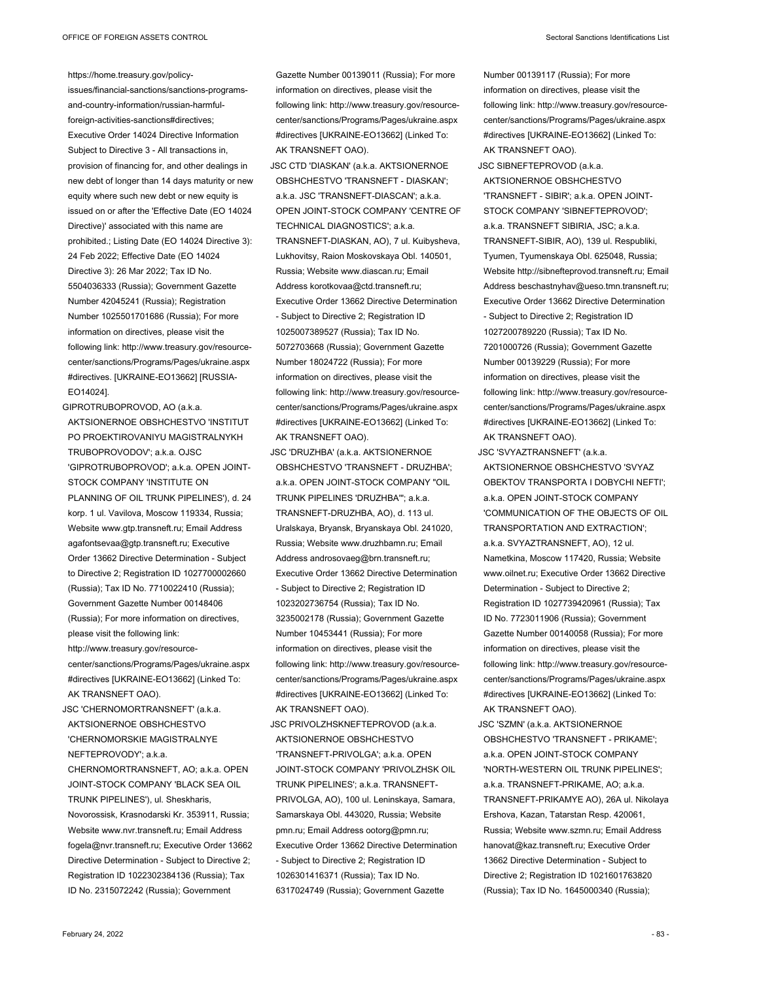https://home.treasury.gov/policy-

issues/financial-sanctions/sanctions-programsand-country-information/russian-harmfulforeign-activities-sanctions#directives; Executive Order 14024 Directive Information Subject to Directive 3 - All transactions in, provision of financing for, and other dealings in new debt of longer than 14 days maturity or new equity where such new debt or new equity is issued on or after the 'Effective Date (EO 14024 Directive)' associated with this name are prohibited.; Listing Date (EO 14024 Directive 3): 24 Feb 2022; Effective Date (EO 14024 Directive 3): 26 Mar 2022; Tax ID No. 5504036333 (Russia); Government Gazette Number 42045241 (Russia); Registration Number 1025501701686 (Russia); For more information on directives, please visit the following link: http://www.treasury.gov/resourcecenter/sanctions/Programs/Pages/ukraine.aspx #directives. [UKRAINE-EO13662] [RUSSIA-EO14024].

GIPROTRUBOPROVOD, AO (a.k.a. AKTSIONERNOE OBSHCHESTVO 'INSTITUT PO PROEKTIROVANIYU MAGISTRALNYKH TRUBOPROVODOV'; a.k.a. OJSC 'GIPROTRUBOPROVOD'; a.k.a. OPEN JOINT-STOCK COMPANY 'INSTITUTE ON PLANNING OF OIL TRUNK PIPELINES'), d. 24 korp. 1 ul. Vavilova, Moscow 119334, Russia; Website www.gtp.transneft.ru; Email Address agafontsevaa@gtp.transneft.ru; Executive Order 13662 Directive Determination - Subject to Directive 2; Registration ID 1027700002660 (Russia); Tax ID No. 7710022410 (Russia); Government Gazette Number 00148406 (Russia); For more information on directives, please visit the following link: http://www.treasury.gov/resourcecenter/sanctions/Programs/Pages/ukraine.aspx #directives [UKRAINE-EO13662] (Linked To: AK TRANSNEFT OAO).

JSC 'CHERNOMORTRANSNEFT' (a.k.a. AKTSIONERNOE OBSHCHESTVO 'CHERNOMORSKIE MAGISTRALNYE NEFTEPROVODY'; a.k.a.

CHERNOMORTRANSNEFT, AO; a.k.a. OPEN JOINT-STOCK COMPANY 'BLACK SEA OIL TRUNK PIPELINES'), ul. Sheskharis, Novorossisk, Krasnodarski Kr. 353911, Russia; Website www.nvr.transneft.ru; Email Address fogela@nvr.transneft.ru; Executive Order 13662 Directive Determination - Subject to Directive 2; Registration ID 1022302384136 (Russia); Tax ID No. 2315072242 (Russia); Government

Gazette Number 00139011 (Russia); For more information on directives, please visit the following link: http://www.treasury.gov/resourcecenter/sanctions/Programs/Pages/ukraine.aspx #directives [UKRAINE-EO13662] (Linked To: AK TRANSNEFT OAO).

JSC CTD 'DIASKAN' (a.k.a. AKTSIONERNOE OBSHCHESTVO 'TRANSNEFT - DIASKAN'; a.k.a. JSC 'TRANSNEFT-DIASCAN'; a.k.a. OPEN JOINT-STOCK COMPANY 'CENTRE OF TECHNICAL DIAGNOSTICS'; a.k.a. TRANSNEFT-DIASKAN, AO), 7 ul. Kuibysheva, Lukhovitsy, Raion Moskovskaya Obl. 140501, Russia; Website www.diascan.ru; Email Address korotkovaa@ctd.transneft.ru; Executive Order 13662 Directive Determination - Subject to Directive 2; Registration ID 1025007389527 (Russia); Tax ID No. 5072703668 (Russia); Government Gazette Number 18024722 (Russia); For more information on directives, please visit the following link: http://www.treasury.gov/resourcecenter/sanctions/Programs/Pages/ukraine.aspx #directives [UKRAINE-EO13662] (Linked To: AK TRANSNEFT OAO).

JSC 'DRUZHBA' (a.k.a. AKTSIONERNOE OBSHCHESTVO 'TRANSNEFT - DRUZHBA'; a.k.a. OPEN JOINT-STOCK COMPANY "OIL TRUNK PIPELINES 'DRUZHBA'"; a.k.a. TRANSNEFT-DRUZHBA, AO), d. 113 ul. Uralskaya, Bryansk, Bryanskaya Obl. 241020, Russia; Website www.druzhbamn.ru; Email Address androsovaeg@brn.transneft.ru; Executive Order 13662 Directive Determination - Subject to Directive 2; Registration ID 1023202736754 (Russia); Tax ID No. 3235002178 (Russia); Government Gazette Number 10453441 (Russia); For more information on directives, please visit the following link: http://www.treasury.gov/resourcecenter/sanctions/Programs/Pages/ukraine.aspx #directives [UKRAINE-EO13662] (Linked To: AK TRANSNEFT OAO).

JSC PRIVOLZHSKNEFTEPROVOD (a.k.a. AKTSIONERNOE OBSHCHESTVO 'TRANSNEFT-PRIVOLGA'; a.k.a. OPEN JOINT-STOCK COMPANY 'PRIVOLZHSK OIL TRUNK PIPELINES'; a.k.a. TRANSNEFT-PRIVOLGA, AO), 100 ul. Leninskaya, Samara, Samarskaya Obl. 443020, Russia; Website pmn.ru; Email Address ootorg@pmn.ru; Executive Order 13662 Directive Determination - Subject to Directive 2; Registration ID 1026301416371 (Russia); Tax ID No. 6317024749 (Russia); Government Gazette

Number 00139117 (Russia); For more information on directives, please visit the following link: http://www.treasury.gov/resource-

center/sanctions/Programs/Pages/ukraine.aspx #directives [UKRAINE-EO13662] (Linked To: AK TRANSNEFT OAO).

JSC SIBNEFTEPROVOD (a.k.a.

AKTSIONERNOE OBSHCHESTVO 'TRANSNEFT - SIBIR'; a.k.a. OPEN JOINT-STOCK COMPANY 'SIBNEFTEPROVOD'; a.k.a. TRANSNEFT SIBIRIA, JSC; a.k.a. TRANSNEFT-SIBIR, AO), 139 ul. Respubliki, Tyumen, Tyumenskaya Obl. 625048, Russia; Website http://sibnefteprovod.transneft.ru; Email Address beschastnyhav@ueso.tmn.transneft.ru; Executive Order 13662 Directive Determination - Subject to Directive 2; Registration ID 1027200789220 (Russia); Tax ID No. 7201000726 (Russia); Government Gazette Number 00139229 (Russia); For more information on directives, please visit the following link: http://www.treasury.gov/resourcecenter/sanctions/Programs/Pages/ukraine.aspx #directives [UKRAINE-EO13662] (Linked To: AK TRANSNEFT OAO).

JSC 'SVYAZTRANSNEFT' (a.k.a. AKTSIONERNOE OBSHCHESTVO 'SVYAZ OBEKTOV TRANSPORTA I DOBYCHI NEFTI'; a.k.a. OPEN JOINT-STOCK COMPANY 'COMMUNICATION OF THE OBJECTS OF OIL TRANSPORTATION AND EXTRACTION'; a.k.a. SVYAZTRANSNEFT, AO), 12 ul. Nametkina, Moscow 117420, Russia; Website www.oilnet.ru; Executive Order 13662 Directive Determination - Subject to Directive 2; Registration ID 1027739420961 (Russia); Tax ID No. 7723011906 (Russia); Government Gazette Number 00140058 (Russia); For more information on directives, please visit the following link: http://www.treasury.gov/resourcecenter/sanctions/Programs/Pages/ukraine.aspx #directives [UKRAINE-EO13662] (Linked To: AK TRANSNEFT OAO).

JSC 'SZMN' (a.k.a. AKTSIONERNOE OBSHCHESTVO 'TRANSNEFT - PRIKAME'; a.k.a. OPEN JOINT-STOCK COMPANY 'NORTH-WESTERN OIL TRUNK PIPELINES'; a.k.a. TRANSNEFT-PRIKAME, AO; a.k.a. TRANSNEFT-PRIKAMYE AO), 26A ul. Nikolaya Ershova, Kazan, Tatarstan Resp. 420061, Russia; Website www.szmn.ru; Email Address hanovat@kaz.transneft.ru; Executive Order 13662 Directive Determination - Subject to Directive 2; Registration ID 1021601763820 (Russia); Tax ID No. 1645000340 (Russia);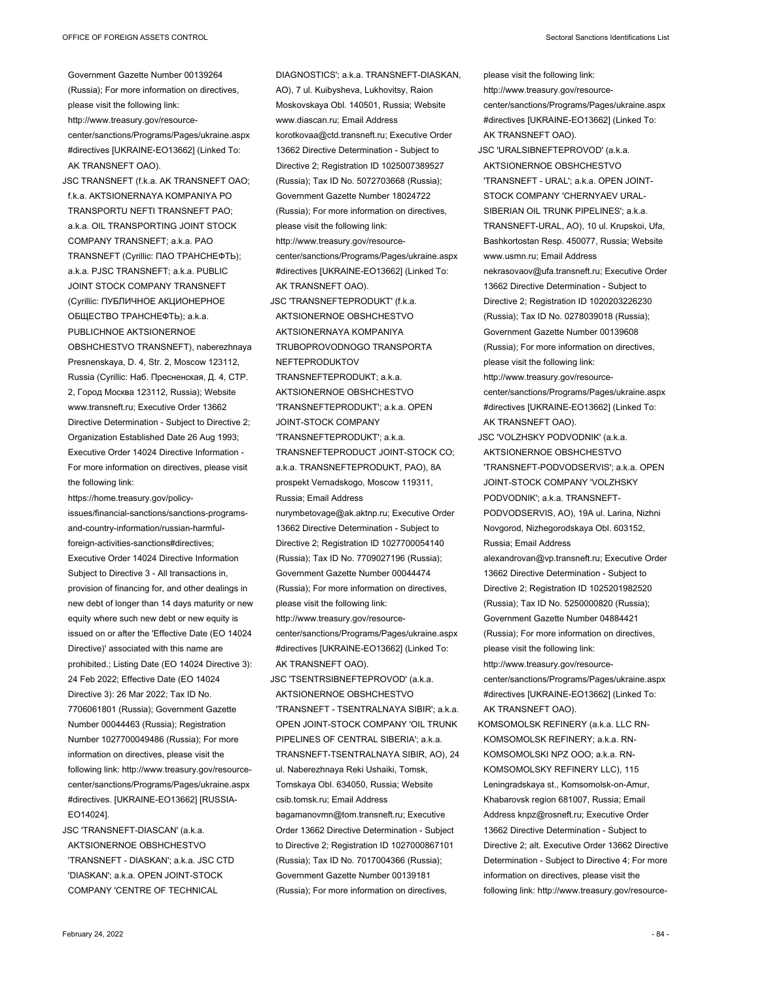Government Gazette Number 00139264 (Russia); For more information on directives, please visit the following link: http://www.treasury.gov/resourcecenter/sanctions/Programs/Pages/ukraine.aspx #directives [UKRAINE-EO13662] (Linked To: AK TRANSNEFT OAO).

JSC TRANSNEFT (f.k.a. AK TRANSNEFT OAO; f.k.a. AKTSIONERNAYA KOMPANIYA PO TRANSPORTU NEFTI TRANSNEFT PAO; a.k.a. OIL TRANSPORTING JOINT STOCK COMPANY TRANSNEFT; a.k.a. PAO TRANSNEFT (Cyrillic: ПАО ТРАНСНЕФТЬ); a.k.a. PJSC TRANSNEFT; a.k.a. PUBLIC JOINT STOCK COMPANY TRANSNEFT (Cyrillic: ПУБЛИЧНОЕ АКЦИОНЕРНОЕ ОБЩЕСТВО ТРАНСНЕФТЬ); a.k.a. PUBLICHNOE AKTSIONERNOE OBSHCHESTVO TRANSNEFT), naberezhnaya Presnenskaya, D. 4, Str. 2, Moscow 123112, Russia (Cyrillic: Наб. Пресненская, Д. 4, СТР. 2, Город Москва 123112, Russia); Website www.transneft.ru; Executive Order 13662 Directive Determination - Subject to Directive 2; Organization Established Date 26 Aug 1993; Executive Order 14024 Directive Information - For more information on directives, please visit the following link:

https://home.treasury.gov/policyissues/financial-sanctions/sanctions-programsand-country-information/russian-harmfulforeign-activities-sanctions#directives; Executive Order 14024 Directive Information Subject to Directive 3 - All transactions in, provision of financing for, and other dealings in new debt of longer than 14 days maturity or new equity where such new debt or new equity is issued on or after the 'Effective Date (EO 14024 Directive)' associated with this name are prohibited.; Listing Date (EO 14024 Directive 3): 24 Feb 2022; Effective Date (EO 14024 Directive 3): 26 Mar 2022; Tax ID No. 7706061801 (Russia); Government Gazette Number 00044463 (Russia); Registration Number 1027700049486 (Russia); For more information on directives, please visit the following link: http://www.treasury.gov/resourcecenter/sanctions/Programs/Pages/ukraine.aspx #directives. [UKRAINE-EO13662] [RUSSIA-EO14024].

JSC 'TRANSNEFT-DIASCAN' (a.k.a. AKTSIONERNOE OBSHCHESTVO 'TRANSNEFT - DIASKAN'; a.k.a. JSC CTD 'DIASKAN'; a.k.a. OPEN JOINT-STOCK COMPANY 'CENTRE OF TECHNICAL

DIAGNOSTICS'; a.k.a. TRANSNEFT-DIASKAN, AO), 7 ul. Kuibysheva, Lukhovitsy, Raion Moskovskaya Obl. 140501, Russia; Website www.diascan.ru; Email Address korotkovaa@ctd.transneft.ru; Executive Order 13662 Directive Determination - Subject to Directive 2; Registration ID 1025007389527 (Russia); Tax ID No. 5072703668 (Russia); Government Gazette Number 18024722 (Russia); For more information on directives, please visit the following link: http://www.treasury.gov/resourcecenter/sanctions/Programs/Pages/ukraine.aspx #directives [UKRAINE-EO13662] (Linked To: AK TRANSNEFT OAO). JSC 'TRANSNEFTEPRODUKT' (f.k.a. AKTSIONERNOE OBSHCHESTVO AKTSIONERNAYA KOMPANIYA TRUBOPROVODNOGO TRANSPORTA NEFTEPRODUKTOV TRANSNEFTEPRODUKT; a.k.a. AKTSIONERNOE OBSHCHESTVO 'TRANSNEFTEPRODUKT'; a.k.a. OPEN JOINT-STOCK COMPANY 'TRANSNEFTEPRODUKT'; a.k.a. TRANSNEFTEPRODUCT JOINT-STOCK CO; a.k.a. TRANSNEFTEPRODUKT, PAO), 8A prospekt Vernadskogo, Moscow 119311, Russia; Email Address nurymbetovage@ak.aktnp.ru; Executive Order 13662 Directive Determination - Subject to Directive 2; Registration ID 1027700054140 (Russia); Tax ID No. 7709027196 (Russia); Government Gazette Number 00044474 (Russia); For more information on directives, please visit the following link: http://www.treasury.gov/resourcecenter/sanctions/Programs/Pages/ukraine.aspx #directives [UKRAINE-EO13662] (Linked To: AK TRANSNEFT OAO). JSC 'TSENTRSIBNEFTEPROVOD' (a.k.a. AKTSIONERNOE OBSHCHESTVO 'TRANSNEFT - TSENTRALNAYA SIBIR'; a.k.a. OPEN JOINT-STOCK COMPANY 'OIL TRUNK PIPELINES OF CENTRAL SIBERIA'; a.k.a. TRANSNEFT-TSENTRALNAYA SIBIR, AO), 24 ul. Naberezhnaya Reki Ushaiki, Tomsk, Tomskaya Obl. 634050, Russia; Website csib.tomsk.ru; Email Address bagamanovmn@tom.transneft.ru; Executive Order 13662 Directive Determination - Subject

to Directive 2; Registration ID 1027000867101 (Russia); Tax ID No. 7017004366 (Russia); Government Gazette Number 00139181 (Russia); For more information on directives,

please visit the following link: http://www.treasury.gov/resourcecenter/sanctions/Programs/Pages/ukraine.aspx #directives [UKRAINE-EO13662] (Linked To: AK TRANSNEFT OAO). JSC 'URALSIBNEFTEPROVOD' (a.k.a. AKTSIONERNOE OBSHCHESTVO 'TRANSNEFT - URAL'; a.k.a. OPEN JOINT-STOCK COMPANY 'CHERNYAEV URAL-SIBERIAN OIL TRUNK PIPELINES'; a.k.a. TRANSNEFT-URAL, AO), 10 ul. Krupskoi, Ufa, Bashkortostan Resp. 450077, Russia; Website www.usmn.ru; Email Address nekrasovaov@ufa.transneft.ru; Executive Order 13662 Directive Determination - Subject to Directive 2; Registration ID 1020203226230 (Russia); Tax ID No. 0278039018 (Russia); Government Gazette Number 00139608 (Russia); For more information on directives, please visit the following link: http://www.treasury.gov/resourcecenter/sanctions/Programs/Pages/ukraine.aspx #directives [UKRAINE-EO13662] (Linked To: AK TRANSNEFT OAO). JSC 'VOLZHSKY PODVODNIK' (a.k.a. AKTSIONERNOE OBSHCHESTVO 'TRANSNEFT-PODVODSERVIS'; a.k.a. OPEN JOINT-STOCK COMPANY 'VOLZHSKY PODVODNIK'; a.k.a. TRANSNEFT-PODVODSERVIS, AO), 19A ul. Larina, Nizhni Novgorod, Nizhegorodskaya Obl. 603152, Russia; Email Address alexandrovan@vp.transneft.ru; Executive Order 13662 Directive Determination - Subject to Directive 2; Registration ID 1025201982520 (Russia); Tax ID No. 5250000820 (Russia); Government Gazette Number 04884421 (Russia); For more information on directives, please visit the following link: http://www.treasury.gov/resource-

center/sanctions/Programs/Pages/ukraine.aspx #directives [UKRAINE-EO13662] (Linked To: AK TRANSNEFT OAO).

KOMSOMOLSK REFINERY (a.k.a. LLC RN-KOMSOMOLSK REFINERY; a.k.a. RN-KOMSOMOLSKI NPZ OOO; a.k.a. RN-KOMSOMOLSKY REFINERY LLC), 115 Leningradskaya st., Komsomolsk-on-Amur, Khabarovsk region 681007, Russia; Email Address knpz@rosneft.ru; Executive Order 13662 Directive Determination - Subject to Directive 2; alt. Executive Order 13662 Directive Determination - Subject to Directive 4; For more information on directives, please visit the following link: http://www.treasury.gov/resource-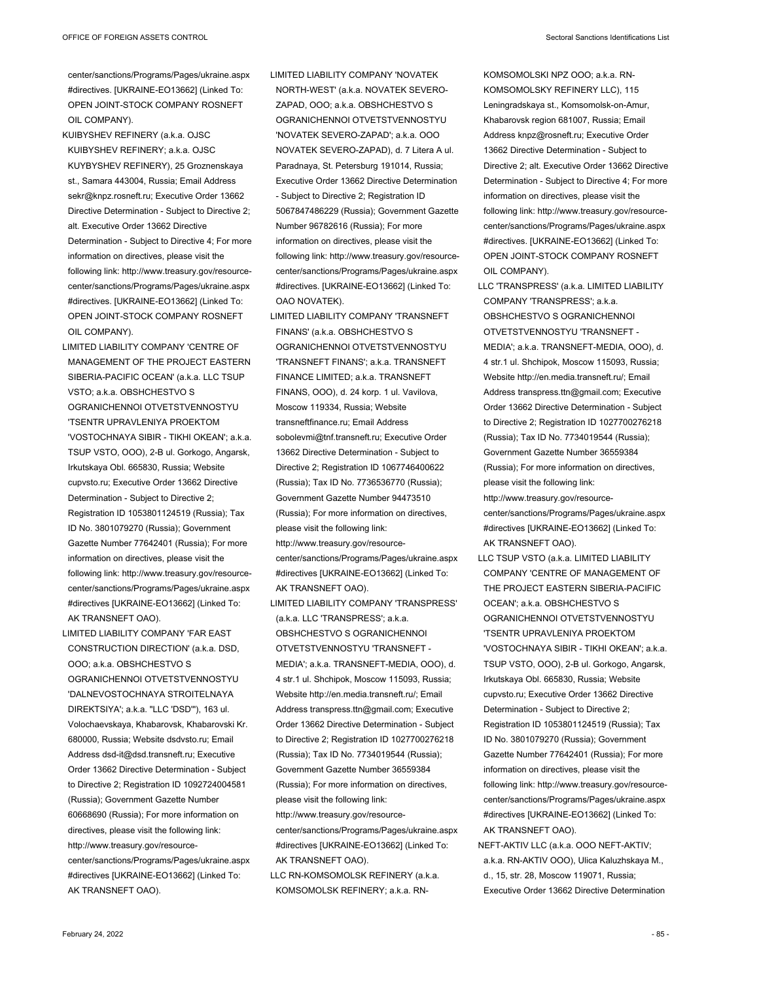center/sanctions/Programs/Pages/ukraine.aspx #directives. [UKRAINE-EO13662] (Linked To: OPEN JOINT-STOCK COMPANY ROSNEFT OIL COMPANY).

- KUIBYSHEV REFINERY (a.k.a. OJSC KUIBYSHEV REFINERY; a.k.a. OJSC KUYBYSHEV REFINERY), 25 Groznenskaya st., Samara 443004, Russia; Email Address sekr@knpz.rosneft.ru; Executive Order 13662 Directive Determination - Subject to Directive 2; alt. Executive Order 13662 Directive Determination - Subject to Directive 4; For more information on directives, please visit the following link: http://www.treasury.gov/resourcecenter/sanctions/Programs/Pages/ukraine.aspx #directives. [UKRAINE-EO13662] (Linked To: OPEN JOINT-STOCK COMPANY ROSNEFT OIL COMPANY).
- LIMITED LIABILITY COMPANY 'CENTRE OF MANAGEMENT OF THE PROJECT EASTERN SIBERIA-PACIFIC OCEAN' (a.k.a. LLC TSUP VSTO; a.k.a. OBSHCHESTVO S OGRANICHENNOI OTVETSTVENNOSTYU 'TSENTR UPRAVLENIYA PROEKTOM 'VOSTOCHNAYA SIBIR - TIKHI OKEAN'; a.k.a. TSUP VSTO, OOO), 2-B ul. Gorkogo, Angarsk, Irkutskaya Obl. 665830, Russia; Website cupvsto.ru; Executive Order 13662 Directive Determination - Subject to Directive 2; Registration ID 1053801124519 (Russia); Tax ID No. 3801079270 (Russia); Government Gazette Number 77642401 (Russia); For more information on directives, please visit the following link: http://www.treasury.gov/resourcecenter/sanctions/Programs/Pages/ukraine.aspx #directives [UKRAINE-EO13662] (Linked To: AK TRANSNEFT OAO).
- LIMITED LIABILITY COMPANY 'FAR EAST CONSTRUCTION DIRECTION' (a.k.a. DSD, OOO; a.k.a. OBSHCHESTVO S OGRANICHENNOI OTVETSTVENNOSTYU 'DALNEVOSTOCHNAYA STROITELNAYA DIREKTSIYA'; a.k.a. "LLC 'DSD'"), 163 ul. Volochaevskaya, Khabarovsk, Khabarovski Kr. 680000, Russia; Website dsdvsto.ru; Email Address dsd-it@dsd.transneft.ru; Executive Order 13662 Directive Determination - Subject to Directive 2; Registration ID 1092724004581 (Russia); Government Gazette Number 60668690 (Russia); For more information on directives, please visit the following link: http://www.treasury.gov/resourcecenter/sanctions/Programs/Pages/ukraine.aspx #directives [UKRAINE-EO13662] (Linked To: AK TRANSNEFT OAO).
- LIMITED LIABILITY COMPANY 'NOVATEK NORTH-WEST' (a.k.a. NOVATEK SEVERO-ZAPAD, OOO; a.k.a. OBSHCHESTVO S OGRANICHENNOI OTVETSTVENNOSTYU 'NOVATEK SEVERO-ZAPAD'; a.k.a. OOO NOVATEK SEVERO-ZAPAD), d. 7 Litera A ul. Paradnaya, St. Petersburg 191014, Russia; Executive Order 13662 Directive Determination - Subject to Directive 2; Registration ID 5067847486229 (Russia); Government Gazette Number 96782616 (Russia); For more information on directives, please visit the following link: http://www.treasury.gov/resourcecenter/sanctions/Programs/Pages/ukraine.aspx #directives. [UKRAINE-EO13662] (Linked To: OAO NOVATEK).
- LIMITED LIABILITY COMPANY 'TRANSNEFT FINANS' (a.k.a. OBSHCHESTVO S OGRANICHENNOI OTVETSTVENNOSTYU 'TRANSNEFT FINANS'; a.k.a. TRANSNEFT FINANCE LIMITED; a.k.a. TRANSNEFT FINANS, OOO), d. 24 korp. 1 ul. Vavilova, Moscow 119334, Russia; Website transneftfinance.ru; Email Address sobolevmi@tnf.transneft.ru; Executive Order 13662 Directive Determination - Subject to Directive 2; Registration ID 1067746400622 (Russia); Tax ID No. 7736536770 (Russia); Government Gazette Number 94473510 (Russia); For more information on directives, please visit the following link: http://www.treasury.gov/resourcecenter/sanctions/Programs/Pages/ukraine.aspx #directives [UKRAINE-EO13662] (Linked To:

AK TRANSNEFT OAO).

LIMITED LIABILITY COMPANY 'TRANSPRESS' (a.k.a. LLC 'TRANSPRESS'; a.k.a. OBSHCHESTVO S OGRANICHENNOI OTVETSTVENNOSTYU 'TRANSNEFT - MEDIA'; a.k.a. TRANSNEFT-MEDIA, OOO), d. 4 str.1 ul. Shchipok, Moscow 115093, Russia; Website http://en.media.transneft.ru/; Email Address transpress.ttn@gmail.com; Executive Order 13662 Directive Determination - Subject to Directive 2; Registration ID 1027700276218 (Russia); Tax ID No. 7734019544 (Russia); Government Gazette Number 36559384 (Russia); For more information on directives, please visit the following link: http://www.treasury.gov/resourcecenter/sanctions/Programs/Pages/ukraine.aspx

#directives [UKRAINE-EO13662] (Linked To: AK TRANSNEFT OAO).

LLC RN-KOMSOMOLSK REFINERY (a.k.a. KOMSOMOLSK REFINERY; a.k.a. RN-

KOMSOMOLSKI NPZ OOO; a.k.a. RN-KOMSOMOLSKY REFINERY LLC), 115 Leningradskaya st., Komsomolsk-on-Amur, Khabarovsk region 681007, Russia; Email Address knpz@rosneft.ru; Executive Order 13662 Directive Determination - Subject to Directive 2; alt. Executive Order 13662 Directive Determination - Subject to Directive 4; For more information on directives, please visit the following link: http://www.treasury.gov/resourcecenter/sanctions/Programs/Pages/ukraine.aspx #directives. [UKRAINE-EO13662] (Linked To: OPEN JOINT-STOCK COMPANY ROSNEFT OIL COMPANY).

- LLC 'TRANSPRESS' (a.k.a. LIMITED LIABILITY COMPANY 'TRANSPRESS'; a.k.a. OBSHCHESTVO S OGRANICHENNOI OTVETSTVENNOSTYU 'TRANSNEFT - MEDIA'; a.k.a. TRANSNEFT-MEDIA, OOO), d. 4 str.1 ul. Shchipok, Moscow 115093, Russia; Website http://en.media.transneft.ru/; Email Address transpress.ttn@gmail.com; Executive Order 13662 Directive Determination - Subject to Directive 2; Registration ID 1027700276218 (Russia); Tax ID No. 7734019544 (Russia); Government Gazette Number 36559384 (Russia); For more information on directives, please visit the following link: http://www.treasury.gov/resourcecenter/sanctions/Programs/Pages/ukraine.aspx
- #directives [UKRAINE-EO13662] (Linked To: AK TRANSNEFT OAO).
- LLC TSUP VSTO (a.k.a. LIMITED LIABILITY COMPANY 'CENTRE OF MANAGEMENT OF THE PROJECT EASTERN SIBERIA-PACIFIC OCEAN'; a.k.a. OBSHCHESTVO S OGRANICHENNOI OTVETSTVENNOSTYU 'TSENTR UPRAVLENIYA PROEKTOM 'VOSTOCHNAYA SIBIR - TIKHI OKEAN'; a.k.a. TSUP VSTO, OOO), 2-B ul. Gorkogo, Angarsk, Irkutskaya Obl. 665830, Russia; Website cupvsto.ru; Executive Order 13662 Directive Determination - Subject to Directive 2; Registration ID 1053801124519 (Russia); Tax ID No. 3801079270 (Russia); Government Gazette Number 77642401 (Russia); For more information on directives, please visit the following link: http://www.treasury.gov/resourcecenter/sanctions/Programs/Pages/ukraine.aspx #directives [UKRAINE-EO13662] (Linked To: AK TRANSNEFT OAO).
- NEFT-AKTIV LLC (a.k.a. OOO NEFT-AKTIV; a.k.a. RN-AKTIV OOO), Ulica Kaluzhskaya M., d., 15, str. 28, Moscow 119071, Russia; Executive Order 13662 Directive Determination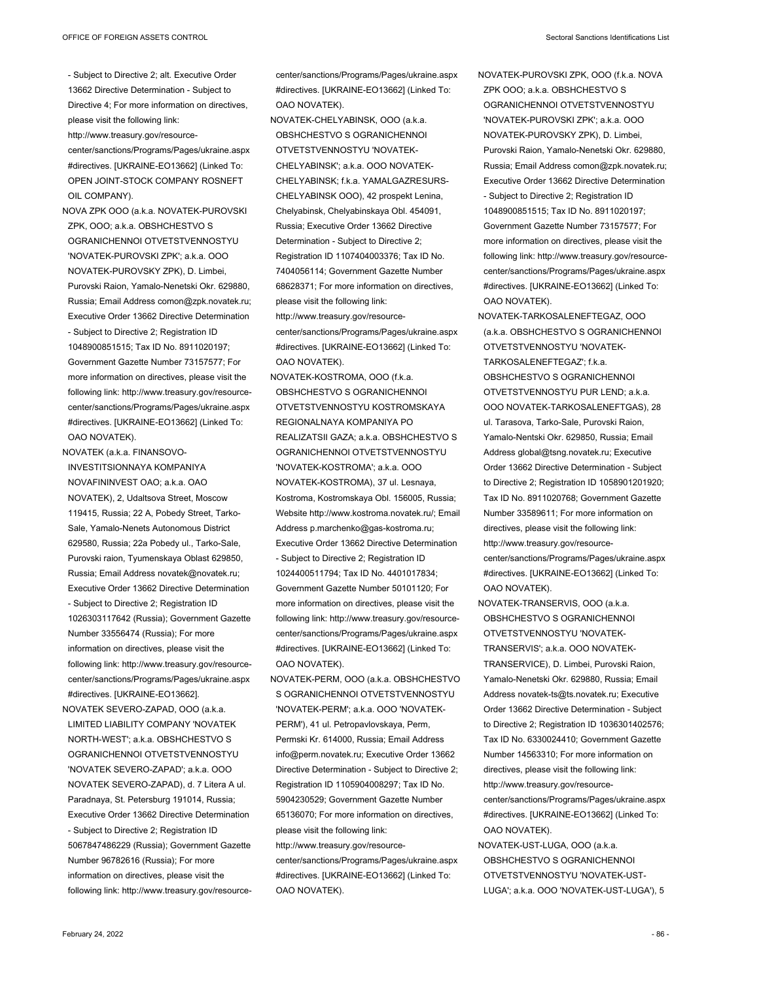- Subject to Directive 2; alt. Executive Order 13662 Directive Determination - Subject to Directive 4; For more information on directives, please visit the following link: http://www.treasury.gov/resourcecenter/sanctions/Programs/Pages/ukraine.aspx #directives. [UKRAINE-EO13662] (Linked To: OPEN JOINT-STOCK COMPANY ROSNEFT OIL COMPANY).
- NOVA ZPK OOO (a.k.a. NOVATEK-PUROVSKI ZPK, OOO; a.k.a. OBSHCHESTVO S OGRANICHENNOI OTVETSTVENNOSTYU 'NOVATEK-PUROVSKI ZPK'; a.k.a. OOO NOVATEK-PUROVSKY ZPK), D. Limbei, Purovski Raion, Yamalo-Nenetski Okr. 629880, Russia; Email Address comon@zpk.novatek.ru; Executive Order 13662 Directive Determination - Subject to Directive 2; Registration ID 1048900851515; Tax ID No. 8911020197; Government Gazette Number 73157577; For more information on directives, please visit the following link: http://www.treasury.gov/resourcecenter/sanctions/Programs/Pages/ukraine.aspx #directives. [UKRAINE-EO13662] (Linked To: OAO NOVATEK).
- NOVATEK (a.k.a. FINANSOVO-INVESTITSIONNAYA KOMPANIYA NOVAFININVEST OAO; a.k.a. OAO NOVATEK), 2, Udaltsova Street, Moscow 119415, Russia; 22 A, Pobedy Street, Tarko-Sale, Yamalo-Nenets Autonomous District 629580, Russia; 22a Pobedy ul., Tarko-Sale, Purovski raion, Tyumenskaya Oblast 629850, Russia; Email Address novatek@novatek.ru; Executive Order 13662 Directive Determination - Subject to Directive 2; Registration ID 1026303117642 (Russia); Government Gazette Number 33556474 (Russia); For more information on directives, please visit the following link: http://www.treasury.gov/resourcecenter/sanctions/Programs/Pages/ukraine.aspx #directives. [UKRAINE-EO13662].
- NOVATEK SEVERO-ZAPAD, OOO (a.k.a. LIMITED LIABILITY COMPANY 'NOVATEK NORTH-WEST'; a.k.a. OBSHCHESTVO S OGRANICHENNOI OTVETSTVENNOSTYU 'NOVATEK SEVERO-ZAPAD'; a.k.a. OOO NOVATEK SEVERO-ZAPAD), d. 7 Litera A ul. Paradnaya, St. Petersburg 191014, Russia; Executive Order 13662 Directive Determination - Subject to Directive 2; Registration ID 5067847486229 (Russia); Government Gazette Number 96782616 (Russia); For more information on directives, please visit the following link: http://www.treasury.gov/resource-

center/sanctions/Programs/Pages/ukraine.aspx #directives. [UKRAINE-EO13662] (Linked To: OAO NOVATEK).

- NOVATEK-CHELYABINSK, OOO (a.k.a. OBSHCHESTVO S OGRANICHENNOI OTVETSTVENNOSTYU 'NOVATEK-CHELYABINSK'; a.k.a. OOO NOVATEK-CHELYABINSK; f.k.a. YAMALGAZRESURS-CHELYABINSK OOO), 42 prospekt Lenina, Chelyabinsk, Chelyabinskaya Obl. 454091, Russia; Executive Order 13662 Directive Determination - Subject to Directive 2; Registration ID 1107404003376; Tax ID No. 7404056114; Government Gazette Number 68628371; For more information on directives, please visit the following link: http://www.treasury.gov/resourcecenter/sanctions/Programs/Pages/ukraine.aspx #directives. [UKRAINE-EO13662] (Linked To: OAO NOVATEK).
- NOVATEK-KOSTROMA, OOO (f.k.a. OBSHCHESTVO S OGRANICHENNOI OTVETSTVENNOSTYU KOSTROMSKAYA REGIONALNAYA KOMPANIYA PO REALIZATSII GAZA; a.k.a. OBSHCHESTVO S OGRANICHENNOI OTVETSTVENNOSTYU 'NOVATEK-KOSTROMA'; a.k.a. OOO NOVATEK-KOSTROMA), 37 ul. Lesnaya, Kostroma, Kostromskaya Obl. 156005, Russia; Website http://www.kostroma.novatek.ru/; Email Address p.marchenko@gas-kostroma.ru; Executive Order 13662 Directive Determination - Subject to Directive 2; Registration ID 1024400511794; Tax ID No. 4401017834; Government Gazette Number 50101120; For more information on directives, please visit the following link: http://www.treasury.gov/resourcecenter/sanctions/Programs/Pages/ukraine.aspx #directives. [UKRAINE-EO13662] (Linked To: OAO NOVATEK).
- NOVATEK-PERM, OOO (a.k.a. OBSHCHESTVO S OGRANICHENNOI OTVETSTVENNOSTYU 'NOVATEK-PERM'; a.k.a. OOO 'NOVATEK-PERM'), 41 ul. Petropavlovskaya, Perm, Permski Kr. 614000, Russia; Email Address info@perm.novatek.ru; Executive Order 13662 Directive Determination - Subject to Directive 2; Registration ID 1105904008297; Tax ID No. 5904230529; Government Gazette Number 65136070; For more information on directives, please visit the following link: http://www.treasury.gov/resource-

center/sanctions/Programs/Pages/ukraine.aspx #directives. [UKRAINE-EO13662] (Linked To: OAO NOVATEK).

- NOVATEK-PUROVSKI ZPK, OOO (f.k.a. NOVA ZPK OOO; a.k.a. OBSHCHESTVO S OGRANICHENNOI OTVETSTVENNOSTYU 'NOVATEK-PUROVSKI ZPK'; a.k.a. OOO NOVATEK-PUROVSKY ZPK), D. Limbei, Purovski Raion, Yamalo-Nenetski Okr. 629880, Russia; Email Address comon@zpk.novatek.ru; Executive Order 13662 Directive Determination - Subject to Directive 2; Registration ID 1048900851515; Tax ID No. 8911020197; Government Gazette Number 73157577; For more information on directives, please visit the following link: http://www.treasury.gov/resourcecenter/sanctions/Programs/Pages/ukraine.aspx #directives. [UKRAINE-EO13662] (Linked To: OAO NOVATEK).
- NOVATEK-TARKOSALENEFTEGAZ, OOO (a.k.a. OBSHCHESTVO S OGRANICHENNOI OTVETSTVENNOSTYU 'NOVATEK-TARKOSALENEFTEGAZ'; f.k.a. OBSHCHESTVO S OGRANICHENNOI OTVETSTVENNOSTYU PUR LEND; a.k.a. OOO NOVATEK-TARKOSALENEFTGAS), 28 ul. Tarasova, Tarko-Sale, Purovski Raion, Yamalo-Nentski Okr. 629850, Russia; Email Address global@tsng.novatek.ru; Executive Order 13662 Directive Determination - Subject to Directive 2; Registration ID 1058901201920; Tax ID No. 8911020768; Government Gazette Number 33589611; For more information on directives, please visit the following link: http://www.treasury.gov/resourcecenter/sanctions/Programs/Pages/ukraine.aspx #directives. [UKRAINE-EO13662] (Linked To: OAO NOVATEK).
- NOVATEK-TRANSERVIS, OOO (a.k.a. OBSHCHESTVO S OGRANICHENNOI OTVETSTVENNOSTYU 'NOVATEK-TRANSERVIS'; a.k.a. OOO NOVATEK-TRANSERVICE), D. Limbei, Purovski Raion, Yamalo-Nenetski Okr. 629880, Russia; Email Address novatek-ts@ts.novatek.ru; Executive Order 13662 Directive Determination - Subject to Directive 2; Registration ID 1036301402576; Tax ID No. 6330024410; Government Gazette Number 14563310; For more information on directives, please visit the following link: http://www.treasury.gov/resourcecenter/sanctions/Programs/Pages/ukraine.aspx #directives. [UKRAINE-EO13662] (Linked To: OAO NOVATEK).
- NOVATEK-UST-LUGA, OOO (a.k.a. OBSHCHESTVO S OGRANICHENNOI OTVETSTVENNOSTYU 'NOVATEK-UST-LUGA'; a.k.a. OOO 'NOVATEK-UST-LUGA'), 5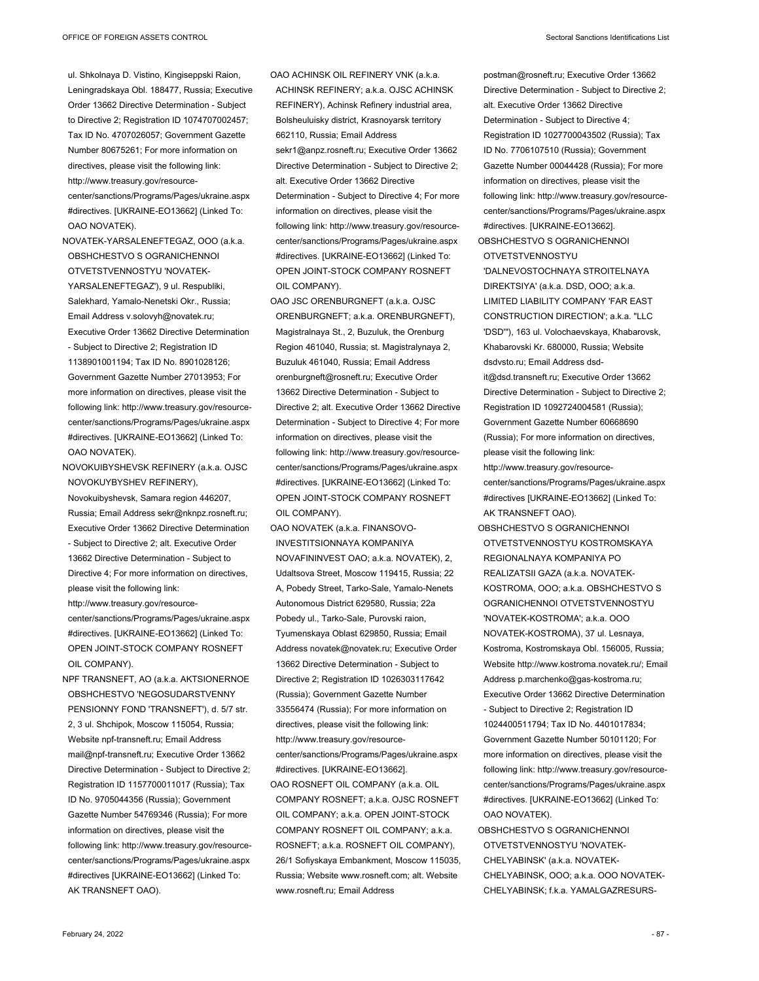ul. Shkolnaya D. Vistino, Kingiseppski Raion, Leningradskaya Obl. 188477, Russia; Executive Order 13662 Directive Determination - Subject to Directive 2; Registration ID 1074707002457; Tax ID No. 4707026057; Government Gazette Number 80675261; For more information on directives, please visit the following link: http://www.treasury.gov/resourcecenter/sanctions/Programs/Pages/ukraine.aspx

#directives. [UKRAINE-EO13662] (Linked To: OAO NOVATEK).

NOVATEK-YARSALENEFTEGAZ, OOO (a.k.a. OBSHCHESTVO S OGRANICHENNOI OTVETSTVENNOSTYU 'NOVATEK-YARSALENEFTEGAZ'), 9 ul. Respubliki, Salekhard, Yamalo-Nenetski Okr., Russia; Email Address v.solovyh@novatek.ru; Executive Order 13662 Directive Determination - Subject to Directive 2; Registration ID 1138901001194; Tax ID No. 8901028126; Government Gazette Number 27013953; For more information on directives, please visit the following link: http://www.treasury.gov/resourcecenter/sanctions/Programs/Pages/ukraine.aspx #directives. [UKRAINE-EO13662] (Linked To: OAO NOVATEK).

NOVOKUIBYSHEVSK REFINERY (a.k.a. OJSC NOVOKUYBYSHEV REFINERY), Novokuibyshevsk, Samara region 446207, Russia; Email Address sekr@nknpz.rosneft.ru; Executive Order 13662 Directive Determination - Subject to Directive 2; alt. Executive Order 13662 Directive Determination - Subject to Directive 4; For more information on directives, please visit the following link: http://www.treasury.gov/resourcecenter/sanctions/Programs/Pages/ukraine.aspx #directives. [UKRAINE-EO13662] (Linked To: OPEN JOINT-STOCK COMPANY ROSNEFT OIL COMPANY).

NPF TRANSNEFT, AO (a.k.a. AKTSIONERNOE OBSHCHESTVO 'NEGOSUDARSTVENNY PENSIONNY FOND 'TRANSNEFT'), d. 5/7 str. 2, 3 ul. Shchipok, Moscow 115054, Russia; Website npf-transneft.ru; Email Address mail@npf-transneft.ru; Executive Order 13662 Directive Determination - Subject to Directive 2; Registration ID 1157700011017 (Russia); Tax ID No. 9705044356 (Russia); Government Gazette Number 54769346 (Russia); For more information on directives, please visit the following link: http://www.treasury.gov/resourcecenter/sanctions/Programs/Pages/ukraine.aspx #directives [UKRAINE-EO13662] (Linked To: AK TRANSNEFT OAO).

OAO ACHINSK OIL REFINERY VNK (a.k.a. ACHINSK REFINERY; a.k.a. OJSC ACHINSK REFINERY), Achinsk Refinery industrial area, Bolsheuluisky district, Krasnoyarsk territory 662110, Russia; Email Address sekr1@anpz.rosneft.ru; Executive Order 13662 Directive Determination - Subject to Directive 2; alt. Executive Order 13662 Directive Determination - Subject to Directive 4; For more information on directives, please visit the following link: http://www.treasury.gov/resourcecenter/sanctions/Programs/Pages/ukraine.aspx #directives. [UKRAINE-EO13662] (Linked To: OPEN JOINT-STOCK COMPANY ROSNEFT OIL COMPANY).

OAO JSC ORENBURGNEFT (a.k.a. OJSC ORENBURGNEFT; a.k.a. ORENBURGNEFT), Magistralnaya St., 2, Buzuluk, the Orenburg Region 461040, Russia; st. Magistralynaya 2, Buzuluk 461040, Russia; Email Address orenburgneft@rosneft.ru; Executive Order 13662 Directive Determination - Subject to Directive 2; alt. Executive Order 13662 Directive Determination - Subject to Directive 4; For more information on directives, please visit the following link: http://www.treasury.gov/resourcecenter/sanctions/Programs/Pages/ukraine.aspx #directives. [UKRAINE-EO13662] (Linked To: OPEN JOINT-STOCK COMPANY ROSNEFT OIL COMPANY).

OAO NOVATEK (a.k.a. FINANSOVO-INVESTITSIONNAYA KOMPANIYA NOVAFININVEST OAO; a.k.a. NOVATEK), 2, Udaltsova Street, Moscow 119415, Russia; 22 A, Pobedy Street, Tarko-Sale, Yamalo-Nenets Autonomous District 629580, Russia; 22a Pobedy ul., Tarko-Sale, Purovski raion, Tyumenskaya Oblast 629850, Russia; Email Address novatek@novatek.ru; Executive Order 13662 Directive Determination - Subject to Directive 2; Registration ID 1026303117642 (Russia); Government Gazette Number 33556474 (Russia); For more information on directives, please visit the following link: http://www.treasury.gov/resourcecenter/sanctions/Programs/Pages/ukraine.aspx #directives. [UKRAINE-EO13662].

OAO ROSNEFT OIL COMPANY (a.k.a. OIL COMPANY ROSNEFT; a.k.a. OJSC ROSNEFT OIL COMPANY; a.k.a. OPEN JOINT-STOCK COMPANY ROSNEFT OIL COMPANY; a.k.a. ROSNEFT; a.k.a. ROSNEFT OIL COMPANY), 26/1 Sofiyskaya Embankment, Moscow 115035, Russia; Website www.rosneft.com; alt. Website www.rosneft.ru; Email Address

postman@rosneft.ru; Executive Order 13662 Directive Determination - Subject to Directive 2; alt. Executive Order 13662 Directive Determination - Subject to Directive 4; Registration ID 1027700043502 (Russia); Tax ID No. 7706107510 (Russia); Government Gazette Number 00044428 (Russia); For more information on directives, please visit the following link: http://www.treasury.gov/resourcecenter/sanctions/Programs/Pages/ukraine.aspx #directives. [UKRAINE-EO13662]. OBSHCHESTVO S OGRANICHENNOI **OTVETSTVENNOSTYU** 'DALNEVOSTOCHNAYA STROITELNAYA

DIREKTSIYA' (a.k.a. DSD, OOO; a.k.a. LIMITED LIABILITY COMPANY 'FAR EAST CONSTRUCTION DIRECTION'; a.k.a. "LLC 'DSD'"), 163 ul. Volochaevskaya, Khabarovsk, Khabarovski Kr. 680000, Russia; Website dsdvsto.ru; Email Address dsdit@dsd.transneft.ru; Executive Order 13662 Directive Determination - Subject to Directive 2; Registration ID 1092724004581 (Russia); Government Gazette Number 60668690 (Russia); For more information on directives, please visit the following link: http://www.treasury.gov/resourcecenter/sanctions/Programs/Pages/ukraine.aspx #directives [UKRAINE-EO13662] (Linked To:

AK TRANSNEFT OAO). OBSHCHESTVO S OGRANICHENNOI OTVETSTVENNOSTYU KOSTROMSKAYA REGIONALNAYA KOMPANIYA PO REALIZATSII GAZA (a.k.a. NOVATEK-

KOSTROMA, OOO; a.k.a. OBSHCHESTVO S OGRANICHENNOI OTVETSTVENNOSTYU 'NOVATEK-KOSTROMA'; a.k.a. OOO NOVATEK-KOSTROMA), 37 ul. Lesnaya, Kostroma, Kostromskaya Obl. 156005, Russia; Website http://www.kostroma.novatek.ru/; Email Address p.marchenko@gas-kostroma.ru; Executive Order 13662 Directive Determination - Subject to Directive 2; Registration ID 1024400511794; Tax ID No. 4401017834; Government Gazette Number 50101120; For more information on directives, please visit the following link: http://www.treasury.gov/resourcecenter/sanctions/Programs/Pages/ukraine.aspx #directives. [UKRAINE-EO13662] (Linked To: OAO NOVATEK).

OBSHCHESTVO S OGRANICHENNOI OTVETSTVENNOSTYU 'NOVATEK-CHELYABINSK' (a.k.a. NOVATEK-CHELYABINSK, OOO; a.k.a. OOO NOVATEK-CHELYABINSK; f.k.a. YAMALGAZRESURS-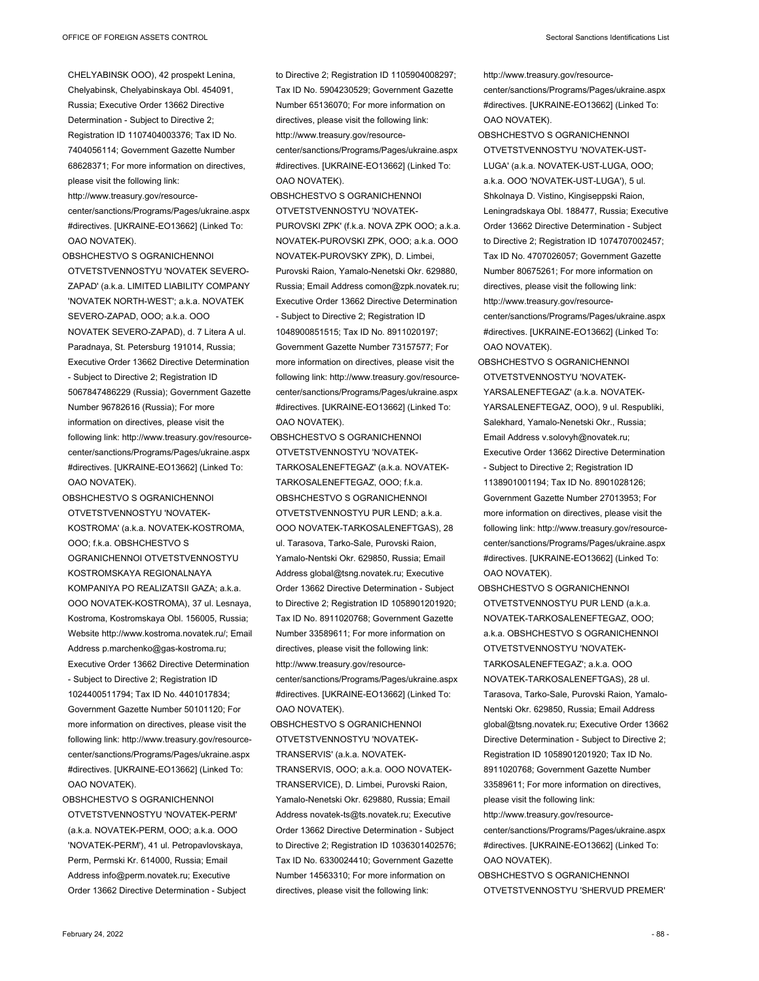- CHELYABINSK OOO), 42 prospekt Lenina, Chelyabinsk, Chelyabinskaya Obl. 454091, Russia; Executive Order 13662 Directive Determination - Subject to Directive 2; Registration ID 1107404003376; Tax ID No. 7404056114; Government Gazette Number 68628371; For more information on directives, please visit the following link: http://www.treasury.gov/resourcecenter/sanctions/Programs/Pages/ukraine.aspx #directives. [UKRAINE-EO13662] (Linked To: OAO NOVATEK).
- OBSHCHESTVO S OGRANICHENNOI OTVETSTVENNOSTYU 'NOVATEK SEVERO-ZAPAD' (a.k.a. LIMITED LIABILITY COMPANY 'NOVATEK NORTH-WEST'; a.k.a. NOVATEK SEVERO-ZAPAD, OOO; a.k.a. OOO NOVATEK SEVERO-ZAPAD), d. 7 Litera A ul. Paradnaya, St. Petersburg 191014, Russia; Executive Order 13662 Directive Determination - Subject to Directive 2; Registration ID 5067847486229 (Russia); Government Gazette Number 96782616 (Russia); For more information on directives, please visit the following link: http://www.treasury.gov/resourcecenter/sanctions/Programs/Pages/ukraine.aspx #directives. [UKRAINE-EO13662] (Linked To: OAO NOVATEK).
- OBSHCHESTVO S OGRANICHENNOI OTVETSTVENNOSTYU 'NOVATEK-KOSTROMA' (a.k.a. NOVATEK-KOSTROMA, OOO; f.k.a. OBSHCHESTVO S OGRANICHENNOI OTVETSTVENNOSTYU KOSTROMSKAYA REGIONALNAYA KOMPANIYA PO REALIZATSII GAZA; a.k.a. OOO NOVATEK-KOSTROMA), 37 ul. Lesnaya, Kostroma, Kostromskaya Obl. 156005, Russia; Website http://www.kostroma.novatek.ru/; Email Address p.marchenko@gas-kostroma.ru; Executive Order 13662 Directive Determination - Subject to Directive 2; Registration ID 1024400511794; Tax ID No. 4401017834; Government Gazette Number 50101120; For more information on directives, please visit the following link: http://www.treasury.gov/resourcecenter/sanctions/Programs/Pages/ukraine.aspx #directives. [UKRAINE-EO13662] (Linked To: OAO NOVATEK).
- OBSHCHESTVO S OGRANICHENNOI OTVETSTVENNOSTYU 'NOVATEK-PERM' (a.k.a. NOVATEK-PERM, OOO; a.k.a. OOO 'NOVATEK-PERM'), 41 ul. Petropavlovskaya, Perm, Permski Kr. 614000, Russia; Email Address info@perm.novatek.ru; Executive Order 13662 Directive Determination - Subject

to Directive 2; Registration ID 1105904008297; Tax ID No. 5904230529; Government Gazette Number 65136070; For more information on directives, please visit the following link: http://www.treasury.gov/resourcecenter/sanctions/Programs/Pages/ukraine.aspx #directives. [UKRAINE-EO13662] (Linked To: OAO NOVATEK).

- OBSHCHESTVO S OGRANICHENNOI OTVETSTVENNOSTYU 'NOVATEK-PUROVSKI ZPK' (f.k.a. NOVA ZPK OOO; a.k.a. NOVATEK-PUROVSKI ZPK, OOO; a.k.a. OOO NOVATEK-PUROVSKY ZPK), D. Limbei, Purovski Raion, Yamalo-Nenetski Okr. 629880, Russia; Email Address comon@zpk.novatek.ru; Executive Order 13662 Directive Determination - Subject to Directive 2; Registration ID 1048900851515; Tax ID No. 8911020197; Government Gazette Number 73157577; For more information on directives, please visit the following link: http://www.treasury.gov/resourcecenter/sanctions/Programs/Pages/ukraine.aspx #directives. [UKRAINE-EO13662] (Linked To: OAO NOVATEK).
- OBSHCHESTVO S OGRANICHENNOI OTVETSTVENNOSTYU 'NOVATEK-TARKOSALENEFTEGAZ' (a.k.a. NOVATEK-TARKOSALENEFTEGAZ, OOO; f.k.a. OBSHCHESTVO S OGRANICHENNOI OTVETSTVENNOSTYU PUR LEND; a.k.a. OOO NOVATEK-TARKOSALENEFTGAS), 28 ul. Tarasova, Tarko-Sale, Purovski Raion, Yamalo-Nentski Okr. 629850, Russia; Email Address global@tsng.novatek.ru; Executive Order 13662 Directive Determination - Subject to Directive 2; Registration ID 1058901201920; Tax ID No. 8911020768; Government Gazette Number 33589611; For more information on directives, please visit the following link: http://www.treasury.gov/resourcecenter/sanctions/Programs/Pages/ukraine.aspx #directives. [UKRAINE-EO13662] (Linked To: OAO NOVATEK).
- OBSHCHESTVO S OGRANICHENNOI OTVETSTVENNOSTYU 'NOVATEK-TRANSERVIS' (a.k.a. NOVATEK-TRANSERVIS, OOO; a.k.a. OOO NOVATEK-TRANSERVICE), D. Limbei, Purovski Raion, Yamalo-Nenetski Okr. 629880, Russia; Email Address novatek-ts@ts.novatek.ru; Executive Order 13662 Directive Determination - Subject to Directive 2; Registration ID 1036301402576; Tax ID No. 6330024410; Government Gazette Number 14563310; For more information on directives, please visit the following link:

http://www.treasury.gov/resourcecenter/sanctions/Programs/Pages/ukraine.aspx #directives. [UKRAINE-EO13662] (Linked To: OAO NOVATEK).

- OBSHCHESTVO S OGRANICHENNOI OTVETSTVENNOSTYU 'NOVATEK-UST-LUGA' (a.k.a. NOVATEK-UST-LUGA, OOO; a.k.a. OOO 'NOVATEK-UST-LUGA'), 5 ul. Shkolnaya D. Vistino, Kingiseppski Raion, Leningradskaya Obl. 188477, Russia; Executive Order 13662 Directive Determination - Subject to Directive 2; Registration ID 1074707002457; Tax ID No. 4707026057; Government Gazette Number 80675261; For more information on directives, please visit the following link: http://www.treasury.gov/resourcecenter/sanctions/Programs/Pages/ukraine.aspx #directives. [UKRAINE-EO13662] (Linked To: OAO NOVATEK).
- OBSHCHESTVO S OGRANICHENNOI OTVETSTVENNOSTYU 'NOVATEK-YARSALENEFTEGAZ' (a.k.a. NOVATEK-YARSALENEFTEGAZ, OOO), 9 ul. Respubliki, Salekhard, Yamalo-Nenetski Okr., Russia; Email Address v.solovyh@novatek.ru; Executive Order 13662 Directive Determination - Subject to Directive 2; Registration ID 1138901001194; Tax ID No. 8901028126; Government Gazette Number 27013953; For more information on directives, please visit the following link: http://www.treasury.gov/resourcecenter/sanctions/Programs/Pages/ukraine.aspx #directives. [UKRAINE-EO13662] (Linked To: OAO NOVATEK).
- OBSHCHESTVO S OGRANICHENNOI OTVETSTVENNOSTYU PUR LEND (a.k.a. NOVATEK-TARKOSALENEFTEGAZ, OOO; a.k.a. OBSHCHESTVO S OGRANICHENNOI OTVETSTVENNOSTYU 'NOVATEK-TARKOSALENEFTEGAZ'; a.k.a. OOO NOVATEK-TARKOSALENEFTGAS), 28 ul. Tarasova, Tarko-Sale, Purovski Raion, Yamalo-Nentski Okr. 629850, Russia; Email Address global@tsng.novatek.ru; Executive Order 13662 Directive Determination - Subject to Directive 2; Registration ID 1058901201920; Tax ID No. 8911020768; Government Gazette Number 33589611; For more information on directives, please visit the following link:
- http://www.treasury.gov/resourcecenter/sanctions/Programs/Pages/ukraine.aspx #directives. [UKRAINE-EO13662] (Linked To: OAO NOVATEK).
- OBSHCHESTVO S OGRANICHENNOI OTVETSTVENNOSTYU 'SHERVUD PREMER'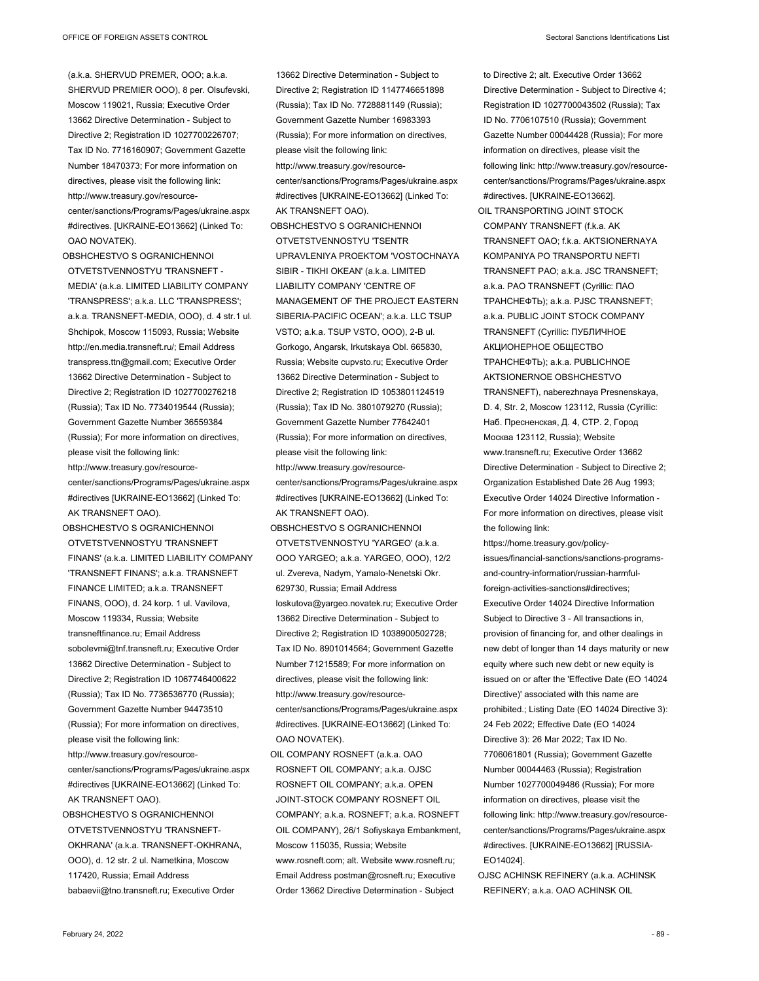(a.k.a. SHERVUD PREMER, OOO; a.k.a. SHERVUD PREMIER OOO), 8 per. Olsufevski, Moscow 119021, Russia; Executive Order 13662 Directive Determination - Subject to Directive 2; Registration ID 1027700226707; Tax ID No. 7716160907; Government Gazette Number 18470373; For more information on directives, please visit the following link: http://www.treasury.gov/resourcecenter/sanctions/Programs/Pages/ukraine.aspx #directives. [UKRAINE-EO13662] (Linked To: OAO NOVATEK).

OBSHCHESTVO S OGRANICHENNOI OTVETSTVENNOSTYU 'TRANSNEFT - MEDIA' (a.k.a. LIMITED LIABILITY COMPANY 'TRANSPRESS'; a.k.a. LLC 'TRANSPRESS'; a.k.a. TRANSNEFT-MEDIA, OOO), d. 4 str.1 ul. Shchipok, Moscow 115093, Russia; Website http://en.media.transneft.ru/; Email Address transpress.ttn@gmail.com; Executive Order 13662 Directive Determination - Subject to Directive 2; Registration ID 1027700276218 (Russia); Tax ID No. 7734019544 (Russia); Government Gazette Number 36559384 (Russia); For more information on directives, please visit the following link: http://www.treasury.gov/resourcecenter/sanctions/Programs/Pages/ukraine.aspx #directives [UKRAINE-EO13662] (Linked To: AK TRANSNEFT OAO).

OBSHCHESTVO S OGRANICHENNOI OTVETSTVENNOSTYU 'TRANSNEFT FINANS' (a.k.a. LIMITED LIABILITY COMPANY 'TRANSNEFT FINANS'; a.k.a. TRANSNEFT FINANCE LIMITED; a.k.a. TRANSNEFT FINANS, OOO), d. 24 korp. 1 ul. Vavilova, Moscow 119334, Russia; Website transneftfinance.ru; Email Address sobolevmi@tnf.transneft.ru; Executive Order 13662 Directive Determination - Subject to Directive 2; Registration ID 1067746400622 (Russia); Tax ID No. 7736536770 (Russia); Government Gazette Number 94473510 (Russia); For more information on directives, please visit the following link: http://www.treasury.gov/resource-

center/sanctions/Programs/Pages/ukraine.aspx #directives [UKRAINE-EO13662] (Linked To: AK TRANSNEFT OAO).

OBSHCHESTVO S OGRANICHENNOI OTVETSTVENNOSTYU 'TRANSNEFT-OKHRANA' (a.k.a. TRANSNEFT-OKHRANA, OOO), d. 12 str. 2 ul. Nametkina, Moscow 117420, Russia; Email Address babaevii@tno.transneft.ru; Executive Order

13662 Directive Determination - Subject to Directive 2; Registration ID 1147746651898 (Russia); Tax ID No. 7728881149 (Russia); Government Gazette Number 16983393 (Russia); For more information on directives, please visit the following link: http://www.treasury.gov/resourcecenter/sanctions/Programs/Pages/ukraine.aspx #directives [UKRAINE-EO13662] (Linked To: AK TRANSNEFT OAO). OBSHCHESTVO S OGRANICHENNOI OTVETSTVENNOSTYU 'TSENTR UPRAVLENIYA PROEKTOM 'VOSTOCHNAYA SIBIR - TIKHI OKEAN' (a.k.a. LIMITED LIABILITY COMPANY 'CENTRE OF MANAGEMENT OF THE PROJECT EASTERN SIBERIA-PACIFIC OCEAN'; a.k.a. LLC TSUP VSTO; a.k.a. TSUP VSTO, OOO), 2-B ul. Gorkogo, Angarsk, Irkutskaya Obl. 665830, Russia; Website cupvsto.ru; Executive Order 13662 Directive Determination - Subject to Directive 2; Registration ID 1053801124519 (Russia); Tax ID No. 3801079270 (Russia); Government Gazette Number 77642401 (Russia); For more information on directives, please visit the following link: http://www.treasury.gov/resourcecenter/sanctions/Programs/Pages/ukraine.aspx #directives [UKRAINE-EO13662] (Linked To: AK TRANSNEFT OAO). OBSHCHESTVO S OGRANICHENNOI OTVETSTVENNOSTYU 'YARGEO' (a.k.a. OOO YARGEO; a.k.a. YARGEO, OOO), 12/2 ul. Zvereva, Nadym, Yamalo-Nenetski Okr. 629730, Russia; Email Address loskutova@yargeo.novatek.ru; Executive Order 13662 Directive Determination - Subject to Directive 2; Registration ID 1038900502728; Tax ID No. 8901014564; Government Gazette Number 71215589; For more information on directives, please visit the following link: http://www.treasury.gov/resourcecenter/sanctions/Programs/Pages/ukraine.aspx #directives. [UKRAINE-EO13662] (Linked To: OAO NOVATEK).

OIL COMPANY ROSNEFT (a.k.a. OAO ROSNEFT OIL COMPANY; a.k.a. OJSC ROSNEFT OIL COMPANY; a.k.a. OPEN JOINT-STOCK COMPANY ROSNEFT OIL COMPANY; a.k.a. ROSNEFT; a.k.a. ROSNEFT OIL COMPANY), 26/1 Sofiyskaya Embankment, Moscow 115035, Russia; Website www.rosneft.com; alt. Website www.rosneft.ru; Email Address postman@rosneft.ru; Executive Order 13662 Directive Determination - Subject

to Directive 2; alt. Executive Order 13662 Directive Determination - Subject to Directive 4; Registration ID 1027700043502 (Russia); Tax ID No. 7706107510 (Russia); Government Gazette Number 00044428 (Russia); For more information on directives, please visit the following link: http://www.treasury.gov/resourcecenter/sanctions/Programs/Pages/ukraine.aspx #directives. [UKRAINE-EO13662]. OIL TRANSPORTING JOINT STOCK

COMPANY TRANSNEFT (f.k.a. AK TRANSNEFT OAO; f.k.a. AKTSIONERNAYA KOMPANIYA PO TRANSPORTU NEFTI TRANSNEFT PAO; a.k.a. JSC TRANSNEFT; a.k.a. PAO TRANSNEFT (Cyrillic: ПАО ТРАНСНЕФТЬ); a.k.a. PJSC TRANSNEFT; a.k.a. PUBLIC JOINT STOCK COMPANY TRANSNEFT (Cyrillic: ПУБЛИЧНОЕ АКЦИОНЕРНОЕ ОБЩЕСТВО ТРАНСНЕФТЬ); a.k.a. PUBLICHNOE AKTSIONERNOE OBSHCHESTVO TRANSNEFT), naberezhnaya Presnenskaya, D. 4, Str. 2, Moscow 123112, Russia (Cyrillic: Наб. Пресненская, Д. 4, СТР. 2, Город Москва 123112, Russia); Website www.transneft.ru; Executive Order 13662 Directive Determination - Subject to Directive 2; Organization Established Date 26 Aug 1993; Executive Order 14024 Directive Information - For more information on directives, please visit the following link:

https://home.treasury.gov/policyissues/financial-sanctions/sanctions-programsand-country-information/russian-harmfulforeign-activities-sanctions#directives; Executive Order 14024 Directive Information Subject to Directive 3 - All transactions in, provision of financing for, and other dealings in new debt of longer than 14 days maturity or new equity where such new debt or new equity is issued on or after the 'Effective Date (EO 14024 Directive)' associated with this name are prohibited.; Listing Date (EO 14024 Directive 3): 24 Feb 2022; Effective Date (EO 14024 Directive 3): 26 Mar 2022; Tax ID No. 7706061801 (Russia); Government Gazette Number 00044463 (Russia); Registration Number 1027700049486 (Russia); For more information on directives, please visit the following link: http://www.treasury.gov/resourcecenter/sanctions/Programs/Pages/ukraine.aspx #directives. [UKRAINE-EO13662] [RUSSIA-EO14024].

OJSC ACHINSK REFINERY (a.k.a. ACHINSK REFINERY; a.k.a. OAO ACHINSK OIL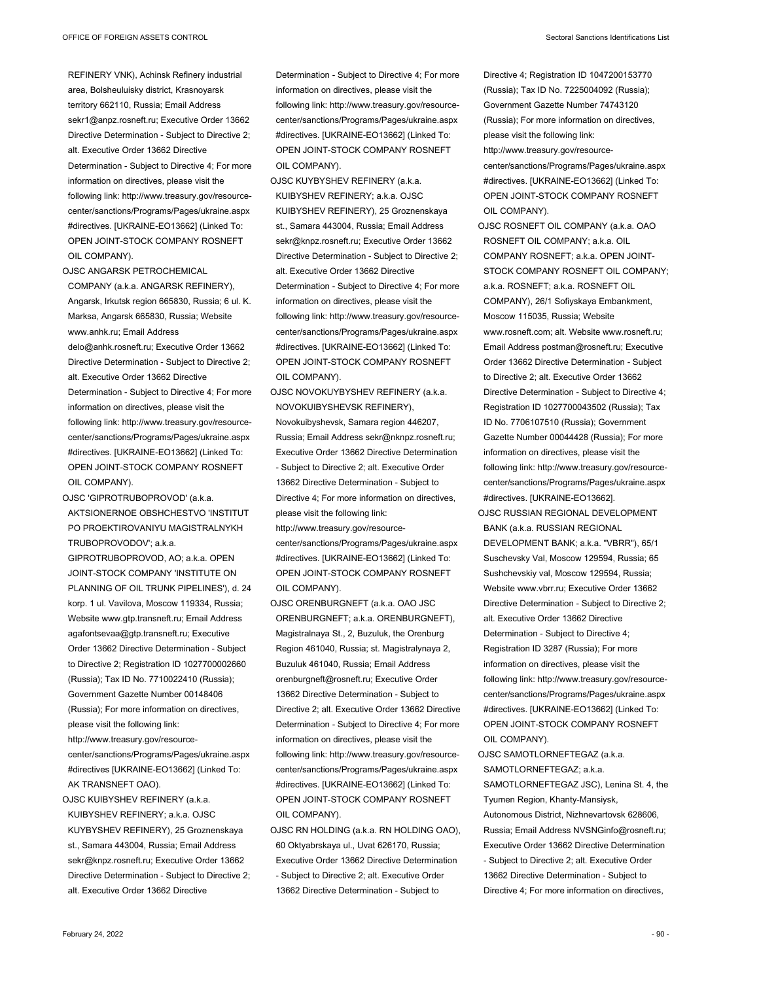REFINERY VNK), Achinsk Refinery industrial area, Bolsheuluisky district, Krasnoyarsk territory 662110, Russia; Email Address sekr1@anpz.rosneft.ru; Executive Order 13662 Directive Determination - Subject to Directive 2; alt. Executive Order 13662 Directive Determination - Subject to Directive 4; For more information on directives, please visit the following link: http://www.treasury.gov/resourcecenter/sanctions/Programs/Pages/ukraine.aspx #directives. [UKRAINE-EO13662] (Linked To: OPEN JOINT-STOCK COMPANY ROSNEFT OIL COMPANY).

OJSC ANGARSK PETROCHEMICAL

COMPANY (a.k.a. ANGARSK REFINERY), Angarsk, Irkutsk region 665830, Russia; 6 ul. K. Marksa, Angarsk 665830, Russia; Website www.anhk.ru; Email Address delo@anhk.rosneft.ru; Executive Order 13662 Directive Determination - Subject to Directive 2; alt. Executive Order 13662 Directive Determination - Subject to Directive 4; For more information on directives, please visit the following link: http://www.treasury.gov/resourcecenter/sanctions/Programs/Pages/ukraine.aspx #directives. [UKRAINE-EO13662] (Linked To: OPEN JOINT-STOCK COMPANY ROSNEFT OIL COMPANY).

OJSC 'GIPROTRUBOPROVOD' (a.k.a. AKTSIONERNOE OBSHCHESTVO 'INSTITUT PO PROEKTIROVANIYU MAGISTRALNYKH TRUBOPROVODOV'; a.k.a. GIPROTRUBOPROVOD, AO; a.k.a. OPEN JOINT-STOCK COMPANY 'INSTITUTE ON PLANNING OF OIL TRUNK PIPELINES'), d. 24 korp. 1 ul. Vavilova, Moscow 119334, Russia; Website www.gtp.transneft.ru; Email Address agafontsevaa@gtp.transneft.ru; Executive Order 13662 Directive Determination - Subject to Directive 2; Registration ID 1027700002660 (Russia); Tax ID No. 7710022410 (Russia); Government Gazette Number 00148406 (Russia); For more information on directives, please visit the following link: http://www.treasury.gov/resource-

center/sanctions/Programs/Pages/ukraine.aspx #directives [UKRAINE-EO13662] (Linked To: AK TRANSNEFT OAO).

OJSC KUIBYSHEV REFINERY (a.k.a. KUIBYSHEV REFINERY; a.k.a. OJSC KUYBYSHEV REFINERY), 25 Groznenskaya st., Samara 443004, Russia; Email Address sekr@knpz.rosneft.ru; Executive Order 13662 Directive Determination - Subject to Directive 2; alt. Executive Order 13662 Directive

Determination - Subject to Directive 4; For more information on directives, please visit the following link: http://www.treasury.gov/resourcecenter/sanctions/Programs/Pages/ukraine.aspx #directives. [UKRAINE-EO13662] (Linked To: OPEN JOINT-STOCK COMPANY ROSNEFT OIL COMPANY).

OJSC KUYBYSHEV REFINERY (a.k.a. KUIBYSHEV REFINERY; a.k.a. OJSC KUIBYSHEV REFINERY), 25 Groznenskaya st., Samara 443004, Russia; Email Address sekr@knpz.rosneft.ru; Executive Order 13662 Directive Determination - Subject to Directive 2; alt. Executive Order 13662 Directive Determination - Subject to Directive 4; For more information on directives, please visit the following link: http://www.treasury.gov/resourcecenter/sanctions/Programs/Pages/ukraine.aspx #directives. [UKRAINE-EO13662] (Linked To: OPEN JOINT-STOCK COMPANY ROSNEFT OIL COMPANY).

OJSC NOVOKUYBYSHEV REFINERY (a.k.a. NOVOKUIBYSHEVSK REFINERY), Novokuibyshevsk, Samara region 446207, Russia; Email Address sekr@nknpz.rosneft.ru; Executive Order 13662 Directive Determination - Subject to Directive 2; alt. Executive Order 13662 Directive Determination - Subject to Directive 4; For more information on directives, please visit the following link:

http://www.treasury.gov/resourcecenter/sanctions/Programs/Pages/ukraine.aspx #directives. [UKRAINE-EO13662] (Linked To: OPEN JOINT-STOCK COMPANY ROSNEFT OIL COMPANY).

OJSC ORENBURGNEFT (a.k.a. OAO JSC ORENBURGNEFT; a.k.a. ORENBURGNEFT), Magistralnaya St., 2, Buzuluk, the Orenburg Region 461040, Russia; st. Magistralynaya 2, Buzuluk 461040, Russia; Email Address orenburgneft@rosneft.ru; Executive Order 13662 Directive Determination - Subject to Directive 2; alt. Executive Order 13662 Directive Determination - Subject to Directive 4; For more information on directives, please visit the following link: http://www.treasury.gov/resourcecenter/sanctions/Programs/Pages/ukraine.aspx #directives. [UKRAINE-EO13662] (Linked To: OPEN JOINT-STOCK COMPANY ROSNEFT OIL COMPANY).

OJSC RN HOLDING (a.k.a. RN HOLDING OAO), 60 Oktyabrskaya ul., Uvat 626170, Russia; Executive Order 13662 Directive Determination - Subject to Directive 2; alt. Executive Order 13662 Directive Determination - Subject to

Directive 4; Registration ID 1047200153770 (Russia); Tax ID No. 7225004092 (Russia); Government Gazette Number 74743120 (Russia); For more information on directives, please visit the following link: http://www.treasury.gov/resource-

center/sanctions/Programs/Pages/ukraine.aspx #directives. [UKRAINE-EO13662] (Linked To: OPEN JOINT-STOCK COMPANY ROSNEFT OIL COMPANY).

OJSC ROSNEFT OIL COMPANY (a.k.a. OAO ROSNEFT OIL COMPANY; a.k.a. OIL COMPANY ROSNEFT; a.k.a. OPEN JOINT-STOCK COMPANY ROSNEFT OIL COMPANY; a.k.a. ROSNEFT; a.k.a. ROSNEFT OIL COMPANY), 26/1 Sofiyskaya Embankment, Moscow 115035, Russia; Website www.rosneft.com; alt. Website www.rosneft.ru; Email Address postman@rosneft.ru; Executive Order 13662 Directive Determination - Subject to Directive 2; alt. Executive Order 13662 Directive Determination - Subject to Directive 4; Registration ID 1027700043502 (Russia); Tax ID No. 7706107510 (Russia); Government Gazette Number 00044428 (Russia); For more information on directives, please visit the following link: http://www.treasury.gov/resourcecenter/sanctions/Programs/Pages/ukraine.aspx #directives. [UKRAINE-EO13662].

OJSC RUSSIAN REGIONAL DEVELOPMENT BANK (a.k.a. RUSSIAN REGIONAL DEVELOPMENT BANK; a.k.a. "VBRR"), 65/1 Suschevsky Val, Moscow 129594, Russia; 65 Sushchevskiy val, Moscow 129594, Russia; Website www.vbrr.ru; Executive Order 13662 Directive Determination - Subject to Directive 2; alt. Executive Order 13662 Directive Determination - Subject to Directive 4; Registration ID 3287 (Russia); For more information on directives, please visit the following link: http://www.treasury.gov/resourcecenter/sanctions/Programs/Pages/ukraine.aspx #directives. [UKRAINE-EO13662] (Linked To: OPEN JOINT-STOCK COMPANY ROSNEFT OIL COMPANY).

OJSC SAMOTLORNEFTEGAZ (a.k.a. SAMOTLORNEFTEGAZ; a.k.a. SAMOTLORNEFTEGAZ JSC), Lenina St. 4, the Tyumen Region, Khanty-Mansiysk, Autonomous District, Nizhnevartovsk 628606, Russia; Email Address NVSNGinfo@rosneft.ru; Executive Order 13662 Directive Determination - Subject to Directive 2; alt. Executive Order 13662 Directive Determination - Subject to Directive 4; For more information on directives,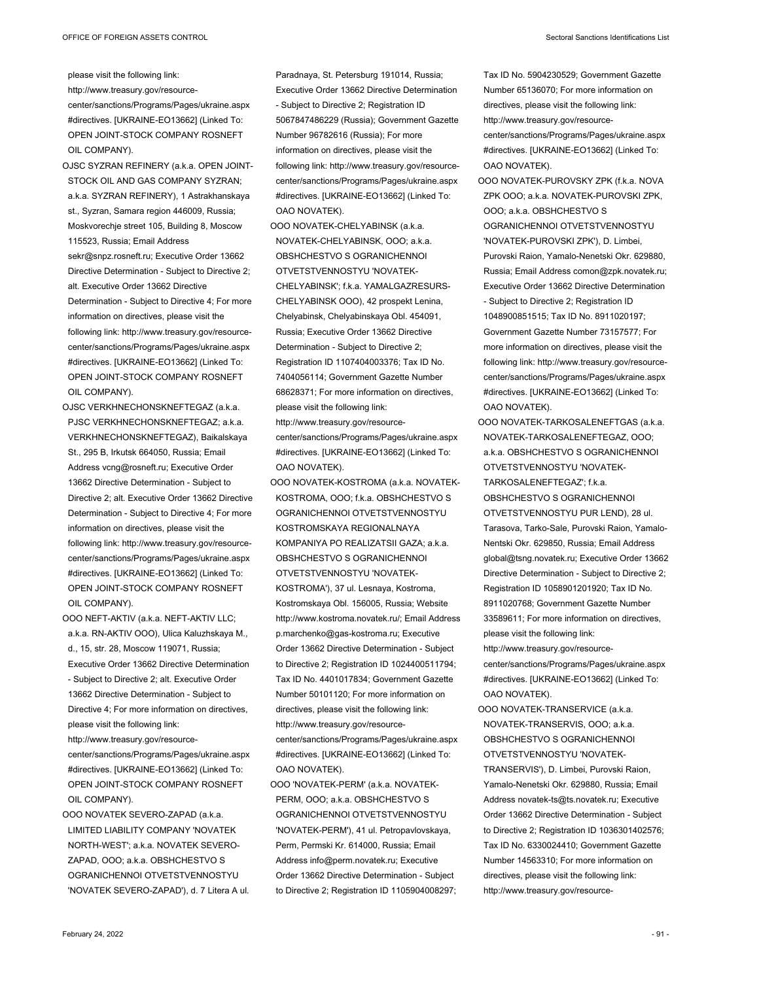please visit the following link:

http://www.treasury.gov/resourcecenter/sanctions/Programs/Pages/ukraine.aspx #directives. [UKRAINE-EO13662] (Linked To: OPEN JOINT-STOCK COMPANY ROSNEFT OIL COMPANY).

- OJSC SYZRAN REFINERY (a.k.a. OPEN JOINT-STOCK OIL AND GAS COMPANY SYZRAN; a.k.a. SYZRAN REFINERY), 1 Astrakhanskaya st., Syzran, Samara region 446009, Russia; Moskvorechje street 105, Building 8, Moscow 115523, Russia; Email Address sekr@snpz.rosneft.ru; Executive Order 13662 Directive Determination - Subject to Directive 2; alt. Executive Order 13662 Directive Determination - Subject to Directive 4; For more information on directives, please visit the following link: http://www.treasury.gov/resourcecenter/sanctions/Programs/Pages/ukraine.aspx #directives. [UKRAINE-EO13662] (Linked To: OPEN JOINT-STOCK COMPANY ROSNEFT OIL COMPANY).
- OJSC VERKHNECHONSKNEFTEGAZ (a.k.a. PJSC VERKHNECHONSKNEFTEGAZ; a.k.a. VERKHNECHONSKNEFTEGAZ), Baikalskaya St., 295 B, Irkutsk 664050, Russia; Email Address vcng@rosneft.ru; Executive Order 13662 Directive Determination - Subject to Directive 2; alt. Executive Order 13662 Directive Determination - Subject to Directive 4; For more information on directives, please visit the following link: http://www.treasury.gov/resourcecenter/sanctions/Programs/Pages/ukraine.aspx #directives. [UKRAINE-EO13662] (Linked To: OPEN JOINT-STOCK COMPANY ROSNEFT OIL COMPANY).

OOO NEFT-AKTIV (a.k.a. NEFT-AKTIV LLC;

a.k.a. RN-AKTIV OOO), Ulica Kaluzhskaya M., d., 15, str. 28, Moscow 119071, Russia; Executive Order 13662 Directive Determination - Subject to Directive 2; alt. Executive Order 13662 Directive Determination - Subject to Directive 4; For more information on directives, please visit the following link: http://www.treasury.gov/resource-

center/sanctions/Programs/Pages/ukraine.aspx #directives. [UKRAINE-EO13662] (Linked To: OPEN JOINT-STOCK COMPANY ROSNEFT OIL COMPANY).

OOO NOVATEK SEVERO-ZAPAD (a.k.a. LIMITED LIABILITY COMPANY 'NOVATEK NORTH-WEST'; a.k.a. NOVATEK SEVERO-ZAPAD, OOO; a.k.a. OBSHCHESTVO S OGRANICHENNOI OTVETSTVENNOSTYU 'NOVATEK SEVERO-ZAPAD'), d. 7 Litera A ul. Paradnaya, St. Petersburg 191014, Russia; Executive Order 13662 Directive Determination - Subject to Directive 2; Registration ID 5067847486229 (Russia); Government Gazette Number 96782616 (Russia); For more information on directives, please visit the following link: http://www.treasury.gov/resourcecenter/sanctions/Programs/Pages/ukraine.aspx #directives. [UKRAINE-EO13662] (Linked To: OAO NOVATEK).

- OOO NOVATEK-CHELYABINSK (a.k.a. NOVATEK-CHELYABINSK, OOO; a.k.a. OBSHCHESTVO S OGRANICHENNOI OTVETSTVENNOSTYU 'NOVATEK-CHELYABINSK'; f.k.a. YAMALGAZRESURS-CHELYABINSK OOO), 42 prospekt Lenina, Chelyabinsk, Chelyabinskaya Obl. 454091, Russia; Executive Order 13662 Directive Determination - Subject to Directive 2; Registration ID 1107404003376; Tax ID No. 7404056114; Government Gazette Number 68628371; For more information on directives, please visit the following link: http://www.treasury.gov/resource-
- center/sanctions/Programs/Pages/ukraine.aspx #directives. [UKRAINE-EO13662] (Linked To: OAO NOVATEK).
- OOO NOVATEK-KOSTROMA (a.k.a. NOVATEK-KOSTROMA, OOO; f.k.a. OBSHCHESTVO S OGRANICHENNOI OTVETSTVENNOSTYU KOSTROMSKAYA REGIONALNAYA KOMPANIYA PO REALIZATSII GAZA; a.k.a. OBSHCHESTVO S OGRANICHENNOI OTVETSTVENNOSTYU 'NOVATEK-KOSTROMA'), 37 ul. Lesnaya, Kostroma, Kostromskaya Obl. 156005, Russia; Website http://www.kostroma.novatek.ru/; Email Address p.marchenko@gas-kostroma.ru; Executive Order 13662 Directive Determination - Subject to Directive 2; Registration ID 1024400511794; Tax ID No. 4401017834; Government Gazette Number 50101120; For more information on directives, please visit the following link: http://www.treasury.gov/resourcecenter/sanctions/Programs/Pages/ukraine.aspx #directives. [UKRAINE-EO13662] (Linked To: OAO NOVATEK).
- OOO 'NOVATEK-PERM' (a.k.a. NOVATEK-PERM, OOO; a.k.a. OBSHCHESTVO S OGRANICHENNOI OTVETSTVENNOSTYU 'NOVATEK-PERM'), 41 ul. Petropavlovskaya, Perm, Permski Kr. 614000, Russia; Email Address info@perm.novatek.ru; Executive Order 13662 Directive Determination - Subject to Directive 2; Registration ID 1105904008297;

Tax ID No. 5904230529; Government Gazette Number 65136070; For more information on directives, please visit the following link: http://www.treasury.gov/resourcecenter/sanctions/Programs/Pages/ukraine.aspx #directives. [UKRAINE-EO13662] (Linked To: OAO NOVATEK).

OOO NOVATEK-PUROVSKY ZPK (f.k.a. NOVA ZPK OOO; a.k.a. NOVATEK-PUROVSKI ZPK, OOO; a.k.a. OBSHCHESTVO S OGRANICHENNOI OTVETSTVENNOSTYU 'NOVATEK-PUROVSKI ZPK'), D. Limbei, Purovski Raion, Yamalo-Nenetski Okr. 629880, Russia; Email Address comon@zpk.novatek.ru; Executive Order 13662 Directive Determination - Subject to Directive 2; Registration ID 1048900851515; Tax ID No. 8911020197; Government Gazette Number 73157577; For more information on directives, please visit the following link: http://www.treasury.gov/resourcecenter/sanctions/Programs/Pages/ukraine.aspx #directives. [UKRAINE-EO13662] (Linked To: OAO NOVATEK).

OOO NOVATEK-TARKOSALENEFTGAS (a.k.a. NOVATEK-TARKOSALENEFTEGAZ, OOO; a.k.a. OBSHCHESTVO S OGRANICHENNOI OTVETSTVENNOSTYU 'NOVATEK-TARKOSALENEFTEGAZ'; f.k.a. OBSHCHESTVO S OGRANICHENNOI OTVETSTVENNOSTYU PUR LEND), 28 ul. Tarasova, Tarko-Sale, Purovski Raion, Yamalo-Nentski Okr. 629850, Russia; Email Address global@tsng.novatek.ru; Executive Order 13662 Directive Determination - Subject to Directive 2; Registration ID 1058901201920; Tax ID No. 8911020768; Government Gazette Number 33589611; For more information on directives, please visit the following link:

http://www.treasury.gov/resourcecenter/sanctions/Programs/Pages/ukraine.aspx #directives. [UKRAINE-EO13662] (Linked To: OAO NOVATEK).

OOO NOVATEK-TRANSERVICE (a.k.a. NOVATEK-TRANSERVIS, OOO; a.k.a. OBSHCHESTVO S OGRANICHENNOI OTVETSTVENNOSTYU 'NOVATEK-TRANSERVIS'), D. Limbei, Purovski Raion, Yamalo-Nenetski Okr. 629880, Russia; Email Address novatek-ts@ts.novatek.ru; Executive Order 13662 Directive Determination - Subject to Directive 2; Registration ID 1036301402576; Tax ID No. 6330024410; Government Gazette Number 14563310; For more information on directives, please visit the following link: http://www.treasury.gov/resource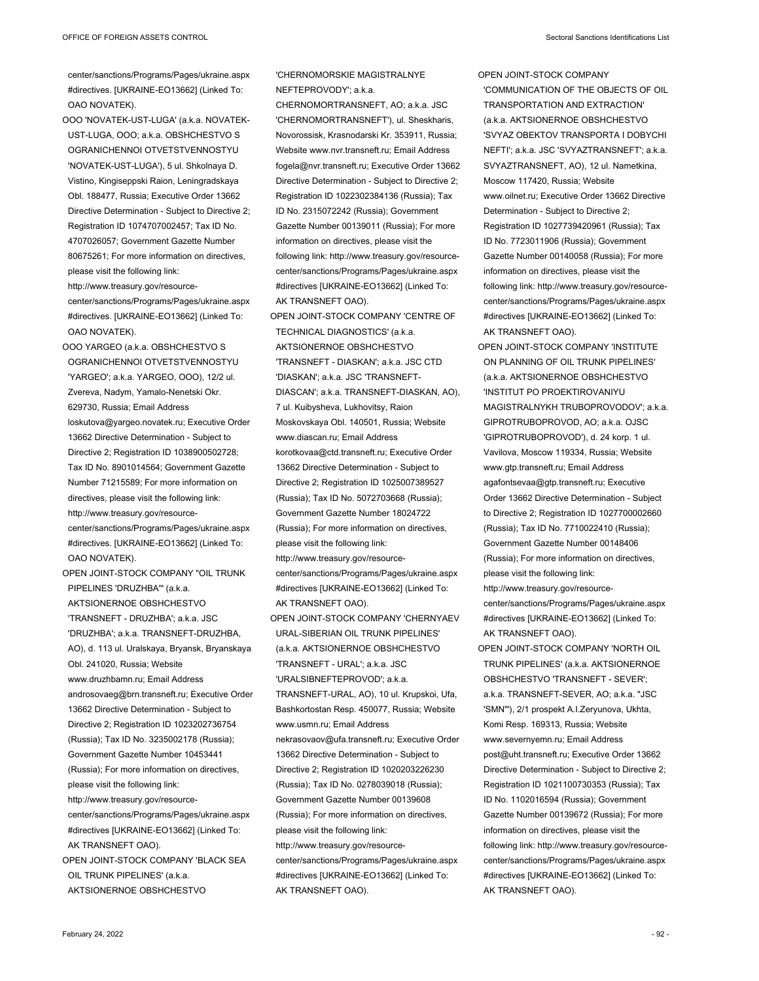center/sanctions/Programs/Pages/ukraine.aspx #directives. [UKRAINE-EO13662] (Linked To: OAO NOVATEK).

OOO 'NOVATEK-UST-LUGA' (a.k.a. NOVATEK-UST-LUGA, OOO; a.k.a. OBSHCHESTVO S OGRANICHENNOI OTVETSTVENNOSTYU 'NOVATEK-UST-LUGA'), 5 ul. Shkolnaya D. Vistino, Kingiseppski Raion, Leningradskaya Obl. 188477, Russia; Executive Order 13662 Directive Determination - Subject to Directive 2; Registration ID 1074707002457; Tax ID No. 4707026057; Government Gazette Number 80675261; For more information on directives, please visit the following link: http://www.treasury.gov/resourcecenter/sanctions/Programs/Pages/ukraine.aspx

#directives. [UKRAINE-EO13662] (Linked To: OAO NOVATEK).

OOO YARGEO (a.k.a. OBSHCHESTVO S OGRANICHENNOI OTVETSTVENNOSTYU 'YARGEO'; a.k.a. YARGEO, OOO), 12/2 ul. Zvereva, Nadym, Yamalo-Nenetski Okr. 629730, Russia; Email Address loskutova@yargeo.novatek.ru; Executive Order 13662 Directive Determination - Subject to Directive 2; Registration ID 1038900502728; Tax ID No. 8901014564; Government Gazette Number 71215589; For more information on directives, please visit the following link: http://www.treasury.gov/resourcecenter/sanctions/Programs/Pages/ukraine.aspx #directives. [UKRAINE-EO13662] (Linked To: OAO NOVATEK).

OPEN JOINT-STOCK COMPANY "OIL TRUNK PIPELINES 'DRUZHBA'" (a.k.a. AKTSIONERNOE OBSHCHESTVO 'TRANSNEFT - DRUZHBA'; a.k.a. JSC 'DRUZHBA'; a.k.a. TRANSNEFT-DRUZHBA, AO), d. 113 ul. Uralskaya, Bryansk, Bryanskaya Obl. 241020, Russia; Website www.druzhbamn.ru; Email Address androsovaeg@brn.transneft.ru; Executive Order 13662 Directive Determination - Subject to Directive 2; Registration ID 1023202736754 (Russia); Tax ID No. 3235002178 (Russia); Government Gazette Number 10453441 (Russia); For more information on directives, please visit the following link: http://www.treasury.gov/resourcecenter/sanctions/Programs/Pages/ukraine.aspx #directives [UKRAINE-EO13662] (Linked To: AK TRANSNEFT OAO). OPEN JOINT-STOCK COMPANY 'BLACK SEA OIL TRUNK PIPELINES' (a.k.a. AKTSIONERNOE OBSHCHESTVO

'CHERNOMORSKIE MAGISTRALNYE NEFTEPROVODY'; a.k.a.

CHERNOMORTRANSNEFT, AO; a.k.a. JSC 'CHERNOMORTRANSNEFT'), ul. Sheskharis, Novorossisk, Krasnodarski Kr. 353911, Russia; Website www.nvr.transneft.ru; Email Address fogela@nvr.transneft.ru; Executive Order 13662 Directive Determination - Subject to Directive 2; Registration ID 1022302384136 (Russia); Tax ID No. 2315072242 (Russia); Government Gazette Number 00139011 (Russia); For more information on directives, please visit the following link: http://www.treasury.gov/resourcecenter/sanctions/Programs/Pages/ukraine.aspx #directives [UKRAINE-EO13662] (Linked To: AK TRANSNEFT OAO).

OPEN JOINT-STOCK COMPANY 'CENTRE OF TECHNICAL DIAGNOSTICS' (a.k.a. AKTSIONERNOE OBSHCHESTVO 'TRANSNEFT - DIASKAN'; a.k.a. JSC CTD 'DIASKAN'; a.k.a. JSC 'TRANSNEFT-DIASCAN'; a.k.a. TRANSNEFT-DIASKAN, AO), 7 ul. Kuibysheva, Lukhovitsy, Raion Moskovskaya Obl. 140501, Russia; Website www.diascan.ru; Email Address korotkovaa@ctd.transneft.ru; Executive Order 13662 Directive Determination - Subject to Directive 2; Registration ID 1025007389527 (Russia); Tax ID No. 5072703668 (Russia); Government Gazette Number 18024722 (Russia); For more information on directives, please visit the following link: http://www.treasury.gov/resourcecenter/sanctions/Programs/Pages/ukraine.aspx #directives [UKRAINE-EO13662] (Linked To: AK TRANSNEFT OAO). OPEN JOINT-STOCK COMPANY 'CHERNYAEV URAL-SIBERIAN OIL TRUNK PIPELINES' (a.k.a. AKTSIONERNOE OBSHCHESTVO 'TRANSNEFT - URAL'; a.k.a. JSC 'URALSIBNEFTEPROVOD'; a.k.a. TRANSNEFT-URAL, AO), 10 ul. Krupskoi, Ufa, Bashkortostan Resp. 450077, Russia; Website www.usmn.ru; Email Address nekrasovaov@ufa.transneft.ru; Executive Order 13662 Directive Determination - Subject to Directive 2; Registration ID 1020203226230 (Russia); Tax ID No. 0278039018 (Russia); Government Gazette Number 00139608 (Russia); For more information on directives, please visit the following link: http://www.treasury.gov/resource-

center/sanctions/Programs/Pages/ukraine.aspx #directives [UKRAINE-EO13662] (Linked To: AK TRANSNEFT OAO).

OPEN JOINT-STOCK COMPANY 'COMMUNICATION OF THE OBJECTS OF OIL TRANSPORTATION AND EXTRACTION' (a.k.a. AKTSIONERNOE OBSHCHESTVO 'SVYAZ OBEKTOV TRANSPORTA I DOBYCHI NEFTI'; a.k.a. JSC 'SVYAZTRANSNEFT'; a.k.a. SVYAZTRANSNEFT, AO), 12 ul. Nametkina, Moscow 117420, Russia; Website www.oilnet.ru; Executive Order 13662 Directive Determination - Subject to Directive 2; Registration ID 1027739420961 (Russia); Tax ID No. 7723011906 (Russia); Government Gazette Number 00140058 (Russia); For more information on directives, please visit the following link: http://www.treasury.gov/resourcecenter/sanctions/Programs/Pages/ukraine.aspx #directives [UKRAINE-EO13662] (Linked To: AK TRANSNEFT OAO).

OPEN JOINT-STOCK COMPANY 'INSTITUTE ON PLANNING OF OIL TRUNK PIPELINES' (a.k.a. AKTSIONERNOE OBSHCHESTVO 'INSTITUT PO PROEKTIROVANIYU MAGISTRALNYKH TRUBOPROVODOV'; a.k.a. GIPROTRUBOPROVOD, AO; a.k.a. OJSC 'GIPROTRUBOPROVOD'), d. 24 korp. 1 ul. Vavilova, Moscow 119334, Russia; Website www.gtp.transneft.ru; Email Address agafontsevaa@gtp.transneft.ru; Executive Order 13662 Directive Determination - Subject to Directive 2; Registration ID 1027700002660 (Russia); Tax ID No. 7710022410 (Russia); Government Gazette Number 00148406 (Russia); For more information on directives, please visit the following link:

http://www.treasury.gov/resourcecenter/sanctions/Programs/Pages/ukraine.aspx #directives [UKRAINE-EO13662] (Linked To: AK TRANSNEFT OAO).

OPEN JOINT-STOCK COMPANY 'NORTH OIL TRUNK PIPELINES' (a.k.a. AKTSIONERNOE OBSHCHESTVO 'TRANSNEFT - SEVER'; a.k.a. TRANSNEFT-SEVER, AO; a.k.a. "JSC 'SMN'"), 2/1 prospekt A.I.Zeryunova, Ukhta, Komi Resp. 169313, Russia; Website www.severnyemn.ru; Email Address post@uht.transneft.ru; Executive Order 13662 Directive Determination - Subject to Directive 2; Registration ID 1021100730353 (Russia); Tax ID No. 1102016594 (Russia); Government Gazette Number 00139672 (Russia); For more information on directives, please visit the following link: http://www.treasury.gov/resourcecenter/sanctions/Programs/Pages/ukraine.aspx #directives [UKRAINE-EO13662] (Linked To: AK TRANSNEFT OAO).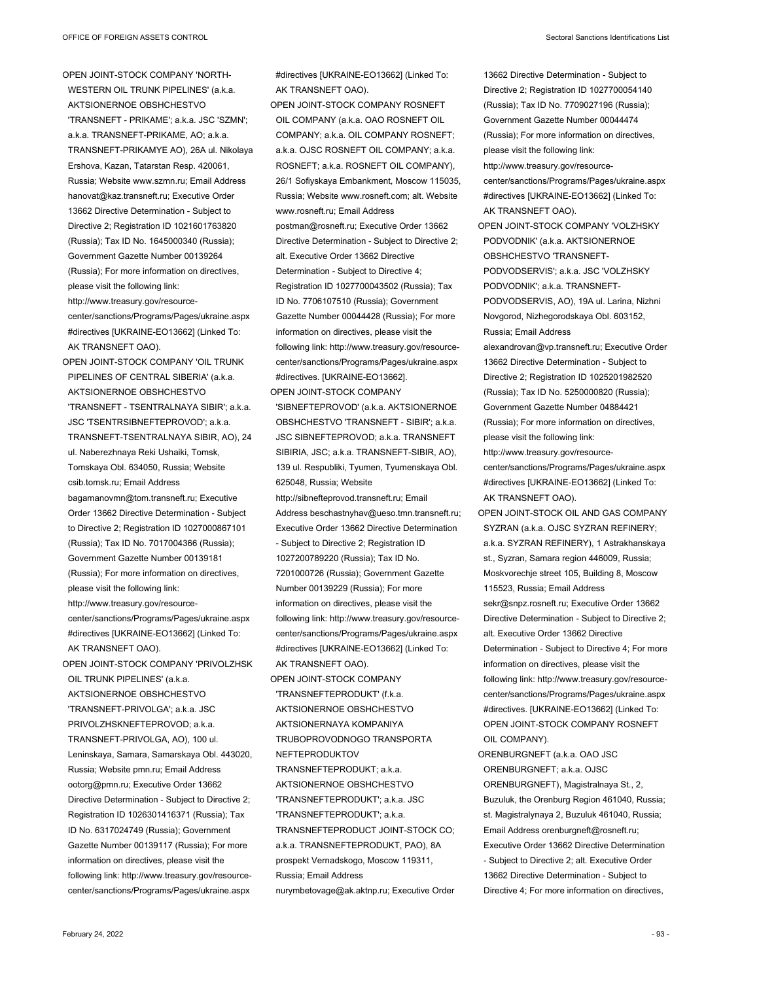13662 Directive Determination - Subject to Directive 2; Registration ID 1027700054140 (Russia); Tax ID No. 7709027196 (Russia); Government Gazette Number 00044474

OPEN JOINT-STOCK COMPANY 'NORTH-WESTERN OIL TRUNK PIPELINES' (a.k.a. AKTSIONERNOE OBSHCHESTVO 'TRANSNEFT - PRIKAME'; a.k.a. JSC 'SZMN'; a.k.a. TRANSNEFT-PRIKAME, AO; a.k.a. TRANSNEFT-PRIKAMYE AO), 26A ul. Nikolaya Ershova, Kazan, Tatarstan Resp. 420061, Russia; Website www.szmn.ru; Email Address hanovat@kaz.transneft.ru; Executive Order 13662 Directive Determination - Subject to Directive 2; Registration ID 1021601763820 (Russia); Tax ID No. 1645000340 (Russia); Government Gazette Number 00139264 (Russia); For more information on directives, please visit the following link: http://www.treasury.gov/resourcecenter/sanctions/Programs/Pages/ukraine.aspx #directives [UKRAINE-EO13662] (Linked To: AK TRANSNEFT OAO).

OPEN JOINT-STOCK COMPANY 'OIL TRUNK PIPELINES OF CENTRAL SIBERIA' (a.k.a. AKTSIONERNOE OBSHCHESTVO 'TRANSNEFT - TSENTRALNAYA SIBIR'; a.k.a. JSC 'TSENTRSIBNEFTEPROVOD'; a.k.a. TRANSNEFT-TSENTRALNAYA SIBIR, AO), 24 ul. Naberezhnaya Reki Ushaiki, Tomsk, Tomskaya Obl. 634050, Russia; Website csib.tomsk.ru; Email Address bagamanovmn@tom.transneft.ru; Executive Order 13662 Directive Determination - Subject to Directive 2; Registration ID 1027000867101 (Russia); Tax ID No. 7017004366 (Russia); Government Gazette Number 00139181 (Russia); For more information on directives, please visit the following link: http://www.treasury.gov/resourcecenter/sanctions/Programs/Pages/ukraine.aspx #directives [UKRAINE-EO13662] (Linked To: AK TRANSNEFT OAO). OPEN JOINT-STOCK COMPANY 'PRIVOLZHSK OIL TRUNK PIPELINES' (a.k.a. AKTSIONERNOE OBSHCHESTVO 'TRANSNEFT-PRIVOLGA'; a.k.a. JSC PRIVOLZHSKNEFTEPROVOD; a.k.a. TRANSNEFT-PRIVOLGA, AO), 100 ul. Leninskaya, Samara, Samarskaya Obl. 443020, Russia; Website pmn.ru; Email Address ootorg@pmn.ru; Executive Order 13662 Directive Determination - Subject to Directive 2; Registration ID 1026301416371 (Russia); Tax ID No. 6317024749 (Russia); Government Gazette Number 00139117 (Russia); For more information on directives, please visit the

following link: http://www.treasury.gov/resourcecenter/sanctions/Programs/Pages/ukraine.aspx

#directives [UKRAINE-EO13662] (Linked To: AK TRANSNEFT OAO).

OPEN JOINT-STOCK COMPANY ROSNEFT OIL COMPANY (a.k.a. OAO ROSNEFT OIL COMPANY; a.k.a. OIL COMPANY ROSNEFT; a.k.a. OJSC ROSNEFT OIL COMPANY; a.k.a. ROSNEFT; a.k.a. ROSNEFT OIL COMPANY), 26/1 Sofiyskaya Embankment, Moscow 115035, Russia; Website www.rosneft.com; alt. Website www.rosneft.ru; Email Address postman@rosneft.ru; Executive Order 13662 Directive Determination - Subject to Directive 2; alt. Executive Order 13662 Directive Determination - Subject to Directive 4; Registration ID 1027700043502 (Russia); Tax ID No. 7706107510 (Russia); Government Gazette Number 00044428 (Russia); For more information on directives, please visit the following link: http://www.treasury.gov/resourcecenter/sanctions/Programs/Pages/ukraine.aspx #directives. [UKRAINE-EO13662]. OPEN JOINT-STOCK COMPANY

'SIBNEFTEPROVOD' (a.k.a. AKTSIONERNOE OBSHCHESTVO 'TRANSNEFT - SIBIR'; a.k.a. JSC SIBNEFTEPROVOD; a.k.a. TRANSNEFT SIBIRIA, JSC; a.k.a. TRANSNEFT-SIBIR, AO), 139 ul. Respubliki, Tyumen, Tyumenskaya Obl. 625048, Russia; Website

http://sibnefteprovod.transneft.ru; Email Address beschastnyhav@ueso.tmn.transneft.ru; Executive Order 13662 Directive Determination - Subject to Directive 2; Registration ID 1027200789220 (Russia); Tax ID No. 7201000726 (Russia); Government Gazette Number 00139229 (Russia); For more information on directives, please visit the following link: http://www.treasury.gov/resourcecenter/sanctions/Programs/Pages/ukraine.aspx #directives [UKRAINE-EO13662] (Linked To: AK TRANSNEFT OAO).

OPEN JOINT-STOCK COMPANY 'TRANSNEFTEPRODUKT' (f.k.a. AKTSIONERNOE OBSHCHESTVO AKTSIONERNAYA KOMPANIYA TRUBOPROVODNOGO TRANSPORTA NEFTEPRODUKTOV TRANSNEFTEPRODUKT; a.k.a. AKTSIONERNOE OBSHCHESTVO 'TRANSNEFTEPRODUKT'; a.k.a. JSC 'TRANSNEFTEPRODUKT'; a.k.a. TRANSNEFTEPRODUCT JOINT-STOCK CO; a.k.a. TRANSNEFTEPRODUKT, PAO), 8A prospekt Vernadskogo, Moscow 119311, Russia; Email Address nurymbetovage@ak.aktnp.ru; Executive Order

(Russia); For more information on directives, please visit the following link: http://www.treasury.gov/resourcecenter/sanctions/Programs/Pages/ukraine.aspx #directives [UKRAINE-EO13662] (Linked To: AK TRANSNEFT OAO). OPEN JOINT-STOCK COMPANY 'VOLZHSKY PODVODNIK' (a.k.a. AKTSIONERNOE OBSHCHESTVO 'TRANSNEFT-PODVODSERVIS'; a.k.a. JSC 'VOLZHSKY PODVODNIK'; a.k.a. TRANSNEFT-PODVODSERVIS, AO), 19A ul. Larina, Nizhni Novgorod, Nizhegorodskaya Obl. 603152, Russia; Email Address alexandrovan@vp.transneft.ru; Executive Order 13662 Directive Determination - Subject to Directive 2; Registration ID 1025201982520 (Russia); Tax ID No. 5250000820 (Russia); Government Gazette Number 04884421 (Russia); For more information on directives, please visit the following link: http://www.treasury.gov/resourcecenter/sanctions/Programs/Pages/ukraine.aspx #directives [UKRAINE-EO13662] (Linked To: AK TRANSNEFT OAO). OPEN JOINT-STOCK OIL AND GAS COMPANY SYZRAN (a.k.a. OJSC SYZRAN REFINERY; a.k.a. SYZRAN REFINERY), 1 Astrakhanskaya st., Syzran, Samara region 446009, Russia; Moskvorechje street 105, Building 8, Moscow 115523, Russia; Email Address sekr@snpz.rosneft.ru; Executive Order 13662 Directive Determination - Subject to Directive 2; alt. Executive Order 13662 Directive Determination - Subject to Directive 4; For more information on directives, please visit the following link: http://www.treasury.gov/resourcecenter/sanctions/Programs/Pages/ukraine.aspx #directives. [UKRAINE-EO13662] (Linked To: OPEN JOINT-STOCK COMPANY ROSNEFT OIL COMPANY). ORENBURGNEFT (a.k.a. OAO JSC ORENBURGNEFT; a.k.a. OJSC

ORENBURGNEFT), Magistralnaya St., 2, Buzuluk, the Orenburg Region 461040, Russia; st. Magistralynaya 2, Buzuluk 461040, Russia; Email Address orenburgneft@rosneft.ru; Executive Order 13662 Directive Determination - Subject to Directive 2; alt. Executive Order 13662 Directive Determination - Subject to Directive 4; For more information on directives,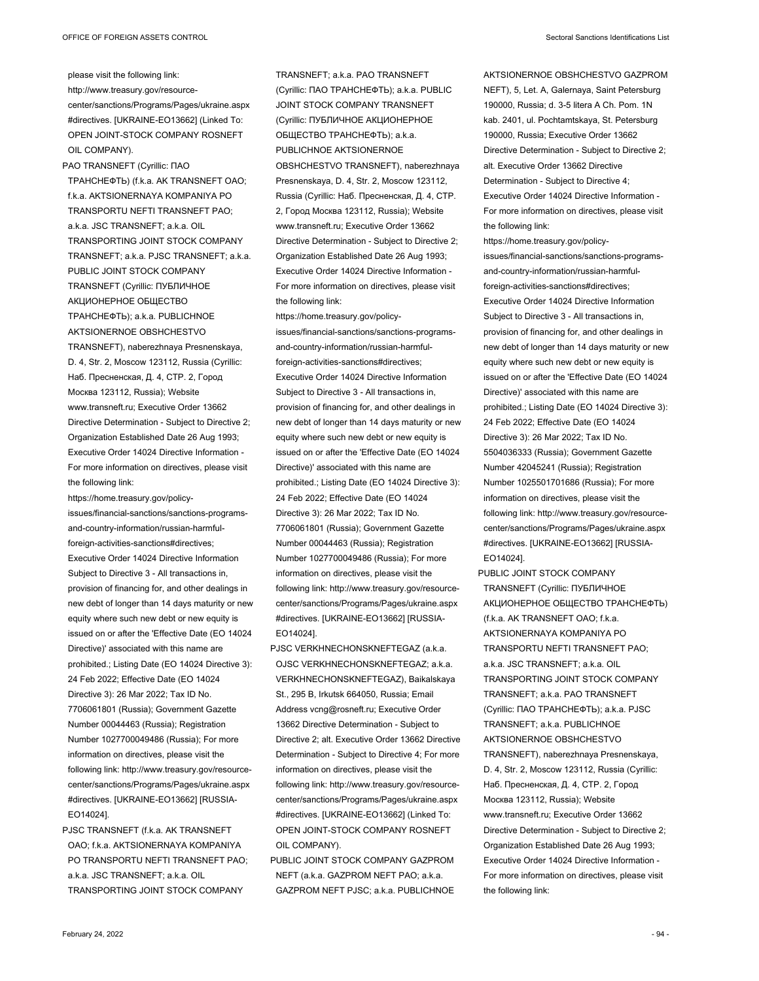please visit the following link: http://www.treasury.gov/resourcecenter/sanctions/Programs/Pages/ukraine.aspx #directives. [UKRAINE-EO13662] (Linked To: OPEN JOINT-STOCK COMPANY ROSNEFT OIL COMPANY).

PAO TRANSNEFT (Cyrillic: ПАО ТРАНСНЕФТЬ) (f.k.a. AK TRANSNEFT OAO; f.k.a. AKTSIONERNAYA KOMPANIYA PO TRANSPORTU NEFTI TRANSNEFT PAO; a.k.a. JSC TRANSNEFT; a.k.a. OIL TRANSPORTING JOINT STOCK COMPANY TRANSNEFT; a.k.a. PJSC TRANSNEFT; a.k.a. PUBLIC JOINT STOCK COMPANY TRANSNEFT (Cyrillic: ПУБЛИЧНОЕ АКЦИОНЕРНОЕ ОБЩЕСТВО ТРАНСНЕФТЬ); a.k.a. PUBLICHNOE AKTSIONERNOE OBSHCHESTVO TRANSNEFT), naberezhnaya Presnenskaya, D. 4, Str. 2, Moscow 123112, Russia (Cyrillic: Наб. Пресненская, Д. 4, СТР. 2, Город Москва 123112, Russia); Website www.transneft.ru; Executive Order 13662 Directive Determination - Subject to Directive 2; Organization Established Date 26 Aug 1993; Executive Order 14024 Directive Information - For more information on directives, please visit the following link:

https://home.treasury.gov/policyissues/financial-sanctions/sanctions-programsand-country-information/russian-harmfulforeign-activities-sanctions#directives; Executive Order 14024 Directive Information Subject to Directive 3 - All transactions in, provision of financing for, and other dealings in new debt of longer than 14 days maturity or new equity where such new debt or new equity is issued on or after the 'Effective Date (EO 14024 Directive)' associated with this name are prohibited.; Listing Date (EO 14024 Directive 3): 24 Feb 2022; Effective Date (EO 14024 Directive 3): 26 Mar 2022; Tax ID No. 7706061801 (Russia); Government Gazette Number 00044463 (Russia); Registration Number 1027700049486 (Russia); For more information on directives, please visit the following link: http://www.treasury.gov/resourcecenter/sanctions/Programs/Pages/ukraine.aspx #directives. [UKRAINE-EO13662] [RUSSIA-EO14024].

PJSC TRANSNEFT (f.k.a. AK TRANSNEFT OAO; f.k.a. AKTSIONERNAYA KOMPANIYA PO TRANSPORTU NEFTI TRANSNEFT PAO; a.k.a. JSC TRANSNEFT; a.k.a. OIL TRANSPORTING JOINT STOCK COMPANY

TRANSNEFT; a.k.a. PAO TRANSNEFT (Cyrillic: ПАО ТРАНСНЕФТЬ); a.k.a. PUBLIC JOINT STOCK COMPANY TRANSNEFT (Cyrillic: ПУБЛИЧНОЕ АКЦИОНЕРНОЕ ОБЩЕСТВО ТРАНСНЕФТЬ); a.k.a. PUBLICHNOE AKTSIONERNOE OBSHCHESTVO TRANSNEFT), naberezhnaya Presnenskaya, D. 4, Str. 2, Moscow 123112, Russia (Cyrillic: Наб. Пресненская, Д. 4, СТР. 2, Город Москва 123112, Russia); Website www.transneft.ru; Executive Order 13662 Directive Determination - Subject to Directive 2; Organization Established Date 26 Aug 1993; Executive Order 14024 Directive Information - For more information on directives, please visit the following link:

https://home.treasury.gov/policyissues/financial-sanctions/sanctions-programsand-country-information/russian-harmfulforeign-activities-sanctions#directives; Executive Order 14024 Directive Information Subject to Directive 3 - All transactions in, provision of financing for, and other dealings in new debt of longer than 14 days maturity or new equity where such new debt or new equity is issued on or after the 'Effective Date (EO 14024 Directive)' associated with this name are prohibited.; Listing Date (EO 14024 Directive 3): 24 Feb 2022; Effective Date (EO 14024 Directive 3): 26 Mar 2022; Tax ID No. 7706061801 (Russia); Government Gazette Number 00044463 (Russia); Registration Number 1027700049486 (Russia); For more information on directives, please visit the following link: http://www.treasury.gov/resourcecenter/sanctions/Programs/Pages/ukraine.aspx #directives. [UKRAINE-EO13662] [RUSSIA-EO14024].

- PJSC VERKHNECHONSKNEFTEGAZ (a.k.a. OJSC VERKHNECHONSKNEFTEGAZ; a.k.a. VERKHNECHONSKNEFTEGAZ), Baikalskaya St., 295 B, Irkutsk 664050, Russia; Email Address vcng@rosneft.ru; Executive Order 13662 Directive Determination - Subject to Directive 2; alt. Executive Order 13662 Directive Determination - Subject to Directive 4; For more information on directives, please visit the following link: http://www.treasury.gov/resourcecenter/sanctions/Programs/Pages/ukraine.aspx #directives. [UKRAINE-EO13662] (Linked To: OPEN JOINT-STOCK COMPANY ROSNEFT OIL COMPANY).
- PUBLIC JOINT STOCK COMPANY GAZPROM NEFT (a.k.a. GAZPROM NEFT PAO; a.k.a. GAZPROM NEFT PJSC; a.k.a. PUBLICHNOE

AKTSIONERNOE OBSHCHESTVO GAZPROM NEFT), 5, Let. A, Galernaya, Saint Petersburg 190000, Russia; d. 3-5 litera A Ch. Pom. 1N kab. 2401, ul. Pochtamtskaya, St. Petersburg 190000, Russia; Executive Order 13662 Directive Determination - Subject to Directive 2; alt. Executive Order 13662 Directive Determination - Subject to Directive 4; Executive Order 14024 Directive Information - For more information on directives, please visit the following link:

https://home.treasury.gov/policyissues/financial-sanctions/sanctions-programsand-country-information/russian-harmfulforeign-activities-sanctions#directives; Executive Order 14024 Directive Information Subject to Directive 3 - All transactions in, provision of financing for, and other dealings in new debt of longer than 14 days maturity or new equity where such new debt or new equity is issued on or after the 'Effective Date (EO 14024 Directive)' associated with this name are prohibited.; Listing Date (EO 14024 Directive 3): 24 Feb 2022; Effective Date (EO 14024 Directive 3): 26 Mar 2022; Tax ID No. 5504036333 (Russia); Government Gazette Number 42045241 (Russia); Registration Number 1025501701686 (Russia); For more information on directives, please visit the following link: http://www.treasury.gov/resourcecenter/sanctions/Programs/Pages/ukraine.aspx #directives. [UKRAINE-EO13662] [RUSSIA-EO14024].

PUBLIC JOINT STOCK COMPANY TRANSNEFT (Cyrillic: ПУБЛИЧНОЕ АКЦИОНЕРНОЕ ОБЩЕСТВО ТРАНСНЕФТЬ) (f.k.a. AK TRANSNEFT OAO; f.k.a. AKTSIONERNAYA KOMPANIYA PO TRANSPORTU NEFTI TRANSNEFT PAO; a.k.a. JSC TRANSNEFT; a.k.a. OIL TRANSPORTING JOINT STOCK COMPANY TRANSNEFT; a.k.a. PAO TRANSNEFT (Cyrillic: ПАО ТРАНСНЕФТЬ); a.k.a. PJSC TRANSNEFT; a.k.a. PUBLICHNOE AKTSIONERNOE OBSHCHESTVO TRANSNEFT), naberezhnaya Presnenskaya, D. 4, Str. 2, Moscow 123112, Russia (Cyrillic: Наб. Пресненская, Д. 4, СТР. 2, Город Москва 123112, Russia); Website www.transneft.ru; Executive Order 13662 Directive Determination - Subject to Directive 2; Organization Established Date 26 Aug 1993; Executive Order 14024 Directive Information - For more information on directives, please visit the following link: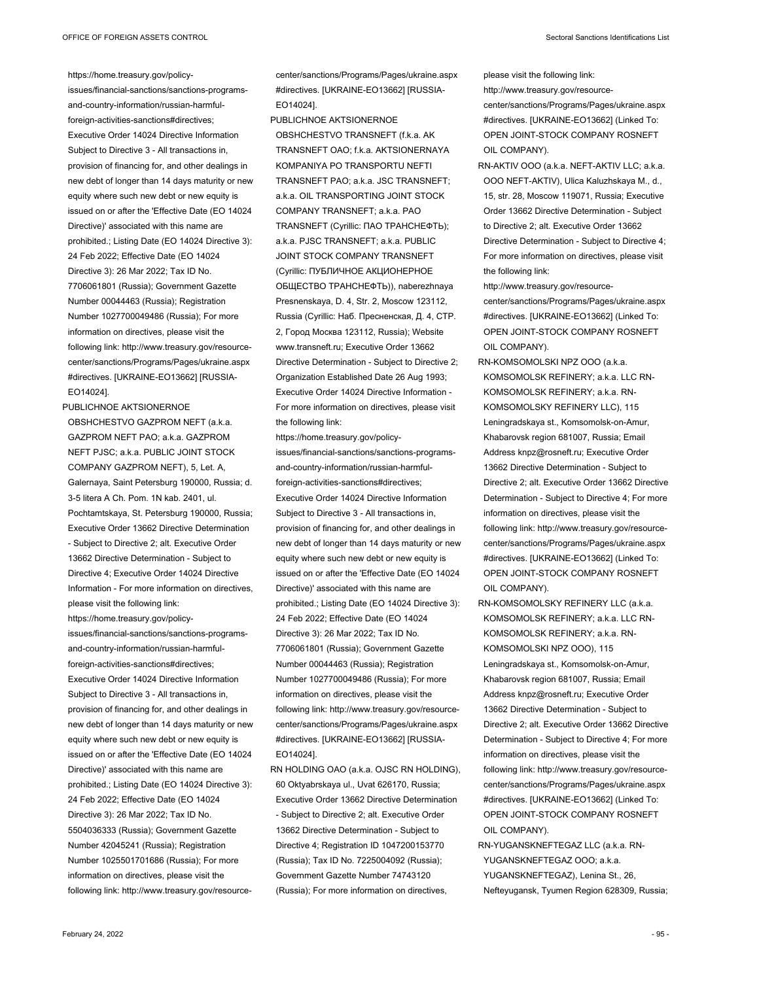https://home.treasury.gov/policy-

issues/financial-sanctions/sanctions-programsand-country-information/russian-harmfulforeign-activities-sanctions#directives; Executive Order 14024 Directive Information Subject to Directive 3 - All transactions in, provision of financing for, and other dealings in new debt of longer than 14 days maturity or new equity where such new debt or new equity is issued on or after the 'Effective Date (EO 14024 Directive)' associated with this name are prohibited.; Listing Date (EO 14024 Directive 3): 24 Feb 2022; Effective Date (EO 14024 Directive 3): 26 Mar 2022; Tax ID No. 7706061801 (Russia); Government Gazette Number 00044463 (Russia); Registration Number 1027700049486 (Russia); For more information on directives, please visit the following link: http://www.treasury.gov/resourcecenter/sanctions/Programs/Pages/ukraine.aspx #directives. [UKRAINE-EO13662] [RUSSIA-EO14024].

PUBLICHNOE AKTSIONERNOE OBSHCHESTVO GAZPROM NEFT (a.k.a. GAZPROM NEFT PAO; a.k.a. GAZPROM NEFT PJSC; a.k.a. PUBLIC JOINT STOCK COMPANY GAZPROM NEFT), 5, Let. A, Galernaya, Saint Petersburg 190000, Russia; d. 3-5 litera A Ch. Pom. 1N kab. 2401, ul. Pochtamtskaya, St. Petersburg 190000, Russia; Executive Order 13662 Directive Determination - Subject to Directive 2; alt. Executive Order 13662 Directive Determination - Subject to Directive 4; Executive Order 14024 Directive Information - For more information on directives, please visit the following link: https://home.treasury.gov/policyissues/financial-sanctions/sanctions-programsand-country-information/russian-harmfulforeign-activities-sanctions#directives; Executive Order 14024 Directive Information Subject to Directive 3 - All transactions in, provision of financing for, and other dealings in new debt of longer than 14 days maturity or new equity where such new debt or new equity is issued on or after the 'Effective Date (EO 14024 Directive)' associated with this name are prohibited.; Listing Date (EO 14024 Directive 3): 24 Feb 2022; Effective Date (EO 14024 Directive 3): 26 Mar 2022; Tax ID No. 5504036333 (Russia); Government Gazette Number 42045241 (Russia); Registration Number 1025501701686 (Russia); For more information on directives, please visit the following link: http://www.treasury.gov/resourceEO14024].

KOMPANIYA PO TRANSPORTU NEFTI TRANSNEFT PAO; a.k.a. JSC TRANSNEFT; a.k.a. OIL TRANSPORTING JOINT STOCK COMPANY TRANSNEFT; a.k.a. PAO TRANSNEFT (Cyrillic: ПАО ТРАНСНЕФТЬ); a.k.a. PJSC TRANSNEFT; a.k.a. PUBLIC JOINT STOCK COMPANY TRANSNEFT (Cyrillic: ПУБЛИЧНОЕ АКЦИОНЕРНОЕ ОБЩЕСТВО ТРАНСНЕФТЬ)), naberezhnaya Presnenskaya, D. 4, Str. 2, Moscow 123112, Russia (Cyrillic: Наб. Пресненская, Д. 4, СТР. 2, Город Москва 123112, Russia); Website www.transneft.ru; Executive Order 13662 Directive Determination - Subject to Directive 2; Organization Established Date 26 Aug 1993; Executive Order 14024 Directive Information - For more information on directives, please visit the following link:

center/sanctions/Programs/Pages/ukraine.aspx #directives. [UKRAINE-EO13662] [RUSSIA-

PUBLICHNOE AKTSIONERNOE

https://home.treasury.gov/policyissues/financial-sanctions/sanctions-programsand-country-information/russian-harmfulforeign-activities-sanctions#directives; Executive Order 14024 Directive Information Subject to Directive 3 - All transactions in, provision of financing for, and other dealings in new debt of longer than 14 days maturity or new equity where such new debt or new equity is issued on or after the 'Effective Date (EO 14024 Directive)' associated with this name are prohibited.; Listing Date (EO 14024 Directive 3): 24 Feb 2022; Effective Date (EO 14024 Directive 3): 26 Mar 2022; Tax ID No. 7706061801 (Russia); Government Gazette Number 00044463 (Russia); Registration Number 1027700049486 (Russia); For more information on directives, please visit the following link: http://www.treasury.gov/resourcecenter/sanctions/Programs/Pages/ukraine.aspx #directives. [UKRAINE-EO13662] [RUSSIA-EO14024].

RN HOLDING OAO (a.k.a. OJSC RN HOLDING), 60 Oktyabrskaya ul., Uvat 626170, Russia; Executive Order 13662 Directive Determination - Subject to Directive 2; alt. Executive Order 13662 Directive Determination - Subject to Directive 4; Registration ID 1047200153770 (Russia); Tax ID No. 7225004092 (Russia); Government Gazette Number 74743120 (Russia); For more information on directives,

please visit the following link: http://www.treasury.gov/resourcecenter/sanctions/Programs/Pages/ukraine.aspx #directives. [UKRAINE-EO13662] (Linked To: OPEN JOINT-STOCK COMPANY ROSNEFT OIL COMPANY).

RN-AKTIV OOO (a.k.a. NEFT-AKTIV LLC; a.k.a. OOO NEFT-AKTIV), Ulica Kaluzhskaya M., d., 15, str. 28, Moscow 119071, Russia; Executive Order 13662 Directive Determination - Subject to Directive 2; alt. Executive Order 13662 Directive Determination - Subject to Directive 4; For more information on directives, please visit the following link:

http://www.treasury.gov/resourcecenter/sanctions/Programs/Pages/ukraine.aspx #directives. [UKRAINE-EO13662] (Linked To: OPEN JOINT-STOCK COMPANY ROSNEFT OIL COMPANY).

- RN-KOMSOMOLSKI NPZ OOO (a.k.a. KOMSOMOLSK REFINERY; a.k.a. LLC RN-KOMSOMOLSK REFINERY; a.k.a. RN-KOMSOMOLSKY REFINERY LLC), 115 Leningradskaya st., Komsomolsk-on-Amur, Khabarovsk region 681007, Russia; Email Address knpz@rosneft.ru; Executive Order 13662 Directive Determination - Subject to Directive 2; alt. Executive Order 13662 Directive Determination - Subject to Directive 4; For more information on directives, please visit the following link: http://www.treasury.gov/resourcecenter/sanctions/Programs/Pages/ukraine.aspx #directives. [UKRAINE-EO13662] (Linked To: OPEN JOINT-STOCK COMPANY ROSNEFT OIL COMPANY).
- RN-KOMSOMOLSKY REFINERY LLC (a.k.a. KOMSOMOLSK REFINERY; a.k.a. LLC RN-KOMSOMOLSK REFINERY; a.k.a. RN-KOMSOMOLSKI NPZ OOO), 115 Leningradskaya st., Komsomolsk-on-Amur, Khabarovsk region 681007, Russia; Email Address knpz@rosneft.ru; Executive Order 13662 Directive Determination - Subject to Directive 2; alt. Executive Order 13662 Directive Determination - Subject to Directive 4; For more information on directives, please visit the following link: http://www.treasury.gov/resourcecenter/sanctions/Programs/Pages/ukraine.aspx #directives. [UKRAINE-EO13662] (Linked To: OPEN JOINT-STOCK COMPANY ROSNEFT OIL COMPANY).
- RN-YUGANSKNEFTEGAZ LLC (a.k.a. RN-YUGANSKNEFTEGAZ OOO; a.k.a. YUGANSKNEFTEGAZ), Lenina St., 26, Nefteyugansk, Tyumen Region 628309, Russia;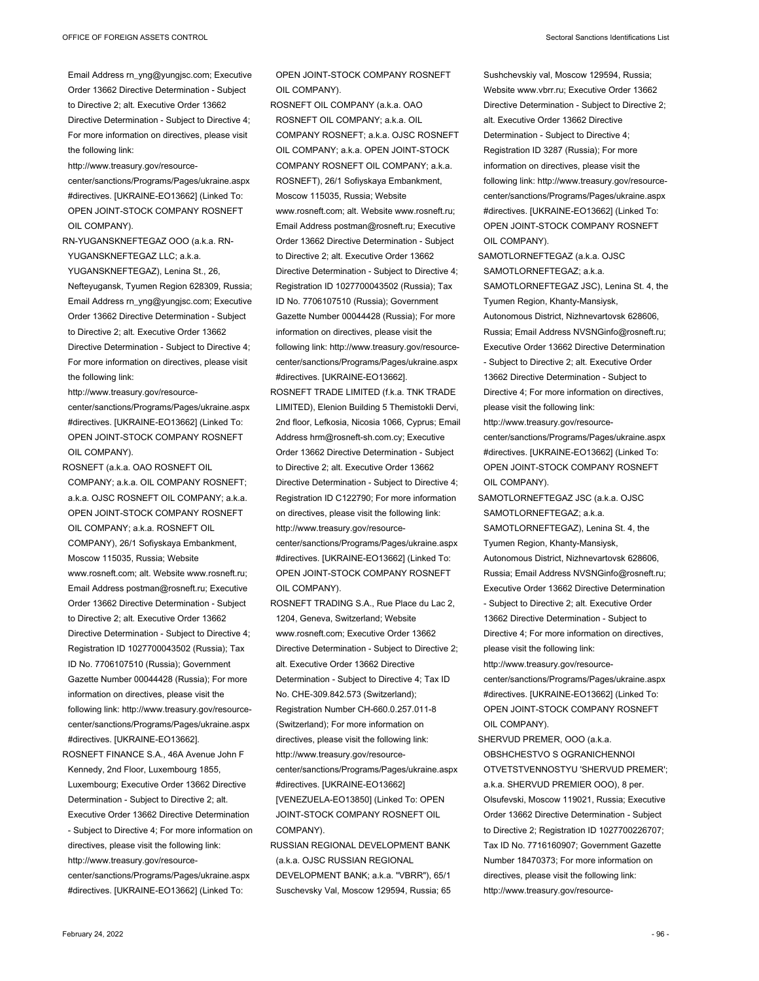Email Address rn\_yng@yungjsc.com; Executive Order 13662 Directive Determination - Subject to Directive 2; alt. Executive Order 13662 Directive Determination - Subject to Directive 4; For more information on directives, please visit the following link:

http://www.treasury.gov/resource-

center/sanctions/Programs/Pages/ukraine.aspx #directives. [UKRAINE-EO13662] (Linked To: OPEN JOINT-STOCK COMPANY ROSNEFT OIL COMPANY).

RN-YUGANSKNEFTEGAZ OOO (a.k.a. RN-YUGANSKNEFTEGAZ LLC; a.k.a.

YUGANSKNEFTEGAZ), Lenina St., 26, Nefteyugansk, Tyumen Region 628309, Russia; Email Address rn\_yng@yungjsc.com; Executive Order 13662 Directive Determination - Subject to Directive 2; alt. Executive Order 13662 Directive Determination - Subject to Directive 4; For more information on directives, please visit the following link:

http://www.treasury.gov/resourcecenter/sanctions/Programs/Pages/ukraine.aspx #directives. [UKRAINE-EO13662] (Linked To: OPEN JOINT-STOCK COMPANY ROSNEFT OIL COMPANY).

ROSNEFT (a.k.a. OAO ROSNEFT OIL COMPANY; a.k.a. OIL COMPANY ROSNEFT; a.k.a. OJSC ROSNEFT OIL COMPANY; a.k.a. OPEN JOINT-STOCK COMPANY ROSNEFT OIL COMPANY; a.k.a. ROSNEFT OIL COMPANY), 26/1 Sofiyskaya Embankment, Moscow 115035, Russia; Website www.rosneft.com; alt. Website www.rosneft.ru; Email Address postman@rosneft.ru; Executive Order 13662 Directive Determination - Subject to Directive 2; alt. Executive Order 13662 Directive Determination - Subject to Directive 4; Registration ID 1027700043502 (Russia); Tax ID No. 7706107510 (Russia); Government Gazette Number 00044428 (Russia); For more information on directives, please visit the following link: http://www.treasury.gov/resourcecenter/sanctions/Programs/Pages/ukraine.aspx #directives. [UKRAINE-EO13662].

ROSNEFT FINANCE S.A., 46A Avenue John F Kennedy, 2nd Floor, Luxembourg 1855, Luxembourg; Executive Order 13662 Directive Determination - Subject to Directive 2; alt. Executive Order 13662 Directive Determination - Subject to Directive 4; For more information on directives, please visit the following link: http://www.treasury.gov/resourcecenter/sanctions/Programs/Pages/ukraine.aspx #directives. [UKRAINE-EO13662] (Linked To:

OPEN JOINT-STOCK COMPANY ROSNEFT OIL COMPANY).

ROSNEFT OIL COMPANY (a.k.a. OAO ROSNEFT OIL COMPANY; a.k.a. OIL COMPANY ROSNEFT; a.k.a. OJSC ROSNEFT OIL COMPANY; a.k.a. OPEN JOINT-STOCK COMPANY ROSNEFT OIL COMPANY; a.k.a. ROSNEFT), 26/1 Sofiyskaya Embankment, Moscow 115035, Russia; Website www.rosneft.com; alt. Website www.rosneft.ru; Email Address postman@rosneft.ru; Executive Order 13662 Directive Determination - Subject to Directive 2; alt. Executive Order 13662 Directive Determination - Subject to Directive 4; Registration ID 1027700043502 (Russia); Tax ID No. 7706107510 (Russia); Government Gazette Number 00044428 (Russia); For more information on directives, please visit the following link: http://www.treasury.gov/resourcecenter/sanctions/Programs/Pages/ukraine.aspx #directives. [UKRAINE-EO13662].

- ROSNEFT TRADE LIMITED (f.k.a. TNK TRADE LIMITED), Elenion Building 5 Themistokli Dervi, 2nd floor, Lefkosia, Nicosia 1066, Cyprus; Email Address hrm@rosneft-sh.com.cy; Executive Order 13662 Directive Determination - Subject to Directive 2; alt. Executive Order 13662 Directive Determination - Subject to Directive 4; Registration ID C122790; For more information on directives, please visit the following link: http://www.treasury.gov/resourcecenter/sanctions/Programs/Pages/ukraine.aspx #directives. [UKRAINE-EO13662] (Linked To: OPEN JOINT-STOCK COMPANY ROSNEFT OIL COMPANY).
- ROSNEFT TRADING S.A., Rue Place du Lac 2, 1204, Geneva, Switzerland; Website www.rosneft.com; Executive Order 13662 Directive Determination - Subject to Directive 2; alt. Executive Order 13662 Directive Determination - Subject to Directive 4; Tax ID No. CHE-309.842.573 (Switzerland); Registration Number CH-660.0.257.011-8 (Switzerland); For more information on directives, please visit the following link: http://www.treasury.gov/resourcecenter/sanctions/Programs/Pages/ukraine.aspx #directives. [UKRAINE-EO13662] [VENEZUELA-EO13850] (Linked To: OPEN JOINT-STOCK COMPANY ROSNEFT OIL COMPANY).
- RUSSIAN REGIONAL DEVELOPMENT BANK (a.k.a. OJSC RUSSIAN REGIONAL

DEVELOPMENT BANK; a.k.a. "VBRR"), 65/1 Suschevsky Val, Moscow 129594, Russia; 65 Sushchevskiy val, Moscow 129594, Russia; Website www.vbrr.ru; Executive Order 13662 Directive Determination - Subject to Directive 2; alt. Executive Order 13662 Directive Determination - Subject to Directive 4; Registration ID 3287 (Russia); For more information on directives, please visit the following link: http://www.treasury.gov/resourcecenter/sanctions/Programs/Pages/ukraine.aspx #directives. [UKRAINE-EO13662] (Linked To: OPEN JOINT-STOCK COMPANY ROSNEFT OIL COMPANY).

SAMOTLORNEFTEGAZ (a.k.a. OJSC SAMOTLORNEFTEGAZ; a.k.a. SAMOTLORNEFTEGAZ JSC), Lenina St. 4, the Tyumen Region, Khanty-Mansiysk, Autonomous District, Nizhnevartovsk 628606, Russia; Email Address NVSNGinfo@rosneft.ru; Executive Order 13662 Directive Determination - Subject to Directive 2; alt. Executive Order 13662 Directive Determination - Subject to Directive 4; For more information on directives, please visit the following link: http://www.treasury.gov/resourcecenter/sanctions/Programs/Pages/ukraine.aspx #directives. [UKRAINE-EO13662] (Linked To: OPEN JOINT-STOCK COMPANY ROSNEFT OIL COMPANY). SAMOTLORNEFTEGAZ JSC (a.k.a. OJSC SAMOTLORNEFTEGAZ; a.k.a. SAMOTLORNEFTEGAZ), Lenina St. 4, the Tyumen Region, Khanty-Mansiysk, Autonomous District, Nizhnevartovsk 628606, Russia; Email Address NVSNGinfo@rosneft.ru; Executive Order 13662 Directive Determination - Subject to Directive 2; alt. Executive Order 13662 Directive Determination - Subject to Directive 4; For more information on directives, please visit the following link: http://www.treasury.gov/resourcecenter/sanctions/Programs/Pages/ukraine.aspx #directives. [UKRAINE-EO13662] (Linked To:

OPEN JOINT-STOCK COMPANY ROSNEFT OIL COMPANY).

SHERVUD PREMER, OOO (a.k.a. OBSHCHESTVO S OGRANICHENNOI OTVETSTVENNOSTYU 'SHERVUD PREMER'; a.k.a. SHERVUD PREMIER OOO), 8 per. Olsufevski, Moscow 119021, Russia; Executive Order 13662 Directive Determination - Subject to Directive 2; Registration ID 1027700226707; Tax ID No. 7716160907; Government Gazette Number 18470373; For more information on directives, please visit the following link: http://www.treasury.gov/resource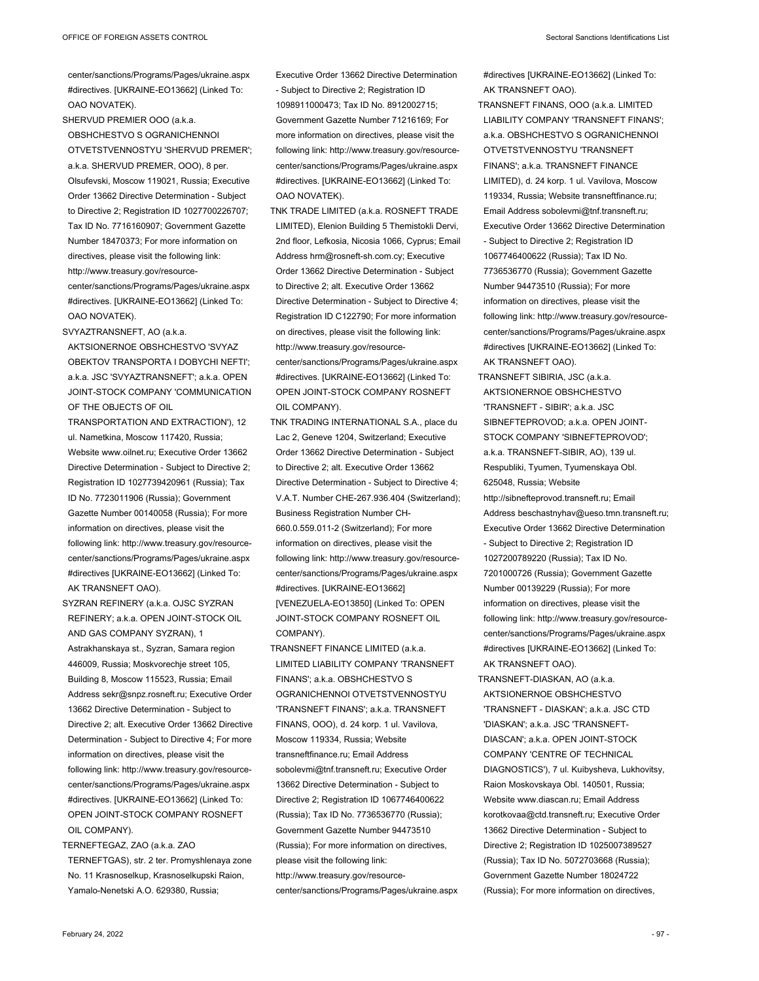center/sanctions/Programs/Pages/ukraine.aspx #directives. [UKRAINE-EO13662] (Linked To: OAO NOVATEK).

SHERVUD PREMIER OOO (a.k.a. OBSHCHESTVO S OGRANICHENNOI OTVETSTVENNOSTYU 'SHERVUD PREMER'; a.k.a. SHERVUD PREMER, OOO), 8 per. Olsufevski, Moscow 119021, Russia; Executive Order 13662 Directive Determination - Subject to Directive 2; Registration ID 1027700226707; Tax ID No. 7716160907; Government Gazette Number 18470373; For more information on directives, please visit the following link: http://www.treasury.gov/resourcecenter/sanctions/Programs/Pages/ukraine.aspx #directives. [UKRAINE-EO13662] (Linked To: OAO NOVATEK).

SVYAZTRANSNEFT, AO (a.k.a.

AKTSIONERNOE OBSHCHESTVO 'SVYAZ OBEKTOV TRANSPORTA I DOBYCHI NEFTI'; a.k.a. JSC 'SVYAZTRANSNEFT'; a.k.a. OPEN JOINT-STOCK COMPANY 'COMMUNICATION OF THE OBJECTS OF OIL TRANSPORTATION AND EXTRACTION'), 12

ul. Nametkina, Moscow 117420, Russia; Website www.oilnet.ru; Executive Order 13662 Directive Determination - Subject to Directive 2; Registration ID 1027739420961 (Russia); Tax ID No. 7723011906 (Russia); Government Gazette Number 00140058 (Russia); For more information on directives, please visit the following link: http://www.treasury.gov/resourcecenter/sanctions/Programs/Pages/ukraine.aspx #directives [UKRAINE-EO13662] (Linked To: AK TRANSNEFT OAO).

SYZRAN REFINERY (a.k.a. OJSC SYZRAN REFINERY; a.k.a. OPEN JOINT-STOCK OIL AND GAS COMPANY SYZRAN), 1 Astrakhanskaya st., Syzran, Samara region 446009, Russia; Moskvorechje street 105, Building 8, Moscow 115523, Russia; Email Address sekr@snpz.rosneft.ru; Executive Order 13662 Directive Determination - Subject to Directive 2; alt. Executive Order 13662 Directive Determination - Subject to Directive 4; For more information on directives, please visit the following link: http://www.treasury.gov/resourcecenter/sanctions/Programs/Pages/ukraine.aspx #directives. [UKRAINE-EO13662] (Linked To: OPEN JOINT-STOCK COMPANY ROSNEFT OIL COMPANY).

TERNEFTEGAZ, ZAO (a.k.a. ZAO TERNEFTGAS), str. 2 ter. Promyshlenaya zone No. 11 Krasnoselkup, Krasnoselkupski Raion, Yamalo-Nenetski A.O. 629380, Russia;

Executive Order 13662 Directive Determination - Subject to Directive 2; Registration ID 1098911000473; Tax ID No. 8912002715; Government Gazette Number 71216169; For more information on directives, please visit the following link: http://www.treasury.gov/resourcecenter/sanctions/Programs/Pages/ukraine.aspx #directives. [UKRAINE-EO13662] (Linked To: OAO NOVATEK).

- TNK TRADE LIMITED (a.k.a. ROSNEFT TRADE LIMITED), Elenion Building 5 Themistokli Dervi, 2nd floor, Lefkosia, Nicosia 1066, Cyprus; Email Address hrm@rosneft-sh.com.cy; Executive Order 13662 Directive Determination - Subject to Directive 2; alt. Executive Order 13662 Directive Determination - Subject to Directive 4; Registration ID C122790; For more information on directives, please visit the following link: http://www.treasury.gov/resourcecenter/sanctions/Programs/Pages/ukraine.aspx #directives. [UKRAINE-EO13662] (Linked To: OPEN JOINT-STOCK COMPANY ROSNEFT OIL COMPANY).
- TNK TRADING INTERNATIONAL S.A., place du Lac 2, Geneve 1204, Switzerland; Executive Order 13662 Directive Determination - Subject to Directive 2; alt. Executive Order 13662 Directive Determination - Subject to Directive 4; V.A.T. Number CHE-267.936.404 (Switzerland); Business Registration Number CH-660.0.559.011-2 (Switzerland); For more information on directives, please visit the following link: http://www.treasury.gov/resourcecenter/sanctions/Programs/Pages/ukraine.aspx #directives. [UKRAINE-EO13662] [VENEZUELA-EO13850] (Linked To: OPEN JOINT-STOCK COMPANY ROSNEFT OIL COMPANY).

TRANSNEFT FINANCE LIMITED (a.k.a. LIMITED LIABILITY COMPANY 'TRANSNEFT FINANS'; a.k.a. OBSHCHESTVO S OGRANICHENNOI OTVETSTVENNOSTYU 'TRANSNEFT FINANS'; a.k.a. TRANSNEFT FINANS, OOO), d. 24 korp. 1 ul. Vavilova, Moscow 119334, Russia; Website transneftfinance.ru; Email Address sobolevmi@tnf.transneft.ru; Executive Order 13662 Directive Determination - Subject to Directive 2; Registration ID 1067746400622 (Russia); Tax ID No. 7736536770 (Russia); Government Gazette Number 94473510 (Russia); For more information on directives, please visit the following link: http://www.treasury.gov/resourcecenter/sanctions/Programs/Pages/ukraine.aspx #directives [UKRAINE-EO13662] (Linked To: AK TRANSNEFT OAO).

- TRANSNEFT FINANS, OOO (a.k.a. LIMITED LIABILITY COMPANY 'TRANSNEFT FINANS'; a.k.a. OBSHCHESTVO S OGRANICHENNOI OTVETSTVENNOSTYU 'TRANSNEFT FINANS'; a.k.a. TRANSNEFT FINANCE LIMITED), d. 24 korp. 1 ul. Vavilova, Moscow 119334, Russia; Website transneftfinance.ru; Email Address sobolevmi@tnf.transneft.ru; Executive Order 13662 Directive Determination - Subject to Directive 2; Registration ID 1067746400622 (Russia); Tax ID No. 7736536770 (Russia); Government Gazette Number 94473510 (Russia); For more information on directives, please visit the following link: http://www.treasury.gov/resourcecenter/sanctions/Programs/Pages/ukraine.aspx #directives [UKRAINE-EO13662] (Linked To: AK TRANSNEFT OAO).
- TRANSNEFT SIBIRIA, JSC (a.k.a. AKTSIONERNOE OBSHCHESTVO 'TRANSNEFT - SIBIR'; a.k.a. JSC SIBNEFTEPROVOD; a.k.a. OPEN JOINT-STOCK COMPANY 'SIBNEFTEPROVOD'; a.k.a. TRANSNEFT-SIBIR, AO), 139 ul. Respubliki, Tyumen, Tyumenskaya Obl. 625048, Russia; Website http://sibnefteprovod.transneft.ru; Email Address beschastnyhav@ueso.tmn.transneft.ru; Executive Order 13662 Directive Determination - Subject to Directive 2; Registration ID 1027200789220 (Russia); Tax ID No. 7201000726 (Russia); Government Gazette Number 00139229 (Russia); For more information on directives, please visit the following link: http://www.treasury.gov/resourcecenter/sanctions/Programs/Pages/ukraine.aspx #directives [UKRAINE-EO13662] (Linked To: AK TRANSNEFT OAO).

TRANSNEFT-DIASKAN, AO (a.k.a. AKTSIONERNOE OBSHCHESTVO 'TRANSNEFT - DIASKAN'; a.k.a. JSC CTD 'DIASKAN'; a.k.a. JSC 'TRANSNEFT-DIASCAN'; a.k.a. OPEN JOINT-STOCK COMPANY 'CENTRE OF TECHNICAL DIAGNOSTICS'), 7 ul. Kuibysheva, Lukhovitsy, Raion Moskovskaya Obl. 140501, Russia; Website www.diascan.ru; Email Address korotkovaa@ctd.transneft.ru; Executive Order 13662 Directive Determination - Subject to Directive 2; Registration ID 1025007389527 (Russia); Tax ID No. 5072703668 (Russia); Government Gazette Number 18024722 (Russia); For more information on directives,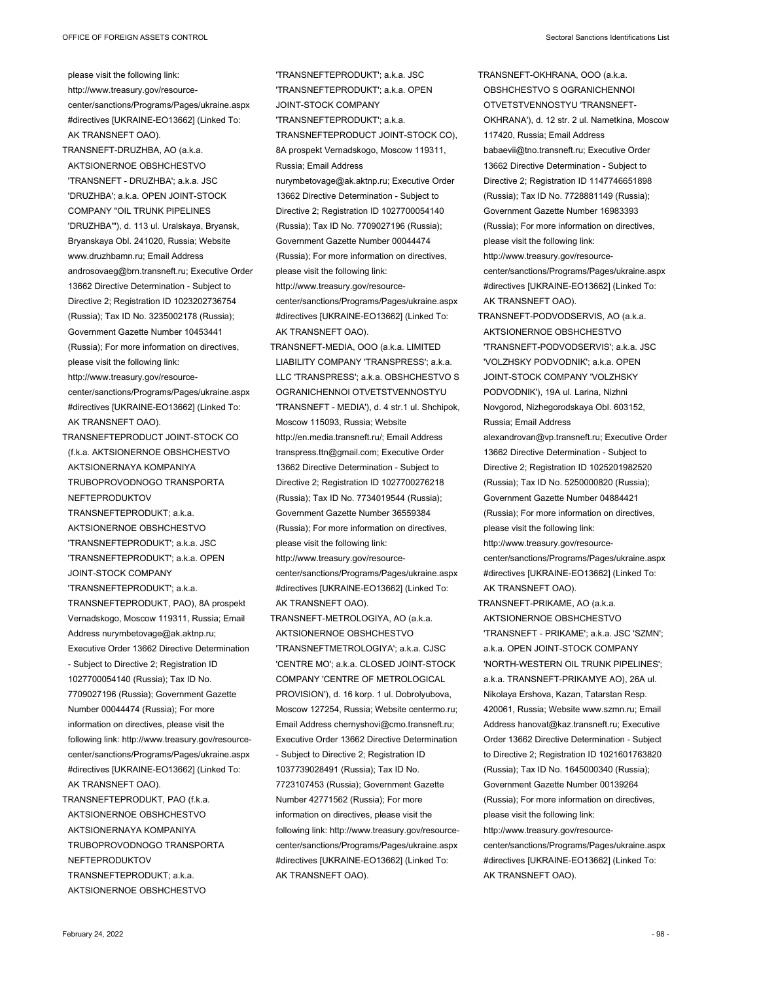please visit the following link: http://www.treasury.gov/resourcecenter/sanctions/Programs/Pages/ukraine.aspx #directives [UKRAINE-EO13662] (Linked To: AK TRANSNEFT OAO). TRANSNEFT-DRUZHBA, AO (a.k.a. AKTSIONERNOE OBSHCHESTVO 'TRANSNEFT - DRUZHBA'; a.k.a. JSC 'DRUZHBA'; a.k.a. OPEN JOINT-STOCK COMPANY "OIL TRUNK PIPELINES 'DRUZHBA'"), d. 113 ul. Uralskaya, Bryansk, Bryanskaya Obl. 241020, Russia; Website www.druzhbamn.ru; Email Address androsovaeg@brn.transneft.ru; Executive Order 13662 Directive Determination - Subject to Directive 2; Registration ID 1023202736754 (Russia); Tax ID No. 3235002178 (Russia); Government Gazette Number 10453441 (Russia); For more information on directives, please visit the following link: http://www.treasury.gov/resourcecenter/sanctions/Programs/Pages/ukraine.aspx #directives [UKRAINE-EO13662] (Linked To: AK TRANSNEFT OAO). TRANSNEFTEPRODUCT JOINT-STOCK CO (f.k.a. AKTSIONERNOE OBSHCHESTVO AKTSIONERNAYA KOMPANIYA TRUBOPROVODNOGO TRANSPORTA NEFTEPRODUKTOV TRANSNEFTEPRODUKT; a.k.a. AKTSIONERNOE OBSHCHESTVO 'TRANSNEFTEPRODUKT'; a.k.a. JSC 'TRANSNEFTEPRODUKT'; a.k.a. OPEN JOINT-STOCK COMPANY 'TRANSNEFTEPRODUKT'; a.k.a. TRANSNEFTEPRODUKT, PAO), 8A prospekt Vernadskogo, Moscow 119311, Russia; Email Address nurymbetovage@ak.aktnp.ru; Executive Order 13662 Directive Determination - Subject to Directive 2; Registration ID 1027700054140 (Russia); Tax ID No.

7709027196 (Russia); Government Gazette Number 00044474 (Russia); For more information on directives, please visit the following link: http://www.treasury.gov/resourcecenter/sanctions/Programs/Pages/ukraine.aspx #directives [UKRAINE-EO13662] (Linked To: AK TRANSNEFT OAO).

TRANSNEFTEPRODUKT, PAO (f.k.a. AKTSIONERNOE OBSHCHESTVO AKTSIONERNAYA KOMPANIYA TRUBOPROVODNOGO TRANSPORTA NEFTEPRODUKTOV TRANSNEFTEPRODUKT; a.k.a. AKTSIONERNOE OBSHCHESTVO

Russia; Email Address nurymbetovage@ak.aktnp.ru; Executive Order 13662 Directive Determination - Subject to Directive 2; Registration ID 1027700054140 (Russia); Tax ID No. 7709027196 (Russia); Government Gazette Number 00044474 (Russia); For more information on directives, please visit the following link: http://www.treasury.gov/resourcecenter/sanctions/Programs/Pages/ukraine.aspx #directives [UKRAINE-EO13662] (Linked To: AK TRANSNEFT OAO). TRANSNEFT-MEDIA, OOO (a.k.a. LIMITED LIABILITY COMPANY 'TRANSPRESS'; a.k.a. LLC 'TRANSPRESS'; a.k.a. OBSHCHESTVO S OGRANICHENNOI OTVETSTVENNOSTYU 'TRANSNEFT - MEDIA'), d. 4 str.1 ul. Shchipok, Moscow 115093, Russia; Website http://en.media.transneft.ru/; Email Address transpress.ttn@gmail.com; Executive Order 13662 Directive Determination - Subject to Directive 2; Registration ID 1027700276218 (Russia); Tax ID No. 7734019544 (Russia); Government Gazette Number 36559384 (Russia); For more information on directives, please visit the following link: http://www.treasury.gov/resourcecenter/sanctions/Programs/Pages/ukraine.aspx #directives [UKRAINE-EO13662] (Linked To: AK TRANSNEFT OAO). TRANSNEFT-METROLOGIYA, AO (a.k.a. AKTSIONERNOE OBSHCHESTVO 'TRANSNEFTMETROLOGIYA'; a.k.a. CJSC 'CENTRE MO'; a.k.a. CLOSED JOINT-STOCK COMPANY 'CENTRE OF METROLOGICAL PROVISION'), d. 16 korp. 1 ul. Dobrolyubova, Moscow 127254, Russia; Website centermo.ru; Email Address chernyshovi@cmo.transneft.ru; Executive Order 13662 Directive Determination - Subject to Directive 2; Registration ID 1037739028491 (Russia); Tax ID No. 7723107453 (Russia); Government Gazette Number 42771562 (Russia); For more information on directives, please visit the following link: http://www.treasury.gov/resourcecenter/sanctions/Programs/Pages/ukraine.aspx #directives [UKRAINE-EO13662] (Linked To: AK TRANSNEFT OAO).

'TRANSNEFTEPRODUKT'; a.k.a. JSC 'TRANSNEFTEPRODUKT'; a.k.a. OPEN

TRANSNEFTEPRODUCT JOINT-STOCK CO), 8A prospekt Vernadskogo, Moscow 119311,

JOINT-STOCK COMPANY 'TRANSNEFTEPRODUKT'; a.k.a. TRANSNEFT-OKHRANA, OOO (a.k.a. OBSHCHESTVO S OGRANICHENNOI OTVETSTVENNOSTYU 'TRANSNEFT-OKHRANA'), d. 12 str. 2 ul. Nametkina, Moscow 117420, Russia; Email Address babaevii@tno.transneft.ru; Executive Order 13662 Directive Determination - Subject to Directive 2; Registration ID 1147746651898 (Russia); Tax ID No. 7728881149 (Russia); Government Gazette Number 16983393 (Russia); For more information on directives, please visit the following link: http://www.treasury.gov/resourcecenter/sanctions/Programs/Pages/ukraine.aspx #directives [UKRAINE-EO13662] (Linked To: AK TRANSNEFT OAO). TRANSNEFT-PODVODSERVIS, AO (a.k.a. AKTSIONERNOE OBSHCHESTVO

'TRANSNEFT-PODVODSERVIS'; a.k.a. JSC 'VOLZHSKY PODVODNIK'; a.k.a. OPEN JOINT-STOCK COMPANY 'VOLZHSKY PODVODNIK'), 19A ul. Larina, Nizhni Novgorod, Nizhegorodskaya Obl. 603152, Russia; Email Address

alexandrovan@vp.transneft.ru; Executive Order 13662 Directive Determination - Subject to Directive 2; Registration ID 1025201982520 (Russia); Tax ID No. 5250000820 (Russia); Government Gazette Number 04884421 (Russia); For more information on directives, please visit the following link:

http://www.treasury.gov/resourcecenter/sanctions/Programs/Pages/ukraine.aspx #directives [UKRAINE-EO13662] (Linked To: AK TRANSNEFT OAO).

- TRANSNEFT-PRIKAME, AO (a.k.a. AKTSIONERNOE OBSHCHESTVO 'TRANSNEFT - PRIKAME'; a.k.a. JSC 'SZMN'; a.k.a. OPEN JOINT-STOCK COMPANY 'NORTH-WESTERN OIL TRUNK PIPELINES'; a.k.a. TRANSNEFT-PRIKAMYE AO), 26A ul. Nikolaya Ershova, Kazan, Tatarstan Resp. 420061, Russia; Website www.szmn.ru; Email Address hanovat@kaz.transneft.ru; Executive Order 13662 Directive Determination - Subject to Directive 2; Registration ID 1021601763820 (Russia); Tax ID No. 1645000340 (Russia); Government Gazette Number 00139264 (Russia); For more information on directives, please visit the following link: http://www.treasury.gov/resourcecenter/sanctions/Programs/Pages/ukraine.aspx
- #directives [UKRAINE-EO13662] (Linked To: AK TRANSNEFT OAO).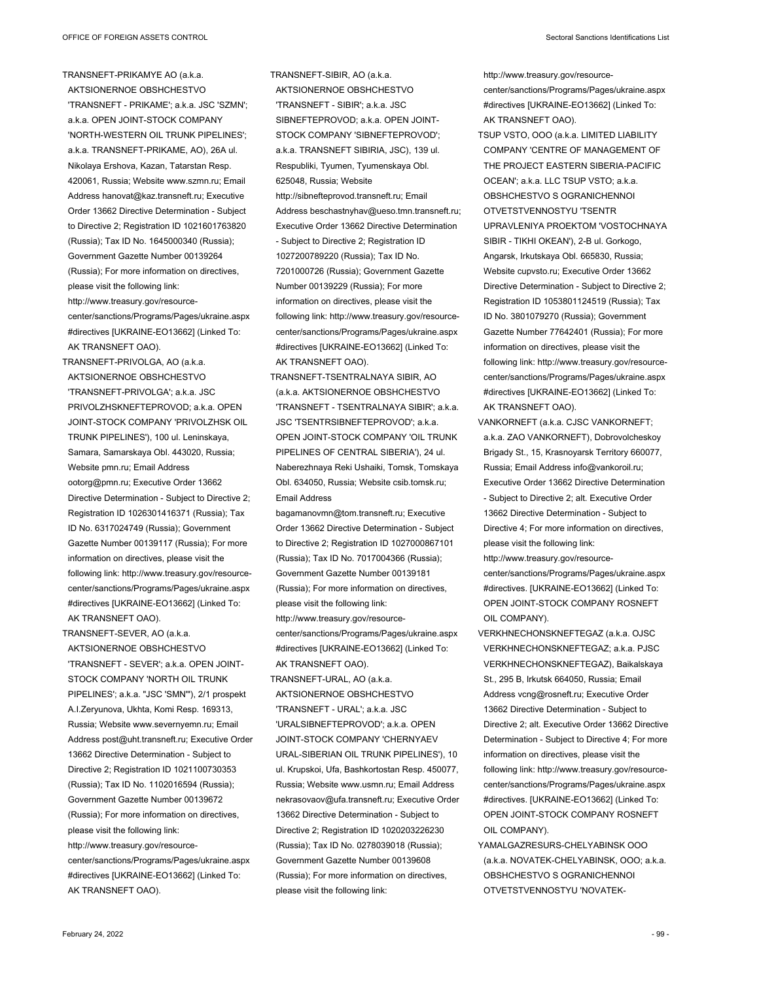TRANSNEFT-PRIKAMYE AO (a.k.a. AKTSIONERNOE OBSHCHESTVO 'TRANSNEFT - PRIKAME'; a.k.a. JSC 'SZMN'; a.k.a. OPEN JOINT-STOCK COMPANY 'NORTH-WESTERN OIL TRUNK PIPELINES'; a.k.a. TRANSNEFT-PRIKAME, AO), 26A ul. Nikolaya Ershova, Kazan, Tatarstan Resp. 420061, Russia; Website www.szmn.ru; Email Address hanovat@kaz.transneft.ru; Executive Order 13662 Directive Determination - Subject to Directive 2; Registration ID 1021601763820 (Russia); Tax ID No. 1645000340 (Russia); Government Gazette Number 00139264 (Russia); For more information on directives, please visit the following link: http://www.treasury.gov/resourcecenter/sanctions/Programs/Pages/ukraine.aspx #directives [UKRAINE-EO13662] (Linked To: AK TRANSNEFT OAO).

TRANSNEFT-PRIVOLGA, AO (a.k.a. AKTSIONERNOE OBSHCHESTVO 'TRANSNEFT-PRIVOLGA'; a.k.a. JSC PRIVOLZHSKNEFTEPROVOD; a.k.a. OPEN JOINT-STOCK COMPANY 'PRIVOLZHSK OIL TRUNK PIPELINES'), 100 ul. Leninskaya, Samara, Samarskaya Obl. 443020, Russia; Website pmn.ru; Email Address ootorg@pmn.ru; Executive Order 13662 Directive Determination - Subject to Directive 2; Registration ID 1026301416371 (Russia); Tax ID No. 6317024749 (Russia); Government Gazette Number 00139117 (Russia); For more information on directives, please visit the following link: http://www.treasury.gov/resourcecenter/sanctions/Programs/Pages/ukraine.aspx #directives [UKRAINE-EO13662] (Linked To: AK TRANSNEFT OAO).

TRANSNEFT-SEVER, AO (a.k.a. AKTSIONERNOE OBSHCHESTVO 'TRANSNEFT - SEVER'; a.k.a. OPEN JOINT-STOCK COMPANY 'NORTH OIL TRUNK PIPELINES'; a.k.a. "JSC 'SMN'"), 2/1 prospekt A.I.Zeryunova, Ukhta, Komi Resp. 169313, Russia; Website www.severnyemn.ru; Email Address post@uht.transneft.ru; Executive Order 13662 Directive Determination - Subject to Directive 2; Registration ID 1021100730353 (Russia); Tax ID No. 1102016594 (Russia); Government Gazette Number 00139672 (Russia); For more information on directives, please visit the following link: http://www.treasury.gov/resourcecenter/sanctions/Programs/Pages/ukraine.aspx #directives [UKRAINE-EO13662] (Linked To: AK TRANSNEFT OAO).

TRANSNEFT-SIBIR, AO (a.k.a. AKTSIONERNOE OBSHCHESTVO 'TRANSNEFT - SIBIR'; a.k.a. JSC SIBNEFTEPROVOD; a.k.a. OPEN JOINT-STOCK COMPANY 'SIBNEFTEPROVOD'; a.k.a. TRANSNEFT SIBIRIA, JSC), 139 ul. Respubliki, Tyumen, Tyumenskaya Obl. 625048, Russia; Website http://sibnefteprovod.transneft.ru; Email Address beschastnyhav@ueso.tmn.transneft.ru; Executive Order 13662 Directive Determination - Subject to Directive 2; Registration ID 1027200789220 (Russia); Tax ID No. 7201000726 (Russia); Government Gazette Number 00139229 (Russia); For more information on directives, please visit the following link: http://www.treasury.gov/resourcecenter/sanctions/Programs/Pages/ukraine.aspx #directives [UKRAINE-EO13662] (Linked To: AK TRANSNEFT OAO).

TRANSNEFT-TSENTRALNAYA SIBIR, AO (a.k.a. AKTSIONERNOE OBSHCHESTVO 'TRANSNEFT - TSENTRALNAYA SIBIR'; a.k.a. JSC 'TSENTRSIBNEFTEPROVOD'; a.k.a. OPEN JOINT-STOCK COMPANY 'OIL TRUNK PIPELINES OF CENTRAL SIBERIA'), 24 ul. Naberezhnaya Reki Ushaiki, Tomsk, Tomskaya Obl. 634050, Russia; Website csib.tomsk.ru; Email Address

bagamanovmn@tom.transneft.ru; Executive Order 13662 Directive Determination - Subject to Directive 2; Registration ID 1027000867101 (Russia); Tax ID No. 7017004366 (Russia); Government Gazette Number 00139181 (Russia); For more information on directives, please visit the following link: http://www.treasury.gov/resourcecenter/sanctions/Programs/Pages/ukraine.aspx #directives [UKRAINE-EO13662] (Linked To: AK TRANSNEFT OAO).

TRANSNEFT-URAL, AO (a.k.a. AKTSIONERNOE OBSHCHESTVO 'TRANSNEFT - URAL'; a.k.a. JSC 'URALSIBNEFTEPROVOD'; a.k.a. OPEN JOINT-STOCK COMPANY 'CHERNYAEV URAL-SIBERIAN OIL TRUNK PIPELINES'), 10 ul. Krupskoi, Ufa, Bashkortostan Resp. 450077, Russia; Website www.usmn.ru; Email Address nekrasovaov@ufa.transneft.ru; Executive Order 13662 Directive Determination - Subject to Directive 2; Registration ID 1020203226230 (Russia); Tax ID No. 0278039018 (Russia); Government Gazette Number 00139608 (Russia); For more information on directives, please visit the following link:

http://www.treasury.gov/resource-

center/sanctions/Programs/Pages/ukraine.aspx #directives [UKRAINE-EO13662] (Linked To: AK TRANSNEFT OAO).

- TSUP VSTO, OOO (a.k.a. LIMITED LIABILITY COMPANY 'CENTRE OF MANAGEMENT OF THE PROJECT EASTERN SIBERIA-PACIFIC OCEAN'; a.k.a. LLC TSUP VSTO; a.k.a. OBSHCHESTVO S OGRANICHENNOI OTVETSTVENNOSTYU 'TSENTR UPRAVLENIYA PROEKTOM 'VOSTOCHNAYA SIBIR - TIKHI OKEAN'), 2-B ul. Gorkogo, Angarsk, Irkutskaya Obl. 665830, Russia; Website cupvsto.ru; Executive Order 13662 Directive Determination - Subject to Directive 2; Registration ID 1053801124519 (Russia); Tax ID No. 3801079270 (Russia); Government Gazette Number 77642401 (Russia); For more information on directives, please visit the following link: http://www.treasury.gov/resourcecenter/sanctions/Programs/Pages/ukraine.aspx #directives [UKRAINE-EO13662] (Linked To: AK TRANSNEFT OAO).
- VANKORNEFT (a.k.a. CJSC VANKORNEFT; a.k.a. ZAO VANKORNEFT), Dobrovolcheskoy Brigady St., 15, Krasnoyarsk Territory 660077, Russia; Email Address info@vankoroil.ru; Executive Order 13662 Directive Determination - Subject to Directive 2; alt. Executive Order 13662 Directive Determination - Subject to Directive 4; For more information on directives, please visit the following link:

http://www.treasury.gov/resourcecenter/sanctions/Programs/Pages/ukraine.aspx #directives. [UKRAINE-EO13662] (Linked To: OPEN JOINT-STOCK COMPANY ROSNEFT OIL COMPANY).

- VERKHNECHONSKNEFTEGAZ (a.k.a. OJSC VERKHNECHONSKNEFTEGAZ; a.k.a. PJSC VERKHNECHONSKNEFTEGAZ), Baikalskaya St., 295 B, Irkutsk 664050, Russia; Email Address vcng@rosneft.ru; Executive Order 13662 Directive Determination - Subject to Directive 2; alt. Executive Order 13662 Directive Determination - Subject to Directive 4; For more information on directives, please visit the following link: http://www.treasury.gov/resourcecenter/sanctions/Programs/Pages/ukraine.aspx #directives. [UKRAINE-EO13662] (Linked To: OPEN JOINT-STOCK COMPANY ROSNEFT OIL COMPANY).
- YAMALGAZRESURS-CHELYABINSK OOO (a.k.a. NOVATEK-CHELYABINSK, OOO; a.k.a. OBSHCHESTVO S OGRANICHENNOI OTVETSTVENNOSTYU 'NOVATEK-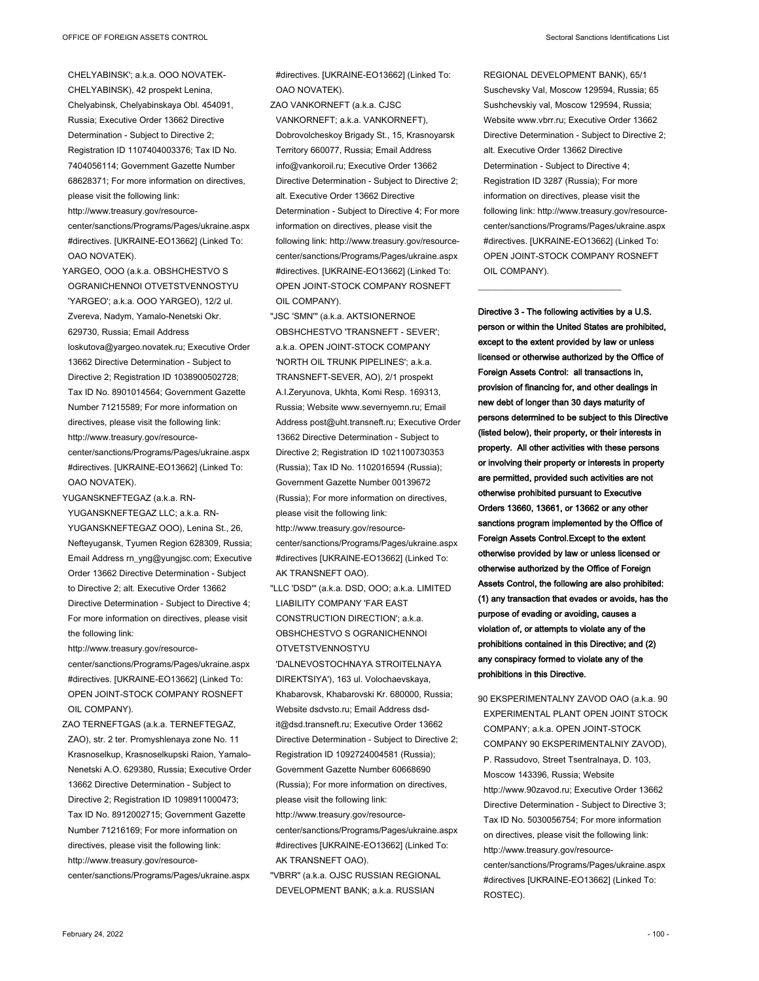CHELYABINSK'; a.k.a. OOO NOVATEK-CHELYABINSK), 42 prospekt Lenina, Chelyabinsk, Chelyabinskaya Obl. 454091, Russia; Executive Order 13662 Directive Determination - Subject to Directive 2; Registration ID 1107404003376; Tax ID No. 7404056114; Government Gazette Number 68628371; For more information on directives, please visit the following link:

http://www.treasury.gov/resourcecenter/sanctions/Programs/Pages/ukraine.aspx #directives. [UKRAINE-EO13662] (Linked To: OAO NOVATEK).

YARGEO, OOO (a.k.a. OBSHCHESTVO S OGRANICHENNOI OTVETSTVENNOSTYU 'YARGEO'; a.k.a. OOO YARGEO), 12/2 ul. Zvereva, Nadym, Yamalo-Nenetski Okr. 629730, Russia; Email Address loskutova@yargeo.novatek.ru; Executive Order 13662 Directive Determination - Subject to Directive 2; Registration ID 1038900502728; Tax ID No. 8901014564; Government Gazette Number 71215589; For more information on directives, please visit the following link: http://www.treasury.gov/resourcecenter/sanctions/Programs/Pages/ukraine.aspx #directives. [UKRAINE-EO13662] (Linked To: OAO NOVATEK).

YUGANSKNEFTEGAZ (a.k.a. RN-

YUGANSKNEFTEGAZ LLC; a.k.a. RN-YUGANSKNEFTEGAZ OOO), Lenina St., 26, Nefteyugansk, Tyumen Region 628309, Russia; Email Address rn\_yng@yungjsc.com; Executive Order 13662 Directive Determination - Subject to Directive 2; alt. Executive Order 13662 Directive Determination - Subject to Directive 4; For more information on directives, please visit the following link:

http://www.treasury.gov/resourcecenter/sanctions/Programs/Pages/ukraine.aspx #directives. [UKRAINE-EO13662] (Linked To: OPEN JOINT-STOCK COMPANY ROSNEFT OIL COMPANY).

ZAO TERNEFTGAS (a.k.a. TERNEFTEGAZ, ZAO), str. 2 ter. Promyshlenaya zone No. 11 Krasnoselkup, Krasnoselkupski Raion, Yamalo-Nenetski A.O. 629380, Russia; Executive Order 13662 Directive Determination - Subject to Directive 2; Registration ID 1098911000473; Tax ID No. 8912002715; Government Gazette Number 71216169; For more information on directives, please visit the following link: http://www.treasury.gov/resourcecenter/sanctions/Programs/Pages/ukraine.aspx

#directives. [UKRAINE-EO13662] (Linked To: OAO NOVATEK).

ZAO VANKORNEFT (a.k.a. CJSC VANKORNEFT; a.k.a. VANKORNEFT), Dobrovolcheskoy Brigady St., 15, Krasnoyarsk Territory 660077, Russia; Email Address info@vankoroil.ru; Executive Order 13662 Directive Determination - Subject to Directive 2; alt. Executive Order 13662 Directive Determination - Subject to Directive 4; For more information on directives, please visit the following link: http://www.treasury.gov/resourcecenter/sanctions/Programs/Pages/ukraine.aspx #directives. [UKRAINE-EO13662] (Linked To: OPEN JOINT-STOCK COMPANY ROSNEFT OIL COMPANY).

"JSC 'SMN'" (a.k.a. AKTSIONERNOE OBSHCHESTVO 'TRANSNEFT - SEVER'; a.k.a. OPEN JOINT-STOCK COMPANY 'NORTH OIL TRUNK PIPELINES'; a.k.a. TRANSNEFT-SEVER, AO), 2/1 prospekt A.I.Zeryunova, Ukhta, Komi Resp. 169313, Russia; Website www.severnyemn.ru; Email Address post@uht.transneft.ru; Executive Order 13662 Directive Determination - Subject to Directive 2; Registration ID 1021100730353 (Russia); Tax ID No. 1102016594 (Russia); Government Gazette Number 00139672 (Russia); For more information on directives, please visit the following link: http://www.treasury.gov/resource-

center/sanctions/Programs/Pages/ukraine.aspx #directives [UKRAINE-EO13662] (Linked To: AK TRANSNEFT OAO).

"LLC 'DSD'" (a.k.a. DSD, OOO; a.k.a. LIMITED LIABILITY COMPANY 'FAR EAST CONSTRUCTION DIRECTION'; a.k.a. OBSHCHESTVO S OGRANICHENNOI **OTVETSTVENNOSTYU** 

'DALNEVOSTOCHNAYA STROITELNAYA DIREKTSIYA'), 163 ul. Volochaevskaya, Khabarovsk, Khabarovski Kr. 680000, Russia; Website dsdvsto.ru; Email Address dsdit@dsd.transneft.ru; Executive Order 13662 Directive Determination - Subject to Directive 2; Registration ID 1092724004581 (Russia); Government Gazette Number 60668690 (Russia); For more information on directives, please visit the following link: http://www.treasury.gov/resource-

center/sanctions/Programs/Pages/ukraine.aspx #directives [UKRAINE-EO13662] (Linked To: AK TRANSNEFT OAO).

"VBRR" (a.k.a. OJSC RUSSIAN REGIONAL DEVELOPMENT BANK; a.k.a. RUSSIAN

REGIONAL DEVELOPMENT BANK), 65/1 Suschevsky Val, Moscow 129594, Russia; 65 Sushchevskiy val, Moscow 129594, Russia; Website www.vbrr.ru; Executive Order 13662 Directive Determination - Subject to Directive 2; alt. Executive Order 13662 Directive Determination - Subject to Directive 4; Registration ID 3287 (Russia); For more information on directives, please visit the following link: http://www.treasury.gov/resourcecenter/sanctions/Programs/Pages/ukraine.aspx #directives. [UKRAINE-EO13662] (Linked To: OPEN JOINT-STOCK COMPANY ROSNEFT OIL COMPANY).

\_\_\_\_\_\_\_\_\_\_\_\_\_\_\_\_\_\_\_\_\_\_\_\_\_\_\_\_\_\_\_\_\_

**Directive 3 - The following activities by a U.S. person or within the United States are prohibited, except to the extent provided by law or unless licensed or otherwise authorized by the Office of Foreign Assets Control: all transactions in, provision of financing for, and other dealings in new debt of longer than 30 days maturity of persons determined to be subject to this Directive (listed below), their property, or their interests in property. All other activities with these persons or involving their property or interests in property are permitted, provided such activities are not otherwise prohibited pursuant to Executive Orders 13660, 13661, or 13662 or any other sanctions program implemented by the Office of Foreign Assets Control.Except to the extent otherwise provided by law or unless licensed or otherwise authorized by the Office of Foreign Assets Control, the following are also prohibited: (1) any transaction that evades or avoids, has the purpose of evading or avoiding, causes a violation of, or attempts to violate any of the prohibitions contained in this Directive; and (2) any conspiracy formed to violate any of the prohibitions in this Directive.**

90 EKSPERIMENTALNY ZAVOD OAO (a.k.a. 90 EXPERIMENTAL PLANT OPEN JOINT STOCK COMPANY; a.k.a. OPEN JOINT-STOCK COMPANY 90 EKSPERIMENTALNIY ZAVOD), P. Rassudovo, Street Tsentralnaya, D. 103, Moscow 143396, Russia; Website http://www.90zavod.ru; Executive Order 13662 Directive Determination - Subject to Directive 3; Tax ID No. 5030056754; For more information on directives, please visit the following link: http://www.treasury.gov/resourcecenter/sanctions/Programs/Pages/ukraine.aspx #directives [UKRAINE-EO13662] (Linked To: ROSTEC).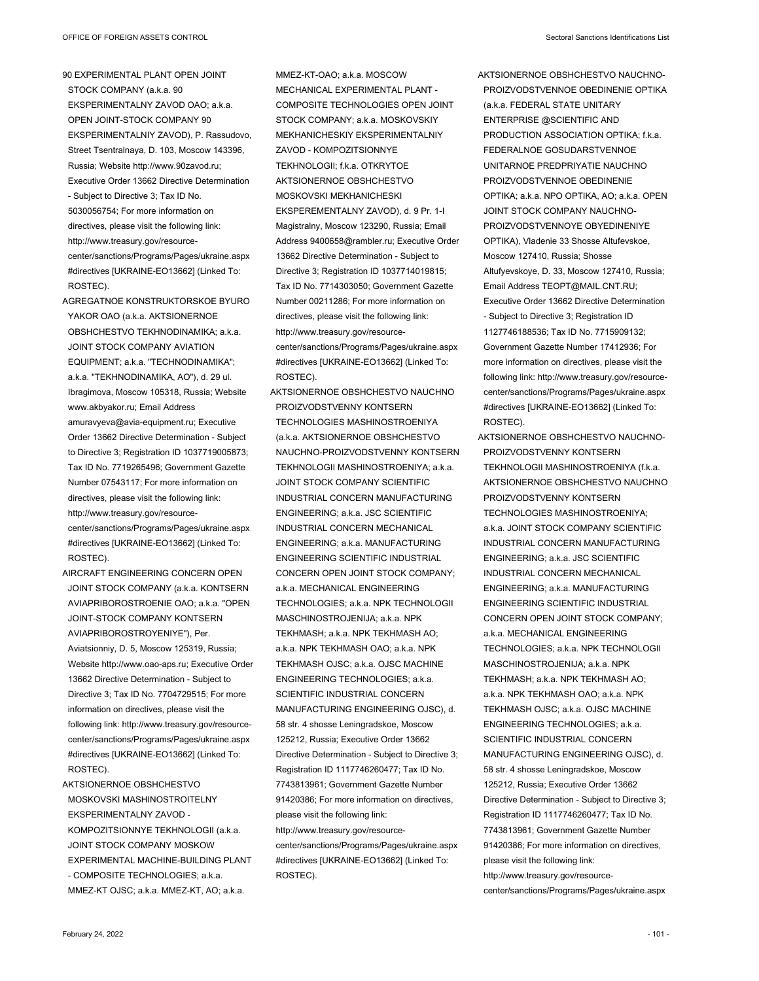90 EXPERIMENTAL PLANT OPEN JOINT STOCK COMPANY (a.k.a. 90 EKSPERIMENTALNY ZAVOD OAO; a.k.a. OPEN JOINT-STOCK COMPANY 90 EKSPERIMENTALNIY ZAVOD), P. Rassudovo, Street Tsentralnaya, D. 103, Moscow 143396, Russia; Website http://www.90zavod.ru; Executive Order 13662 Directive Determination - Subject to Directive 3; Tax ID No. 5030056754; For more information on directives, please visit the following link: http://www.treasury.gov/resourcecenter/sanctions/Programs/Pages/ukraine.aspx #directives [UKRAINE-EO13662] (Linked To: ROSTEC).

- AGREGATNOE KONSTRUKTORSKOE BYURO YAKOR OAO (a.k.a. AKTSIONERNOE OBSHCHESTVO TEKHNODINAMIKA; a.k.a. JOINT STOCK COMPANY AVIATION EQUIPMENT; a.k.a. "TECHNODINAMIKA"; a.k.a. "TEKHNODINAMIKA, AO"), d. 29 ul. Ibragimova, Moscow 105318, Russia; Website www.akbyakor.ru; Email Address amuravyeva@avia-equipment.ru; Executive Order 13662 Directive Determination - Subject to Directive 3; Registration ID 1037719005873; Tax ID No. 7719265496; Government Gazette Number 07543117; For more information on directives, please visit the following link: http://www.treasury.gov/resourcecenter/sanctions/Programs/Pages/ukraine.aspx #directives [UKRAINE-EO13662] (Linked To: ROSTEC).
- AIRCRAFT ENGINEERING CONCERN OPEN JOINT STOCK COMPANY (a.k.a. KONTSERN AVIAPRIBOROSTROENIE OAO; a.k.a. "OPEN JOINT-STOCK COMPANY KONTSERN AVIAPRIBOROSTROYENIYE"), Per. Aviatsionniy, D. 5, Moscow 125319, Russia; Website http://www.oao-aps.ru; Executive Order 13662 Directive Determination - Subject to Directive 3; Tax ID No. 7704729515; For more information on directives, please visit the following link: http://www.treasury.gov/resourcecenter/sanctions/Programs/Pages/ukraine.aspx #directives [UKRAINE-EO13662] (Linked To: ROSTEC).
- AKTSIONERNOE OBSHCHESTVO MOSKOVSKI MASHINOSTROITELNY EKSPERIMENTALNY ZAVOD - KOMPOZITSIONNYE TEKHNOLOGII (a.k.a. JOINT STOCK COMPANY MOSKOW EXPERIMENTAL MACHINE-BUILDING PLANT - COMPOSITE TECHNOLOGIES; a.k.a. MMEZ-KT OJSC; a.k.a. MMEZ-KT, AO; a.k.a.

MMEZ-KT-OAO; a.k.a. MOSCOW MECHANICAL EXPERIMENTAL PLANT -COMPOSITE TECHNOLOGIES OPEN JOINT STOCK COMPANY; a.k.a. MOSKOVSKIY MEKHANICHESKIY EKSPERIMENTALNIY ZAVOD - KOMPOZITSIONNYE TEKHNOLOGII; f.k.a. OTKRYTOE AKTSIONERNOE OBSHCHESTVO MOSKOVSKI MEKHANICHESKI EKSPEREMENTALNY ZAVOD), d. 9 Pr. 1-I Magistralny, Moscow 123290, Russia; Email Address 9400658@rambler.ru; Executive Order 13662 Directive Determination - Subject to Directive 3; Registration ID 1037714019815; Tax ID No. 7714303050; Government Gazette Number 00211286; For more information on directives, please visit the following link: http://www.treasury.gov/resourcecenter/sanctions/Programs/Pages/ukraine.aspx #directives [UKRAINE-EO13662] (Linked To: ROSTEC).

AKTSIONERNOE OBSHCHESTVO NAUCHNO PROIZVODSTVENNY KONTSERN TECHNOLOGIES MASHINOSTROENIYA (a.k.a. AKTSIONERNOE OBSHCHESTVO NAUCHNO-PROIZVODSTVENNY KONTSERN TEKHNOLOGII MASHINOSTROENIYA; a.k.a. JOINT STOCK COMPANY SCIENTIFIC INDUSTRIAL CONCERN MANUFACTURING ENGINEERING; a.k.a. JSC SCIENTIFIC INDUSTRIAL CONCERN MECHANICAL ENGINEERING; a.k.a. MANUFACTURING ENGINEERING SCIENTIFIC INDUSTRIAL CONCERN OPEN JOINT STOCK COMPANY; a.k.a. MECHANICAL ENGINEERING TECHNOLOGIES; a.k.a. NPK TECHNOLOGII MASCHINOSTROJENIJA; a.k.a. NPK TEKHMASH; a.k.a. NPK TEKHMASH AO; a.k.a. NPK TEKHMASH OAO; a.k.a. NPK TEKHMASH OJSC; a.k.a. OJSC MACHINE ENGINEERING TECHNOLOGIES; a.k.a. SCIENTIFIC INDUSTRIAL CONCERN MANUFACTURING ENGINEERING OJSC), d. 58 str. 4 shosse Leningradskoe, Moscow 125212, Russia; Executive Order 13662 Directive Determination - Subject to Directive 3; Registration ID 1117746260477; Tax ID No. 7743813961; Government Gazette Number 91420386; For more information on directives, please visit the following link: http://www.treasury.gov/resourcecenter/sanctions/Programs/Pages/ukraine.aspx #directives [UKRAINE-EO13662] (Linked To: ROSTEC).

AKTSIONERNOE OBSHCHESTVO NAUCHNO-PROIZVODSTVENNOE OBEDINENIE OPTIKA (a.k.a. FEDERAL STATE UNITARY ENTERPRISE @SCIENTIFIC AND PRODUCTION ASSOCIATION OPTIKA; f.k.a. FEDERALNOE GOSUDARSTVENNOE UNITARNOE PREDPRIYATIE NAUCHNO PROIZVODSTVENNOE OBEDINENIE OPTIKA; a.k.a. NPO OPTIKA, AO; a.k.a. OPEN JOINT STOCK COMPANY NAUCHNO-PROIZVODSTVENNOYE OBYEDINENIYE OPTIKA), Vladenie 33 Shosse Altufevskoe, Moscow 127410, Russia; Shosse Altufyevskoye, D. 33, Moscow 127410, Russia; Email Address TEOPT@MAIL.CNT.RU; Executive Order 13662 Directive Determination - Subject to Directive 3; Registration ID 1127746188536; Tax ID No. 7715909132; Government Gazette Number 17412936; For more information on directives, please visit the following link: http://www.treasury.gov/resourcecenter/sanctions/Programs/Pages/ukraine.aspx #directives [UKRAINE-EO13662] (Linked To: ROSTEC).

AKTSIONERNOE OBSHCHESTVO NAUCHNO-PROIZVODSTVENNY KONTSERN TEKHNOLOGII MASHINOSTROENIYA (f.k.a. AKTSIONERNOE OBSHCHESTVO NAUCHNO PROIZVODSTVENNY KONTSERN TECHNOLOGIES MASHINOSTROENIYA; a.k.a. JOINT STOCK COMPANY SCIENTIFIC INDUSTRIAL CONCERN MANUFACTURING ENGINEERING; a.k.a. JSC SCIENTIFIC INDUSTRIAL CONCERN MECHANICAL ENGINEERING; a.k.a. MANUFACTURING ENGINEERING SCIENTIFIC INDUSTRIAL CONCERN OPEN JOINT STOCK COMPANY; a.k.a. MECHANICAL ENGINEERING TECHNOLOGIES; a.k.a. NPK TECHNOLOGII MASCHINOSTROJENIJA; a.k.a. NPK TEKHMASH; a.k.a. NPK TEKHMASH AO; a.k.a. NPK TEKHMASH OAO; a.k.a. NPK TEKHMASH OJSC; a.k.a. OJSC MACHINE ENGINEERING TECHNOLOGIES; a.k.a. SCIENTIFIC INDUSTRIAL CONCERN MANUFACTURING ENGINEERING OJSC), d. 58 str. 4 shosse Leningradskoe, Moscow 125212, Russia; Executive Order 13662 Directive Determination - Subject to Directive 3; Registration ID 1117746260477; Tax ID No. 7743813961; Government Gazette Number 91420386; For more information on directives, please visit the following link: http://www.treasury.gov/resourcecenter/sanctions/Programs/Pages/ukraine.aspx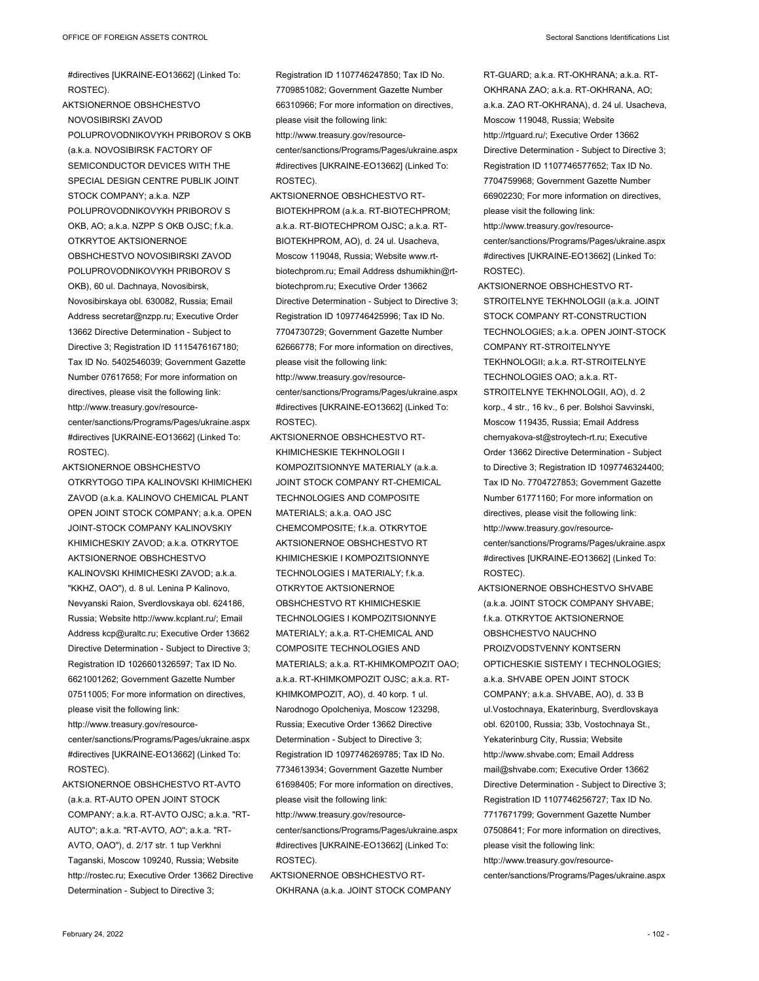#directives [UKRAINE-EO13662] (Linked To: ROSTEC).

AKTSIONERNOE OBSHCHESTVO NOVOSIBIRSKI ZAVOD POLUPROVODNIKOVYKH PRIBOROV S OKB (a.k.a. NOVOSIBIRSK FACTORY OF SEMICONDUCTOR DEVICES WITH THE SPECIAL DESIGN CENTRE PUBLIK JOINT STOCK COMPANY; a.k.a. NZP POLUPROVODNIKOVYKH PRIBOROV S OKB, AO; a.k.a. NZPP S OKB OJSC; f.k.a. OTKRYTOE AKTSIONERNOE OBSHCHESTVO NOVOSIBIRSKI ZAVOD POLUPROVODNIKOVYKH PRIBOROV S OKB), 60 ul. Dachnaya, Novosibirsk, Novosibirskaya obl. 630082, Russia; Email Address secretar@nzpp.ru; Executive Order 13662 Directive Determination - Subject to Directive 3; Registration ID 1115476167180; Tax ID No. 5402546039; Government Gazette Number 07617658; For more information on directives, please visit the following link: http://www.treasury.gov/resourcecenter/sanctions/Programs/Pages/ukraine.aspx #directives [UKRAINE-EO13662] (Linked To: ROSTEC).

AKTSIONERNOE OBSHCHESTVO OTKRYTOGO TIPA KALINOVSKI KHIMICHEKI ZAVOD (a.k.a. KALINOVO CHEMICAL PLANT OPEN JOINT STOCK COMPANY; a.k.a. OPEN JOINT-STOCK COMPANY KALINOVSKIY KHIMICHESKIY ZAVOD; a.k.a. OTKRYTOE AKTSIONERNOE OBSHCHESTVO KALINOVSKI KHIMICHESKI ZAVOD; a.k.a. "KKHZ, OAO"), d. 8 ul. Lenina P Kalinovo, Nevyanski Raion, Sverdlovskaya obl. 624186, Russia; Website http://www.kcplant.ru/; Email Address kcp@uraltc.ru; Executive Order 13662 Directive Determination - Subject to Directive 3; Registration ID 1026601326597; Tax ID No. 6621001262; Government Gazette Number 07511005; For more information on directives, please visit the following link: http://www.treasury.gov/resourcecenter/sanctions/Programs/Pages/ukraine.aspx

#directives [UKRAINE-EO13662] (Linked To: ROSTEC).

AKTSIONERNOE OBSHCHESTVO RT-AVTO (a.k.a. RT-AUTO OPEN JOINT STOCK COMPANY; a.k.a. RT-AVTO OJSC; a.k.a. "RT-AUTO"; a.k.a. "RT-AVTO, AO"; a.k.a. "RT-AVTO, OAO"), d. 2/17 str. 1 tup Verkhni Taganski, Moscow 109240, Russia; Website http://rostec.ru; Executive Order 13662 Directive Determination - Subject to Directive 3;

Registration ID 1107746247850; Tax ID No. 7709851082; Government Gazette Number 66310966; For more information on directives, please visit the following link: http://www.treasury.gov/resourcecenter/sanctions/Programs/Pages/ukraine.aspx #directives [UKRAINE-EO13662] (Linked To: ROSTEC).

- AKTSIONERNOE OBSHCHESTVO RT-BIOTEKHPROM (a.k.a. RT-BIOTECHPROM; a.k.a. RT-BIOTECHPROM OJSC; a.k.a. RT-BIOTEKHPROM, AO), d. 24 ul. Usacheva, Moscow 119048, Russia; Website www.rtbiotechprom.ru; Email Address dshumikhin@rtbiotechprom.ru; Executive Order 13662 Directive Determination - Subject to Directive 3; Registration ID 1097746425996; Tax ID No. 7704730729; Government Gazette Number 62666778; For more information on directives, please visit the following link: http://www.treasury.gov/resourcecenter/sanctions/Programs/Pages/ukraine.aspx #directives [UKRAINE-EO13662] (Linked To: ROSTEC).
- AKTSIONERNOE OBSHCHESTVO RT-KHIMICHESKIE TEKHNOLOGII I KOMPOZITSIONNYE MATERIALY (a.k.a. JOINT STOCK COMPANY RT-CHEMICAL TECHNOLOGIES AND COMPOSITE MATERIALS; a.k.a. OAO JSC CHEMCOMPOSITE; f.k.a. OTKRYTOE AKTSIONERNOE OBSHCHESTVO RT KHIMICHESKIE I KOMPOZITSIONNYE TECHNOLOGIES I MATERIALY; f.k.a. OTKRYTOE AKTSIONERNOE OBSHCHESTVO RT KHIMICHESKIE TECHNOLOGIES I KOMPOZITSIONNYE MATERIALY; a.k.a. RT-CHEMICAL AND COMPOSITE TECHNOLOGIES AND MATERIALS; a.k.a. RT-KHIMKOMPOZIT OAO; a.k.a. RT-KHIMKOMPOZIT OJSC; a.k.a. RT-KHIMKOMPOZIT, AO), d. 40 korp. 1 ul. Narodnogo Opolcheniya, Moscow 123298, Russia; Executive Order 13662 Directive Determination - Subject to Directive 3; Registration ID 1097746269785; Tax ID No. 7734613934; Government Gazette Number 61698405; For more information on directives, please visit the following link: http://www.treasury.gov/resource-

center/sanctions/Programs/Pages/ukraine.aspx #directives [UKRAINE-EO13662] (Linked To: ROSTEC).

AKTSIONERNOE OBSHCHESTVO RT-OKHRANA (a.k.a. JOINT STOCK COMPANY RT-GUARD; a.k.a. RT-OKHRANA; a.k.a. RT-OKHRANA ZAO; a.k.a. RT-OKHRANA, AO; a.k.a. ZAO RT-OKHRANA), d. 24 ul. Usacheva, Moscow 119048, Russia; Website http://rtguard.ru/; Executive Order 13662 Directive Determination - Subject to Directive 3; Registration ID 1107746577652; Tax ID No. 7704759968; Government Gazette Number 66902230; For more information on directives, please visit the following link: http://www.treasury.gov/resourcecenter/sanctions/Programs/Pages/ukraine.aspx

#directives [UKRAINE-EO13662] (Linked To: ROSTEC).

- AKTSIONERNOE OBSHCHESTVO RT-STROITELNYE TEKHNOLOGII (a.k.a. JOINT STOCK COMPANY RT-CONSTRUCTION TECHNOLOGIES; a.k.a. OPEN JOINT-STOCK COMPANY RT-STROITELNYYE TEKHNOLOGII; a.k.a. RT-STROITELNYE TECHNOLOGIES OAO; a.k.a. RT-STROITELNYE TEKHNOLOGII, AO), d. 2 korp., 4 str., 16 kv., 6 per. Bolshoi Savvinski, Moscow 119435, Russia; Email Address chernyakova-st@stroytech-rt.ru; Executive Order 13662 Directive Determination - Subject to Directive 3; Registration ID 1097746324400; Tax ID No. 7704727853; Government Gazette Number 61771160; For more information on directives, please visit the following link: http://www.treasury.gov/resourcecenter/sanctions/Programs/Pages/ukraine.aspx #directives [UKRAINE-EO13662] (Linked To: ROSTEC).
- AKTSIONERNOE OBSHCHESTVO SHVABE (a.k.a. JOINT STOCK COMPANY SHVABE; f.k.a. OTKRYTOE AKTSIONERNOE OBSHCHESTVO NAUCHNO PROIZVODSTVENNY KONTSERN OPTICHESKIE SISTEMY I TECHNOLOGIES; a.k.a. SHVABE OPEN JOINT STOCK COMPANY; a.k.a. SHVABE, AO), d. 33 B ul.Vostochnaya, Ekaterinburg, Sverdlovskaya obl. 620100, Russia; 33b, Vostochnaya St., Yekaterinburg City, Russia; Website http://www.shvabe.com; Email Address mail@shvabe.com; Executive Order 13662 Directive Determination - Subject to Directive 3; Registration ID 1107746256727; Tax ID No. 7717671799; Government Gazette Number 07508641; For more information on directives, please visit the following link: http://www.treasury.gov/resource-
- center/sanctions/Programs/Pages/ukraine.aspx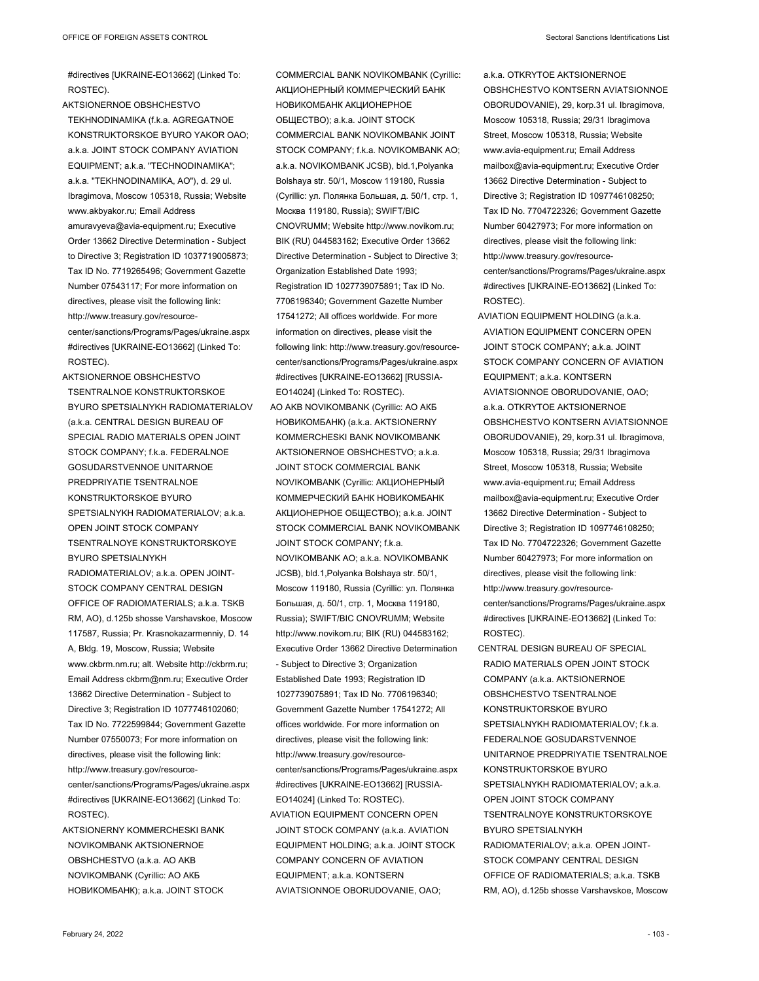#directives [UKRAINE-EO13662] (Linked To: ROSTEC).

- AKTSIONERNOE OBSHCHESTVO TEKHNODINAMIKA (f.k.a. AGREGATNOE KONSTRUKTORSKOE BYURO YAKOR OAO; a.k.a. JOINT STOCK COMPANY AVIATION EQUIPMENT; a.k.a. "TECHNODINAMIKA"; a.k.a. "TEKHNODINAMIKA, AO"), d. 29 ul. Ibragimova, Moscow 105318, Russia; Website www.akbyakor.ru; Email Address amuravyeva@avia-equipment.ru; Executive Order 13662 Directive Determination - Subject to Directive 3: Registration ID 1037719005873: Tax ID No. 7719265496; Government Gazette Number 07543117; For more information on directives, please visit the following link: http://www.treasury.gov/resourcecenter/sanctions/Programs/Pages/ukraine.aspx #directives [UKRAINE-EO13662] (Linked To: ROSTEC).
- AKTSIONERNOE OBSHCHESTVO TSENTRALNOE KONSTRUKTORSKOE BYURO SPETSIALNYKH RADIOMATERIALOV (a.k.a. CENTRAL DESIGN BUREAU OF SPECIAL RADIO MATERIALS OPEN JOINT STOCK COMPANY; f.k.a. FEDERALNOE GOSUDARSTVENNOE UNITARNOE PREDPRIYATIE TSENTRALNOE KONSTRUKTORSKOE BYURO SPETSIALNYKH RADIOMATERIALOV; a.k.a. OPEN JOINT STOCK COMPANY TSENTRALNOYE KONSTRUKTORSKOYE BYURO SPETSIALNYKH RADIOMATERIALOV; a.k.a. OPEN JOINT-STOCK COMPANY CENTRAL DESIGN OFFICE OF RADIOMATERIALS; a.k.a. TSKB RM, AO), d.125b shosse Varshavskoe, Moscow 117587, Russia; Pr. Krasnokazarmenniy, D. 14 A, Bldg. 19, Moscow, Russia; Website www.ckbrm.nm.ru; alt. Website http://ckbrm.ru; Email Address ckbrm@nm.ru; Executive Order 13662 Directive Determination - Subject to Directive 3; Registration ID 1077746102060; Tax ID No. 7722599844; Government Gazette Number 07550073; For more information on directives, please visit the following link: http://www.treasury.gov/resourcecenter/sanctions/Programs/Pages/ukraine.aspx #directives [UKRAINE-EO13662] (Linked To: ROSTEC).
- AKTSIONERNY KOMMERCHESKI BANK NOVIKOMBANK AKTSIONERNOE OBSHCHESTVO (a.k.a. AO AKB NOVIKOMBANK (Cyrillic: АО АКБ НОВИКОМБАНК); a.k.a. JOINT STOCK

COMMERCIAL BANK NOVIKOMBANK (Cyrillic: АКЦИОНЕРНЫЙ КОММЕРЧЕСКИЙ БАНК НОВИКОМБАНК АКЦИОНЕРНОЕ ОБЩЕСТВО); a.k.a. JOINT STOCK COMMERCIAL BANK NOVIKOMBANK JOINT STOCK COMPANY; f.k.a. NOVIKOMBANK AO; a.k.a. NOVIKOMBANK JCSB), bld.1,Polyanka Bolshaya str. 50/1, Moscow 119180, Russia (Cyrillic: ул. Полянка Большая, д. 50/1, стр. 1, Москва 119180, Russia); SWIFT/BIC CNOVRUMM; Website http://www.novikom.ru; BIK (RU) 044583162; Executive Order 13662 Directive Determination - Subject to Directive 3; Organization Established Date 1993; Registration ID 1027739075891; Tax ID No. 7706196340; Government Gazette Number 17541272; All offices worldwide. For more information on directives, please visit the following link: http://www.treasury.gov/resourcecenter/sanctions/Programs/Pages/ukraine.aspx #directives [UKRAINE-EO13662] [RUSSIA-EO14024] (Linked To: ROSTEC).

AO AKB NOVIKOMBANK (Cyrillic: АО АКБ НОВИКОМБАНК) (a.k.a. AKTSIONERNY KOMMERCHESKI BANK NOVIKOMBANK AKTSIONERNOE OBSHCHESTVO; a.k.a. JOINT STOCK COMMERCIAL BANK NOVIKOMBANK (Cyrillic: АКЦИОНЕРНЫЙ КОММЕРЧЕСКИЙ БАНК НОВИКОМБАНК АКЦИОНЕРНОЕ ОБЩЕСТВО); a.k.a. JOINT STOCK COMMERCIAL BANK NOVIKOMBANK JOINT STOCK COMPANY; f.k.a. NOVIKOMBANK AO; a.k.a. NOVIKOMBANK JCSB), bld.1,Polyanka Bolshaya str. 50/1, Moscow 119180, Russia (Cyrillic: ул. Полянка Большая, д. 50/1, стр. 1, Москва 119180, Russia); SWIFT/BIC CNOVRUMM; Website http://www.novikom.ru; BIK (RU) 044583162; Executive Order 13662 Directive Determination - Subject to Directive 3; Organization Established Date 1993; Registration ID 1027739075891; Tax ID No. 7706196340; Government Gazette Number 17541272; All offices worldwide. For more information on directives, please visit the following link: http://www.treasury.gov/resourcecenter/sanctions/Programs/Pages/ukraine.aspx #directives [UKRAINE-EO13662] [RUSSIA-EO14024] (Linked To: ROSTEC).

AVIATION EQUIPMENT CONCERN OPEN JOINT STOCK COMPANY (a.k.a. AVIATION EQUIPMENT HOLDING; a.k.a. JOINT STOCK COMPANY CONCERN OF AVIATION EQUIPMENT; a.k.a. KONTSERN AVIATSIONNOE OBORUDOVANIE, OAO;

a.k.a. OTKRYTOE AKTSIONERNOE OBSHCHESTVO KONTSERN AVIATSIONNOE OBORUDOVANIE), 29, korp.31 ul. Ibragimova, Moscow 105318, Russia; 29/31 Ibragimova Street, Moscow 105318, Russia; Website www.avia-equipment.ru; Email Address mailbox@avia-equipment.ru; Executive Order 13662 Directive Determination - Subject to Directive 3; Registration ID 1097746108250; Tax ID No. 7704722326; Government Gazette Number 60427973; For more information on directives, please visit the following link: http://www.treasury.gov/resourcecenter/sanctions/Programs/Pages/ukraine.aspx #directives [UKRAINE-EO13662] (Linked To: ROSTEC).

AVIATION EQUIPMENT HOLDING (a.k.a. AVIATION EQUIPMENT CONCERN OPEN JOINT STOCK COMPANY; a.k.a. JOINT STOCK COMPANY CONCERN OF AVIATION EQUIPMENT; a.k.a. KONTSERN AVIATSIONNOE OBORUDOVANIE, OAO; a.k.a. OTKRYTOE AKTSIONERNOE OBSHCHESTVO KONTSERN AVIATSIONNOE OBORUDOVANIE), 29, korp.31 ul. Ibragimova, Moscow 105318, Russia; 29/31 Ibragimova Street, Moscow 105318, Russia; Website www.avia-equipment.ru; Email Address mailbox@avia-equipment.ru; Executive Order 13662 Directive Determination - Subject to Directive 3; Registration ID 1097746108250; Tax ID No. 7704722326; Government Gazette Number 60427973; For more information on directives, please visit the following link: http://www.treasury.gov/resourcecenter/sanctions/Programs/Pages/ukraine.aspx #directives [UKRAINE-EO13662] (Linked To: ROSTEC).

CENTRAL DESIGN BUREAU OF SPECIAL RADIO MATERIALS OPEN JOINT STOCK COMPANY (a.k.a. AKTSIONERNOE OBSHCHESTVO TSENTRALNOE KONSTRUKTORSKOE BYURO SPETSIALNYKH RADIOMATERIALOV; f k a FEDERALNOE GOSUDARSTVENNOE UNITARNOE PREDPRIYATIE TSENTRALNOE KONSTRUKTORSKOE BYURO SPETSIALNYKH RADIOMATERIALOV; a.k.a. OPEN JOINT STOCK COMPANY TSENTRALNOYE KONSTRUKTORSKOYE BYURO SPETSIALNYKH RADIOMATERIALOV; a.k.a. OPEN JOINT-STOCK COMPANY CENTRAL DESIGN OFFICE OF RADIOMATERIALS; a.k.a. TSKB RM, AO), d.125b shosse Varshavskoe, Moscow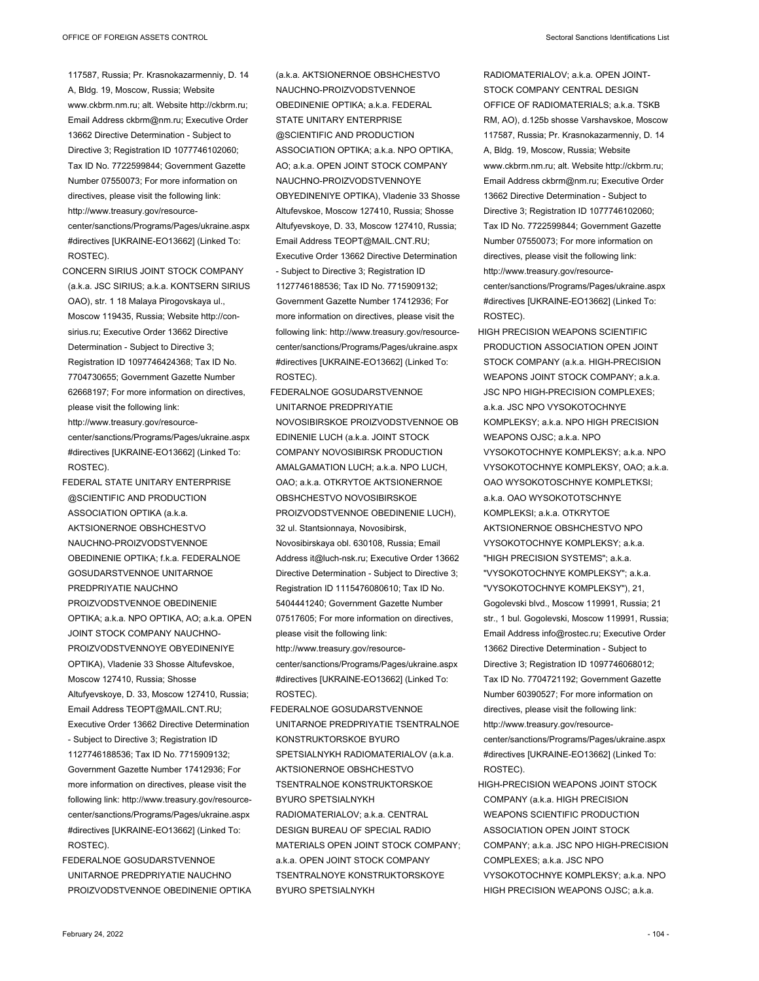- 117587, Russia; Pr. Krasnokazarmenniy, D. 14 A, Bldg. 19, Moscow, Russia; Website www.ckbrm.nm.ru; alt. Website http://ckbrm.ru; Email Address ckbrm@nm.ru; Executive Order 13662 Directive Determination - Subject to Directive 3; Registration ID 1077746102060; Tax ID No. 7722599844; Government Gazette Number 07550073; For more information on directives, please visit the following link: http://www.treasury.gov/resource-
- center/sanctions/Programs/Pages/ukraine.aspx #directives [UKRAINE-EO13662] (Linked To: ROSTEC).
- CONCERN SIRIUS JOINT STOCK COMPANY (a.k.a. JSC SIRIUS; a.k.a. KONTSERN SIRIUS OAO), str. 1 18 Malaya Pirogovskaya ul., Moscow 119435, Russia; Website http://consirius.ru; Executive Order 13662 Directive Determination - Subject to Directive 3; Registration ID 1097746424368; Tax ID No. 7704730655; Government Gazette Number 62668197; For more information on directives, please visit the following link: http://www.treasury.gov/resourcecenter/sanctions/Programs/Pages/ukraine.aspx #directives [UKRAINE-EO13662] (Linked To: ROSTEC).
- FEDERAL STATE UNITARY ENTERPRISE @SCIENTIFIC AND PRODUCTION ASSOCIATION OPTIKA (a.k.a. AKTSIONERNOE OBSHCHESTVO NAUCHNO-PROIZVODSTVENNOE OBEDINENIE OPTIKA; f.k.a. FEDERALNOE GOSUDARSTVENNOE UNITARNOE PREDPRIYATIE NAUCHNO PROIZVODSTVENNOE OBEDINENIE OPTIKA; a.k.a. NPO OPTIKA, AO; a.k.a. OPEN JOINT STOCK COMPANY NAUCHNO-PROIZVODSTVENNOYE OBYEDINENIYE OPTIKA), Vladenie 33 Shosse Altufevskoe, Moscow 127410, Russia; Shosse Altufyevskoye, D. 33, Moscow 127410, Russia; Email Address TEOPT@MAIL.CNT.RU; Executive Order 13662 Directive Determination - Subject to Directive 3; Registration ID 1127746188536; Tax ID No. 7715909132; Government Gazette Number 17412936; For more information on directives, please visit the following link: http://www.treasury.gov/resourcecenter/sanctions/Programs/Pages/ukraine.aspx #directives [UKRAINE-EO13662] (Linked To: ROSTEC).
- FEDERALNOE GOSUDARSTVENNOE UNITARNOE PREDPRIYATIE NAUCHNO PROIZVODSTVENNOE OBEDINENIE OPTIKA

(a.k.a. AKTSIONERNOE OBSHCHESTVO NAUCHNO-PROIZVODSTVENNOE OBEDINENIE OPTIKA; a.k.a. FEDERAL STATE UNITARY ENTERPRISE @SCIENTIFIC AND PRODUCTION ASSOCIATION OPTIKA; a.k.a. NPO OPTIKA, AO; a.k.a. OPEN JOINT STOCK COMPANY NAUCHNO-PROIZVODSTVENNOYE OBYEDINENIYE OPTIKA), Vladenie 33 Shosse Altufevskoe, Moscow 127410, Russia; Shosse Altufyevskoye, D. 33, Moscow 127410, Russia; Email Address TEOPT@MAIL.CNT.RU; Executive Order 13662 Directive Determination - Subject to Directive 3; Registration ID 1127746188536; Tax ID No. 7715909132; Government Gazette Number 17412936; For more information on directives, please visit the following link: http://www.treasury.gov/resourcecenter/sanctions/Programs/Pages/ukraine.aspx #directives [UKRAINE-EO13662] (Linked To: ROSTEC).

- FEDERALNOE GOSUDARSTVENNOE UNITARNOE PREDPRIYATIE NOVOSIBIRSKOE PROIZVODSTVENNOE OB EDINENIE LUCH (a.k.a. JOINT STOCK COMPANY NOVOSIBIRSK PRODUCTION AMALGAMATION LUCH; a.k.a. NPO LUCH, OAO; a.k.a. OTKRYTOE AKTSIONERNOE OBSHCHESTVO NOVOSIBIRSKOE PROIZVODSTVENNOE OBEDINENIE LUCH), 32 ul. Stantsionnaya, Novosibirsk, Novosibirskaya obl. 630108, Russia; Email Address it@luch-nsk.ru; Executive Order 13662 Directive Determination - Subject to Directive 3; Registration ID 1115476080610; Tax ID No. 5404441240; Government Gazette Number 07517605; For more information on directives, please visit the following link: http://www.treasury.gov/resourcecenter/sanctions/Programs/Pages/ukraine.aspx #directives [UKRAINE-EO13662] (Linked To: ROSTEC).
- FEDERALNOE GOSUDARSTVENNOE UNITARNOE PREDPRIYATIE TSENTRALNOE KONSTRUKTORSKOE BYURO SPETSIALNYKH RADIOMATERIALOV (a.k.a. AKTSIONERNOE OBSHCHESTVO TSENTRALNOE KONSTRUKTORSKOE BYURO SPETSIALNYKH RADIOMATERIALOV; a.k.a. CENTRAL DESIGN BUREAU OF SPECIAL RADIO MATERIALS OPEN JOINT STOCK COMPANY: a.k.a. OPEN JOINT STOCK COMPANY TSENTRALNOYE KONSTRUKTORSKOYE BYURO SPETSIALNYKH

RADIOMATERIALOV; a.k.a. OPEN JOINT-STOCK COMPANY CENTRAL DESIGN OFFICE OF RADIOMATERIALS; a.k.a. TSKB RM, AO), d.125b shosse Varshavskoe, Moscow 117587, Russia; Pr. Krasnokazarmenniy, D. 14 A, Bldg. 19, Moscow, Russia; Website www.ckbrm.nm.ru; alt. Website http://ckbrm.ru; Email Address ckbrm@nm.ru; Executive Order 13662 Directive Determination - Subject to Directive 3; Registration ID 1077746102060; Tax ID No. 7722599844; Government Gazette Number 07550073; For more information on directives, please visit the following link: http://www.treasury.gov/resourcecenter/sanctions/Programs/Pages/ukraine.aspx #directives [UKRAINE-EO13662] (Linked To: ROSTEC).

- HIGH PRECISION WEAPONS SCIENTIFIC PRODUCTION ASSOCIATION OPEN JOINT STOCK COMPANY (a.k.a. HIGH-PRECISION WEAPONS JOINT STOCK COMPANY; a.k.a. JSC NPO HIGH-PRECISION COMPLEXES; a.k.a. JSC NPO VYSOKOTOCHNYE KOMPLEKSY; a.k.a. NPO HIGH PRECISION WEAPONS OJSC; a.k.a. NPO VYSOKOTOCHNYE KOMPLEKSY; a.k.a. NPO VYSOKOTOCHNYE KOMPLEKSY, OAO; a.k.a. OAO WYSOKOTOSCHNYE KOMPLETKSI: a.k.a. OAO WYSOKOTOTSCHNYE KOMPLEKSI; a.k.a. OTKRYTOE AKTSIONERNOE OBSHCHESTVO NPO VYSOKOTOCHNYE KOMPLEKSY; a.k.a. "HIGH PRECISION SYSTEMS"; a.k.a. "VYSOKOTOCHNYE KOMPLEKSY"; a.k.a. "VYSOKOTOCHNYE KOMPLEKSY"), 21, Gogolevski blvd., Moscow 119991, Russia; 21 str., 1 bul. Gogolevski, Moscow 119991, Russia; Email Address info@rostec.ru; Executive Order 13662 Directive Determination - Subject to Directive 3; Registration ID 1097746068012; Tax ID No. 7704721192; Government Gazette Number 60390527; For more information on directives, please visit the following link: http://www.treasury.gov/resourcecenter/sanctions/Programs/Pages/ukraine.aspx #directives [UKRAINE-EO13662] (Linked To: ROSTEC).
- HIGH-PRECISION WEAPONS JOINT STOCK COMPANY (a.k.a. HIGH PRECISION WEAPONS SCIENTIFIC PRODUCTION ASSOCIATION OPEN JOINT STOCK COMPANY; a.k.a. JSC NPO HIGH-PRECISION COMPLEXES; a.k.a. JSC NPO VYSOKOTOCHNYE KOMPLEKSY; a.k.a. NPO HIGH PRECISION WEAPONS OJSC; a.k.a.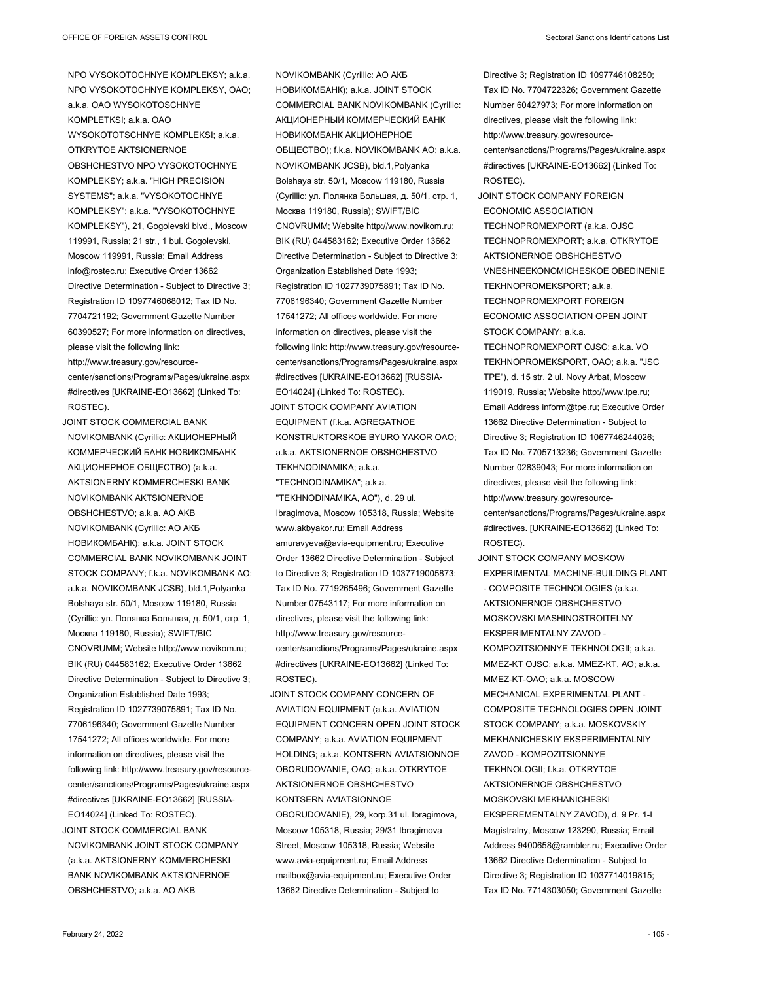NPO VYSOKOTOCHNYE KOMPLEKSY; a.k.a. NPO VYSOKOTOCHNYE KOMPLEKSY, OAO; a.k.a. OAO WYSOKOTOSCHNYE KOMPLETKSI; a.k.a. OAO WYSOKOTOTSCHNYE KOMPLEKSI; a.k.a. OTKRYTOE AKTSIONERNOE OBSHCHESTVO NPO VYSOKOTOCHNYE KOMPLEKSY; a.k.a. "HIGH PRECISION SYSTEMS"; a.k.a. "VYSOKOTOCHNYE KOMPLEKSY"; a.k.a. "VYSOKOTOCHNYE KOMPLEKSY"), 21, Gogolevski blvd., Moscow 119991, Russia; 21 str., 1 bul. Gogolevski, Moscow 119991, Russia; Email Address info@rostec.ru; Executive Order 13662 Directive Determination - Subject to Directive 3; Registration ID 1097746068012; Tax ID No. 7704721192; Government Gazette Number 60390527; For more information on directives, please visit the following link: http://www.treasury.gov/resourcecenter/sanctions/Programs/Pages/ukraine.aspx #directives [UKRAINE-EO13662] (Linked To: ROSTEC).

JOINT STOCK COMMERCIAL BANK NOVIKOMBANK (Cyrillic: АКЦИОНЕРНЫЙ КОММЕРЧЕСКИЙ БАНК НОВИКОМБАНК АКЦИОНЕРНОЕ ОБЩЕСТВО) (a.k.a. AKTSIONERNY KOMMERCHESKI BANK NOVIKOMBANK AKTSIONERNOE OBSHCHESTVO; a.k.a. AO AKB NOVIKOMBANK (Cyrillic: АО АКБ НОВИКОМБАНК); a.k.a. JOINT STOCK COMMERCIAL BANK NOVIKOMBANK JOINT STOCK COMPANY; f.k.a. NOVIKOMBANK AO; a.k.a. NOVIKOMBANK JCSB), bld.1,Polyanka Bolshaya str. 50/1, Moscow 119180, Russia (Cyrillic: ул. Полянка Большая, д. 50/1, стр. 1, Москва 119180, Russia); SWIFT/BIC CNOVRUMM; Website http://www.novikom.ru; BIK (RU) 044583162; Executive Order 13662 Directive Determination - Subject to Directive 3; Organization Established Date 1993; Registration ID 1027739075891; Tax ID No. 7706196340; Government Gazette Number 17541272; All offices worldwide. For more information on directives, please visit the following link: http://www.treasury.gov/resourcecenter/sanctions/Programs/Pages/ukraine.aspx #directives [UKRAINE-EO13662] [RUSSIA-EO14024] (Linked To: ROSTEC). JOINT STOCK COMMERCIAL BANK NOVIKOMBANK JOINT STOCK COMPANY (a.k.a. AKTSIONERNY KOMMERCHESKI BANK NOVIKOMBANK AKTSIONERNOE

February 24, 2022 **1999** - 105 - 105 - 105 - 105 - 105 - 105 - 105 - 105 - 105 - 105 - 105 - 105 - 105 - 105 - 105 - 105 - 105 - 105 - 105 - 105 - 105 - 105 - 105 - 105 - 105 - 105 - 105 - 105 - 105 - 105 - 105 - 105 - 105

OBSHCHESTVO; a.k.a. AO AKB

NOVIKOMBANK (Cyrillic: АО АКБ НОВИКОМБАНК); a.k.a. JOINT STOCK COMMERCIAL BANK NOVIKOMBANK (Cyrillic: АКЦИОНЕРНЫЙ КОММЕРЧЕСКИЙ БАНК НОВИКОМБАНК АКЦИОНЕРНОЕ ОБЩЕСТВО); f.k.a. NOVIKOMBANK AO; a.k.a. NOVIKOMBANK JCSB), bld.1,Polyanka Bolshaya str. 50/1, Moscow 119180, Russia (Cyrillic: ул. Полянка Большая, д. 50/1, стр. 1, Москва 119180, Russia); SWIFT/BIC CNOVRUMM; Website http://www.novikom.ru; BIK (RU) 044583162; Executive Order 13662 Directive Determination - Subject to Directive 3; Organization Established Date 1993; Registration ID 1027739075891; Tax ID No. 7706196340; Government Gazette Number 17541272; All offices worldwide. For more information on directives, please visit the following link: http://www.treasury.gov/resourcecenter/sanctions/Programs/Pages/ukraine.aspx #directives [UKRAINE-EO13662] [RUSSIA-EO14024] (Linked To: ROSTEC). JOINT STOCK COMPANY AVIATION EQUIPMENT (f.k.a. AGREGATNOE KONSTRUKTORSKOE BYURO YAKOR OAO; a.k.a. AKTSIONERNOE OBSHCHESTVO TEKHNODINAMIKA; a.k.a. "TECHNODINAMIKA"; a.k.a. "TEKHNODINAMIKA, AO"), d. 29 ul. Ibragimova, Moscow 105318, Russia; Website www.akbyakor.ru; Email Address amuravyeva@avia-equipment.ru; Executive Order 13662 Directive Determination - Subject to Directive 3; Registration ID 1037719005873; Tax ID No. 7719265496; Government Gazette Number 07543117; For more information on directives, please visit the following link: http://www.treasury.gov/resource-

center/sanctions/Programs/Pages/ukraine.aspx #directives [UKRAINE-EO13662] (Linked To: ROSTEC).

JOINT STOCK COMPANY CONCERN OF AVIATION EQUIPMENT (a.k.a. AVIATION EQUIPMENT CONCERN OPEN JOINT STOCK COMPANY; a.k.a. AVIATION EQUIPMENT HOLDING; a.k.a. KONTSERN AVIATSIONNOE OBORUDOVANIE, OAO; a.k.a. OTKRYTOE AKTSIONERNOE OBSHCHESTVO KONTSERN AVIATSIONNOE OBORUDOVANIE), 29, korp.31 ul. Ibragimova, Moscow 105318, Russia; 29/31 Ibragimova Street, Moscow 105318, Russia; Website www.avia-equipment.ru; Email Address mailbox@avia-equipment.ru; Executive Order 13662 Directive Determination - Subject to

Directive 3; Registration ID 1097746108250; Tax ID No. 7704722326; Government Gazette Number 60427973; For more information on directives, please visit the following link: http://www.treasury.gov/resourcecenter/sanctions/Programs/Pages/ukraine.aspx #directives [UKRAINE-EO13662] (Linked To: ROSTEC).

JOINT STOCK COMPANY FOREIGN ECONOMIC ASSOCIATION TECHNOPROMEXPORT (a.k.a. OJSC TECHNOPROMEXPORT; a.k.a. OTKRYTOE AKTSIONERNOE OBSHCHESTVO VNESHNEEKONOMICHESKOE OBEDINENIE TEKHNOPROMEKSPORT; a.k.a. TECHNOPROMEXPORT FOREIGN ECONOMIC ASSOCIATION OPEN JOINT STOCK COMPANY; a.k.a. TECHNOPROMEXPORT OJSC; a.k.a. VO TEKHNOPROMEKSPORT, OAO; a.k.a. "JSC TPE"), d. 15 str. 2 ul. Novy Arbat, Moscow 119019, Russia; Website http://www.tpe.ru; Email Address inform@tpe.ru; Executive Order 13662 Directive Determination - Subject to Directive 3; Registration ID 1067746244026; Tax ID No. 7705713236; Government Gazette Number 02839043; For more information on directives, please visit the following link:

- http://www.treasury.gov/resourcecenter/sanctions/Programs/Pages/ukraine.aspx #directives. [UKRAINE-EO13662] (Linked To: ROSTEC).
- JOINT STOCK COMPANY MOSKOW EXPERIMENTAL MACHINE-BUILDING PLANT - COMPOSITE TECHNOLOGIES (a.k.a. AKTSIONERNOE OBSHCHESTVO MOSKOVSKI MASHINOSTROITELNY EKSPERIMENTALNY ZAVOD - KOMPOZITSIONNYE TEKHNOLOGII; a.k.a. MMEZ-KT OJSC; a.k.a. MMEZ-KT, AO; a.k.a. MMEZ-KT-OAO; a.k.a. MOSCOW MECHANICAL EXPERIMENTAL PLANT - COMPOSITE TECHNOLOGIES OPEN JOINT STOCK COMPANY: a k a MOSKOVSKIY MEKHANICHESKIY EKSPERIMENTALNIY ZAVOD - KOMPOZITSIONNYE TEKHNOLOGII; f.k.a. OTKRYTOE AKTSIONERNOE OBSHCHESTVO MOSKOVSKI MEKHANICHESKI EKSPEREMENTALNY ZAVOD), d. 9 Pr. 1-I Magistralny, Moscow 123290, Russia; Email Address 9400658@rambler.ru; Executive Order 13662 Directive Determination - Subject to Directive 3; Registration ID 1037714019815; Tax ID No. 7714303050; Government Gazette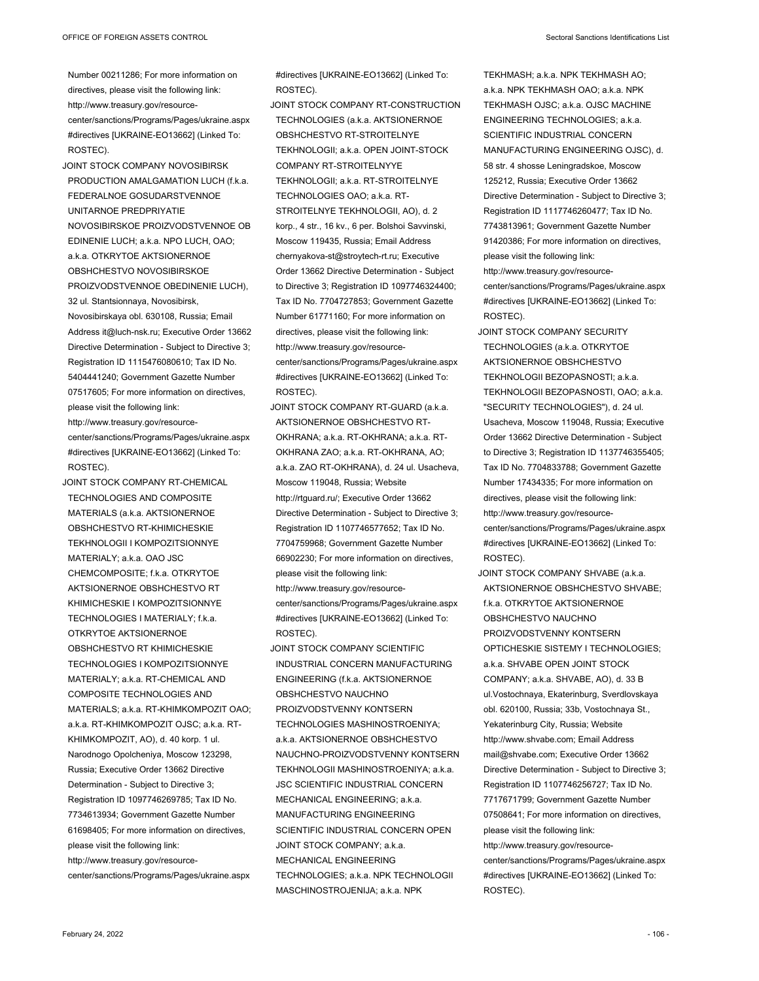- Number 00211286; For more information on directives, please visit the following link: http://www.treasury.gov/resourcecenter/sanctions/Programs/Pages/ukraine.aspx #directives [UKRAINE-EO13662] (Linked To: ROSTEC).
- JOINT STOCK COMPANY NOVOSIBIRSK PRODUCTION AMALGAMATION LUCH (f.k.a. FEDERALNOE GOSUDARSTVENNOE UNITARNOE PREDPRIYATIE NOVOSIBIRSKOE PROIZVODSTVENNOE OB EDINENIE LUCH; a.k.a. NPO LUCH, OAO; a.k.a. OTKRYTOE AKTSIONERNOE OBSHCHESTVO NOVOSIBIRSKOE PROIZVODSTVENNOE OBEDINENIE LUCH), 32 ul. Stantsionnaya, Novosibirsk, Novosibirskaya obl. 630108, Russia; Email Address it@luch-nsk.ru; Executive Order 13662 Directive Determination - Subject to Directive 3; Registration ID 1115476080610; Tax ID No. 5404441240; Government Gazette Number 07517605; For more information on directives, please visit the following link: http://www.treasury.gov/resourcecenter/sanctions/Programs/Pages/ukraine.aspx #directives [UKRAINE-EO13662] (Linked To:
- JOINT STOCK COMPANY RT-CHEMICAL TECHNOLOGIES AND COMPOSITE MATERIALS (a.k.a. AKTSIONERNOE OBSHCHESTVO RT-KHIMICHESKIE TEKHNOLOGII I KOMPOZITSIONNYE MATERIALY; a.k.a. OAO JSC CHEMCOMPOSITE; f.k.a. OTKRYTOE AKTSIONERNOE OBSHCHESTVO RT KHIMICHESKIE I KOMPOZITSIONNYE TECHNOLOGIES I MATERIALY; f.k.a. OTKRYTOE AKTSIONERNOE OBSHCHESTVO RT KHIMICHESKIE TECHNOLOGIES I KOMPOZITSIONNYE MATERIALY; a.k.a. RT-CHEMICAL AND COMPOSITE TECHNOLOGIES AND MATERIALS; a.k.a. RT-KHIMKOMPOZIT OAO; a.k.a. RT-KHIMKOMPOZIT OJSC; a.k.a. RT-KHIMKOMPOZIT, AO), d. 40 korp. 1 ul. Narodnogo Opolcheniya, Moscow 123298, Russia; Executive Order 13662 Directive Determination - Subject to Directive 3; Registration ID 1097746269785; Tax ID No. 7734613934; Government Gazette Number 61698405; For more information on directives, please visit the following link: http://www.treasury.gov/resourcecenter/sanctions/Programs/Pages/ukraine.aspx

#directives [UKRAINE-EO13662] (Linked To: ROSTEC).

- JOINT STOCK COMPANY RT-CONSTRUCTION TECHNOLOGIES (a.k.a. AKTSIONERNOE OBSHCHESTVO RT-STROITELNYE TEKHNOLOGII; a.k.a. OPEN JOINT-STOCK COMPANY RT-STROITELNYYE TEKHNOLOGII; a.k.a. RT-STROITELNYE TECHNOLOGIES OAO; a.k.a. RT-STROITELNYE TEKHNOLOGII, AO), d. 2 korp., 4 str., 16 kv., 6 per. Bolshoi Savvinski, Moscow 119435, Russia; Email Address chernyakova-st@stroytech-rt.ru; Executive Order 13662 Directive Determination - Subject to Directive 3; Registration ID 1097746324400; Tax ID No. 7704727853; Government Gazette Number 61771160; For more information on directives, please visit the following link: http://www.treasury.gov/resourcecenter/sanctions/Programs/Pages/ukraine.aspx #directives [UKRAINE-EO13662] (Linked To: ROSTEC).
- JOINT STOCK COMPANY RT-GUARD (a.k.a. AKTSIONERNOE OBSHCHESTVO RT-OKHRANA; a.k.a. RT-OKHRANA; a.k.a. RT-OKHRANA ZAO; a.k.a. RT-OKHRANA, AO; a.k.a. ZAO RT-OKHRANA), d. 24 ul. Usacheva, Moscow 119048, Russia; Website http://rtguard.ru/; Executive Order 13662 Directive Determination - Subject to Directive 3; Registration ID 1107746577652; Tax ID No. 7704759968; Government Gazette Number 66902230; For more information on directives, please visit the following link: http://www.treasury.gov/resourcecenter/sanctions/Programs/Pages/ukraine.aspx #directives [UKRAINE-EO13662] (Linked To: ROSTEC).
- JOINT STOCK COMPANY SCIENTIFIC INDUSTRIAL CONCERN MANUFACTURING ENGINEERING (f.k.a. AKTSIONERNOE OBSHCHESTVO NAUCHNO PROIZVODSTVENNY KONTSERN TECHNOLOGIES MASHINOSTROENIYA; a.k.a. AKTSIONERNOE OBSHCHESTVO NAUCHNO-PROIZVODSTVENNY KONTSERN TEKHNOLOGII MASHINOSTROENIYA; a.k.a. JSC SCIENTIFIC INDUSTRIAL CONCERN MECHANICAL ENGINEERING; a.k.a. MANUFACTURING ENGINEERING SCIENTIFIC INDUSTRIAL CONCERN OPEN JOINT STOCK COMPANY; a.k.a. MECHANICAL ENGINEERING TECHNOLOGIES; a.k.a. NPK TECHNOLOGII MASCHINOSTROJENIJA; a.k.a. NPK

TEKHMASH; a.k.a. NPK TEKHMASH AO; aka NPK TEKHMASH OAO; aka NPK TEKHMASH OJSC; a.k.a. OJSC MACHINE ENGINEERING TECHNOLOGIES; a.k.a. SCIENTIFIC INDUSTRIAL CONCERN MANUFACTURING ENGINEERING OJSC), d. 58 str. 4 shosse Leningradskoe, Moscow 125212, Russia; Executive Order 13662 Directive Determination - Subject to Directive 3; Registration ID 1117746260477; Tax ID No. 7743813961; Government Gazette Number 91420386; For more information on directives, please visit the following link:

http://www.treasury.gov/resourcecenter/sanctions/Programs/Pages/ukraine.aspx #directives [UKRAINE-EO13662] (Linked To: ROSTEC).

- JOINT STOCK COMPANY SECURITY TECHNOLOGIES (a.k.a. OTKRYTOE AKTSIONERNOE OBSHCHESTVO TEKHNOLOGII BEZOPASNOSTI; a.k.a. TEKHNOLOGII BEZOPASNOSTI, OAO; a.k.a. "SECURITY TECHNOLOGIES"), d. 24 ul. Usacheva, Moscow 119048, Russia; Executive Order 13662 Directive Determination - Subject to Directive 3; Registration ID 1137746355405; Tax ID No. 7704833788; Government Gazette Number 17434335; For more information on directives, please visit the following link: http://www.treasury.gov/resourcecenter/sanctions/Programs/Pages/ukraine.aspx #directives [UKRAINE-EO13662] (Linked To:
- ROSTEC). JOINT STOCK COMPANY SHVABE (a.k.a.
- AKTSIONERNOE OBSHCHESTVO SHVABE; f.k.a. OTKRYTOE AKTSIONERNOE OBSHCHESTVO NAUCHNO PROIZVODSTVENNY KONTSERN OPTICHESKIE SISTEMY I TECHNOLOGIES; a.k.a. SHVABE OPEN JOINT STOCK COMPANY; a.k.a. SHVABE, AO), d. 33 B ul.Vostochnaya, Ekaterinburg, Sverdlovskaya obl. 620100, Russia; 33b, Vostochnaya St., Yekaterinburg City, Russia; Website http://www.shvabe.com; Email Address mail@shvabe.com; Executive Order 13662 Directive Determination - Subject to Directive 3; Registration ID 1107746256727; Tax ID No. 7717671799; Government Gazette Number 07508641; For more information on directives, please visit the following link: http://www.treasury.gov/resourcecenter/sanctions/Programs/Pages/ukraine.aspx #directives [UKRAINE-EO13662] (Linked To: ROSTEC).

ROSTEC).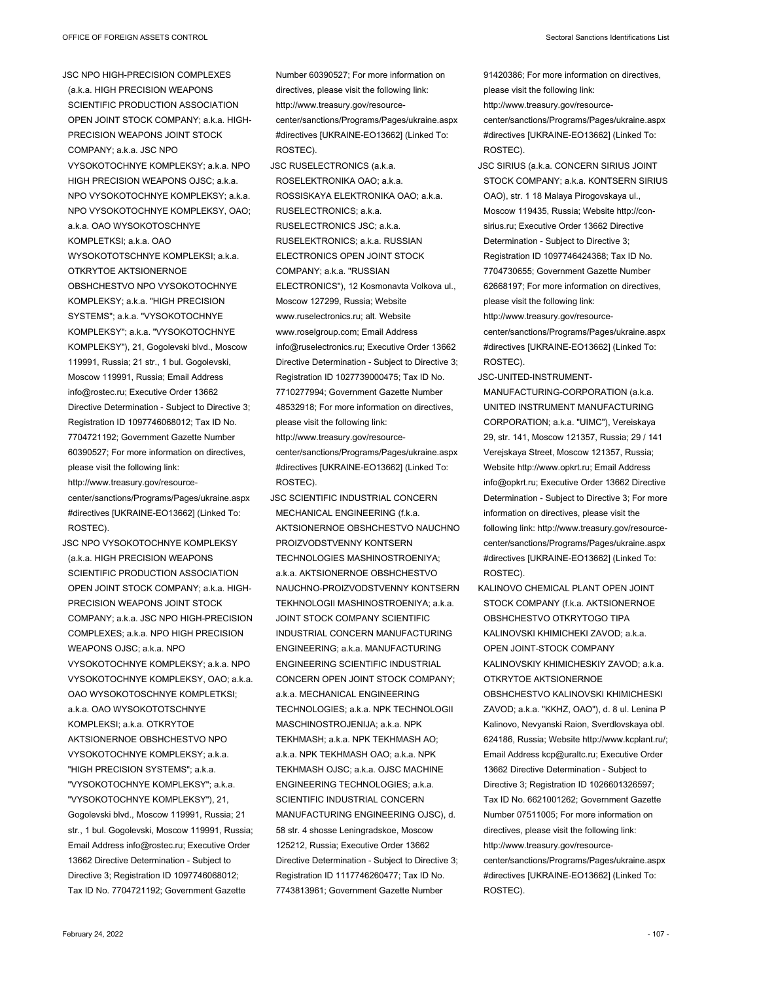JSC NPO HIGH-PRECISION COMPLEXES (a.k.a. HIGH PRECISION WEAPONS SCIENTIFIC PRODUCTION ASSOCIATION OPEN JOINT STOCK COMPANY; a.k.a. HIGH-PRECISION WEAPONS JOINT STOCK COMPANY; a.k.a. JSC NPO VYSOKOTOCHNYE KOMPLEKSY; a.k.a. NPO HIGH PRECISION WEAPONS OJSC; a.k.a. NPO VYSOKOTOCHNYE KOMPLEKSY; a.k.a. NPO VYSOKOTOCHNYE KOMPLEKSY, OAO; a.k.a. OAO WYSOKOTOSCHNYE KOMPLETKSI; a.k.a. OAO WYSOKOTOTSCHNYE KOMPLEKSI; a.k.a. OTKRYTOE AKTSIONERNOE OBSHCHESTVO NPO VYSOKOTOCHNYE KOMPLEKSY; a.k.a. "HIGH PRECISION SYSTEMS"; a.k.a. "VYSOKOTOCHNYE KOMPLEKSY"; a.k.a. "VYSOKOTOCHNYE KOMPLEKSY"), 21, Gogolevski blvd., Moscow 119991, Russia; 21 str., 1 bul. Gogolevski, Moscow 119991, Russia; Email Address info@rostec.ru; Executive Order 13662 Directive Determination - Subject to Directive 3; Registration ID 1097746068012; Tax ID No. 7704721192; Government Gazette Number 60390527; For more information on directives, please visit the following link: http://www.treasury.gov/resourcecenter/sanctions/Programs/Pages/ukraine.aspx #directives [UKRAINE-EO13662] (Linked To: ROSTEC).

JSC NPO VYSOKOTOCHNYE KOMPLEKSY (a.k.a. HIGH PRECISION WEAPONS SCIENTIFIC PRODUCTION ASSOCIATION OPEN JOINT STOCK COMPANY; a.k.a. HIGH-PRECISION WEAPONS JOINT STOCK COMPANY; a.k.a. JSC NPO HIGH-PRECISION COMPLEXES; a.k.a. NPO HIGH PRECISION WEAPONS OJSC; a.k.a. NPO VYSOKOTOCHNYE KOMPLEKSY; a.k.a. NPO VYSOKOTOCHNYE KOMPLEKSY, OAO; a.k.a. OAO WYSOKOTOSCHNYE KOMPLETKSI; a.k.a. OAO WYSOKOTOTSCHNYE KOMPLEKSI; a.k.a. OTKRYTOE AKTSIONERNOE OBSHCHESTVO NPO VYSOKOTOCHNYE KOMPLEKSY; a.k.a. "HIGH PRECISION SYSTEMS"; a.k.a. "VYSOKOTOCHNYE KOMPLEKSY"; a.k.a. "VYSOKOTOCHNYE KOMPLEKSY"), 21, Gogolevski blvd., Moscow 119991, Russia; 21 str., 1 bul. Gogolevski, Moscow 119991, Russia; Email Address info@rostec.ru; Executive Order 13662 Directive Determination - Subject to Directive 3; Registration ID 1097746068012; Tax ID No. 7704721192; Government Gazette

Number 60390527; For more information on directives, please visit the following link: http://www.treasury.gov/resourcecenter/sanctions/Programs/Pages/ukraine.aspx #directives [UKRAINE-EO13662] (Linked To: ROSTEC).

JSC RUSELECTRONICS (a.k.a. ROSELEKTRONIKA OAO; a.k.a. ROSSISKAYA ELEKTRONIKA OAO; a.k.a. RUSELECTRONICS; a.k.a. RUSELECTRONICS JSC; a.k.a. RUSELEKTRONICS; a.k.a. RUSSIAN ELECTRONICS OPEN JOINT STOCK COMPANY; a.k.a. "RUSSIAN ELECTRONICS"), 12 Kosmonavta Volkova ul., Moscow 127299, Russia; Website www.ruselectronics.ru; alt. Website www.roselgroup.com; Email Address info@ruselectronics.ru; Executive Order 13662 Directive Determination - Subject to Directive 3; Registration ID 1027739000475; Tax ID No. 7710277994; Government Gazette Number 48532918; For more information on directives, please visit the following link:

http://www.treasury.gov/resourcecenter/sanctions/Programs/Pages/ukraine.aspx #directives [UKRAINE-EO13662] (Linked To: ROSTEC).

JSC SCIENTIFIC INDUSTRIAL CONCERN MECHANICAL ENGINEERING (f.k.a. AKTSIONERNOE OBSHCHESTVO NAUCHNO PROIZVODSTVENNY KONTSERN TECHNOLOGIES MASHINOSTROENIYA; a.k.a. AKTSIONERNOE OBSHCHESTVO NAUCHNO-PROIZVODSTVENNY KONTSERN TEKHNOLOGII MASHINOSTROENIYA; a.k.a. JOINT STOCK COMPANY SCIENTIFIC INDUSTRIAL CONCERN MANUFACTURING ENGINEERING; a.k.a. MANUFACTURING ENGINEERING SCIENTIFIC INDUSTRIAL CONCERN OPEN JOINT STOCK COMPANY; a.k.a. MECHANICAL ENGINEERING TECHNOLOGIES; a.k.a. NPK TECHNOLOGII MASCHINOSTROJENIJA; a.k.a. NPK TEKHMASH; a.k.a. NPK TEKHMASH AO; a.k.a. NPK TEKHMASH OAO; a.k.a. NPK TEKHMASH OJSC; a.k.a. OJSC MACHINE ENGINEERING TECHNOLOGIES; a.k.a. SCIENTIFIC INDUSTRIAL CONCERN MANUFACTURING ENGINEERING OJSC), d. 58 str. 4 shosse Leningradskoe, Moscow 125212, Russia; Executive Order 13662 Directive Determination - Subject to Directive 3; Registration ID 1117746260477; Tax ID No. 7743813961; Government Gazette Number

91420386; For more information on directives, please visit the following link:

http://www.treasury.gov/resource-

center/sanctions/Programs/Pages/ukraine.aspx #directives [UKRAINE-EO13662] (Linked To: ROSTEC).

JSC SIRIUS (a.k.a. CONCERN SIRIUS JOINT STOCK COMPANY; a.k.a. KONTSERN SIRIUS OAO), str. 1 18 Malaya Pirogovskaya ul., Moscow 119435, Russia; Website http://consirius.ru; Executive Order 13662 Directive Determination - Subject to Directive 3; Registration ID 1097746424368; Tax ID No. 7704730655; Government Gazette Number 62668197; For more information on directives, please visit the following link: http://www.treasury.gov/resourcecenter/sanctions/Programs/Pages/ukraine.aspx

#directives [UKRAINE-EO13662] (Linked To: ROSTEC).

JSC-UNITED-INSTRUMENT-

MANUFACTURING-CORPORATION (a.k.a. UNITED INSTRUMENT MANUFACTURING CORPORATION; a.k.a. "UIMC"), Vereiskaya 29, str. 141, Moscow 121357, Russia; 29 / 141 Verejskaya Street, Moscow 121357, Russia; Website http://www.opkrt.ru; Email Address info@opkrt.ru; Executive Order 13662 Directive Determination - Subject to Directive 3; For more information on directives, please visit the following link: http://www.treasury.gov/resourcecenter/sanctions/Programs/Pages/ukraine.aspx #directives [UKRAINE-EO13662] (Linked To: ROSTEC).

KALINOVO CHEMICAL PLANT OPEN JOINT STOCK COMPANY (f k a AKTSIONERNOE OBSHCHESTVO OTKRYTOGO TIPA KALINOVSKI KHIMICHEKI ZAVOD; a.k.a. OPEN JOINT-STOCK COMPANY KALINOVSKIY KHIMICHESKIY ZAVOD; a.k.a. OTKRYTOE AKTSIONERNOE OBSHCHESTVO KALINOVSKI KHIMICHESKI ZAVOD; a.k.a. "KKHZ, OAO"), d. 8 ul. Lenina P Kalinovo, Nevyanski Raion, Sverdlovskaya obl. 624186, Russia; Website http://www.kcplant.ru/; Email Address kcp@uraltc.ru; Executive Order 13662 Directive Determination - Subject to Directive 3; Registration ID 1026601326597; Tax ID No. 6621001262; Government Gazette Number 07511005; For more information on directives, please visit the following link: http://www.treasury.gov/resourcecenter/sanctions/Programs/Pages/ukraine.aspx #directives [UKRAINE-EO13662] (Linked To: ROSTEC).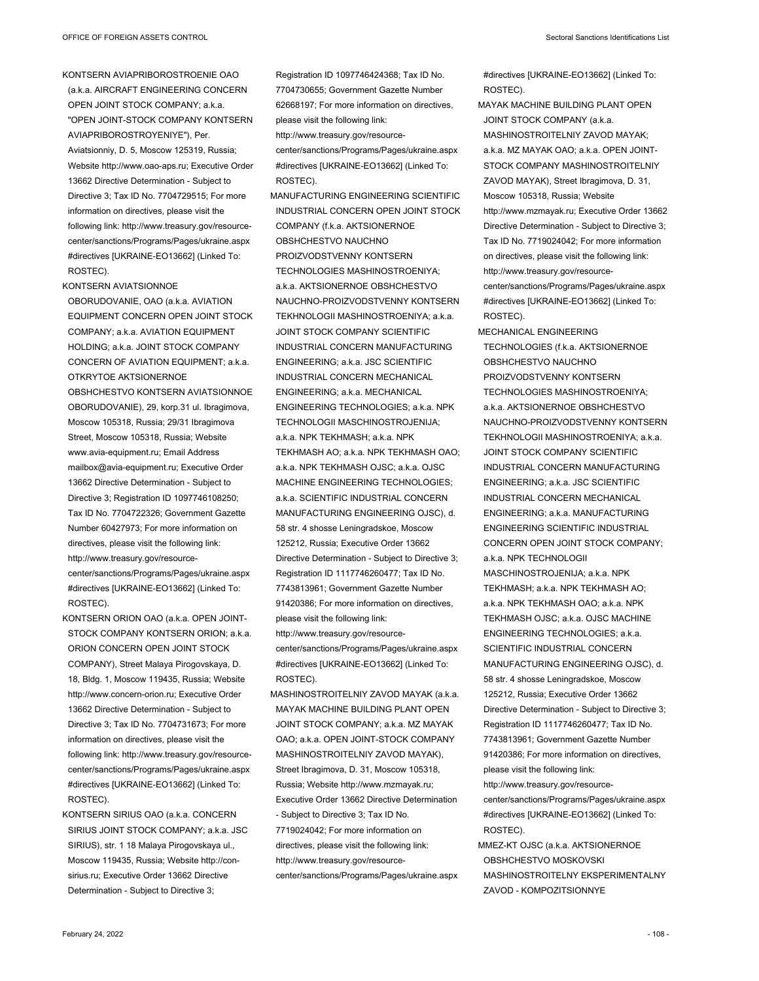KONTSERN AVIAPRIBOROSTROENIE OAO (a.k.a. AIRCRAFT ENGINEERING CONCERN OPEN JOINT STOCK COMPANY; a.k.a. "OPEN JOINT-STOCK COMPANY KONTSERN AVIAPRIBOROSTROYENIYE"), Per. Aviatsionniy, D. 5, Moscow 125319, Russia; Website http://www.oao-aps.ru; Executive Order 13662 Directive Determination - Subject to Directive 3; Tax ID No. 7704729515; For more information on directives, please visit the following link: http://www.treasury.gov/resourcecenter/sanctions/Programs/Pages/ukraine.aspx #directives [UKRAINE-EO13662] (Linked To: ROSTEC).

KONTSERN AVIATSIONNOE OBORUDOVANIE, OAO (a.k.a. AVIATION EQUIPMENT CONCERN OPEN JOINT STOCK COMPANY; a.k.a. AVIATION EQUIPMENT HOLDING; a.k.a. JOINT STOCK COMPANY CONCERN OF AVIATION EQUIPMENT; a.k.a. OTKRYTOE AKTSIONERNOE OBSHCHESTVO KONTSERN AVIATSIONNOE OBORUDOVANIE), 29, korp.31 ul. Ibragimova, Moscow 105318, Russia; 29/31 Ibragimova Street, Moscow 105318, Russia; Website www.avia-equipment.ru; Email Address mailbox@avia-equipment.ru; Executive Order 13662 Directive Determination - Subject to Directive 3; Registration ID 1097746108250; Tax ID No. 7704722326; Government Gazette Number 60427973; For more information on directives, please visit the following link: http://www.treasury.gov/resourcecenter/sanctions/Programs/Pages/ukraine.aspx

#directives [UKRAINE-EO13662] (Linked To: ROSTEC).

- KONTSERN ORION OAO (a.k.a. OPEN JOINT-STOCK COMPANY KONTSERN ORION; a.k.a. ORION CONCERN OPEN JOINT STOCK COMPANY), Street Malaya Pirogovskaya, D. 18, Bldg. 1, Moscow 119435, Russia; Website http://www.concern-orion.ru; Executive Order 13662 Directive Determination - Subject to Directive 3; Tax ID No. 7704731673; For more information on directives, please visit the following link: http://www.treasury.gov/resourcecenter/sanctions/Programs/Pages/ukraine.aspx #directives [UKRAINE-EO13662] (Linked To: ROSTEC).
- KONTSERN SIRIUS OAO (a.k.a. CONCERN SIRIUS JOINT STOCK COMPANY; a.k.a. JSC SIRIUS), str. 1 18 Malaya Pirogovskaya ul., Moscow 119435, Russia; Website http://consirius.ru; Executive Order 13662 Directive Determination - Subject to Directive 3;

Registration ID 1097746424368; Tax ID No. 7704730655; Government Gazette Number 62668197; For more information on directives, please visit the following link: http://www.treasury.gov/resource-

center/sanctions/Programs/Pages/ukraine.aspx #directives [UKRAINE-EO13662] (Linked To: ROSTEC).

MANUFACTURING ENGINEERING SCIENTIFIC INDUSTRIAL CONCERN OPEN JOINT STOCK COMPANY (f.k.a. AKTSIONERNOE OBSHCHESTVO NAUCHNO PROIZVODSTVENNY KONTSERN TECHNOLOGIES MASHINOSTROENIYA; a.k.a. AKTSIONERNOE OBSHCHESTVO NAUCHNO-PROIZVODSTVENNY KONTSERN TEKHNOLOGII MASHINOSTROENIYA; a.k.a. JOINT STOCK COMPANY SCIENTIFIC INDUSTRIAL CONCERN MANUFACTURING ENGINEERING; a.k.a. JSC SCIENTIFIC INDUSTRIAL CONCERN MECHANICAL ENGINEERING; a.k.a. MECHANICAL ENGINEERING TECHNOLOGIES; a.k.a. NPK TECHNOLOGII MASCHINOSTROJENIJA; a.k.a. NPK TEKHMASH; a.k.a. NPK TEKHMASH AO; a.k.a. NPK TEKHMASH OAO; a.k.a. NPK TEKHMASH OJSC; a.k.a. OJSC MACHINE ENGINEERING TECHNOLOGIES; a.k.a. SCIENTIFIC INDUSTRIAL CONCERN MANUFACTURING ENGINEERING OJSC), d. 58 str. 4 shosse Leningradskoe, Moscow 125212, Russia; Executive Order 13662 Directive Determination - Subject to Directive 3; Registration ID 1117746260477; Tax ID No. 7743813961; Government Gazette Number 91420386; For more information on directives, please visit the following link: http://www.treasury.gov/resource-

center/sanctions/Programs/Pages/ukraine.aspx #directives [UKRAINE-EO13662] (Linked To: ROSTEC).

MASHINOSTROITELNIY ZAVOD MAYAK (a.k.a. MAYAK MACHINE BUILDING PLANT OPEN JOINT STOCK COMPANY; a.k.a. MZ MAYAK OAO; a.k.a. OPEN JOINT-STOCK COMPANY MASHINOSTROITELNIY ZAVOD MAYAK), Street Ibragimova, D. 31, Moscow 105318, Russia; Website http://www.mzmayak.ru; Executive Order 13662 Directive Determination - Subject to Directive 3; Tax ID No. 7719024042; For more information on directives, please visit the following link: http://www.treasury.gov/resourcecenter/sanctions/Programs/Pages/ukraine.aspx

#directives [UKRAINE-EO13662] (Linked To: ROSTEC).

MAYAK MACHINE BUILDING PLANT OPEN JOINT STOCK COMPANY (a.k.a. MASHINOSTROITELNIY ZAVOD MAYAK; a.k.a. MZ MAYAK OAO; a.k.a. OPEN JOINT-STOCK COMPANY MASHINOSTROITELNIY ZAVOD MAYAK), Street Ibragimova, D. 31, Moscow 105318, Russia; Website http://www.mzmayak.ru; Executive Order 13662 Directive Determination - Subject to Directive 3; Tax ID No. 7719024042; For more information on directives, please visit the following link: http://www.treasury.gov/resourcecenter/sanctions/Programs/Pages/ukraine.aspx #directives [UKRAINE-EO13662] (Linked To: ROSTEC).

MECHANICAL ENGINEERING TECHNOLOGIES (f.k.a. AKTSIONERNOE OBSHCHESTVO NAUCHNO PROIZVODSTVENNY KONTSERN TECHNOLOGIES MASHINOSTROENIYA; a.k.a. AKTSIONERNOE OBSHCHESTVO NAUCHNO-PROIZVODSTVENNY KONTSERN TEKHNOLOGII MASHINOSTROENIYA; a.k.a. JOINT STOCK COMPANY SCIENTIFIC INDUSTRIAL CONCERN MANUFACTURING ENGINEERING; a.k.a. JSC SCIENTIFIC INDUSTRIAL CONCERN MECHANICAL ENGINEERING; a.k.a. MANUFACTURING ENGINEERING SCIENTIFIC INDUSTRIAL CONCERN OPEN JOINT STOCK COMPANY; a.k.a. NPK TECHNOLOGII MASCHINOSTROJENIJA; a.k.a. NPK TEKHMASH; a.k.a. NPK TEKHMASH AO; a.k.a. NPK TEKHMASH OAO; a.k.a. NPK TEKHMASH OJSC; a.k.a. OJSC MACHINE ENGINEERING TECHNOLOGIES; a.k.a. SCIENTIFIC INDUSTRIAL CONCERN MANUFACTURING ENGINEERING OJSC), d. 58 str. 4 shosse Leningradskoe, Moscow 125212, Russia; Executive Order 13662 Directive Determination - Subject to Directive 3; Registration ID 1117746260477; Tax ID No. 7743813961; Government Gazette Number 91420386; For more information on directives, please visit the following link: http://www.treasury.gov/resourcecenter/sanctions/Programs/Pages/ukraine.aspx #directives [UKRAINE-EO13662] (Linked To:

- ROSTEC). MMEZ-KT OJSC (a.k.a. AKTSIONERNOE OBSHCHESTVO MOSKOVSKI
- MASHINOSTROITELNY EKSPERIMENTALNY ZAVOD - KOMPOZITSIONNYE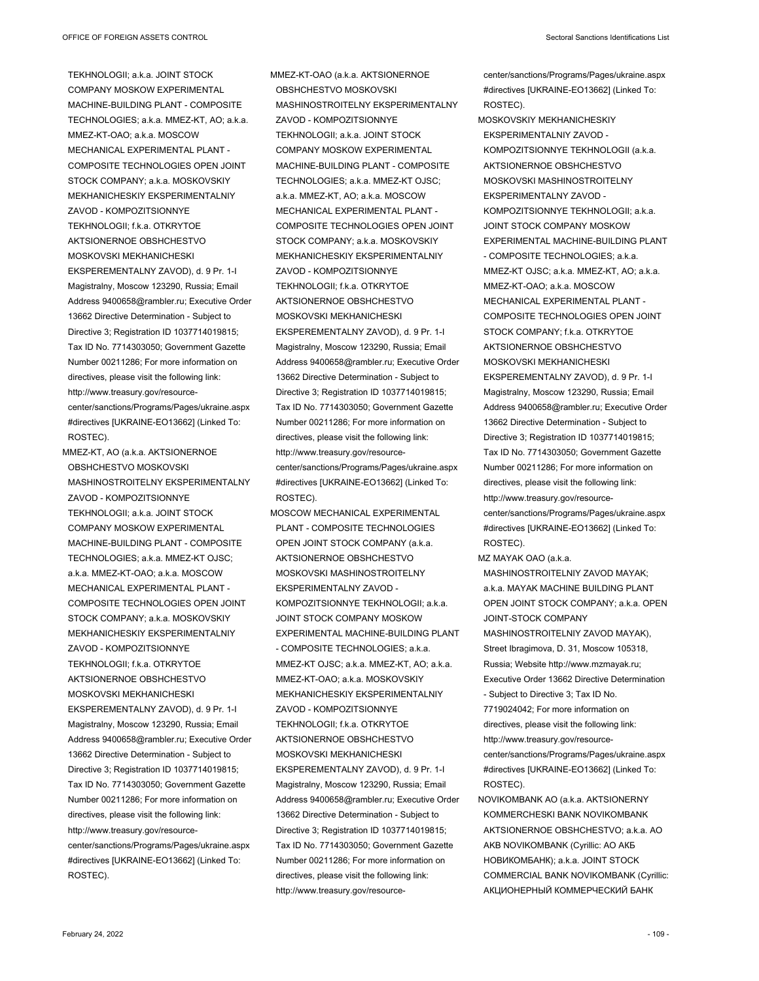TEKHNOLOGII; a.k.a. JOINT STOCK COMPANY MOSKOW EXPERIMENTAL MACHINE-BUILDING PLANT - COMPOSITE TECHNOLOGIES; a.k.a. MMEZ-KT, AO; a.k.a. MMEZ-KT-OAO; a.k.a. MOSCOW MECHANICAL EXPERIMENTAL PLANT - COMPOSITE TECHNOLOGIES OPEN JOINT STOCK COMPANY; a.k.a. MOSKOVSKIY MEKHANICHESKIY EKSPERIMENTALNIY ZAVOD - KOMPOZITSIONNYE TEKHNOLOGII; f.k.a. OTKRYTOE AKTSIONERNOE OBSHCHESTVO MOSKOVSKI MEKHANICHESKI EKSPEREMENTALNY ZAVOD), d. 9 Pr. 1-I Magistralny, Moscow 123290, Russia; Email Address 9400658@rambler.ru; Executive Order 13662 Directive Determination - Subject to Directive 3: Registration ID 1037714019815; Tax ID No. 7714303050; Government Gazette Number 00211286; For more information on directives, please visit the following link: http://www.treasury.gov/resourcecenter/sanctions/Programs/Pages/ukraine.aspx #directives [UKRAINE-EO13662] (Linked To: ROSTEC).

MMEZ-KT, AO (a.k.a. AKTSIONERNOE OBSHCHESTVO MOSKOVSKI MASHINOSTROITELNY EKSPERIMENTALNY ZAVOD - KOMPOZITSIONNYE TEKHNOLOGII; a.k.a. JOINT STOCK COMPANY MOSKOW EXPERIMENTAL MACHINE-BUILDING PLANT - COMPOSITE TECHNOLOGIES; a.k.a. MMEZ-KT OJSC; a.k.a. MMEZ-KT-OAO; a.k.a. MOSCOW MECHANICAL EXPERIMENTAL PLANT - COMPOSITE TECHNOLOGIES OPEN JOINT STOCK COMPANY; a.k.a. MOSKOVSKIY MEKHANICHESKIY EKSPERIMENTALNIY ZAVOD - KOMPOZITSIONNYE TEKHNOLOGII; f.k.a. OTKRYTOE AKTSIONERNOE OBSHCHESTVO MOSKOVSKI MEKHANICHESKI EKSPEREMENTALNY ZAVOD), d. 9 Pr. 1-I Magistralny, Moscow 123290, Russia; Email Address 9400658@rambler.ru; Executive Order 13662 Directive Determination - Subject to Directive 3; Registration ID 1037714019815; Tax ID No. 7714303050; Government Gazette Number 00211286; For more information on directives, please visit the following link: http://www.treasury.gov/resourcecenter/sanctions/Programs/Pages/ukraine.aspx #directives [UKRAINE-EO13662] (Linked To: ROSTEC).

MMEZ-KT-OAO (a.k.a. AKTSIONERNOE OBSHCHESTVO MOSKOVSKI MASHINOSTROITELNY EKSPERIMENTALNY ZAVOD - KOMPOZITSIONNYE TEKHNOLOGII; a.k.a. JOINT STOCK COMPANY MOSKOW EXPERIMENTAL MACHINE-BUILDING PLANT - COMPOSITE TECHNOLOGIES; a.k.a. MMEZ-KT OJSC; a.k.a. MMEZ-KT, AO; a.k.a. MOSCOW MECHANICAL EXPERIMENTAL PLANT - COMPOSITE TECHNOLOGIES OPEN JOINT STOCK COMPANY; a.k.a. MOSKOVSKIY MEKHANICHESKIY EKSPERIMENTALNIY ZAVOD - KOMPOZITSIONNYE TEKHNOLOGII; f.k.a. OTKRYTOE AKTSIONERNOE OBSHCHESTVO MOSKOVSKI MEKHANICHESKI EKSPEREMENTALNY ZAVOD), d. 9 Pr. 1-I Magistralny, Moscow 123290, Russia; Email Address 9400658@rambler.ru; Executive Order 13662 Directive Determination - Subject to Directive 3; Registration ID 1037714019815; Tax ID No. 7714303050; Government Gazette Number 00211286; For more information on directives, please visit the following link: http://www.treasury.gov/resourcecenter/sanctions/Programs/Pages/ukraine.aspx #directives [UKRAINE-EO13662] (Linked To: ROSTEC).

MOSCOW MECHANICAL EXPERIMENTAL PLANT - COMPOSITE TECHNOLOGIES OPEN JOINT STOCK COMPANY (a.k.a. AKTSIONERNOE OBSHCHESTVO MOSKOVSKI MASHINOSTROITELNY EKSPERIMENTALNY ZAVOD - KOMPOZITSIONNYE TEKHNOLOGII; a.k.a. JOINT STOCK COMPANY MOSKOW EXPERIMENTAL MACHINE-BUILDING PLANT - COMPOSITE TECHNOLOGIES; a.k.a. MMEZ-KT OJSC; a.k.a. MMEZ-KT, AO; a.k.a. MMEZ-KT-OAO; a.k.a. MOSKOVSKIY MEKHANICHESKIY EKSPERIMENTALNIY ZAVOD - KOMPOZITSIONNYE TEKHNOLOGII; f.k.a. OTKRYTOE AKTSIONERNOE OBSHCHESTVO MOSKOVSKI MEKHANICHESKI EKSPEREMENTALNY ZAVOD), d. 9 Pr. 1-I Magistralny, Moscow 123290, Russia; Email Address 9400658@rambler.ru; Executive Order 13662 Directive Determination - Subject to Directive 3; Registration ID 1037714019815; Tax ID No. 7714303050; Government Gazette Number 00211286; For more information on directives, please visit the following link: http://www.treasury.gov/resourceROSTEC).

MOSKOVSKIY MEKHANICHESKIY EKSPERIMENTALNIY ZAVOD - KOMPOZITSIONNYE TEKHNOLOGII (a.k.a. AKTSIONERNOE OBSHCHESTVO MOSKOVSKI MASHINOSTROITELNY **EKSPERIMENTALNY ZAVOD -**KOMPOZITSIONNYE TEKHNOLOGII; a.k.a. JOINT STOCK COMPANY MOSKOW EXPERIMENTAL MACHINE-BUILDING PLANT - COMPOSITE TECHNOLOGIES; a.k.a. MMEZ-KT OJSC; a.k.a. MMEZ-KT, AO; a.k.a. MMEZ-KT-OAO; a.k.a. MOSCOW MECHANICAL EXPERIMENTAL PLANT - COMPOSITE TECHNOLOGIES OPEN JOINT STOCK COMPANY; f.k.a. OTKRYTOE AKTSIONERNOE OBSHCHESTVO MOSKOVSKI MEKHANICHESKI EKSPEREMENTALNY ZAVOD), d. 9 Pr. 1-I Magistralny, Moscow 123290, Russia; Email Address 9400658@rambler.ru; Executive Order 13662 Directive Determination - Subject to Directive 3; Registration ID 1037714019815; Tax ID No. 7714303050; Government Gazette Number 00211286; For more information on directives, please visit the following link: http://www.treasury.gov/resourcecenter/sanctions/Programs/Pages/ukraine.aspx #directives [UKRAINE-EO13662] (Linked To: ROSTEC).

MZ MAYAK OAO (a.k.a.

- MASHINOSTROITELNIY ZAVOD MAYAK; a.k.a. MAYAK MACHINE BUILDING PLANT OPEN JOINT STOCK COMPANY; a.k.a. OPEN JOINT-STOCK COMPANY MASHINOSTROITELNIY ZAVOD MAYAK), Street Ibragimova, D. 31, Moscow 105318, Russia; Website http://www.mzmayak.ru; Executive Order 13662 Directive Determination - Subject to Directive 3; Tax ID No. 7719024042; For more information on directives, please visit the following link: http://www.treasury.gov/resourcecenter/sanctions/Programs/Pages/ukraine.aspx
- #directives [UKRAINE-EO13662] (Linked To: ROSTEC).
- NOVIKOMBANK AO (a.k.a. AKTSIONERNY KOMMERCHESKI BANK NOVIKOMBANK AKTSIONERNOE OBSHCHESTVO; a.k.a. AO AKB NOVIKOMBANK (Cyrillic: АО АКБ НОВИКОМБАНК); a.k.a. JOINT STOCK COMMERCIAL BANK NOVIKOMBANK (Cyrillic: АКЦИОНЕРНЫЙ КОММЕРЧЕСКИЙ БАНК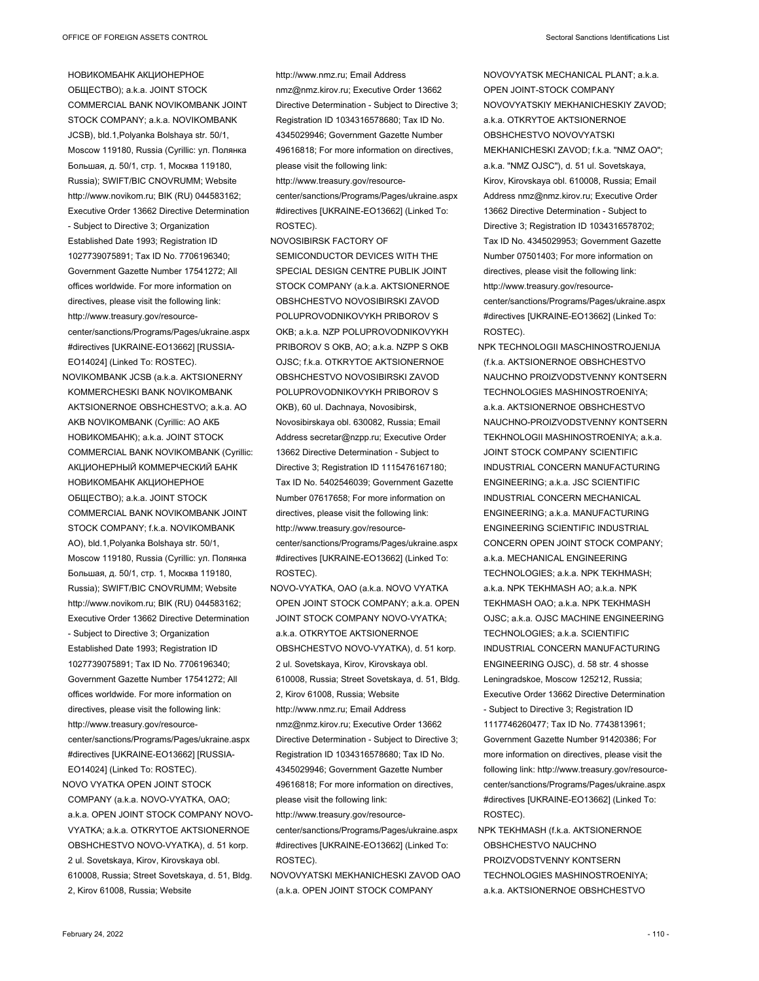НОВИКОМБАНК АКЦИОНЕРНОЕ ОБЩЕСТВО); a.k.a. JOINT STOCK COMMERCIAL BANK NOVIKOMBANK JOINT STOCK COMPANY; a.k.a. NOVIKOMBANK JCSB), bld.1,Polyanka Bolshaya str. 50/1, Moscow 119180, Russia (Cyrillic: ул. Полянка Большая, д. 50/1, стр. 1, Москва 119180, Russia); SWIFT/BIC CNOVRUMM; Website http://www.novikom.ru; BIK (RU) 044583162; Executive Order 13662 Directive Determination - Subject to Directive 3; Organization Established Date 1993; Registration ID 1027739075891; Tax ID No. 7706196340; Government Gazette Number 17541272; All offices worldwide. For more information on directives, please visit the following link: http://www.treasury.gov/resourcecenter/sanctions/Programs/Pages/ukraine.aspx #directives [UKRAINE-EO13662] [RUSSIA-EO14024] (Linked To: ROSTEC).

NOVIKOMBANK JCSB (a.k.a. AKTSIONERNY KOMMERCHESKI BANK NOVIKOMBANK AKTSIONERNOE OBSHCHESTVO; a.k.a. AO AKB NOVIKOMBANK (Cyrillic: АО АКБ НОВИКОМБАНК); a.k.a. JOINT STOCK COMMERCIAL BANK NOVIKOMBANK (Cyrillic: АКЦИОНЕРНЫЙ КОММЕРЧЕСКИЙ БАНК НОВИКОМБАНК АКЦИОНЕРНОЕ ОБЩЕСТВО); a.k.a. JOINT STOCK COMMERCIAL BANK NOVIKOMBANK JOINT STOCK COMPANY; f.k.a. NOVIKOMBANK AO), bld.1,Polyanka Bolshaya str. 50/1, Moscow 119180, Russia (Cyrillic: ул. Полянка Большая, д. 50/1, стр. 1, Москва 119180, Russia); SWIFT/BIC CNOVRUMM; Website http://www.novikom.ru; BIK (RU) 044583162; Executive Order 13662 Directive Determination - Subject to Directive 3; Organization Established Date 1993; Registration ID 1027739075891; Tax ID No. 7706196340; Government Gazette Number 17541272; All offices worldwide. For more information on directives, please visit the following link: http://www.treasury.gov/resourcecenter/sanctions/Programs/Pages/ukraine.aspx #directives [UKRAINE-EO13662] [RUSSIA-EO14024] (Linked To: ROSTEC). NOVO VYATKA OPEN JOINT STOCK

COMPANY (a.k.a. NOVO-VYATKA, OAO; a.k.a. OPEN JOINT STOCK COMPANY NOVO-VYATKA; a.k.a. OTKRYTOE AKTSIONERNOE OBSHCHESTVO NOVO-VYATKA), d. 51 korp. 2 ul. Sovetskaya, Kirov, Kirovskaya obl. 610008, Russia; Street Sovetskaya, d. 51, Bldg. 2, Kirov 61008, Russia; Website

http://www.nmz.ru; Email Address nmz@nmz.kirov.ru; Executive Order 13662 Directive Determination - Subject to Directive 3; Registration ID 1034316578680; Tax ID No. 4345029946; Government Gazette Number 49616818; For more information on directives, please visit the following link: http://www.treasury.gov/resourcecenter/sanctions/Programs/Pages/ukraine.aspx

#directives [UKRAINE-EO13662] (Linked To: ROSTEC).

- NOVOSIBIRSK FACTORY OF SEMICONDUCTOR DEVICES WITH THE SPECIAL DESIGN CENTRE PUBLIK JOINT STOCK COMPANY (a.k.a. AKTSIONERNOE OBSHCHESTVO NOVOSIBIRSKI ZAVOD POLUPROVODNIKOVYKH PRIBOROV S OKB; a.k.a. NZP POLUPROVODNIKOVYKH PRIBOROV S OKB, AO; a.k.a. NZPP S OKB OJSC; f.k.a. OTKRYTOE AKTSIONERNOE OBSHCHESTVO NOVOSIBIRSKI ZAVOD POLUPROVODNIKOVYKH PRIBOROV S OKB), 60 ul. Dachnaya, Novosibirsk, Novosibirskaya obl. 630082, Russia; Email Address secretar@nzpp.ru; Executive Order 13662 Directive Determination - Subject to Directive 3; Registration ID 1115476167180; Tax ID No. 5402546039; Government Gazette Number 07617658; For more information on directives, please visit the following link: http://www.treasury.gov/resourcecenter/sanctions/Programs/Pages/ukraine.aspx #directives [UKRAINE-EO13662] (Linked To: ROSTEC).
- NOVO-VYATKA, OAO (a.k.a. NOVO VYATKA OPEN JOINT STOCK COMPANY; a.k.a. OPEN JOINT STOCK COMPANY NOVO-VYATKA; a.k.a. OTKRYTOE AKTSIONERNOE OBSHCHESTVO NOVO-VYATKA), d. 51 korp. 2 ul. Sovetskaya, Kirov, Kirovskaya obl. 610008, Russia; Street Sovetskaya, d. 51, Bldg. 2, Kirov 61008, Russia; Website http://www.nmz.ru; Email Address nmz@nmz.kirov.ru; Executive Order 13662 Directive Determination - Subject to Directive 3; Registration ID 1034316578680; Tax ID No. 4345029946; Government Gazette Number 49616818; For more information on directives, please visit the following link: http://www.treasury.gov/resource-

center/sanctions/Programs/Pages/ukraine.aspx #directives [UKRAINE-EO13662] (Linked To: ROSTEC).

NOVOVYATSKI MEKHANICHESKI ZAVOD OAO (a.k.a. OPEN JOINT STOCK COMPANY

NOVOVYATSK MECHANICAL PLANT; a.k.a. OPEN JOINT-STOCK COMPANY NOVOVYATSKIY MEKHANICHESKIY ZAVOD; a.k.a. OTKRYTOE AKTSIONERNOE OBSHCHESTVO NOVOVYATSKI MEKHANICHESKI ZAVOD; f.k.a. "NMZ OAO"; a.k.a. "NMZ OJSC"), d. 51 ul. Sovetskaya, Kirov, Kirovskaya obl. 610008, Russia; Email Address nmz@nmz.kirov.ru; Executive Order 13662 Directive Determination - Subject to Directive 3; Registration ID 1034316578702; Tax ID No. 4345029953; Government Gazette Number 07501403; For more information on directives, please visit the following link: http://www.treasury.gov/resourcecenter/sanctions/Programs/Pages/ukraine.aspx #directives [UKRAINE-EO13662] (Linked To: ROSTEC).

- NPK TECHNOLOGII MASCHINOSTROJENIJA (f.k.a. AKTSIONERNOE OBSHCHESTVO NAUCHNO PROIZVODSTVENNY KONTSERN TECHNOLOGIES MASHINOSTROENIYA; a.k.a. AKTSIONERNOE OBSHCHESTVO NAUCHNO-PROIZVODSTVENNY KONTSERN TEKHNOLOGII MASHINOSTROENIYA; a.k.a. JOINT STOCK COMPANY SCIENTIFIC INDUSTRIAL CONCERN MANUFACTURING ENGINEERING; a.k.a. JSC SCIENTIFIC INDUSTRIAL CONCERN MECHANICAL ENGINEERING; a.k.a. MANUFACTURING ENGINEERING SCIENTIFIC INDUSTRIAL CONCERN OPEN JOINT STOCK COMPANY; a.k.a. MECHANICAL ENGINEERING TECHNOLOGIES; a.k.a. NPK TEKHMASH; a.k.a. NPK TEKHMASH AO; a.k.a. NPK TEKHMASH OAO; a.k.a. NPK TEKHMASH OJSC; a.k.a. OJSC MACHINE ENGINEERING TECHNOLOGIES; a.k.a. SCIENTIFIC INDUSTRIAL CONCERN MANUFACTURING ENGINEERING OJSC), d. 58 str. 4 shosse Leningradskoe, Moscow 125212, Russia; Executive Order 13662 Directive Determination - Subject to Directive 3; Registration ID 1117746260477; Tax ID No. 7743813961; Government Gazette Number 91420386; For more information on directives, please visit the following link: http://www.treasury.gov/resourcecenter/sanctions/Programs/Pages/ukraine.aspx #directives [UKRAINE-EO13662] (Linked To: ROSTEC).
- NPK TEKHMASH (f.k.a. AKTSIONERNOE OBSHCHESTVO NAUCHNO PROIZVODSTVENNY KONTSERN TECHNOLOGIES MASHINOSTROENIYA; a.k.a. AKTSIONERNOE OBSHCHESTVO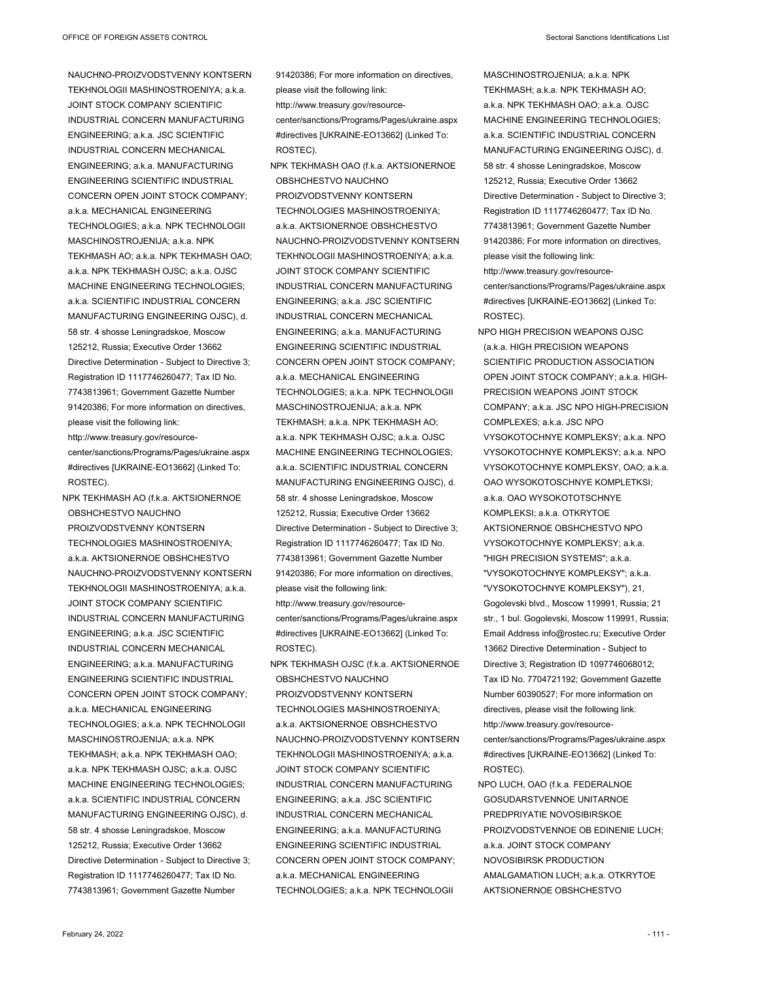NAUCHNO-PROIZVODSTVENNY KONTSERN TEKHNOLOGII MASHINOSTROENIYA; a.k.a. JOINT STOCK COMPANY SCIENTIFIC INDUSTRIAL CONCERN MANUFACTURING ENGINEERING; a.k.a. JSC SCIENTIFIC INDUSTRIAL CONCERN MECHANICAL ENGINEERING; a.k.a. MANUFACTURING ENGINEERING SCIENTIFIC INDUSTRIAL CONCERN OPEN JOINT STOCK COMPANY; a.k.a. MECHANICAL ENGINEERING TECHNOLOGIES; a.k.a. NPK TECHNOLOGII MASCHINOSTROJENIJA; a.k.a. NPK TEKHMASH AO; a.k.a. NPK TEKHMASH OAO; a.k.a. NPK TEKHMASH OJSC; a.k.a. OJSC MACHINE ENGINEERING TECHNOLOGIES; a.k.a. SCIENTIFIC INDUSTRIAL CONCERN MANUFACTURING ENGINEERING OJSC), d. 58 str. 4 shosse Leningradskoe, Moscow 125212, Russia; Executive Order 13662 Directive Determination - Subject to Directive 3; Registration ID 1117746260477; Tax ID No. 7743813961; Government Gazette Number 91420386; For more information on directives, please visit the following link: http://www.treasury.gov/resourcecenter/sanctions/Programs/Pages/ukraine.aspx #directives [UKRAINE-EO13662] (Linked To: ROSTEC).

NPK TEKHMASH AO (f.k.a. AKTSIONERNOE OBSHCHESTVO NAUCHNO PROIZVODSTVENNY KONTSERN TECHNOLOGIES MASHINOSTROENIYA; a.k.a. AKTSIONERNOE OBSHCHESTVO NAUCHNO-PROIZVODSTVENNY KONTSERN TEKHNOLOGII MASHINOSTROENIYA; a.k.a. JOINT STOCK COMPANY SCIENTIFIC INDUSTRIAL CONCERN MANUFACTURING ENGINEERING; a.k.a. JSC SCIENTIFIC INDUSTRIAL CONCERN MECHANICAL ENGINEERING; a.k.a. MANUFACTURING ENGINEERING SCIENTIFIC INDUSTRIAL CONCERN OPEN JOINT STOCK COMPANY; a.k.a. MECHANICAL ENGINEERING TECHNOLOGIES; a.k.a. NPK TECHNOLOGII MASCHINOSTROJENIJA; a.k.a. NPK TEKHMASH; a.k.a. NPK TEKHMASH OAO; a.k.a. NPK TEKHMASH OJSC; a.k.a. OJSC MACHINE ENGINEERING TECHNOLOGIES; a.k.a. SCIENTIFIC INDUSTRIAL CONCERN MANUFACTURING ENGINEERING OJSC), d. 58 str. 4 shosse Leningradskoe, Moscow 125212, Russia; Executive Order 13662 Directive Determination - Subject to Directive 3; Registration ID 1117746260477; Tax ID No. 7743813961; Government Gazette Number

91420386; For more information on directives, please visit the following link: http://www.treasury.gov/resourcecenter/sanctions/Programs/Pages/ukraine.aspx #directives [UKRAINE-EO13662] (Linked To: ROSTEC).

NPK TEKHMASH OAO (f.k.a. AKTSIONERNOE OBSHCHESTVO NAUCHNO PROIZVODSTVENNY KONTSERN TECHNOLOGIES MASHINOSTROENIYA; a.k.a. AKTSIONERNOE OBSHCHESTVO NAUCHNO-PROIZVODSTVENNY KONTSERN TEKHNOLOGII MASHINOSTROENIYA; a.k.a. JOINT STOCK COMPANY SCIENTIFIC INDUSTRIAL CONCERN MANUFACTURING ENGINEERING; a.k.a. JSC SCIENTIFIC INDUSTRIAL CONCERN MECHANICAL ENGINEERING; a.k.a. MANUFACTURING ENGINEERING SCIENTIFIC INDUSTRIAL CONCERN OPEN JOINT STOCK COMPANY; a.k.a. MECHANICAL ENGINEERING TECHNOLOGIES; a.k.a. NPK TECHNOLOGII MASCHINOSTROJENIJA; a.k.a. NPK TEKHMASH; a.k.a. NPK TEKHMASH AO; a.k.a. NPK TEKHMASH OJSC; a.k.a. OJSC MACHINE ENGINEERING TECHNOLOGIES; a.k.a. SCIENTIFIC INDUSTRIAL CONCERN MANUFACTURING ENGINEERING OJSC), d. 58 str. 4 shosse Leningradskoe, Moscow 125212, Russia; Executive Order 13662 Directive Determination - Subject to Directive 3; Registration ID 1117746260477; Tax ID No. 7743813961; Government Gazette Number 91420386; For more information on directives, please visit the following link: http://www.treasury.gov/resourcecenter/sanctions/Programs/Pages/ukraine.aspx #directives [UKRAINE-EO13662] (Linked To: ROSTEC).

NPK TEKHMASH OJSC (f.k.a. AKTSIONERNOE OBSHCHESTVO NAUCHNO PROIZVODSTVENNY KONTSERN TECHNOLOGIES MASHINOSTROENIYA; a.k.a. AKTSIONERNOE OBSHCHESTVO NAUCHNO-PROIZVODSTVENNY KONTSERN TEKHNOLOGII MASHINOSTROENIYA; a.k.a. JOINT STOCK COMPANY SCIENTIFIC INDUSTRIAL CONCERN MANUFACTURING ENGINEERING; a.k.a. JSC SCIENTIFIC INDUSTRIAL CONCERN MECHANICAL ENGINEERING; a.k.a. MANUFACTURING ENGINEERING SCIENTIFIC INDUSTRIAL CONCERN OPEN JOINT STOCK COMPANY; a.k.a. MECHANICAL ENGINEERING TECHNOLOGIES; a.k.a. NPK TECHNOLOGII

MASCHINOSTROJENIJA; a.k.a. NPK TEKHMASH; a.k.a. NPK TEKHMASH AO; a.k.a. NPK TEKHMASH OAO; a.k.a. OJSC MACHINE ENGINEERING TECHNOLOGIES; a.k.a. SCIENTIFIC INDUSTRIAL CONCERN MANUFACTURING ENGINEERING OJSC), d. 58 str. 4 shosse Leningradskoe, Moscow 125212, Russia; Executive Order 13662 Directive Determination - Subject to Directive 3; Registration ID 1117746260477; Tax ID No. 7743813961; Government Gazette Number 91420386; For more information on directives, please visit the following link: http://www.treasury.gov/resource-

center/sanctions/Programs/Pages/ukraine.aspx #directives [UKRAINE-EO13662] (Linked To: ROSTEC).

- NPO HIGH PRECISION WEAPONS OJSC (a.k.a. HIGH PRECISION WEAPONS SCIENTIFIC PRODUCTION ASSOCIATION OPEN JOINT STOCK COMPANY; a.k.a. HIGH-PRECISION WEAPONS JOINT STOCK COMPANY; a.k.a. JSC NPO HIGH-PRECISION COMPLEXES; a.k.a. JSC NPO VYSOKOTOCHNYE KOMPLEKSY; a.k.a. NPO VYSOKOTOCHNYE KOMPLEKSY; a.k.a. NPO VYSOKOTOCHNYE KOMPLEKSY, OAO; a.k.a. OAO WYSOKOTOSCHNYE KOMPLETKSI: a.k.a. OAO WYSOKOTOTSCHNYE KOMPLEKSI; a.k.a. OTKRYTOE AKTSIONERNOE OBSHCHESTVO NPO VYSOKOTOCHNYE KOMPLEKSY; a.k.a. "HIGH PRECISION SYSTEMS"; a.k.a. "VYSOKOTOCHNYE KOMPLEKSY"; a.k.a. "VYSOKOTOCHNYE KOMPLEKSY"), 21, Gogolevski blvd., Moscow 119991, Russia; 21 str., 1 bul. Gogolevski, Moscow 119991, Russia; Email Address info@rostec.ru; Executive Order 13662 Directive Determination - Subject to Directive 3; Registration ID 1097746068012; Tax ID No. 7704721192; Government Gazette Number 60390527; For more information on directives, please visit the following link: http://www.treasury.gov/resourcecenter/sanctions/Programs/Pages/ukraine.aspx #directives [UKRAINE-EO13662] (Linked To: ROSTEC).
- NPO LUCH, OAO (f.k.a. FEDERALNOE GOSUDARSTVENNOE UNITARNOE PREDPRIYATIE NOVOSIBIRSKOE PROIZVODSTVENNOE OB EDINENIE LUCH; a.k.a. JOINT STOCK COMPANY NOVOSIBIRSK PRODUCTION AMALGAMATION LUCH; a.k.a. OTKRYTOE AKTSIONERNOE OBSHCHESTVO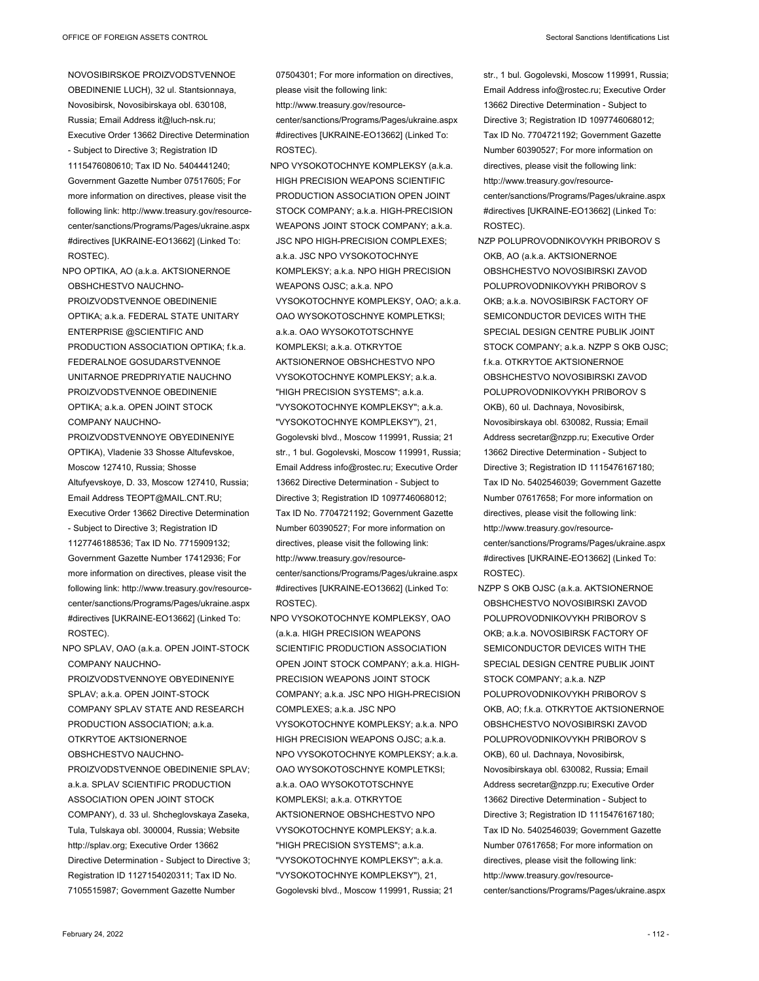NOVOSIBIRSKOE PROIZVODSTVENNOE OBEDINENIE LUCH), 32 ul. Stantsionnaya, Novosibirsk, Novosibirskaya obl. 630108, Russia; Email Address it@luch-nsk.ru; Executive Order 13662 Directive Determination - Subject to Directive 3; Registration ID 1115476080610; Tax ID No. 5404441240; Government Gazette Number 07517605; For more information on directives, please visit the following link: http://www.treasury.gov/resourcecenter/sanctions/Programs/Pages/ukraine.aspx #directives [UKRAINE-EO13662] (Linked To: ROSTEC).

NPO OPTIKA, AO (a.k.a. AKTSIONERNOE OBSHCHESTVO NAUCHNO-PROIZVODSTVENNOE OBEDINENIE OPTIKA; a.k.a. FEDERAL STATE UNITARY ENTERPRISE @SCIENTIFIC AND PRODUCTION ASSOCIATION OPTIKA; f.k.a. FEDERALNOE GOSUDARSTVENNOE UNITARNOE PREDPRIYATIE NAUCHNO PROIZVODSTVENNOE OBEDINENIE OPTIKA; a.k.a. OPEN JOINT STOCK COMPANY NAUCHNO-

PROIZVODSTVENNOYE OBYEDINENIYE OPTIKA), Vladenie 33 Shosse Altufevskoe, Moscow 127410, Russia; Shosse Altufyevskoye, D. 33, Moscow 127410, Russia; Email Address TEOPT@MAIL.CNT.RU; Executive Order 13662 Directive Determination - Subject to Directive 3; Registration ID 1127746188536; Tax ID No. 7715909132; Government Gazette Number 17412936; For more information on directives, please visit the following link: http://www.treasury.gov/resourcecenter/sanctions/Programs/Pages/ukraine.aspx #directives [UKRAINE-EO13662] (Linked To: ROSTEC).

NPO SPLAV, OAO (a.k.a. OPEN JOINT-STOCK COMPANY NAUCHNO-PROIZVODSTVENNOYE OBYEDINENIYE SPLAV; a.k.a. OPEN JOINT-STOCK COMPANY SPLAV STATE AND RESEARCH PRODUCTION ASSOCIATION; a.k.a. OTKRYTOE AKTSIONERNOE OBSHCHESTVO NAUCHNO-PROIZVODSTVENNOE OBEDINENIE SPLAV; a.k.a. SPLAV SCIENTIFIC PRODUCTION ASSOCIATION OPEN JOINT STOCK COMPANY), d. 33 ul. Shcheglovskaya Zaseka, Tula, Tulskaya obl. 300004, Russia; Website http://splav.org; Executive Order 13662 Directive Determination - Subject to Directive 3; Registration ID 1127154020311; Tax ID No. 7105515987; Government Gazette Number

07504301; For more information on directives, please visit the following link:

http://www.treasury.gov/resource-

center/sanctions/Programs/Pages/ukraine.aspx #directives [UKRAINE-EO13662] (Linked To: ROSTEC).

NPO VYSOKOTOCHNYE KOMPLEKSY (a.k.a. HIGH PRECISION WEAPONS SCIENTIFIC PRODUCTION ASSOCIATION OPEN JOINT STOCK COMPANY; a.k.a. HIGH-PRECISION WEAPONS JOINT STOCK COMPANY; a.k.a. JSC NPO HIGH-PRECISION COMPLEXES; a.k.a. JSC NPO VYSOKOTOCHNYE KOMPLEKSY; a.k.a. NPO HIGH PRECISION WEAPONS OJSC; a.k.a. NPO VYSOKOTOCHNYE KOMPLEKSY, OAO; a.k.a. OAO WYSOKOTOSCHNYE KOMPLETKSI; a.k.a. OAO WYSOKOTOTSCHNYE KOMPLEKSI; a.k.a. OTKRYTOE AKTSIONERNOE OBSHCHESTVO NPO VYSOKOTOCHNYE KOMPLEKSY; a.k.a. "HIGH PRECISION SYSTEMS"; a.k.a. "VYSOKOTOCHNYE KOMPLEKSY"; a.k.a. "VYSOKOTOCHNYE KOMPLEKSY"), 21, Gogolevski blvd., Moscow 119991, Russia; 21 str., 1 bul. Gogolevski, Moscow 119991, Russia; Email Address info@rostec.ru; Executive Order 13662 Directive Determination - Subject to Directive 3; Registration ID 1097746068012; Tax ID No. 7704721192; Government Gazette Number 60390527; For more information on directives, please visit the following link: http://www.treasury.gov/resourcecenter/sanctions/Programs/Pages/ukraine.aspx #directives [UKRAINE-EO13662] (Linked To: ROSTEC).

NPO VYSOKOTOCHNYE KOMPLEKSY, OAO (a.k.a. HIGH PRECISION WEAPONS SCIENTIFIC PRODUCTION ASSOCIATION OPEN JOINT STOCK COMPANY; a.k.a. HIGH-PRECISION WEAPONS JOINT STOCK COMPANY; a.k.a. JSC NPO HIGH-PRECISION COMPLEXES; a.k.a. JSC NPO VYSOKOTOCHNYE KOMPLEKSY; a.k.a. NPO HIGH PRECISION WEAPONS OJSC; a.k.a. NPO VYSOKOTOCHNYE KOMPLEKSY; a.k.a. OAO WYSOKOTOSCHNYE KOMPLETKSI; a.k.a. OAO WYSOKOTOTSCHNYE KOMPLEKSI; a.k.a. OTKRYTOE AKTSIONERNOE OBSHCHESTVO NPO VYSOKOTOCHNYE KOMPLEKSY; a.k.a. "HIGH PRECISION SYSTEMS": a k a "VYSOKOTOCHNYE KOMPLEKSY"; a.k.a. "VYSOKOTOCHNYE KOMPLEKSY"), 21, Gogolevski blvd., Moscow 119991, Russia; 21

str., 1 bul. Gogolevski, Moscow 119991, Russia; Email Address info@rostec.ru; Executive Order 13662 Directive Determination - Subject to Directive 3; Registration ID 1097746068012; Tax ID No. 7704721192; Government Gazette Number 60390527; For more information on directives, please visit the following link: http://www.treasury.gov/resourcecenter/sanctions/Programs/Pages/ukraine.aspx #directives [UKRAINE-EO13662] (Linked To: ROSTEC).

- NZP POLUPROVODNIKOVYKH PRIBOROV S OKB, AO (a.k.a. AKTSIONERNOE OBSHCHESTVO NOVOSIBIRSKI ZAVOD POLUPROVODNIKOVYKH PRIBOROV S OKB; a.k.a. NOVOSIBIRSK FACTORY OF SEMICONDUCTOR DEVICES WITH THE SPECIAL DESIGN CENTRE PUBLIK JOINT STOCK COMPANY; a.k.a. NZPP S OKB OJSC; f.k.a. OTKRYTOE AKTSIONERNOE OBSHCHESTVO NOVOSIBIRSKI ZAVOD POLUPROVODNIKOVYKH PRIBOROV S OKB), 60 ul. Dachnaya, Novosibirsk, Novosibirskaya obl. 630082, Russia; Email Address secretar@nzpp.ru; Executive Order 13662 Directive Determination - Subject to Directive 3; Registration ID 1115476167180; Tax ID No. 5402546039; Government Gazette Number 07617658; For more information on directives, please visit the following link: http://www.treasury.gov/resourcecenter/sanctions/Programs/Pages/ukraine.aspx #directives [UKRAINE-EO13662] (Linked To: ROSTEC).
- NZPP S OKB OJSC (a.k.a. AKTSIONERNOE OBSHCHESTVO NOVOSIBIRSKI ZAVOD POLUPROVODNIKOVYKH PRIBOROV S OKB; a.k.a. NOVOSIBIRSK FACTORY OF SEMICONDUCTOR DEVICES WITH THE SPECIAL DESIGN CENTRE PUBLIK JOINT STOCK COMPANY; a k a NZP POLUPROVODNIKOVYKH PRIBOROV S OKB, AO; f.k.a. OTKRYTOE AKTSIONERNOE OBSHCHESTVO NOVOSIBIRSKI ZAVOD POLUPROVODNIKOVYKH PRIBOROV S OKB), 60 ul. Dachnaya, Novosibirsk, Novosibirskaya obl. 630082, Russia; Email Address secretar@nzpp.ru; Executive Order 13662 Directive Determination - Subject to Directive 3; Registration ID 1115476167180; Tax ID No. 5402546039; Government Gazette Number 07617658; For more information on directives, please visit the following link: http://www.treasury.gov/resourcecenter/sanctions/Programs/Pages/ukraine.aspx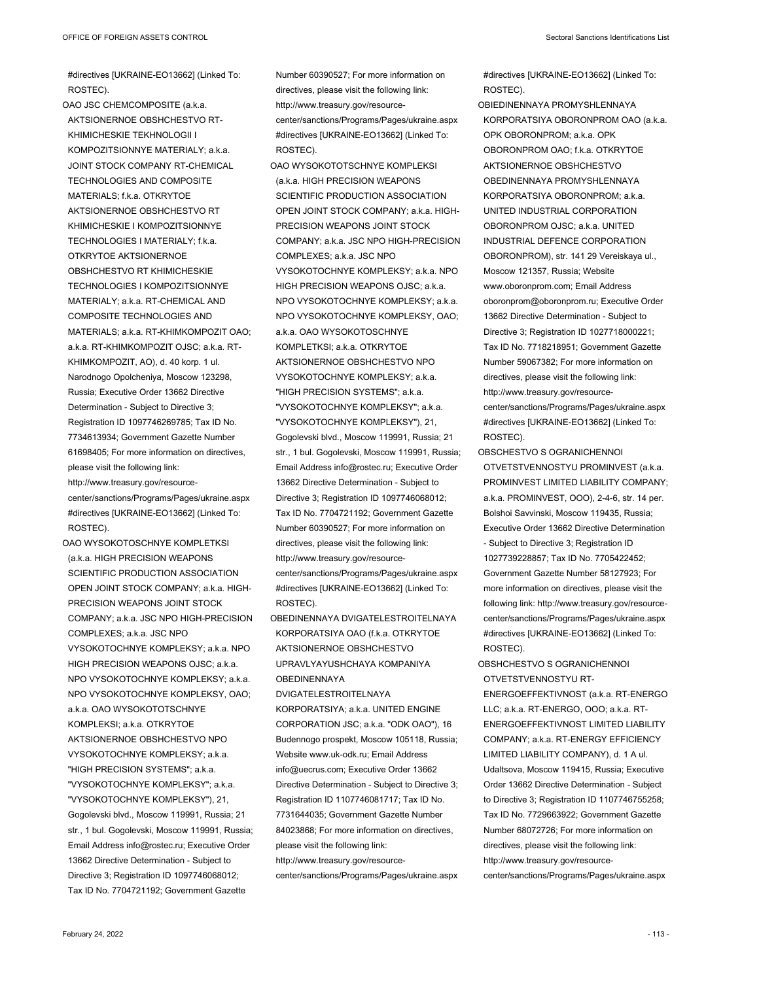#directives [UKRAINE-EO13662] (Linked To: ROSTEC).

OAO JSC CHEMCOMPOSITE (a.k.a. AKTSIONERNOE OBSHCHESTVO RT-KHIMICHESKIE TEKHNOLOGII I KOMPOZITSIONNYE MATERIALY; a.k.a. JOINT STOCK COMPANY RT-CHEMICAL TECHNOLOGIES AND COMPOSITE MATERIALS; f.k.a. OTKRYTOE AKTSIONERNOE OBSHCHESTVO RT KHIMICHESKIE I KOMPOZITSIONNYE TECHNOLOGIES I MATERIALY; f.k.a. OTKRYTOE AKTSIONERNOE OBSHCHESTVO RT KHIMICHESKIE TECHNOLOGIES I KOMPOZITSIONNYE MATERIALY; a.k.a. RT-CHEMICAL AND COMPOSITE TECHNOLOGIES AND MATERIALS; a.k.a. RT-KHIMKOMPOZIT OAO; a.k.a. RT-KHIMKOMPOZIT OJSC; a.k.a. RT-KHIMKOMPOZIT, AO), d. 40 korp. 1 ul. Narodnogo Opolcheniya, Moscow 123298, Russia; Executive Order 13662 Directive Determination - Subject to Directive 3; Registration ID 1097746269785; Tax ID No. 7734613934; Government Gazette Number 61698405; For more information on directives, please visit the following link: http://www.treasury.gov/resourcecenter/sanctions/Programs/Pages/ukraine.aspx #directives [UKRAINE-EO13662] (Linked To: ROSTEC).

OAO WYSOKOTOSCHNYE KOMPLETKSI (a.k.a. HIGH PRECISION WEAPONS SCIENTIFIC PRODUCTION ASSOCIATION OPEN JOINT STOCK COMPANY; a.k.a. HIGH-PRECISION WEAPONS JOINT STOCK COMPANY; a.k.a. JSC NPO HIGH-PRECISION COMPLEXES; a.k.a. JSC NPO VYSOKOTOCHNYE KOMPLEKSY; a.k.a. NPO HIGH PRECISION WEAPONS OJSC; a.k.a. NPO VYSOKOTOCHNYE KOMPLEKSY; a.k.a. NPO VYSOKOTOCHNYE KOMPLEKSY, OAO; a.k.a. OAO WYSOKOTOTSCHNYE KOMPLEKSI; a.k.a. OTKRYTOE AKTSIONERNOE OBSHCHESTVO NPO VYSOKOTOCHNYE KOMPLEKSY; a.k.a. "HIGH PRECISION SYSTEMS"; a.k.a. "VYSOKOTOCHNYE KOMPLEKSY"; a.k.a. "VYSOKOTOCHNYE KOMPLEKSY"), 21, Gogolevski blvd., Moscow 119991, Russia; 21 str., 1 bul. Gogolevski, Moscow 119991, Russia; Email Address info@rostec.ru; Executive Order 13662 Directive Determination - Subject to Directive 3; Registration ID 1097746068012; Tax ID No. 7704721192; Government Gazette

Number 60390527; For more information on directives, please visit the following link: http://www.treasury.gov/resourcecenter/sanctions/Programs/Pages/ukraine.aspx #directives [UKRAINE-EO13662] (Linked To: ROSTEC).

OAO WYSOKOTOTSCHNYE KOMPLEKSI (a.k.a. HIGH PRECISION WEAPONS SCIENTIFIC PRODUCTION ASSOCIATION OPEN JOINT STOCK COMPANY; a.k.a. HIGH-PRECISION WEAPONS JOINT STOCK COMPANY; a.k.a. JSC NPO HIGH-PRECISION COMPLEXES; a.k.a. JSC NPO VYSOKOTOCHNYE KOMPLEKSY; a.k.a. NPO HIGH PRECISION WEAPONS OJSC; a.k.a. NPO VYSOKOTOCHNYE KOMPLEKSY; a.k.a. NPO VYSOKOTOCHNYE KOMPLEKSY, OAO; a.k.a. OAO WYSOKOTOSCHNYE KOMPLETKSI; a.k.a. OTKRYTOE AKTSIONERNOE OBSHCHESTVO NPO VYSOKOTOCHNYE KOMPLEKSY; a.k.a. "HIGH PRECISION SYSTEMS"; a.k.a. "VYSOKOTOCHNYE KOMPLEKSY"; a.k.a. "VYSOKOTOCHNYE KOMPLEKSY"), 21, Gogolevski blvd., Moscow 119991, Russia; 21 str., 1 bul. Gogolevski, Moscow 119991, Russia; Email Address info@rostec.ru; Executive Order 13662 Directive Determination - Subject to Directive 3; Registration ID 1097746068012; Tax ID No. 7704721192; Government Gazette Number 60390527; For more information on directives, please visit the following link: http://www.treasury.gov/resourcecenter/sanctions/Programs/Pages/ukraine.aspx

#directives [UKRAINE-EO13662] (Linked To: ROSTEC).

OBEDINENNAYA DVIGATELESTROITELNAYA KORPORATSIYA OAO (f.k.a. OTKRYTOE AKTSIONERNOE OBSHCHESTVO UPRAVLYAYUSHCHAYA KOMPANIYA **OBEDINENNAYA** 

DVIGATELESTROITELNAYA KORPORATSIYA; a.k.a. UNITED ENGINE CORPORATION JSC; a.k.a. "ODK OAO"), 16 Budennogo prospekt, Moscow 105118, Russia; Website www.uk-odk.ru; Email Address info@uecrus.com; Executive Order 13662 Directive Determination - Subject to Directive 3; Registration ID 1107746081717; Tax ID No. 7731644035; Government Gazette Number 84023868; For more information on directives, please visit the following link: http://www.treasury.gov/resource-

center/sanctions/Programs/Pages/ukraine.aspx

#directives [UKRAINE-EO13662] (Linked To: ROSTEC).

- OBIEDINENNAYA PROMYSHLENNAYA KORPORATSIYA OBORONPROM OAO (a.k.a. OPK OBORONPROM; a.k.a. OPK OBORONPROM OAO; f.k.a. OTKRYTOE AKTSIONERNOE OBSHCHESTVO OBEDINENNAYA PROMYSHLENNAYA KORPORATSIYA OBORONPROM; a.k.a. UNITED INDUSTRIAL CORPORATION OBORONPROM OJSC; a.k.a. UNITED INDUSTRIAL DEFENCE CORPORATION OBORONPROM), str. 141 29 Vereiskaya ul., Moscow 121357, Russia; Website www.oboronprom.com; Email Address oboronprom@oboronprom.ru; Executive Order 13662 Directive Determination - Subject to Directive 3; Registration ID 1027718000221; Tax ID No. 7718218951; Government Gazette Number 59067382; For more information on directives, please visit the following link: http://www.treasury.gov/resourcecenter/sanctions/Programs/Pages/ukraine.aspx #directives [UKRAINE-EO13662] (Linked To: ROSTEC).
- OBSCHESTVO S OGRANICHENNOI OTVETSTVENNOSTYU PROMINVEST (a.k.a. PROMINVEST LIMITED LIABILITY COMPANY; a.k.a. PROMINVEST, OOO), 2-4-6, str. 14 per. Bolshoi Savvinski, Moscow 119435, Russia; Executive Order 13662 Directive Determination - Subject to Directive 3; Registration ID 1027739228857; Tax ID No. 7705422452; Government Gazette Number 58127923; For more information on directives, please visit the following link: http://www.treasury.gov/resourcecenter/sanctions/Programs/Pages/ukraine.aspx #directives [UKRAINE-EO13662] (Linked To: ROSTEC).

OBSHCHESTVO S OGRANICHENNOI OTVETSTVENNOSTYU RT-

ENERGOEFFEKTIVNOST (a.k.a. RT-ENERGO LLC; a.k.a. RT-ENERGO, OOO; a.k.a. RT-ENERGOEFFEKTIVNOST LIMITED LIABILITY COMPANY; a.k.a. RT-ENERGY EFFICIENCY LIMITED LIABILITY COMPANY), d. 1 A ul. Udaltsova, Moscow 119415, Russia; Executive Order 13662 Directive Determination - Subject to Directive 3; Registration ID 1107746755258; Tax ID No. 7729663922; Government Gazette Number 68072726; For more information on directives, please visit the following link: http://www.treasury.gov/resource-

center/sanctions/Programs/Pages/ukraine.aspx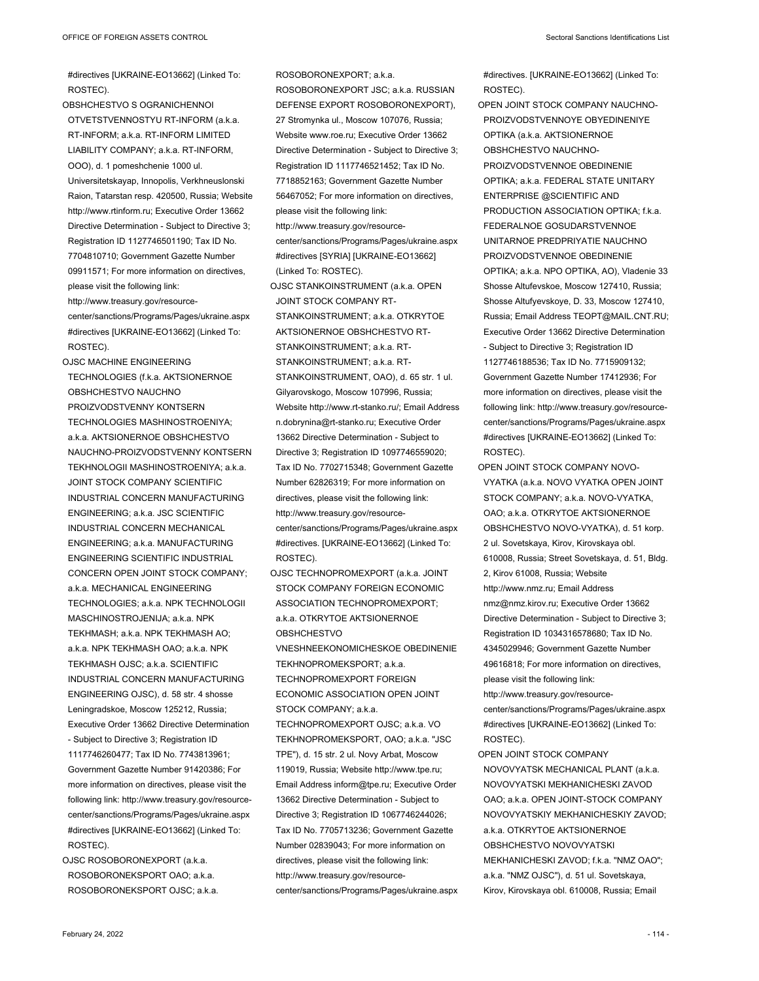#directives [UKRAINE-EO13662] (Linked To: ROSTEC).

OBSHCHESTVO S OGRANICHENNOI OTVETSTVENNOSTYU RT-INFORM (a.k.a. RT-INFORM; a.k.a. RT-INFORM LIMITED LIABILITY COMPANY; a.k.a. RT-INFORM, OOO), d. 1 pomeshchenie 1000 ul. Universitetskayap, Innopolis, Verkhneuslonski Raion, Tatarstan resp. 420500, Russia; Website http://www.rtinform.ru; Executive Order 13662 Directive Determination - Subject to Directive 3; Registration ID 1127746501190; Tax ID No. 7704810710; Government Gazette Number 09911571; For more information on directives, please visit the following link: http://www.treasury.gov/resourcecenter/sanctions/Programs/Pages/ukraine.aspx #directives [UKRAINE-EO13662] (Linked To: ROSTEC).

OJSC MACHINE ENGINEERING TECHNOLOGIES (f.k.a. AKTSIONERNOE OBSHCHESTVO NAUCHNO PROIZVODSTVENNY KONTSERN TECHNOLOGIES MASHINOSTROENIYA; a.k.a. AKTSIONERNOE OBSHCHESTVO NAUCHNO-PROIZVODSTVENNY KONTSERN TEKHNOLOGII MASHINOSTROENIYA; a.k.a. JOINT STOCK COMPANY SCIENTIFIC INDUSTRIAL CONCERN MANUFACTURING ENGINEERING; a.k.a. JSC SCIENTIFIC INDUSTRIAL CONCERN MECHANICAL ENGINEERING; a.k.a. MANUFACTURING ENGINEERING SCIENTIFIC INDUSTRIAL CONCERN OPEN JOINT STOCK COMPANY; a.k.a. MECHANICAL ENGINEERING TECHNOLOGIES; a.k.a. NPK TECHNOLOGII MASCHINOSTROJENIJA; a.k.a. NPK TEKHMASH; a.k.a. NPK TEKHMASH AO; a.k.a. NPK TEKHMASH OAO; a.k.a. NPK TEKHMASH OJSC; a.k.a. SCIENTIFIC INDUSTRIAL CONCERN MANUFACTURING ENGINEERING OJSC), d. 58 str. 4 shosse Leningradskoe, Moscow 125212, Russia; Executive Order 13662 Directive Determination - Subject to Directive 3; Registration ID 1117746260477; Tax ID No. 7743813961; Government Gazette Number 91420386; For more information on directives, please visit the following link: http://www.treasury.gov/resourcecenter/sanctions/Programs/Pages/ukraine.aspx #directives [UKRAINE-EO13662] (Linked To: ROSTEC). OJSC ROSOBORONEXPORT (a.k.a.

ROSOBORONEKSPORT OAO; a.k.a. ROSOBORONEKSPORT OJSC; a.k.a.

ROSOBORONEXPORT; a.k.a. ROSOBORONEXPORT JSC; a.k.a. RUSSIAN DEFENSE EXPORT ROSOBORONEXPORT), 27 Stromynka ul., Moscow 107076, Russia; Website www.roe.ru; Executive Order 13662 Directive Determination - Subject to Directive 3; Registration ID 1117746521452; Tax ID No. 7718852163; Government Gazette Number 56467052; For more information on directives, please visit the following link: http://www.treasury.gov/resourcecenter/sanctions/Programs/Pages/ukraine.aspx #directives [SYRIA] [UKRAINE-EO13662] (Linked To: ROSTEC). OJSC STANKOINSTRUMENT (a.k.a. OPEN JOINT STOCK COMPANY RT-STANKOINSTRUMENT; a.k.a. OTKRYTOE AKTSIONERNOE OBSHCHESTVO RT-STANKOINSTRUMENT; a.k.a. RT-STANKOINSTRUMENT; a.k.a. RT-STANKOINSTRUMENT, OAO), d. 65 str. 1 ul. Gilyarovskogo, Moscow 107996, Russia; Website http://www.rt-stanko.ru/; Email Address n.dobrynina@rt-stanko.ru; Executive Order 13662 Directive Determination - Subject to Directive 3; Registration ID 1097746559020; Tax ID No. 7702715348; Government Gazette

Number 62826319; For more information on directives, please visit the following link: http://www.treasury.gov/resourcecenter/sanctions/Programs/Pages/ukraine.aspx #directives. [UKRAINE-EO13662] (Linked To: ROSTEC).

OJSC TECHNOPROMEXPORT (a.k.a. JOINT STOCK COMPANY FOREIGN ECONOMIC ASSOCIATION TECHNOPROMEXPORT; a.k.a. OTKRYTOE AKTSIONERNOE OBSHCHESTVO VNESHNEEKONOMICHESKOE OBEDINENIE TEKHNOPROMEKSPORT; a.k.a. TECHNOPROMEXPORT FOREIGN ECONOMIC ASSOCIATION OPEN JOINT STOCK COMPANY; a.k.a.

TECHNOPROMEXPORT OJSC; a.k.a. VO TEKHNOPROMEKSPORT, OAO; a.k.a. "JSC TPE"), d. 15 str. 2 ul. Novy Arbat, Moscow 119019, Russia; Website http://www.tpe.ru; Email Address inform@tpe.ru; Executive Order 13662 Directive Determination - Subject to Directive 3; Registration ID 1067746244026; Tax ID No. 7705713236; Government Gazette Number 02839043; For more information on directives, please visit the following link: http://www.treasury.gov/resourcecenter/sanctions/Programs/Pages/ukraine.aspx #directives. [UKRAINE-EO13662] (Linked To: ROSTEC).

OPEN JOINT STOCK COMPANY NAUCHNO-PROIZVODSTVENNOYE OBYEDINENIYE OPTIKA (a.k.a. AKTSIONERNOE OBSHCHESTVO NAUCHNO-PROIZVODSTVENNOE OBEDINENIE OPTIKA; a.k.a. FEDERAL STATE UNITARY ENTERPRISE @SCIENTIFIC AND PRODUCTION ASSOCIATION OPTIKA; f.k.a. FEDERALNOE GOSUDARSTVENNOE UNITARNOE PREDPRIYATIE NAUCHNO PROIZVODSTVENNOE OBEDINENIE OPTIKA; a.k.a. NPO OPTIKA, AO), Vladenie 33 Shosse Altufevskoe, Moscow 127410, Russia; Shosse Altufyevskoye, D. 33, Moscow 127410, Russia; Email Address TEOPT@MAIL.CNT.RU; Executive Order 13662 Directive Determination - Subject to Directive 3; Registration ID 1127746188536; Tax ID No. 7715909132; Government Gazette Number 17412936; For more information on directives, please visit the following link: http://www.treasury.gov/resourcecenter/sanctions/Programs/Pages/ukraine.aspx #directives [UKRAINE-EO13662] (Linked To: ROSTEC).

- OPEN JOINT STOCK COMPANY NOVO-VYATKA (a.k.a. NOVO VYATKA OPEN JOINT STOCK COMPANY; a.k.a. NOVO-VYATKA, OAO; a.k.a. OTKRYTOE AKTSIONERNOE OBSHCHESTVO NOVO-VYATKA), d. 51 korp. 2 ul. Sovetskaya, Kirov, Kirovskaya obl. 610008, Russia; Street Sovetskaya, d. 51, Bldg. 2, Kirov 61008, Russia; Website http://www.nmz.ru; Email Address nmz@nmz.kirov.ru; Executive Order 13662 Directive Determination - Subject to Directive 3; Registration ID 1034316578680; Tax ID No. 4345029946; Government Gazette Number 49616818; For more information on directives, please visit the following link: http://www.treasury.gov/resourcecenter/sanctions/Programs/Pages/ukraine.aspx #directives [UKRAINE-EO13662] (Linked To: ROSTEC).
- OPEN JOINT STOCK COMPANY NOVOVYATSK MECHANICAL PLANT (a.k.a. NOVOVYATSKI MEKHANICHESKI ZAVOD OAO; a.k.a. OPEN JOINT-STOCK COMPANY NOVOVYATSKIY MEKHANICHESKIY ZAVOD; a.k.a. OTKRYTOE AKTSIONERNOE OBSHCHESTVO NOVOVYATSKI MEKHANICHESKI ZAVOD; f.k.a. "NMZ OAO"; a.k.a. "NMZ OJSC"), d. 51 ul. Sovetskaya, Kirov, Kirovskaya obl. 610008, Russia; Email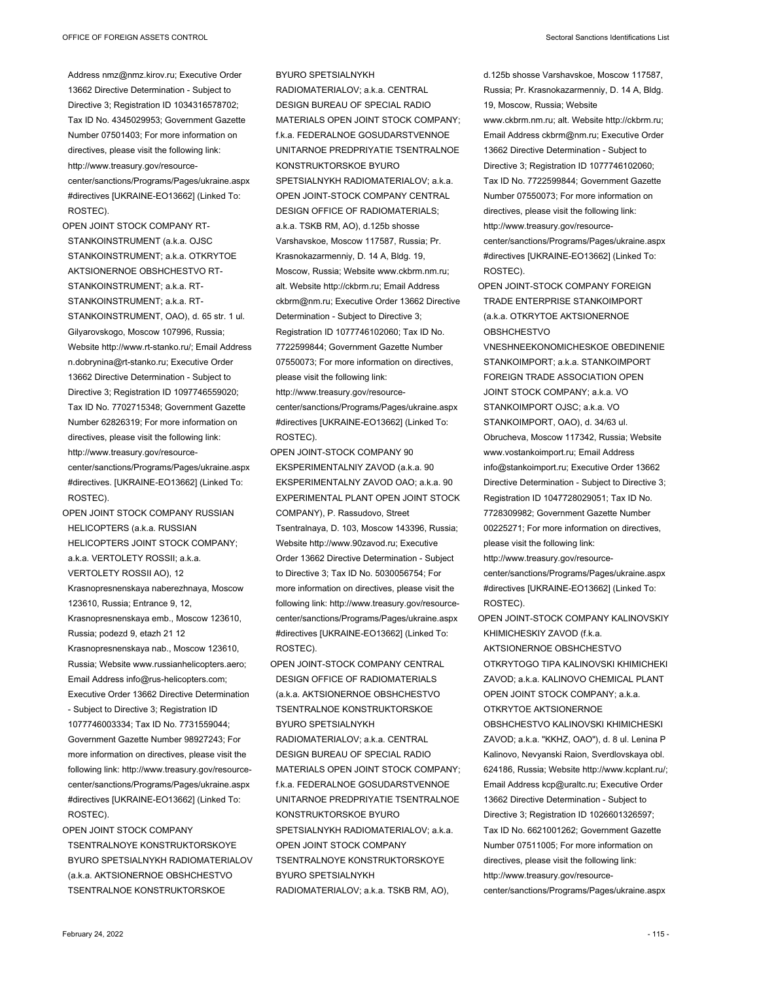Address nmz@nmz.kirov.ru; Executive Order 13662 Directive Determination - Subject to Directive 3; Registration ID 1034316578702; Tax ID No. 4345029953; Government Gazette Number 07501403; For more information on directives, please visit the following link: http://www.treasury.gov/resourcecenter/sanctions/Programs/Pages/ukraine.aspx #directives [UKRAINE-EO13662] (Linked To: ROSTEC).

OPEN JOINT STOCK COMPANY RT-STANKOINSTRUMENT (a.k.a. OJSC STANKOINSTRUMENT; a.k.a. OTKRYTOE AKTSIONERNOE OBSHCHESTVO RT-STANKOINSTRUMENT; a.k.a. RT-STANKOINSTRUMENT; a.k.a. RT-STANKOINSTRUMENT, OAO), d. 65 str. 1 ul. Gilyarovskogo, Moscow 107996, Russia; Website http://www.rt-stanko.ru/; Email Address n.dobrynina@rt-stanko.ru; Executive Order 13662 Directive Determination - Subject to Directive 3; Registration ID 1097746559020; Tax ID No. 7702715348; Government Gazette Number 62826319; For more information on directives, please visit the following link: http://www.treasury.gov/resourcecenter/sanctions/Programs/Pages/ukraine.aspx #directives. [UKRAINE-EO13662] (Linked To: ROSTEC).

OPEN JOINT STOCK COMPANY RUSSIAN HELICOPTERS (a.k.a. RUSSIAN HELICOPTERS JOINT STOCK COMPANY; a.k.a. VERTOLETY ROSSII; a.k.a. VERTOLETY ROSSII AO), 12 Krasnopresnenskaya naberezhnaya, Moscow 123610, Russia; Entrance 9, 12, Krasnopresnenskaya emb., Moscow 123610, Russia; podezd 9, etazh 21 12 Krasnopresnenskaya nab., Moscow 123610, Russia; Website www.russianhelicopters.aero; Email Address info@rus-helicopters.com; Executive Order 13662 Directive Determination - Subject to Directive 3; Registration ID 1077746003334; Tax ID No. 7731559044; Government Gazette Number 98927243; For more information on directives, please visit the following link: http://www.treasury.gov/resourcecenter/sanctions/Programs/Pages/ukraine.aspx #directives [UKRAINE-EO13662] (Linked To: ROSTEC).

OPEN JOINT STOCK COMPANY TSENTRALNOYE KONSTRUKTORSKOYE BYURO SPETSIALNYKH RADIOMATERIALOV (a.k.a. AKTSIONERNOE OBSHCHESTVO TSENTRALNOE KONSTRUKTORSKOE

BYURO SPETSIALNYKH RADIOMATERIALOV; a.k.a. CENTRAL DESIGN BUREAU OF SPECIAL RADIO MATERIALS OPEN JOINT STOCK COMPANY; f.k.a. FEDERALNOE GOSUDARSTVENNOE UNITARNOE PREDPRIYATIE TSENTRALNOE KONSTRUKTORSKOE BYURO SPETSIALNYKH RADIOMATERIALOV; a.k.a. OPEN JOINT-STOCK COMPANY CENTRAL DESIGN OFFICE OF RADIOMATERIALS; a.k.a. TSKB RM, AO), d.125b shosse Varshavskoe, Moscow 117587, Russia; Pr. Krasnokazarmenniy, D. 14 A, Bldg. 19, Moscow, Russia; Website www.ckbrm.nm.ru; alt. Website http://ckbrm.ru; Email Address ckbrm@nm.ru; Executive Order 13662 Directive Determination - Subject to Directive 3; Registration ID 1077746102060; Tax ID No. 7722599844; Government Gazette Number 07550073; For more information on directives, please visit the following link: http://www.treasury.gov/resource-

- center/sanctions/Programs/Pages/ukraine.aspx #directives [UKRAINE-EO13662] (Linked To: ROSTEC).
- OPEN JOINT-STOCK COMPANY 90 EKSPERIMENTALNIY ZAVOD (a.k.a. 90 EKSPERIMENTALNY ZAVOD OAO; a.k.a. 90 EXPERIMENTAL PLANT OPEN JOINT STOCK COMPANY), P. Rassudovo, Street Tsentralnaya, D. 103, Moscow 143396, Russia; Website http://www.90zavod.ru; Executive Order 13662 Directive Determination - Subject to Directive 3; Tax ID No. 5030056754; For more information on directives, please visit the following link: http://www.treasury.gov/resourcecenter/sanctions/Programs/Pages/ukraine.aspx #directives [UKRAINE-EO13662] (Linked To: ROSTEC).
- OPEN JOINT-STOCK COMPANY CENTRAL DESIGN OFFICE OF RADIOMATERIALS (a.k.a. AKTSIONERNOE OBSHCHESTVO TSENTRALNOE KONSTRUKTORSKOE BYURO SPETSIALNYKH RADIOMATERIALOV; a.k.a. CENTRAL DESIGN BUREAU OF SPECIAL RADIO MATERIALS OPEN JOINT STOCK COMPANY; f.k.a. FEDERALNOE GOSUDARSTVENNOE UNITARNOE PREDPRIYATIE TSENTRALNOE KONSTRUKTORSKOE BYURO SPETSIALNYKH RADIOMATERIALOV; a.k.a. OPEN JOINT STOCK COMPANY TSENTRALNOYE KONSTRUKTORSKOYE BYURO SPETSIALNYKH RADIOMATERIALOV; a.k.a. TSKB RM, AO),
- d.125b shosse Varshavskoe, Moscow 117587, Russia; Pr. Krasnokazarmenniy, D. 14 A, Bldg. 19, Moscow, Russia; Website
- www.ckbrm.nm.ru; alt. Website http://ckbrm.ru; Email Address ckbrm@nm.ru; Executive Order 13662 Directive Determination - Subject to Directive 3; Registration ID 1077746102060; Tax ID No. 7722599844; Government Gazette Number 07550073; For more information on directives, please visit the following link: http://www.treasury.gov/resource-

center/sanctions/Programs/Pages/ukraine.aspx #directives [UKRAINE-EO13662] (Linked To: ROSTEC).

OPEN JOINT-STOCK COMPANY FOREIGN TRADE ENTERPRISE STANKOIMPORT (a.k.a. OTKRYTOE AKTSIONERNOE OBSHCHESTVO

VNESHNEEKONOMICHESKOE OBEDINENIE STANKOIMPORT; a.k.a. STANKOIMPORT FOREIGN TRADE ASSOCIATION OPEN JOINT STOCK COMPANY; a.k.a. VO STANKOIMPORT OJSC; a.k.a. VO STANKOIMPORT, OAO), d. 34/63 ul. Obrucheva, Moscow 117342, Russia; Website www.vostankoimport.ru; Email Address info@stankoimport.ru; Executive Order 13662 Directive Determination - Subject to Directive 3; Registration ID 1047728029051; Tax ID No. 7728309982; Government Gazette Number 00225271; For more information on directives, please visit the following link:

http://www.treasury.gov/resource-

center/sanctions/Programs/Pages/ukraine.aspx #directives [UKRAINE-EO13662] (Linked To: ROSTEC).

OPEN JOINT-STOCK COMPANY KALINOVSKIY KHIMICHESKIY ZAVOD (f.k.a. AKTSIONERNOE OBSHCHESTVO OTKRYTOGO TIPA KALINOVSKI KHIMICHEKI ZAVOD; a.k.a. KALINOVO CHEMICAL PLANT OPEN JOINT STOCK COMPANY; a.k.a. OTKRYTOE AKTSIONERNOE OBSHCHESTVO KALINOVSKI KHIMICHESKI ZAVOD; a.k.a. "KKHZ, OAO"), d. 8 ul. Lenina P Kalinovo, Nevyanski Raion, Sverdlovskaya obl. 624186, Russia; Website http://www.kcplant.ru/; Email Address kcp@uraltc.ru; Executive Order 13662 Directive Determination - Subject to Directive 3; Registration ID 1026601326597; Tax ID No. 6621001262; Government Gazette Number 07511005; For more information on directives, please visit the following link: http://www.treasury.gov/resourcecenter/sanctions/Programs/Pages/ukraine.aspx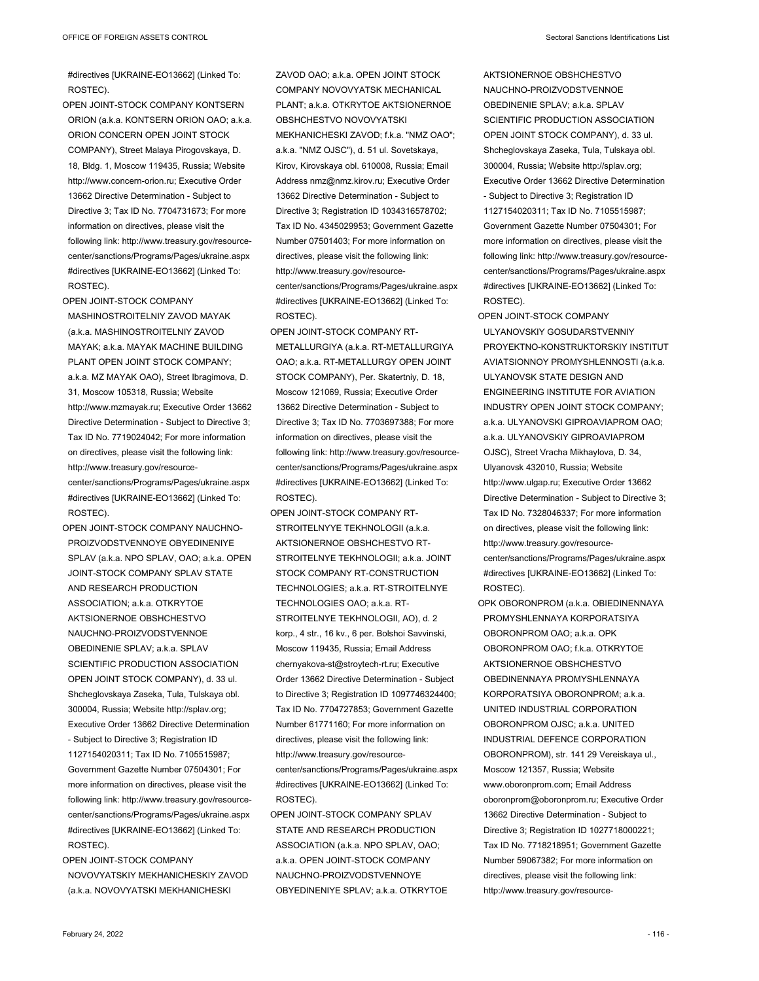#directives [UKRAINE-EO13662] (Linked To: ROSTEC).

OPEN JOINT-STOCK COMPANY KONTSERN ORION (a.k.a. KONTSERN ORION OAO; a.k.a. ORION CONCERN OPEN JOINT STOCK COMPANY), Street Malaya Pirogovskaya, D. 18, Bldg. 1, Moscow 119435, Russia; Website http://www.concern-orion.ru; Executive Order 13662 Directive Determination - Subject to Directive 3; Tax ID No. 7704731673; For more information on directives, please visit the following link: http://www.treasury.gov/resourcecenter/sanctions/Programs/Pages/ukraine.aspx #directives [UKRAINE-EO13662] (Linked To: ROSTEC).

OPEN JOINT-STOCK COMPANY MASHINOSTROITELNIY ZAVOD MAYAK (a.k.a. MASHINOSTROITELNIY ZAVOD MAYAK; a.k.a. MAYAK MACHINE BUILDING PLANT OPEN JOINT STOCK COMPANY; a.k.a. MZ MAYAK OAO), Street Ibragimova, D. 31, Moscow 105318, Russia; Website http://www.mzmayak.ru; Executive Order 13662 Directive Determination - Subject to Directive 3; Tax ID No. 7719024042; For more information on directives, please visit the following link: http://www.treasury.gov/resourcecenter/sanctions/Programs/Pages/ukraine.aspx #directives [UKRAINE-EO13662] (Linked To: ROSTEC).

OPEN JOINT-STOCK COMPANY NAUCHNO-PROIZVODSTVENNOYE OBYEDINENIYE SPLAV (a.k.a. NPO SPLAV, OAO; a.k.a. OPEN JOINT-STOCK COMPANY SPLAV STATE AND RESEARCH PRODUCTION ASSOCIATION; a.k.a. OTKRYTOE AKTSIONERNOE OBSHCHESTVO NAUCHNO-PROIZVODSTVENNOE OBEDINENIE SPLAV; a.k.a. SPLAV SCIENTIFIC PRODUCTION ASSOCIATION OPEN JOINT STOCK COMPANY), d. 33 ul. Shcheglovskaya Zaseka, Tula, Tulskaya obl. 300004, Russia; Website http://splav.org; Executive Order 13662 Directive Determination - Subject to Directive 3; Registration ID 1127154020311; Tax ID No. 7105515987; Government Gazette Number 07504301; For more information on directives, please visit the following link: http://www.treasury.gov/resourcecenter/sanctions/Programs/Pages/ukraine.aspx #directives [UKRAINE-EO13662] (Linked To: ROSTEC).

OPEN JOINT-STOCK COMPANY NOVOVYATSKIY MEKHANICHESKIY ZAVOD (a.k.a. NOVOVYATSKI MEKHANICHESKI

ZAVOD OAO; a.k.a. OPEN JOINT STOCK COMPANY NOVOVYATSK MECHANICAL PLANT; a.k.a. OTKRYTOE AKTSIONERNOE OBSHCHESTVO NOVOVYATSKI MEKHANICHESKI ZAVOD; f k a "NMZ OAO"; a.k.a. "NMZ OJSC"), d. 51 ul. Sovetskaya, Kirov, Kirovskaya obl. 610008, Russia; Email Address nmz@nmz.kirov.ru; Executive Order 13662 Directive Determination - Subject to Directive 3; Registration ID 1034316578702; Tax ID No. 4345029953; Government Gazette Number 07501403; For more information on directives, please visit the following link: http://www.treasury.gov/resourcecenter/sanctions/Programs/Pages/ukraine.aspx #directives [UKRAINE-EO13662] (Linked To: ROSTEC).

OPEN JOINT-STOCK COMPANY RT-METALLURGIYA (a.k.a. RT-METALLURGIYA OAO; a.k.a. RT-METALLURGY OPEN JOINT STOCK COMPANY), Per. Skatertniy, D. 18, Moscow 121069, Russia; Executive Order 13662 Directive Determination - Subject to Directive 3; Tax ID No. 7703697388; For more information on directives, please visit the following link: http://www.treasury.gov/resourcecenter/sanctions/Programs/Pages/ukraine.aspx #directives [UKRAINE-EO13662] (Linked To: ROSTEC).

OPEN JOINT-STOCK COMPANY RT-STROITELNYYE TEKHNOLOGIL (a.k.a. AKTSIONERNOE OBSHCHESTVO RT-STROITELNYE TEKHNOLOGII; a.k.a. JOINT STOCK COMPANY RT-CONSTRUCTION TECHNOLOGIES; a.k.a. RT-STROITELNYE TECHNOLOGIES OAO; a.k.a. RT-STROITELNYE TEKHNOLOGII, AO), d. 2 korp., 4 str., 16 kv., 6 per. Bolshoi Savvinski, Moscow 119435, Russia; Email Address chernyakova-st@stroytech-rt.ru; Executive Order 13662 Directive Determination - Subject to Directive 3; Registration ID 1097746324400; Tax ID No. 7704727853; Government Gazette Number 61771160; For more information on directives, please visit the following link: http://www.treasury.gov/resourcecenter/sanctions/Programs/Pages/ukraine.aspx #directives [UKRAINE-EO13662] (Linked To: ROSTEC).

OPEN JOINT-STOCK COMPANY SPLAV STATE AND RESEARCH PRODUCTION ASSOCIATION (a.k.a. NPO SPLAV, OAO; a.k.a. OPEN JOINT-STOCK COMPANY NAUCHNO-PROIZVODSTVENNOYE OBYEDINENIYE SPLAV; a.k.a. OTKRYTOE AKTSIONERNOE OBSHCHESTVO NAUCHNO-PROIZVODSTVENNOE OBEDINENIE SPLAV; a.k.a. SPLAV SCIENTIFIC PRODUCTION ASSOCIATION OPEN JOINT STOCK COMPANY), d. 33 ul. Shcheglovskaya Zaseka, Tula, Tulskaya obl. 300004, Russia; Website http://splav.org; Executive Order 13662 Directive Determination - Subject to Directive 3; Registration ID 1127154020311; Tax ID No. 7105515987; Government Gazette Number 07504301; For more information on directives, please visit the following link: http://www.treasury.gov/resourcecenter/sanctions/Programs/Pages/ukraine.aspx #directives [UKRAINE-EO13662] (Linked To: ROSTEC).

OPEN JOINT-STOCK COMPANY ULYANOVSKIY GOSUDARSTVENNIY PROYEKTNO-KONSTRUKTORSKIY INSTITUT AVIATSIONNOY PROMYSHLENNOSTI (a.k.a. ULYANOVSK STATE DESIGN AND ENGINEERING INSTITUTE FOR AVIATION INDUSTRY OPEN JOINT STOCK COMPANY; a.k.a. ULYANOVSKI GIPROAVIAPROM OAO; a.k.a. ULYANOVSKIY GIPROAVIAPROM OJSC), Street Vracha Mikhaylova, D. 34, Ulyanovsk 432010, Russia; Website http://www.ulgap.ru; Executive Order 13662 Directive Determination - Subject to Directive 3; Tax ID No. 7328046337; For more information on directives, please visit the following link: http://www.treasury.gov/resourcecenter/sanctions/Programs/Pages/ukraine.aspx #directives [UKRAINE-EO13662] (Linked To: ROSTEC).

OPK OBORONPROM (a.k.a. OBIEDINENNAYA PROMYSHLENNAYA KORPORATSIYA OBORONPROM OAO; a.k.a. OPK OBORONPROM OAO; f.k.a. OTKRYTOE AKTSIONERNOE OBSHCHESTVO OBEDINENNAYA PROMYSHLENNAYA KORPORATSIYA OBORONPROM; a.k.a. UNITED INDUSTRIAL CORPORATION OBORONPROM OJSC; a.k.a. UNITED INDUSTRIAL DEFENCE CORPORATION OBORONPROM), str. 141 29 Vereiskaya ul., Moscow 121357, Russia; Website www.oboronprom.com; Email Address oboronprom@oboronprom.ru; Executive Order 13662 Directive Determination - Subject to Directive 3; Registration ID 1027718000221; Tax ID No. 7718218951; Government Gazette Number 59067382; For more information on directives, please visit the following link: http://www.treasury.gov/resource-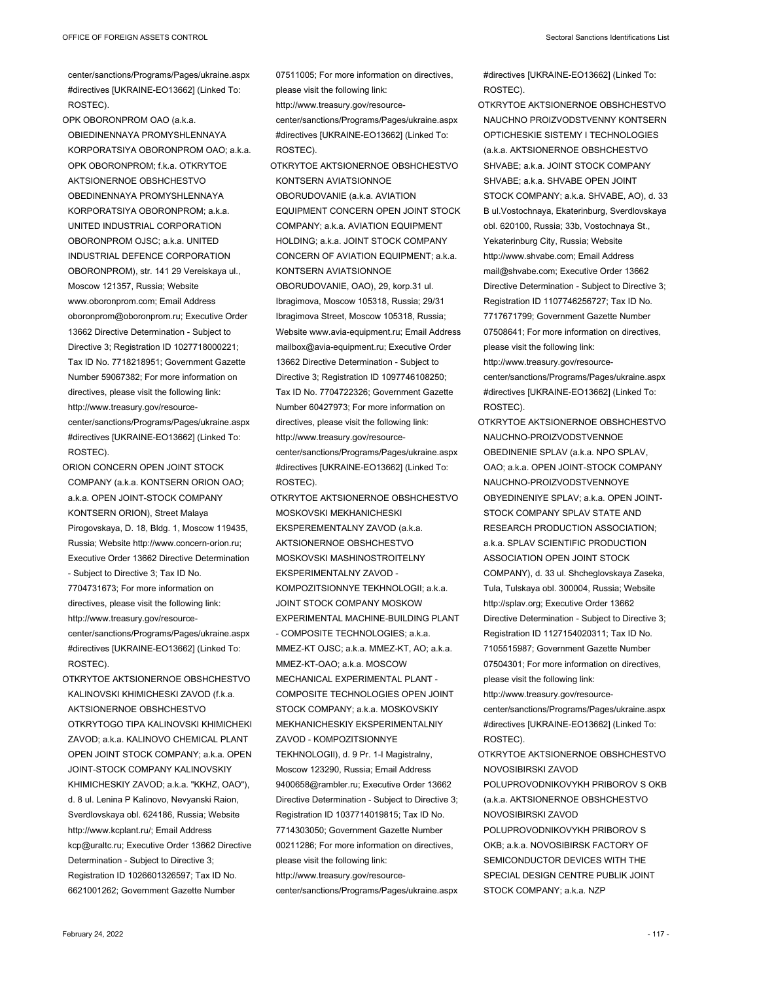center/sanctions/Programs/Pages/ukraine.aspx #directives [UKRAINE-EO13662] (Linked To: ROSTEC).

OPK OBORONPROM OAO (a.k.a. OBIEDINENNAYA PROMYSHLENNAYA KORPORATSIYA OBORONPROM OAO; a.k.a. OPK OBORONPROM; f.k.a. OTKRYTOE AKTSIONERNOE OBSHCHESTVO OBEDINENNAYA PROMYSHLENNAYA KORPORATSIYA OBORONPROM; a.k.a. UNITED INDUSTRIAL CORPORATION OBORONPROM OJSC; a.k.a. UNITED INDUSTRIAL DEFENCE CORPORATION OBORONPROM), str. 141 29 Vereiskaya ul., Moscow 121357, Russia; Website www.oboronprom.com; Email Address oboronprom@oboronprom.ru; Executive Order 13662 Directive Determination - Subject to Directive 3; Registration ID 1027718000221; Tax ID No. 7718218951; Government Gazette Number 59067382; For more information on directives, please visit the following link: http://www.treasury.gov/resourcecenter/sanctions/Programs/Pages/ukraine.aspx #directives [UKRAINE-EO13662] (Linked To: ROSTEC).

ORION CONCERN OPEN JOINT STOCK COMPANY (a.k.a. KONTSERN ORION OAO; a.k.a. OPEN JOINT-STOCK COMPANY KONTSERN ORION), Street Malaya Pirogovskaya, D. 18, Bldg. 1, Moscow 119435, Russia; Website http://www.concern-orion.ru; Executive Order 13662 Directive Determination - Subject to Directive 3; Tax ID No. 7704731673; For more information on directives, please visit the following link: http://www.treasury.gov/resourcecenter/sanctions/Programs/Pages/ukraine.aspx #directives [UKRAINE-EO13662] (Linked To: ROSTEC).

OTKRYTOE AKTSIONERNOE OBSHCHESTVO KALINOVSKI KHIMICHESKI ZAVOD (f.k.a. AKTSIONERNOE OBSHCHESTVO OTKRYTOGO TIPA KALINOVSKI KHIMICHEKI ZAVOD; a.k.a. KALINOVO CHEMICAL PLANT OPEN JOINT STOCK COMPANY; a.k.a. OPEN JOINT-STOCK COMPANY KALINOVSKIY KHIMICHESKIY ZAVOD; a.k.a. "KKHZ, OAO"), d. 8 ul. Lenina P Kalinovo, Nevyanski Raion, Sverdlovskaya obl. 624186, Russia; Website http://www.kcplant.ru/; Email Address kcp@uraltc.ru; Executive Order 13662 Directive Determination - Subject to Directive 3; Registration ID 1026601326597; Tax ID No. 6621001262; Government Gazette Number

07511005; For more information on directives, please visit the following link: http://www.treasury.gov/resource-

center/sanctions/Programs/Pages/ukraine.aspx #directives [UKRAINE-EO13662] (Linked To: ROSTEC).

OTKRYTOE AKTSIONERNOE OBSHCHESTVO KONTSERN AVIATSIONNOE OBORUDOVANIE (a.k.a. AVIATION EQUIPMENT CONCERN OPEN JOINT STOCK COMPANY; a.k.a. AVIATION EQUIPMENT HOLDING; a.k.a. JOINT STOCK COMPANY CONCERN OF AVIATION EQUIPMENT; a.k.a. KONTSERN AVIATSIONNOE

OBORUDOVANIE, OAO), 29, korp.31 ul. Ibragimova, Moscow 105318, Russia; 29/31 Ibragimova Street, Moscow 105318, Russia; Website www.avia-equipment.ru; Email Address mailbox@avia-equipment.ru; Executive Order 13662 Directive Determination - Subject to Directive 3; Registration ID 1097746108250; Tax ID No. 7704722326; Government Gazette Number 60427973; For more information on directives, please visit the following link: http://www.treasury.gov/resourcecenter/sanctions/Programs/Pages/ukraine.aspx #directives [UKRAINE-EO13662] (Linked To: ROSTEC).

OTKRYTOE AKTSIONERNOE OBSHCHESTVO MOSKOVSKI MEKHANICHESKI EKSPEREMENTALNY ZAVOD (a.k.a. AKTSIONERNOE OBSHCHESTVO MOSKOVSKI MASHINOSTROITELNY EKSPERIMENTALNY ZAVOD - KOMPOZITSIONNYE TEKHNOLOGII; a.k.a. JOINT STOCK COMPANY MOSKOW EXPERIMENTAL MACHINE-BUILDING PLANT - COMPOSITE TECHNOLOGIES; a.k.a. MMEZ-KT OJSC; a.k.a. MMEZ-KT, AO; a.k.a. MMEZ-KT-OAO; a.k.a. MOSCOW MECHANICAL EXPERIMENTAL PLANT - COMPOSITE TECHNOLOGIES OPEN JOINT STOCK COMPANY; a.k.a. MOSKOVSKIY MEKHANICHESKIY EKSPERIMENTALNIY ZAVOD - KOMPOZITSIONNYE TEKHNOLOGII), d. 9 Pr. 1-I Magistralny, Moscow 123290, Russia; Email Address 9400658@rambler.ru; Executive Order 13662 Directive Determination - Subject to Directive 3; Registration ID 1037714019815; Tax ID No. 7714303050; Government Gazette Number 00211286; For more information on directives, please visit the following link: http://www.treasury.gov/resourcecenter/sanctions/Programs/Pages/ukraine.aspx

#directives [UKRAINE-EO13662] (Linked To: ROSTEC).

OTKRYTOE AKTSIONERNOE OBSHCHESTVO NAUCHNO PROIZVODSTVENNY KONTSERN OPTICHESKIE SISTEMY I TECHNOLOGIES (a.k.a. AKTSIONERNOE OBSHCHESTVO SHVABE; a.k.a. JOINT STOCK COMPANY SHVABE; a.k.a. SHVABE OPEN JOINT STOCK COMPANY; a.k.a. SHVABE, AO), d. 33 B ul.Vostochnaya, Ekaterinburg, Sverdlovskaya obl. 620100, Russia; 33b, Vostochnaya St., Yekaterinburg City, Russia; Website http://www.shvabe.com; Email Address mail@shvabe.com; Executive Order 13662 Directive Determination - Subject to Directive 3; Registration ID 1107746256727; Tax ID No. 7717671799; Government Gazette Number 07508641; For more information on directives, please visit the following link: http://www.treasury.gov/resource-

center/sanctions/Programs/Pages/ukraine.aspx #directives [UKRAINE-EO13662] (Linked To: ROSTEC).

- OTKRYTOE AKTSIONERNOE OBSHCHESTVO NAUCHNO-PROIZVODSTVENNOE OBEDINENIE SPLAV (a.k.a. NPO SPLAV, OAO; a.k.a. OPEN JOINT-STOCK COMPANY NAUCHNO-PROIZVODSTVENNOYE OBYEDINENIYE SPLAV; a.k.a. OPEN JOINT-STOCK COMPANY SPLAV STATE AND RESEARCH PRODUCTION ASSOCIATION; a.k.a. SPLAV SCIENTIFIC PRODUCTION ASSOCIATION OPEN JOINT STOCK COMPANY), d. 33 ul. Shcheglovskaya Zaseka, Tula, Tulskaya obl. 300004, Russia; Website http://splav.org; Executive Order 13662 Directive Determination - Subject to Directive 3; Registration ID 1127154020311; Tax ID No. 7105515987; Government Gazette Number 07504301; For more information on directives, please visit the following link: http://www.treasury.gov/resource-
- center/sanctions/Programs/Pages/ukraine.aspx #directives [UKRAINE-EO13662] (Linked To: ROSTEC).

OTKRYTOE AKTSIONERNOE OBSHCHESTVO NOVOSIBIRSKI ZAVOD POLUPROVODNIKOVYKH PRIBOROV S OKB (a.k.a. AKTSIONERNOE OBSHCHESTVO NOVOSIBIRSKI ZAVOD POLUPROVODNIKOVYKH PRIBOROV S OKB; a.k.a. NOVOSIBIRSK FACTORY OF SEMICONDUCTOR DEVICES WITH THE SPECIAL DESIGN CENTRE PUBLIK JOINT STOCK COMPANY; a.k.a. NZP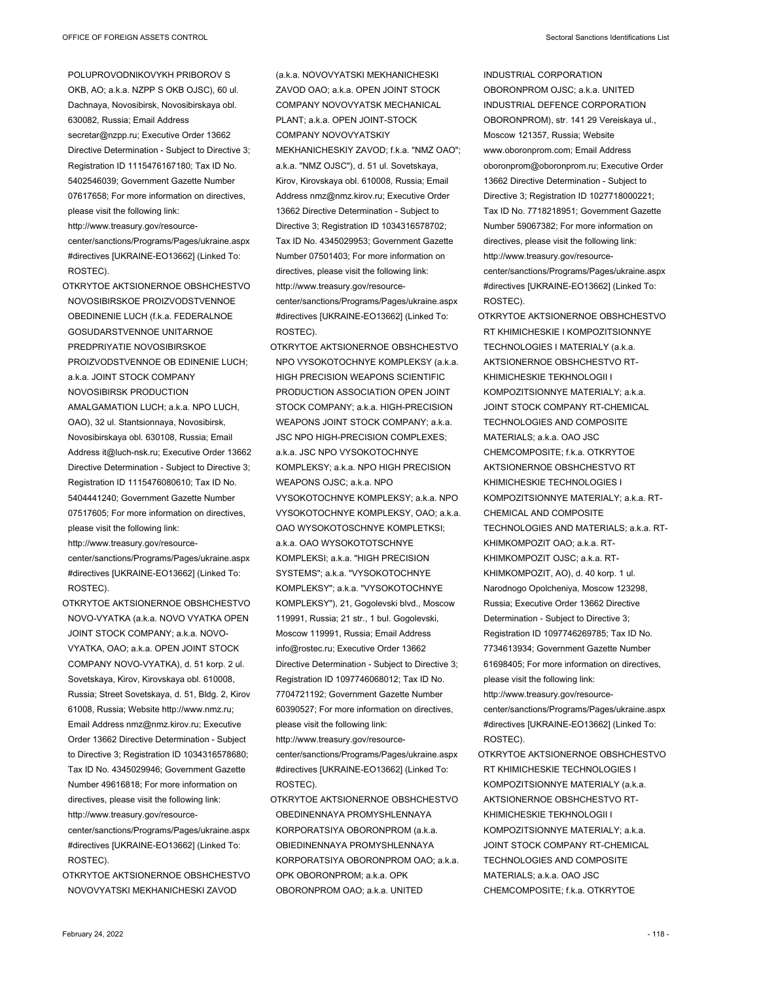POLUPROVODNIKOVYKH PRIBOROV S OKB, AO; a.k.a. NZPP S OKB OJSC), 60 ul. Dachnaya, Novosibirsk, Novosibirskaya obl. 630082, Russia; Email Address secretar@nzpp.ru; Executive Order 13662 Directive Determination - Subject to Directive 3; Registration ID 1115476167180; Tax ID No. 5402546039; Government Gazette Number 07617658; For more information on directives, please visit the following link: http://www.treasury.gov/resource-

center/sanctions/Programs/Pages/ukraine.aspx #directives [UKRAINE-EO13662] (Linked To: ROSTEC).

- OTKRYTOE AKTSIONERNOE OBSHCHESTVO NOVOSIBIRSKOE PROIZVODSTVENNOE OBEDINENIE LUCH (f.k.a. FEDERALNOE GOSUDARSTVENNOE UNITARNOE PREDPRIYATIE NOVOSIBIRSKOE PROIZVODSTVENNOE OB EDINENIE LUCH; a.k.a. JOINT STOCK COMPANY NOVOSIBIRSK PRODUCTION AMALGAMATION LUCH; a.k.a. NPO LUCH, OAO), 32 ul. Stantsionnaya, Novosibirsk, Novosibirskaya obl. 630108, Russia; Email Address it@luch-nsk.ru; Executive Order 13662 Directive Determination - Subject to Directive 3; Registration ID 1115476080610; Tax ID No. 5404441240; Government Gazette Number 07517605; For more information on directives, please visit the following link: http://www.treasury.gov/resourcecenter/sanctions/Programs/Pages/ukraine.aspx #directives [UKRAINE-EO13662] (Linked To: ROSTEC).
- OTKRYTOE AKTSIONERNOE OBSHCHESTVO NOVO-VYATKA (a.k.a. NOVO VYATKA OPEN JOINT STOCK COMPANY; a.k.a. NOVO-VYATKA, OAO; a.k.a. OPEN JOINT STOCK COMPANY NOVO-VYATKA), d. 51 korp. 2 ul. Sovetskaya, Kirov, Kirovskaya obl. 610008, Russia; Street Sovetskaya, d. 51, Bldg. 2, Kirov 61008, Russia; Website http://www.nmz.ru; Email Address nmz@nmz.kirov.ru; Executive Order 13662 Directive Determination - Subject to Directive 3; Registration ID 1034316578680; Tax ID No. 4345029946; Government Gazette Number 49616818; For more information on directives, please visit the following link: http://www.treasury.gov/resourcecenter/sanctions/Programs/Pages/ukraine.aspx #directives [UKRAINE-EO13662] (Linked To: ROSTEC).
- OTKRYTOE AKTSIONERNOE OBSHCHESTVO NOVOVYATSKI MEKHANICHESKI ZAVOD

(a.k.a. NOVOVYATSKI MEKHANICHESKI ZAVOD OAO; a.k.a. OPEN JOINT STOCK COMPANY NOVOVYATSK MECHANICAL PLANT; a.k.a. OPEN JOINT-STOCK COMPANY NOVOVYATSKIY MEKHANICHESKIY ZAVOD; f.k.a. "NMZ OAO"; a.k.a. "NMZ OJSC"), d. 51 ul. Sovetskaya, Kirov, Kirovskaya obl. 610008, Russia; Email Address nmz@nmz.kirov.ru; Executive Order 13662 Directive Determination - Subject to Directive 3; Registration ID 1034316578702; Tax ID No. 4345029953; Government Gazette Number 07501403; For more information on directives, please visit the following link: http://www.treasury.gov/resourcecenter/sanctions/Programs/Pages/ukraine.aspx #directives [UKRAINE-EO13662] (Linked To: ROSTEC).

- OTKRYTOE AKTSIONERNOE OBSHCHESTVO NPO VYSOKOTOCHNYE KOMPLEKSY (a.k.a. HIGH PRECISION WEAPONS SCIENTIFIC PRODUCTION ASSOCIATION OPEN JOINT STOCK COMPANY; a.k.a. HIGH-PRECISION WEAPONS JOINT STOCK COMPANY; a.k.a. JSC NPO HIGH-PRECISION COMPLEXES; a.k.a. JSC NPO VYSOKOTOCHNYE KOMPLEKSY; a.k.a. NPO HIGH PRECISION WEAPONS OJSC; a.k.a. NPO VYSOKOTOCHNYE KOMPLEKSY; a.k.a. NPO VYSOKOTOCHNYE KOMPLEKSY, OAO; a.k.a. OAO WYSOKOTOSCHNYE KOMPLETKSI; a.k.a. OAO WYSOKOTOTSCHNYE KOMPLEKSI; a.k.a. "HIGH PRECISION SYSTEMS"; a.k.a. "VYSOKOTOCHNYE KOMPLEKSY"; a.k.a. "VYSOKOTOCHNYE KOMPLEKSY"), 21, Gogolevski blvd., Moscow 119991, Russia; 21 str., 1 bul. Gogolevski, Moscow 119991, Russia; Email Address info@rostec.ru; Executive Order 13662 Directive Determination - Subject to Directive 3; Registration ID 1097746068012; Tax ID No. 7704721192; Government Gazette Number 60390527; For more information on directives, please visit the following link:
- http://www.treasury.gov/resourcecenter/sanctions/Programs/Pages/ukraine.aspx #directives [UKRAINE-EO13662] (Linked To: ROSTEC).
- OTKRYTOE AKTSIONERNOE OBSHCHESTVO OBEDINENNAYA PROMYSHLENNAYA KORPORATSIYA OBORONPROM (a.k.a. OBIEDINENNAYA PROMYSHLENNAYA KORPORATSIYA OBORONPROM OAO; a.k.a. OPK OBORONPROM; a.k.a. OPK OBORONPROM OAO; a.k.a. UNITED

INDUSTRIAL CORPORATION OBORONPROM OJSC; a.k.a. UNITED INDUSTRIAL DEFENCE CORPORATION OBORONPROM), str. 141 29 Vereiskaya ul., Moscow 121357, Russia; Website www.oboronprom.com; Email Address oboronprom@oboronprom.ru; Executive Order 13662 Directive Determination - Subject to Directive 3; Registration ID 1027718000221; Tax ID No. 7718218951; Government Gazette Number 59067382; For more information on directives, please visit the following link: http://www.treasury.gov/resourcecenter/sanctions/Programs/Pages/ukraine.aspx #directives [UKRAINE-EO13662] (Linked To: ROSTEC).

- OTKRYTOE AKTSIONERNOE OBSHCHESTVO RT KHIMICHESKIE I KOMPOZITSIONNYE TECHNOLOGIES I MATERIALY (a.k.a. AKTSIONERNOE OBSHCHESTVO RT-KHIMICHESKIE TEKHNOLOGII I KOMPOZITSIONNYE MATERIALY; a.k.a. JOINT STOCK COMPANY RT-CHEMICAL TECHNOLOGIES AND COMPOSITE MATERIALS; a.k.a. OAO JSC CHEMCOMPOSITE; f.k.a. OTKRYTOE AKTSIONERNOE OBSHCHESTVO RT KHIMICHESKIE TECHNOLOGIES I KOMPOZITSIONNYE MATERIALY; a.k.a. RT-CHEMICAL AND COMPOSITE TECHNOLOGIES AND MATERIALS; a.k.a. RT-KHIMKOMPOZIT OAO; a.k.a. RT-KHIMKOMPOZIT OJSC; a.k.a. RT-KHIMKOMPOZIT, AO), d. 40 korp. 1 ul. Narodnogo Opolcheniya, Moscow 123298, Russia; Executive Order 13662 Directive Determination - Subject to Directive 3; Registration ID 1097746269785; Tax ID No. 7734613934; Government Gazette Number 61698405; For more information on directives, please visit the following link: http://www.treasury.gov/resourcecenter/sanctions/Programs/Pages/ukraine.aspx #directives [UKRAINE-EO13662] (Linked To: ROSTEC).
- OTKRYTOE AKTSIONERNOE OBSHCHESTVO RT KHIMICHESKIE TECHNOLOGIES I KOMPOZITSIONNYE MATERIALY (a.k.a. AKTSIONERNOE OBSHCHESTVO RT-KHIMICHESKIE TEKHNOLOGII I KOMPOZITSIONNYE MATERIALY; a.k.a. JOINT STOCK COMPANY RT-CHEMICAL TECHNOLOGIES AND COMPOSITE MATERIALS; a.k.a. OAO JSC CHEMCOMPOSITE; f.k.a. OTKRYTOE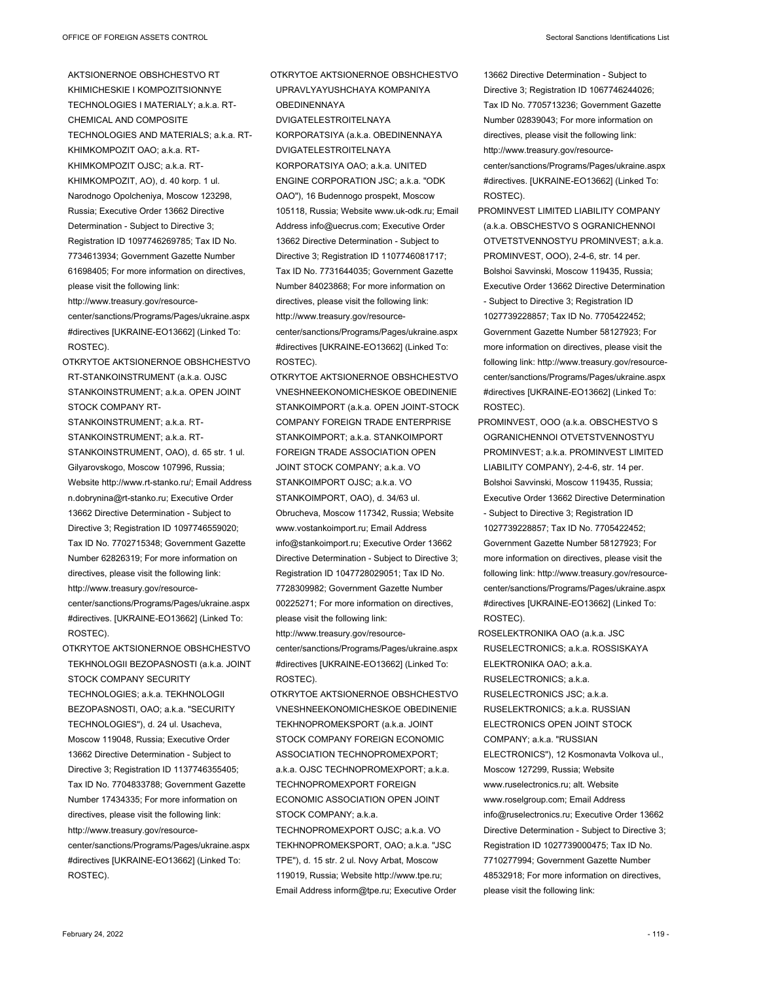- AKTSIONERNOE OBSHCHESTVO RT KHIMICHESKIE I KOMPOZITSIONNYE TECHNOLOGIES I MATERIALY; a.k.a. RT-CHEMICAL AND COMPOSITE TECHNOLOGIES AND MATERIALS; a.k.a. RT-KHIMKOMPOZIT OAO; a.k.a. RT-KHIMKOMPOZIT OJSC; a.k.a. RT-KHIMKOMPOZIT, AO), d. 40 korp. 1 ul. Narodnogo Opolcheniya, Moscow 123298, Russia; Executive Order 13662 Directive Determination - Subject to Directive 3; Registration ID 1097746269785; Tax ID No. 7734613934; Government Gazette Number 61698405; For more information on directives, please visit the following link: http://www.treasury.gov/resourcecenter/sanctions/Programs/Pages/ukraine.aspx #directives [UKRAINE-EO13662] (Linked To: ROSTEC).
- OTKRYTOE AKTSIONERNOE OBSHCHESTVO RT-STANKOINSTRUMENT (a.k.a. OJSC STANKOINSTRUMENT; a.k.a. OPEN JOINT STOCK COMPANY RT-

STANKOINSTRUMENT; a.k.a. RT-STANKOINSTRUMENT; a.k.a. RT-STANKOINSTRUMENT, OAO), d. 65 str. 1 ul. Gilyarovskogo, Moscow 107996, Russia; Website http://www.rt-stanko.ru/; Email Address n.dobrynina@rt-stanko.ru; Executive Order 13662 Directive Determination - Subject to Directive 3; Registration ID 1097746559020; Tax ID No. 7702715348; Government Gazette Number 62826319; For more information on directives, please visit the following link: http://www.treasury.gov/resourcecenter/sanctions/Programs/Pages/ukraine.aspx #directives. [UKRAINE-EO13662] (Linked To:

ROSTEC). OTKRYTOE AKTSIONERNOE OBSHCHESTVO TEKHNOLOGII BEZOPASNOSTI (a.k.a. JOINT STOCK COMPANY SECURITY TECHNOLOGIES; a.k.a. TEKHNOLOGII BEZOPASNOSTI, OAO; a.k.a. "SECURITY TECHNOLOGIES"), d. 24 ul. Usacheva, Moscow 119048, Russia; Executive Order 13662 Directive Determination - Subject to Directive 3; Registration ID 1137746355405; Tax ID No. 7704833788; Government Gazette Number 17434335; For more information on directives, please visit the following link: http://www.treasury.gov/resourcecenter/sanctions/Programs/Pages/ukraine.aspx #directives [UKRAINE-EO13662] (Linked To: ROSTEC).

OTKRYTOE AKTSIONERNOE OBSHCHESTVO UPRAVLYAYUSHCHAYA KOMPANIYA OBEDINENNAYA

- DVIGATELESTROITELNAYA KORPORATSIYA (a.k.a. OBEDINENNAYA DVIGATELESTROITELNAYA KORPORATSIYA OAO; a.k.a. UNITED ENGINE CORPORATION JSC; a.k.a. "ODK OAO"), 16 Budennogo prospekt, Moscow 105118, Russia; Website www.uk-odk.ru; Email Address info@uecrus.com; Executive Order 13662 Directive Determination - Subject to Directive 3; Registration ID 1107746081717; Tax ID No. 7731644035; Government Gazette Number 84023868; For more information on directives, please visit the following link: http://www.treasury.gov/resourcecenter/sanctions/Programs/Pages/ukraine.aspx #directives [UKRAINE-EO13662] (Linked To: ROSTEC).
- OTKRYTOE AKTSIONERNOE OBSHCHESTVO VNESHNEEKONOMICHESKOE OBEDINENIE STANKOIMPORT (a.k.a. OPEN JOINT-STOCK COMPANY FOREIGN TRADE ENTERPRISE STANKOIMPORT; a.k.a. STANKOIMPORT FOREIGN TRADE ASSOCIATION OPEN JOINT STOCK COMPANY; a.k.a. VO STANKOIMPORT OJSC; a.k.a. VO STANKOIMPORT, OAO), d. 34/63 ul. Obrucheva, Moscow 117342, Russia; Website www.vostankoimport.ru; Email Address info@stankoimport.ru; Executive Order 13662 Directive Determination - Subject to Directive 3; Registration ID 1047728029051; Tax ID No. 7728309982; Government Gazette Number 00225271; For more information on directives, please visit the following link: http://www.treasury.gov/resource-

center/sanctions/Programs/Pages/ukraine.aspx #directives [UKRAINE-EO13662] (Linked To: ROSTEC).

OTKRYTOE AKTSIONERNOE OBSHCHESTVO VNESHNEEKONOMICHESKOE OBEDINENIE TEKHNOPROMEKSPORT (a.k.a. JOINT STOCK COMPANY FOREIGN ECONOMIC ASSOCIATION TECHNOPROMEXPORT; a.k.a. OJSC TECHNOPROMEXPORT; a.k.a. TECHNOPROMEXPORT FOREIGN ECONOMIC ASSOCIATION OPEN JOINT STOCK COMPANY; a.k.a. TECHNOPROMEXPORT OJSC; a.k.a. VO

TEKHNOPROMEKSPORT, OAO; a.k.a. "JSC TPE"), d. 15 str. 2 ul. Novy Arbat, Moscow 119019, Russia; Website http://www.tpe.ru; Email Address inform@tpe.ru; Executive Order

- 13662 Directive Determination Subject to Directive 3; Registration ID 1067746244026; Tax ID No. 7705713236; Government Gazette Number 02839043; For more information on directives, please visit the following link: http://www.treasury.gov/resourcecenter/sanctions/Programs/Pages/ukraine.aspx #directives. [UKRAINE-EO13662] (Linked To: ROSTEC).
- PROMINVEST LIMITED LIABILITY COMPANY (a.k.a. OBSCHESTVO S OGRANICHENNOI OTVETSTVENNOSTYU PROMINVEST; a.k.a. PROMINVEST, OOO), 2-4-6, str. 14 per. Bolshoi Savvinski, Moscow 119435, Russia; Executive Order 13662 Directive Determination - Subject to Directive 3; Registration ID 1027739228857; Tax ID No. 7705422452; Government Gazette Number 58127923; For more information on directives, please visit the following link: http://www.treasury.gov/resourcecenter/sanctions/Programs/Pages/ukraine.aspx #directives [UKRAINE-EO13662] (Linked To: ROSTEC).
- PROMINVEST, OOO (a.k.a. OBSCHESTVO S OGRANICHENNOI OTVETSTVENNOSTYU PROMINVEST; a.k.a. PROMINVEST LIMITED LIABILITY COMPANY), 2-4-6, str. 14 per. Bolshoi Savvinski, Moscow 119435, Russia; Executive Order 13662 Directive Determination - Subject to Directive 3; Registration ID 1027739228857; Tax ID No. 7705422452; Government Gazette Number 58127923; For more information on directives, please visit the following link: http://www.treasury.gov/resourcecenter/sanctions/Programs/Pages/ukraine.aspx #directives [UKRAINE-EO13662] (Linked To: ROSTEC).
- ROSELEKTRONIKA OAO (a.k.a. JSC RUSELECTRONICS; a.k.a. ROSSISKAYA ELEKTRONIKA OAO; a.k.a. RUSELECTRONICS; a.k.a. RUSELECTRONICS JSC; a.k.a. RUSELEKTRONICS; a.k.a. RUSSIAN ELECTRONICS OPEN JOINT STOCK COMPANY; a.k.a. "RUSSIAN ELECTRONICS"), 12 Kosmonavta Volkova ul., Moscow 127299, Russia; Website www.ruselectronics.ru; alt. Website www.roselgroup.com; Email Address info@ruselectronics.ru; Executive Order 13662 Directive Determination - Subject to Directive 3; Registration ID 1027739000475; Tax ID No. 7710277994; Government Gazette Number 48532918; For more information on directives, please visit the following link: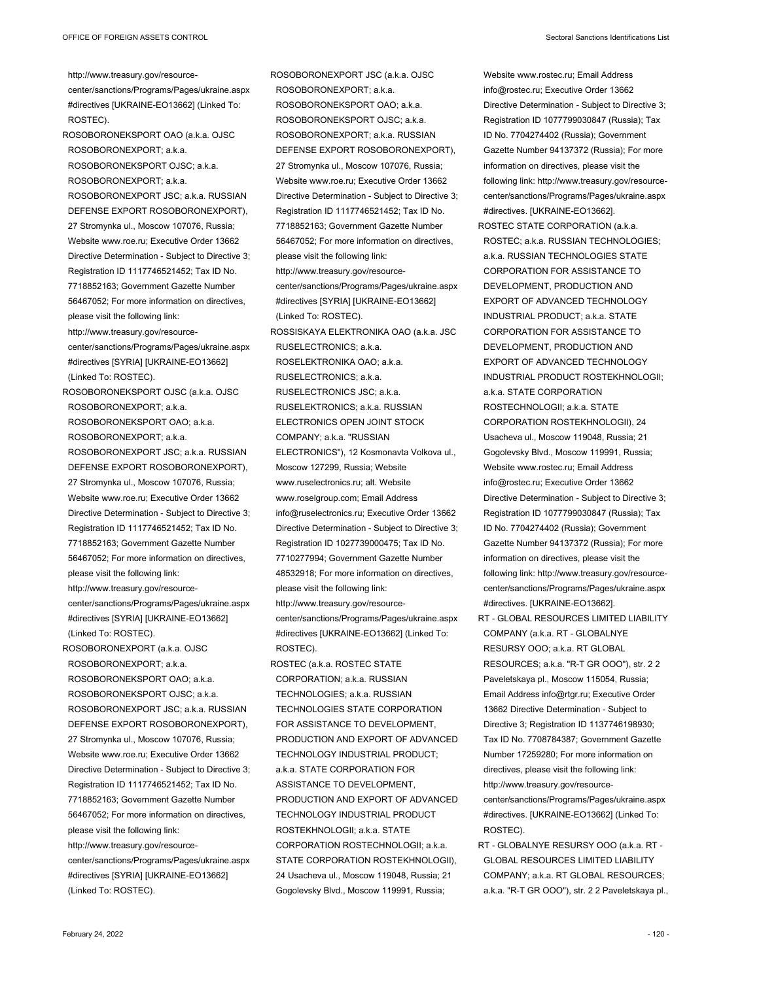http://www.treasury.gov/resourcecenter/sanctions/Programs/Pages/ukraine.aspx #directives [UKRAINE-EO13662] (Linked To: ROSTEC). ROSOBORONEKSPORT OAO (a.k.a. OJSC ROSOBORONEXPORT; a.k.a. ROSOBORONEKSPORT OJSC; a.k.a. ROSOBORONEXPORT; a.k.a. ROSOBORONEXPORT JSC; a.k.a. RUSSIAN DEFENSE EXPORT ROSOBORONEXPORT), 27 Stromynka ul., Moscow 107076, Russia; Website www.roe.ru; Executive Order 13662 Directive Determination - Subject to Directive 3; Registration ID 1117746521452; Tax ID No. 7718852163; Government Gazette Number 56467052; For more information on directives, please visit the following link: http://www.treasury.gov/resourcecenter/sanctions/Programs/Pages/ukraine.aspx #directives [SYRIA] [UKRAINE-EO13662] (Linked To: ROSTEC). ROSOBORONEKSPORT OJSC (a.k.a. OJSC ROSOBORONEXPORT; a.k.a. ROSOBORONEKSPORT OAO; a.k.a. ROSOBORONEXPORT; a.k.a. ROSOBORONEXPORT JSC; a.k.a. RUSSIAN DEFENSE EXPORT ROSOBORONEXPORT), 27 Stromynka ul., Moscow 107076, Russia; Website www.roe.ru; Executive Order 13662 Directive Determination - Subject to Directive 3; Registration ID 1117746521452; Tax ID No. 7718852163; Government Gazette Number 56467052; For more information on directives, please visit the following link: http://www.treasury.gov/resourcecenter/sanctions/Programs/Pages/ukraine.aspx #directives [SYRIA] [UKRAINE-EO13662] (Linked To: ROSTEC).

ROSOBORONEXPORT (a.k.a. OJSC ROSOBORONEXPORT; a.k.a. ROSOBORONEKSPORT OAO; a.k.a. ROSOBORONEKSPORT OJSC; a.k.a. ROSOBORONEXPORT JSC; a.k.a. RUSSIAN DEFENSE EXPORT ROSOBORONEXPORT), 27 Stromynka ul., Moscow 107076, Russia; Website www.roe.ru; Executive Order 13662 Directive Determination - Subject to Directive 3; Registration ID 1117746521452; Tax ID No. 7718852163; Government Gazette Number 56467052; For more information on directives, please visit the following link: http://www.treasury.gov/resourcecenter/sanctions/Programs/Pages/ukraine.aspx #directives [SYRIA] [UKRAINE-EO13662] (Linked To: ROSTEC).

ROSOBORONEXPORT JSC (a.k.a. OJSC ROSOBORONEXPORT; a.k.a. ROSOBORONEKSPORT OAO; a.k.a. ROSOBORONEKSPORT OJSC; a.k.a. ROSOBORONEXPORT; a.k.a. RUSSIAN DEFENSE EXPORT ROSOBORONEXPORT), 27 Stromynka ul., Moscow 107076, Russia; Website www.roe.ru; Executive Order 13662 Directive Determination - Subject to Directive 3; Registration ID 1117746521452; Tax ID No. 7718852163; Government Gazette Number 56467052; For more information on directives, please visit the following link: http://www.treasury.gov/resourcecenter/sanctions/Programs/Pages/ukraine.aspx #directives [SYRIA] [UKRAINE-EO13662] (Linked To: ROSTEC). ROSSISKAYA ELEKTRONIKA OAO (a.k.a. JSC RUSELECTRONICS; a.k.a. ROSELEKTRONIKA OAO; a.k.a. RUSELECTRONICS; a.k.a. RUSELECTRONICS JSC; a.k.a. RUSELEKTRONICS; a.k.a. RUSSIAN ELECTRONICS OPEN JOINT STOCK COMPANY; a.k.a. "RUSSIAN ELECTRONICS"), 12 Kosmonavta Volkova ul., Moscow 127299, Russia; Website www.ruselectronics.ru; alt. Website www.roselgroup.com; Email Address info@ruselectronics.ru; Executive Order 13662 Directive Determination - Subject to Directive 3; Registration ID 1027739000475; Tax ID No. 7710277994; Government Gazette Number 48532918; For more information on directives, please visit the following link: http://www.treasury.gov/resourcecenter/sanctions/Programs/Pages/ukraine.aspx #directives [UKRAINE-EO13662] (Linked To: ROSTEC). ROSTEC (a.k.a. ROSTEC STATE CORPORATION; a.k.a. RUSSIAN TECHNOLOGIES; a.k.a. RUSSIAN TECHNOLOGIES STATE CORPORATION FOR ASSISTANCE TO DEVELOPMENT PRODUCTION AND EXPORT OF ADVANCED TECHNOLOGY INDUSTRIAL PRODUCT; a.k.a. STATE CORPORATION FOR ASSISTANCE TO DEVELOPMENT,

PRODUCTION AND EXPORT OF ADVANCED TECHNOLOGY INDUSTRIAL PRODUCT ROSTEKHNOLOGII; a.k.a. STATE CORPORATION ROSTECHNOLOGII; a.k.a. STATE CORPORATION ROSTEKHNOLOGII), 24 Usacheva ul., Moscow 119048, Russia; 21

Gogolevsky Blvd., Moscow 119991, Russia;

Website www.rostec.ru; Email Address info@rostec.ru; Executive Order 13662 Directive Determination - Subject to Directive 3; Registration ID 1077799030847 (Russia); Tax ID No. 7704274402 (Russia); Government Gazette Number 94137372 (Russia); For more information on directives, please visit the following link: http://www.treasury.gov/resourcecenter/sanctions/Programs/Pages/ukraine.aspx #directives. [UKRAINE-EO13662].

- ROSTEC STATE CORPORATION (a.k.a. ROSTEC; a.k.a. RUSSIAN TECHNOLOGIES; a.k.a. RUSSIAN TECHNOLOGIES STATE CORPORATION FOR ASSISTANCE TO DEVELOPMENT, PRODUCTION AND EXPORT OF ADVANCED TECHNOLOGY INDUSTRIAL PRODUCT; a.k.a. STATE CORPORATION FOR ASSISTANCE TO DEVELOPMENT, PRODUCTION AND EXPORT OF ADVANCED TECHNOLOGY INDUSTRIAL PRODUCT ROSTEKHNOLOGII; a.k.a. STATE CORPORATION ROSTECHNOLOGII; a.k.a. STATE CORPORATION ROSTEKHNOLOGII), 24 Usacheva ul., Moscow 119048, Russia; 21 Gogolevsky Blvd., Moscow 119991, Russia; Website www.rostec.ru; Email Address info@rostec.ru; Executive Order 13662 Directive Determination - Subject to Directive 3; Registration ID 1077799030847 (Russia); Tax ID No. 7704274402 (Russia); Government Gazette Number 94137372 (Russia); For more information on directives, please visit the following link: http://www.treasury.gov/resourcecenter/sanctions/Programs/Pages/ukraine.aspx #directives. [UKRAINE-EO13662].
- RT GLOBAL RESOURCES LIMITED LIABILITY COMPANY (a.k.a. RT - GLOBALNYE RESURSY OOO; a.k.a. RT GLOBAL RESOURCES; a.k.a. "R-T GR OOO"), str. 2 2 Paveletskaya pl., Moscow 115054, Russia; Email Address info@rtgr.ru; Executive Order 13662 Directive Determination - Subject to Directive 3; Registration ID 1137746198930; Tax ID No. 7708784387; Government Gazette Number 17259280; For more information on directives, please visit the following link: http://www.treasury.gov/resourcecenter/sanctions/Programs/Pages/ukraine.aspx #directives. [UKRAINE-EO13662] (Linked To: ROSTEC).
- RT GLOBALNYE RESURSY OOO (a.k.a. RT GLOBAL RESOURCES LIMITED LIABILITY COMPANY; a.k.a. RT GLOBAL RESOURCES; a.k.a. "R-T GR OOO"), str. 2 2 Paveletskaya pl.,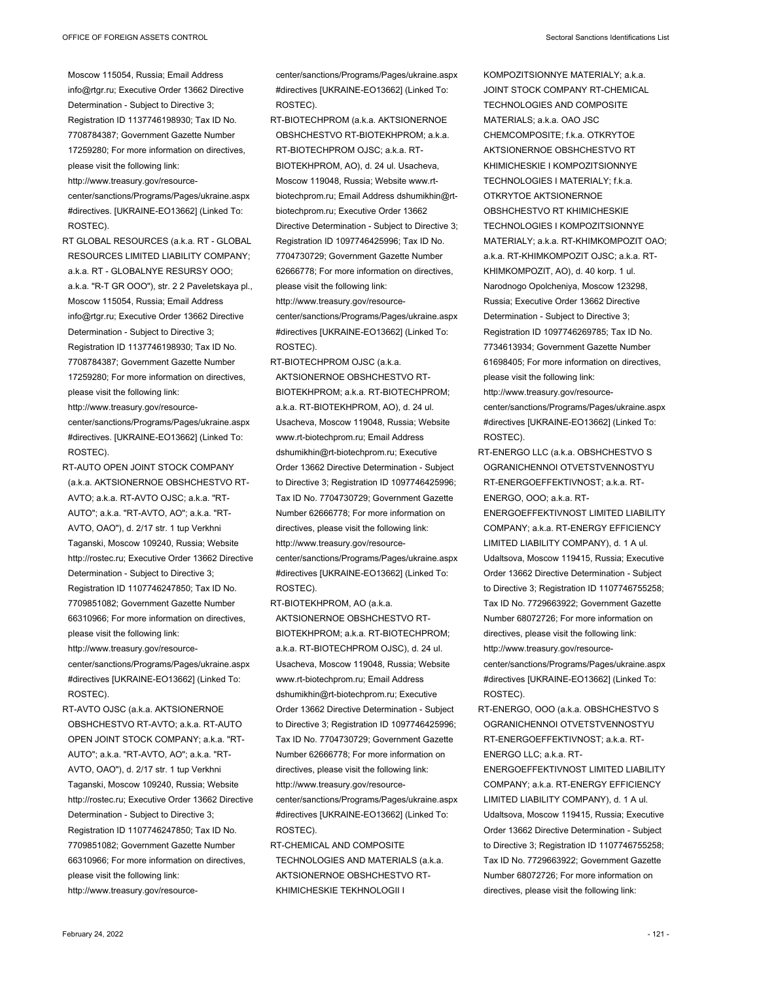http://www.treasury.gov/resourcecenter/sanctions/Programs/Pages/ukraine.aspx #directives. [UKRAINE-EO13662] (Linked To: ROSTEC).

RT GLOBAL RESOURCES (a.k.a. RT - GLOBAL RESOURCES LIMITED LIABILITY COMPANY; a.k.a. RT - GLOBALNYE RESURSY OOO; a.k.a. "R-T GR OOO"), str. 2 2 Paveletskaya pl., Moscow 115054, Russia; Email Address info@rtgr.ru; Executive Order 13662 Directive Determination - Subject to Directive 3; Registration ID 1137746198930; Tax ID No. 7708784387; Government Gazette Number 17259280; For more information on directives, please visit the following link: http://www.treasury.gov/resource-

center/sanctions/Programs/Pages/ukraine.aspx #directives. [UKRAINE-EO13662] (Linked To: ROSTEC).

RT-AUTO OPEN JOINT STOCK COMPANY (a.k.a. AKTSIONERNOE OBSHCHESTVO RT-AVTO; a.k.a. RT-AVTO OJSC; a.k.a. "RT-AUTO"; a.k.a. "RT-AVTO, AO"; a.k.a. "RT-AVTO, OAO"), d. 2/17 str. 1 tup Verkhni Taganski, Moscow 109240, Russia; Website http://rostec.ru; Executive Order 13662 Directive Determination - Subject to Directive 3; Registration ID 1107746247850; Tax ID No. 7709851082; Government Gazette Number 66310966; For more information on directives, please visit the following link: http://www.treasury.gov/resourcecenter/sanctions/Programs/Pages/ukraine.aspx #directives [UKRAINE-EO13662] (Linked To: ROSTEC).

RT-AVTO OJSC (a.k.a. AKTSIONERNOE OBSHCHESTVO RT-AVTO; a.k.a. RT-AUTO OPEN JOINT STOCK COMPANY; a.k.a. "RT-AUTO"; a.k.a. "RT-AVTO, AO"; a.k.a. "RT-AVTO, OAO"), d. 2/17 str. 1 tup Verkhni Taganski, Moscow 109240, Russia; Website http://rostec.ru; Executive Order 13662 Directive Determination - Subject to Directive 3; Registration ID 1107746247850; Tax ID No. 7709851082; Government Gazette Number 66310966; For more information on directives, please visit the following link: http://www.treasury.gov/resourcecenter/sanctions/Programs/Pages/ukraine.aspx #directives [UKRAINE-EO13662] (Linked To: ROSTEC).

RT-BIOTECHPROM (a.k.a. AKTSIONERNOE OBSHCHESTVO RT-BIOTEKHPROM; a.k.a. RT-BIOTECHPROM OJSC; a.k.a. RT-BIOTEKHPROM, AO), d. 24 ul. Usacheva, Moscow 119048, Russia; Website www.rtbiotechprom.ru; Email Address dshumikhin@rtbiotechprom.ru; Executive Order 13662 Directive Determination - Subject to Directive 3; Registration ID 1097746425996; Tax ID No. 7704730729; Government Gazette Number 62666778; For more information on directives, please visit the following link: http://www.treasury.gov/resource-

center/sanctions/Programs/Pages/ukraine.aspx #directives [UKRAINE-EO13662] (Linked To: ROSTEC).

RT-BIOTECHPROM OJSC (a.k.a. AKTSIONERNOE OBSHCHESTVO RT-BIOTEKHPROM; a.k.a. RT-BIOTECHPROM; a.k.a. RT-BIOTEKHPROM, AO), d. 24 ul. Usacheva, Moscow 119048, Russia; Website www.rt-biotechprom.ru; Email Address dshumikhin@rt-biotechprom.ru; Executive Order 13662 Directive Determination - Subject to Directive 3; Registration ID 1097746425996; Tax ID No. 7704730729; Government Gazette Number 62666778; For more information on directives, please visit the following link: http://www.treasury.gov/resourcecenter/sanctions/Programs/Pages/ukraine.aspx #directives [UKRAINE-EO13662] (Linked To: ROSTEC).

RT-BIOTEKHPROM, AO (a.k.a. AKTSIONERNOE OBSHCHESTVO RT-BIOTEKHPROM; a.k.a. RT-BIOTECHPROM; a.k.a. RT-BIOTECHPROM OJSC), d. 24 ul. Usacheva, Moscow 119048, Russia; Website www.rt-biotechprom.ru; Email Address dshumikhin@rt-biotechprom.ru; Executive Order 13662 Directive Determination - Subject to Directive 3; Registration ID 1097746425996; Tax ID No. 7704730729; Government Gazette Number 62666778; For more information on directives, please visit the following link: http://www.treasury.gov/resourcecenter/sanctions/Programs/Pages/ukraine.aspx #directives [UKRAINE-EO13662] (Linked To: ROSTEC).

RT-CHEMICAL AND COMPOSITE TECHNOLOGIES AND MATERIALS (a.k.a. AKTSIONERNOE OBSHCHESTVO RT-KHIMICHESKIE TEKHNOLOGII I

KOMPOZITSIONNYE MATERIALY; a.k.a. JOINT STOCK COMPANY RT-CHEMICAL TECHNOLOGIES AND COMPOSITE MATERIALS; a.k.a. OAO JSC CHEMCOMPOSITE; f.k.a. OTKRYTOE AKTSIONERNOE OBSHCHESTVO RT KHIMICHESKIE I KOMPOZITSIONNYE TECHNOLOGIES I MATERIALY; f.k.a. OTKRYTOE AKTSIONERNOE OBSHCHESTVO RT KHIMICHESKIE TECHNOLOGIES I KOMPOZITSIONNYE MATERIALY; a.k.a. RT-KHIMKOMPOZIT OAO; a.k.a. RT-KHIMKOMPOZIT OJSC; a.k.a. RT-KHIMKOMPOZIT, AO), d. 40 korp. 1 ul. Narodnogo Opolcheniya, Moscow 123298, Russia; Executive Order 13662 Directive Determination - Subject to Directive 3; Registration ID 1097746269785; Tax ID No. 7734613934; Government Gazette Number 61698405; For more information on directives, please visit the following link: http://www.treasury.gov/resource-

center/sanctions/Programs/Pages/ukraine.aspx #directives [UKRAINE-EO13662] (Linked To: ROSTEC).

RT-ENERGO LLC (a.k.a. OBSHCHESTVO S OGRANICHENNOI OTVETSTVENNOSTYU RT-ENERGOEFFEKTIVNOST; a.k.a. RT-ENERGO, OOO; a.k.a. RT-

ENERGOEFFEKTIVNOST LIMITED LIABILITY COMPANY; a.k.a. RT-ENERGY EFFICIENCY LIMITED LIABILITY COMPANY), d. 1 A ul. Udaltsova, Moscow 119415, Russia; Executive Order 13662 Directive Determination - Subject to Directive 3: Registration ID 1107746755258: Tax ID No. 7729663922; Government Gazette Number 68072726; For more information on directives, please visit the following link: http://www.treasury.gov/resourcecenter/sanctions/Programs/Pages/ukraine.aspx #directives [UKRAINE-EO13662] (Linked To: ROSTEC).

RT-ENERGO, OOO (a.k.a. OBSHCHESTVO S OGRANICHENNOI OTVETSTVENNOSTYU RT-ENERGOEFFEKTIVNOST; a.k.a. RT-ENERGO LLC; a.k.a. RT-

ENERGOEFFEKTIVNOST LIMITED LIABILITY COMPANY; a.k.a. RT-ENERGY EFFICIENCY LIMITED LIABILITY COMPANY), d. 1 A ul. Udaltsova, Moscow 119415, Russia; Executive Order 13662 Directive Determination - Subject to Directive 3; Registration ID 1107746755258; Tax ID No. 7729663922; Government Gazette Number 68072726; For more information on directives, please visit the following link: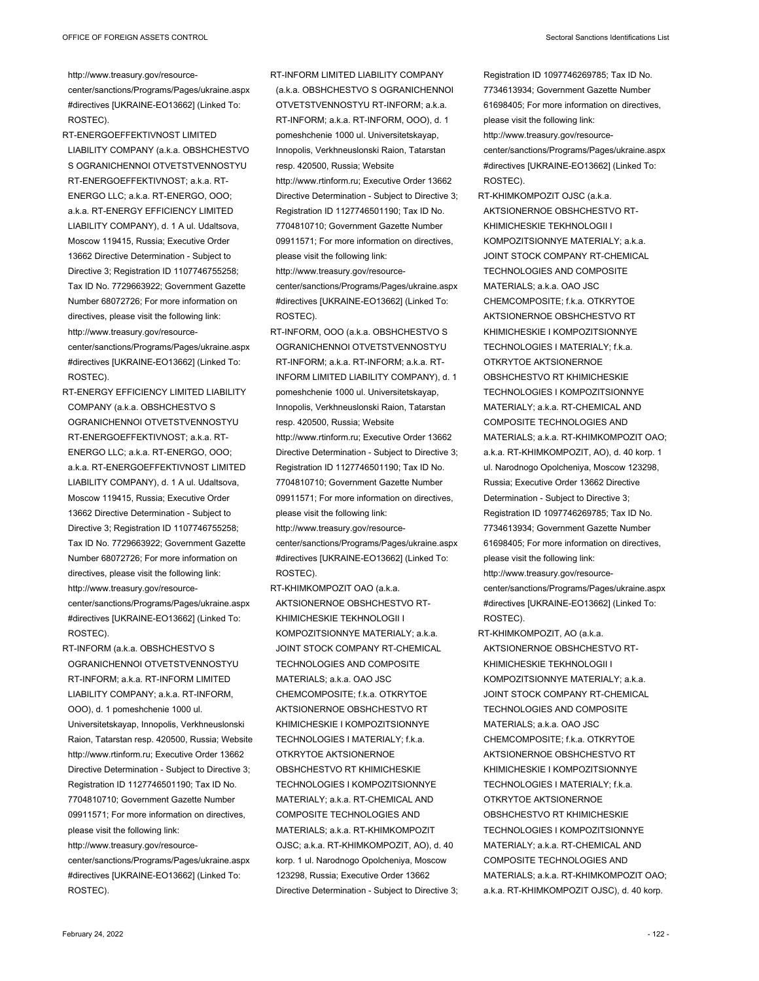http://www.treasury.gov/resource-

center/sanctions/Programs/Pages/ukraine.aspx #directives [UKRAINE-EO13662] (Linked To: ROSTEC).

- RT-ENERGOEFFEKTIVNOST LIMITED LIABILITY COMPANY (a.k.a. OBSHCHESTVO S OGRANICHENNOI OTVETSTVENNOSTYU RT-ENERGOEFFEKTIVNOST; a.k.a. RT-ENERGO LLC; a.k.a. RT-ENERGO, OOO; a.k.a. RT-ENERGY EFFICIENCY LIMITED LIABILITY COMPANY), d. 1 A ul. Udaltsova, Moscow 119415, Russia; Executive Order 13662 Directive Determination - Subject to Directive 3; Registration ID 1107746755258; Tax ID No. 7729663922; Government Gazette Number 68072726; For more information on directives, please visit the following link: http://www.treasury.gov/resourcecenter/sanctions/Programs/Pages/ukraine.aspx #directives [UKRAINE-EO13662] (Linked To: ROSTEC).
- RT-ENERGY EFFICIENCY LIMITED LIABILITY COMPANY (a.k.a. OBSHCHESTVO S OGRANICHENNOI OTVETSTVENNOSTYU RT-ENERGOEFFEKTIVNOST; a.k.a. RT-ENERGO LLC; a.k.a. RT-ENERGO, OOO; a.k.a. RT-ENERGOEFFEKTIVNOST LIMITED LIABILITY COMPANY), d. 1 A ul. Udaltsova, Moscow 119415, Russia; Executive Order 13662 Directive Determination - Subject to Directive 3; Registration ID 1107746755258; Tax ID No. 7729663922; Government Gazette Number 68072726; For more information on directives, please visit the following link: http://www.treasury.gov/resourcecenter/sanctions/Programs/Pages/ukraine.aspx #directives [UKRAINE-EO13662] (Linked To: ROSTEC).
- RT-INFORM (a.k.a. OBSHCHESTVO S OGRANICHENNOI OTVETSTVENNOSTYU RT-INFORM; a.k.a. RT-INFORM LIMITED LIABILITY COMPANY; a.k.a. RT-INFORM, OOO), d. 1 pomeshchenie 1000 ul. Universitetskayap, Innopolis, Verkhneuslonski Raion, Tatarstan resp. 420500, Russia; Website http://www.rtinform.ru; Executive Order 13662 Directive Determination - Subject to Directive 3; Registration ID 1127746501190; Tax ID No. 7704810710; Government Gazette Number 09911571; For more information on directives, please visit the following link: http://www.treasury.gov/resourcecenter/sanctions/Programs/Pages/ukraine.aspx

#directives [UKRAINE-EO13662] (Linked To: ROSTEC).

RT-INFORM LIMITED LIABILITY COMPANY (a.k.a. OBSHCHESTVO S OGRANICHENNOI OTVETSTVENNOSTYU RT-INFORM; a.k.a. RT-INFORM; a.k.a. RT-INFORM, OOO), d. 1 pomeshchenie 1000 ul. Universitetskayap, Innopolis, Verkhneuslonski Raion, Tatarstan resp. 420500, Russia; Website http://www.rtinform.ru; Executive Order 13662 Directive Determination - Subject to Directive 3; Registration ID 1127746501190; Tax ID No. 7704810710; Government Gazette Number 09911571; For more information on directives, please visit the following link: http://www.treasury.gov/resourcecenter/sanctions/Programs/Pages/ukraine.aspx #directives [UKRAINE-EO13662] (Linked To:

- ROSTEC). RT-INFORM, OOO (a.k.a. OBSHCHESTVO S OGRANICHENNOI OTVETSTVENNOSTYU RT-INFORM; a.k.a. RT-INFORM; a.k.a. RT-INFORM LIMITED LIABILITY COMPANY), d. 1 pomeshchenie 1000 ul. Universitetskayap, Innopolis, Verkhneuslonski Raion, Tatarstan resp. 420500, Russia; Website http://www.rtinform.ru; Executive Order 13662 Directive Determination - Subject to Directive 3; Registration ID 1127746501190; Tax ID No. 7704810710; Government Gazette Number 09911571; For more information on directives, please visit the following link: http://www.treasury.gov/resource-
- center/sanctions/Programs/Pages/ukraine.aspx #directives [UKRAINE-EO13662] (Linked To: ROSTEC).
- RT-KHIMKOMPOZIT OAO (a.k.a. AKTSIONERNOE OBSHCHESTVO RT-KHIMICHESKIE TEKHNOLOGII I KOMPOZITSIONNYE MATERIALY; a.k.a. JOINT STOCK COMPANY RT-CHEMICAL TECHNOLOGIES AND COMPOSITE MATERIALS; a.k.a. OAO JSC CHEMCOMPOSITE; f.k.a. OTKRYTOE AKTSIONERNOE OBSHCHESTVO RT KHIMICHESKIE I KOMPOZITSIONNYE TECHNOLOGIES I MATERIALY; f.k.a. OTKRYTOE AKTSIONERNOE OBSHCHESTVO RT KHIMICHESKIE TECHNOLOGIES I KOMPOZITSIONNYE MATERIALY; a.k.a. RT-CHEMICAL AND COMPOSITE TECHNOLOGIES AND MATERIALS; a.k.a. RT-KHIMKOMPOZIT OJSC; a.k.a. RT-KHIMKOMPOZIT, AO), d. 40 korp. 1 ul. Narodnogo Opolcheniya, Moscow 123298, Russia; Executive Order 13662 Directive Determination - Subject to Directive 3;
- Registration ID 1097746269785; Tax ID No. 7734613934; Government Gazette Number 61698405; For more information on directives, please visit the following link: http://www.treasury.gov/resourcecenter/sanctions/Programs/Pages/ukraine.aspx #directives [UKRAINE-EO13662] (Linked To: ROSTEC).
- RT-KHIMKOMPOZIT OJSC (a.k.a. AKTSIONERNOE OBSHCHESTVO RT-KHIMICHESKIE TEKHNOLOGII I KOMPOZITSIONNYE MATERIALY; a.k.a. JOINT STOCK COMPANY RT-CHEMICAL TECHNOLOGIES AND COMPOSITE MATERIALS; a.k.a. OAO JSC CHEMCOMPOSITE; f.k.a. OTKRYTOE AKTSIONERNOE OBSHCHESTVO RT KHIMICHESKIE I KOMPOZITSIONNYE TECHNOLOGIES I MATERIALY; f.k.a. OTKRYTOE AKTSIONERNOE OBSHCHESTVO RT KHIMICHESKIE TECHNOLOGIES I KOMPOZITSIONNYE MATERIALY; a.k.a. RT-CHEMICAL AND COMPOSITE TECHNOLOGIES AND MATERIALS; a.k.a. RT-KHIMKOMPOZIT OAO; a.k.a. RT-KHIMKOMPOZIT, AO), d. 40 korp. 1 ul. Narodnogo Opolcheniya, Moscow 123298, Russia; Executive Order 13662 Directive Determination - Subject to Directive 3; Registration ID 1097746269785; Tax ID No. 7734613934; Government Gazette Number 61698405; For more information on directives, please visit the following link: http://www.treasury.gov/resourcecenter/sanctions/Programs/Pages/ukraine.aspx
- RT-KHIMKOMPOZIT, AO (a.k.a. AKTSIONERNOE OBSHCHESTVO RT-KHIMICHESKIE TEKHNOLOGII I KOMPOZITSIONNYE MATERIALY; a.k.a. JOINT STOCK COMPANY RT-CHEMICAL TECHNOLOGIES AND COMPOSITE MATERIALS; a.k.a. OAO JSC CHEMCOMPOSITE; f.k.a. OTKRYTOE AKTSIONERNOE OBSHCHESTVO RT KHIMICHESKIE I KOMPOZITSIONNYE TECHNOLOGIES I MATERIALY; f.k.a. OTKRYTOE AKTSIONERNOE OBSHCHESTVO RT KHIMICHESKIE TECHNOLOGIES I KOMPOZITSIONNYE MATERIALY; a k a RT-CHEMICAL AND COMPOSITE TECHNOLOGIES AND MATERIALS; a.k.a. RT-KHIMKOMPOZIT OAO; a.k.a. RT-KHIMKOMPOZIT OJSC), d. 40 korp.

#directives [UKRAINE-EO13662] (Linked To:

ROSTEC).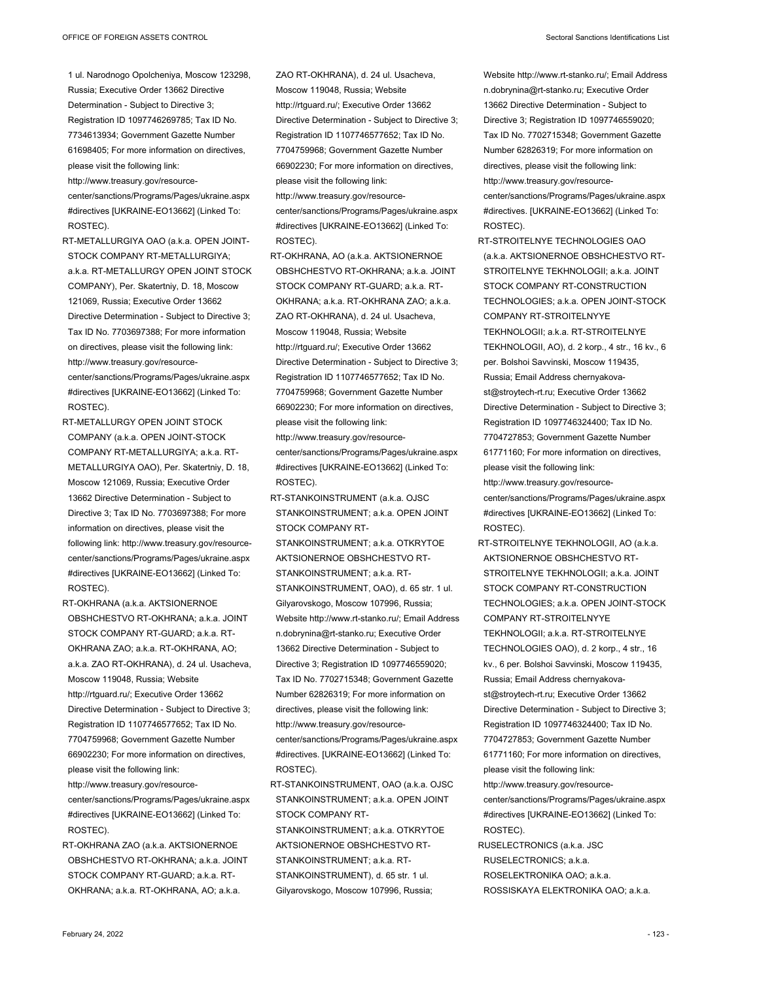- 1 ul. Narodnogo Opolcheniya, Moscow 123298, Russia; Executive Order 13662 Directive Determination - Subject to Directive 3; Registration ID 1097746269785; Tax ID No. 7734613934; Government Gazette Number 61698405; For more information on directives, please visit the following link:
- http://www.treasury.gov/resourcecenter/sanctions/Programs/Pages/ukraine.aspx #directives [UKRAINE-EO13662] (Linked To: ROSTEC).
- RT-METALLURGIYA OAO (a.k.a. OPEN JOINT-STOCK COMPANY RT-METALLURGIYA; a.k.a. RT-METALLURGY OPEN JOINT STOCK COMPANY), Per. Skatertniy, D. 18, Moscow 121069, Russia; Executive Order 13662 Directive Determination - Subject to Directive 3; Tax ID No. 7703697388; For more information on directives, please visit the following link: http://www.treasury.gov/resourcecenter/sanctions/Programs/Pages/ukraine.aspx #directives [UKRAINE-EO13662] (Linked To: ROSTEC).
- RT-METALLURGY OPEN JOINT STOCK COMPANY (a.k.a. OPEN JOINT-STOCK COMPANY RT-METALLURGIYA; a.k.a. RT-METALLURGIYA OAO), Per. Skatertniy, D. 18, Moscow 121069, Russia; Executive Order 13662 Directive Determination - Subject to Directive 3; Tax ID No. 7703697388; For more information on directives, please visit the following link: http://www.treasury.gov/resourcecenter/sanctions/Programs/Pages/ukraine.aspx #directives [UKRAINE-EO13662] (Linked To: ROSTEC).
- RT-OKHRANA (a.k.a. AKTSIONERNOE OBSHCHESTVO RT-OKHRANA; a.k.a. JOINT STOCK COMPANY RT-GUARD; a.k.a. RT-OKHRANA ZAO; a.k.a. RT-OKHRANA, AO; a.k.a. ZAO RT-OKHRANA), d. 24 ul. Usacheva, Moscow 119048, Russia; Website http://rtguard.ru/; Executive Order 13662 Directive Determination - Subject to Directive 3; Registration ID 1107746577652; Tax ID No. 7704759968; Government Gazette Number 66902230; For more information on directives, please visit the following link: http://www.treasury.gov/resourcecenter/sanctions/Programs/Pages/ukraine.aspx #directives [UKRAINE-EO13662] (Linked To:
- ROSTEC).
- RT-OKHRANA ZAO (a.k.a. AKTSIONERNOE OBSHCHESTVO RT-OKHRANA; a.k.a. JOINT STOCK COMPANY RT-GUARD; a.k.a. RT-OKHRANA; a.k.a. RT-OKHRANA, AO; a.k.a.
- ZAO RT-OKHRANA), d. 24 ul. Usacheva, Moscow 119048, Russia; Website http://rtguard.ru/; Executive Order 13662 Directive Determination - Subject to Directive 3; Registration ID 1107746577652; Tax ID No. 7704759968; Government Gazette Number 66902230; For more information on directives, please visit the following link: http://www.treasury.gov/resourcecenter/sanctions/Programs/Pages/ukraine.aspx
- #directives [UKRAINE-EO13662] (Linked To: ROSTEC).
- RT-OKHRANA, AO (a.k.a. AKTSIONERNOE OBSHCHESTVO RT-OKHRANA; a.k.a. JOINT STOCK COMPANY RT-GUARD; a.k.a. RT-OKHRANA; a.k.a. RT-OKHRANA ZAO; a.k.a. ZAO RT-OKHRANA), d. 24 ul. Usacheva, Moscow 119048, Russia; Website http://rtguard.ru/; Executive Order 13662 Directive Determination - Subject to Directive 3; Registration ID 1107746577652; Tax ID No. 7704759968; Government Gazette Number 66902230; For more information on directives, please visit the following link: http://www.treasury.gov/resource-

center/sanctions/Programs/Pages/ukraine.aspx #directives [UKRAINE-EO13662] (Linked To: ROSTEC).

- RT-STANKOINSTRUMENT (a.k.a. OJSC STANKOINSTRUMENT; a.k.a. OPEN JOINT STOCK COMPANY RT-STANKOINSTRUMENT; a k a OTKRYTOF AKTSIONERNOE OBSHCHESTVO RT-STANKOINSTRUMENT; a.k.a. RT-STANKOINSTRUMENT, OAO), d. 65 str. 1 ul. Gilyarovskogo, Moscow 107996, Russia; Website http://www.rt-stanko.ru/; Email Address n.dobrynina@rt-stanko.ru; Executive Order 13662 Directive Determination - Subject to Directive 3; Registration ID 1097746559020; Tax ID No. 7702715348; Government Gazette Number 62826319; For more information on directives, please visit the following link: http://www.treasury.gov/resourcecenter/sanctions/Programs/Pages/ukraine.aspx #directives. [UKRAINE-EO13662] (Linked To: ROSTEC).
- RT-STANKOINSTRUMENT, OAO (a.k.a. OJSC STANKOINSTRUMENT; a.k.a. OPEN JOINT STOCK COMPANY RT-
- STANKOINSTRUMENT; a.k.a. OTKRYTOE AKTSIONERNOE OBSHCHESTVO RT-STANKOINSTRUMENT; a.k.a. RT-STANKOINSTRUMENT), d. 65 str. 1 ul. Gilyarovskogo, Moscow 107996, Russia;

Website http://www.rt-stanko.ru/; Email Address n.dobrynina@rt-stanko.ru; Executive Order 13662 Directive Determination - Subject to Directive 3; Registration ID 1097746559020; Tax ID No. 7702715348; Government Gazette Number 62826319; For more information on directives, please visit the following link: http://www.treasury.gov/resourcecenter/sanctions/Programs/Pages/ukraine.aspx #directives. [UKRAINE-EO13662] (Linked To: ROSTEC).

- RT-STROITELNYE TECHNOLOGIES OAO (a.k.a. AKTSIONERNOE OBSHCHESTVO RT-STROITELNYE TEKHNOLOGII; a.k.a. JOINT STOCK COMPANY RT-CONSTRUCTION TECHNOLOGIES; a.k.a. OPEN JOINT-STOCK COMPANY RT-STROITELNYYE TEKHNOLOGII; a.k.a. RT-STROITELNYE TEKHNOLOGII, AO), d. 2 korp., 4 str., 16 kv., 6 per. Bolshoi Savvinski, Moscow 119435, Russia; Email Address chernyakovast@stroytech-rt.ru; Executive Order 13662 Directive Determination - Subject to Directive 3; Registration ID 1097746324400; Tax ID No. 7704727853; Government Gazette Number 61771160; For more information on directives, please visit the following link: http://www.treasury.gov/resource-
- center/sanctions/Programs/Pages/ukraine.aspx #directives [UKRAINE-EO13662] (Linked To: ROSTEC).
- RT-STROITELNYE TEKHNOLOGII, AO (a.k.a. AKTSIONERNOE OBSHCHESTVO RT-STROITELNYE TEKHNOLOGII; a.k.a. JOINT STOCK COMPANY RT-CONSTRUCTION TECHNOLOGIES; a.k.a. OPEN JOINT-STOCK COMPANY RT-STROITELNYYE TEKHNOLOGII; a.k.a. RT-STROITELNYE TECHNOLOGIES OAO), d. 2 korp., 4 str., 16 kv., 6 per. Bolshoi Savvinski, Moscow 119435, Russia; Email Address chernyakovast@stroytech-rt.ru; Executive Order 13662 Directive Determination - Subject to Directive 3; Registration ID 1097746324400; Tax ID No. 7704727853; Government Gazette Number 61771160; For more information on directives, please visit the following link: http://www.treasury.gov/resourcecenter/sanctions/Programs/Pages/ukraine.aspx #directives [UKRAINE-EO13662] (Linked To: ROSTEC). RUSELECTRONICS (a.k.a. JSC
- RUSELECTRONICS; a.k.a. ROSELEKTRONIKA OAO; a.k.a. ROSSISKAYA ELEKTRONIKA OAO; a.k.a.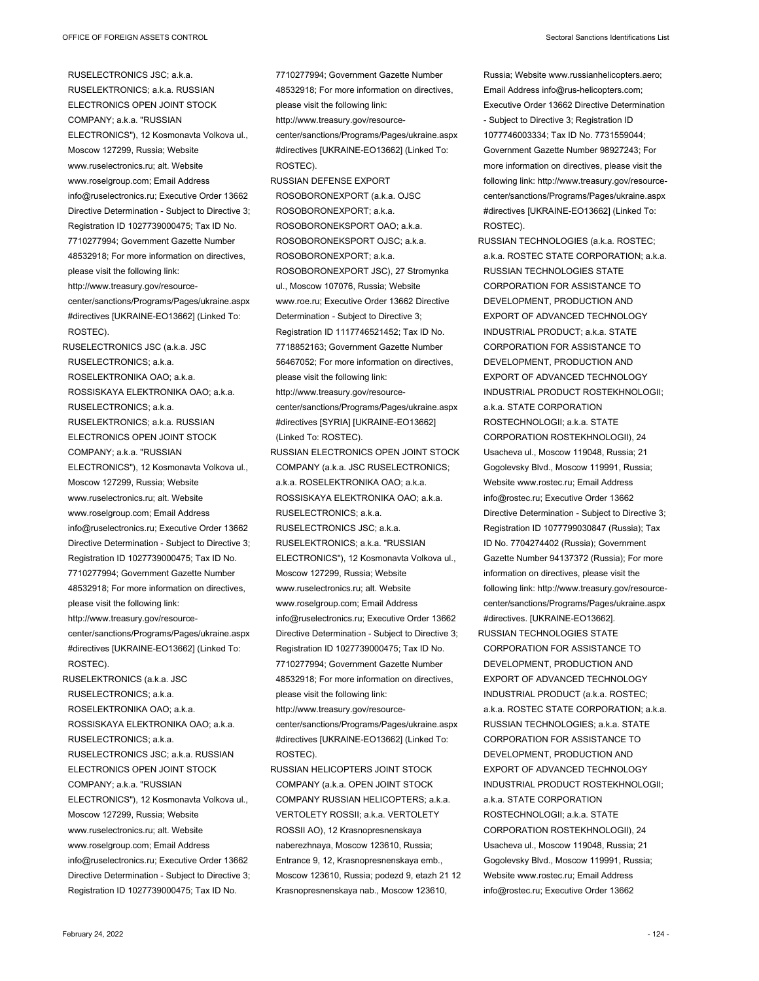RUSELECTRONICS JSC; a.k.a. RUSELEKTRONICS; a.k.a. RUSSIAN ELECTRONICS OPEN JOINT STOCK COMPANY; a.k.a. "RUSSIAN ELECTRONICS"), 12 Kosmonavta Volkova ul., Moscow 127299, Russia; Website www.ruselectronics.ru; alt. Website www.roselgroup.com; Email Address info@ruselectronics.ru; Executive Order 13662 Directive Determination - Subject to Directive 3; Registration ID 1027739000475; Tax ID No. 7710277994; Government Gazette Number 48532918; For more information on directives, please visit the following link: http://www.treasury.gov/resourcecenter/sanctions/Programs/Pages/ukraine.aspx #directives [UKRAINE-EO13662] (Linked To: ROSTEC). RUSELECTRONICS JSC (a.k.a. JSC

RUSELECTRONICS; a.k.a. ROSELEKTRONIKA OAO; a.k.a. ROSSISKAYA ELEKTRONIKA OAO; a.k.a. RUSELECTRONICS; a.k.a. RUSELEKTRONICS; a.k.a. RUSSIAN ELECTRONICS OPEN JOINT STOCK COMPANY; a.k.a. "RUSSIAN ELECTRONICS"), 12 Kosmonavta Volkova ul., Moscow 127299, Russia; Website www.ruselectronics.ru; alt. Website www.roselgroup.com; Email Address info@ruselectronics.ru; Executive Order 13662 Directive Determination - Subject to Directive 3; Registration ID 1027739000475; Tax ID No. 7710277994; Government Gazette Number 48532918; For more information on directives, please visit the following link: http://www.treasury.gov/resourcecenter/sanctions/Programs/Pages/ukraine.aspx #directives [UKRAINE-EO13662] (Linked To: ROSTEC).

RUSELEKTRONICS (a.k.a. JSC RUSELECTRONICS; a.k.a. ROSELEKTRONIKA OAO; a.k.a. ROSSISKAYA ELEKTRONIKA OAO; a.k.a. RUSELECTRONICS; a.k.a. RUSELECTRONICS JSC; a.k.a. RUSSIAN ELECTRONICS OPEN JOINT STOCK COMPANY; a.k.a. "RUSSIAN ELECTRONICS"), 12 Kosmonavta Volkova ul., Moscow 127299, Russia; Website www.ruselectronics.ru; alt. Website www.roselgroup.com; Email Address info@ruselectronics.ru; Executive Order 13662 Directive Determination - Subject to Directive 3; Registration ID 1027739000475; Tax ID No.

7710277994; Government Gazette Number 48532918; For more information on directives, please visit the following link: http://www.treasury.gov/resourcecenter/sanctions/Programs/Pages/ukraine.aspx #directives [UKRAINE-EO13662] (Linked To: ROSTEC). RUSSIAN DEFENSE EXPORT ROSOBORONEXPORT (a.k.a. OJSC ROSOBORONEXPORT; a.k.a.

ROSOBORONEKSPORT OAO; a.k.a. ROSOBORONEKSPORT OJSC; a.k.a. ROSOBORONEXPORT; a.k.a. ROSOBORONEXPORT JSC), 27 Stromynka ul., Moscow 107076, Russia; Website www.roe.ru; Executive Order 13662 Directive Determination - Subject to Directive 3; Registration ID 1117746521452; Tax ID No. 7718852163; Government Gazette Number 56467052; For more information on directives, please visit the following link: http://www.treasury.gov/resourcecenter/sanctions/Programs/Pages/ukraine.aspx #directives [SYRIA] [UKRAINE-EO13662] (Linked To: ROSTEC). RUSSIAN ELECTRONICS OPEN JOINT STOCK COMPANY (a.k.a. JSC RUSELECTRONICS;

a.k.a. ROSELEKTRONIKA OAO; a.k.a. ROSSISKAYA ELEKTRONIKA OAO; a.k.a. RUSELECTRONICS; a.k.a. RUSELECTRONICS JSC; a.k.a. RUSELEKTRONICS; a.k.a. "RUSSIAN ELECTRONICS"), 12 Kosmonavta Volkova ul., Moscow 127299, Russia; Website www.ruselectronics.ru; alt. Website www.roselgroup.com; Email Address info@ruselectronics.ru; Executive Order 13662 Directive Determination - Subject to Directive 3; Registration ID 1027739000475; Tax ID No. 7710277994; Government Gazette Number 48532918; For more information on directives, please visit the following link: http://www.treasury.gov/resourcecenter/sanctions/Programs/Pages/ukraine.aspx

#directives [UKRAINE-EO13662] (Linked To: ROSTEC).

RUSSIAN HELICOPTERS JOINT STOCK COMPANY (a.k.a. OPEN JOINT STOCK COMPANY RUSSIAN HELICOPTERS; a.k.a. VERTOLETY ROSSII; a.k.a. VERTOLETY ROSSII AO), 12 Krasnopresnenskaya naberezhnaya, Moscow 123610, Russia; Entrance 9, 12, Krasnopresnenskaya emb., Moscow 123610, Russia; podezd 9, etazh 21 12 Krasnopresnenskaya nab., Moscow 123610,

Russia; Website www.russianhelicopters.aero; Email Address info@rus-helicopters.com; Executive Order 13662 Directive Determination - Subject to Directive 3; Registration ID 1077746003334; Tax ID No. 7731559044; Government Gazette Number 98927243; For more information on directives, please visit the following link: http://www.treasury.gov/resourcecenter/sanctions/Programs/Pages/ukraine.aspx #directives [UKRAINE-EO13662] (Linked To: ROSTEC).

RUSSIAN TECHNOLOGIES (a.k.a. ROSTEC; a.k.a. ROSTEC STATE CORPORATION; a.k.a. RUSSIAN TECHNOLOGIES STATE CORPORATION FOR ASSISTANCE TO DEVELOPMENT, PRODUCTION AND EXPORT OF ADVANCED TECHNOLOGY INDUSTRIAL PRODUCT; a.k.a. STATE CORPORATION FOR ASSISTANCE TO DEVELOPMENT, PRODUCTION AND EXPORT OF ADVANCED TECHNOLOGY INDUSTRIAL PRODUCT ROSTEKHNOLOGII; a.k.a. STATE CORPORATION ROSTECHNOLOGII; a.k.a. STATE CORPORATION ROSTEKHNOLOGII), 24 Usacheva ul., Moscow 119048, Russia; 21 Gogolevsky Blvd., Moscow 119991, Russia; Website www.rostec.ru; Email Address info@rostec.ru; Executive Order 13662 Directive Determination - Subject to Directive 3; Registration ID 1077799030847 (Russia); Tax ID No. 7704274402 (Russia); Government Gazette Number 94137372 (Russia); For more information on directives, please visit the following link: http://www.treasury.gov/resourcecenter/sanctions/Programs/Pages/ukraine.aspx #directives. [UKRAINE-EO13662].

RUSSIAN TECHNOLOGIES STATE CORPORATION FOR ASSISTANCE TO DEVELOPMENT, PRODUCTION AND EXPORT OF ADVANCED TECHNOLOGY INDUSTRIAL PRODUCT (a.k.a. ROSTEC; a.k.a. ROSTEC STATE CORPORATION; a.k.a. RUSSIAN TECHNOLOGIES; a.k.a. STATE CORPORATION FOR ASSISTANCE TO DEVELOPMENT, PRODUCTION AND EXPORT OF ADVANCED TECHNOLOGY INDUSTRIAL PRODUCT ROSTEKHNOLOGII; a.k.a. STATE CORPORATION ROSTECHNOLOGII; a.k.a. STATE CORPORATION ROSTEKHNOLOGII), 24 Usacheva ul., Moscow 119048, Russia; 21 Gogolevsky Blvd., Moscow 119991, Russia; Website www.rostec.ru; Email Address info@rostec.ru; Executive Order 13662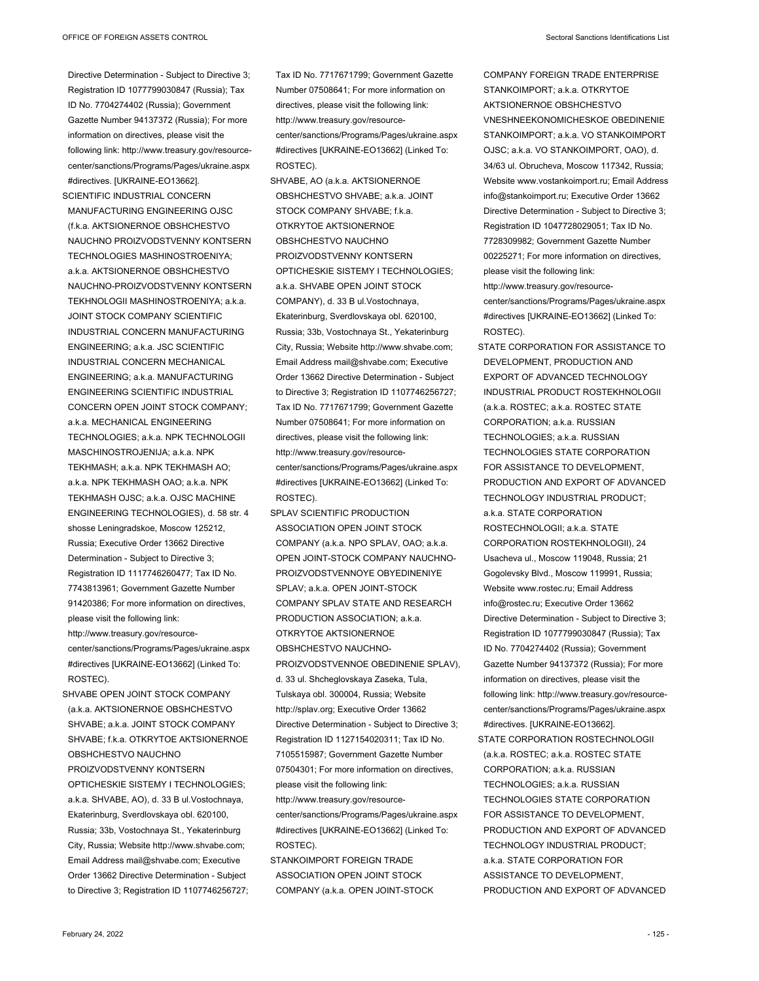Directive Determination - Subject to Directive 3; Registration ID 1077799030847 (Russia); Tax ID No. 7704274402 (Russia); Government Gazette Number 94137372 (Russia); For more information on directives, please visit the following link: http://www.treasury.gov/resourcecenter/sanctions/Programs/Pages/ukraine.aspx #directives. [UKRAINE-EO13662].

SCIENTIFIC INDUSTRIAL CONCERN MANUFACTURING ENGINEERING OJSC (f.k.a. AKTSIONERNOE OBSHCHESTVO NAUCHNO PROIZVODSTVENNY KONTSERN TECHNOLOGIES MASHINOSTROENIYA; a.k.a. AKTSIONERNOE OBSHCHESTVO NAUCHNO-PROIZVODSTVENNY KONTSERN TEKHNOLOGII MASHINOSTROENIYA; a.k.a. JOINT STOCK COMPANY SCIENTIFIC INDUSTRIAL CONCERN MANUFACTURING ENGINEERING; a.k.a. JSC SCIENTIFIC INDUSTRIAL CONCERN MECHANICAL ENGINEERING; a.k.a. MANUFACTURING ENGINEERING SCIENTIFIC INDUSTRIAL CONCERN OPEN JOINT STOCK COMPANY; a.k.a. MECHANICAL ENGINEERING TECHNOLOGIES; a.k.a. NPK TECHNOLOGII MASCHINOSTROJENIJA; a.k.a. NPK TEKHMASH; a.k.a. NPK TEKHMASH AO; a.k.a. NPK TEKHMASH OAO; a.k.a. NPK TEKHMASH OJSC; a.k.a. OJSC MACHINE ENGINEERING TECHNOLOGIES), d. 58 str. 4 shosse Leningradskoe, Moscow 125212, Russia; Executive Order 13662 Directive Determination - Subject to Directive 3; Registration ID 1117746260477; Tax ID No. 7743813961; Government Gazette Number 91420386; For more information on directives, please visit the following link: http://www.treasury.gov/resourcecenter/sanctions/Programs/Pages/ukraine.aspx #directives [UKRAINE-EO13662] (Linked To: ROSTEC).

SHVABE OPEN JOINT STOCK COMPANY (a.k.a. AKTSIONERNOE OBSHCHESTVO SHVABE; a.k.a. JOINT STOCK COMPANY SHVABE; f.k.a. OTKRYTOE AKTSIONERNOE OBSHCHESTVO NAUCHNO PROIZVODSTVENNY KONTSERN OPTICHESKIE SISTEMY I TECHNOLOGIES; a.k.a. SHVABE, AO), d. 33 B ul.Vostochnaya, Ekaterinburg, Sverdlovskaya obl. 620100, Russia; 33b, Vostochnaya St., Yekaterinburg City, Russia; Website http://www.shvabe.com; Email Address mail@shvabe.com; Executive Order 13662 Directive Determination - Subject to Directive 3; Registration ID 1107746256727; Tax ID No. 7717671799; Government Gazette Number 07508641; For more information on directives, please visit the following link: http://www.treasury.gov/resourcecenter/sanctions/Programs/Pages/ukraine.aspx #directives [UKRAINE-EO13662] (Linked To: ROSTEC).

SHVABE, AO (a.k.a. AKTSIONERNOE OBSHCHESTVO SHVABE; a.k.a. JOINT STOCK COMPANY SHVABE; f.k.a. OTKRYTOE AKTSIONERNOE OBSHCHESTVO NAUCHNO PROIZVODSTVENNY KONTSERN OPTICHESKIE SISTEMY I TECHNOLOGIES; a.k.a. SHVABE OPEN JOINT STOCK COMPANY), d. 33 B ul.Vostochnaya, Ekaterinburg, Sverdlovskaya obl. 620100, Russia; 33b, Vostochnaya St., Yekaterinburg City, Russia; Website http://www.shvabe.com; Email Address mail@shvabe.com; Executive Order 13662 Directive Determination - Subject to Directive 3; Registration ID 1107746256727; Tax ID No. 7717671799; Government Gazette Number 07508641; For more information on directives, please visit the following link: http://www.treasury.gov/resourcecenter/sanctions/Programs/Pages/ukraine.aspx #directives [UKRAINE-EO13662] (Linked To: ROSTEC).

SPLAV SCIENTIFIC PRODUCTION ASSOCIATION OPEN JOINT STOCK COMPANY (a.k.a. NPO SPLAV, OAO; a.k.a. OPEN JOINT-STOCK COMPANY NAUCHNO-PROIZVODSTVENNOYE OBYEDINENIYE SPLAV; a.k.a. OPEN JOINT-STOCK COMPANY SPLAV STATE AND RESEARCH PRODUCTION ASSOCIATION; a.k.a. OTKRYTOE AKTSIONERNOE OBSHCHESTVO NAUCHNO-PROIZVODSTVENNOE OBEDINENIE SPLAV), d. 33 ul. Shcheglovskaya Zaseka, Tula, Tulskaya obl. 300004, Russia; Website http://splav.org; Executive Order 13662 Directive Determination - Subject to Directive 3; Registration ID 1127154020311; Tax ID No. 7105515987; Government Gazette Number 07504301; For more information on directives, please visit the following link: http://www.treasury.gov/resourcecenter/sanctions/Programs/Pages/ukraine.aspx #directives [UKRAINE-EO13662] (Linked To: ROSTEC).

STANKOIMPORT FOREIGN TRADE ASSOCIATION OPEN JOINT STOCK COMPANY (a.k.a. OPEN JOINT-STOCK COMPANY FOREIGN TRADE ENTERPRISE STANKOIMPORT; a k a OTKRYTOE AKTSIONERNOE OBSHCHESTVO VNESHNEEKONOMICHESKOE OBEDINENIE STANKOIMPORT; a.k.a. VO STANKOIMPORT OJSC; a.k.a. VO STANKOIMPORT, OAO), d. 34/63 ul. Obrucheva, Moscow 117342, Russia; Website www.vostankoimport.ru; Email Address info@stankoimport.ru; Executive Order 13662 Directive Determination - Subject to Directive 3; Registration ID 1047728029051; Tax ID No. 7728309982; Government Gazette Number 00225271; For more information on directives, please visit the following link:

http://www.treasury.gov/resourcecenter/sanctions/Programs/Pages/ukraine.aspx #directives [UKRAINE-EO13662] (Linked To: ROSTEC).

STATE CORPORATION FOR ASSISTANCE TO DEVELOPMENT, PRODUCTION AND EXPORT OF ADVANCED TECHNOLOGY INDUSTRIAL PRODUCT ROSTEKHNOLOGII (a.k.a. ROSTEC; a.k.a. ROSTEC STATE CORPORATION; a.k.a. RUSSIAN TECHNOLOGIES; a.k.a. RUSSIAN TECHNOLOGIES STATE CORPORATION FOR ASSISTANCE TO DEVELOPMENT PRODUCTION AND EXPORT OF ADVANCED TECHNOLOGY INDUSTRIAL PRODUCT; a.k.a. STATE CORPORATION ROSTECHNOLOGII; a.k.a. STATE CORPORATION ROSTEKHNOLOGII), 24 Usacheva ul., Moscow 119048, Russia; 21 Gogolevsky Blvd., Moscow 119991, Russia; Website www.rostec.ru; Email Address info@rostec.ru; Executive Order 13662 Directive Determination - Subject to Directive 3; Registration ID 1077799030847 (Russia); Tax ID No. 7704274402 (Russia); Government Gazette Number 94137372 (Russia); For more information on directives, please visit the following link: http://www.treasury.gov/resourcecenter/sanctions/Programs/Pages/ukraine.aspx #directives. [UKRAINE-EO13662]. STATE CORPORATION ROSTECHNOLOGII

(a.k.a. ROSTEC; a.k.a. ROSTEC STATE CORPORATION; a.k.a. RUSSIAN TECHNOLOGIES; a.k.a. RUSSIAN TECHNOLOGIES STATE CORPORATION FOR ASSISTANCE TO DEVELOPMENT, PRODUCTION AND EXPORT OF ADVANCED TECHNOLOGY INDUSTRIAL PRODUCT; a.k.a. STATE CORPORATION FOR ASSISTANCE TO DEVELOPMENT, PRODUCTION AND EXPORT OF ADVANCED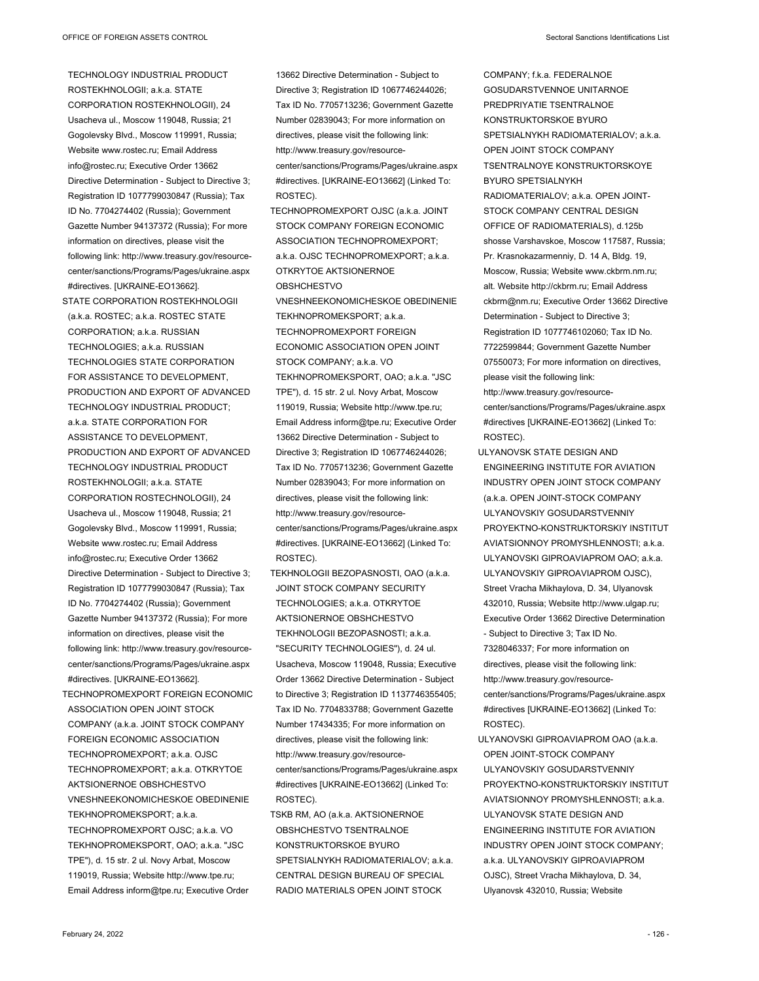TECHNOLOGY INDUSTRIAL PRODUCT ROSTEKHNOLOGII; a.k.a. STATE CORPORATION ROSTEKHNOLOGII), 24 Usacheva ul., Moscow 119048, Russia; 21 Gogolevsky Blvd., Moscow 119991, Russia; Website www.rostec.ru; Email Address info@rostec.ru; Executive Order 13662 Directive Determination - Subject to Directive 3; Registration ID 1077799030847 (Russia); Tax ID No. 7704274402 (Russia); Government Gazette Number 94137372 (Russia); For more information on directives, please visit the following link: http://www.treasury.gov/resourcecenter/sanctions/Programs/Pages/ukraine.aspx #directives. [UKRAINE-EO13662].

STATE CORPORATION ROSTEKHNOLOGII (a.k.a. ROSTEC; a.k.a. ROSTEC STATE CORPORATION; a.k.a. RUSSIAN TECHNOLOGIES; a.k.a. RUSSIAN TECHNOLOGIES STATE CORPORATION FOR ASSISTANCE TO DEVELOPMENT, PRODUCTION AND EXPORT OF ADVANCED TECHNOLOGY INDUSTRIAL PRODUCT; a.k.a. STATE CORPORATION FOR ASSISTANCE TO DEVELOPMENT, PRODUCTION AND EXPORT OF ADVANCED TECHNOLOGY INDUSTRIAL PRODUCT ROSTEKHNOLOGII; a.k.a. STATE CORPORATION ROSTECHNOLOGII), 24 Usacheva ul., Moscow 119048, Russia; 21 Gogolevsky Blvd., Moscow 119991, Russia; Website www.rostec.ru; Email Address info@rostec.ru; Executive Order 13662 Directive Determination - Subject to Directive 3; Registration ID 1077799030847 (Russia); Tax ID No. 7704274402 (Russia); Government Gazette Number 94137372 (Russia); For more information on directives, please visit the following link: http://www.treasury.gov/resourcecenter/sanctions/Programs/Pages/ukraine.aspx #directives. [UKRAINE-EO13662].

TECHNOPROMEXPORT FOREIGN ECONOMIC ASSOCIATION OPEN JOINT STOCK COMPANY (a.k.a. JOINT STOCK COMPANY FOREIGN ECONOMIC ASSOCIATION TECHNOPROMEXPORT; a.k.a. OJSC TECHNOPROMEXPORT; a.k.a. OTKRYTOE AKTSIONERNOE OBSHCHESTVO VNESHNEEKONOMICHESKOE OBEDINENIE TEKHNOPROMEKSPORT; a.k.a. TECHNOPROMEXPORT OJSC; a.k.a. VO TEKHNOPROMEKSPORT, OAO; a.k.a. "JSC TPE"), d. 15 str. 2 ul. Novy Arbat, Moscow 119019, Russia; Website http://www.tpe.ru; Email Address inform@tpe.ru; Executive Order

Directive 3; Registration ID 1067746244026; Tax ID No. 7705713236; Government Gazette Number 02839043; For more information on directives, please visit the following link: http://www.treasury.gov/resourcecenter/sanctions/Programs/Pages/ukraine.aspx #directives. [UKRAINE-EO13662] (Linked To: ROSTEC). TECHNOPROMEXPORT OJSC (a.k.a. JOINT STOCK COMPANY FOREIGN ECONOMIC ASSOCIATION TECHNOPROMEXPORT; a.k.a. OJSC TECHNOPROMEXPORT; a.k.a. OTKRYTOE AKTSIONERNOE OBSHCHESTVO VNESHNEEKONOMICHESKOE OBEDINENIE TEKHNOPROMEKSPORT; a.k.a. TECHNOPROMEXPORT FOREIGN ECONOMIC ASSOCIATION OPEN JOINT STOCK COMPANY; a.k.a. VO TEKHNOPROMEKSPORT, OAO; a.k.a. "JSC TPE"), d. 15 str. 2 ul. Novy Arbat, Moscow 119019, Russia; Website http://www.tpe.ru; Email Address inform@tpe.ru; Executive Order 13662 Directive Determination - Subject to Directive 3; Registration ID 1067746244026; Tax ID No. 7705713236; Government Gazette Number 02839043; For more information on directives, please visit the following link:

13662 Directive Determination - Subject to

http://www.treasury.gov/resourcecenter/sanctions/Programs/Pages/ukraine.aspx #directives. [UKRAINE-EO13662] (Linked To: ROSTEC).

TEKHNOLOGII BEZOPASNOSTI, OAO (a.k.a. JOINT STOCK COMPANY SECURITY TECHNOLOGIES; a.k.a. OTKRYTOE AKTSIONERNOE OBSHCHESTVO TEKHNOLOGII BEZOPASNOSTI; a.k.a. "SECURITY TECHNOLOGIES"), d. 24 ul. Usacheva, Moscow 119048, Russia; Executive Order 13662 Directive Determination - Subject to Directive 3; Registration ID 1137746355405; Tax ID No. 7704833788; Government Gazette Number 17434335; For more information on directives, please visit the following link: http://www.treasury.gov/resourcecenter/sanctions/Programs/Pages/ukraine.aspx #directives [UKRAINE-EO13662] (Linked To: ROSTEC).

TSKB RM, AO (a.k.a. AKTSIONERNOE OBSHCHESTVO TSENTRALNOE KONSTRUKTORSKOE BYURO SPETSIALNYKH RADIOMATERIALOV; a.k.a. CENTRAL DESIGN BUREAU OF SPECIAL RADIO MATERIALS OPEN JOINT STOCK

COMPANY; f.k.a. FEDERALNOE GOSUDARSTVENNOE UNITARNOE PREDPRIYATIE TSENTRALNOE KONSTRUKTORSKOE BYURO SPETSIALNYKH RADIOMATERIALOV; a.k.a. OPEN JOINT STOCK COMPANY TSENTRALNOYE KONSTRUKTORSKOYE BYURO SPETSIALNYKH RADIOMATERIALOV; a.k.a. OPEN JOINT-STOCK COMPANY CENTRAL DESIGN OFFICE OF RADIOMATERIALS), d.125b shosse Varshavskoe, Moscow 117587, Russia; Pr. Krasnokazarmenniy, D. 14 A, Bldg. 19, Moscow, Russia; Website www.ckbrm.nm.ru; alt. Website http://ckbrm.ru; Email Address ckbrm@nm.ru; Executive Order 13662 Directive Determination - Subject to Directive 3; Registration ID 1077746102060; Tax ID No. 7722599844; Government Gazette Number 07550073; For more information on directives, please visit the following link: http://www.treasury.gov/resourcecenter/sanctions/Programs/Pages/ukraine.aspx

#directives [UKRAINE-EO13662] (Linked To: ROSTEC).

- ULYANOVSK STATE DESIGN AND ENGINEERING INSTITUTE FOR AVIATION INDUSTRY OPEN JOINT STOCK COMPANY (a.k.a. OPEN JOINT-STOCK COMPANY ULYANOVSKIY GOSUDARSTVENNIY PROYEKTNO-KONSTRUKTORSKIY INSTITUT AVIATSIONNOY PROMYSHLENNOSTI; a.k.a. ULYANOVSKI GIPROAVIAPROM OAO; a.k.a. ULYANOVSKIY GIPROAVIAPROM OJSC), Street Vracha Mikhaylova, D. 34, Ulyanovsk 432010, Russia; Website http://www.ulgap.ru; Executive Order 13662 Directive Determination - Subject to Directive 3; Tax ID No. 7328046337; For more information on directives, please visit the following link: http://www.treasury.gov/resourcecenter/sanctions/Programs/Pages/ukraine.aspx #directives [UKRAINE-EO13662] (Linked To: ROSTEC).
- ULYANOVSKI GIPROAVIAPROM OAO (a.k.a. OPEN JOINT-STOCK COMPANY ULYANOVSKIY GOSUDARSTVENNIY PROYEKTNO-KONSTRUKTORSKIY INSTITUT AVIATSIONNOY PROMYSHLENNOSTI; a.k.a. ULYANOVSK STATE DESIGN AND ENGINEERING INSTITUTE FOR AVIATION INDUSTRY OPEN JOINT STOCK COMPANY; a.k.a. ULYANOVSKIY GIPROAVIAPROM OJSC), Street Vracha Mikhaylova, D. 34, Ulyanovsk 432010, Russia; Website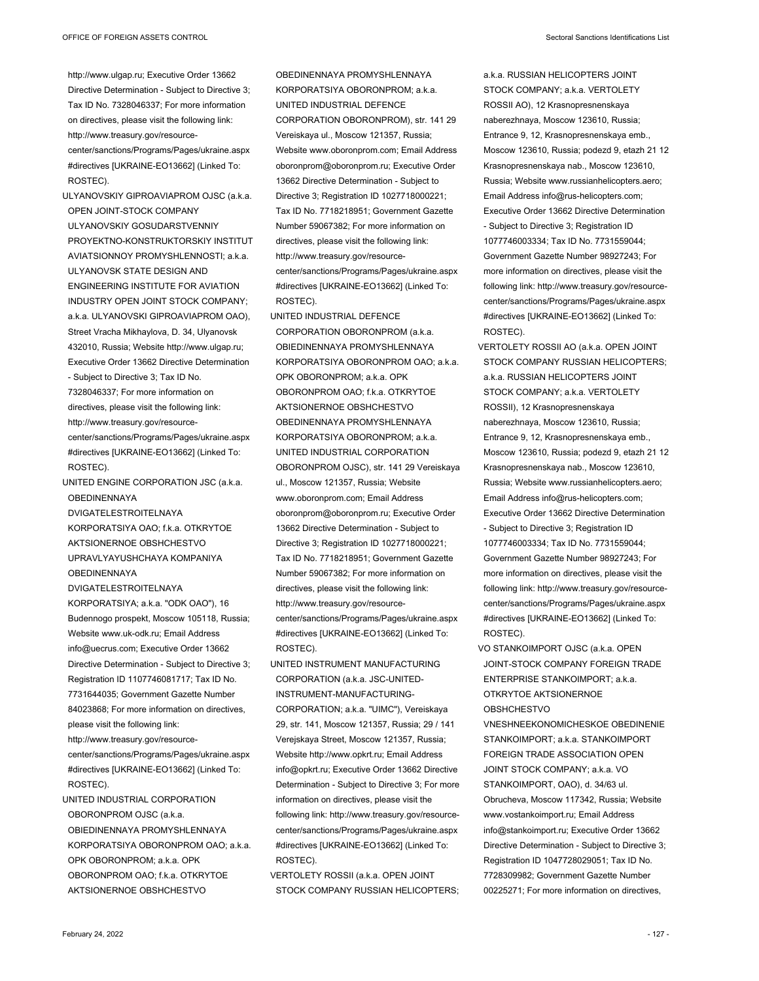http://www.ulgap.ru; Executive Order 13662 Directive Determination - Subject to Directive 3; Tax ID No. 7328046337; For more information on directives, please visit the following link: http://www.treasury.gov/resourcecenter/sanctions/Programs/Pages/ukraine.aspx #directives [UKRAINE-EO13662] (Linked To: ROSTEC).

- ULYANOVSKIY GIPROAVIAPROM OJSC (a.k.a. OPEN JOINT-STOCK COMPANY ULYANOVSKIY GOSUDARSTVENNIY PROYEKTNO-KONSTRUKTORSKIY INSTITUT AVIATSIONNOY PROMYSHLENNOSTI; a.k.a. ULYANOVSK STATE DESIGN AND ENGINEERING INSTITUTE FOR AVIATION INDUSTRY OPEN JOINT STOCK COMPANY; a.k.a. ULYANOVSKI GIPROAVIAPROM OAO), Street Vracha Mikhaylova, D. 34, Ulyanovsk 432010, Russia; Website http://www.ulgap.ru; Executive Order 13662 Directive Determination - Subject to Directive 3; Tax ID No. 7328046337; For more information on directives, please visit the following link: http://www.treasury.gov/resourcecenter/sanctions/Programs/Pages/ukraine.aspx #directives [UKRAINE-EO13662] (Linked To:
- UNITED ENGINE CORPORATION JSC (a.k.a. **OBEDINENNAYA**

DVIGATELESTROITELNAYA KORPORATSIYA OAO; fk.a. OTKRYTOF AKTSIONERNOE OBSHCHESTVO UPRAVLYAYUSHCHAYA KOMPANIYA **OBEDINENNAYA** 

DVIGATELESTROITELNAYA

ROSTEC).

KORPORATSIYA; a.k.a. "ODK OAO"), 16 Budennogo prospekt, Moscow 105118, Russia; Website www.uk-odk.ru; Email Address info@uecrus.com; Executive Order 13662 Directive Determination - Subject to Directive 3; Registration ID 1107746081717; Tax ID No. 7731644035; Government Gazette Number 84023868; For more information on directives, please visit the following link: http://www.treasury.gov/resource-

center/sanctions/Programs/Pages/ukraine.aspx #directives [UKRAINE-EO13662] (Linked To: ROSTEC).

UNITED INDUSTRIAL CORPORATION OBORONPROM OJSC (a.k.a. OBIEDINENNAYA PROMYSHLENNAYA KORPORATSIYA OBORONPROM OAO; a.k.a. OPK OBORONPROM; a.k.a. OPK OBORONPROM OAO; f.k.a. OTKRYTOE AKTSIONERNOE OBSHCHESTVO

OBEDINENNAYA PROMYSHLENNAYA KORPORATSIYA OBORONPROM; a.k.a. UNITED INDUSTRIAL DEFENCE CORPORATION OBORONPROM), str. 141 29 Vereiskaya ul., Moscow 121357, Russia; Website www.oboronprom.com; Email Address oboronprom@oboronprom.ru; Executive Order 13662 Directive Determination - Subject to Directive 3; Registration ID 1027718000221; Tax ID No. 7718218951; Government Gazette Number 59067382; For more information on directives, please visit the following link: http://www.treasury.gov/resourcecenter/sanctions/Programs/Pages/ukraine.aspx #directives [UKRAINE-EO13662] (Linked To: ROSTEC).

- UNITED INDUSTRIAL DEFENCE CORPORATION OBORONPROM (a.k.a. OBIEDINENNAYA PROMYSHLENNAYA KORPORATSIYA OBORONPROM OAO; a.k.a. OPK OBORONPROM; a.k.a. OPK OBORONPROM OAO; f.k.a. OTKRYTOE AKTSIONERNOE OBSHCHESTVO OBEDINENNAYA PROMYSHLENNAYA KORPORATSIYA OBORONPROM; a.k.a. UNITED INDUSTRIAL CORPORATION OBORONPROM OJSC), str. 141 29 Vereiskaya ul., Moscow 121357, Russia; Website www.oboronprom.com; Email Address oboronprom@oboronprom.ru; Executive Order 13662 Directive Determination - Subject to Directive 3; Registration ID 1027718000221; Tax ID No. 7718218951; Government Gazette Number 59067382; For more information on directives, please visit the following link: http://www.treasury.gov/resourcecenter/sanctions/Programs/Pages/ukraine.aspx #directives [UKRAINE-EO13662] (Linked To: ROSTEC).
- UNITED INSTRUMENT MANUFACTURING CORPORATION (a.k.a. JSC-UNITED-INSTRUMENT-MANUFACTURING-CORPORATION; a.k.a. "UIMC"), Vereiskaya 29, str. 141, Moscow 121357, Russia; 29 / 141 Verejskaya Street, Moscow 121357, Russia; Website http://www.opkrt.ru; Email Address info@opkrt.ru; Executive Order 13662 Directive Determination - Subject to Directive 3; For more information on directives, please visit the following link: http://www.treasury.gov/resourcecenter/sanctions/Programs/Pages/ukraine.aspx #directives [UKRAINE-EO13662] (Linked To: ROSTEC).

VERTOLETY ROSSII (a.k.a. OPEN JOINT STOCK COMPANY RUSSIAN HELICOPTERS;

a.k.a. RUSSIAN HELICOPTERS JOINT STOCK COMPANY; a.k.a. VERTOLETY ROSSII AO), 12 Krasnopresnenskaya naberezhnaya, Moscow 123610, Russia; Entrance 9, 12, Krasnopresnenskaya emb., Moscow 123610, Russia; podezd 9, etazh 21 12 Krasnopresnenskaya nab., Moscow 123610, Russia; Website www.russianhelicopters.aero; Email Address info@rus-helicopters.com; Executive Order 13662 Directive Determination - Subject to Directive 3; Registration ID 1077746003334; Tax ID No. 7731559044; Government Gazette Number 98927243; For more information on directives, please visit the following link: http://www.treasury.gov/resourcecenter/sanctions/Programs/Pages/ukraine.aspx #directives [UKRAINE-EO13662] (Linked To: ROSTEC).

VERTOLETY ROSSII AO (a.k.a. OPEN JOINT STOCK COMPANY RUSSIAN HELICOPTERS; a.k.a. RUSSIAN HELICOPTERS JOINT STOCK COMPANY; a.k.a. VERTOLETY ROSSII), 12 Krasnopresnenskaya naberezhnaya, Moscow 123610, Russia; Entrance 9, 12, Krasnopresnenskaya emb., Moscow 123610, Russia; podezd 9, etazh 21 12 Krasnopresnenskaya nab., Moscow 123610, Russia; Website www.russianhelicopters.aero; Email Address info@rus-helicopters.com; Executive Order 13662 Directive Determination - Subject to Directive 3; Registration ID 1077746003334; Tax ID No. 7731559044; Government Gazette Number 98927243; For more information on directives, please visit the following link: http://www.treasury.gov/resourcecenter/sanctions/Programs/Pages/ukraine.aspx #directives [UKRAINE-EO13662] (Linked To: ROSTEC).

VO STANKOIMPORT OJSC (a.k.a. OPEN JOINT-STOCK COMPANY FOREIGN TRADE ENTERPRISE STANKOIMPORT; a.k.a. OTKRYTOE AKTSIONERNOE OBSHCHESTVO

VNESHNEEKONOMICHESKOE OBEDINENIE STANKOIMPORT; a.k.a. STANKOIMPORT FOREIGN TRADE ASSOCIATION OPEN JOINT STOCK COMPANY; a.k.a. VO STANKOIMPORT, OAO), d. 34/63 ul. Obrucheva, Moscow 117342, Russia; Website www.vostankoimport.ru; Email Address info@stankoimport.ru; Executive Order 13662 Directive Determination - Subject to Directive 3; Registration ID 1047728029051; Tax ID No. 7728309982; Government Gazette Number 00225271; For more information on directives,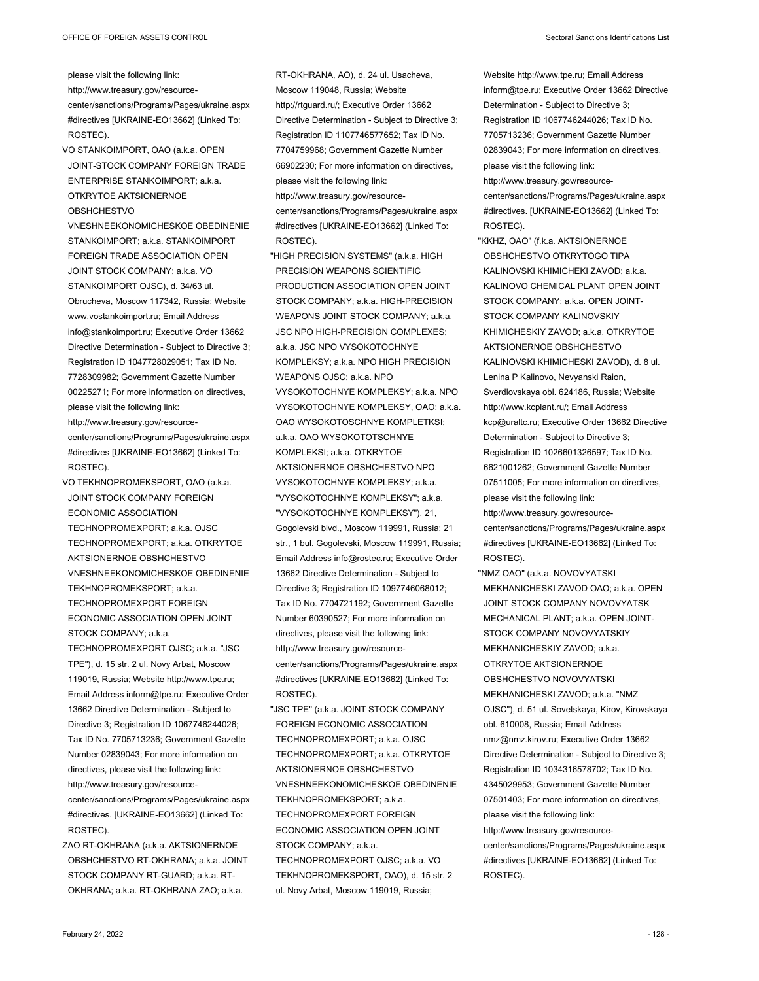please visit the following link: http://www.treasury.gov/resourcecenter/sanctions/Programs/Pages/ukraine.aspx #directives [UKRAINE-EO13662] (Linked To: ROSTEC).

- VO STANKOIMPORT, OAO (a.k.a. OPEN JOINT-STOCK COMPANY FOREIGN TRADE ENTERPRISE STANKOIMPORT; a.k.a. OTKRYTOE AKTSIONERNOE OBSHCHESTVO
- VNESHNEEKONOMICHESKOE OBEDINENIE STANKOIMPORT; a.k.a. STANKOIMPORT FOREIGN TRADE ASSOCIATION OPEN JOINT STOCK COMPANY; a.k.a. VO STANKOIMPORT OJSC), d. 34/63 ul. Obrucheva, Moscow 117342, Russia; Website www.vostankoimport.ru; Email Address info@stankoimport.ru; Executive Order 13662 Directive Determination - Subject to Directive 3; Registration ID 1047728029051; Tax ID No. 7728309982; Government Gazette Number 00225271; For more information on directives, please visit the following link: http://www.treasury.gov/resourcecenter/sanctions/Programs/Pages/ukraine.aspx #directives [UKRAINE-EO13662] (Linked To: ROSTEC).
- VO TEKHNOPROMEKSPORT, OAO (a.k.a. JOINT STOCK COMPANY FOREIGN ECONOMIC ASSOCIATION TECHNOPROMEXPORT; a.k.a. OJSC TECHNOPROMEXPORT; a.k.a. OTKRYTOE AKTSIONERNOE OBSHCHESTVO VNESHNEEKONOMICHESKOE OBEDINENIE TEKHNOPROMEKSPORT; a.k.a. TECHNOPROMEXPORT FOREIGN ECONOMIC ASSOCIATION OPEN JOINT STOCK COMPANY; a.k.a. TECHNOPROMEXPORT OJSC; a.k.a. "JSC TPE"), d. 15 str. 2 ul. Novy Arbat, Moscow 119019, Russia; Website http://www.tpe.ru; Email Address inform@tpe.ru; Executive Order 13662 Directive Determination - Subject to Directive 3; Registration ID 1067746244026; Tax ID No. 7705713236; Government Gazette Number 02839043; For more information on directives, please visit the following link: http://www.treasury.gov/resourcecenter/sanctions/Programs/Pages/ukraine.aspx #directives. [UKRAINE-EO13662] (Linked To: ROSTEC).
- ZAO RT-OKHRANA (a.k.a. AKTSIONERNOE OBSHCHESTVO RT-OKHRANA; a.k.a. JOINT STOCK COMPANY RT-GUARD; a.k.a. RT-OKHRANA; a.k.a. RT-OKHRANA ZAO; a.k.a.

RT-OKHRANA, AO), d. 24 ul. Usacheva, Moscow 119048, Russia; Website http://rtguard.ru/; Executive Order 13662 Directive Determination - Subject to Directive 3; Registration ID 1107746577652; Tax ID No. 7704759968; Government Gazette Number 66902230; For more information on directives, please visit the following link: http://www.treasury.gov/resource-

- center/sanctions/Programs/Pages/ukraine.aspx #directives [UKRAINE-EO13662] (Linked To: ROSTEC).
- "HIGH PRECISION SYSTEMS" (a.k.a. HIGH PRECISION WEAPONS SCIENTIFIC PRODUCTION ASSOCIATION OPEN JOINT STOCK COMPANY; a.k.a. HIGH-PRECISION WEAPONS JOINT STOCK COMPANY; a.k.a. JSC NPO HIGH-PRECISION COMPLEXES; a.k.a. JSC NPO VYSOKOTOCHNYE KOMPLEKSY; a.k.a. NPO HIGH PRECISION WEAPONS OJSC; a.k.a. NPO VYSOKOTOCHNYE KOMPLEKSY; a.k.a. NPO VYSOKOTOCHNYE KOMPLEKSY, OAO; a.k.a. OAO WYSOKOTOSCHNYE KOMPLETKSI; a.k.a. OAO WYSOKOTOTSCHNYE KOMPLEKSI; a.k.a. OTKRYTOE AKTSIONERNOE OBSHCHESTVO NPO VYSOKOTOCHNYE KOMPLEKSY; a.k.a. "VYSOKOTOCHNYE KOMPLEKSY"; a.k.a. "VYSOKOTOCHNYE KOMPLEKSY"), 21, Gogolevski blvd., Moscow 119991, Russia; 21 str., 1 bul. Gogolevski, Moscow 119991, Russia; Email Address info@rostec.ru; Executive Order 13662 Directive Determination - Subject to Directive 3; Registration ID 1097746068012; Tax ID No. 7704721192; Government Gazette Number 60390527; For more information on directives, please visit the following link: http://www.treasury.gov/resourcecenter/sanctions/Programs/Pages/ukraine.aspx #directives [UKRAINE-EO13662] (Linked To: ROSTEC).
- "JSC TPE" (a.k.a. JOINT STOCK COMPANY FOREIGN ECONOMIC ASSOCIATION TECHNOPROMEXPORT; a.k.a. OJSC TECHNOPROMEXPORT; a.k.a. OTKRYTOE AKTSIONERNOE OBSHCHESTVO VNESHNEEKONOMICHESKOE OBEDINENIE TEKHNOPROMEKSPORT; a.k.a. TECHNOPROMEXPORT FOREIGN ECONOMIC ASSOCIATION OPEN JOINT STOCK COMPANY; a.k.a. TECHNOPROMEXPORT OJSC; a.k.a. VO TEKHNOPROMEKSPORT, OAO), d. 15 str. 2 ul. Novy Arbat, Moscow 119019, Russia;

Website http://www.tpe.ru; Email Address inform@tpe.ru; Executive Order 13662 Directive Determination - Subject to Directive 3; Registration ID 1067746244026; Tax ID No. 7705713236; Government Gazette Number 02839043; For more information on directives, please visit the following link: http://www.treasury.gov/resourcecenter/sanctions/Programs/Pages/ukraine.aspx #directives. [UKRAINE-EO13662] (Linked To: ROSTEC).

- "KKHZ, OAO" (f.k.a. AKTSIONERNOE OBSHCHESTVO OTKRYTOGO TIPA KALINOVSKI KHIMICHEKI ZAVOD; a.k.a. KALINOVO CHEMICAL PLANT OPEN JOINT STOCK COMPANY; a.k.a. OPEN JOINT-STOCK COMPANY KALINOVSKIY KHIMICHESKIY ZAVOD; a.k.a. OTKRYTOE AKTSIONERNOE OBSHCHESTVO KALINOVSKI KHIMICHESKI ZAVOD), d. 8 ul. Lenina P Kalinovo, Nevyanski Raion, Sverdlovskaya obl. 624186, Russia; Website http://www.kcplant.ru/; Email Address kcp@uraltc.ru; Executive Order 13662 Directive Determination - Subject to Directive 3; Registration ID 1026601326597; Tax ID No. 6621001262; Government Gazette Number 07511005; For more information on directives, please visit the following link: http://www.treasury.gov/resourcecenter/sanctions/Programs/Pages/ukraine.aspx #directives [UKRAINE-EO13662] (Linked To:
- ROSTEC).
- "NMZ OAO" (a.k.a. NOVOVYATSKI MEKHANICHESKI ZAVOD OAO; a.k.a. OPEN JOINT STOCK COMPANY NOVOVYATSK MECHANICAL PLANT; a.k.a. OPEN JOINT-STOCK COMPANY NOVOVYATSKIY MEKHANICHESKIY ZAVOD; a.k.a. OTKRYTOE AKTSIONERNOE OBSHCHESTVO NOVOVYATSKI MEKHANICHESKI ZAVOD; a.k.a. "NMZ OJSC"), d. 51 ul. Sovetskaya, Kirov, Kirovskaya obl. 610008, Russia; Email Address nmz@nmz.kirov.ru; Executive Order 13662 Directive Determination - Subject to Directive 3; Registration ID 1034316578702; Tax ID No. 4345029953; Government Gazette Number 07501403; For more information on directives, please visit the following link: http://www.treasury.gov/resourcecenter/sanctions/Programs/Pages/ukraine.aspx #directives [UKRAINE-EO13662] (Linked To: ROSTEC).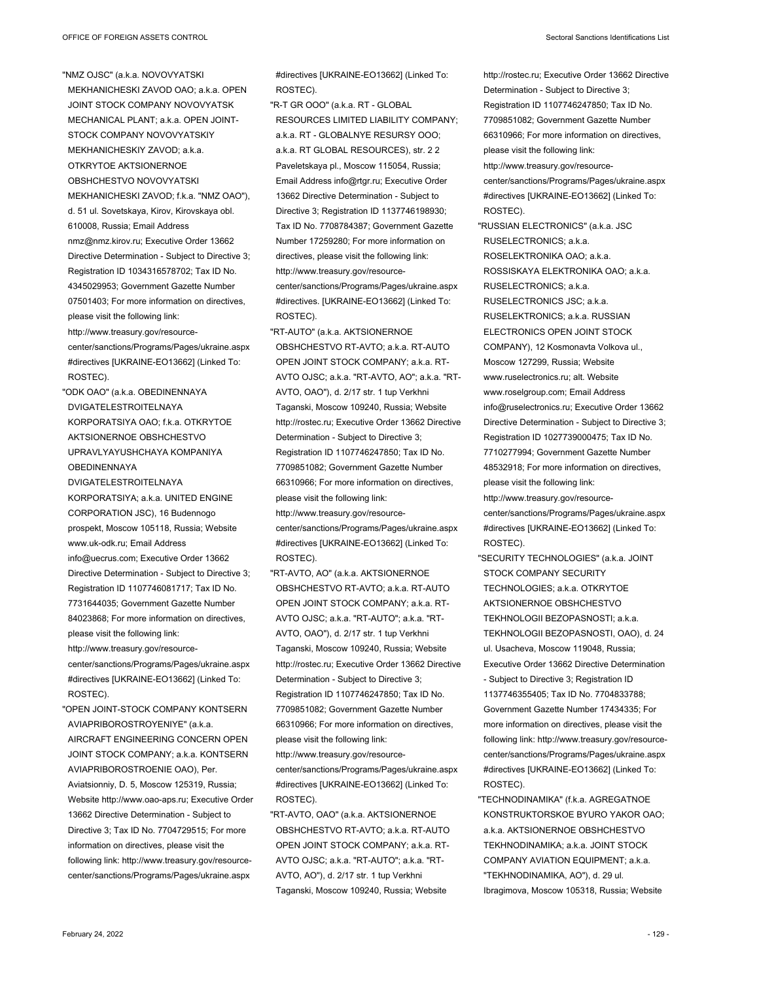"NMZ OJSC" (a.k.a. NOVOVYATSKI MEKHANICHESKI ZAVOD OAO; a.k.a. OPEN JOINT STOCK COMPANY NOVOVYATSK MECHANICAL PLANT; a.k.a. OPEN JOINT-STOCK COMPANY NOVOVYATSKIY MEKHANICHESKIY ZAVOD; a.k.a. OTKRYTOE AKTSIONERNOE OBSHCHESTVO NOVOVYATSKI MEKHANICHESKI ZAVOD; f.k.a. "NMZ OAO"), d. 51 ul. Sovetskaya, Kirov, Kirovskaya obl. 610008, Russia; Email Address nmz@nmz.kirov.ru; Executive Order 13662 Directive Determination - Subject to Directive 3; Registration ID 1034316578702; Tax ID No. 4345029953; Government Gazette Number 07501403; For more information on directives, please visit the following link: http://www.treasury.gov/resourcecenter/sanctions/Programs/Pages/ukraine.aspx #directives [UKRAINE-EO13662] (Linked To: ROSTEC).

- "ODK OAO" (a.k.a. OBEDINENNAYA DVIGATELESTROITELNAYA KORPORATSIYA OAO; f k a OTKRYTOF AKTSIONERNOE OBSHCHESTVO UPRAVLYAYUSHCHAYA KOMPANIYA **OBEDINENNAYA**
- DVIGATELESTROITELNAYA KORPORATSIYA; a.k.a. UNITED ENGINE CORPORATION JSC), 16 Budennogo prospekt, Moscow 105118, Russia; Website www.uk-odk.ru; Email Address info@uecrus.com; Executive Order 13662 Directive Determination - Subject to Directive 3; Registration ID 1107746081717; Tax ID No. 7731644035; Government Gazette Number 84023868; For more information on directives, please visit the following link: http://www.treasury.gov/resourcecenter/sanctions/Programs/Pages/ukraine.aspx #directives [UKRAINE-EO13662] (Linked To: ROSTEC).
- "OPEN JOINT-STOCK COMPANY KONTSERN AVIAPRIBOROSTROYENIYE" (a.k.a. AIRCRAFT ENGINEERING CONCERN OPEN JOINT STOCK COMPANY; a.k.a. KONTSERN AVIAPRIBOROSTROENIE OAO), Per. Aviatsionniy, D. 5, Moscow 125319, Russia; Website http://www.oao-aps.ru; Executive Order 13662 Directive Determination - Subject to Directive 3; Tax ID No. 7704729515; For more information on directives, please visit the following link: http://www.treasury.gov/resourcecenter/sanctions/Programs/Pages/ukraine.aspx

#directives [UKRAINE-EO13662] (Linked To: ROSTEC).

- "R-T GR OOO" (a.k.a. RT GLOBAL RESOURCES LIMITED LIABILITY COMPANY; a.k.a. RT - GLOBALNYE RESURSY OOO; a.k.a. RT GLOBAL RESOURCES), str. 2 2 Paveletskaya pl., Moscow 115054, Russia; Email Address info@rtgr.ru; Executive Order 13662 Directive Determination - Subject to Directive 3; Registration ID 1137746198930; Tax ID No. 7708784387; Government Gazette Number 17259280; For more information on directives, please visit the following link: http://www.treasury.gov/resourcecenter/sanctions/Programs/Pages/ukraine.aspx #directives. [UKRAINE-EO13662] (Linked To: ROSTEC).
- "RT-AUTO" (a.k.a. AKTSIONERNOE OBSHCHESTVO RT-AVTO; a.k.a. RT-AUTO OPEN JOINT STOCK COMPANY; a.k.a. RT-AVTO OJSC; a.k.a. "RT-AVTO, AO"; a.k.a. "RT-AVTO, OAO"), d. 2/17 str. 1 tup Verkhni Taganski, Moscow 109240, Russia; Website http://rostec.ru; Executive Order 13662 Directive Determination - Subject to Directive 3; Registration ID 1107746247850; Tax ID No. 7709851082; Government Gazette Number 66310966; For more information on directives, please visit the following link: http://www.treasury.gov/resourcecenter/sanctions/Programs/Pages/ukraine.aspx #directives [UKRAINE-EO13662] (Linked To: ROSTEC).
- "RT-AVTO, AO" (a.k.a. AKTSIONERNOE OBSHCHESTVO RT-AVTO; a.k.a. RT-AUTO OPEN JOINT STOCK COMPANY; a.k.a. RT-AVTO OJSC; a.k.a. "RT-AUTO"; a.k.a. "RT-AVTO, OAO"), d. 2/17 str. 1 tup Verkhni Taganski, Moscow 109240, Russia; Website http://rostec.ru; Executive Order 13662 Directive Determination - Subject to Directive 3; Registration ID 1107746247850; Tax ID No. 7709851082; Government Gazette Number 66310966; For more information on directives, please visit the following link:
- http://www.treasury.gov/resourcecenter/sanctions/Programs/Pages/ukraine.aspx #directives [UKRAINE-EO13662] (Linked To: ROSTEC).
- "RT-AVTO, OAO" (a.k.a. AKTSIONERNOE OBSHCHESTVO RT-AVTO; a.k.a. RT-AUTO OPEN JOINT STOCK COMPANY; a.k.a. RT-AVTO OJSC; a.k.a. "RT-AUTO"; a.k.a. "RT-AVTO, AO"), d. 2/17 str. 1 tup Verkhni Taganski, Moscow 109240, Russia; Website

http://rostec.ru; Executive Order 13662 Directive Determination - Subject to Directive 3; Registration ID 1107746247850; Tax ID No. 7709851082; Government Gazette Number 66310966; For more information on directives, please visit the following link: http://www.treasury.gov/resourcecenter/sanctions/Programs/Pages/ukraine.aspx #directives [UKRAINE-EO13662] (Linked To: ROSTEC). "RUSSIAN ELECTRONICS" (a.k.a. JSC RUSELECTRONICS; a.k.a. ROSELEKTRONIKA OAO; a.k.a. ROSSISKAYA ELEKTRONIKA OAO; a.k.a. RUSELECTRONICS; a.k.a. RUSELECTRONICS JSC; a.k.a. RUSELEKTRONICS; a.k.a. RUSSIAN ELECTRONICS OPEN JOINT STOCK COMPANY), 12 Kosmonavta Volkova ul., Moscow 127299, Russia; Website www.ruselectronics.ru; alt. Website www.roselgroup.com; Email Address info@ruselectronics.ru; Executive Order 13662 Directive Determination - Subject to Directive 3; Registration ID 1027739000475; Tax ID No. 7710277994; Government Gazette Number 48532918; For more information on directives, please visit the following link: http://www.treasury.gov/resourcecenter/sanctions/Programs/Pages/ukraine.aspx #directives [UKRAINE-EO13662] (Linked To: ROSTEC). "SECURITY TECHNOLOGIES" (a.k.a. JOINT

- STOCK COMPANY SECURITY TECHNOLOGIES; a.k.a. OTKRYTOE AKTSIONERNOE OBSHCHESTVO TEKHNOLOGII BEZOPASNOSTI; a.k.a. TEKHNOLOGII BEZOPASNOSTI, OAO), d. 24 ul. Usacheva, Moscow 119048, Russia; Executive Order 13662 Directive Determination - Subject to Directive 3; Registration ID 1137746355405; Tax ID No. 7704833788; Government Gazette Number 17434335; For more information on directives, please visit the following link: http://www.treasury.gov/resourcecenter/sanctions/Programs/Pages/ukraine.aspx #directives [UKRAINE-EO13662] (Linked To: ROSTEC).
- "TECHNODINAMIKA" (f.k.a. AGREGATNOE KONSTRUKTORSKOE BYURO YAKOR OAO; a.k.a. AKTSIONERNOE OBSHCHESTVO TEKHNODINAMIKA; a.k.a. JOINT STOCK COMPANY AVIATION EQUIPMENT; a.k.a. "TEKHNODINAMIKA, AO"), d. 29 ul. Ibragimova, Moscow 105318, Russia; Website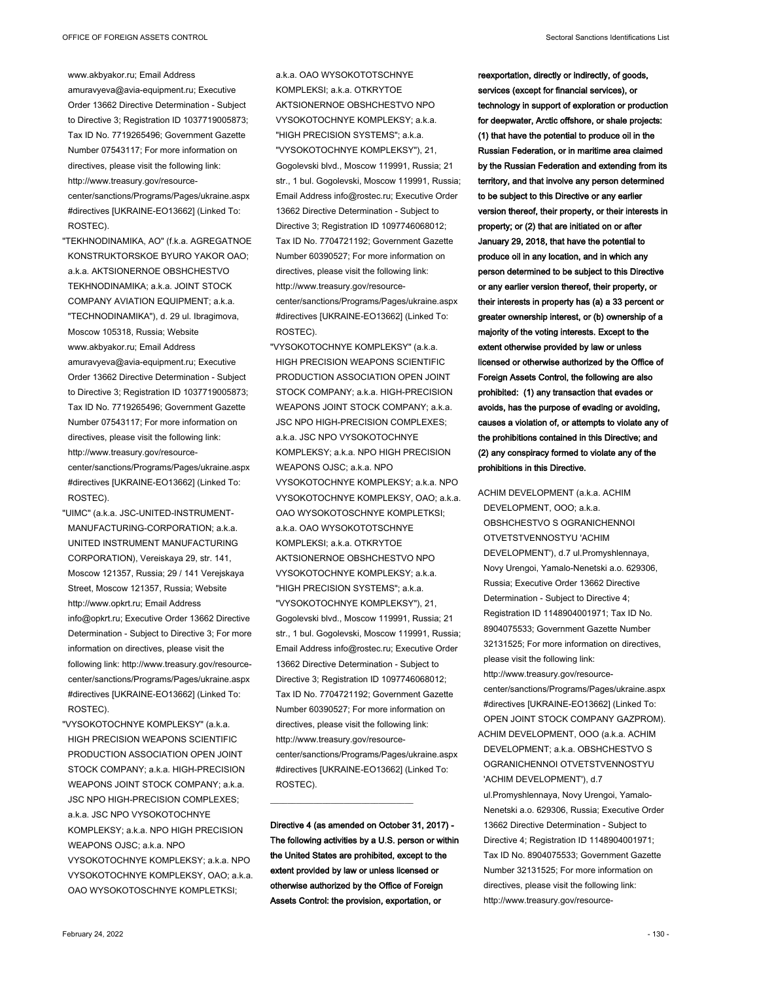amuravyeva@avia-equipment.ru; Executive Order 13662 Directive Determination - Subject to Directive 3; Registration ID 1037719005873; Tax ID No. 7719265496; Government Gazette Number 07543117; For more information on directives, please visit the following link: http://www.treasury.gov/resourcecenter/sanctions/Programs/Pages/ukraine.aspx #directives [UKRAINE-EO13662] (Linked To: ROSTEC).

"TEKHNODINAMIKA, AO" (f.k.a. AGREGATNOE KONSTRUKTORSKOE BYURO YAKOR OAO; a.k.a. AKTSIONERNOE OBSHCHESTVO TEKHNODINAMIKA; a.k.a. JOINT STOCK COMPANY AVIATION EQUIPMENT; a.k.a. "TECHNODINAMIKA"), d. 29 ul. Ibragimova, Moscow 105318, Russia; Website www.akbyakor.ru; Email Address amuravyeva@avia-equipment.ru; Executive Order 13662 Directive Determination - Subject to Directive 3; Registration ID 1037719005873; Tax ID No. 7719265496; Government Gazette Number 07543117; For more information on directives, please visit the following link: http://www.treasury.gov/resourcecenter/sanctions/Programs/Pages/ukraine.aspx #directives [UKRAINE-EO13662] (Linked To: ROSTEC).

- "UIMC" (a.k.a. JSC-UNITED-INSTRUMENT-MANUFACTURING-CORPORATION; a.k.a. UNITED INSTRUMENT MANUFACTURING CORPORATION), Vereiskaya 29, str. 141, Moscow 121357, Russia; 29 / 141 Verejskaya Street, Moscow 121357, Russia; Website http://www.opkrt.ru; Email Address info@opkrt.ru; Executive Order 13662 Directive Determination - Subject to Directive 3; For more information on directives, please visit the following link: http://www.treasury.gov/resourcecenter/sanctions/Programs/Pages/ukraine.aspx #directives [UKRAINE-EO13662] (Linked To: ROSTEC).
- "VYSOKOTOCHNYE KOMPLEKSY" (a.k.a. HIGH PRECISION WEAPONS SCIENTIFIC PRODUCTION ASSOCIATION OPEN JOINT STOCK COMPANY; a.k.a. HIGH-PRECISION WEAPONS JOINT STOCK COMPANY; a.k.a. JSC NPO HIGH-PRECISION COMPLEXES; a.k.a. JSC NPO VYSOKOTOCHNYE KOMPLEKSY; a.k.a. NPO HIGH PRECISION WEAPONS  $Q$ . ISC; a k a NPO VYSOKOTOCHNYE KOMPLEKSY; a.k.a. NPO VYSOKOTOCHNYE KOMPLEKSY, OAO; a.k.a. OAO WYSOKOTOSCHNYE KOMPLETKSI;

a.k.a. OAO WYSOKOTOTSCHNYE KOMPLEKSI; a.k.a. OTKRYTOE AKTSIONERNOE OBSHCHESTVO NPO VYSOKOTOCHNYE KOMPLEKSY; a.k.a. "HIGH PRECISION SYSTEMS"; a.k.a. "VYSOKOTOCHNYE KOMPLEKSY"), 21, Gogolevski blvd., Moscow 119991, Russia; 21 str., 1 bul. Gogolevski, Moscow 119991, Russia; Email Address info@rostec.ru; Executive Order 13662 Directive Determination - Subject to Directive 3; Registration ID 1097746068012; Tax ID No. 7704721192; Government Gazette Number 60390527; For more information on directives, please visit the following link: http://www.treasury.gov/resourcecenter/sanctions/Programs/Pages/ukraine.aspx #directives [UKRAINE-EO13662] (Linked To: ROSTEC).

"VYSOKOTOCHNYE KOMPLEKSY" (a.k.a. HIGH PRECISION WEAPONS SCIENTIFIC PRODUCTION ASSOCIATION OPEN JOINT STOCK COMPANY; a.k.a. HIGH-PRECISION WEAPONS JOINT STOCK COMPANY; a k a JSC NPO HIGH-PRECISION COMPLEXES; a.k.a. JSC NPO VYSOKOTOCHNYE KOMPLEKSY; a.k.a. NPO HIGH PRECISION WEAPONS OJSC: a k a NPO VYSOKOTOCHNYE KOMPLEKSY; a.k.a. NPO VYSOKOTOCHNYE KOMPLEKSY, OAO; a.k.a. OAO WYSOKOTOSCHNYE KOMPLETKSI; a.k.a. OAO WYSOKOTOTSCHNYE KOMPLEKSI; a.k.a. OTKRYTOE AKTSIONERNOE OBSHCHESTVO NPO VYSOKOTOCHNYE KOMPLEKSY; a.k.a. "HIGH PRECISION SYSTEMS"; a.k.a. "VYSOKOTOCHNYE KOMPLEKSY"), 21, Gogolevski blvd., Moscow 119991, Russia; 21 str., 1 bul. Gogolevski, Moscow 119991, Russia; Email Address info@rostec.ru; Executive Order 13662 Directive Determination - Subject to Directive 3; Registration ID 1097746068012; Tax ID No. 7704721192; Government Gazette Number 60390527; For more information on directives, please visit the following link: http://www.treasury.gov/resourcecenter/sanctions/Programs/Pages/ukraine.aspx #directives [UKRAINE-EO13662] (Linked To: ROSTEC).

**Directive 4 (as amended on October 31, 2017) - The following activities by a U.S. person or within the United States are prohibited, except to the extent provided by law or unless licensed or otherwise authorized by the Office of Foreign Assets Control: the provision, exportation, or** 

 $\_$ 

**reexportation, directly or indirectly, of goods, services (except for financial services), or technology in support of exploration or production for deepwater, Arctic offshore, or shale projects: (1) that have the potential to produce oil in the Russian Federation, or in maritime area claimed by the Russian Federation and extending from its territory, and that involve any person determined to be subject to this Directive or any earlier version thereof, their property, or their interests in property; or (2) that are initiated on or after January 29, 2018, that have the potential to produce oil in any location, and in which any person determined to be subject to this Directive or any earlier version thereof, their property, or their interests in property has (a) a 33 percent or greater ownership interest, or (b) ownership of a majority of the voting interests. Except to the extent otherwise provided by law or unless licensed or otherwise authorized by the Office of Foreign Assets Control, the following are also prohibited: (1) any transaction that evades or avoids, has the purpose of evading or avoiding, causes a violation of, or attempts to violate any of the prohibitions contained in this Directive; and (2) any conspiracy formed to violate any of the prohibitions in this Directive.**

ACHIM DEVELOPMENT (a.k.a. ACHIM DEVELOPMENT, OOO; a.k.a. OBSHCHESTVO S OGRANICHENNOI OTVETSTVENNOSTYU 'ACHIM DEVELOPMENT'), d.7 ul.Promyshlennaya, Novy Urengoi, Yamalo-Nenetski a.o. 629306, Russia; Executive Order 13662 Directive Determination - Subject to Directive 4; Registration ID 1148904001971; Tax ID No. 8904075533; Government Gazette Number 32131525; For more information on directives, please visit the following link: http://www.treasury.gov/resourcecenter/sanctions/Programs/Pages/ukraine.aspx #directives [UKRAINE-EO13662] (Linked To: OPEN JOINT STOCK COMPANY GAZPROM). ACHIM DEVELOPMENT, OOO (a.k.a. ACHIM DEVELOPMENT; a.k.a. OBSHCHESTVO S OGRANICHENNOI OTVETSTVENNOSTYU 'ACHIM DEVELOPMENT'), d.7 ul.Promyshlennaya, Novy Urengoi, Yamalo-Nenetski a.o. 629306, Russia; Executive Order 13662 Directive Determination - Subject to Directive 4; Registration ID 1148904001971; Tax ID No. 8904075533; Government Gazette Number 32131525; For more information on directives, please visit the following link: http://www.treasury.gov/resource-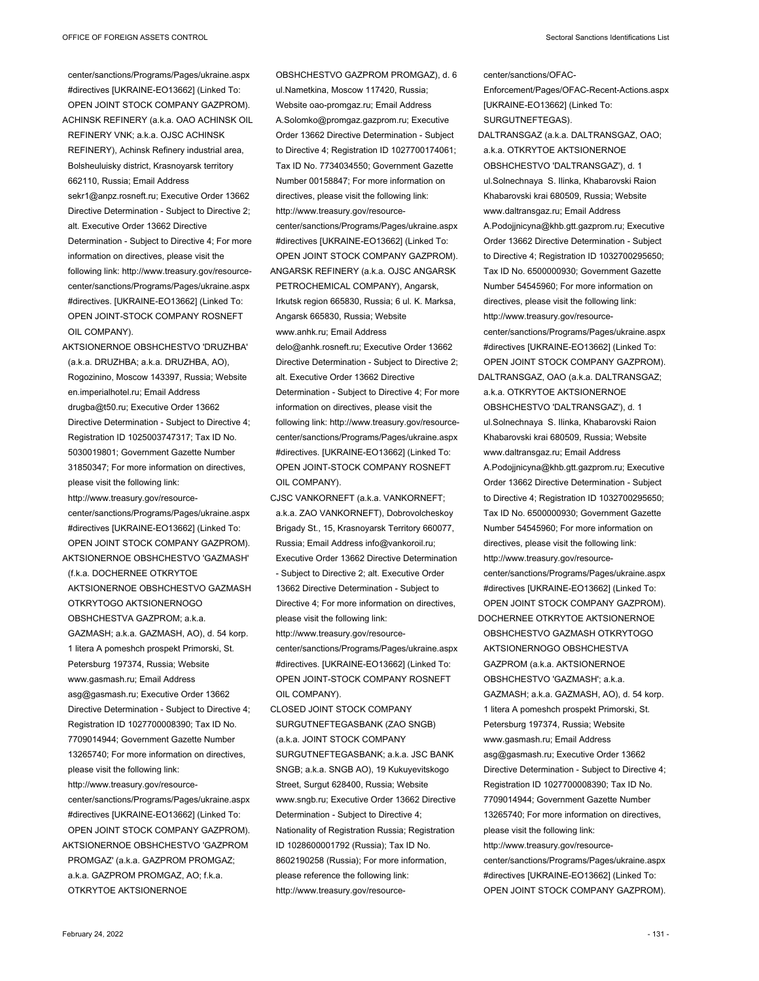center/sanctions/Programs/Pages/ukraine.aspx #directives [UKRAINE-EO13662] (Linked To: OPEN JOINT STOCK COMPANY GAZPROM). ACHINSK REFINERY (a.k.a. OAO ACHINSK OIL REFINERY VNK; a.k.a. OJSC ACHINSK REFINERY), Achinsk Refinery industrial area, Bolsheuluisky district, Krasnoyarsk territory 662110, Russia; Email Address sekr1@anpz.rosneft.ru; Executive Order 13662 Directive Determination - Subject to Directive 2; alt. Executive Order 13662 Directive Determination - Subject to Directive 4; For more information on directives, please visit the following link: http://www.treasury.gov/resourcecenter/sanctions/Programs/Pages/ukraine.aspx #directives. [UKRAINE-EO13662] (Linked To: OPEN JOINT-STOCK COMPANY ROSNEFT OIL COMPANY).

AKTSIONERNOE OBSHCHESTVO 'DRUZHBA' (a.k.a. DRUZHBA; a.k.a. DRUZHBA, AO), Rogozinino, Moscow 143397, Russia; Website en.imperialhotel.ru; Email Address drugba@t50.ru; Executive Order 13662 Directive Determination - Subject to Directive 4; Registration ID 1025003747317; Tax ID No. 5030019801; Government Gazette Number 31850347; For more information on directives, please visit the following link: http://www.treasury.gov/resourcecenter/sanctions/Programs/Pages/ukraine.aspx #directives [UKRAINE-EO13662] (Linked To: OPEN JOINT STOCK COMPANY GAZPROM). AKTSIONERNOE OBSHCHESTVO 'GAZMASH' (f.k.a. DOCHERNEE OTKRYTOE AKTSIONERNOE OBSHCHESTVO GAZMASH OTKRYTOGO AKTSIONERNOGO OBSHCHESTVA GAZPROM; a.k.a. GAZMASH; a.k.a. GAZMASH, AO), d. 54 korp. 1 litera A pomeshch prospekt Primorski, St. Petersburg 197374, Russia; Website www.gasmash.ru; Email Address asg@gasmash.ru; Executive Order 13662 Directive Determination - Subject to Directive 4; Registration ID 1027700008390; Tax ID No. 7709014944; Government Gazette Number 13265740; For more information on directives, please visit the following link: http://www.treasury.gov/resourcecenter/sanctions/Programs/Pages/ukraine.aspx #directives [UKRAINE-EO13662] (Linked To: OPEN JOINT STOCK COMPANY GAZPROM). AKTSIONERNOE OBSHCHESTVO 'GAZPROM PROMGAZ' (a.k.a. GAZPROM PROMGAZ;

OPEN JOINT STOCK COMPANY GAZPROM). ANGARSK REFINERY (a.k.a. OJSC ANGARSK PETROCHEMICAL COMPANY), Angarsk, Irkutsk region 665830, Russia; 6 ul. K. Marksa, Angarsk 665830, Russia; Website www.anhk.ru; Email Address delo@anhk.rosneft.ru; Executive Order 13662 Directive Determination - Subject to Directive 2; alt. Executive Order 13662 Directive Determination - Subject to Directive 4; For more information on directives, please visit the following link: http://www.treasury.gov/resourcecenter/sanctions/Programs/Pages/ukraine.aspx #directives. [UKRAINE-EO13662] (Linked To: OPEN JOINT-STOCK COMPANY ROSNEFT OIL COMPANY). CJSC VANKORNEFT (a.k.a. VANKORNEFT; a.k.a. ZAO VANKORNEFT), Dobrovolcheskoy Brigady St., 15, Krasnoyarsk Territory 660077, Russia; Email Address info@vankoroil.ru; Executive Order 13662 Directive Determination - Subject to Directive 2; alt. Executive Order 13662 Directive Determination - Subject to Directive 4; For more information on directives, please visit the following link: http://www.treasury.gov/resourcecenter/sanctions/Programs/Pages/ukraine.aspx #directives. [UKRAINE-EO13662] (Linked To: OPEN JOINT-STOCK COMPANY ROSNEFT OIL COMPANY). CLOSED JOINT STOCK COMPANY SURGUTNEFTEGASBANK (ZAO SNGB) (a.k.a. JOINT STOCK COMPANY SURGUTNEFTEGASBANK; a.k.a. JSC BANK SNGB; a.k.a. SNGB AO), 19 Kukuyevitskogo

Street, Surgut 628400, Russia; Website www.sngb.ru; Executive Order 13662 Directive Determination - Subject to Directive 4; Nationality of Registration Russia; Registration ID 1028600001792 (Russia); Tax ID No. 8602190258 (Russia); For more information, please reference the following link: http://www.treasury.gov/resource-

ul.Nametkina, Moscow 117420, Russia; Website oao-promgaz.ru; Email Address A.Solomko@promgaz.gazprom.ru; Executive

Tax ID No. 7734034550; Government Gazette Number 00158847; For more information on directives, please visit the following link: http://www.treasury.gov/resource-

#directives [UKRAINE-EO13662] (Linked To:

OBSHCHESTVO GAZPROM PROMGAZ), d. 6 Order 13662 Directive Determination - Subject to Directive 4; Registration ID 1027700174061; center/sanctions/Programs/Pages/ukraine.aspx center/sanctions/OFAC-Enforcement/Pages/OFAC-Recent-Actions.aspx [UKRAINE-EO13662] (Linked To: SURGUTNEFTEGAS). DALTRANSGAZ (a.k.a. DALTRANSGAZ, OAO; a.k.a. OTKRYTOE AKTSIONERNOE OBSHCHESTVO 'DALTRANSGAZ'), d. 1 ul.Solnechnaya S. Ilinka, Khabarovski Raion Khabarovski krai 680509, Russia; Website www.daltransgaz.ru; Email Address A.Podojjnicyna@khb.gtt.gazprom.ru; Executive Order 13662 Directive Determination - Subject to Directive 4; Registration ID 1032700295650; Tax ID No. 6500000930; Government Gazette Number 54545960; For more information on directives, please visit the following link: http://www.treasury.gov/resourcecenter/sanctions/Programs/Pages/ukraine.aspx #directives [UKRAINE-EO13662] (Linked To: OPEN JOINT STOCK COMPANY GAZPROM). DALTRANSGAZ, OAO (a.k.a. DALTRANSGAZ; a.k.a. OTKRYTOE AKTSIONERNOE OBSHCHESTVO 'DALTRANSGAZ'), d. 1 ul.Solnechnaya S. Ilinka, Khabarovski Raion

Khabarovski krai 680509, Russia; Website www.daltransgaz.ru; Email Address A.Podojjnicyna@khb.gtt.gazprom.ru; Executive Order 13662 Directive Determination - Subject to Directive 4; Registration ID 1032700295650; Tax ID No. 6500000930; Government Gazette Number 54545960; For more information on directives, please visit the following link: http://www.treasury.gov/resourcecenter/sanctions/Programs/Pages/ukraine.aspx #directives [UKRAINE-EO13662] (Linked To: OPEN JOINT STOCK COMPANY GAZPROM). DOCHERNEE OTKRYTOE AKTSIONERNOE OBSHCHESTVO GAZMASH OTKRYTOGO AKTSIONERNOGO OBSHCHESTVA GAZPROM (a.k.a. AKTSIONERNOE OBSHCHESTVO 'GAZMASH'; a.k.a. GAZMASH; a.k.a. GAZMASH, AO), d. 54 korp. 1 litera A pomeshch prospekt Primorski, St. Petersburg 197374, Russia; Website www.gasmash.ru; Email Address asg@gasmash.ru; Executive Order 13662 Directive Determination - Subject to Directive 4; Registration ID 1027700008390; Tax ID No. 7709014944; Government Gazette Number 13265740; For more information on directives, please visit the following link: http://www.treasury.gov/resourcecenter/sanctions/Programs/Pages/ukraine.aspx #directives [UKRAINE-EO13662] (Linked To: OPEN JOINT STOCK COMPANY GAZPROM).

a.k.a. GAZPROM PROMGAZ, AO; f.k.a. OTKRYTOE AKTSIONERNOE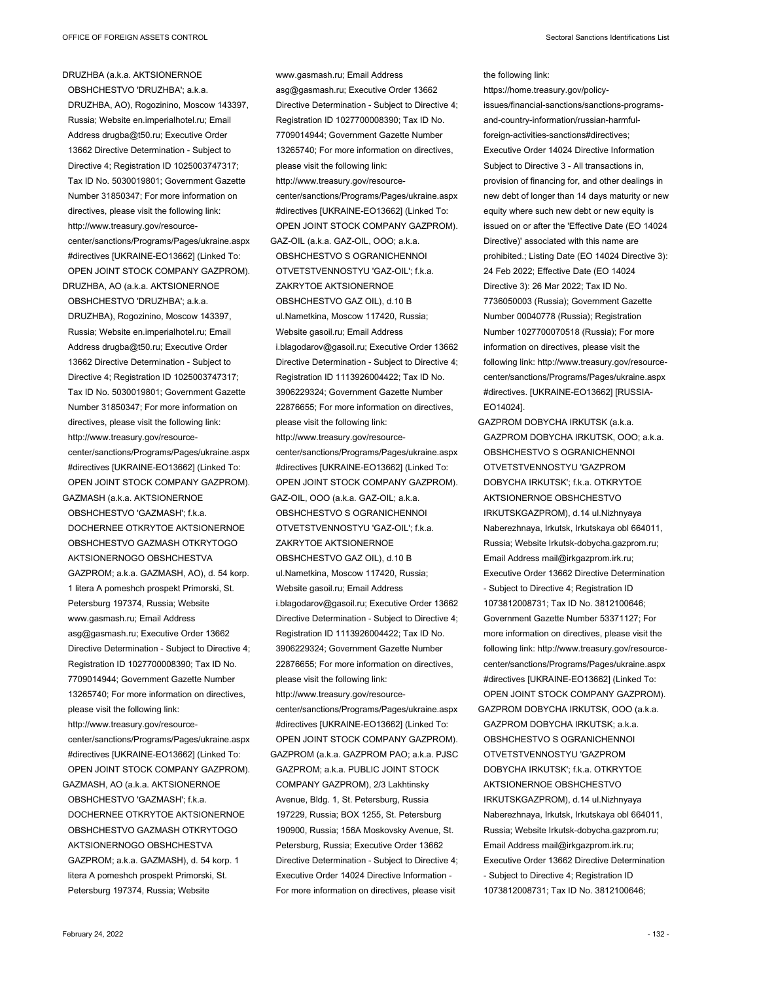DRUZHBA (a.k.a. AKTSIONERNOE OBSHCHESTVO 'DRUZHBA'; a.k.a. DRUZHBA, AO), Rogozinino, Moscow 143397, Russia; Website en.imperialhotel.ru; Email Address drugba@t50.ru; Executive Order 13662 Directive Determination - Subject to Directive 4; Registration ID 1025003747317; Tax ID No. 5030019801; Government Gazette Number 31850347; For more information on directives, please visit the following link: http://www.treasury.gov/resourcecenter/sanctions/Programs/Pages/ukraine.aspx #directives [UKRAINE-EO13662] (Linked To: OPEN JOINT STOCK COMPANY GAZPROM). DRUZHBA, AO (a.k.a. AKTSIONERNOE OBSHCHESTVO 'DRUZHBA'; a.k.a. DRUZHBA), Rogozinino, Moscow 143397, Russia; Website en.imperialhotel.ru; Email Address drugba@t50.ru; Executive Order 13662 Directive Determination - Subject to Directive 4; Registration ID 1025003747317; Tax ID No. 5030019801; Government Gazette Number 31850347; For more information on directives, please visit the following link: http://www.treasury.gov/resourcecenter/sanctions/Programs/Pages/ukraine.aspx #directives [UKRAINE-EO13662] (Linked To: OPEN JOINT STOCK COMPANY GAZPROM). GAZMASH (a.k.a. AKTSIONERNOE OBSHCHESTVO 'GAZMASH'; f.k.a. DOCHERNEE OTKRYTOE AKTSIONERNOE OBSHCHESTVO GAZMASH OTKRYTOGO AKTSIONERNOGO OBSHCHESTVA GAZPROM; a.k.a. GAZMASH, AO), d. 54 korp. 1 litera A pomeshch prospekt Primorski, St. Petersburg 197374, Russia; Website www.gasmash.ru; Email Address asg@gasmash.ru; Executive Order 13662 Directive Determination - Subject to Directive 4; Registration ID 1027700008390; Tax ID No. 7709014944; Government Gazette Number 13265740; For more information on directives, please visit the following link: http://www.treasury.gov/resourcecenter/sanctions/Programs/Pages/ukraine.aspx #directives [UKRAINE-EO13662] (Linked To: OPEN JOINT STOCK COMPANY GAZPROM).

GAZMASH, AO (a.k.a. AKTSIONERNOE OBSHCHESTVO 'GAZMASH'; f.k.a. DOCHERNEE OTKRYTOE AKTSIONERNOE OBSHCHESTVO GAZMASH OTKRYTOGO AKTSIONERNOGO OBSHCHESTVA GAZPROM; a.k.a. GAZMASH), d. 54 korp. 1 litera A pomeshch prospekt Primorski, St. Petersburg 197374, Russia; Website

www.gasmash.ru; Email Address asg@gasmash.ru; Executive Order 13662 Directive Determination - Subject to Directive 4; Registration ID 1027700008390; Tax ID No. 7709014944; Government Gazette Number 13265740; For more information on directives, please visit the following link: http://www.treasury.gov/resourcecenter/sanctions/Programs/Pages/ukraine.aspx #directives [UKRAINE-EO13662] (Linked To: OPEN JOINT STOCK COMPANY GAZPROM). GAZ-OIL (a.k.a. GAZ-OIL, OOO; a.k.a. OBSHCHESTVO S OGRANICHENNOI OTVETSTVENNOSTYU 'GAZ-OIL'; f.k.a. ZAKRYTOE AKTSIONERNOE OBSHCHESTVO GAZ OIL), d.10 B ul.Nametkina, Moscow 117420, Russia; Website gasoil.ru; Email Address i.blagodarov@gasoil.ru; Executive Order 13662 Directive Determination - Subject to Directive 4; Registration ID 1113926004422; Tax ID No. 3906229324; Government Gazette Number 22876655; For more information on directives, please visit the following link: http://www.treasury.gov/resourcecenter/sanctions/Programs/Pages/ukraine.aspx #directives [UKRAINE-EO13662] (Linked To: OPEN JOINT STOCK COMPANY GAZPROM). GAZ-OIL, OOO (a.k.a. GAZ-OIL; a.k.a. OBSHCHESTVO S OGRANICHENNOI OTVETSTVENNOSTYU 'GAZ-OIL'; f.k.a. ZAKRYTOE AKTSIONERNOE OBSHCHESTVO GAZ OIL), d.10 B ul.Nametkina, Moscow 117420, Russia; Website gasoil.ru; Email Address i.blagodarov@gasoil.ru; Executive Order 13662 Directive Determination - Subject to Directive 4; Registration ID 1113926004422; Tax ID No. 3906229324; Government Gazette Number 22876655; For more information on directives, please visit the following link: http://www.treasury.gov/resourcecenter/sanctions/Programs/Pages/ukraine.aspx #directives [UKRAINE-EO13662] (Linked To: OPEN JOINT STOCK COMPANY GAZPROM). GAZPROM (a.k.a. GAZPROM PAO; a.k.a. PJSC GAZPROM; a.k.a. PUBLIC JOINT STOCK COMPANY GAZPROM), 2/3 Lakhtinsky Avenue, Bldg. 1, St. Petersburg, Russia 197229, Russia; BOX 1255, St. Petersburg 190900, Russia; 156A Moskovsky Avenue, St. Petersburg, Russia; Executive Order 13662 Directive Determination - Subject to Directive 4; Executive Order 14024 Directive Information - For more information on directives, please visit

the following link: https://home.treasury.gov/policyissues/financial-sanctions/sanctions-programs-

and-country-information/russian-harmfulforeign-activities-sanctions#directives; Executive Order 14024 Directive Information Subject to Directive 3 - All transactions in, provision of financing for, and other dealings in new debt of longer than 14 days maturity or new equity where such new debt or new equity is issued on or after the 'Effective Date (EO 14024 Directive)' associated with this name are prohibited.; Listing Date (EO 14024 Directive 3): 24 Feb 2022; Effective Date (EO 14024 Directive 3): 26 Mar 2022; Tax ID No. 7736050003 (Russia); Government Gazette Number 00040778 (Russia); Registration Number 1027700070518 (Russia); For more information on directives, please visit the following link: http://www.treasury.gov/resourcecenter/sanctions/Programs/Pages/ukraine.aspx #directives. [UKRAINE-EO13662] [RUSSIA-EO14024].

GAZPROM DOBYCHA IRKUTSK (a.k.a. GAZPROM DOBYCHA IRKUTSK, OOO; a.k.a. OBSHCHESTVO S OGRANICHENNOI OTVETSTVENNOSTYU 'GAZPROM DOBYCHA IRKUTSK'; f.k.a. OTKRYTOE AKTSIONERNOE OBSHCHESTVO IRKUTSKGAZPROM), d.14 ul.Nizhnyaya Naberezhnaya, Irkutsk, Irkutskaya obl 664011, Russia; Website Irkutsk-dobycha.gazprom.ru; Email Address mail@irkgazprom.irk.ru; Executive Order 13662 Directive Determination - Subject to Directive 4; Registration ID 1073812008731; Tax ID No. 3812100646; Government Gazette Number 53371127; For more information on directives, please visit the following link: http://www.treasury.gov/resourcecenter/sanctions/Programs/Pages/ukraine.aspx #directives [UKRAINE-EO13662] (Linked To: OPEN JOINT STOCK COMPANY GAZPROM). GAZPROM DOBYCHA IRKUTSK, OOO (a.k.a. GAZPROM DOBYCHA IRKUTSK; a.k.a. OBSHCHESTVO S OGRANICHENNOI OTVETSTVENNOSTYU 'GAZPROM DOBYCHA IRKUTSK'; f.k.a. OTKRYTOE AKTSIONERNOE OBSHCHESTVO IRKUTSKGAZPROM), d.14 ul.Nizhnyaya Naberezhnaya, Irkutsk, Irkutskaya obl 664011, Russia; Website Irkutsk-dobycha.gazprom.ru; Email Address mail@irkgazprom.irk.ru; Executive Order 13662 Directive Determination - Subject to Directive 4; Registration ID 1073812008731; Tax ID No. 3812100646;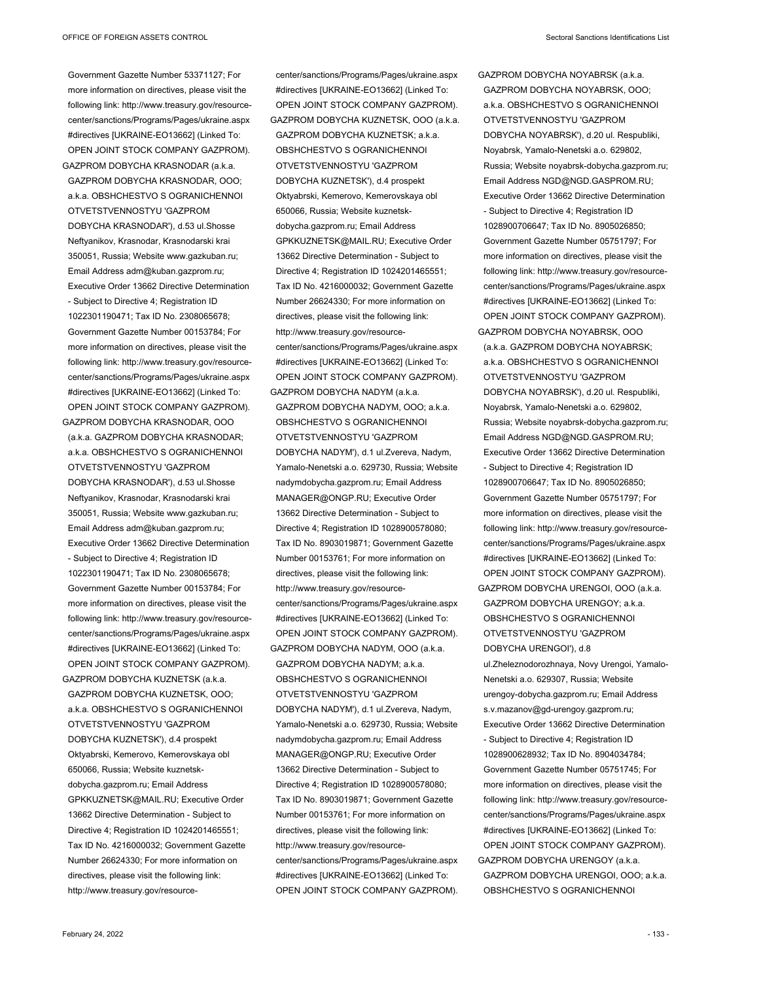Government Gazette Number 53371127; For more information on directives, please visit the following link: http://www.treasury.gov/resourcecenter/sanctions/Programs/Pages/ukraine.aspx #directives [UKRAINE-EO13662] (Linked To: OPEN JOINT STOCK COMPANY GAZPROM). GAZPROM DOBYCHA KRASNODAR (a.k.a.

GAZPROM DOBYCHA KRASNODAR, OOO; a.k.a. OBSHCHESTVO S OGRANICHENNOI OTVETSTVENNOSTYU 'GAZPROM DOBYCHA KRASNODAR'), d.53 ul.Shosse Neftyanikov, Krasnodar, Krasnodarski krai 350051, Russia; Website www.gazkuban.ru; Email Address adm@kuban.gazprom.ru; Executive Order 13662 Directive Determination - Subject to Directive 4; Registration ID 1022301190471; Tax ID No. 2308065678; Government Gazette Number 00153784; For more information on directives, please visit the following link: http://www.treasury.gov/resourcecenter/sanctions/Programs/Pages/ukraine.aspx #directives [UKRAINE-EO13662] (Linked To: OPEN JOINT STOCK COMPANY GAZPROM).

GAZPROM DOBYCHA KRASNODAR, OOO (a.k.a. GAZPROM DOBYCHA KRASNODAR; a.k.a. OBSHCHESTVO S OGRANICHENNOI OTVETSTVENNOSTYU 'GAZPROM DOBYCHA KRASNODAR'), d.53 ul.Shosse Neftyanikov, Krasnodar, Krasnodarski krai 350051, Russia; Website www.gazkuban.ru; Email Address adm@kuban.gazprom.ru; Executive Order 13662 Directive Determination - Subject to Directive 4; Registration ID 1022301190471; Tax ID No. 2308065678; Government Gazette Number 00153784; For more information on directives, please visit the following link: http://www.treasury.gov/resourcecenter/sanctions/Programs/Pages/ukraine.aspx #directives [UKRAINE-EO13662] (Linked To: OPEN JOINT STOCK COMPANY GAZPROM). GAZPROM DOBYCHA KUZNETSK (a.k.a.

GAZPROM DOBYCHA KUZNETSK, OOO; a.k.a. OBSHCHESTVO S OGRANICHENNOI OTVETSTVENNOSTYU 'GAZPROM DOBYCHA KUZNETSK'), d.4 prospekt Oktyabrski, Kemerovo, Kemerovskaya obl 650066, Russia; Website kuznetskdobycha.gazprom.ru; Email Address GPKKUZNETSK@MAIL.RU; Executive Order 13662 Directive Determination - Subject to Directive 4; Registration ID 1024201465551; Tax ID No. 4216000032; Government Gazette Number 26624330; For more information on directives, please visit the following link: http://www.treasury.gov/resource-

center/sanctions/Programs/Pages/ukraine.aspx #directives [UKRAINE-EO13662] (Linked To: OPEN JOINT STOCK COMPANY GAZPROM). GAZPROM DOBYCHA KUZNETSK, OOO (a.k.a. GAZPROM DOBYCHA KUZNETSK; a.k.a. OBSHCHESTVO S OGRANICHENNOI OTVETSTVENNOSTYU 'GAZPROM DOBYCHA KUZNETSK'), d.4 prospekt Oktyabrski, Kemerovo, Kemerovskaya obl 650066, Russia; Website kuznetskdobycha.gazprom.ru; Email Address GPKKUZNETSK@MAIL.RU; Executive Order 13662 Directive Determination - Subject to Directive 4; Registration ID 1024201465551; Tax ID No. 4216000032; Government Gazette Number 26624330; For more information on directives, please visit the following link: http://www.treasury.gov/resourcecenter/sanctions/Programs/Pages/ukraine.aspx #directives [UKRAINE-EO13662] (Linked To: OPEN JOINT STOCK COMPANY GAZPROM). GAZPROM DOBYCHA NADYM (a.k.a. GAZPROM DOBYCHA NADYM, OOO; a.k.a. OBSHCHESTVO S OGRANICHENNOI OTVETSTVENNOSTYU 'GAZPROM

DOBYCHA NADYM'), d.1 ul.Zvereva, Nadym, Yamalo-Nenetski a.o. 629730, Russia; Website nadymdobycha.gazprom.ru; Email Address MANAGER@ONGP.RU; Executive Order 13662 Directive Determination - Subject to Directive 4; Registration ID 1028900578080; Tax ID No. 8903019871; Government Gazette Number 00153761; For more information on directives, please visit the following link: http://www.treasury.gov/resourcecenter/sanctions/Programs/Pages/ukraine.aspx #directives [UKRAINE-EO13662] (Linked To: OPEN JOINT STOCK COMPANY GAZPROM). GAZPROM DOBYCHA NADYM, OOO (a.k.a. GAZPROM DOBYCHA NADYM; a.k.a. OBSHCHESTVO S OGRANICHENNOI OTVETSTVENNOSTYU 'GAZPROM DOBYCHA NADYM'), d.1 ul.Zvereva, Nadym, Yamalo-Nenetski a.o. 629730, Russia; Website nadymdobycha.gazprom.ru; Email Address MANAGER@ONGP.RU; Executive Order 13662 Directive Determination - Subject to Directive 4; Registration ID 1028900578080; Tax ID No. 8903019871; Government Gazette Number 00153761; For more information on directives, please visit the following link: http://www.treasury.gov/resourcecenter/sanctions/Programs/Pages/ukraine.aspx #directives [UKRAINE-EO13662] (Linked To: OPEN JOINT STOCK COMPANY GAZPROM).

GAZPROM DOBYCHA NOYABRSK (a.k.a. GAZPROM DOBYCHA NOYABRSK, OOO; a.k.a. OBSHCHESTVO S OGRANICHENNOI OTVETSTVENNOSTYU 'GAZPROM DOBYCHA NOYABRSK'), d.20 ul. Respubliki, Noyabrsk, Yamalo-Nenetski a.o. 629802, Russia; Website noyabrsk-dobycha.gazprom.ru; Email Address NGD@NGD.GASPROM.RU; Executive Order 13662 Directive Determination - Subject to Directive 4; Registration ID 1028900706647; Tax ID No. 8905026850; Government Gazette Number 05751797; For more information on directives, please visit the following link: http://www.treasury.gov/resourcecenter/sanctions/Programs/Pages/ukraine.aspx #directives [UKRAINE-EO13662] (Linked To: OPEN JOINT STOCK COMPANY GAZPROM). GAZPROM DOBYCHA NOYABRSK, OOO

(a.k.a. GAZPROM DOBYCHA NOYABRSK; a.k.a. OBSHCHESTVO S OGRANICHENNOI OTVETSTVENNOSTYU 'GAZPROM DOBYCHA NOYABRSK'), d.20 ul. Respubliki, Noyabrsk, Yamalo-Nenetski a.o. 629802, Russia; Website noyabrsk-dobycha.gazprom.ru; Email Address NGD@NGD.GASPROM.RU; Executive Order 13662 Directive Determination - Subject to Directive 4; Registration ID 1028900706647; Tax ID No. 8905026850; Government Gazette Number 05751797; For more information on directives, please visit the following link: http://www.treasury.gov/resourcecenter/sanctions/Programs/Pages/ukraine.aspx #directives [UKRAINE-EO13662] (Linked To: OPEN JOINT STOCK COMPANY GAZPROM). GAZPROM DOBYCHA URENGOI, OOO (a.k.a. GAZPROM DOBYCHA URENGOY; a.k.a. OBSHCHESTVO S OGRANICHENNOI OTVETSTVENNOSTYU 'GAZPROM DOBYCHA URENGOI'), d.8 ul.Zheleznodorozhnaya, Novy Urengoi, Yamalo-Nenetski a.o. 629307, Russia; Website urengoy-dobycha.gazprom.ru; Email Address s.v.mazanov@gd-urengoy.gazprom.ru; Executive Order 13662 Directive Determination - Subject to Directive 4; Registration ID 1028900628932; Tax ID No. 8904034784; Government Gazette Number 05751745; For more information on directives, please visit the following link: http://www.treasury.gov/resourcecenter/sanctions/Programs/Pages/ukraine.aspx #directives [UKRAINE-EO13662] (Linked To:

OPEN JOINT STOCK COMPANY GAZPROM). GAZPROM DOBYCHA URENGOY (a.k.a. GAZPROM DOBYCHA URENGOI, OOO; a.k.a. OBSHCHESTVO S OGRANICHENNOI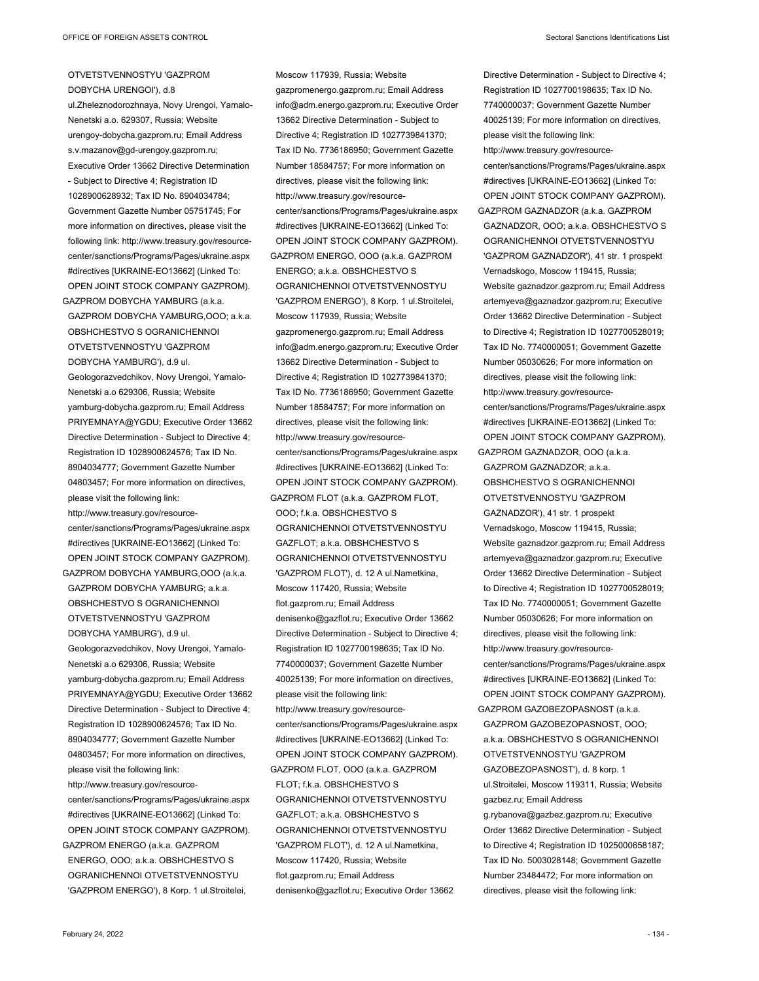OTVETSTVENNOSTYU 'GAZPROM DOBYCHA URENGOI'), d.8 ul.Zheleznodorozhnaya, Novy Urengoi, Yamalo-Nenetski a.o. 629307, Russia; Website urengoy-dobycha.gazprom.ru; Email Address s.v.mazanov@gd-urengoy.gazprom.ru; Moscow 117939, Russia; Website

Executive Order 13662 Directive Determination - Subject to Directive 4; Registration ID 1028900628932; Tax ID No. 8904034784; Government Gazette Number 05751745; For more information on directives, please visit the following link: http://www.treasury.gov/resourcecenter/sanctions/Programs/Pages/ukraine.aspx #directives [UKRAINE-EO13662] (Linked To: OPEN JOINT STOCK COMPANY GAZPROM). GAZPROM DOBYCHA YAMBURG (a.k.a.

GAZPROM DOBYCHA YAMBURG,OOO; a.k.a. OBSHCHESTVO S OGRANICHENNOI OTVETSTVENNOSTYU 'GAZPROM DOBYCHA YAMBURG'), d.9 ul. Geologorazvedchikov, Novy Urengoi, Yamalo-Nenetski a.o 629306, Russia; Website yamburg-dobycha.gazprom.ru; Email Address PRIYEMNAYA@YGDU; Executive Order 13662 Directive Determination - Subject to Directive 4; Registration ID 1028900624576; Tax ID No. 8904034777; Government Gazette Number 04803457; For more information on directives, please visit the following link: http://www.treasury.gov/resource-

center/sanctions/Programs/Pages/ukraine.aspx #directives [UKRAINE-EO13662] (Linked To: OPEN JOINT STOCK COMPANY GAZPROM). GAZPROM DOBYCHA YAMBURG,OOO (a.k.a. GAZPROM DOBYCHA YAMBURG; a.k.a. OBSHCHESTVO S OGRANICHENNOI

OTVETSTVENNOSTYU 'GAZPROM DOBYCHA YAMBURG'), d.9 ul. Geologorazvedchikov, Novy Urengoi, Yamalo-Nenetski a.o 629306, Russia; Website yamburg-dobycha.gazprom.ru; Email Address PRIYEMNAYA@YGDU; Executive Order 13662 Directive Determination - Subject to Directive 4; Registration ID 1028900624576; Tax ID No. 8904034777; Government Gazette Number 04803457; For more information on directives, please visit the following link: http://www.treasury.gov/resourcecenter/sanctions/Programs/Pages/ukraine.aspx #directives [UKRAINE-EO13662] (Linked To: OPEN JOINT STOCK COMPANY GAZPROM). GAZPROM ENERGO (a.k.a. GAZPROM ENERGO, OOO; a.k.a. OBSHCHESTVO S OGRANICHENNOI OTVETSTVENNOSTYU

'GAZPROM ENERGO'), 8 Korp. 1 ul.Stroitelei,

gazpromenergo.gazprom.ru; Email Address info@adm.energo.gazprom.ru; Executive Order 13662 Directive Determination - Subject to Directive 4; Registration ID 1027739841370; Tax ID No. 7736186950; Government Gazette Number 18584757; For more information on directives, please visit the following link: http://www.treasury.gov/resourcecenter/sanctions/Programs/Pages/ukraine.aspx #directives [UKRAINE-EO13662] (Linked To: OPEN JOINT STOCK COMPANY GAZPROM). GAZPROM ENERGO, OOO (a.k.a. GAZPROM ENERGO; a.k.a. OBSHCHESTVO S OGRANICHENNOI OTVETSTVENNOSTYU 'GAZPROM ENERGO'), 8 Korp. 1 ul.Stroitelei, Moscow 117939, Russia; Website gazpromenergo.gazprom.ru; Email Address info@adm.energo.gazprom.ru; Executive Order 13662 Directive Determination - Subject to Directive 4; Registration ID 1027739841370; Tax ID No. 7736186950; Government Gazette Number 18584757; For more information on directives, please visit the following link: http://www.treasury.gov/resourcecenter/sanctions/Programs/Pages/ukraine.aspx #directives [UKRAINE-EO13662] (Linked To: OPEN JOINT STOCK COMPANY GAZPROM). GAZPROM FLOT (a.k.a. GAZPROM FLOT, OOO; f.k.a. OBSHCHESTVO S OGRANICHENNOI OTVETSTVENNOSTYU GAZELOT; a.k.a. OBSHCHESTVO S OGRANICHENNOI OTVETSTVENNOSTYU 'GAZPROM FLOT'), d. 12 A ul.Nametkina, Moscow 117420, Russia; Website flot.gazprom.ru; Email Address denisenko@gazflot.ru; Executive Order 13662 Directive Determination - Subject to Directive 4; Registration ID 1027700198635; Tax ID No. 7740000037; Government Gazette Number 40025139; For more information on directives, please visit the following link: http://www.treasury.gov/resourcecenter/sanctions/Programs/Pages/ukraine.aspx #directives [UKRAINE-EO13662] (Linked To: OPEN JOINT STOCK COMPANY GAZPROM). GAZPROM FLOT, OOO (a.k.a. GAZPROM FLOT; f.k.a. OBSHCHESTVO S OGRANICHENNOI OTVETSTVENNOSTYU GAZFLOT; a.k.a. OBSHCHESTVO S OGRANICHENNOI OTVETSTVENNOSTYU 'GAZPROM FLOT'), d. 12 A ul.Nametkina, Moscow 117420, Russia; Website flot.gazprom.ru; Email Address denisenko@gazflot.ru; Executive Order 13662

Directive Determination - Subject to Directive 4; Registration ID 1027700198635; Tax ID No. 7740000037; Government Gazette Number 40025139; For more information on directives, please visit the following link: http://www.treasury.gov/resourcecenter/sanctions/Programs/Pages/ukraine.aspx #directives [UKRAINE-EO13662] (Linked To: OPEN JOINT STOCK COMPANY GAZPROM). GAZPROM GAZNADZOR (a.k.a. GAZPROM GAZNADZOR, OOO; a.k.a. OBSHCHESTVO S OGRANICHENNOI OTVETSTVENNOSTYU 'GAZPROM GAZNADZOR'), 41 str. 1 prospekt Vernadskogo, Moscow 119415, Russia; Website gaznadzor.gazprom.ru; Email Address artemyeva@gaznadzor.gazprom.ru; Executive Order 13662 Directive Determination - Subject to Directive 4; Registration ID 1027700528019; Tax ID No. 7740000051; Government Gazette Number 05030626; For more information on directives, please visit the following link: http://www.treasury.gov/resourcecenter/sanctions/Programs/Pages/ukraine.aspx #directives [UKRAINE-EO13662] (Linked To: OPEN JOINT STOCK COMPANY GAZPROM). GAZPROM GAZNADZOR, OOO (a.k.a. GAZPROM GAZNADZOR; a.k.a. OBSHCHESTVO S OGRANICHENNOI OTVETSTVENNOSTYU 'GAZPROM GAZNADZOR'), 41 str. 1 prospekt Vernadskogo, Moscow 119415, Russia; Website gaznadzor.gazprom.ru; Email Address artemyeva@gaznadzor.gazprom.ru; Executive Order 13662 Directive Determination - Subject to Directive 4; Registration ID 1027700528019; Tax ID No. 7740000051; Government Gazette Number 05030626; For more information on directives, please visit the following link: http://www.treasury.gov/resourcecenter/sanctions/Programs/Pages/ukraine.aspx #directives [UKRAINE-EO13662] (Linked To: OPEN JOINT STOCK COMPANY GAZPROM). GAZPROM GAZOBEZOPASNOST (a.k.a. GAZPROM GAZOBEZOPASNOST, OOO; a.k.a. OBSHCHESTVO S OGRANICHENNOI OTVETSTVENNOSTYU 'GAZPROM GAZOBEZOPASNOST'), d. 8 korp. 1 ul.Stroitelei, Moscow 119311, Russia; Website gazbez.ru; Email Address g.rybanova@gazbez.gazprom.ru; Executive Order 13662 Directive Determination - Subject to Directive 4; Registration ID 1025000658187; Tax ID No. 5003028148; Government Gazette Number 23484472; For more information on directives, please visit the following link: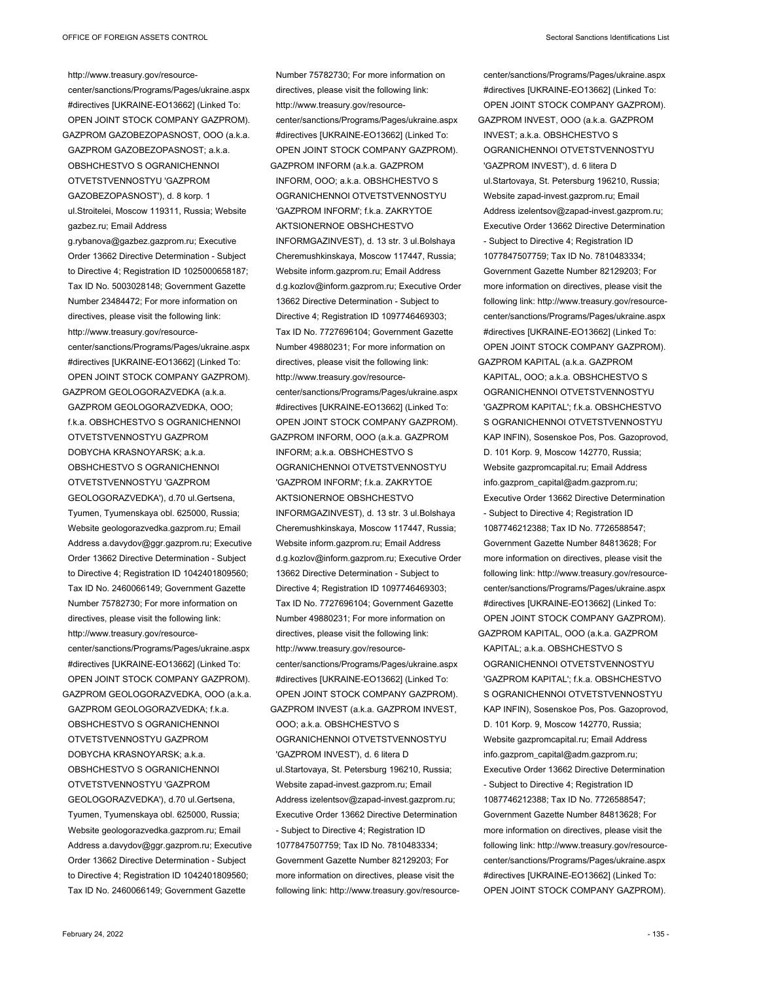http://www.treasury.gov/resourcecenter/sanctions/Programs/Pages/ukraine.aspx #directives [UKRAINE-EO13662] (Linked To: OPEN JOINT STOCK COMPANY GAZPROM). GAZPROM GAZOBEZOPASNOST, OOO (a.k.a. GAZPROM GAZOBEZOPASNOST; a.k.a. OBSHCHESTVO S OGRANICHENNOI OTVETSTVENNOSTYU 'GAZPROM GAZOBEZOPASNOST'), d. 8 korp. 1 ul.Stroitelei, Moscow 119311, Russia; Website gazbez.ru; Email Address g.rybanova@gazbez.gazprom.ru; Executive Order 13662 Directive Determination - Subject to Directive 4; Registration ID 1025000658187; Tax ID No. 5003028148; Government Gazette

Number 23484472; For more information on directives, please visit the following link: http://www.treasury.gov/resourcecenter/sanctions/Programs/Pages/ukraine.aspx #directives [UKRAINE-EO13662] (Linked To: OPEN JOINT STOCK COMPANY GAZPROM). GAZPROM GEOLOGORAZVEDKA (a.k.a.

GAZPROM GEOLOGORAZVEDKA, OOO; f.k.a. OBSHCHESTVO S OGRANICHENNOI OTVETSTVENNOSTYU GAZPROM DOBYCHA KRASNOYARSK; a.k.a. OBSHCHESTVO S OGRANICHENNOI OTVETSTVENNOSTYU 'GAZPROM GEOLOGORAZVEDKA'), d.70 ul.Gertsena, Tyumen, Tyumenskaya obl. 625000, Russia; Website geologorazvedka.gazprom.ru; Email Address a.davydov@ggr.gazprom.ru; Executive Order 13662 Directive Determination - Subject to Directive 4; Registration ID 1042401809560; Tax ID No. 2460066149; Government Gazette Number 75782730; For more information on directives, please visit the following link: http://www.treasury.gov/resourcecenter/sanctions/Programs/Pages/ukraine.aspx #directives [UKRAINE-EO13662] (Linked To: OPEN JOINT STOCK COMPANY GAZPROM). GAZPROM GEOLOGORAZVEDKA, OOO (a.k.a. GAZPROM GEOLOGORAZVEDKA; f.k.a. OBSHCHESTVO S OGRANICHENNOI OTVETSTVENNOSTYU GAZPROM DOBYCHA KRASNOYARSK; a.k.a. OBSHCHESTVO S OGRANICHENNOI OTVETSTVENNOSTYU 'GAZPROM GEOLOGORAZVEDKA'), d.70 ul.Gertsena, Tyumen, Tyumenskaya obl. 625000, Russia; Website geologorazvedka.gazprom.ru; Email Address a.davydov@ggr.gazprom.ru; Executive Order 13662 Directive Determination - Subject to Directive 4; Registration ID 1042401809560;

Tax ID No. 2460066149; Government Gazette

INFORM, OOO; a.k.a. OBSHCHESTVO S OGRANICHENNOI OTVETSTVENNOSTYU 'GAZPROM INFORM'; f.k.a. ZAKRYTOE AKTSIONERNOE OBSHCHESTVO INFORMGAZINVEST), d. 13 str. 3 ul.Bolshaya Cheremushkinskaya, Moscow 117447, Russia; Website inform.gazprom.ru; Email Address d.g.kozlov@inform.gazprom.ru; Executive Order 13662 Directive Determination - Subject to Directive 4; Registration ID 1097746469303; Tax ID No. 7727696104; Government Gazette Number 49880231; For more information on directives, please visit the following link: http://www.treasury.gov/resourcecenter/sanctions/Programs/Pages/ukraine.aspx #directives [UKRAINE-EO13662] (Linked To: OPEN JOINT STOCK COMPANY GAZPROM). GAZPROM INFORM, OOO (a.k.a. GAZPROM INFORM; a.k.a. OBSHCHESTVO S OGRANICHENNOI OTVETSTVENNOSTYU 'GAZPROM INFORM'; f.k.a. ZAKRYTOE AKTSIONERNOE OBSHCHESTVO INFORMGAZINVEST), d. 13 str. 3 ul.Bolshaya Cheremushkinskaya, Moscow 117447, Russia; Website inform.gazprom.ru; Email Address d.g.kozlov@inform.gazprom.ru; Executive Order 13662 Directive Determination - Subject to Directive 4; Registration ID 1097746469303; Tax ID No. 7727696104; Government Gazette Number 49880231; For more information on directives, please visit the following link: http://www.treasury.gov/resourcecenter/sanctions/Programs/Pages/ukraine.aspx #directives [UKRAINE-EO13662] (Linked To: OPEN JOINT STOCK COMPANY GAZPROM). GAZPROM INVEST (a.k.a. GAZPROM INVEST, OOO; a.k.a. OBSHCHESTVO S OGRANICHENNOI OTVETSTVENNOSTYU 'GAZPROM INVEST'), d. 6 litera D ul.Startovaya, St. Petersburg 196210, Russia; Website zapad-invest.gazprom.ru; Email Address izelentsov@zapad-invest.gazprom.ru; Executive Order 13662 Directive Determination - Subject to Directive 4; Registration ID 1077847507759; Tax ID No. 7810483334; Government Gazette Number 82129203; For more information on directives, please visit the following link: http://www.treasury.gov/resource-

Number 75782730; For more information on directives, please visit the following link: http://www.treasury.gov/resource-

center/sanctions/Programs/Pages/ukraine.aspx #directives [UKRAINE-EO13662] (Linked To: OPEN JOINT STOCK COMPANY GAZPROM).

GAZPROM INFORM (a.k.a. GAZPROM

center/sanctions/Programs/Pages/ukraine.aspx #directives [UKRAINE-EO13662] (Linked To: OPEN JOINT STOCK COMPANY GAZPROM). GAZPROM INVEST, OOO (a.k.a. GAZPROM INVEST; a.k.a. OBSHCHESTVO S OGRANICHENNOI OTVETSTVENNOSTYU 'GAZPROM INVEST'), d. 6 litera D ul.Startovaya, St. Petersburg 196210, Russia; Website zapad-invest.gazprom.ru; Email Address izelentsov@zapad-invest.gazprom.ru; Executive Order 13662 Directive Determination - Subject to Directive 4; Registration ID 1077847507759; Tax ID No. 7810483334; Government Gazette Number 82129203; For more information on directives, please visit the following link: http://www.treasury.gov/resourcecenter/sanctions/Programs/Pages/ukraine.aspx #directives [UKRAINE-EO13662] (Linked To: OPEN JOINT STOCK COMPANY GAZPROM). GAZPROM KAPITAL (a.k.a. GAZPROM KAPITAL, OOO; a.k.a. OBSHCHESTVO S

OGRANICHENNOI OTVETSTVENNOSTYU 'GAZPROM KAPITAL'; f.k.a. OBSHCHESTVO S OGRANICHENNOI OTVETSTVENNOSTYU KAP INFIN), Sosenskoe Pos, Pos. Gazoprovod, D. 101 Korp. 9, Moscow 142770, Russia; Website gazpromcapital.ru; Email Address info.gazprom\_capital@adm.gazprom.ru; Executive Order 13662 Directive Determination - Subject to Directive 4; Registration ID 1087746212388; Tax ID No. 7726588547; Government Gazette Number 84813628; For more information on directives, please visit the following link: http://www.treasury.gov/resourcecenter/sanctions/Programs/Pages/ukraine.aspx #directives [UKRAINE-EO13662] (Linked To: OPEN JOINT STOCK COMPANY GAZPROM). GAZPROM KAPITAL, OOO (a.k.a. GAZPROM

KAPITAL; a.k.a. OBSHCHESTVO S OGRANICHENNOI OTVETSTVENNOSTYU 'GAZPROM KAPITAL'; f.k.a. OBSHCHESTVO S OGRANICHENNOI OTVETSTVENNOSTYU KAP INFIN), Sosenskoe Pos, Pos. Gazoprovod, D. 101 Korp. 9, Moscow 142770, Russia; Website gazpromcapital.ru; Email Address info.gazprom\_capital@adm.gazprom.ru; Executive Order 13662 Directive Determination - Subject to Directive 4; Registration ID 1087746212388; Tax ID No. 7726588547; Government Gazette Number 84813628; For more information on directives, please visit the following link: http://www.treasury.gov/resourcecenter/sanctions/Programs/Pages/ukraine.aspx #directives [UKRAINE-EO13662] (Linked To: OPEN JOINT STOCK COMPANY GAZPROM).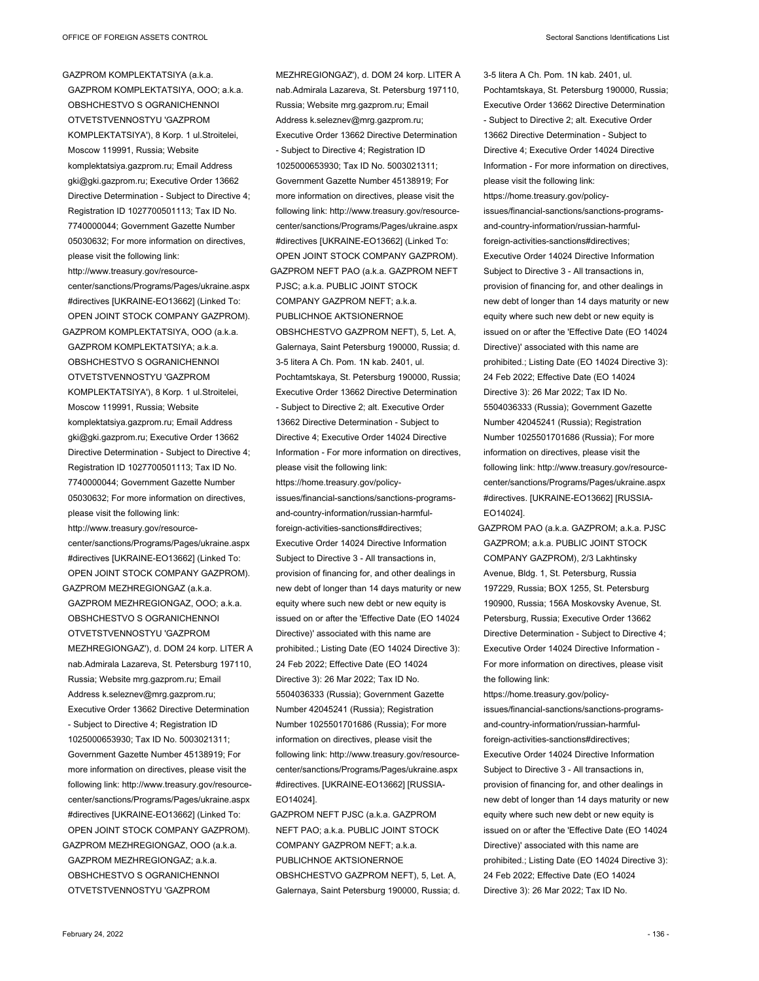GAZPROM KOMPLEKTATSIYA (a.k.a. GAZPROM KOMPLEKTATSIYA, OOO; a.k.a. OBSHCHESTVO S OGRANICHENNOI OTVETSTVENNOSTYU 'GAZPROM KOMPLEKTATSIYA'), 8 Korp. 1 ul.Stroitelei, Moscow 119991, Russia; Website komplektatsiya.gazprom.ru; Email Address gki@gki.gazprom.ru; Executive Order 13662 Directive Determination - Subject to Directive 4; Registration ID 1027700501113; Tax ID No. 7740000044; Government Gazette Number 05030632; For more information on directives, please visit the following link: http://www.treasury.gov/resourcecenter/sanctions/Programs/Pages/ukraine.aspx #directives [UKRAINE-EO13662] (Linked To: OPEN JOINT STOCK COMPANY GAZPROM). GAZPROM KOMPLEKTATSIYA, OOO (a.k.a.

GAZPROM KOMPLEKTATSIYA; a.k.a. OBSHCHESTVO S OGRANICHENNOI OTVETSTVENNOSTYU 'GAZPROM KOMPLEKTATSIYA'), 8 Korp. 1 ul.Stroitelei, Moscow 119991, Russia; Website komplektatsiya.gazprom.ru; Email Address gki@gki.gazprom.ru; Executive Order 13662 Directive Determination - Subject to Directive 4; Registration ID 1027700501113; Tax ID No. 7740000044; Government Gazette Number 05030632; For more information on directives, please visit the following link: http://www.treasury.gov/resourcecenter/sanctions/Programs/Pages/ukraine.aspx #directives [UKRAINE-EO13662] (Linked To: OPEN JOINT STOCK COMPANY GAZPROM). GAZPROM MEZHREGIONGAZ (a.k.a. GAZPROM MEZHREGIONGAZ, OOO; a.k.a. OBSHCHESTVO S OGRANICHENNOI OTVETSTVENNOSTYU 'GAZPROM MEZHREGIONGAZ'), d. DOM 24 korp. LITER A nab.Admirala Lazareva, St. Petersburg 197110, Russia; Website mrg.gazprom.ru; Email Address k.seleznev@mrg.gazprom.ru; Executive Order 13662 Directive Determination - Subject to Directive 4; Registration ID 1025000653930; Tax ID No. 5003021311; Government Gazette Number 45138919; For more information on directives, please visit the following link: http://www.treasury.gov/resourcecenter/sanctions/Programs/Pages/ukraine.aspx #directives [UKRAINE-EO13662] (Linked To: OPEN JOINT STOCK COMPANY GAZPROM). GAZPROM MEZHREGIONGAZ, OOO (a.k.a. GAZPROM MEZHREGIONGAZ; a.k.a. OBSHCHESTVO S OGRANICHENNOI OTVETSTVENNOSTYU 'GAZPROM

MEZHREGIONGAZ'), d. DOM 24 korp. LITER A nab.Admirala Lazareva, St. Petersburg 197110, Russia; Website mrg.gazprom.ru; Email Address k.seleznev@mrg.gazprom.ru; Executive Order 13662 Directive Determination - Subject to Directive 4; Registration ID 1025000653930; Tax ID No. 5003021311; Government Gazette Number 45138919; For more information on directives, please visit the following link: http://www.treasury.gov/resourcecenter/sanctions/Programs/Pages/ukraine.aspx #directives [UKRAINE-EO13662] (Linked To: OPEN JOINT STOCK COMPANY GAZPROM). GAZPROM NEFT PAO (a.k.a. GAZPROM NEFT PJSC; a.k.a. PUBLIC JOINT STOCK COMPANY GAZPROM NEFT; a.k.a. PUBLICHNOE AKTSIONERNOE OBSHCHESTVO GAZPROM NEFT), 5, Let. A, Galernaya, Saint Petersburg 190000, Russia; d. 3-5 litera A Ch. Pom. 1N kab. 2401, ul. Pochtamtskaya, St. Petersburg 190000, Russia; Executive Order 13662 Directive Determination - Subject to Directive 2; alt. Executive Order 13662 Directive Determination - Subject to Directive 4; Executive Order 14024 Directive Information - For more information on directives, please visit the following link: https://home.treasury.gov/policyissues/financial-sanctions/sanctions-programsand-country-information/russian-harmfulforeign-activities-sanctions#directives; Executive Order 14024 Directive Information Subject to Directive 3 - All transactions in, provision of financing for, and other dealings in new debt of longer than 14 days maturity or new equity where such new debt or new equity is issued on or after the 'Effective Date (EO 14024 Directive)' associated with this name are prohibited.; Listing Date (EO 14024 Directive 3): 24 Feb 2022; Effective Date (EO 14024 Directive 3): 26 Mar 2022; Tax ID No. 5504036333 (Russia); Government Gazette Number 42045241 (Russia); Registration Number 1025501701686 (Russia); For more information on directives, please visit the following link: http://www.treasury.gov/resourcecenter/sanctions/Programs/Pages/ukraine.aspx #directives. [UKRAINE-EO13662] [RUSSIA-EO14024].

GAZPROM NEFT PJSC (a.k.a. GAZPROM NEFT PAO; a.k.a. PUBLIC JOINT STOCK COMPANY GAZPROM NEFT: a k a PUBLICHNOE AKTSIONERNOE OBSHCHESTVO GAZPROM NEFT), 5, Let. A, Galernaya, Saint Petersburg 190000, Russia; d. 3-5 litera A Ch. Pom. 1N kab. 2401, ul. Pochtamtskaya, St. Petersburg 190000, Russia; Executive Order 13662 Directive Determination - Subject to Directive 2; alt. Executive Order 13662 Directive Determination - Subject to Directive 4; Executive Order 14024 Directive Information - For more information on directives, please visit the following link: https://home.treasury.gov/policyissues/financial-sanctions/sanctions-programsand-country-information/russian-harmfulforeign-activities-sanctions#directives; Executive Order 14024 Directive Information Subject to Directive 3 - All transactions in, provision of financing for, and other dealings in new debt of longer than 14 days maturity or new equity where such new debt or new equity is issued on or after the 'Effective Date (EO 14024 Directive)' associated with this name are prohibited.; Listing Date (EO 14024 Directive 3): 24 Feb 2022; Effective Date (EO 14024 Directive 3): 26 Mar 2022; Tax ID No. 5504036333 (Russia); Government Gazette Number 42045241 (Russia); Registration Number 1025501701686 (Russia); For more information on directives, please visit the following link: http://www.treasury.gov/resourcecenter/sanctions/Programs/Pages/ukraine.aspx #directives. [UKRAINE-EO13662] [RUSSIA-EO14024].

GAZPROM PAO (a.k.a. GAZPROM; a.k.a. PJSC GAZPROM; a.k.a. PUBLIC JOINT STOCK COMPANY GAZPROM), 2/3 Lakhtinsky Avenue, Bldg. 1, St. Petersburg, Russia 197229, Russia; BOX 1255, St. Petersburg 190900, Russia; 156A Moskovsky Avenue, St. Petersburg, Russia; Executive Order 13662 Directive Determination - Subject to Directive 4; Executive Order 14024 Directive Information - For more information on directives, please visit the following link:

https://home.treasury.gov/policyissues/financial-sanctions/sanctions-programsand-country-information/russian-harmfulforeign-activities-sanctions#directives; Executive Order 14024 Directive Information Subject to Directive 3 - All transactions in, provision of financing for, and other dealings in new debt of longer than 14 days maturity or new equity where such new debt or new equity is issued on or after the 'Effective Date (EO 14024 Directive)' associated with this name are prohibited.; Listing Date (EO 14024 Directive 3): 24 Feb 2022; Effective Date (EO 14024 Directive 3): 26 Mar 2022; Tax ID No.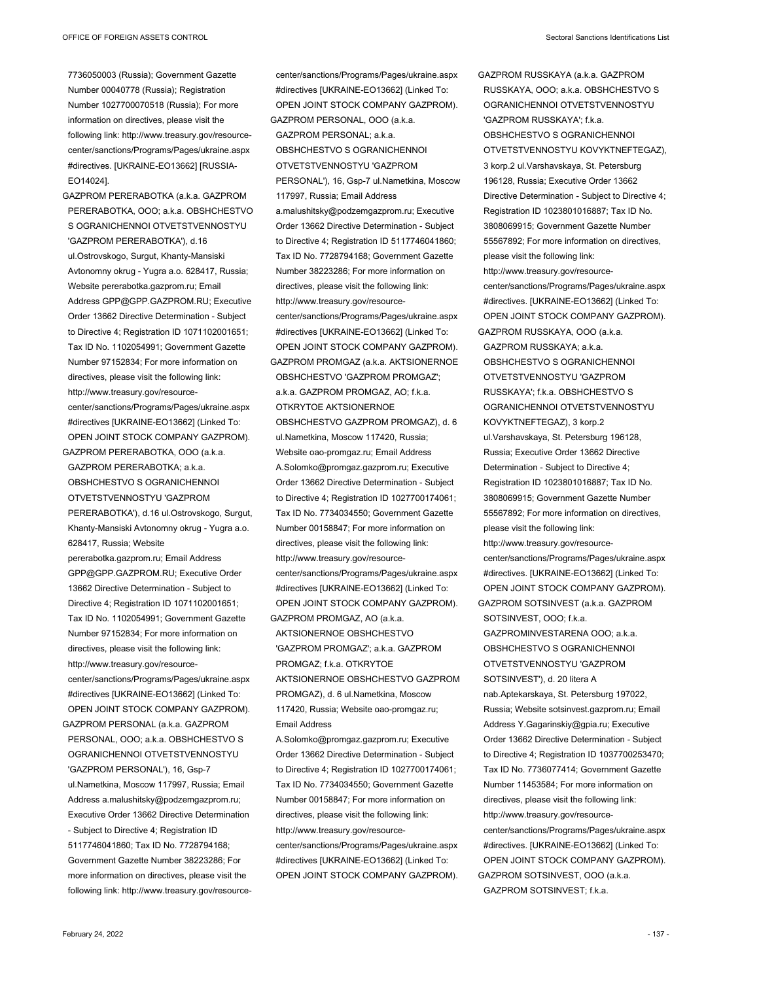GAZPROM PERERABOTKA (a.k.a. GAZPROM PERERABOTKA, OOO; a.k.a. OBSHCHESTVO S OGRANICHENNOI OTVETSTVENNOSTYU 'GAZPROM PERERABOTKA'), d.16 ul.Ostrovskogo, Surgut, Khanty-Mansiski Avtonomny okrug - Yugra a.o. 628417, Russia; Website pererabotka.gazprom.ru; Email Address GPP@GPP.GAZPROM.RU; Executive Order 13662 Directive Determination - Subject to Directive 4; Registration ID 1071102001651; Tax ID No. 1102054991; Government Gazette Number 97152834; For more information on directives, please visit the following link: http://www.treasury.gov/resourcecenter/sanctions/Programs/Pages/ukraine.aspx #directives [UKRAINE-EO13662] (Linked To: OPEN JOINT STOCK COMPANY GAZPROM).

GAZPROM PERERABOTKA, OOO (a.k.a. GAZPROM PERERABOTKA; a.k.a. OBSHCHESTVO S OGRANICHENNOI OTVETSTVENNOSTYU 'GAZPROM PERERABOTKA'), d.16 ul.Ostrovskogo, Surgut, Khanty-Mansiski Avtonomny okrug - Yugra a.o. 628417, Russia; Website pererabotka.gazprom.ru; Email Address GPP@GPP.GAZPROM.RU; Executive Order 13662 Directive Determination - Subject to Directive 4; Registration ID 1071102001651; Tax ID No. 1102054991; Government Gazette Number 97152834; For more information on directives, please visit the following link: http://www.treasury.gov/resourcecenter/sanctions/Programs/Pages/ukraine.aspx #directives [UKRAINE-EO13662] (Linked To: OPEN JOINT STOCK COMPANY GAZPROM). GAZPROM PERSONAL (a.k.a. GAZPROM PERSONAL, OOO; a.k.a. OBSHCHESTVO S OGRANICHENNOI OTVETSTVENNOSTYU 'GAZPROM PERSONAL'), 16, Gsp-7 ul.Nametkina, Moscow 117997, Russia; Email Address a.malushitsky@podzemgazprom.ru; Executive Order 13662 Directive Determination - Subject to Directive 4; Registration ID 5117746041860; Tax ID No. 7728794168; Government Gazette Number 38223286; For more information on directives, please visit the

following link: http://www.treasury.gov/resource-

center/sanctions/Programs/Pages/ukraine.aspx #directives [UKRAINE-EO13662] (Linked To: OPEN JOINT STOCK COMPANY GAZPROM). GAZPROM PERSONAL, OOO (a.k.a. GAZPROM PERSONAL; a.k.a. OBSHCHESTVO S OGRANICHENNOI OTVETSTVENNOSTYU 'GAZPROM PERSONAL'), 16, Gsp-7 ul.Nametkina, Moscow 117997, Russia; Email Address a.malushitsky@podzemgazprom.ru; Executive Order 13662 Directive Determination - Subject to Directive 4; Registration ID 5117746041860; Tax ID No. 7728794168; Government Gazette Number 38223286; For more information on directives, please visit the following link: http://www.treasury.gov/resourcecenter/sanctions/Programs/Pages/ukraine.aspx #directives [UKRAINE-EO13662] (Linked To: OPEN JOINT STOCK COMPANY GAZPROM). GAZPROM PROMGAZ (a.k.a. AKTSIONERNOE OBSHCHESTVO 'GAZPROM PROMGAZ'; a.k.a. GAZPROM PROMGAZ, AO; f.k.a. OTKRYTOE AKTSIONERNOE OBSHCHESTVO GAZPROM PROMGAZ), d. 6 ul.Nametkina, Moscow 117420, Russia; Website oao-promgaz.ru; Email Address A.Solomko@promgaz.gazprom.ru; Executive Order 13662 Directive Determination - Subject to Directive 4; Registration ID 1027700174061; Tax ID No. 7734034550; Government Gazette Number 00158847; For more information on directives, please visit the following link: http://www.treasury.gov/resourcecenter/sanctions/Programs/Pages/ukraine.aspx #directives [UKRAINE-EO13662] (Linked To: OPEN JOINT STOCK COMPANY GAZPROM). GAZPROM PROMGAZ, AO (a.k.a. AKTSIONERNOE OBSHCHESTVO 'GAZPROM PROMGAZ'; a.k.a. GAZPROM PROMGAZ; f.k.a. OTKRYTOE AKTSIONERNOE OBSHCHESTVO GAZPROM PROMGAZ), d. 6 ul.Nametkina, Moscow 117420, Russia; Website oao-promgaz.ru; Email Address

A.Solomko@promgaz.gazprom.ru; Executive Order 13662 Directive Determination - Subject to Directive 4; Registration ID 1027700174061; Tax ID No. 7734034550; Government Gazette Number 00158847; For more information on directives, please visit the following link: http://www.treasury.gov/resourcecenter/sanctions/Programs/Pages/ukraine.aspx #directives [UKRAINE-EO13662] (Linked To: OPEN JOINT STOCK COMPANY GAZPROM).

OTVETSTVENNOSTYU KOVYKTNEFTEGAZ), 3 korp.2 ul.Varshavskaya, St. Petersburg 196128, Russia; Executive Order 13662 Directive Determination - Subject to Directive 4; Registration ID 1023801016887; Tax ID No. 3808069915; Government Gazette Number 55567892; For more information on directives, please visit the following link: http://www.treasury.gov/resourcecenter/sanctions/Programs/Pages/ukraine.aspx #directives. [UKRAINE-EO13662] (Linked To: OPEN JOINT STOCK COMPANY GAZPROM). GAZPROM RUSSKAYA, OOO (a.k.a. GAZPROM RUSSKAYA; a.k.a. OBSHCHESTVO S OGRANICHENNOI OTVETSTVENNOSTYU 'GAZPROM RUSSKAYA'; f.k.a. OBSHCHESTVO S OGRANICHENNOI OTVETSTVENNOSTYU KOVYKTNEFTEGAZ), 3 korp.2 ul.Varshavskaya, St. Petersburg 196128, Russia; Executive Order 13662 Directive Determination - Subject to Directive 4; Registration ID 1023801016887; Tax ID No. 3808069915; Government Gazette Number 55567892; For more information on directives, please visit the following link: http://www.treasury.gov/resourcecenter/sanctions/Programs/Pages/ukraine.aspx #directives. [UKRAINE-EO13662] (Linked To: OPEN JOINT STOCK COMPANY GAZPROM). GAZPROM SOTSINVEST (a.k.a. GAZPROM SOTSINVEST, OOO; f.k.a. GAZPROMINVESTARENA OOO; a.k.a. OBSHCHESTVO S OGRANICHENNOI OTVETSTVENNOSTYU 'GAZPROM SOTSINVEST'), d. 20 litera A nab.Aptekarskaya, St. Petersburg 197022, Russia; Website sotsinvest.gazprom.ru; Email Address Y.Gagarinskiy@gpia.ru; Executive Order 13662 Directive Determination - Subject to Directive 4; Registration ID 1037700253470; Tax ID No. 7736077414; Government Gazette Number 11453584; For more information on directives, please visit the following link: http://www.treasury.gov/resourcecenter/sanctions/Programs/Pages/ukraine.aspx #directives. [UKRAINE-EO13662] (Linked To: OPEN JOINT STOCK COMPANY GAZPROM). GAZPROM SOTSINVEST, OOO (a.k.a. GAZPROM SOTSINVEST; f.k.a.

GAZPROM RUSSKAYA (a.k.a. GAZPROM RUSSKAYA, OOO; a.k.a. OBSHCHESTVO S OGRANICHENNOI OTVETSTVENNOSTYU

'GAZPROM RUSSKAYA'; f.k.a. OBSHCHESTVO S OGRANICHENNOI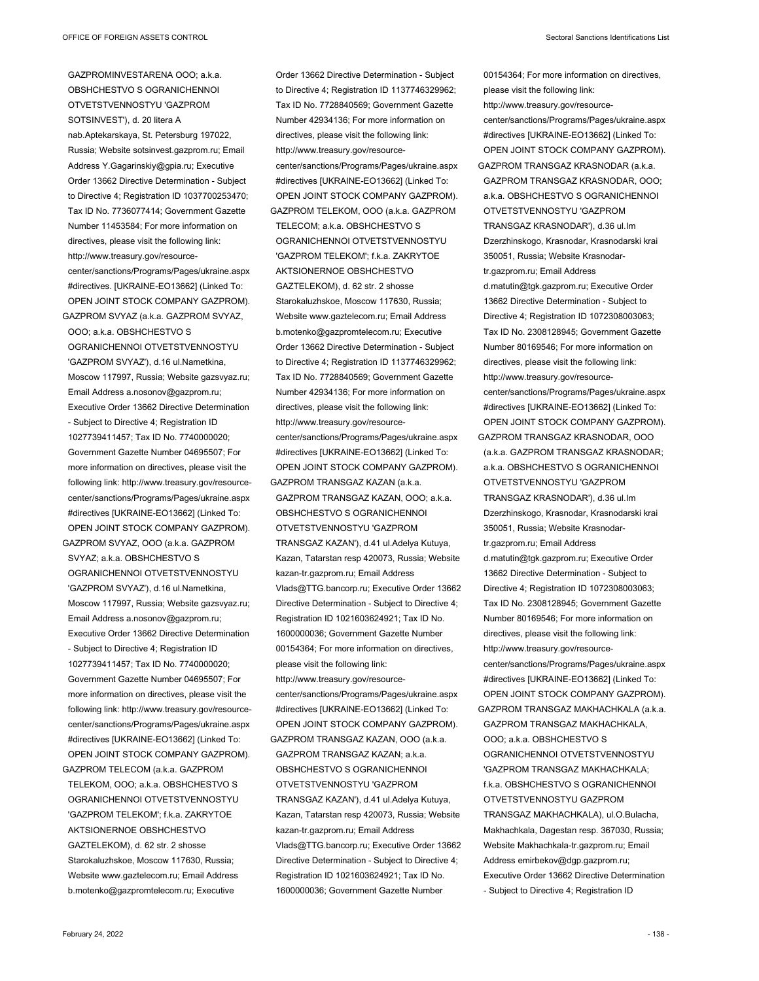GAZPROMINVESTARENA OOO; a.k.a. OBSHCHESTVO S OGRANICHENNOI OTVETSTVENNOSTYU 'GAZPROM SOTSINVEST'), d. 20 litera A nab.Aptekarskaya, St. Petersburg 197022, Russia; Website sotsinvest.gazprom.ru; Email Address Y.Gagarinskiy@gpia.ru; Executive Order 13662 Directive Determination - Subject to Directive 4; Registration ID 1037700253470; Tax ID No. 7736077414; Government Gazette Number 11453584; For more information on directives, please visit the following link: http://www.treasury.gov/resourcecenter/sanctions/Programs/Pages/ukraine.aspx #directives. [UKRAINE-EO13662] (Linked To: OPEN JOINT STOCK COMPANY GAZPROM). GAZPROM SVYAZ (a.k.a. GAZPROM SVYAZ, OOO; a.k.a. OBSHCHESTVO S OGRANICHENNOI OTVETSTVENNOSTYU 'GAZPROM SVYAZ'), d.16 ul.Nametkina, Moscow 117997, Russia; Website gazsvyaz.ru;

Email Address a.nosonov@gazprom.ru; Executive Order 13662 Directive Determination - Subject to Directive 4; Registration ID 1027739411457; Tax ID No. 7740000020; Government Gazette Number 04695507; For more information on directives, please visit the following link: http://www.treasury.gov/resourcecenter/sanctions/Programs/Pages/ukraine.aspx #directives [UKRAINE-EO13662] (Linked To: OPEN JOINT STOCK COMPANY GAZPROM).

GAZPROM SVYAZ, OOO (a.k.a. GAZPROM SVYAZ; a.k.a. OBSHCHESTVO S OGRANICHENNOI OTVETSTVENNOSTYU 'GAZPROM SVYAZ'), d.16 ul.Nametkina, Moscow 117997, Russia; Website gazsvyaz.ru; Email Address a.nosonov@gazprom.ru; Executive Order 13662 Directive Determination - Subject to Directive 4; Registration ID 1027739411457; Tax ID No. 7740000020; Government Gazette Number 04695507; For more information on directives, please visit the following link: http://www.treasury.gov/resourcecenter/sanctions/Programs/Pages/ukraine.aspx #directives [UKRAINE-EO13662] (Linked To: OPEN JOINT STOCK COMPANY GAZPROM). GAZPROM TELECOM (a.k.a. GAZPROM TELEKOM, OOO; a.k.a. OBSHCHESTVO S OGRANICHENNOI OTVETSTVENNOSTYU

'GAZPROM TELEKOM'; f.k.a. ZAKRYTOE AKTSIONERNOE OBSHCHESTVO GAZTELEKOM), d. 62 str. 2 shosse Starokaluzhskoe, Moscow 117630, Russia; Website www.gaztelecom.ru; Email Address b.motenko@gazpromtelecom.ru; Executive

Order 13662 Directive Determination - Subject to Directive 4; Registration ID 1137746329962; Tax ID No. 7728840569; Government Gazette Number 42934136; For more information on directives, please visit the following link: http://www.treasury.gov/resourcecenter/sanctions/Programs/Pages/ukraine.aspx #directives [UKRAINE-EO13662] (Linked To: OPEN JOINT STOCK COMPANY GAZPROM). GAZPROM TELEKOM, OOO (a.k.a. GAZPROM TELECOM; a.k.a. OBSHCHESTVO S OGRANICHENNOI OTVETSTVENNOSTYU 'GAZPROM TELEKOM'; f.k.a. ZAKRYTOE AKTSIONERNOE OBSHCHESTVO GAZTELEKOM), d. 62 str. 2 shosse Starokaluzhskoe, Moscow 117630, Russia; Website www.gaztelecom.ru; Email Address b.motenko@gazpromtelecom.ru; Executive Order 13662 Directive Determination - Subject to Directive 4; Registration ID 1137746329962; Tax ID No. 7728840569; Government Gazette Number 42934136; For more information on directives, please visit the following link: http://www.treasury.gov/resourcecenter/sanctions/Programs/Pages/ukraine.aspx #directives [UKRAINE-EO13662] (Linked To: OPEN JOINT STOCK COMPANY GAZPROM). GAZPROM TRANSGAZ KAZAN (a.k.a. GAZPROM TRANSGAZ KAZAN, OOO; a.k.a. OBSHCHESTVO S OGRANICHENNOI OTVETSTVENNOSTYU 'GAZPROM TRANSGAZ KAZAN'), d.41 ul.Adelya Kutuya, Kazan, Tatarstan resp 420073, Russia; Website kazan-tr.gazprom.ru; Email Address Vlads@TTG.bancorp.ru; Executive Order 13662 Directive Determination - Subject to Directive 4; Registration ID 1021603624921; Tax ID No. 1600000036; Government Gazette Number 00154364; For more information on directives, please visit the following link: http://www.treasury.gov/resourcecenter/sanctions/Programs/Pages/ukraine.aspx #directives [UKRAINE-EO13662] (Linked To: OPEN JOINT STOCK COMPANY GAZPROM). GAZPROM TRANSGAZ KAZAN, OOO (a.k.a. GAZPROM TRANSGAZ KAZAN; a.k.a. OBSHCHESTVO S OGRANICHENNOI OTVETSTVENNOSTYU 'GAZPROM TRANSGAZ KAZAN'), d.41 ul.Adelya Kutuya, Kazan, Tatarstan resp 420073, Russia; Website kazan-tr.gazprom.ru; Email Address Vlads@TTG.bancorp.ru; Executive Order 13662 Directive Determination - Subject to Directive 4;

Registration ID 1021603624921; Tax ID No. 1600000036; Government Gazette Number

00154364; For more information on directives, please visit the following link: http://www.treasury.gov/resourcecenter/sanctions/Programs/Pages/ukraine.aspx #directives [UKRAINE-EO13662] (Linked To: OPEN JOINT STOCK COMPANY GAZPROM). GAZPROM TRANSGAZ KRASNODAR (a.k.a. GAZPROM TRANSGAZ KRASNODAR, OOO; a.k.a. OBSHCHESTVO S OGRANICHENNOI OTVETSTVENNOSTYU 'GAZPROM TRANSGAZ KRASNODAR'), d.36 ul.Im Dzerzhinskogo, Krasnodar, Krasnodarski krai 350051, Russia; Website Krasnodartr.gazprom.ru; Email Address d.matutin@tgk.gazprom.ru; Executive Order 13662 Directive Determination - Subject to Directive 4; Registration ID 1072308003063; Tax ID No. 2308128945; Government Gazette Number 80169546; For more information on directives, please visit the following link: http://www.treasury.gov/resourcecenter/sanctions/Programs/Pages/ukraine.aspx #directives [UKRAINE-EO13662] (Linked To: OPEN JOINT STOCK COMPANY GAZPROM). GAZPROM TRANSGAZ KRASNODAR, OOO (a.k.a. GAZPROM TRANSGAZ KRASNODAR; a.k.a. OBSHCHESTVO S OGRANICHENNOI OTVETSTVENNOSTYU 'GAZPROM TRANSGAZ KRASNODAR'), d.36 ul.Im Dzerzhinskogo, Krasnodar, Krasnodarski krai 350051, Russia; Website Krasnodartr.gazprom.ru; Email Address d.matutin@tgk.gazprom.ru; Executive Order 13662 Directive Determination - Subject to Directive 4; Registration ID 1072308003063; Tax ID No. 2308128945; Government Gazette Number 80169546; For more information on directives, please visit the following link: http://www.treasury.gov/resourcecenter/sanctions/Programs/Pages/ukraine.aspx #directives [UKRAINE-EO13662] (Linked To: OPEN JOINT STOCK COMPANY GAZPROM). GAZPROM TRANSGAZ MAKHACHKALA (a.k.a. GAZPROM TRANSGAZ MAKHACHKALA, OOO; a.k.a. OBSHCHESTVO S OGRANICHENNOI OTVETSTVENNOSTYU 'GAZPROM TRANSGAZ MAKHACHKALA; f.k.a. OBSHCHESTVO S OGRANICHENNOI OTVETSTVENNOSTYU GAZPROM TRANSGAZ MAKHACHKALA), ul.O.Bulacha, Makhachkala, Dagestan resp. 367030, Russia; Website Makhachkala-tr.gazprom.ru; Email Address emirbekov@dgp.gazprom.ru; Executive Order 13662 Directive Determination - Subject to Directive 4; Registration ID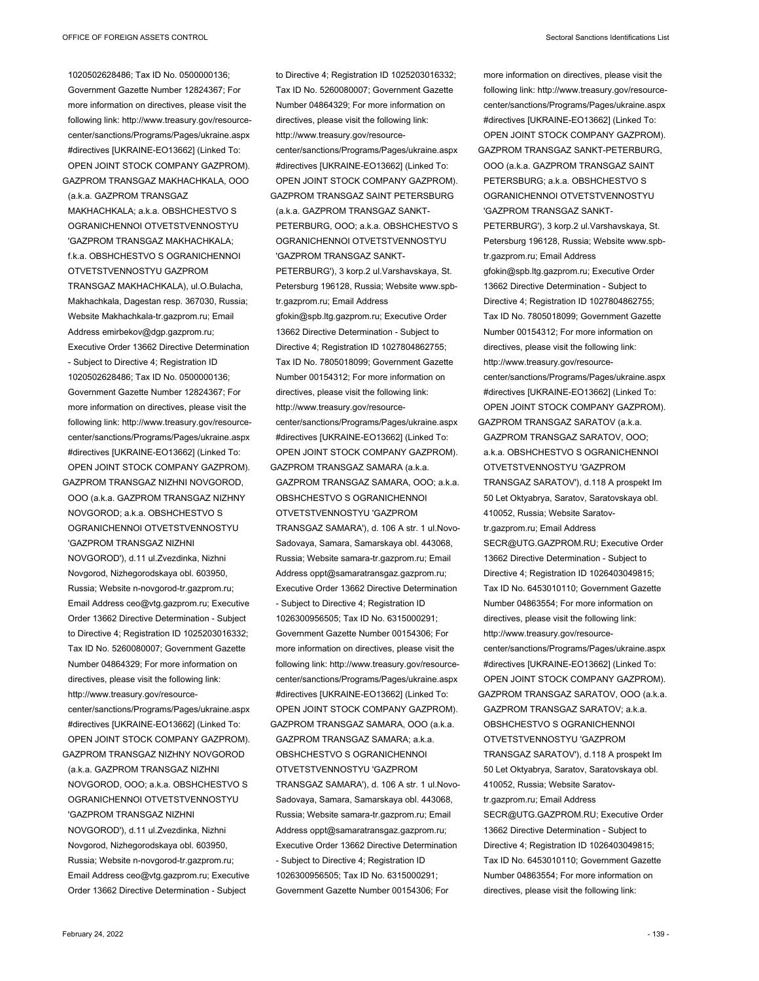1020502628486; Tax ID No. 0500000136; Government Gazette Number 12824367; For more information on directives, please visit the following link: http://www.treasury.gov/resourcecenter/sanctions/Programs/Pages/ukraine.aspx #directives [UKRAINE-EO13662] (Linked To: OPEN JOINT STOCK COMPANY GAZPROM). GAZPROM TRANSGAZ MAKHACHKALA, OOO (a.k.a. GAZPROM TRANSGAZ MAKHACHKALA; a.k.a. OBSHCHESTVO S OGRANICHENNOI OTVETSTVENNOSTYU 'GAZPROM TRANSGAZ MAKHACHKALA; f.k.a. OBSHCHESTVO S OGRANICHENNOI OTVETSTVENNOSTYU GAZPROM TRANSGAZ MAKHACHKALA), ul.O.Bulacha, Makhachkala, Dagestan resp. 367030, Russia; Website Makhachkala-tr.gazprom.ru; Email Address emirbekov@dgp.gazprom.ru; Executive Order 13662 Directive Determination - Subject to Directive 4; Registration ID 1020502628486; Tax ID No. 0500000136; Government Gazette Number 12824367; For more information on directives, please visit the following link: http://www.treasury.gov/resourcecenter/sanctions/Programs/Pages/ukraine.aspx #directives [UKRAINE-EO13662] (Linked To: OPEN JOINT STOCK COMPANY GAZPROM). GAZPROM TRANSGAZ NIZHNI NOVGOROD,

OOO (a.k.a. GAZPROM TRANSGAZ NIZHNY NOVGOROD; a.k.a. OBSHCHESTVO S OGRANICHENNOI OTVETSTVENNOSTYU 'GAZPROM TRANSGAZ NIZHNI NOVGOROD'), d.11 ul.Zvezdinka, Nizhni Novgorod, Nizhegorodskaya obl. 603950, Russia; Website n-novgorod-tr.gazprom.ru; Email Address ceo@vtg.gazprom.ru; Executive Order 13662 Directive Determination - Subject to Directive 4; Registration ID 1025203016332; Tax ID No. 5260080007; Government Gazette Number 04864329; For more information on directives, please visit the following link: http://www.treasury.gov/resourcecenter/sanctions/Programs/Pages/ukraine.aspx #directives [UKRAINE-EO13662] (Linked To: OPEN JOINT STOCK COMPANY GAZPROM). GAZPROM TRANSGAZ NIZHNY NOVGOROD (a.k.a. GAZPROM TRANSGAZ NIZHNI NOVGOROD, OOO; a.k.a. OBSHCHESTVO S OGRANICHENNOI OTVETSTVENNOSTYU 'GAZPROM TRANSGAZ NIZHNI NOVGOROD'), d.11 ul.Zvezdinka, Nizhni Novgorod, Nizhegorodskaya obl. 603950, Russia; Website n-novgorod-tr.gazprom.ru; Email Address ceo@vtg.gazprom.ru; Executive Order 13662 Directive Determination - Subject

Tax ID No. 5260080007; Government Gazette Number 04864329; For more information on directives, please visit the following link: http://www.treasury.gov/resourcecenter/sanctions/Programs/Pages/ukraine.aspx #directives [UKRAINE-EO13662] (Linked To: OPEN JOINT STOCK COMPANY GAZPROM). GAZPROM TRANSGAZ SAINT PETERSBURG (a.k.a. GAZPROM TRANSGAZ SANKT-PETERBURG, OOO; a.k.a. OBSHCHESTVO S OGRANICHENNOI OTVETSTVENNOSTYU 'GAZPROM TRANSGAZ SANKT-PETERBURG'), 3 korp.2 ul.Varshavskaya, St. Petersburg 196128, Russia; Website www.spbtr.gazprom.ru; Email Address gfokin@spb.ltg.gazprom.ru; Executive Order 13662 Directive Determination - Subject to Directive 4; Registration ID 1027804862755; Tax ID No. 7805018099; Government Gazette Number 00154312; For more information on directives, please visit the following link: http://www.treasury.gov/resourcecenter/sanctions/Programs/Pages/ukraine.aspx #directives [UKRAINE-EO13662] (Linked To: OPEN JOINT STOCK COMPANY GAZPROM). GAZPROM TRANSGAZ SAMARA (a.k.a. GAZPROM TRANSGAZ SAMARA, OOO; a.k.a. OBSHCHESTVO S OGRANICHENNOI OTVETSTVENNOSTYU 'GAZPROM TRANSGAZ SAMARA'), d. 106 A str. 1 ul.Novo-Sadovaya, Samara, Samarskaya obl. 443068, Russia; Website samara-tr.gazprom.ru; Email Address oppt@samaratransgaz.gazprom.ru; Executive Order 13662 Directive Determination - Subject to Directive 4; Registration ID 1026300956505; Tax ID No. 6315000291; Government Gazette Number 00154306; For more information on directives, please visit the following link: http://www.treasury.gov/resourcecenter/sanctions/Programs/Pages/ukraine.aspx #directives [UKRAINE-EO13662] (Linked To: OPEN JOINT STOCK COMPANY GAZPROM). GAZPROM TRANSGAZ SAMARA, OOO (a.k.a. GAZPROM TRANSGAZ SAMARA; a.k.a. OBSHCHESTVO S OGRANICHENNOI OTVETSTVENNOSTYU 'GAZPROM TRANSGAZ SAMARA'), d. 106 A str. 1 ul.Novo-Sadovaya, Samara, Samarskaya obl. 443068, Russia; Website samara-tr.gazprom.ru; Email Address oppt@samaratransgaz.gazprom.ru; Executive Order 13662 Directive Determination - Subject to Directive 4; Registration ID 1026300956505; Tax ID No. 6315000291; Government Gazette Number 00154306; For

to Directive 4; Registration ID 1025203016332;

more information on directives, please visit the following link: http://www.treasury.gov/resourcecenter/sanctions/Programs/Pages/ukraine.aspx #directives [UKRAINE-EO13662] (Linked To: OPEN JOINT STOCK COMPANY GAZPROM). GAZPROM TRANSGAZ SANKT-PETERBURG, OOO (a.k.a. GAZPROM TRANSGAZ SAINT PETERSBURG; a.k.a. OBSHCHESTVO S OGRANICHENNOI OTVETSTVENNOSTYU 'GAZPROM TRANSGAZ SANKT-PETERBURG'), 3 korp.2 ul.Varshavskaya, St. Petersburg 196128, Russia; Website www.spbtr.gazprom.ru; Email Address gfokin@spb.ltg.gazprom.ru; Executive Order 13662 Directive Determination - Subject to Directive 4; Registration ID 1027804862755; Tax ID No. 7805018099; Government Gazette Number 00154312; For more information on directives, please visit the following link: http://www.treasury.gov/resourcecenter/sanctions/Programs/Pages/ukraine.aspx #directives [UKRAINE-EO13662] (Linked To: OPEN JOINT STOCK COMPANY GAZPROM). GAZPROM TRANSGAZ SARATOV (a.k.a. GAZPROM TRANSGAZ SARATOV, OOO; a.k.a. OBSHCHESTVO S OGRANICHENNOI OTVETSTVENNOSTYU 'GAZPROM TRANSGAZ SARATOV'), d.118 A prospekt Im 50 Let Oktyabrya, Saratov, Saratovskaya obl. 410052, Russia; Website Saratovtr.gazprom.ru; Email Address SECR@UTG.GAZPROM.RU; Executive Order 13662 Directive Determination - Subject to Directive 4; Registration ID 1026403049815; Tax ID No. 6453010110; Government Gazette Number 04863554; For more information on directives, please visit the following link: http://www.treasury.gov/resourcecenter/sanctions/Programs/Pages/ukraine.aspx #directives [UKRAINE-EO13662] (Linked To: OPEN JOINT STOCK COMPANY GAZPROM). GAZPROM TRANSGAZ SARATOV, OOO (a.k.a. GAZPROM TRANSGAZ SARATOV; a.k.a. OBSHCHESTVO S OGRANICHENNOI OTVETSTVENNOSTYU 'GAZPROM TRANSGAZ SARATOV'), d.118 A prospekt Im 50 Let Oktyabrya, Saratov, Saratovskaya obl. 410052, Russia; Website Saratovtr.gazprom.ru; Email Address SECR@UTG.GAZPROM.RU; Executive Order 13662 Directive Determination - Subject to Directive 4; Registration ID 1026403049815; Tax ID No. 6453010110; Government Gazette Number 04863554; For more information on directives, please visit the following link: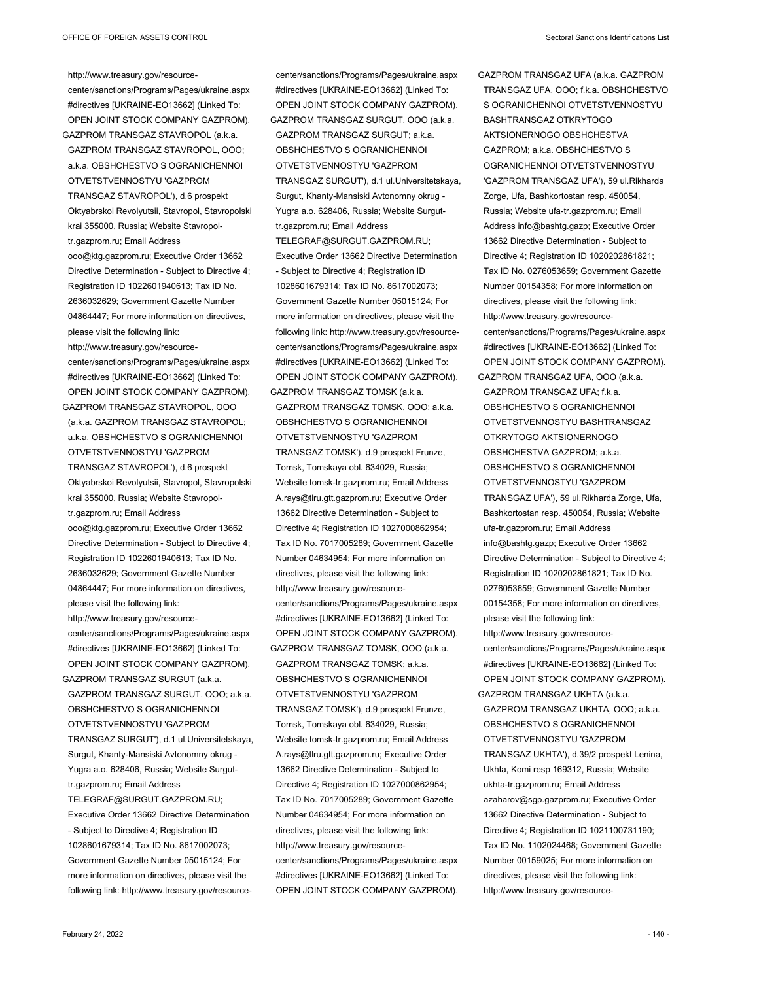http://www.treasury.gov/resourcecenter/sanctions/Programs/Pages/ukraine.aspx #directives [UKRAINE-EO13662] (Linked To: OPEN JOINT STOCK COMPANY GAZPROM). GAZPROM TRANSGAZ STAVROPOL (a.k.a. GAZPROM TRANSGAZ STAVROPOL, OOO; a.k.a. OBSHCHESTVO S OGRANICHENNOI OTVETSTVENNOSTYU 'GAZPROM TRANSGAZ STAVROPOL'), d.6 prospekt Oktyabrskoi Revolyutsii, Stavropol, Stavropolski krai 355000, Russia; Website Stavropoltr.gazprom.ru; Email Address ooo@ktg.gazprom.ru; Executive Order 13662 Directive Determination - Subject to Directive 4; Registration ID 1022601940613; Tax ID No. 2636032629; Government Gazette Number 04864447; For more information on directives, please visit the following link: http://www.treasury.gov/resourcecenter/sanctions/Programs/Pages/ukraine.aspx #directives [UKRAINE-EO13662] (Linked To: OPEN JOINT STOCK COMPANY GAZPROM).

GAZPROM TRANSGAZ STAVROPOL, OOO (a.k.a. GAZPROM TRANSGAZ STAVROPOL; a.k.a. OBSHCHESTVO S OGRANICHENNOI OTVETSTVENNOSTYU 'GAZPROM TRANSGAZ STAVROPOL'), d.6 prospekt Oktyabrskoi Revolyutsii, Stavropol, Stavropolski krai 355000, Russia; Website Stavropoltr.gazprom.ru; Email Address ooo@ktg.gazprom.ru; Executive Order 13662 Directive Determination - Subject to Directive 4; Registration ID 1022601940613; Tax ID No. 2636032629; Government Gazette Number 04864447; For more information on directives, please visit the following link: http://www.treasury.gov/resourcecenter/sanctions/Programs/Pages/ukraine.aspx #directives [UKRAINE-EO13662] (Linked To: OPEN JOINT STOCK COMPANY GAZPROM). GAZPROM TRANSGAZ SURGUT (a.k.a. GAZPROM TRANSGAZ SURGUT, OOO; a.k.a. OBSHCHESTVO S OGRANICHENNOI OTVETSTVENNOSTYU 'GAZPROM TRANSGAZ SURGUT'), d.1 ul.Universitetskaya, Surgut, Khanty-Mansiski Avtonomny okrug - Yugra a.o. 628406, Russia; Website Surguttr.gazprom.ru; Email Address TELEGRAF@SURGUT.GAZPROM.RU; Executive Order 13662 Directive Determination - Subject to Directive 4; Registration ID 1028601679314; Tax ID No. 8617002073; Government Gazette Number 05015124; For more information on directives, please visit the

following link: http://www.treasury.gov/resource-

#directives [UKRAINE-EO13662] (Linked To: OPEN JOINT STOCK COMPANY GAZPROM). GAZPROM TRANSGAZ SURGUT, OOO (a.k.a. GAZPROM TRANSGAZ SURGUT; a.k.a. OBSHCHESTVO S OGRANICHENNOI OTVETSTVENNOSTYU 'GAZPROM TRANSGAZ SURGUT'), d.1 ul.Universitetskaya, Surgut, Khanty-Mansiski Avtonomny okrug - Yugra a.o. 628406, Russia; Website Surguttr.gazprom.ru; Email Address TELEGRAF@SURGUT.GAZPROM.RU; Executive Order 13662 Directive Determination - Subject to Directive 4; Registration ID 1028601679314; Tax ID No. 8617002073; Government Gazette Number 05015124; For more information on directives, please visit the following link: http://www.treasury.gov/resourcecenter/sanctions/Programs/Pages/ukraine.aspx #directives [UKRAINE-EO13662] (Linked To: OPEN JOINT STOCK COMPANY GAZPROM). GAZPROM TRANSGAZ TOMSK (a.k.a. GAZPROM TRANSGAZ TOMSK, OOO; a.k.a. OBSHCHESTVO S OGRANICHENNOI OTVETSTVENNOSTYU 'GAZPROM TRANSGAZ TOMSK'), d.9 prospekt Frunze, Tomsk, Tomskaya obl. 634029, Russia; Website tomsk-tr.gazprom.ru; Email Address A.rays@tlru.gtt.gazprom.ru; Executive Order 13662 Directive Determination - Subject to Directive 4; Registration ID 1027000862954; Tax ID No. 7017005289; Government Gazette Number 04634954; For more information on directives, please visit the following link: http://www.treasury.gov/resourcecenter/sanctions/Programs/Pages/ukraine.aspx #directives [UKRAINE-EO13662] (Linked To: OPEN JOINT STOCK COMPANY GAZPROM). GAZPROM TRANSGAZ TOMSK, OOO (a.k.a. GAZPROM TRANSGAZ TOMSK; a.k.a. OBSHCHESTVO S OGRANICHENNOI OTVETSTVENNOSTYU 'GAZPROM TRANSGAZ TOMSK'), d.9 prospekt Frunze, Tomsk, Tomskaya obl. 634029, Russia; Website tomsk-tr.gazprom.ru; Email Address A.rays@tlru.gtt.gazprom.ru; Executive Order 13662 Directive Determination - Subject to Directive 4; Registration ID 1027000862954; Tax ID No. 7017005289; Government Gazette Number 04634954; For more information on directives, please visit the following link: http://www.treasury.gov/resourcecenter/sanctions/Programs/Pages/ukraine.aspx #directives [UKRAINE-EO13662] (Linked To:

OPEN JOINT STOCK COMPANY GAZPROM).

center/sanctions/Programs/Pages/ukraine.aspx

GAZPROM TRANSGAZ UFA (a.k.a. GAZPROM TRANSGAZ UFA, OOO; f.k.a. OBSHCHESTVO S OGRANICHENNOI OTVETSTVENNOSTYU BASHTRANSGAZ OTKRYTOGO AKTSIONERNOGO OBSHCHESTVA GAZPROM; a.k.a. OBSHCHESTVO S OGRANICHENNOI OTVETSTVENNOSTYU 'GAZPROM TRANSGAZ UFA'), 59 ul.Rikharda Zorge, Ufa, Bashkortostan resp. 450054, Russia; Website ufa-tr.gazprom.ru; Email Address info@bashtg.gazp; Executive Order 13662 Directive Determination - Subject to Directive 4; Registration ID 1020202861821; Tax ID No. 0276053659; Government Gazette Number 00154358; For more information on directives, please visit the following link: http://www.treasury.gov/resourcecenter/sanctions/Programs/Pages/ukraine.aspx #directives [UKRAINE-EO13662] (Linked To: OPEN JOINT STOCK COMPANY GAZPROM). GAZPROM TRANSGAZ UFA, OOO (a.k.a. GAZPROM TRANSGAZ UFA; f.k.a. OBSHCHESTVO S OGRANICHENNOI

OTVETSTVENNOSTYU BASHTRANSGAZ OTKRYTOGO AKTSIONERNOGO OBSHCHESTVA GAZPROM; a.k.a. OBSHCHESTVO S OGRANICHENNOI OTVETSTVENNOSTYU 'GAZPROM TRANSGAZ UFA'), 59 ul.Rikharda Zorge, Ufa, Bashkortostan resp. 450054, Russia; Website ufa-tr.gazprom.ru; Email Address info@bashtg.gazp; Executive Order 13662 Directive Determination - Subject to Directive 4; Registration ID 1020202861821; Tax ID No. 0276053659; Government Gazette Number 00154358; For more information on directives, please visit the following link: http://www.treasury.gov/resourcecenter/sanctions/Programs/Pages/ukraine.aspx #directives [UKRAINE-EO13662] (Linked To: OPEN JOINT STOCK COMPANY GAZPROM). GAZPROM TRANSGAZ UKHTA (a.k.a. GAZPROM TRANSGAZ UKHTA, OOO; a.k.a. OBSHCHESTVO S OGRANICHENNOI OTVETSTVENNOSTYU 'GAZPROM TRANSGAZ UKHTA'), d.39/2 prospekt Lenina, Ukhta, Komi resp 169312, Russia; Website ukhta-tr.gazprom.ru; Email Address azaharov@sgp.gazprom.ru; Executive Order 13662 Directive Determination - Subject to Directive 4; Registration ID 1021100731190; Tax ID No. 1102024468; Government Gazette Number 00159025; For more information on directives, please visit the following link: http://www.treasury.gov/resource-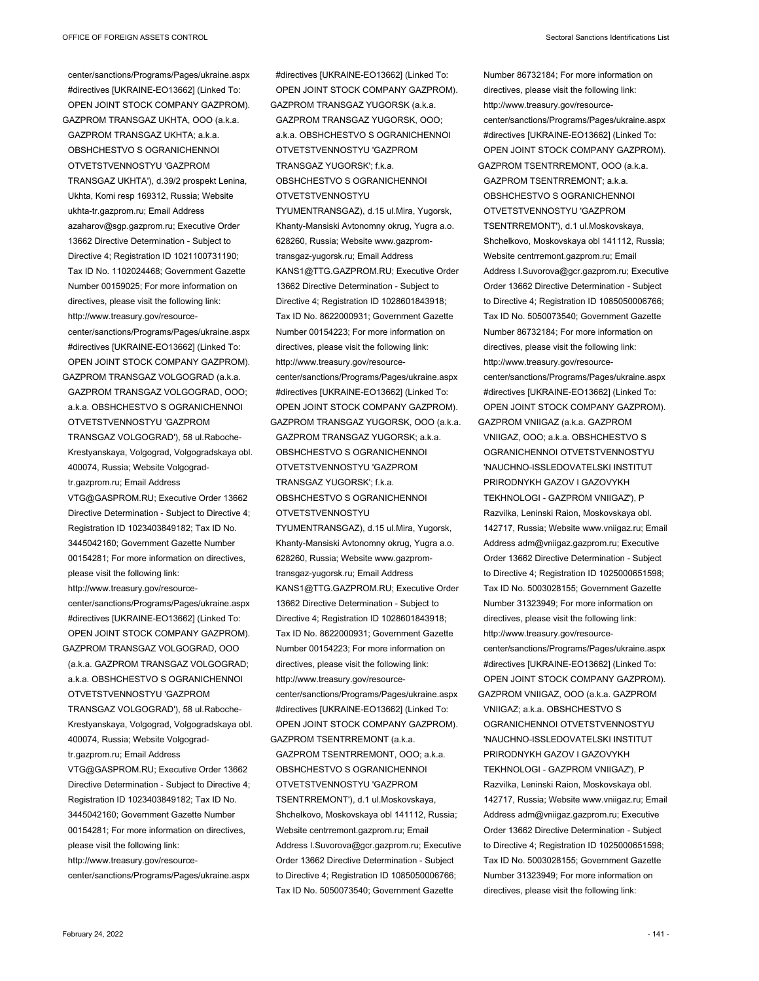center/sanctions/Programs/Pages/ukraine.aspx #directives [UKRAINE-EO13662] (Linked To: OPEN JOINT STOCK COMPANY GAZPROM). GAZPROM TRANSGAZ UKHTA, OOO (a.k.a. GAZPROM TRANSGAZ UKHTA; a.k.a. OBSHCHESTVO S OGRANICHENNOI OTVETSTVENNOSTYU 'GAZPROM TRANSGAZ UKHTA'), d.39/2 prospekt Lenina, Ukhta, Komi resp 169312, Russia; Website ukhta-tr.gazprom.ru; Email Address azaharov@sgp.gazprom.ru; Executive Order 13662 Directive Determination - Subject to Directive 4; Registration ID 1021100731190; Tax ID No. 1102024468; Government Gazette Number 00159025; For more information on directives, please visit the following link: http://www.treasury.gov/resourcecenter/sanctions/Programs/Pages/ukraine.aspx #directives [UKRAINE-EO13662] (Linked To: OPEN JOINT STOCK COMPANY GAZPROM). GAZPROM TRANSGAZ VOLGOGRAD (a.k.a.

GAZPROM TRANSGAZ VOLGOGRAD, OOO; a.k.a. OBSHCHESTVO S OGRANICHENNOI OTVETSTVENNOSTYU 'GAZPROM TRANSGAZ VOLGOGRAD'), 58 ul.Raboche-Krestyanskaya, Volgograd, Volgogradskaya obl. 400074, Russia; Website Volgogradtr.gazprom.ru; Email Address VTG@GASPROM.RU; Executive Order 13662 Directive Determination - Subject to Directive 4; Registration ID 1023403849182; Tax ID No. 3445042160; Government Gazette Number 00154281; For more information on directives, please visit the following link: http://www.treasury.gov/resource-

center/sanctions/Programs/Pages/ukraine.aspx #directives [UKRAINE-EO13662] (Linked To: OPEN JOINT STOCK COMPANY GAZPROM). GAZPROM TRANSGAZ VOLGOGRAD, OOO

(a.k.a. GAZPROM TRANSGAZ VOLGOGRAD; a.k.a. OBSHCHESTVO S OGRANICHENNOI OTVETSTVENNOSTYU 'GAZPROM TRANSGAZ VOLGOGRAD'), 58 ul.Raboche-Krestyanskaya, Volgograd, Volgogradskaya obl. 400074, Russia; Website Volgograd-

tr.gazprom.ru; Email Address

VTG@GASPROM.RU; Executive Order 13662 Directive Determination - Subject to Directive 4; Registration ID 1023403849182; Tax ID No. 3445042160; Government Gazette Number 00154281; For more information on directives, please visit the following link:

http://www.treasury.gov/resource-

center/sanctions/Programs/Pages/ukraine.aspx

OPEN JOINT STOCK COMPANY GAZPROM). GAZPROM TRANSGAZ YUGORSK (a.k.a. GAZPROM TRANSGAZ YUGORSK, OOO; a.k.a. OBSHCHESTVO S OGRANICHENNOI OTVETSTVENNOSTYU 'GAZPROM TRANSGAZ YUGORSK'; f.k.a. OBSHCHESTVO S OGRANICHENNOI OTVETSTVENNOSTYU TYUMENTRANSGAZ), d.15 ul.Mira, Yugorsk, Khanty-Mansiski Avtonomny okrug, Yugra a.o. 628260, Russia; Website www.gazpromtransgaz-yugorsk.ru; Email Address KANS1@TTG.GAZPROM.RU; Executive Order 13662 Directive Determination - Subject to Directive 4; Registration ID 1028601843918; Tax ID No. 8622000931; Government Gazette Number 00154223; For more information on directives, please visit the following link: http://www.treasury.gov/resourcecenter/sanctions/Programs/Pages/ukraine.aspx #directives [UKRAINE-EO13662] (Linked To: OPEN JOINT STOCK COMPANY GAZPROM). GAZPROM TRANSGAZ YUGORSK, OOO (a.k.a. GAZPROM TRANSGAZ YUGORSK; a.k.a. OBSHCHESTVO S OGRANICHENNOI OTVETSTVENNOSTYU 'GAZPROM TRANSGAZ YUGORSK'; f.k.a. OBSHCHESTVO S OGRANICHENNOI OTVETSTVENNOSTYU TYUMENTRANSGAZ), d.15 ul.Mira, Yugorsk, Khanty-Mansiski Avtonomny okrug, Yugra a.o. 628260, Russia; Website www.gazpromtransgaz-yugorsk.ru; Email Address KANS1@TTG.GAZPROM.RU; Executive Order 13662 Directive Determination - Subject to Directive 4; Registration ID 1028601843918; Tax ID No. 8622000931; Government Gazette Number 00154223; For more information on directives, please visit the following link: http://www.treasury.gov/resourcecenter/sanctions/Programs/Pages/ukraine.aspx #directives [UKRAINE-EO13662] (Linked To: OPEN JOINT STOCK COMPANY GAZPROM). GAZPROM TSENTRREMONT (a.k.a.

#directives [UKRAINE-EO13662] (Linked To:

GAZPROM TSENTRREMONT, OOO; a.k.a. OBSHCHESTVO S OGRANICHENNOI OTVETSTVENNOSTYU 'GAZPROM TSENTRREMONT'), d.1 ul.Moskovskaya, Shchelkovo, Moskovskaya obl 141112, Russia; Website centrremont.gazprom.ru; Email Address I.Suvorova@gcr.gazprom.ru; Executive Order 13662 Directive Determination - Subject to Directive 4; Registration ID 1085050006766; Tax ID No. 5050073540; Government Gazette

Number 86732184; For more information on directives, please visit the following link: http://www.treasury.gov/resourcecenter/sanctions/Programs/Pages/ukraine.aspx #directives [UKRAINE-EO13662] (Linked To: OPEN JOINT STOCK COMPANY GAZPROM). GAZPROM TSENTRREMONT, OOO (a.k.a. GAZPROM TSENTRREMONT; a.k.a. OBSHCHESTVO S OGRANICHENNOI OTVETSTVENNOSTYU 'GAZPROM TSENTRREMONT'), d.1 ul.Moskovskaya, Shchelkovo, Moskovskaya obl 141112, Russia; Website centrremont.gazprom.ru; Email Address I.Suvorova@gcr.gazprom.ru; Executive Order 13662 Directive Determination - Subject to Directive 4; Registration ID 1085050006766; Tax ID No. 5050073540; Government Gazette Number 86732184; For more information on directives, please visit the following link: http://www.treasury.gov/resourcecenter/sanctions/Programs/Pages/ukraine.aspx #directives [UKRAINE-EO13662] (Linked To: OPEN JOINT STOCK COMPANY GAZPROM). GAZPROM VNIIGAZ (a.k.a. GAZPROM VNIIGAZ, OOO; a.k.a. OBSHCHESTVO S OGRANICHENNOI OTVETSTVENNOSTYU 'NAUCHNO-ISSLEDOVATELSKI INSTITUT PRIRODNYKH GAZOV I GAZOVYKH TEKHNOLOGI - GAZPROM VNIIGAZ'), P Razvilka, Leninski Raion, Moskovskaya obl. 142717, Russia; Website www.vniigaz.ru; Email Address adm@vniigaz.gazprom.ru; Executive Order 13662 Directive Determination - Subject to Directive 4; Registration ID 1025000651598; Tax ID No. 5003028155; Government Gazette Number 31323949; For more information on directives, please visit the following link: http://www.treasury.gov/resourcecenter/sanctions/Programs/Pages/ukraine.aspx #directives [UKRAINE-EO13662] (Linked To: OPEN JOINT STOCK COMPANY GAZPROM). GAZPROM VNIIGAZ, OOO (a.k.a. GAZPROM VNIIGAZ; a.k.a. OBSHCHESTVO S OGRANICHENNOI OTVETSTVENNOSTYU 'NAUCHNO-ISSLEDOVATELSKI INSTITUT PRIRODNYKH GAZOV I GAZOVYKH TEKHNOLOGI - GAZPROM VNIIGAZ'), P Razvilka, Leninski Raion, Moskovskaya obl. 142717, Russia; Website www.vniigaz.ru; Email Address adm@vniigaz.gazprom.ru; Executive Order 13662 Directive Determination - Subject to Directive 4; Registration ID 1025000651598; Tax ID No. 5003028155; Government Gazette

Number 31323949; For more information on directives, please visit the following link: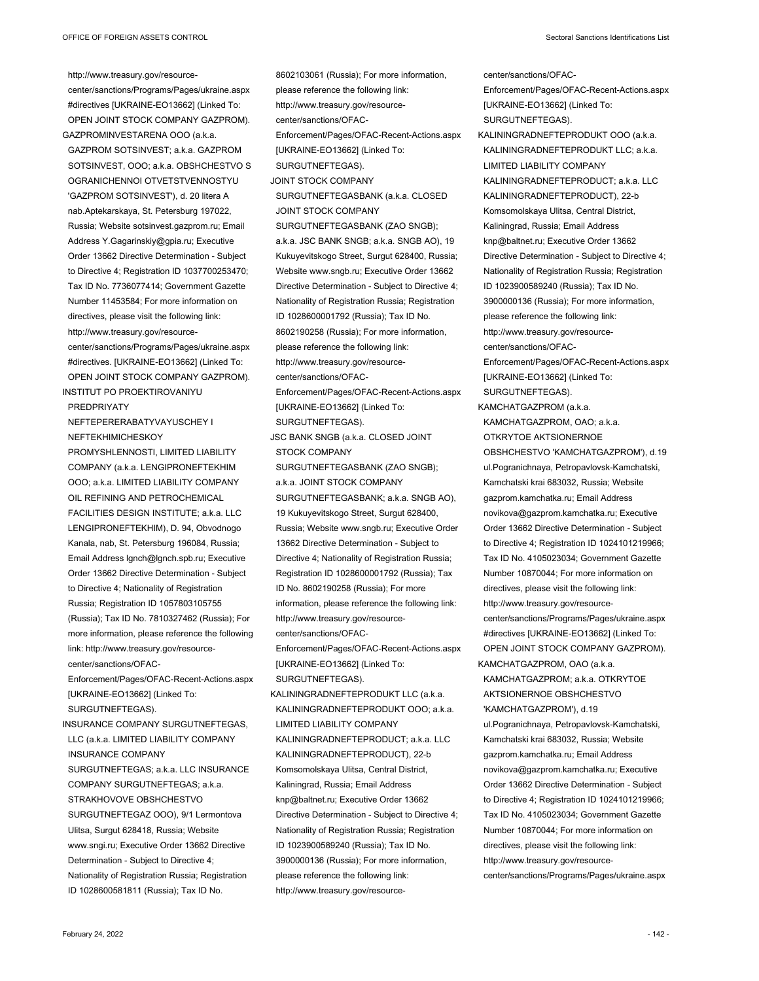http://www.treasury.gov/resourcecenter/sanctions/Programs/Pages/ukraine.aspx #directives [UKRAINE-EO13662] (Linked To: OPEN JOINT STOCK COMPANY GAZPROM). GAZPROMINVESTARENA OOO (a.k.a. GAZPROM SOTSINVEST; a.k.a. GAZPROM SOTSINVEST, OOO; a.k.a. OBSHCHESTVO S OGRANICHENNOI OTVETSTVENNOSTYU 'GAZPROM SOTSINVEST'), d. 20 litera A nab.Aptekarskaya, St. Petersburg 197022, Russia; Website sotsinvest.gazprom.ru; Email Address Y.Gagarinskiy@gpia.ru; Executive Order 13662 Directive Determination - Subject to Directive 4; Registration ID 1037700253470; Tax ID No. 7736077414; Government Gazette Number 11453584; For more information on directives, please visit the following link: http://www.treasury.gov/resourcecenter/sanctions/Programs/Pages/ukraine.aspx #directives. [UKRAINE-EO13662] (Linked To: OPEN JOINT STOCK COMPANY GAZPROM). INSTITUT PO PROEKTIROVANIYU **PREDPRIVATY** NEFTEPERERABATYVAYUSCHEY I NEFTEKHIMICHESKOY PROMYSHLENNOSTI, LIMITED LIABILITY COMPANY (a.k.a. LENGIPRONEFTEKHIM OOO; a.k.a. LIMITED LIABILITY COMPANY OIL REFINING AND PETROCHEMICAL FACILITIES DESIGN INSTITUTE; a.k.a. LLC LENGIPRONEFTEKHIM), D. 94, Obvodnogo Kanala, nab, St. Petersburg 196084, Russia; Email Address lgnch@lgnch.spb.ru; Executive Order 13662 Directive Determination - Subject to Directive 4; Nationality of Registration Russia; Registration ID 1057803105755 (Russia); Tax ID No. 7810327462 (Russia); For more information, please reference the following link: http://www.treasury.gov/resourcecenter/sanctions/OFAC-Enforcement/Pages/OFAC-Recent-Actions.aspx [UKRAINE-EO13662] (Linked To: SURGUTNEFTEGAS). INSURANCE COMPANY SURGUTNEFTEGAS, LLC (a.k.a. LIMITED LIABILITY COMPANY INSURANCE COMPANY SURGUTNEFTEGAS; a k a LLC INSURANCE COMPANY SURGUTNEFTEGAS; a.k.a.

STRAKHOVOVE OBSHCHESTVO SURGUTNEFTEGAZ OOO), 9/1 Lermontova Ulitsa, Surgut 628418, Russia; Website www.sngi.ru; Executive Order 13662 Directive Determination - Subject to Directive 4; Nationality of Registration Russia; Registration ID 1028600581811 (Russia); Tax ID No.

8602103061 (Russia); For more information, please reference the following link: http://www.treasury.gov/resourcecenter/sanctions/OFAC-Enforcement/Pages/OFAC-Recent-Actions.aspx [UKRAINE-EO13662] (Linked To: SURGUTNEFTEGAS). JOINT STOCK COMPANY SURGUTNEFTEGASBANK (a.k.a. CLOSED JOINT STOCK COMPANY SURGUTNEFTEGASBANK (ZAO SNGB); a.k.a. JSC BANK SNGB; a.k.a. SNGB AO), 19 Kukuyevitskogo Street, Surgut 628400, Russia; Website www.sngb.ru; Executive Order 13662 Directive Determination - Subject to Directive 4; Nationality of Registration Russia; Registration ID 1028600001792 (Russia); Tax ID No. 8602190258 (Russia); For more information, please reference the following link: http://www.treasury.gov/resourcecenter/sanctions/OFAC-Enforcement/Pages/OFAC-Recent-Actions.aspx [UKRAINE-EO13662] (Linked To: SURGUTNEFTEGAS). JSC BANK SNGB (a.k.a. CLOSED JOINT STOCK COMPANY SURGUTNEFTEGASBANK (ZAO SNGB); a.k.a. JOINT STOCK COMPANY SURGUTNEFTEGASBANK; a.k.a. SNGB AO), 19 Kukuyevitskogo Street, Surgut 628400, Russia; Website www.sngb.ru; Executive Order 13662 Directive Determination - Subject to Directive 4; Nationality of Registration Russia; Registration ID 1028600001792 (Russia); Tax ID No. 8602190258 (Russia); For more information, please reference the following link: http://www.treasury.gov/resourcecenter/sanctions/OFAC-Enforcement/Pages/OFAC-Recent-Actions.aspx [UKRAINE-EO13662] (Linked To: SURGUTNEFTEGAS). KALININGRADNEFTEPRODUKT LLC (a.k.a. KALININGRADNEFTEPRODUKT OOO; a.k.a. LIMITED LIABILITY COMPANY KALININGRADNEFTEPRODUCT; a.k.a. LLC KALININGRADNEFTEPRODUCT), 22-b Komsomolskaya Ulitsa, Central District, Kaliningrad, Russia; Email Address knp@baltnet.ru; Executive Order 13662 Directive Determination - Subject to Directive 4; Nationality of Registration Russia; Registration ID 1023900589240 (Russia); Tax ID No. 3900000136 (Russia); For more information, please reference the following link:

http://www.treasury.gov/resource-

center/sanctions/OFAC-Enforcement/Pages/OFAC-Recent-Actions.aspx [UKRAINE-EO13662] (Linked To: SURGUTNEFTEGAS). KALININGRADNEFTEPRODUKT OOO (a.k.a. KALININGRADNEFTEPRODUKT LLC; a.k.a. LIMITED LIABILITY COMPANY KALININGRADNEFTEPRODUCT; a.k.a. LLC KALININGRADNEFTEPRODUCT), 22-b Komsomolskaya Ulitsa, Central District, Kaliningrad, Russia; Email Address knp@baltnet.ru; Executive Order 13662 Directive Determination - Subject to Directive 4; Nationality of Registration Russia; Registration ID 1023900589240 (Russia); Tax ID No. 3900000136 (Russia); For more information, please reference the following link: http://www.treasury.gov/resourcecenter/sanctions/OFAC-Enforcement/Pages/OFAC-Recent-Actions.aspx [UKRAINE-EO13662] (Linked To: SURGUTNEFTEGAS). KAMCHATGAZPROM (a.k.a. KAMCHATGAZPROM, OAO; a.k.a. OTKRYTOE AKTSIONERNOE OBSHCHESTVO 'KAMCHATGAZPROM'), d.19 ul.Pogranichnaya, Petropavlovsk-Kamchatski, Kamchatski krai 683032, Russia; Website gazprom.kamchatka.ru; Email Address novikova@gazprom.kamchatka.ru; Executive Order 13662 Directive Determination - Subject to Directive 4; Registration ID 1024101219966; Tax ID No. 4105023034; Government Gazette Number 10870044; For more information on directives, please visit the following link: http://www.treasury.gov/resourcecenter/sanctions/Programs/Pages/ukraine.aspx #directives [UKRAINE-EO13662] (Linked To: OPEN JOINT STOCK COMPANY GAZPROM). KAMCHATGAZPROM, OAO (a.k.a. KAMCHATGAZPROM; a.k.a. OTKRYTOE AKTSIONERNOE OBSHCHESTVO 'KAMCHATGAZPROM'), d.19 ul.Pogranichnaya, Petropavlovsk-Kamchatski, Kamchatski krai 683032, Russia; Website gazprom.kamchatka.ru; Email Address novikova@gazprom.kamchatka.ru; Executive Order 13662 Directive Determination - Subject to Directive 4; Registration ID 1024101219966; Tax ID No. 4105023034; Government Gazette Number 10870044; For more information on directives, please visit the following link: http://www.treasury.gov/resource-

center/sanctions/Programs/Pages/ukraine.aspx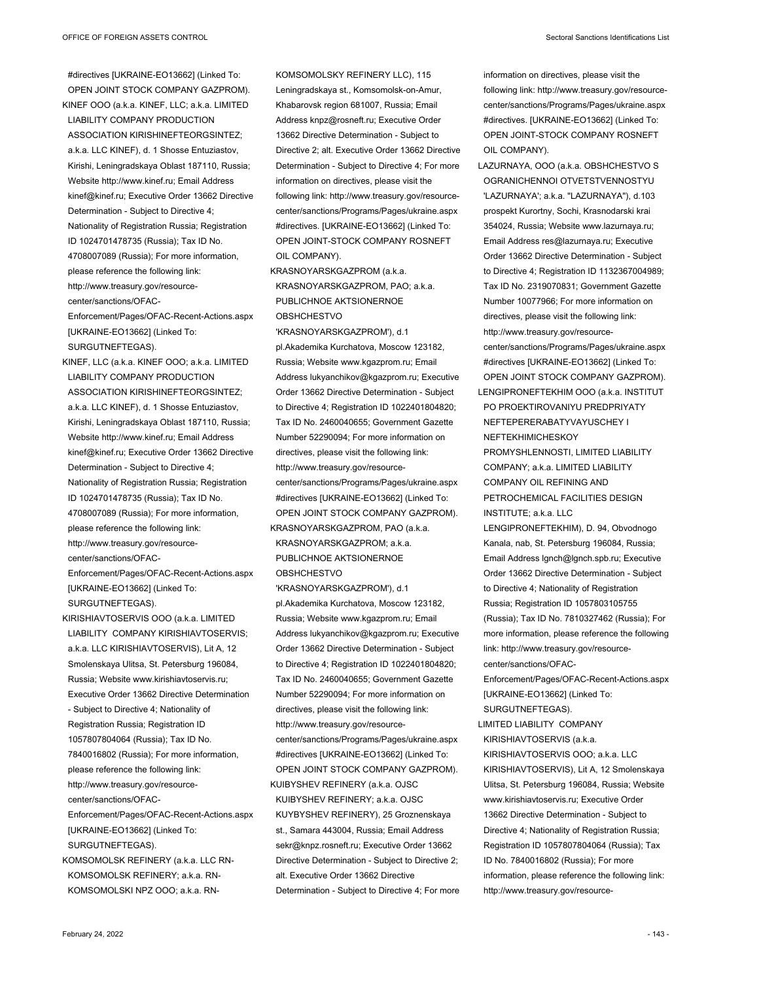#directives [UKRAINE-EO13662] (Linked To: OPEN JOINT STOCK COMPANY GAZPROM). KINEF OOO (a.k.a. KINEF, LLC; a.k.a. LIMITED LIABILITY COMPANY PRODUCTION ASSOCIATION KIRISHINEFTEORGSINTEZ; a.k.a. LLC KINEF), d. 1 Shosse Entuziastov, Kirishi, Leningradskaya Oblast 187110, Russia; Website http://www.kinef.ru; Email Address kinef@kinef.ru; Executive Order 13662 Directive Determination - Subject to Directive 4; Nationality of Registration Russia; Registration ID 1024701478735 (Russia); Tax ID No. 4708007089 (Russia); For more information, please reference the following link: http://www.treasury.gov/resourcecenter/sanctions/OFAC-Enforcement/Pages/OFAC-Recent-Actions.aspx [UKRAINE-EO13662] (Linked To:

SURGUTNEFTEGAS).

KINEF, LLC (a.k.a. KINEF OOO; a.k.a. LIMITED LIABILITY COMPANY PRODUCTION ASSOCIATION KIRISHINEFTEORGSINTEZ; a.k.a. LLC KINEF), d. 1 Shosse Entuziastov, Kirishi, Leningradskaya Oblast 187110, Russia; Website http://www.kinef.ru; Email Address kinef@kinef.ru; Executive Order 13662 Directive Determination - Subject to Directive 4; Nationality of Registration Russia; Registration ID 1024701478735 (Russia); Tax ID No. 4708007089 (Russia); For more information, please reference the following link: http://www.treasury.gov/resourcecenter/sanctions/OFAC-

Enforcement/Pages/OFAC-Recent-Actions.aspx [UKRAINE-EO13662] (Linked To: SURGUTNEFTEGAS).

KIRISHIAVTOSERVIS OOO (a.k.a. LIMITED LIABILITY COMPANY KIRISHIAVTOSERVIS; a.k.a. LLC KIRISHIAVTOSERVIS), Lit A, 12 Smolenskaya Ulitsa, St. Petersburg 196084, Russia; Website www.kirishiavtoservis.ru; Executive Order 13662 Directive Determination - Subject to Directive 4; Nationality of Registration Russia; Registration ID 1057807804064 (Russia); Tax ID No. 7840016802 (Russia); For more information, please reference the following link: http://www.treasury.gov/resourcecenter/sanctions/OFAC-Enforcement/Pages/OFAC-Recent-Actions.aspx [UKRAINE-EO13662] (Linked To:

SURGUTNEFTEGAS).

KOMSOMOLSK REFINERY (a.k.a. LLC RN-KOMSOMOLSK REFINERY; a.k.a. RN-KOMSOMOLSKI NPZ OOO; a.k.a. RN-

KOMSOMOLSKY REFINERY LLC), 115 Leningradskaya st., Komsomolsk-on-Amur, Khabarovsk region 681007, Russia; Email Address knpz@rosneft.ru; Executive Order 13662 Directive Determination - Subject to Directive 2; alt. Executive Order 13662 Directive Determination - Subject to Directive 4; For more information on directives, please visit the following link: http://www.treasury.gov/resourcecenter/sanctions/Programs/Pages/ukraine.aspx #directives. [UKRAINE-EO13662] (Linked To: OPEN JOINT-STOCK COMPANY ROSNEFT OIL COMPANY).

KRASNOYARSKGAZPROM (a.k.a. KRASNOYARSKGAZPROM, PAO; a.k.a. PUBLICHNOE AKTSIONERNOE OBSHCHESTVO

'KRASNOYARSKGAZPROM'), d.1 pl.Akademika Kurchatova, Moscow 123182, Russia; Website www.kgazprom.ru; Email Address lukyanchikov@kgazprom.ru; Executive Order 13662 Directive Determination - Subject to Directive 4; Registration ID 1022401804820; Tax ID No. 2460040655; Government Gazette Number 52290094; For more information on directives, please visit the following link: http://www.treasury.gov/resourcecenter/sanctions/Programs/Pages/ukraine.aspx #directives [UKRAINE-EO13662] (Linked To: OPEN JOINT STOCK COMPANY GAZPROM). KRASNOYARSKGAZPROM, PAO (a.k.a. KRASNOYARSKGAZPROM; a.k.a. PUBLICHNOE AKTSIONERNOE OBSHCHESTVO

'KRASNOYARSKGAZPROM'), d.1

pl.Akademika Kurchatova, Moscow 123182, Russia; Website www.kgazprom.ru; Email Address lukyanchikov@kgazprom.ru; Executive Order 13662 Directive Determination - Subject to Directive 4; Registration ID 1022401804820; Tax ID No. 2460040655; Government Gazette Number 52290094; For more information on directives, please visit the following link: http://www.treasury.gov/resourcecenter/sanctions/Programs/Pages/ukraine.aspx #directives [UKRAINE-EO13662] (Linked To: OPEN JOINT STOCK COMPANY GAZPROM). KUIBYSHEV REFINERY (a.k.a. OJSC KUIBYSHEV REFINERY; a.k.a. OJSC KUYBYSHEV REFINERY), 25 Groznenskaya st., Samara 443004, Russia; Email Address sekr@knpz.rosneft.ru; Executive Order 13662 Directive Determination - Subject to Directive 2; alt. Executive Order 13662 Directive Determination - Subject to Directive 4; For more information on directives, please visit the following link: http://www.treasury.gov/resourcecenter/sanctions/Programs/Pages/ukraine.aspx #directives. [UKRAINE-EO13662] (Linked To: OPEN JOINT-STOCK COMPANY ROSNEFT OIL COMPANY).

LAZURNAYA, OOO (a.k.a. OBSHCHESTVO S OGRANICHENNOI OTVETSTVENNOSTYU 'LAZURNAYA'; a.k.a. "LAZURNAYA"), d.103 prospekt Kurortny, Sochi, Krasnodarski krai 354024, Russia; Website www.lazurnaya.ru; Email Address res@lazurnaya.ru; Executive Order 13662 Directive Determination - Subject to Directive 4; Registration ID 1132367004989; Tax ID No. 2319070831; Government Gazette Number 10077966; For more information on directives, please visit the following link: http://www.treasury.gov/resourcecenter/sanctions/Programs/Pages/ukraine.aspx #directives [UKRAINE-EO13662] (Linked To: OPEN JOINT STOCK COMPANY GAZPROM). LENGIPRONEFTEKHIM OOO (a.k.a. INSTITUT

PO PROEKTIROVANIYU PREDPRIYATY NEFTEPERERABATYVAYUSCHEY I NEFTEKHIMICHESKOY PROMYSHLENNOSTI, LIMITED LIABILITY

COMPANY; a.k.a. LIMITED LIABILITY COMPANY OIL REFINING AND PETROCHEMICAL FACILITIES DESIGN INSTITUTE; a.k.a. LLC

LENGIPRONEFTEKHIM), D. 94, Obvodnogo Kanala, nab, St. Petersburg 196084, Russia; Email Address lgnch@lgnch.spb.ru; Executive Order 13662 Directive Determination - Subject to Directive 4; Nationality of Registration Russia; Registration ID 1057803105755 (Russia); Tax ID No. 7810327462 (Russia); For more information, please reference the following link: http://www.treasury.gov/resourcecenter/sanctions/OFAC-

Enforcement/Pages/OFAC-Recent-Actions.aspx [UKRAINE-EO13662] (Linked To: SURGUTNEFTEGAS).

LIMITED LIABILITY COMPANY KIRISHIAVTOSERVIS (a.k.a. KIRISHIAVTOSERVIS OOO; a.k.a. LLC KIRISHIAVTOSERVIS), Lit A, 12 Smolenskaya Ulitsa, St. Petersburg 196084, Russia; Website www.kirishiavtoservis.ru; Executive Order 13662 Directive Determination - Subject to Directive 4; Nationality of Registration Russia; Registration ID 1057807804064 (Russia); Tax ID No. 7840016802 (Russia); For more information, please reference the following link: http://www.treasury.gov/resource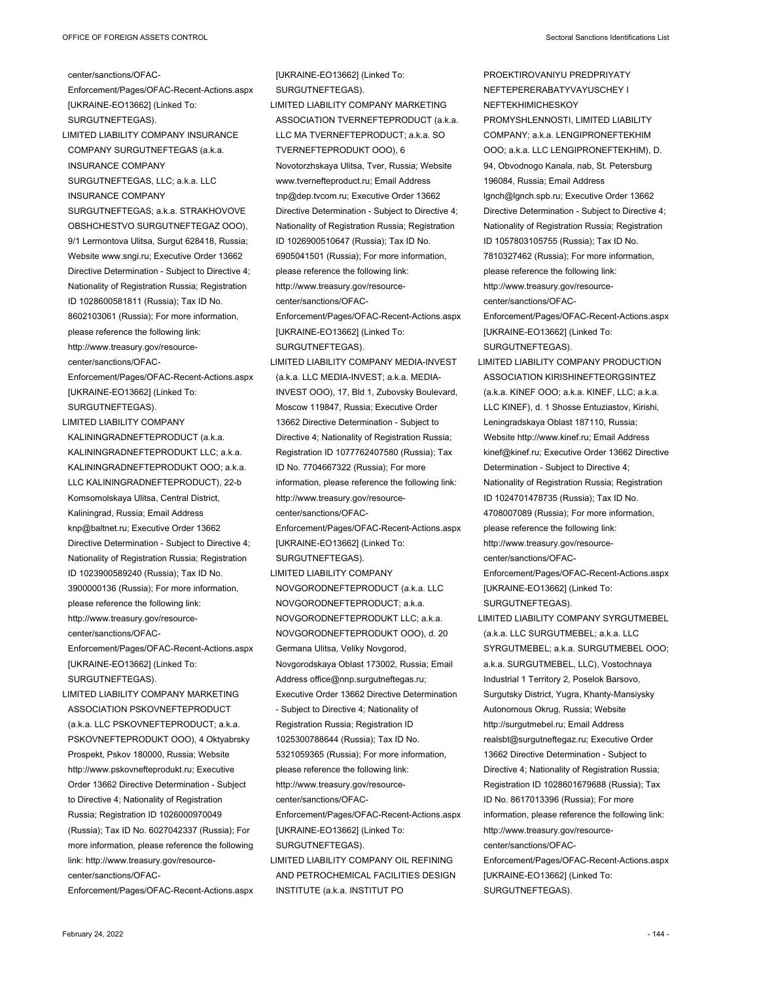center/sanctions/OFAC-

Enforcement/Pages/OFAC-Recent-Actions.aspx [UKRAINE-EO13662] (Linked To: SURGUTNEFTEGAS). LIMITED LIABILITY COMPANY INSURANCE COMPANY SURGUTNEFTEGAS (a.k.a. INSURANCE COMPANY SURGUTNEFTEGAS, LLC; a.k.a. LLC INSURANCE COMPANY SURGUTNEFTEGAS: a.k.a. STRAKHOVOVE OBSHCHESTVO SURGUTNEFTEGAZ OOO), 9/1 Lermontova Ulitsa, Surgut 628418, Russia; Website www.sngi.ru; Executive Order 13662 Directive Determination - Subject to Directive 4; Nationality of Registration Russia; Registration ID 1028600581811 (Russia); Tax ID No. 8602103061 (Russia); For more information, please reference the following link: http://www.treasury.gov/resourcecenter/sanctions/OFAC-Enforcement/Pages/OFAC-Recent-Actions.aspx [UKRAINE-EO13662] (Linked To: SURGUTNEFTEGAS). LIMITED LIABILITY COMPANY KALININGRADNEFTEPRODUCT (a.k.a. KALININGRADNEFTEPRODUKT LLC; a.k.a. KALININGRADNEFTEPRODUKT OOO; a.k.a. LLC KALININGRADNEFTEPRODUCT), 22-b Komsomolskaya Ulitsa, Central District, Kaliningrad, Russia; Email Address knp@baltnet.ru; Executive Order 13662 Directive Determination - Subject to Directive 4; Nationality of Registration Russia; Registration ID 1023900589240 (Russia); Tax ID No. 3900000136 (Russia); For more information, please reference the following link: http://www.treasury.gov/resourcecenter/sanctions/OFAC-

Enforcement/Pages/OFAC-Recent-Actions.aspx [UKRAINE-EO13662] (Linked To: SURGUTNEFTEGAS).

LIMITED LIABILITY COMPANY MARKETING ASSOCIATION PSKOVNEFTEPRODUCT (a.k.a. LLC PSKOVNEFTEPRODUCT; a.k.a. PSKOVNEFTEPRODUKT OOO), 4 Oktyabrsky Prospekt, Pskov 180000, Russia; Website http://www.pskovnefteprodukt.ru; Executive Order 13662 Directive Determination - Subject to Directive 4; Nationality of Registration Russia; Registration ID 1026000970049 (Russia); Tax ID No. 6027042337 (Russia); For more information, please reference the following link: http://www.treasury.gov/resourcecenter/sanctions/OFAC-

Enforcement/Pages/OFAC-Recent-Actions.aspx

[UKRAINE-EO13662] (Linked To: SURGUTNEFTEGAS). LIMITED LIABILITY COMPANY MARKETING ASSOCIATION TVERNEFTEPRODUCT (a.k.a. LLC MA TVERNEFTEPRODUCT; a.k.a. SO TVERNEFTEPRODUKT OOO), 6 Novotorzhskaya Ulitsa, Tver, Russia; Website www.tvernefteproduct.ru; Email Address tnp@dep.tvcom.ru; Executive Order 13662 Directive Determination - Subject to Directive 4; Nationality of Registration Russia; Registration ID 1026900510647 (Russia); Tax ID No. 6905041501 (Russia); For more information, please reference the following link: http://www.treasury.gov/resourcecenter/sanctions/OFAC-Enforcement/Pages/OFAC-Recent-Actions.aspx [UKRAINE-EO13662] (Linked To: SURGUTNEFTEGAS). LIMITED LIABILITY COMPANY MEDIA-INVEST (a.k.a. LLC MEDIA-INVEST; a.k.a. MEDIA-INVEST OOO), 17, Bld 1, Zubovsky Boulevard, Moscow 119847, Russia; Executive Order 13662 Directive Determination - Subject to Directive 4; Nationality of Registration Russia; Registration ID 1077762407580 (Russia); Tax ID No. 7704667322 (Russia); For more information, please reference the following link: http://www.treasury.gov/resourcecenter/sanctions/OFAC-Enforcement/Pages/OFAC-Recent-Actions.aspx [UKRAINE-EO13662] (Linked To: SURGUTNEFTEGAS). LIMITED LIABILITY COMPANY NOVGORODNEFTEPRODUCT (a.k.a. LLC NOVGORODNEFTEPRODUCT; a.k.a. NOVGORODNEFTEPRODUKT LLC; a.k.a. NOVGORODNEFTEPRODUKT OOO), d. 20 Germana Ulitsa, Veliky Novgorod, Novgorodskaya Oblast 173002, Russia; Email

- Address office@nnp.surgutneftegas.ru; Executive Order 13662 Directive Determination - Subject to Directive 4; Nationality of Registration Russia; Registration ID 1025300788644 (Russia); Tax ID No. 5321059365 (Russia); For more information, please reference the following link: http://www.treasury.gov/resourcecenter/sanctions/OFAC-Enforcement/Pages/OFAC-Recent-Actions.aspx [UKRAINE-EO13662] (Linked To: SURGUTNEFTEGAS).
- LIMITED LIABILITY COMPANY OIL REFINING AND PETROCHEMICAL FACILITIES DESIGN INSTITUTE (a.k.a. INSTITUT PO

PROEKTIROVANIYU PREDPRIYATY NEFTEPERERABATYVAYUSCHEY I NEFTEKHIMICHESKOY PROMYSHLENNOSTI, LIMITED LIABILITY COMPANY; a.k.a. LENGIPRONEFTEKHIM OOO; a.k.a. LLC LENGIPRONEFTEKHIM), D. 94, Obvodnogo Kanala, nab, St. Petersburg 196084, Russia; Email Address lgnch@lgnch.spb.ru; Executive Order 13662 Directive Determination - Subject to Directive 4; Nationality of Registration Russia; Registration ID 1057803105755 (Russia); Tax ID No. 7810327462 (Russia); For more information, please reference the following link: http://www.treasury.gov/resourcecenter/sanctions/OFAC-Enforcement/Pages/OFAC-Recent-Actions.aspx [UKRAINE-EO13662] (Linked To:

SURGUTNEFTEGAS). LIMITED LIABILITY COMPANY PRODUCTION ASSOCIATION KIRISHINEFTEORGSINTEZ (a.k.a. KINEF OOO; a.k.a. KINEF, LLC; a.k.a. LLC KINEF), d. 1 Shosse Entuziastov, Kirishi, Leningradskaya Oblast 187110, Russia; Website http://www.kinef.ru; Email Address

kinef@kinef.ru; Executive Order 13662 Directive Determination - Subject to Directive 4; Nationality of Registration Russia; Registration ID 1024701478735 (Russia); Tax ID No. 4708007089 (Russia); For more information, please reference the following link: http://www.treasury.gov/resourcecenter/sanctions/OFAC-

Enforcement/Pages/OFAC-Recent-Actions.aspx [UKRAINE-EO13662] (Linked To: SURGUTNEFTEGAS).

LIMITED LIABILITY COMPANY SYRGUTMEBEL (a.k.a. LLC SURGUTMEBEL; a.k.a. LLC SYRGUTMEBEL; a.k.a. SURGUTMEBEL OOO; a.k.a. SURGUTMEBEL, LLC), Vostochnaya Industrial 1 Territory 2, Poselok Barsovo, Surgutsky District, Yugra, Khanty-Mansiysky Autonomous Okrug, Russia; Website http://surgutmebel.ru; Email Address realsbt@surgutneftegaz.ru; Executive Order 13662 Directive Determination - Subject to Directive 4; Nationality of Registration Russia; Registration ID 1028601679688 (Russia); Tax ID No. 8617013396 (Russia); For more information, please reference the following link: http://www.treasury.gov/resourcecenter/sanctions/OFAC-Enforcement/Pages/OFAC-Recent-Actions.aspx [UKRAINE-EO13662] (Linked To:

SURGUTNEFTEGAS).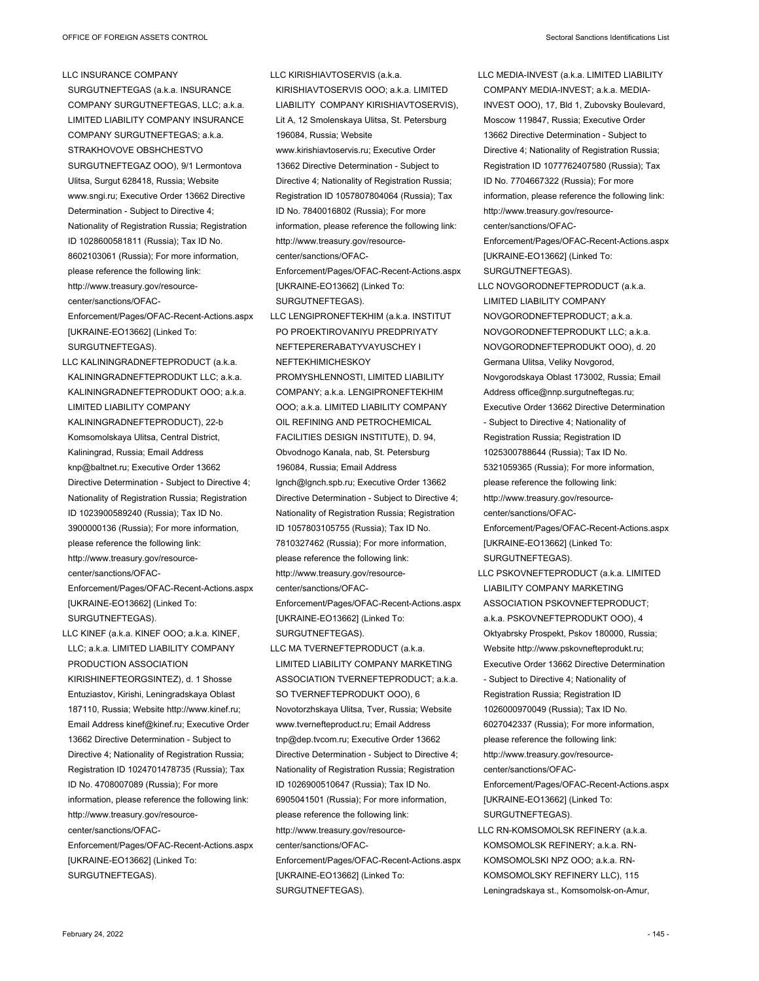LLC INSURANCE COMPANY SURGUTNEFTEGAS (a.k.a. INSURANCE COMPANY SURGUTNEFTEGAS, LLC; a.k.a. LIMITED LIABILITY COMPANY INSURANCE COMPANY SURGUTNEFTEGAS; a.k.a. STRAKHOVOVE OBSHCHESTVO SURGUTNEFTEGAZ OOO), 9/1 Lermontova Ulitsa, Surgut 628418, Russia; Website www.sngi.ru; Executive Order 13662 Directive Determination - Subject to Directive 4; Nationality of Registration Russia; Registration ID 1028600581811 (Russia); Tax ID No. 8602103061 (Russia); For more information, please reference the following link: http://www.treasury.gov/resourcecenter/sanctions/OFAC-Enforcement/Pages/OFAC-Recent-Actions.aspx [UKRAINE-EO13662] (Linked To: SURGUTNEFTEGAS).

LLC KALININGRADNEFTEPRODUCT (a.k.a. KALININGRADNEFTEPRODUKT LLC; a.k.a. KALININGRADNEFTEPRODUKT OOO; a.k.a. LIMITED LIABILITY COMPANY KALININGRADNEFTEPRODUCT), 22-b Komsomolskaya Ulitsa, Central District, Kaliningrad, Russia; Email Address knp@baltnet.ru; Executive Order 13662 Directive Determination - Subject to Directive 4; Nationality of Registration Russia; Registration ID 1023900589240 (Russia); Tax ID No. 3900000136 (Russia); For more information, please reference the following link: http://www.treasury.gov/resourcecenter/sanctions/OFAC-

Enforcement/Pages/OFAC-Recent-Actions.aspx [UKRAINE-EO13662] (Linked To: SURGUTNEFTEGAS).

LLC KINEF (a.k.a. KINEF OOO; a.k.a. KINEF, LLC; a.k.a. LIMITED LIABILITY COMPANY PRODUCTION ASSOCIATION KIRISHINEFTEORGSINTEZ), d. 1 Shosse Entuziastov, Kirishi, Leningradskaya Oblast 187110, Russia; Website http://www.kinef.ru; Email Address kinef@kinef.ru; Executive Order 13662 Directive Determination - Subject to Directive 4; Nationality of Registration Russia; Registration ID 1024701478735 (Russia); Tax ID No. 4708007089 (Russia); For more information, please reference the following link: http://www.treasury.gov/resourcecenter/sanctions/OFAC-Enforcement/Pages/OFAC-Recent-Actions.aspx [UKRAINE-EO13662] (Linked To: SURGUTNEFTEGAS).

LLC KIRISHIAVTOSERVIS (a.k.a. KIRISHIAVTOSERVIS OOO; a.k.a. LIMITED LIABILITY COMPANY KIRISHIAVTOSERVIS), Lit A, 12 Smolenskaya Ulitsa, St. Petersburg 196084, Russia; Website www.kirishiavtoservis.ru; Executive Order 13662 Directive Determination - Subject to Directive 4; Nationality of Registration Russia; Registration ID 1057807804064 (Russia); Tax ID No. 7840016802 (Russia); For more information, please reference the following link: http://www.treasury.gov/resourcecenter/sanctions/OFAC-Enforcement/Pages/OFAC-Recent-Actions.aspx [UKRAINE-EO13662] (Linked To: SURGUTNEFTEGAS). LLC LENGIPRONEFTEKHIM (a.k.a. INSTITUT PO PROEKTIROVANIYU PREDPRIYATY NEFTEPERERABATYVAYUSCHEY I NEFTEKHIMICHESKOY PROMYSHLENNOSTI, LIMITED LIABILITY COMPANY; a.k.a. LENGIPRONEFTEKHIM OOO; a.k.a. LIMITED LIABILITY COMPANY OIL REFINING AND PETROCHEMICAL FACILITIES DESIGN INSTITUTE), D. 94, Obvodnogo Kanala, nab, St. Petersburg 196084, Russia; Email Address lgnch@lgnch.spb.ru; Executive Order 13662 Directive Determination - Subject to Directive 4; Nationality of Registration Russia; Registration ID 1057803105755 (Russia); Tax ID No. 7810327462 (Russia); For more information, please reference the following link: http://www.treasury.gov/resourcecenter/sanctions/OFAC-Enforcement/Pages/OFAC-Recent-Actions.aspx [UKRAINE-EO13662] (Linked To:

LLC MA TVERNEFTEPRODUCT (a.k.a. LIMITED LIABILITY COMPANY MARKETING ASSOCIATION TVERNEFTEPRODUCT; a.k.a. SO TVERNEFTEPRODUKT OOO), 6 Novotorzhskaya Ulitsa, Tver, Russia; Website www.tvernefteproduct.ru; Email Address tnp@dep.tvcom.ru; Executive Order 13662 Directive Determination - Subject to Directive 4; Nationality of Registration Russia; Registration ID 1026900510647 (Russia); Tax ID No. 6905041501 (Russia); For more information, please reference the following link: http://www.treasury.gov/resourcecenter/sanctions/OFAC-Enforcement/Pages/OFAC-Recent-Actions.aspx [UKRAINE-EO13662] (Linked To: SURGUTNEFTEGAS).

SURGUTNEFTEGAS).

LLC MEDIA-INVEST (a.k.a. LIMITED LIABILITY COMPANY MEDIA-INVEST; a.k.a. MEDIA-INVEST OOO), 17, Bld 1, Zubovsky Boulevard, Moscow 119847, Russia; Executive Order 13662 Directive Determination - Subject to Directive 4; Nationality of Registration Russia; Registration ID 1077762407580 (Russia); Tax ID No. 7704667322 (Russia); For more information, please reference the following link: http://www.treasury.gov/resourcecenter/sanctions/OFAC-Enforcement/Pages/OFAC-Recent-Actions.aspx [UKRAINE-EO13662] (Linked To: SURGUTNEFTEGAS). LLC NOVGORODNEFTEPRODUCT (a.k.a. LIMITED LIABILITY COMPANY NOVGORODNEFTEPRODUCT; a.k.a. NOVGORODNEFTEPRODUKT LLC; a.k.a. NOVGORODNEFTEPRODUKT OOO), d. 20 Germana Ulitsa, Veliky Novgorod, Novgorodskaya Oblast 173002, Russia; Email Address office@nnp.surgutneftegas.ru; Executive Order 13662 Directive Determination - Subject to Directive 4; Nationality of Registration Russia; Registration ID 1025300788644 (Russia); Tax ID No. 5321059365 (Russia); For more information, please reference the following link: http://www.treasury.gov/resourcecenter/sanctions/OFAC-Enforcement/Pages/OFAC-Recent-Actions.aspx [UKRAINE-EO13662] (Linked To: SURGUTNEFTEGAS). LLC PSKOVNEFTEPRODUCT (a.k.a. LIMITED LIABILITY COMPANY MARKETING ASSOCIATION PSKOVNEFTEPRODUCT; a.k.a. PSKOVNEFTEPRODUKT OOO), 4 Oktyabrsky Prospekt, Pskov 180000, Russia; Website http://www.pskovnefteprodukt.ru; Executive Order 13662 Directive Determination - Subject to Directive 4; Nationality of Registration Russia; Registration ID 1026000970049 (Russia); Tax ID No. 6027042337 (Russia); For more information, please reference the following link: http://www.treasury.gov/resourcecenter/sanctions/OFAC-

Enforcement/Pages/OFAC-Recent-Actions.aspx [UKRAINE-EO13662] (Linked To: SURGUTNEFTEGAS).

LLC RN-KOMSOMOLSK REFINERY (a.k.a. KOMSOMOLSK REFINERY; a.k.a. RN-KOMSOMOLSKI NPZ OOO; a.k.a. RN-KOMSOMOLSKY REFINERY LLC), 115 Leningradskaya st., Komsomolsk-on-Amur,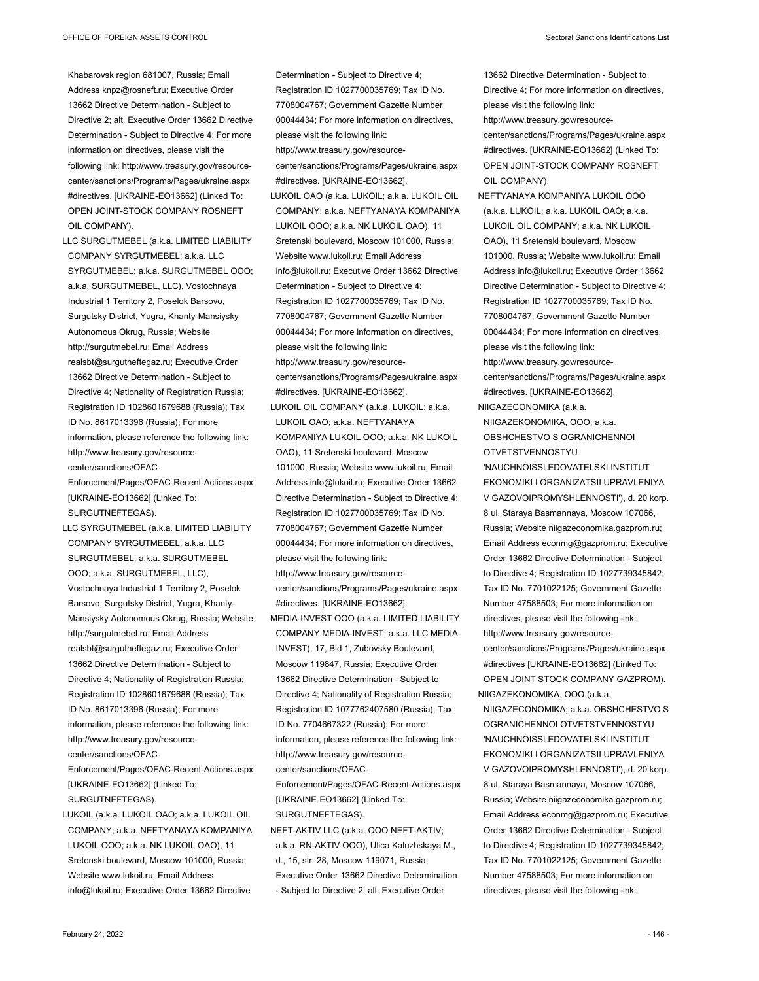Khabarovsk region 681007, Russia; Email Address knpz@rosneft.ru; Executive Order 13662 Directive Determination - Subject to Directive 2; alt. Executive Order 13662 Directive Determination - Subject to Directive 4; For more information on directives, please visit the following link: http://www.treasury.gov/resourcecenter/sanctions/Programs/Pages/ukraine.aspx #directives. [UKRAINE-EO13662] (Linked To: OPEN JOINT-STOCK COMPANY ROSNEFT OIL COMPANY).

LLC SURGUTMEBEL (a.k.a. LIMITED LIABILITY COMPANY SYRGUTMEBEL; a.k.a. LLC SYRGUTMEBEL; a.k.a. SURGUTMEBEL OOO; a.k.a. SURGUTMEBEL, LLC), Vostochnaya Industrial 1 Territory 2, Poselok Barsovo, Surgutsky District, Yugra, Khanty-Mansiysky Autonomous Okrug, Russia; Website http://surgutmebel.ru; Email Address realsbt@surgutneftegaz.ru; Executive Order 13662 Directive Determination - Subject to Directive 4; Nationality of Registration Russia; Registration ID 1028601679688 (Russia); Tax ID No. 8617013396 (Russia); For more information, please reference the following link: http://www.treasury.gov/resourcecenter/sanctions/OFAC-Enforcement/Pages/OFAC-Recent-Actions.aspx

[UKRAINE-EO13662] (Linked To: SURGUTNEFTEGAS).

LLC SYRGUTMEBEL (a.k.a. LIMITED LIABILITY COMPANY SYRGUTMEBEL; a.k.a. LLC SURGUTMEBEL; a.k.a. SURGUTMEBEL OOO; a.k.a. SURGUTMEBEL, LLC), Vostochnaya Industrial 1 Territory 2, Poselok Barsovo, Surgutsky District, Yugra, Khanty-Mansiysky Autonomous Okrug, Russia; Website http://surgutmebel.ru; Email Address realsbt@surgutneftegaz.ru; Executive Order 13662 Directive Determination - Subject to Directive 4; Nationality of Registration Russia; Registration ID 1028601679688 (Russia); Tax ID No. 8617013396 (Russia); For more information, please reference the following link: http://www.treasury.gov/resourcecenter/sanctions/OFAC-

Enforcement/Pages/OFAC-Recent-Actions.aspx [UKRAINE-EO13662] (Linked To: SURGUTNEFTEGAS).

LUKOIL (a.k.a. LUKOIL OAO; a.k.a. LUKOIL OIL COMPANY; a.k.a. NEFTYANAYA KOMPANIYA LUKOIL OOO; a.k.a. NK LUKOIL OAO), 11 Sretenski boulevard, Moscow 101000, Russia; Website www.lukoil.ru; Email Address info@lukoil.ru; Executive Order 13662 Directive

Determination - Subject to Directive 4; Registration ID 1027700035769; Tax ID No. 7708004767; Government Gazette Number 00044434; For more information on directives, please visit the following link: http://www.treasury.gov/resourcecenter/sanctions/Programs/Pages/ukraine.aspx #directives. [UKRAINE-EO13662]. LUKOIL OAO (a.k.a. LUKOIL; a.k.a. LUKOIL OIL COMPANY; a.k.a. NEFTYANAYA KOMPANIYA LUKOIL OOO; a.k.a. NK LUKOIL OAO), 11 Sretenski boulevard, Moscow 101000, Russia; Website www.lukoil.ru; Email Address info@lukoil.ru; Executive Order 13662 Directive Determination - Subject to Directive 4; Registration ID 1027700035769; Tax ID No. 7708004767; Government Gazette Number 00044434; For more information on directives, please visit the following link: http://www.treasury.gov/resourcecenter/sanctions/Programs/Pages/ukraine.aspx #directives. [UKRAINE-EO13662]. LUKOIL OIL COMPANY (a.k.a. LUKOIL; a.k.a. LUKOIL OAO; a.k.a. NEFTYANAYA KOMPANIYA LUKOIL OOO; a.k.a. NK LUKOIL OAO), 11 Sretenski boulevard, Moscow 101000, Russia; Website www.lukoil.ru; Email Address info@lukoil.ru; Executive Order 13662 Directive Determination - Subject to Directive 4; Registration ID 1027700035769; Tax ID No. 7708004767; Government Gazette Number 00044434; For more information on directives, please visit the following link: http://www.treasury.gov/resourcecenter/sanctions/Programs/Pages/ukraine.aspx #directives. [UKRAINE-EO13662]. MEDIA-INVEST OOO (a.k.a. LIMITED LIABILITY COMPANY MEDIA-INVEST; a.k.a. LLC MEDIA-INVEST), 17, Bld 1, Zubovsky Boulevard, Moscow 119847, Russia; Executive Order

13662 Directive Determination - Subject to Directive 4; Nationality of Registration Russia; Registration ID 1077762407580 (Russia); Tax ID No. 7704667322 (Russia); For more information, please reference the following link: http://www.treasury.gov/resourcecenter/sanctions/OFAC-

Enforcement/Pages/OFAC-Recent-Actions.aspx [UKRAINE-EO13662] (Linked To: SURGUTNEFTEGAS).

NEFT-AKTIV LLC (a.k.a. OOO NEFT-AKTIV; a.k.a. RN-AKTIV OOO), Ulica Kaluzhskaya M., d., 15, str. 28, Moscow 119071, Russia; Executive Order 13662 Directive Determination - Subject to Directive 2; alt. Executive Order

13662 Directive Determination - Subject to Directive 4; For more information on directives,

please visit the following link: http://www.treasury.gov/resourcecenter/sanctions/Programs/Pages/ukraine.aspx #directives. [UKRAINE-EO13662] (Linked To: OPEN JOINT-STOCK COMPANY ROSNEFT OIL COMPANY).

- NEFTYANAYA KOMPANIYA LUKOIL OOO (a.k.a. LUKOIL; a.k.a. LUKOIL OAO; a.k.a. LUKOIL OIL COMPANY; a.k.a. NK LUKOIL OAO), 11 Sretenski boulevard, Moscow 101000, Russia; Website www.lukoil.ru; Email Address info@lukoil.ru; Executive Order 13662 Directive Determination - Subject to Directive 4; Registration ID 1027700035769; Tax ID No. 7708004767; Government Gazette Number 00044434; For more information on directives, please visit the following link: http://www.treasury.gov/resource-
- center/sanctions/Programs/Pages/ukraine.aspx #directives. [UKRAINE-EO13662]. NIIGAZECONOMIKA (a.k.a.

NIIGAZEKONOMIKA, OOO; a.k.a. OBSHCHESTVO S OGRANICHENNOI

OTVETSTVENNOSTYU 'NAUCHNOISSLEDOVATELSKI INSTITUT EKONOMIKI I ORGANIZATSII UPRAVLENIYA V GAZOVOIPROMYSHLENNOSTI'), d. 20 korp. 8 ul. Staraya Basmannaya, Moscow 107066, Russia; Website niigazeconomika.gazprom.ru; Email Address econmg@gazprom.ru; Executive Order 13662 Directive Determination - Subject to Directive 4; Registration ID 1027739345842; Tax ID No. 7701022125; Government Gazette Number 47588503; For more information on directives, please visit the following link: http://www.treasury.gov/resourcecenter/sanctions/Programs/Pages/ukraine.aspx #directives [UKRAINE-EO13662] (Linked To: OPEN JOINT STOCK COMPANY GAZPROM). NIIGAZEKONOMIKA, OOO (a.k.a.

NIIGAZECONOMIKA; a.k.a. OBSHCHESTVO S OGRANICHENNOI OTVETSTVENNOSTYU 'NAUCHNOISSLEDOVATELSKI INSTITUT EKONOMIKI I ORGANIZATSII UPRAVLENIYA V GAZOVOIPROMYSHLENNOSTI'), d. 20 korp. 8 ul. Staraya Basmannaya, Moscow 107066, Russia; Website niigazeconomika.gazprom.ru; Email Address econmg@gazprom.ru; Executive Order 13662 Directive Determination - Subject to Directive 4; Registration ID 1027739345842; Tax ID No. 7701022125; Government Gazette Number 47588503; For more information on directives, please visit the following link: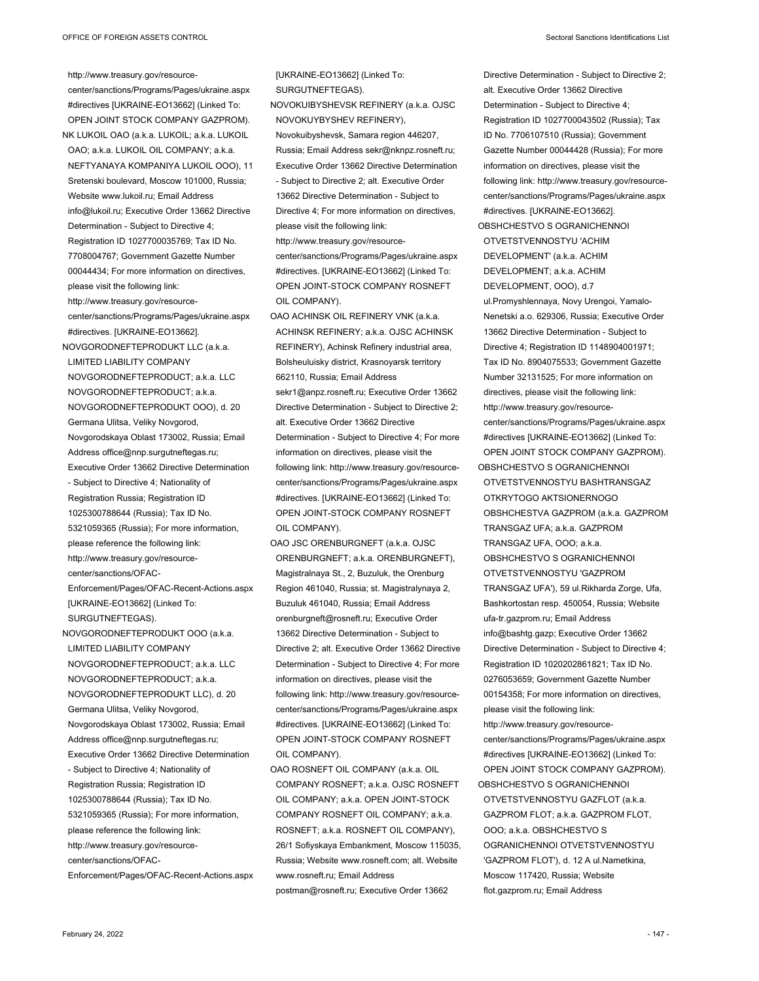http://www.treasury.gov/resourcecenter/sanctions/Programs/Pages/ukraine.aspx #directives [UKRAINE-EO13662] (Linked To: OPEN JOINT STOCK COMPANY GAZPROM). NK LUKOIL OAO (a.k.a. LUKOIL; a.k.a. LUKOIL OAO; a.k.a. LUKOIL OIL COMPANY; a.k.a. NEFTYANAYA KOMPANIYA LUKOIL OOO), 11 Sretenski boulevard, Moscow 101000, Russia; Website www.lukoil.ru; Email Address info@lukoil.ru; Executive Order 13662 Directive Determination - Subject to Directive 4; Registration ID 1027700035769; Tax ID No. 7708004767; Government Gazette Number 00044434; For more information on directives, please visit the following link: http://www.treasury.gov/resourcecenter/sanctions/Programs/Pages/ukraine.aspx #directives. [UKRAINE-EO13662]. NOVGORODNEFTEPRODUKT LLC (a.k.a. LIMITED LIABILITY COMPANY NOVGORODNEFTEPRODUCT; a.k.a. LLC NOVGORODNEFTEPRODUCT; a.k.a. NOVGORODNEFTEPRODUKT OOO), d. 20 Germana Ulitsa, Veliky Novgorod, Novgorodskaya Oblast 173002, Russia; Email Address office@nnp.surgutneftegas.ru; Executive Order 13662 Directive Determination - Subject to Directive 4; Nationality of Registration Russia; Registration ID 1025300788644 (Russia); Tax ID No. 5321059365 (Russia); For more information, please reference the following link: http://www.treasury.gov/resourcecenter/sanctions/OFAC-Enforcement/Pages/OFAC-Recent-Actions.aspx [UKRAINE-EO13662] (Linked To: SURGUTNEFTEGAS). NOVGORODNEFTEPRODUKT OOO (a.k.a. LIMITED LIABILITY COMPANY NOVGORODNEFTEPRODUCT; a.k.a. LLC NOVGORODNEFTEPRODUCT; a.k.a. NOVGORODNEFTEPRODUKT LLC), d. 20 Germana Ulitsa, Veliky Novgorod, Novgorodskaya Oblast 173002, Russia; Email Address office@nnp.surgutneftegas.ru; Executive Order 13662 Directive Determination - Subject to Directive 4; Nationality of Registration Russia; Registration ID 1025300788644 (Russia); Tax ID No. 5321059365 (Russia); For more information, please reference the following link: http://www.treasury.gov/resourcecenter/sanctions/OFAC-

Enforcement/Pages/OFAC-Recent-Actions.aspx

[UKRAINE-EO13662] (Linked To: SURGUTNEFTEGAS).

- NOVOKUIBYSHEVSK REFINERY (a.k.a. OJSC NOVOKUYBYSHEV REFINERY), Novokuibyshevsk, Samara region 446207, Russia; Email Address sekr@nknpz.rosneft.ru; Executive Order 13662 Directive Determination - Subject to Directive 2; alt. Executive Order 13662 Directive Determination - Subject to Directive 4; For more information on directives, please visit the following link: http://www.treasury.gov/resourcecenter/sanctions/Programs/Pages/ukraine.aspx #directives. [UKRAINE-EO13662] (Linked To: OPEN JOINT-STOCK COMPANY ROSNEFT OIL COMPANY). OAO ACHINSK OIL REFINERY VNK (a.k.a. ACHINSK REFINERY; a.k.a. OJSC ACHINSK REFINERY), Achinsk Refinery industrial area,
- Bolsheuluisky district, Krasnoyarsk territory 662110, Russia; Email Address sekr1@anpz.rosneft.ru; Executive Order 13662 Directive Determination - Subject to Directive 2; alt. Executive Order 13662 Directive Determination - Subject to Directive 4; For more information on directives, please visit the following link: http://www.treasury.gov/resourcecenter/sanctions/Programs/Pages/ukraine.aspx #directives. [UKRAINE-EO13662] (Linked To: OPEN JOINT-STOCK COMPANY ROSNEFT OIL COMPANY).
- OAO JSC ORENBURGNEFT (a.k.a. OJSC ORENBURGNEFT; a.k.a. ORENBURGNEFT), Magistralnaya St., 2, Buzuluk, the Orenburg Region 461040, Russia; st. Magistralynaya 2, Buzuluk 461040, Russia; Email Address orenburgneft@rosneft.ru; Executive Order 13662 Directive Determination - Subject to Directive 2; alt. Executive Order 13662 Directive Determination - Subject to Directive 4; For more information on directives, please visit the following link: http://www.treasury.gov/resourcecenter/sanctions/Programs/Pages/ukraine.aspx #directives. [UKRAINE-EO13662] (Linked To: OPEN JOINT-STOCK COMPANY ROSNEFT OIL COMPANY).

OAO ROSNEFT OIL COMPANY (a.k.a. OIL COMPANY ROSNEFT; a.k.a. OJSC ROSNEFT OIL COMPANY; a.k.a. OPEN JOINT-STOCK COMPANY ROSNEFT OIL COMPANY; a.k.a. ROSNEFT; a.k.a. ROSNEFT OIL COMPANY), 26/1 Sofiyskaya Embankment, Moscow 115035, Russia; Website www.rosneft.com; alt. Website www.rosneft.ru; Email Address postman@rosneft.ru; Executive Order 13662

Directive Determination - Subject to Directive 2; alt. Executive Order 13662 Directive Determination - Subject to Directive 4; Registration ID 1027700043502 (Russia); Tax ID No. 7706107510 (Russia); Government Gazette Number 00044428 (Russia); For more information on directives, please visit the following link: http://www.treasury.gov/resourcecenter/sanctions/Programs/Pages/ukraine.aspx #directives. [UKRAINE-EO13662]. OBSHCHESTVO S OGRANICHENNOI OTVETSTVENNOSTYU 'ACHIM DEVELOPMENT' (a.k.a. ACHIM DEVELOPMENT; a.k.a. ACHIM DEVELOPMENT, OOO), d.7 ul.Promyshlennaya, Novy Urengoi, Yamalo-Nenetski a.o. 629306, Russia; Executive Order 13662 Directive Determination - Subject to Directive 4; Registration ID 1148904001971; Tax ID No. 8904075533; Government Gazette Number 32131525; For more information on directives, please visit the following link: http://www.treasury.gov/resourcecenter/sanctions/Programs/Pages/ukraine.aspx #directives [UKRAINE-EO13662] (Linked To: OPEN JOINT STOCK COMPANY GAZPROM). OBSHCHESTVO S OGRANICHENNOI OTVETSTVENNOSTYU BASHTRANSGAZ OTKRYTOGO AKTSIONERNOGO OBSHCHESTVA GAZPROM (a.k.a. GAZPROM TRANSGAZ UFA; a.k.a. GAZPROM TRANSGAZ UFA, OOO; a.k.a. OBSHCHESTVO S OGRANICHENNOI OTVETSTVENNOSTYU 'GAZPROM TRANSGAZ UFA'), 59 ul.Rikharda Zorge, Ufa, Bashkortostan resp. 450054, Russia; Website ufa-tr.gazprom.ru; Email Address info@bashtg.gazp; Executive Order 13662 Directive Determination - Subject to Directive 4; Registration ID 1020202861821; Tax ID No. 0276053659; Government Gazette Number 00154358; For more information on directives, please visit the following link: http://www.treasury.gov/resourcecenter/sanctions/Programs/Pages/ukraine.aspx #directives [UKRAINE-EO13662] (Linked To: OPEN JOINT STOCK COMPANY GAZPROM). OBSHCHESTVO S OGRANICHENNOI OTVETSTVENNOSTYU GAZFLOT (a.k.a. GAZPROM FLOT; a.k.a. GAZPROM FLOT, OOO; a.k.a. OBSHCHESTVO S OGRANICHENNOI OTVETSTVENNOSTYU 'GAZPROM FLOT'), d. 12 A ul.Nametkina, Moscow 117420, Russia; Website flot.gazprom.ru; Email Address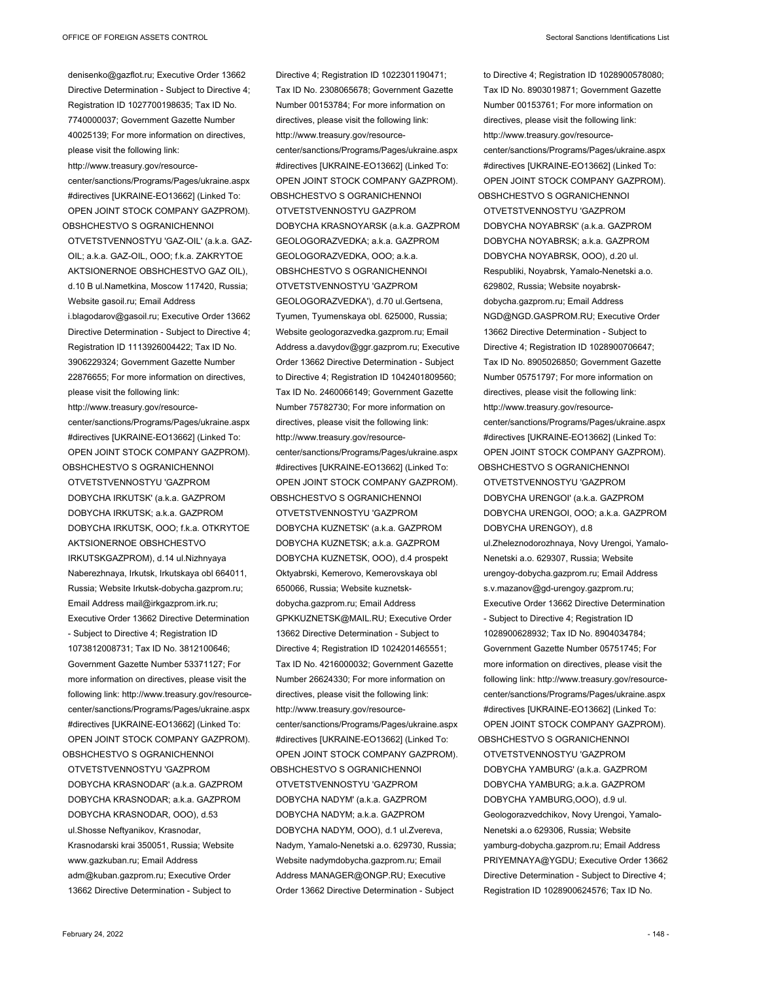denisenko@gazflot.ru; Executive Order 13662 Directive Determination - Subject to Directive 4; Registration ID 1027700198635; Tax ID No. 7740000037; Government Gazette Number 40025139; For more information on directives, please visit the following link: http://www.treasury.gov/resourcecenter/sanctions/Programs/Pages/ukraine.aspx #directives [UKRAINE-EO13662] (Linked To: OPEN JOINT STOCK COMPANY GAZPROM). OBSHCHESTVO S OGRANICHENNOI OTVETSTVENNOSTYU 'GAZ-OIL' (a.k.a. GAZ-OIL; a.k.a. GAZ-OIL, OOO; f.k.a. ZAKRYTOE AKTSIONERNOE OBSHCHESTVO GAZ OIL), d.10 B ul.Nametkina, Moscow 117420, Russia; Website gasoil.ru; Email Address i.blagodarov@gasoil.ru; Executive Order 13662 Directive Determination - Subject to Directive 4; Registration ID 1113926004422; Tax ID No. 3906229324; Government Gazette Number 22876655; For more information on directives, please visit the following link: http://www.treasury.gov/resourcecenter/sanctions/Programs/Pages/ukraine.aspx #directives [UKRAINE-EO13662] (Linked To: OPEN JOINT STOCK COMPANY GAZPROM). OBSHCHESTVO S OGRANICHENNOI OTVETSTVENNOSTYU 'GAZPROM DOBYCHA IRKUTSK' (a.k.a. GAZPROM DOBYCHA IRKUTSK; a.k.a. GAZPROM DOBYCHA IRKUTSK, OOO; f.k.a. OTKRYTOE AKTSIONERNOE OBSHCHESTVO IRKUTSKGAZPROM), d.14 ul.Nizhnyaya Naberezhnaya, Irkutsk, Irkutskaya obl 664011, Russia; Website Irkutsk-dobycha.gazprom.ru; Email Address mail@irkgazprom.irk.ru; Executive Order 13662 Directive Determination - Subject to Directive 4; Registration ID 1073812008731; Tax ID No. 3812100646; Government Gazette Number 53371127; For more information on directives, please visit the following link: http://www.treasury.gov/resourcecenter/sanctions/Programs/Pages/ukraine.aspx #directives [UKRAINE-EO13662] (Linked To: OPEN JOINT STOCK COMPANY GAZPROM). OBSHCHESTVO S OGRANICHENNOI OTVETSTVENNOSTYU 'GAZPROM DOBYCHA KRASNODAR' (a.k.a. GAZPROM

DOBYCHA KRASNODAR; a.k.a. GAZPROM DOBYCHA KRASNODAR, OOO), d.53 ul.Shosse Neftyanikov, Krasnodar, Krasnodarski krai 350051, Russia; Website www.gazkuban.ru; Email Address adm@kuban.gazprom.ru; Executive Order 13662 Directive Determination - Subject to

Directive 4; Registration ID 1022301190471; Tax ID No. 2308065678; Government Gazette Number 00153784; For more information on directives, please visit the following link: http://www.treasury.gov/resourcecenter/sanctions/Programs/Pages/ukraine.aspx #directives [UKRAINE-EO13662] (Linked To: OPEN JOINT STOCK COMPANY GAZPROM). OBSHCHESTVO S OGRANICHENNOI OTVETSTVENNOSTYU GAZPROM DOBYCHA KRASNOYARSK (a.k.a. GAZPROM GEOLOGORAZVEDKA; a.k.a. GAZPROM GEOLOGORAZVEDKA, OOO; a.k.a. OBSHCHESTVO S OGRANICHENNOI OTVETSTVENNOSTYU 'GAZPROM GEOLOGORAZVEDKA'), d.70 ul.Gertsena, Tyumen, Tyumenskaya obl. 625000, Russia; Website geologorazvedka.gazprom.ru; Email Address a.davydov@ggr.gazprom.ru; Executive Order 13662 Directive Determination - Subject to Directive 4; Registration ID 1042401809560; Tax ID No. 2460066149; Government Gazette Number 75782730; For more information on directives, please visit the following link: http://www.treasury.gov/resourcecenter/sanctions/Programs/Pages/ukraine.aspx #directives [UKRAINE-EO13662] (Linked To: OPEN JOINT STOCK COMPANY GAZPROM). OBSHCHESTVO S OGRANICHENNOI OTVETSTVENNOSTYU 'GAZPROM DOBYCHA KUZNETSK' (a.k.a. GAZPROM DOBYCHA KUZNETSK; a.k.a. GAZPROM DOBYCHA KUZNETSK, OOO), d.4 prospekt Oktyabrski, Kemerovo, Kemerovskaya obl 650066, Russia; Website kuznetskdobycha.gazprom.ru; Email Address GPKKUZNETSK@MAIL.RU; Executive Order 13662 Directive Determination - Subject to Directive 4; Registration ID 1024201465551; Tax ID No. 4216000032; Government Gazette Number 26624330; For more information on directives, please visit the following link: http://www.treasury.gov/resourcecenter/sanctions/Programs/Pages/ukraine.aspx #directives [UKRAINE-EO13662] (Linked To:

OPEN JOINT STOCK COMPANY GAZPROM). OBSHCHESTVO S OGRANICHENNOI OTVETSTVENNOSTYU 'GAZPROM DOBYCHA NADYM' (a.k.a. GAZPROM DOBYCHA NADYM; a.k.a. GAZPROM DOBYCHA NADYM, OOO), d.1 ul.Zvereva, Nadym, Yamalo-Nenetski a.o. 629730, Russia; Website nadymdobycha.gazprom.ru; Email Address MANAGER@ONGP.RU; Executive Order 13662 Directive Determination - Subject

to Directive 4; Registration ID 1028900578080; Tax ID No. 8903019871; Government Gazette Number 00153761; For more information on directives, please visit the following link: http://www.treasury.gov/resourcecenter/sanctions/Programs/Pages/ukraine.aspx #directives [UKRAINE-EO13662] (Linked To: OPEN JOINT STOCK COMPANY GAZPROM). OBSHCHESTVO S OGRANICHENNOI OTVETSTVENNOSTYU 'GAZPROM DOBYCHA NOYABRSK' (a.k.a. GAZPROM DOBYCHA NOYABRSK; a.k.a. GAZPROM DOBYCHA NOYABRSK, OOO), d.20 ul. Respubliki, Noyabrsk, Yamalo-Nenetski a.o. 629802, Russia; Website noyabrskdobycha.gazprom.ru; Email Address NGD@NGD.GASPROM.RU; Executive Order 13662 Directive Determination - Subject to Directive 4; Registration ID 1028900706647; Tax ID No. 8905026850; Government Gazette Number 05751797; For more information on directives, please visit the following link: http://www.treasury.gov/resourcecenter/sanctions/Programs/Pages/ukraine.aspx #directives [UKRAINE-EO13662] (Linked To: OPEN JOINT STOCK COMPANY GAZPROM). OBSHCHESTVO S OGRANICHENNOI OTVETSTVENNOSTYU 'GAZPROM DOBYCHA URENGOI' (a.k.a. GAZPROM DOBYCHA URENGOI, OOO; a.k.a. GAZPROM DOBYCHA URENGOY), d.8 ul.Zheleznodorozhnaya, Novy Urengoi, Yamalo-Nenetski a.o. 629307, Russia; Website urengoy-dobycha.gazprom.ru; Email Address s.v.mazanov@gd-urengoy.gazprom.ru; Executive Order 13662 Directive Determination - Subject to Directive 4; Registration ID 1028900628932; Tax ID No. 8904034784; Government Gazette Number 05751745; For more information on directives, please visit the following link: http://www.treasury.gov/resourcecenter/sanctions/Programs/Pages/ukraine.aspx #directives [UKRAINE-EO13662] (Linked To: OPEN JOINT STOCK COMPANY GAZPROM). OBSHCHESTVO S OGRANICHENNOI OTVETSTVENNOSTYU 'GAZPROM

DOBYCHA YAMBURG' (a.k.a. GAZPROM DOBYCHA YAMBURG; a.k.a. GAZPROM DOBYCHA YAMBURG,OOO), d.9 ul. Geologorazvedchikov, Novy Urengoi, Yamalo-Nenetski a.o 629306, Russia; Website yamburg-dobycha.gazprom.ru; Email Address PRIYEMNAYA@YGDU; Executive Order 13662 Directive Determination - Subject to Directive 4; Registration ID 1028900624576; Tax ID No.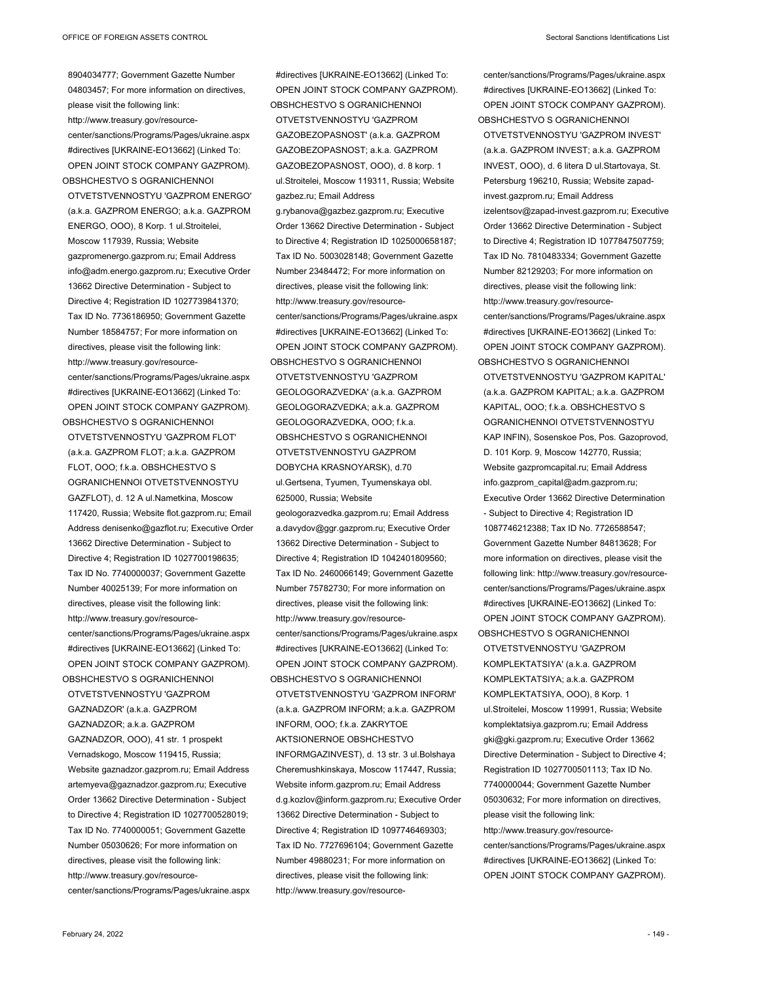8904034777; Government Gazette Number 04803457; For more information on directives, please visit the following link: http://www.treasury.gov/resourcecenter/sanctions/Programs/Pages/ukraine.aspx #directives [UKRAINE-EO13662] (Linked To: OPEN JOINT STOCK COMPANY GAZPROM). OBSHCHESTVO S OGRANICHENNOI OTVETSTVENNOSTYU 'GAZPROM ENERGO' (a.k.a. GAZPROM ENERGO; a.k.a. GAZPROM ENERGO, OOO), 8 Korp. 1 ul.Stroitelei, Moscow 117939, Russia; Website gazpromenergo.gazprom.ru; Email Address info@adm.energo.gazprom.ru; Executive Order 13662 Directive Determination - Subject to Directive 4; Registration ID 1027739841370; Tax ID No. 7736186950; Government Gazette Number 18584757; For more information on directives, please visit the following link: http://www.treasury.gov/resourcecenter/sanctions/Programs/Pages/ukraine.aspx #directives [UKRAINE-EO13662] (Linked To: OPEN JOINT STOCK COMPANY GAZPROM). OBSHCHESTVO S OGRANICHENNOI

OTVETSTVENNOSTYU 'GAZPROM FLOT' (a.k.a. GAZPROM FLOT; a.k.a. GAZPROM FLOT, OOO; f.k.a. OBSHCHESTVO S OGRANICHENNOI OTVETSTVENNOSTYU GAZFLOT), d. 12 A ul.Nametkina, Moscow 117420, Russia; Website flot.gazprom.ru; Email Address denisenko@gazflot.ru; Executive Order 13662 Directive Determination - Subject to Directive 4; Registration ID 1027700198635; Tax ID No. 7740000037; Government Gazette Number 40025139; For more information on directives, please visit the following link: http://www.treasury.gov/resourcecenter/sanctions/Programs/Pages/ukraine.aspx #directives [UKRAINE-EO13662] (Linked To: OPEN JOINT STOCK COMPANY GAZPROM). OBSHCHESTVO S OGRANICHENNOI OTVETSTVENNOSTYU 'GAZPROM GAZNADZOR' (a.k.a. GAZPROM

GAZNADZOR; a.k.a. GAZPROM GAZNADZOR, OOO), 41 str. 1 prospekt Vernadskogo, Moscow 119415, Russia; Website gaznadzor.gazprom.ru; Email Address artemyeva@gaznadzor.gazprom.ru; Executive Order 13662 Directive Determination - Subject to Directive 4: Registration ID 1027700528019: Tax ID No. 7740000051; Government Gazette Number 05030626; For more information on directives, please visit the following link: http://www.treasury.gov/resourcecenter/sanctions/Programs/Pages/ukraine.aspx

#directives [UKRAINE-EO13662] (Linked To: OPEN JOINT STOCK COMPANY GAZPROM). OBSHCHESTVO S OGRANICHENNOI OTVETSTVENNOSTYU 'GAZPROM GAZOBEZOPASNOST' (a.k.a. GAZPROM GAZOBEZOPASNOST; a.k.a. GAZPROM GAZOBEZOPASNOST, OOO), d. 8 korp. 1 ul.Stroitelei, Moscow 119311, Russia; Website gazbez.ru; Email Address g.rybanova@gazbez.gazprom.ru; Executive Order 13662 Directive Determination - Subject to Directive 4; Registration ID 1025000658187; Tax ID No. 5003028148; Government Gazette Number 23484472; For more information on directives, please visit the following link: http://www.treasury.gov/resourcecenter/sanctions/Programs/Pages/ukraine.aspx #directives [UKRAINE-EO13662] (Linked To: OPEN JOINT STOCK COMPANY GAZPROM). OBSHCHESTVO S OGRANICHENNOI OTVETSTVENNOSTYU 'GAZPROM GEOLOGORAZVEDKA' (a.k.a. GAZPROM GEOLOGORAZVEDKA; a.k.a. GAZPROM GEOLOGORAZVEDKA, OOO; f.k.a. OBSHCHESTVO S OGRANICHENNOI OTVETSTVENNOSTYU GAZPROM DOBYCHA KRASNOYARSK), d.70 ul.Gertsena, Tyumen, Tyumenskaya obl. 625000, Russia; Website geologorazvedka.gazprom.ru; Email Address a.davydov@ggr.gazprom.ru; Executive Order 13662 Directive Determination - Subject to Directive 4; Registration ID 1042401809560; Tax ID No. 2460066149; Government Gazette Number 75782730; For more information on directives, please visit the following link: http://www.treasury.gov/resourcecenter/sanctions/Programs/Pages/ukraine.aspx #directives [UKRAINE-EO13662] (Linked To: OPEN JOINT STOCK COMPANY GAZPROM). OBSHCHESTVO S OGRANICHENNOI OTVETSTVENNOSTYU 'GAZPROM INFORM' (a.k.a. GAZPROM INFORM; a.k.a. GAZPROM INFORM, OOO; f.k.a. ZAKRYTOE AKTSIONERNOE OBSHCHESTVO INFORMGAZINVEST), d. 13 str. 3 ul.Bolshaya Cheremushkinskaya, Moscow 117447, Russia; Website inform.gazprom.ru; Email Address d.g.kozlov@inform.gazprom.ru; Executive Order 13662 Directive Determination - Subject to Directive 4; Registration ID 1097746469303; Tax ID No. 7727696104; Government Gazette Number 49880231; For more information on directives, please visit the following link: http://www.treasury.gov/resource-

center/sanctions/Programs/Pages/ukraine.aspx #directives [UKRAINE-EO13662] (Linked To: OPEN JOINT STOCK COMPANY GAZPROM). OBSHCHESTVO S OGRANICHENNOI

OTVETSTVENNOSTYU 'GAZPROM INVEST' (a.k.a. GAZPROM INVEST; a.k.a. GAZPROM INVEST, OOO), d. 6 litera D ul.Startovaya, St. Petersburg 196210, Russia; Website zapadinvest.gazprom.ru; Email Address izelentsov@zapad-invest.gazprom.ru; Executive Order 13662 Directive Determination - Subject to Directive 4; Registration ID 1077847507759; Tax ID No. 7810483334; Government Gazette Number 82129203; For more information on directives, please visit the following link: http://www.treasury.gov/resourcecenter/sanctions/Programs/Pages/ukraine.aspx #directives [UKRAINE-EO13662] (Linked To: OPEN JOINT STOCK COMPANY GAZPROM). OBSHCHESTVO S OGRANICHENNOI

OTVETSTVENNOSTYU 'GAZPROM KAPITAL' (a.k.a. GAZPROM KAPITAL; a.k.a. GAZPROM KAPITAL, OOO; f.k.a. OBSHCHESTVO S OGRANICHENNOI OTVETSTVENNOSTYU KAP INFIN), Sosenskoe Pos, Pos. Gazoprovod, D. 101 Korp. 9, Moscow 142770, Russia; Website gazpromcapital.ru; Email Address info.gazprom\_capital@adm.gazprom.ru; Executive Order 13662 Directive Determination - Subject to Directive 4; Registration ID 1087746212388; Tax ID No. 7726588547; Government Gazette Number 84813628; For more information on directives, please visit the following link: http://www.treasury.gov/resourcecenter/sanctions/Programs/Pages/ukraine.aspx #directives [UKRAINE-EO13662] (Linked To: OPEN JOINT STOCK COMPANY GAZPROM). OBSHCHESTVO S OGRANICHENNOI

OTVETSTVENNOSTYU 'GAZPROM KOMPLEKTATSIYA' (a.k.a. GAZPROM KOMPLEKTATSIYA; a.k.a. GAZPROM KOMPLEKTATSIYA, OOO), 8 Korp. 1 ul.Stroitelei, Moscow 119991, Russia; Website komplektatsiya.gazprom.ru; Email Address gki@gki.gazprom.ru; Executive Order 13662 Directive Determination - Subject to Directive 4; Registration ID 1027700501113; Tax ID No. 7740000044; Government Gazette Number 05030632; For more information on directives, please visit the following link: http://www.treasury.gov/resourcecenter/sanctions/Programs/Pages/ukraine.aspx

#directives [UKRAINE-EO13662] (Linked To: OPEN JOINT STOCK COMPANY GAZPROM).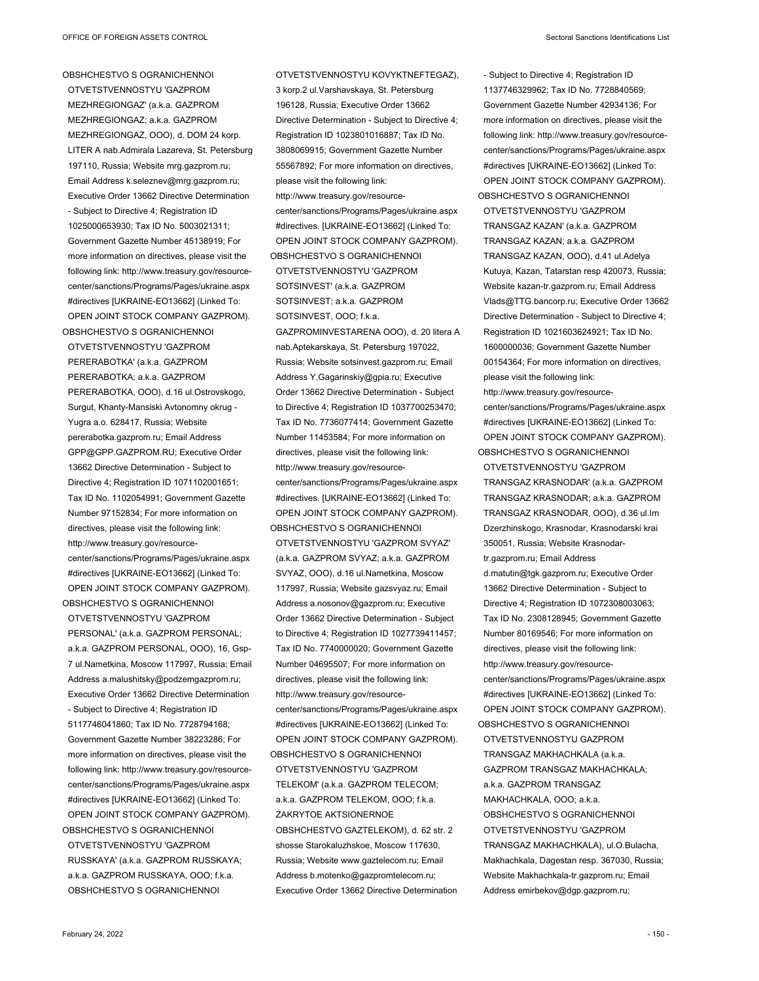OBSHCHESTVO S OGRANICHENNOI OTVETSTVENNOSTYU 'GAZPROM MEZHREGIONGAZ' (a.k.a. GAZPROM MEZHREGIONGAZ; a.k.a. GAZPROM MEZHREGIONGAZ, OOO), d. DOM 24 korp. LITER A nab.Admirala Lazareva, St. Petersburg 197110, Russia; Website mrg.gazprom.ru; Email Address k.seleznev@mrg.gazprom.ru; Executive Order 13662 Directive Determination - Subject to Directive 4; Registration ID 1025000653930; Tax ID No. 5003021311; Government Gazette Number 45138919; For more information on directives, please visit the following link: http://www.treasury.gov/resourcecenter/sanctions/Programs/Pages/ukraine.aspx #directives [UKRAINE-EO13662] (Linked To: OPEN JOINT STOCK COMPANY GAZPROM). OBSHCHESTVO S OGRANICHENNOI

OTVETSTVENNOSTYU 'GAZPROM PERERABOTKA' (a.k.a. GAZPROM PERERABOTKA; a.k.a. GAZPROM PERERABOTKA, OOO), d.16 ul.Ostrovskogo, Surgut, Khanty-Mansiski Avtonomny okrug - Yugra a.o. 628417, Russia; Website pererabotka.gazprom.ru; Email Address GPP@GPP.GAZPROM.RU; Executive Order 13662 Directive Determination - Subject to Directive 4; Registration ID 1071102001651; Tax ID No. 1102054991; Government Gazette Number 97152834; For more information on directives, please visit the following link: http://www.treasury.gov/resourcecenter/sanctions/Programs/Pages/ukraine.aspx #directives [UKRAINE-EO13662] (Linked To: OPEN JOINT STOCK COMPANY GAZPROM).

OTVETSTVENNOSTYU 'GAZPROM PERSONAL' (a.k.a. GAZPROM PERSONAL; a.k.a. GAZPROM PERSONAL, OOO), 16, Gsp-7 ul.Nametkina, Moscow 117997, Russia; Email Address a.malushitsky@podzemgazprom.ru; Executive Order 13662 Directive Determination - Subject to Directive 4; Registration ID 5117746041860; Tax ID No. 7728794168; Government Gazette Number 38223286; For more information on directives, please visit the following link: http://www.treasury.gov/resourcecenter/sanctions/Programs/Pages/ukraine.aspx #directives [UKRAINE-EO13662] (Linked To: OPEN JOINT STOCK COMPANY GAZPROM). OBSHCHESTVO S OGRANICHENNOI OTVETSTVENNOSTYU 'GAZPROM RUSSKAYA' (a.k.a. GAZPROM RUSSKAYA;

OBSHCHESTVO S OGRANICHENNOI a.k.a. GAZPROM RUSSKAYA, OOO; f.k.a. OBSHCHESTVO S OGRANICHENNOI ZAKRYTOE AKTSIONERNOE Executive Order 13662 Directive Determination

OTVETSTVENNOSTYU KOVYKTNEFTEGAZ), 3 korp.2 ul.Varshavskaya, St. Petersburg 196128, Russia; Executive Order 13662 Directive Determination - Subject to Directive 4; Registration ID 1023801016887; Tax ID No. 3808069915; Government Gazette Number 55567892; For more information on directives, please visit the following link: http://www.treasury.gov/resourcecenter/sanctions/Programs/Pages/ukraine.aspx #directives. [UKRAINE-EO13662] (Linked To: OPEN JOINT STOCK COMPANY GAZPROM). OBSHCHESTVO S OGRANICHENNOI OTVETSTVENNOSTYU 'GAZPROM SOTSINVEST' (a.k.a. GAZPROM SOTSINVEST; a.k.a. GAZPROM SOTSINVEST, OOO; f.k.a. GAZPROMINVESTARENA OOO), d. 20 litera A nab.Aptekarskaya, St. Petersburg 197022, Russia; Website sotsinvest.gazprom.ru; Email Address Y.Gagarinskiy@gpia.ru; Executive Order 13662 Directive Determination - Subject to Directive 4; Registration ID 1037700253470; Tax ID No. 7736077414; Government Gazette Number 11453584; For more information on directives, please visit the following link: http://www.treasury.gov/resourcecenter/sanctions/Programs/Pages/ukraine.aspx #directives. [UKRAINE-EO13662] (Linked To: OPEN JOINT STOCK COMPANY GAZPROM). OBSHCHESTVO S OGRANICHENNOI OTVETSTVENNOSTYU 'GAZPROM SVYAZ' (a.k.a. GAZPROM SVYAZ; a.k.a. GAZPROM SVYAZ, OOO), d.16 ul.Nametkina, Moscow 117997, Russia; Website gazsvyaz.ru; Email Address a.nosonov@gazprom.ru; Executive Order 13662 Directive Determination - Subject to Directive 4; Registration ID 1027739411457; Tax ID No. 7740000020; Government Gazette Number 04695507; For more information on directives, please visit the following link: http://www.treasury.gov/resourcecenter/sanctions/Programs/Pages/ukraine.aspx #directives [UKRAINE-EO13662] (Linked To: OPEN JOINT STOCK COMPANY GAZPROM). OBSHCHESTVO S OGRANICHENNOI OTVETSTVENNOSTYU 'GAZPROM TELEKOM' (a.k.a. GAZPROM TELECOM; a.k.a. GAZPROM TELEKOM, OOO; f.k.a. OBSHCHESTVO GAZTELEKOM), d. 62 str. 2 shosse Starokaluzhskoe, Moscow 117630, Russia; Website www.gaztelecom.ru; Email Address b.motenko@gazpromtelecom.ru; - Subject to Directive 4; Registration ID 1137746329962; Tax ID No. 7728840569;

Government Gazette Number 42934136; For more information on directives, please visit the following link: http://www.treasury.gov/resourcecenter/sanctions/Programs/Pages/ukraine.aspx #directives [UKRAINE-EO13662] (Linked To: OPEN JOINT STOCK COMPANY GAZPROM). OBSHCHESTVO S OGRANICHENNOI OTVETSTVENNOSTYU 'GAZPROM TRANSGAZ KAZAN' (a.k.a. GAZPROM TRANSGAZ KAZAN; a.k.a. GAZPROM TRANSGAZ KAZAN, OOO), d.41 ul.Adelya Kutuya, Kazan, Tatarstan resp 420073, Russia; Website kazan-tr.gazprom.ru; Email Address Vlads@TTG.bancorp.ru; Executive Order 13662 Directive Determination - Subject to Directive 4; Registration ID 1021603624921; Tax ID No. 1600000036; Government Gazette Number 00154364; For more information on directives, please visit the following link: http://www.treasury.gov/resourcecenter/sanctions/Programs/Pages/ukraine.aspx #directives [UKRAINE-EO13662] (Linked To: OPEN JOINT STOCK COMPANY GAZPROM). OBSHCHESTVO S OGRANICHENNOI OTVETSTVENNOSTYU 'GAZPROM TRANSGAZ KRASNODAR' (a.k.a. GAZPROM TRANSGAZ KRASNODAR; a.k.a. GAZPROM TRANSGAZ KRASNODAR, OOO), d.36 ul.Im Dzerzhinskogo, Krasnodar, Krasnodarski krai 350051, Russia; Website Krasnodartr.gazprom.ru; Email Address d.matutin@tgk.gazprom.ru; Executive Order 13662 Directive Determination - Subject to Directive 4; Registration ID 1072308003063; Tax ID No. 2308128945; Government Gazette Number 80169546; For more information on directives, please visit the following link: http://www.treasury.gov/resourcecenter/sanctions/Programs/Pages/ukraine.aspx #directives [UKRAINE-EO13662] (Linked To: OPEN JOINT STOCK COMPANY GAZPROM). OBSHCHESTVO S OGRANICHENNOI OTVETSTVENNOSTYU GAZPROM TRANSGAZ MAKHACHKALA (a.k.a. GAZPROM TRANSGAZ MAKHACHKALA; a.k.a. GAZPROM TRANSGAZ MAKHACHKALA, OOO; a.k.a. OBSHCHESTVO S OGRANICHENNOI OTVETSTVENNOSTYU 'GAZPROM TRANSGAZ MAKHACHKALA), ul.O.Bulacha, Makhachkala, Dagestan resp. 367030, Russia; Website Makhachkala-tr.gazprom.ru; Email Address emirbekov@dgp.gazprom.ru;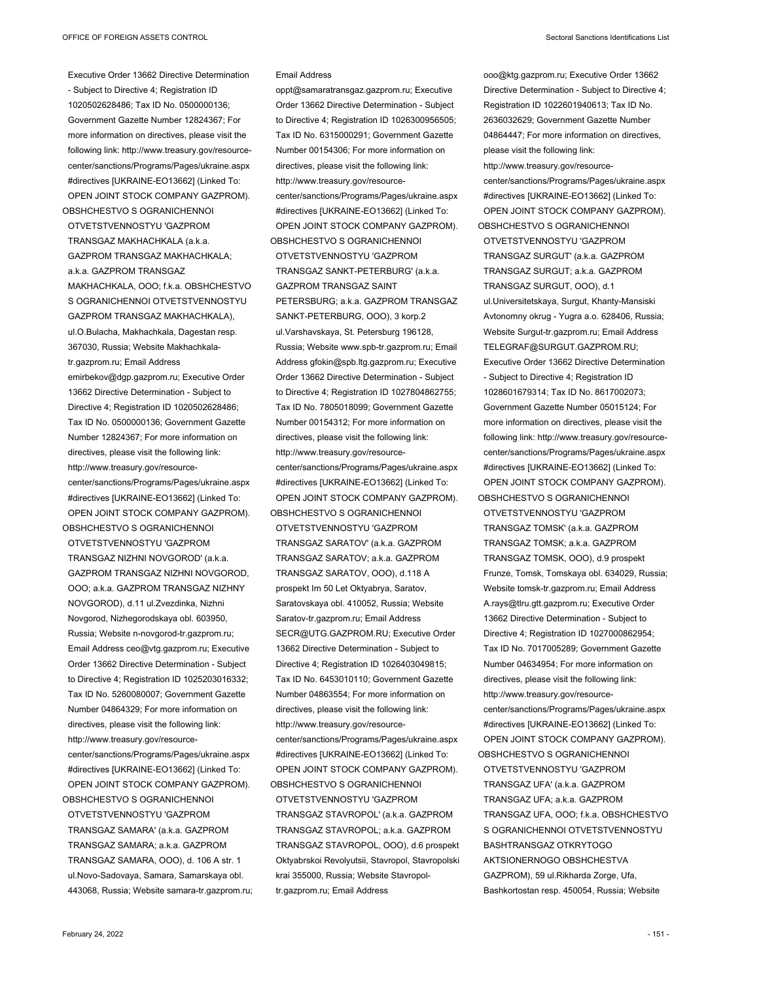Executive Order 13662 Directive Determination - Subject to Directive 4; Registration ID 1020502628486; Tax ID No. 0500000136; Government Gazette Number 12824367; For more information on directives, please visit the following link: http://www.treasury.gov/resourcecenter/sanctions/Programs/Pages/ukraine.aspx #directives [UKRAINE-EO13662] (Linked To: OPEN JOINT STOCK COMPANY GAZPROM). OBSHCHESTVO S OGRANICHENNOI

OTVETSTVENNOSTYU 'GAZPROM TRANSGAZ MAKHACHKALA (a.k.a. GAZPROM TRANSGAZ MAKHACHKALA; a.k.a. GAZPROM TRANSGAZ MAKHACHKALA, OOO; f.k.a. OBSHCHESTVO S OGRANICHENNOI OTVETSTVENNOSTYU GAZPROM TRANSGAZ MAKHACHKALA), ul.O.Bulacha, Makhachkala, Dagestan resp. 367030, Russia; Website Makhachkalatr.gazprom.ru; Email Address emirbekov@dgp.gazprom.ru; Executive Order 13662 Directive Determination - Subject to Directive 4; Registration ID 1020502628486; Tax ID No. 0500000136; Government Gazette Number 12824367; For more information on directives, please visit the following link: http://www.treasury.gov/resourcecenter/sanctions/Programs/Pages/ukraine.aspx #directives [UKRAINE-EO13662] (Linked To: OPEN JOINT STOCK COMPANY GAZPROM).

OBSHCHESTVO S OGRANICHENNOI OTVETSTVENNOSTYU 'GAZPROM TRANSGAZ NIZHNI NOVGOROD' (a.k.a. GAZPROM TRANSGAZ NIZHNI NOVGOROD, OOO; a.k.a. GAZPROM TRANSGAZ NIZHNY NOVGOROD), d.11 ul.Zvezdinka, Nizhni Novgorod, Nizhegorodskaya obl. 603950, Russia; Website n-novgorod-tr.gazprom.ru; Email Address ceo@vtg.gazprom.ru; Executive Order 13662 Directive Determination - Subject to Directive 4; Registration ID 1025203016332; Tax ID No. 5260080007; Government Gazette Number 04864329; For more information on directives, please visit the following link: http://www.treasury.gov/resourcecenter/sanctions/Programs/Pages/ukraine.aspx #directives [UKRAINE-EO13662] (Linked To: OPEN JOINT STOCK COMPANY GAZPROM). OBSHCHESTVO S OGRANICHENNOI

OTVETSTVENNOSTYU 'GAZPROM TRANSGAZ SAMARA' (a.k.a. GAZPROM TRANSGAZ SAMARA; a.k.a. GAZPROM TRANSGAZ SAMARA, OOO), d. 106 A str. 1 ul.Novo-Sadovaya, Samara, Samarskaya obl. 443068, Russia; Website samara-tr.gazprom.ru;

## Email Address

oppt@samaratransgaz.gazprom.ru; Executive Order 13662 Directive Determination - Subject to Directive 4; Registration ID 1026300956505; Tax ID No. 6315000291; Government Gazette Number 00154306; For more information on directives, please visit the following link: http://www.treasury.gov/resourcecenter/sanctions/Programs/Pages/ukraine.aspx #directives [UKRAINE-EO13662] (Linked To: OPEN JOINT STOCK COMPANY GAZPROM). OBSHCHESTVO S OGRANICHENNOI OTVETSTVENNOSTYU 'GAZPROM TRANSGAZ SANKT-PETERBURG' (a.k.a. GAZPROM TRANSGAZ SAINT PETERSBURG; a.k.a. GAZPROM TRANSGAZ SANKT-PETERBURG, OOO), 3 korp.2 ul.Varshavskaya, St. Petersburg 196128, Russia; Website www.spb-tr.gazprom.ru; Email Address gfokin@spb.ltg.gazprom.ru; Executive Order 13662 Directive Determination - Subject to Directive 4; Registration ID 1027804862755; Tax ID No. 7805018099; Government Gazette Number 00154312; For more information on directives, please visit the following link: http://www.treasury.gov/resourcecenter/sanctions/Programs/Pages/ukraine.aspx #directives [UKRAINE-EO13662] (Linked To: OPEN JOINT STOCK COMPANY GAZPROM). OBSHCHESTVO S OGRANICHENNOI OTVETSTVENNOSTYU 'GAZPROM TRANSGAZ SARATOV' (a.k.a. GAZPROM TRANSGAZ SARATOV; a.k.a. GAZPROM TRANSGAZ SARATOV, OOO), d.118 A prospekt Im 50 Let Oktyabrya, Saratov, Saratovskaya obl. 410052, Russia; Website Saratov-tr.gazprom.ru; Email Address SECR@UTG.GAZPROM.RU; Executive Order 13662 Directive Determination - Subject to Directive 4; Registration ID 1026403049815; Tax ID No. 6453010110; Government Gazette Number 04863554; For more information on directives, please visit the following link: http://www.treasury.gov/resourcecenter/sanctions/Programs/Pages/ukraine.aspx #directives [UKRAINE-EO13662] (Linked To: OPEN JOINT STOCK COMPANY GAZPROM). OBSHCHESTVO S OGRANICHENNOI OTVETSTVENNOSTYU 'GAZPROM TRANSGAZ STAVROPOL' (a.k.a. GAZPROM TRANSGAZ STAVROPOL; a.k.a. GAZPROM

TRANSGAZ STAVROPOL, OOO), d.6 prospekt Oktyabrskoi Revolyutsii, Stavropol, Stavropolski krai 355000, Russia; Website Stavropoltr.gazprom.ru; Email Address

ooo@ktg.gazprom.ru; Executive Order 13662 Directive Determination - Subject to Directive 4; Registration ID 1022601940613; Tax ID No. 2636032629; Government Gazette Number 04864447; For more information on directives, please visit the following link: http://www.treasury.gov/resourcecenter/sanctions/Programs/Pages/ukraine.aspx #directives [UKRAINE-EO13662] (Linked To: OPEN JOINT STOCK COMPANY GAZPROM). OBSHCHESTVO S OGRANICHENNOI OTVETSTVENNOSTYU 'GAZPROM TRANSGAZ SURGUT' (a.k.a. GAZPROM TRANSGAZ SURGUT; a.k.a. GAZPROM TRANSGAZ SURGUT, OOO), d.1 ul.Universitetskaya, Surgut, Khanty-Mansiski Avtonomny okrug - Yugra a.o. 628406, Russia; Website Surgut-tr.gazprom.ru; Email Address TELEGRAF@SURGUT.GAZPROM.RU; Executive Order 13662 Directive Determination - Subject to Directive 4; Registration ID 1028601679314; Tax ID No. 8617002073; Government Gazette Number 05015124; For more information on directives, please visit the following link: http://www.treasury.gov/resourcecenter/sanctions/Programs/Pages/ukraine.aspx #directives [UKRAINE-EO13662] (Linked To: OPEN JOINT STOCK COMPANY GAZPROM). OBSHCHESTVO S OGRANICHENNOI

OTVETSTVENNOSTYU 'GAZPROM TRANSGAZ TOMSK' (a.k.a. GAZPROM TRANSGAZ TOMSK; a.k.a. GAZPROM TRANSGAZ TOMSK, OOO), d.9 prospekt Frunze, Tomsk, Tomskaya obl. 634029, Russia; Website tomsk-tr.gazprom.ru; Email Address A.rays@tlru.gtt.gazprom.ru; Executive Order 13662 Directive Determination - Subject to Directive 4; Registration ID 1027000862954; Tax ID No. 7017005289; Government Gazette Number 04634954; For more information on directives, please visit the following link: http://www.treasury.gov/resourcecenter/sanctions/Programs/Pages/ukraine.aspx #directives [UKRAINE-EO13662] (Linked To: OPEN JOINT STOCK COMPANY GAZPROM). OBSHCHESTVO S OGRANICHENNOI OTVETSTVENNOSTYU 'GAZPROM TRANSGAZ UFA' (a.k.a. GAZPROM TRANSGAZ UFA; a.k.a. GAZPROM TRANSGAZ UFA, OOO; f.k.a. OBSHCHESTVO S OGRANICHENNOI OTVETSTVENNOSTYU BASHTRANSGAZ OTKRYTOGO AKTSIONERNOGO OBSHCHESTVA GAZPROM), 59 ul.Rikharda Zorge, Ufa, Bashkortostan resp. 450054, Russia; Website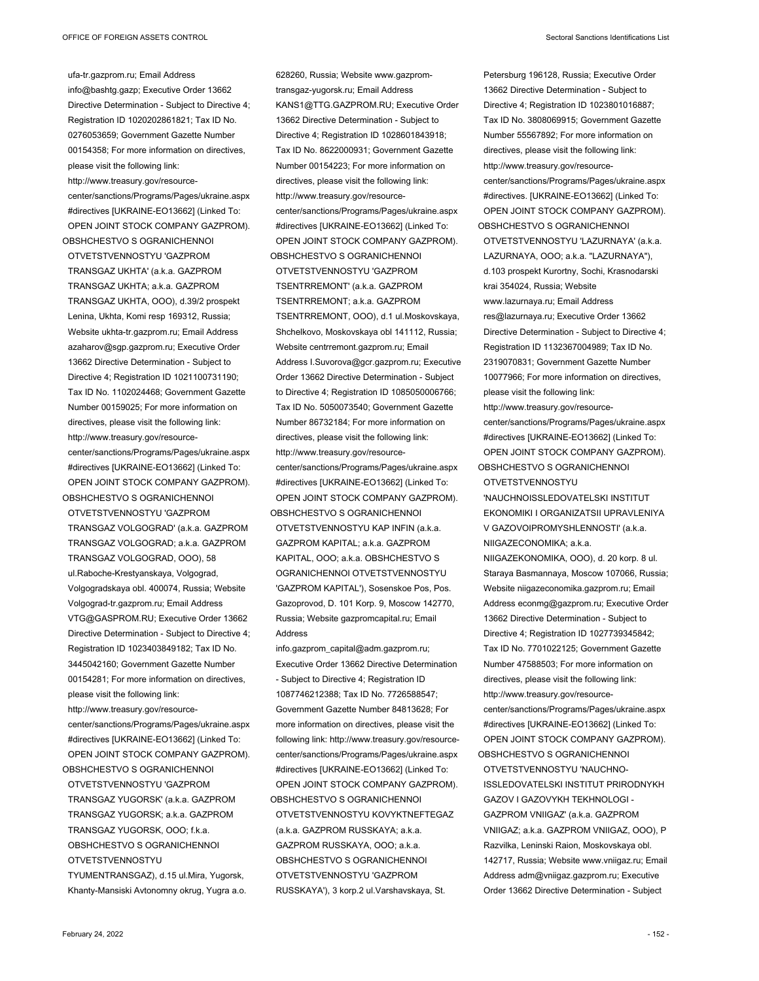ufa-tr.gazprom.ru; Email Address info@bashtg.gazp; Executive Order 13662 Directive Determination - Subject to Directive 4; Registration ID 1020202861821; Tax ID No. 0276053659; Government Gazette Number 00154358; For more information on directives, please visit the following link: http://www.treasury.gov/resourcecenter/sanctions/Programs/Pages/ukraine.aspx #directives [UKRAINE-EO13662] (Linked To: OPEN JOINT STOCK COMPANY GAZPROM). OBSHCHESTVO S OGRANICHENNOI OTVETSTVENNOSTYU 'GAZPROM TRANSGAZ UKHTA' (a.k.a. GAZPROM TRANSGAZ UKHTA; a.k.a. GAZPROM TRANSGAZ UKHTA, OOO), d.39/2 prospekt Lenina, Ukhta, Komi resp 169312, Russia; Website ukhta-tr.gazprom.ru; Email Address azaharov@sgp.gazprom.ru; Executive Order 13662 Directive Determination - Subject to Directive 4; Registration ID 1021100731190; Tax ID No. 1102024468; Government Gazette Number 00159025; For more information on directives, please visit the following link: http://www.treasury.gov/resourcecenter/sanctions/Programs/Pages/ukraine.aspx #directives [UKRAINE-EO13662] (Linked To: OPEN JOINT STOCK COMPANY GAZPROM). OBSHCHESTVO S OGRANICHENNOI

OTVETSTVENNOSTYU 'GAZPROM TRANSGAZ VOLGOGRAD' (a.k.a. GAZPROM TRANSGAZ VOLGOGRAD; a.k.a. GAZPROM TRANSGAZ VOLGOGRAD, OOO), 58 ul.Raboche-Krestyanskaya, Volgograd, Volgogradskaya obl. 400074, Russia; Website Volgograd-tr.gazprom.ru; Email Address VTG@GASPROM.RU; Executive Order 13662 Directive Determination - Subject to Directive 4; Registration ID 1023403849182; Tax ID No. 3445042160; Government Gazette Number 00154281; For more information on directives, please visit the following link: http://www.treasury.gov/resourcecenter/sanctions/Programs/Pages/ukraine.aspx #directives [UKRAINE-EO13662] (Linked To: OPEN JOINT STOCK COMPANY GAZPROM). OBSHCHESTVO S OGRANICHENNOI OTVETSTVENNOSTYU 'GAZPROM TRANSGAZ YUGORSK' (a.k.a. GAZPROM

TRANSGAZ YUGORSK; a.k.a. GAZPROM TRANSGAZ YUGORSK, OOO; f.k.a. OBSHCHESTVO S OGRANICHENNOI OTVETSTVENNOSTYU

TYUMENTRANSGAZ), d.15 ul.Mira, Yugorsk, Khanty-Mansiski Avtonomny okrug, Yugra a.o.

628260, Russia; Website www.gazpromtransgaz-yugorsk.ru; Email Address KANS1@TTG.GAZPROM.RU; Executive Order 13662 Directive Determination - Subject to Directive 4; Registration ID 1028601843918; Tax ID No. 8622000931; Government Gazette Number 00154223; For more information on directives, please visit the following link: http://www.treasury.gov/resourcecenter/sanctions/Programs/Pages/ukraine.aspx #directives [UKRAINE-EO13662] (Linked To: OPEN JOINT STOCK COMPANY GAZPROM). OBSHCHESTVO S OGRANICHENNOI OTVETSTVENNOSTYU 'GAZPROM TSENTRREMONT' (a.k.a. GAZPROM TSENTRREMONT; a.k.a. GAZPROM TSENTRREMONT, OOO), d.1 ul.Moskovskaya, Shchelkovo, Moskovskaya obl 141112, Russia; Website centrremont.gazprom.ru; Email Address I.Suvorova@gcr.gazprom.ru; Executive Order 13662 Directive Determination - Subject to Directive 4; Registration ID 1085050006766; Tax ID No. 5050073540; Government Gazette Number 86732184; For more information on directives, please visit the following link: http://www.treasury.gov/resourcecenter/sanctions/Programs/Pages/ukraine.aspx #directives [UKRAINE-EO13662] (Linked To: OPEN JOINT STOCK COMPANY GAZPROM). OBSHCHESTVO S OGRANICHENNOI

OTVETSTVENNOSTYU KAP INFIN (a.k.a. GAZPROM KAPITAL; a.k.a. GAZPROM KAPITAL, OOO; a.k.a. OBSHCHESTVO S OGRANICHENNOI OTVETSTVENNOSTYU 'GAZPROM KAPITAL'), Sosenskoe Pos, Pos. Gazoprovod, D. 101 Korp. 9, Moscow 142770, Russia; Website gazpromcapital.ru; Email Address

info.gazprom\_capital@adm.gazprom.ru; Executive Order 13662 Directive Determination - Subject to Directive 4; Registration ID 1087746212388; Tax ID No. 7726588547; Government Gazette Number 84813628; For more information on directives, please visit the following link: http://www.treasury.gov/resourcecenter/sanctions/Programs/Pages/ukraine.aspx #directives [UKRAINE-EO13662] (Linked To: OPEN JOINT STOCK COMPANY GAZPROM). OBSHCHESTVO S OGRANICHENNOI

OTVETSTVENNOSTYU KOVYKTNEFTEGAZ (a.k.a. GAZPROM RUSSKAYA; a.k.a. GAZPROM RUSSKAYA, OOO; a.k.a. OBSHCHESTVO S OGRANICHENNOI OTVETSTVENNOSTYU 'GAZPROM RUSSKAYA'), 3 korp.2 ul.Varshavskaya, St.

Petersburg 196128, Russia; Executive Order 13662 Directive Determination - Subject to Directive 4; Registration ID 1023801016887; Tax ID No. 3808069915; Government Gazette Number 55567892; For more information on directives, please visit the following link: http://www.treasury.gov/resourcecenter/sanctions/Programs/Pages/ukraine.aspx #directives. [UKRAINE-EO13662] (Linked To: OPEN JOINT STOCK COMPANY GAZPROM). OBSHCHESTVO S OGRANICHENNOI OTVETSTVENNOSTYU 'LAZURNAYA' (a.k.a. LAZURNAYA, OOO; a.k.a. "LAZURNAYA"), d.103 prospekt Kurortny, Sochi, Krasnodarski krai 354024, Russia; Website www.lazurnaya.ru; Email Address res@lazurnaya.ru; Executive Order 13662 Directive Determination - Subject to Directive 4; Registration ID 1132367004989; Tax ID No. 2319070831; Government Gazette Number 10077966; For more information on directives, please visit the following link: http://www.treasury.gov/resourcecenter/sanctions/Programs/Pages/ukraine.aspx #directives [UKRAINE-EO13662] (Linked To: OPEN JOINT STOCK COMPANY GAZPROM). OBSHCHESTVO S OGRANICHENNOI OTVETSTVENNOSTYU 'NAUCHNOISSLEDOVATELSKI INSTITUT EKONOMIKI I ORGANIZATSII UPRAVLENIYA V GAZOVOIPROMYSHLENNOSTI' (a.k.a. NIIGAZECONOMIKA; a.k.a. NIIGAZEKONOMIKA, OOO), d. 20 korp. 8 ul. Staraya Basmannaya, Moscow 107066, Russia; Website niigazeconomika.gazprom.ru; Email Address econmg@gazprom.ru; Executive Order 13662 Directive Determination - Subject to Directive 4; Registration ID 1027739345842; Tax ID No. 7701022125; Government Gazette Number 47588503; For more information on directives, please visit the following link: http://www.treasury.gov/resourcecenter/sanctions/Programs/Pages/ukraine.aspx #directives [UKRAINE-EO13662] (Linked To: OPEN JOINT STOCK COMPANY GAZPROM). OBSHCHESTVO S OGRANICHENNOI OTVETSTVENNOSTYU 'NAUCHNO-ISSLEDOVATELSKI INSTITUT PRIRODNYKH GAZOV I GAZOVYKH TEKHNOLOGI - GAZPROM VNIIGAZ' (a.k.a. GAZPROM VNIIGAZ; a.k.a. GAZPROM VNIIGAZ, OOO), P

Razvilka, Leninski Raion, Moskovskaya obl. 142717, Russia; Website www.vniigaz.ru; Email Address adm@vniigaz.gazprom.ru; Executive Order 13662 Directive Determination - Subject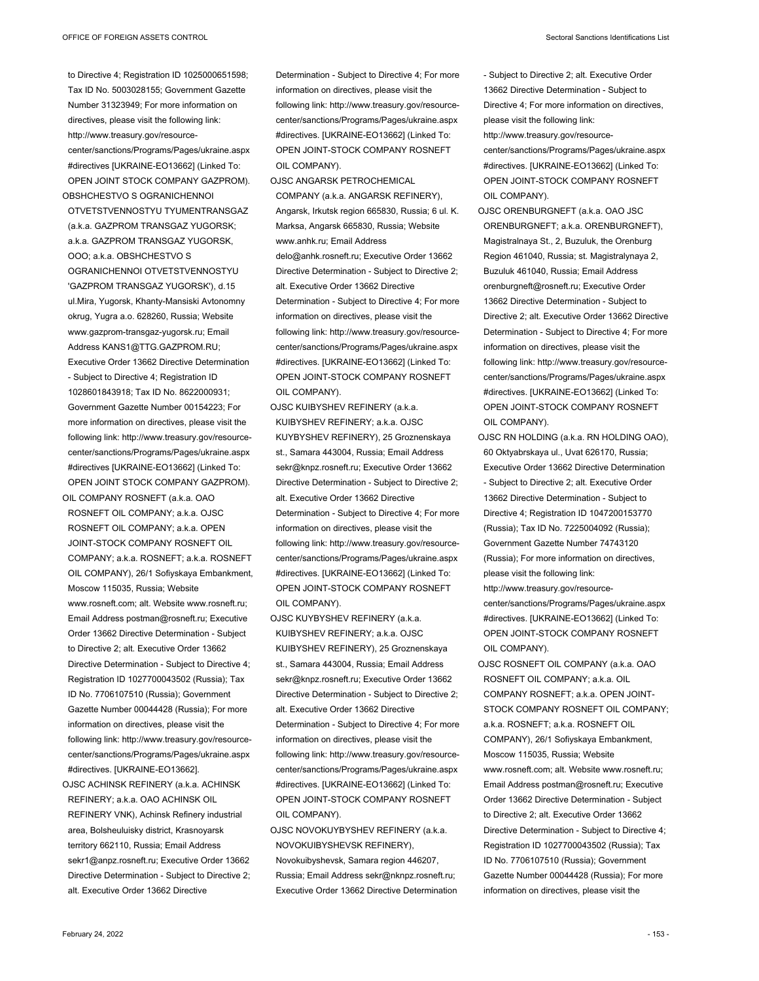OTVETSTVENNOSTYU TYUMENTRANSGAZ (a.k.a. GAZPROM TRANSGAZ YUGORSK; a.k.a. GAZPROM TRANSGAZ YUGORSK, OOO; a.k.a. OBSHCHESTVO S OGRANICHENNOI OTVETSTVENNOSTYU 'GAZPROM TRANSGAZ YUGORSK'), d.15 ul.Mira, Yugorsk, Khanty-Mansiski Avtonomny okrug, Yugra a.o. 628260, Russia; Website www.gazprom-transgaz-yugorsk.ru; Email Address KANS1@TTG.GAZPROM.RU; Executive Order 13662 Directive Determination - Subject to Directive 4; Registration ID 1028601843918; Tax ID No. 8622000931; Government Gazette Number 00154223; For more information on directives, please visit the following link: http://www.treasury.gov/resourcecenter/sanctions/Programs/Pages/ukraine.aspx #directives [UKRAINE-EO13662] (Linked To: OPEN JOINT STOCK COMPANY GAZPROM). OIL COMPANY ROSNEFT (a.k.a. OAO

ROSNEFT OIL COMPANY; a.k.a. OJSC ROSNEFT OIL COMPANY; a.k.a. OPEN JOINT-STOCK COMPANY ROSNEFT OIL COMPANY; a.k.a. ROSNEFT; a.k.a. ROSNEFT OIL COMPANY), 26/1 Sofiyskaya Embankment, Moscow 115035, Russia; Website www.rosneft.com; alt. Website www.rosneft.ru; Email Address postman@rosneft.ru; Executive Order 13662 Directive Determination - Subject to Directive 2; alt. Executive Order 13662 Directive Determination - Subject to Directive 4; Registration ID 1027700043502 (Russia); Tax ID No. 7706107510 (Russia); Government Gazette Number 00044428 (Russia); For more information on directives, please visit the following link: http://www.treasury.gov/resourcecenter/sanctions/Programs/Pages/ukraine.aspx #directives. [UKRAINE-EO13662].

OJSC ACHINSK REFINERY (a.k.a. ACHINSK REFINERY; a.k.a. OAO ACHINSK OIL REFINERY VNK), Achinsk Refinery industrial area, Bolsheuluisky district, Krasnoyarsk territory 662110, Russia; Email Address sekr1@anpz.rosneft.ru; Executive Order 13662 Directive Determination - Subject to Directive 2; alt. Executive Order 13662 Directive

Determination - Subject to Directive 4; For more information on directives, please visit the following link: http://www.treasury.gov/resourcecenter/sanctions/Programs/Pages/ukraine.aspx #directives. [UKRAINE-EO13662] (Linked To: OPEN JOINT-STOCK COMPANY ROSNEFT OIL COMPANY).

OJSC ANGARSK PETROCHEMICAL COMPANY (a.k.a. ANGARSK REFINERY), Angarsk, Irkutsk region 665830, Russia; 6 ul. K. Marksa, Angarsk 665830, Russia; Website www.anhk.ru; Email Address delo@anhk.rosneft.ru; Executive Order 13662 Directive Determination - Subject to Directive 2; alt. Executive Order 13662 Directive Determination - Subject to Directive 4; For more information on directives, please visit the following link: http://www.treasury.gov/resourcecenter/sanctions/Programs/Pages/ukraine.aspx #directives. [UKRAINE-EO13662] (Linked To: OPEN JOINT-STOCK COMPANY ROSNEFT OIL COMPANY).

- OJSC KUIBYSHEV REFINERY (a.k.a. KUIBYSHEV REFINERY; a.k.a. OJSC KUYBYSHEV REFINERY), 25 Groznenskaya st., Samara 443004, Russia; Email Address sekr@knpz.rosneft.ru; Executive Order 13662 Directive Determination - Subject to Directive 2; alt. Executive Order 13662 Directive Determination - Subject to Directive 4; For more information on directives, please visit the following link: http://www.treasury.gov/resourcecenter/sanctions/Programs/Pages/ukraine.aspx #directives. [UKRAINE-EO13662] (Linked To: OPEN JOINT-STOCK COMPANY ROSNEFT OIL COMPANY).
- OJSC KUYBYSHEV REFINERY (a.k.a. KUIBYSHEV REFINERY; a.k.a. OJSC KUIBYSHEV REFINERY), 25 Groznenskaya st., Samara 443004, Russia; Email Address sekr@knpz.rosneft.ru; Executive Order 13662 Directive Determination - Subject to Directive 2; alt. Executive Order 13662 Directive Determination - Subject to Directive 4; For more information on directives, please visit the following link: http://www.treasury.gov/resourcecenter/sanctions/Programs/Pages/ukraine.aspx #directives. [UKRAINE-EO13662] (Linked To: OPEN JOINT-STOCK COMPANY ROSNEFT OIL COMPANY).

OJSC NOVOKUYBYSHEV REFINERY (a.k.a. NOVOKUIBYSHEVSK REFINERY), Novokuibyshevsk, Samara region 446207, Russia; Email Address sekr@nknpz.rosneft.ru; Executive Order 13662 Directive Determination

- Subject to Directive 2; alt. Executive Order 13662 Directive Determination - Subject to Directive 4; For more information on directives, please visit the following link: http://www.treasury.gov/resourcecenter/sanctions/Programs/Pages/ukraine.aspx #directives. [UKRAINE-EO13662] (Linked To: OPEN JOINT-STOCK COMPANY ROSNEFT OIL COMPANY).
- OJSC ORENBURGNEFT (a.k.a. OAO JSC ORENBURGNEFT; a.k.a. ORENBURGNEFT), Magistralnaya St., 2, Buzuluk, the Orenburg Region 461040, Russia; st. Magistralynaya 2, Buzuluk 461040, Russia; Email Address orenburgneft@rosneft.ru; Executive Order 13662 Directive Determination - Subject to Directive 2; alt. Executive Order 13662 Directive Determination - Subject to Directive 4; For more information on directives, please visit the following link: http://www.treasury.gov/resourcecenter/sanctions/Programs/Pages/ukraine.aspx #directives. [UKRAINE-EO13662] (Linked To: OPEN JOINT-STOCK COMPANY ROSNEFT OIL COMPANY).
- OJSC RN HOLDING (a.k.a. RN HOLDING OAO), 60 Oktyabrskaya ul., Uvat 626170, Russia; Executive Order 13662 Directive Determination - Subject to Directive 2; alt. Executive Order 13662 Directive Determination - Subject to Directive 4; Registration ID 1047200153770 (Russia); Tax ID No. 7225004092 (Russia); Government Gazette Number 74743120 (Russia); For more information on directives, please visit the following link: http://www.treasury.gov/resource-
- center/sanctions/Programs/Pages/ukraine.aspx #directives. [UKRAINE-EO13662] (Linked To: OPEN JOINT-STOCK COMPANY ROSNEFT OIL COMPANY).
- OJSC ROSNEFT OIL COMPANY (a.k.a. OAO ROSNEFT OIL COMPANY; a.k.a. OIL COMPANY ROSNEFT; a.k.a. OPEN JOINT-STOCK COMPANY ROSNEFT OIL COMPANY; a.k.a. ROSNEFT; a.k.a. ROSNEFT OIL COMPANY), 26/1 Sofiyskaya Embankment, Moscow 115035, Russia; Website www.rosneft.com; alt. Website www.rosneft.ru; Email Address postman@rosneft.ru; Executive Order 13662 Directive Determination - Subject to Directive 2; alt. Executive Order 13662 Directive Determination - Subject to Directive 4; Registration ID 1027700043502 (Russia); Tax ID No. 7706107510 (Russia); Government Gazette Number 00044428 (Russia); For more information on directives, please visit the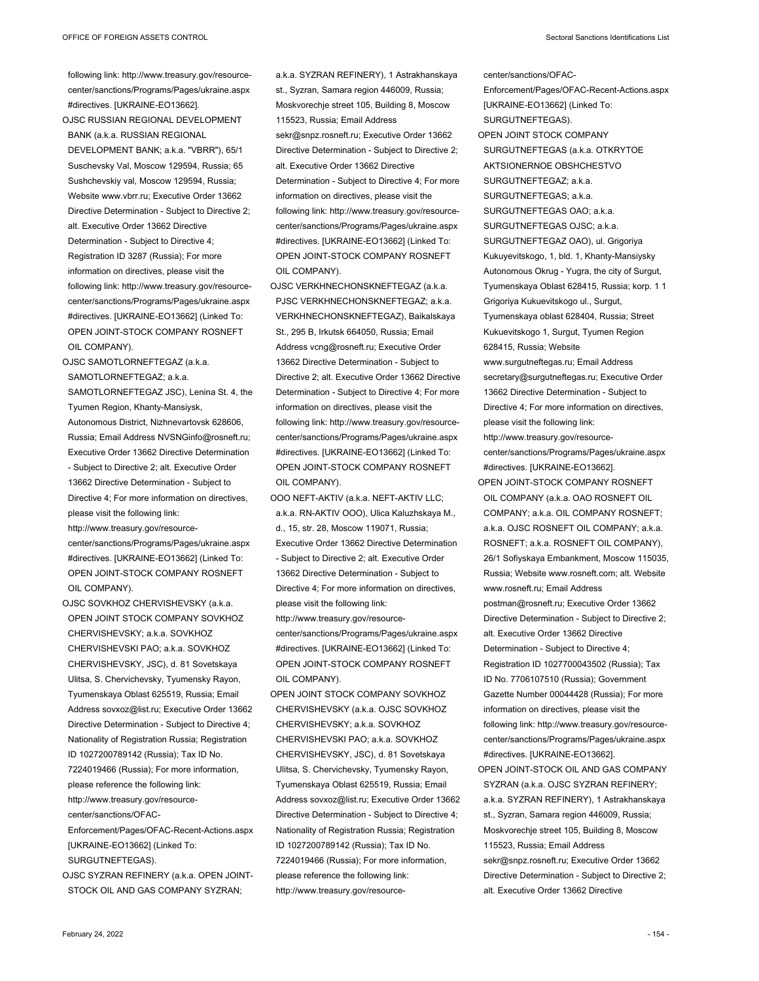center/sanctions/OFAC-

following link: http://www.treasury.gov/resourcecenter/sanctions/Programs/Pages/ukraine.aspx #directives. [UKRAINE-EO13662].

OJSC RUSSIAN REGIONAL DEVELOPMENT BANK (a.k.a. RUSSIAN REGIONAL DEVELOPMENT BANK; a.k.a. "VBRR"), 65/1 Suschevsky Val, Moscow 129594, Russia; 65 Sushchevskiy val, Moscow 129594, Russia; Website www.vbrr.ru; Executive Order 13662 Directive Determination - Subject to Directive 2; alt. Executive Order 13662 Directive Determination - Subject to Directive 4; Registration ID 3287 (Russia); For more information on directives, please visit the following link: http://www.treasury.gov/resourcecenter/sanctions/Programs/Pages/ukraine.aspx #directives. [UKRAINE-EO13662] (Linked To: OPEN JOINT-STOCK COMPANY ROSNEFT OIL COMPANY).

OJSC SAMOTLORNEFTEGAZ (a.k.a. SAMOTLORNEFTEGAZ; a.k.a.

SAMOTLORNEFTEGAZ JSC), Lenina St. 4, the Tyumen Region, Khanty-Mansiysk, Autonomous District, Nizhnevartovsk 628606, Russia; Email Address NVSNGinfo@rosneft.ru; Executive Order 13662 Directive Determination - Subject to Directive 2; alt. Executive Order 13662 Directive Determination - Subject to Directive 4; For more information on directives, please visit the following link: http://www.treasury.gov/resourcecenter/sanctions/Programs/Pages/ukraine.aspx

#directives. [UKRAINE-EO13662] (Linked To: OPEN JOINT-STOCK COMPANY ROSNEFT OIL COMPANY).

OJSC SOVKHOZ CHERVISHEVSKY (a.k.a. OPEN JOINT STOCK COMPANY SOVKHOZ CHERVISHEVSKY; a.k.a. SOVKHOZ CHERVISHEVSKI PAO; a.k.a. SOVKHOZ CHERVISHEVSKY, JSC), d. 81 Sovetskaya Ulitsa, S. Chervichevsky, Tyumensky Rayon, Tyumenskaya Oblast 625519, Russia; Email Address sovxoz@list.ru; Executive Order 13662 Directive Determination - Subject to Directive 4; Nationality of Registration Russia; Registration ID 1027200789142 (Russia); Tax ID No. 7224019466 (Russia); For more information, please reference the following link: http://www.treasury.gov/resourcecenter/sanctions/OFAC-

Enforcement/Pages/OFAC-Recent-Actions.aspx [UKRAINE-EO13662] (Linked To: SURGUTNEFTEGAS).

OJSC SYZRAN REFINERY (a.k.a. OPEN JOINT-STOCK OIL AND GAS COMPANY SYZRAN;

a.k.a. SYZRAN REFINERY), 1 Astrakhanskaya st., Syzran, Samara region 446009, Russia; Moskvorechje street 105, Building 8, Moscow 115523, Russia; Email Address sekr@snpz.rosneft.ru; Executive Order 13662 Directive Determination - Subject to Directive 2; alt. Executive Order 13662 Directive Determination - Subject to Directive 4; For more information on directives, please visit the following link: http://www.treasury.gov/resourcecenter/sanctions/Programs/Pages/ukraine.aspx #directives. [UKRAINE-EO13662] (Linked To: OPEN JOINT-STOCK COMPANY ROSNEFT OIL COMPANY).

- OJSC VERKHNECHONSKNEFTEGAZ (a.k.a. PJSC VERKHNECHONSKNEFTEGAZ; a.k.a. VERKHNECHONSKNEFTEGAZ), Baikalskaya St., 295 B, Irkutsk 664050, Russia; Email Address vcng@rosneft.ru; Executive Order 13662 Directive Determination - Subject to Directive 2; alt. Executive Order 13662 Directive Determination - Subject to Directive 4; For more information on directives, please visit the following link: http://www.treasury.gov/resourcecenter/sanctions/Programs/Pages/ukraine.aspx #directives. [UKRAINE-EO13662] (Linked To: OPEN JOINT-STOCK COMPANY ROSNEFT OIL COMPANY).
- OOO NEFT-AKTIV (a.k.a. NEFT-AKTIV LLC; a.k.a. RN-AKTIV OOO), Ulica Kaluzhskaya M., d., 15, str. 28, Moscow 119071, Russia; Executive Order 13662 Directive Determination - Subject to Directive 2; alt. Executive Order 13662 Directive Determination - Subject to Directive 4; For more information on directives, please visit the following link: http://www.treasury.gov/resourcecenter/sanctions/Programs/Pages/ukraine.aspx #directives. [UKRAINE-EO13662] (Linked To: OPEN JOINT-STOCK COMPANY ROSNEFT OIL COMPANY).
- OPEN JOINT STOCK COMPANY SOVKHOZ CHERVISHEVSKY (a.k.a. OJSC SOVKHOZ CHERVISHEVSKY; a.k.a. SOVKHOZ CHERVISHEVSKI PAO; a.k.a. SOVKHOZ CHERVISHEVSKY, JSC), d. 81 Sovetskaya Ulitsa, S. Chervichevsky, Tyumensky Rayon, Tyumenskaya Oblast 625519, Russia; Email Address sovxoz@list.ru; Executive Order 13662 Directive Determination - Subject to Directive 4; Nationality of Registration Russia; Registration ID 1027200789142 (Russia); Tax ID No. 7224019466 (Russia); For more information, please reference the following link: http://www.treasury.gov/resource-

Enforcement/Pages/OFAC-Recent-Actions.aspx [UKRAINE-EO13662] (Linked To: SURGUTNEFTEGAS). OPEN JOINT STOCK COMPANY SURGUTNEFTEGAS (a.k.a. OTKRYTOE AKTSIONERNOE OBSHCHESTVO SURGUTNEFTEGAZ; a.k.a. SURGUTNEFTEGAS; a.k.a.  $SUBGUTNETFGAS OAO; a k.a.$ SURGUTNEFTEGAS OJSC; a.k.a. SURGUTNEFTEGAZ OAO), ul. Grigoriya Kukuyevitskogo, 1, bld. 1, Khanty-Mansiysky Autonomous Okrug - Yugra, the city of Surgut, Tyumenskaya Oblast 628415, Russia; korp. 1 1 Grigoriya Kukuevitskogo ul., Surgut, Tyumenskaya oblast 628404, Russia; Street Kukuevitskogo 1, Surgut, Tyumen Region 628415, Russia; Website www.surgutneftegas.ru; Email Address secretary@surgutneftegas.ru; Executive Order 13662 Directive Determination - Subject to Directive 4; For more information on directives, please visit the following link: http://www.treasury.gov/resourcecenter/sanctions/Programs/Pages/ukraine.aspx #directives. [UKRAINE-EO13662]. OPEN JOINT-STOCK COMPANY ROSNEFT OIL COMPANY (a.k.a. OAO ROSNEFT OIL COMPANY; a.k.a. OIL COMPANY ROSNEFT; a.k.a. OJSC ROSNEFT OIL COMPANY; a.k.a. ROSNEFT; a.k.a. ROSNEFT OIL COMPANY), 26/1 Sofiyskaya Embankment, Moscow 115035, Russia; Website www.rosneft.com; alt. Website www.rosneft.ru; Email Address postman@rosneft.ru; Executive Order 13662 Directive Determination - Subject to Directive 2; alt. Executive Order 13662 Directive Determination - Subject to Directive 4; Registration ID 1027700043502 (Russia); Tax ID No. 7706107510 (Russia); Government Gazette Number 00044428 (Russia); For more information on directives, please visit the following link: http://www.treasury.gov/resourcecenter/sanctions/Programs/Pages/ukraine.aspx #directives. [UKRAINE-EO13662].

OPEN JOINT-STOCK OIL AND GAS COMPANY SYZRAN (a.k.a. OJSC SYZRAN REFINERY; a.k.a. SYZRAN REFINERY), 1 Astrakhanskaya st., Syzran, Samara region 446009, Russia; Moskvorechje street 105, Building 8, Moscow 115523, Russia; Email Address sekr@snpz.rosneft.ru; Executive Order 13662 Directive Determination - Subject to Directive 2; alt. Executive Order 13662 Directive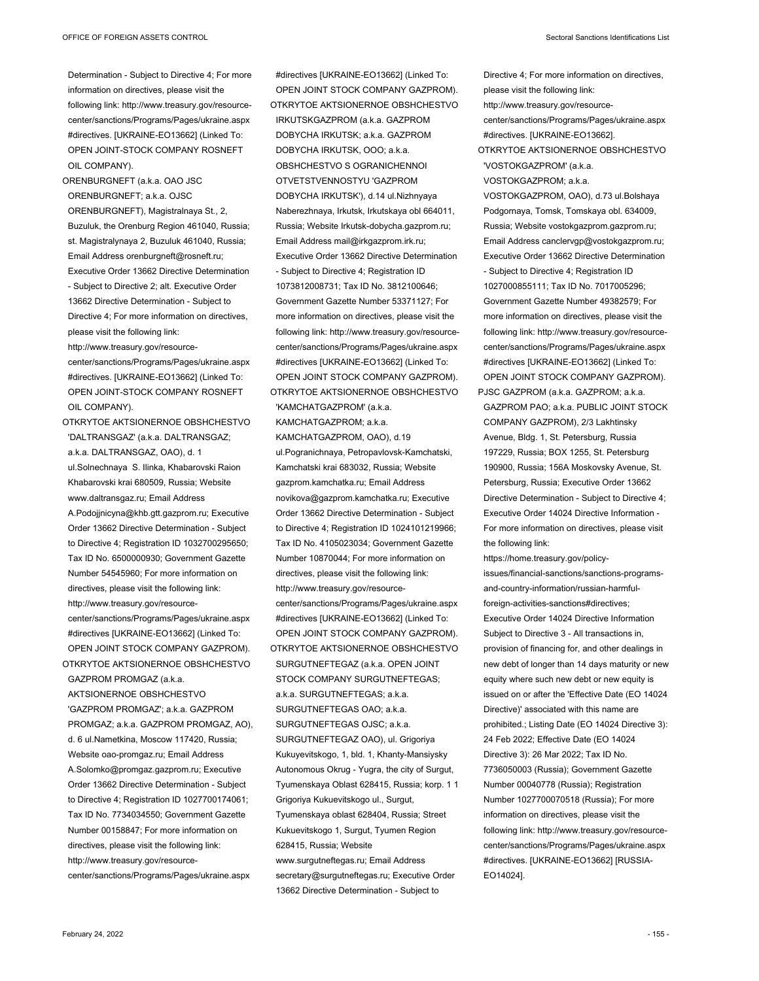Determination - Subject to Directive 4; For more information on directives, please visit the following link: http://www.treasury.gov/resourcecenter/sanctions/Programs/Pages/ukraine.aspx #directives. [UKRAINE-EO13662] (Linked To: OPEN JOINT-STOCK COMPANY ROSNEFT OIL COMPANY).

ORENBURGNEFT (a.k.a. OAO JSC ORENBURGNEFT; a.k.a. OJSC ORENBURGNEFT), Magistralnaya St., 2, Buzuluk, the Orenburg Region 461040, Russia; st. Magistralynaya 2, Buzuluk 461040, Russia; Email Address orenburgneft@rosneft.ru; Executive Order 13662 Directive Determination - Subject to Directive 2; alt. Executive Order 13662 Directive Determination - Subject to Directive 4; For more information on directives, please visit the following link: http://www.treasury.gov/resourcecenter/sanctions/Programs/Pages/ukraine.aspx #directives. [UKRAINE-EO13662] (Linked To: OPEN JOINT-STOCK COMPANY ROSNEFT

OIL COMPANY). OTKRYTOE AKTSIONERNOE OBSHCHESTVO 'DALTRANSGAZ' (a.k.a. DALTRANSGAZ; a.k.a. DALTRANSGAZ, OAO), d. 1 ul.Solnechnaya S. Ilinka, Khabarovski Raion Khabarovski krai 680509, Russia; Website www.daltransgaz.ru; Email Address A.Podojjnicyna@khb.gtt.gazprom.ru; Executive Order 13662 Directive Determination - Subject to Directive 4; Registration ID 1032700295650; Tax ID No. 6500000930; Government Gazette Number 54545960; For more information on directives, please visit the following link: http://www.treasury.gov/resourcecenter/sanctions/Programs/Pages/ukraine.aspx #directives [UKRAINE-EO13662] (Linked To: OPEN JOINT STOCK COMPANY GAZPROM).

OTKRYTOE AKTSIONERNOE OBSHCHESTVO GAZPROM PROMGAZ (a.k.a. AKTSIONERNOE OBSHCHESTVO 'GAZPROM PROMGAZ'; a.k.a. GAZPROM PROMGAZ; a.k.a. GAZPROM PROMGAZ, AO), d. 6 ul.Nametkina, Moscow 117420, Russia; Website oao-promgaz.ru; Email Address A.Solomko@promgaz.gazprom.ru; Executive Order 13662 Directive Determination - Subject to Directive 4; Registration ID 1027700174061; Tax ID No. 7734034550; Government Gazette Number 00158847; For more information on directives, please visit the following link: http://www.treasury.gov/resourcecenter/sanctions/Programs/Pages/ukraine.aspx

OPEN JOINT STOCK COMPANY GAZPROM). OTKRYTOE AKTSIONERNOE OBSHCHESTVO IRKUTSKGAZPROM (a.k.a. GAZPROM DOBYCHA IRKUTSK; a.k.a. GAZPROM DOBYCHA IRKUTSK, OOO; a.k.a. OBSHCHESTVO S OGRANICHENNOI OTVETSTVENNOSTYU 'GAZPROM DOBYCHA IRKUTSK'), d.14 ul.Nizhnyaya Naberezhnaya, Irkutsk, Irkutskaya obl 664011, Russia; Website Irkutsk-dobycha.gazprom.ru; Email Address mail@irkgazprom.irk.ru; Executive Order 13662 Directive Determination - Subject to Directive 4; Registration ID 1073812008731; Tax ID No. 3812100646; Government Gazette Number 53371127; For more information on directives, please visit the following link: http://www.treasury.gov/resourcecenter/sanctions/Programs/Pages/ukraine.aspx #directives [UKRAINE-EO13662] (Linked To: OPEN JOINT STOCK COMPANY GAZPROM). OTKRYTOE AKTSIONERNOE OBSHCHESTVO

#directives [UKRAINE-EO13662] (Linked To:

'KAMCHATGAZPROM' (a.k.a.

KAMCHATGAZPROM; a.k.a.

KAMCHATGAZPROM, OAO), d.19

ul.Pogranichnaya, Petropavlovsk-Kamchatski, Kamchatski krai 683032, Russia; Website gazprom.kamchatka.ru; Email Address novikova@gazprom.kamchatka.ru; Executive Order 13662 Directive Determination - Subject to Directive 4; Registration ID 1024101219966; Tax ID No. 4105023034; Government Gazette Number 10870044; For more information on directives, please visit the following link: http://www.treasury.gov/resourcecenter/sanctions/Programs/Pages/ukraine.aspx #directives [UKRAINE-EO13662] (Linked To: OPEN JOINT STOCK COMPANY GAZPROM). OTKRYTOE AKTSIONERNOE OBSHCHESTVO SURGUTNEFTEGAZ (a.k.a. OPEN JOINT STOCK COMPANY SURGUTNEFTEGAS: a.k.a. SURGUTNEFTEGAS; a.k.a. SURGUTNEFTEGAS OAO; a.k.a. SURGUTNEFTEGAS OJSC; a.k.a. SURGUTNEFTEGAZ OAO), ul. Grigoriya Kukuyevitskogo, 1, bld. 1, Khanty-Mansiysky Autonomous Okrug - Yugra, the city of Surgut, Tyumenskaya Oblast 628415, Russia; korp. 1 1 Grigoriya Kukuevitskogo ul., Surgut, Tyumenskaya oblast 628404, Russia; Street Kukuevitskogo 1, Surgut, Tyumen Region 628415, Russia; Website www.surgutneftegas.ru; Email Address secretary@surgutneftegas.ru; Executive Order

13662 Directive Determination - Subject to

Directive 4; For more information on directives, please visit the following link: http://www.treasury.gov/resourcecenter/sanctions/Programs/Pages/ukraine.aspx #directives. [UKRAINE-EO13662]. OTKRYTOE AKTSIONERNOE OBSHCHESTVO 'VOSTOKGAZPROM' (a.k.a. VOSTOKGAZPROM; a.k.a. VOSTOKGAZPROM, OAO), d.73 ul.Bolshaya Podgornaya, Tomsk, Tomskaya obl. 634009, Russia; Website vostokgazprom.gazprom.ru; Email Address canclervgp@vostokgazprom.ru; Executive Order 13662 Directive Determination - Subject to Directive 4; Registration ID 1027000855111; Tax ID No. 7017005296;

Government Gazette Number 49382579; For more information on directives, please visit the following link: http://www.treasury.gov/resourcecenter/sanctions/Programs/Pages/ukraine.aspx #directives [UKRAINE-EO13662] (Linked To: OPEN JOINT STOCK COMPANY GAZPROM). PJSC GAZPROM (a.k.a. GAZPROM; a.k.a.

GAZPROM PAO; a.k.a. PUBLIC JOINT STOCK COMPANY GAZPROM), 2/3 Lakhtinsky Avenue, Bldg. 1, St. Petersburg, Russia 197229, Russia; BOX 1255, St. Petersburg 190900, Russia; 156A Moskovsky Avenue, St. Petersburg, Russia; Executive Order 13662 Directive Determination - Subject to Directive 4; Executive Order 14024 Directive Information - For more information on directives, please visit the following link:

https://home.treasury.gov/policyissues/financial-sanctions/sanctions-programsand-country-information/russian-harmfulforeign-activities-sanctions#directives; Executive Order 14024 Directive Information Subject to Directive 3 - All transactions in, provision of financing for, and other dealings in new debt of longer than 14 days maturity or new equity where such new debt or new equity is issued on or after the 'Effective Date (EO 14024 Directive)' associated with this name are prohibited.; Listing Date (EO 14024 Directive 3): 24 Feb 2022; Effective Date (EO 14024 Directive 3): 26 Mar 2022; Tax ID No. 7736050003 (Russia); Government Gazette Number 00040778 (Russia); Registration Number 1027700070518 (Russia); For more information on directives, please visit the following link: http://www.treasury.gov/resourcecenter/sanctions/Programs/Pages/ukraine.aspx #directives. [UKRAINE-EO13662] [RUSSIA-EO14024].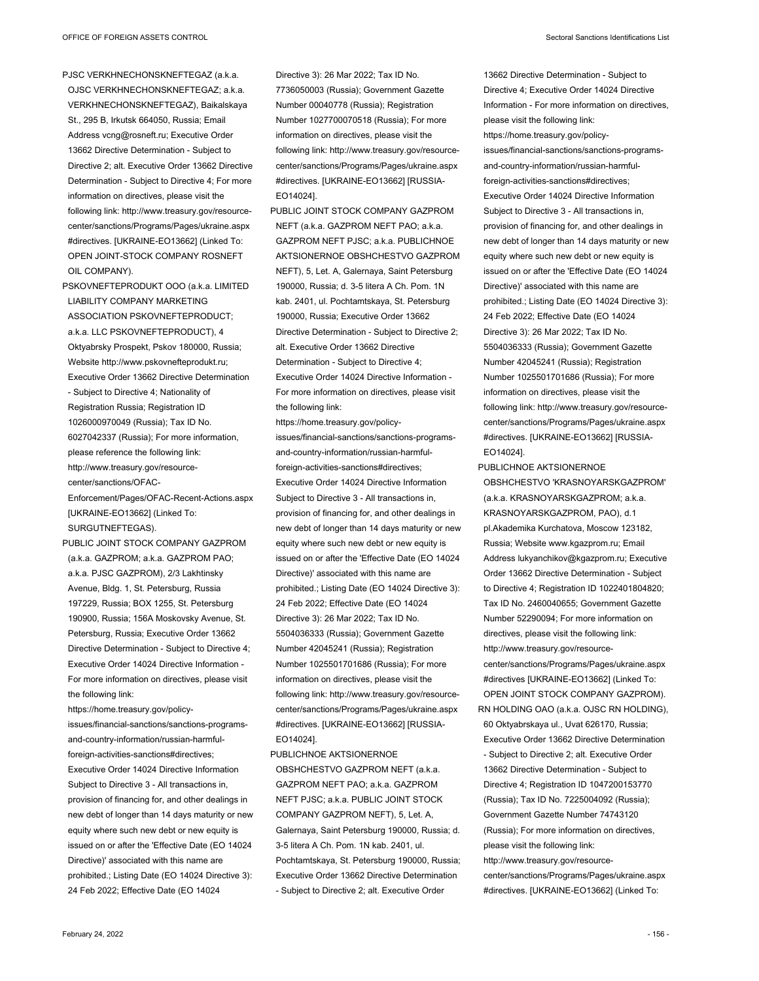PJSC VERKHNECHONSKNEFTEGAZ (a.k.a. OJSC VERKHNECHONSKNEFTEGAZ; a.k.a. VERKHNECHONSKNEFTEGAZ), Baikalskaya St., 295 B, Irkutsk 664050, Russia; Email Address vcng@rosneft.ru; Executive Order 13662 Directive Determination - Subject to Directive 2; alt. Executive Order 13662 Directive Determination - Subject to Directive 4; For more information on directives, please visit the following link: http://www.treasury.gov/resourcecenter/sanctions/Programs/Pages/ukraine.aspx #directives. [UKRAINE-EO13662] (Linked To: OPEN JOINT-STOCK COMPANY ROSNEFT OIL COMPANY).

PSKOVNEFTEPRODUKT OOO (a.k.a. LIMITED LIABILITY COMPANY MARKETING ASSOCIATION PSKOVNEFTEPRODUCT; a.k.a. LLC PSKOVNEFTEPRODUCT), 4 Oktyabrsky Prospekt, Pskov 180000, Russia; Website http://www.pskovnefteprodukt.ru; Executive Order 13662 Directive Determination - Subject to Directive 4; Nationality of Registration Russia; Registration ID 1026000970049 (Russia); Tax ID No. 6027042337 (Russia); For more information, please reference the following link: http://www.treasury.gov/resourcecenter/sanctions/OFAC-Enforcement/Pages/OFAC-Recent-Actions.aspx [UKRAINE-EO13662] (Linked To: SURGUTNEFTEGAS).

PUBLIC JOINT STOCK COMPANY GAZPROM (a.k.a. GAZPROM; a.k.a. GAZPROM PAO; a.k.a. PJSC GAZPROM), 2/3 Lakhtinsky Avenue, Bldg. 1, St. Petersburg, Russia 197229, Russia; BOX 1255, St. Petersburg 190900, Russia; 156A Moskovsky Avenue, St. Petersburg, Russia; Executive Order 13662 Directive Determination - Subject to Directive 4; Executive Order 14024 Directive Information - For more information on directives, please visit the following link:

https://home.treasury.gov/policyissues/financial-sanctions/sanctions-programsand-country-information/russian-harmfulforeign-activities-sanctions#directives; Executive Order 14024 Directive Information Subject to Directive 3 - All transactions in, provision of financing for, and other dealings in new debt of longer than 14 days maturity or new equity where such new debt or new equity is issued on or after the 'Effective Date (EO 14024 Directive)' associated with this name are prohibited.; Listing Date (EO 14024 Directive 3): 24 Feb 2022; Effective Date (EO 14024

Directive 3): 26 Mar 2022; Tax ID No. 7736050003 (Russia); Government Gazette Number 00040778 (Russia); Registration Number 1027700070518 (Russia); For more information on directives, please visit the following link: http://www.treasury.gov/resourcecenter/sanctions/Programs/Pages/ukraine.aspx #directives. [UKRAINE-EO13662] [RUSSIA-EO14024].

PUBLIC JOINT STOCK COMPANY GAZPROM NEFT (a.k.a. GAZPROM NEFT PAO; a.k.a. GAZPROM NEFT PJSC; a.k.a. PUBLICHNOE AKTSIONERNOE OBSHCHESTVO GAZPROM NEFT), 5, Let. A, Galernaya, Saint Petersburg 190000, Russia; d. 3-5 litera A Ch. Pom. 1N kab. 2401, ul. Pochtamtskaya, St. Petersburg 190000, Russia; Executive Order 13662 Directive Determination - Subject to Directive 2; alt. Executive Order 13662 Directive Determination - Subject to Directive 4; Executive Order 14024 Directive Information - For more information on directives, please visit the following link:

https://home.treasury.gov/policyissues/financial-sanctions/sanctions-programsand-country-information/russian-harmfulforeign-activities-sanctions#directives; Executive Order 14024 Directive Information Subject to Directive 3 - All transactions in, provision of financing for, and other dealings in new debt of longer than 14 days maturity or new equity where such new debt or new equity is issued on or after the 'Effective Date (EO 14024 Directive)' associated with this name are prohibited.; Listing Date (EO 14024 Directive 3): 24 Feb 2022; Effective Date (EO 14024 Directive 3): 26 Mar 2022; Tax ID No. 5504036333 (Russia); Government Gazette Number 42045241 (Russia); Registration Number 1025501701686 (Russia); For more information on directives, please visit the following link: http://www.treasury.gov/resourcecenter/sanctions/Programs/Pages/ukraine.aspx #directives. [UKRAINE-EO13662] [RUSSIA-EO14024].

PUBLICHNOE AKTSIONERNOE OBSHCHESTVO GAZPROM NEFT (a.k.a. GAZPROM NEFT PAO; a.k.a. GAZPROM NEFT PJSC; a.k.a. PUBLIC JOINT STOCK COMPANY GAZPROM NEFT), 5, Let. A, Galernaya, Saint Petersburg 190000, Russia; d. 3-5 litera A Ch. Pom. 1N kab. 2401, ul. Pochtamtskaya, St. Petersburg 190000, Russia; Executive Order 13662 Directive Determination - Subject to Directive 2; alt. Executive Order

13662 Directive Determination - Subject to Directive 4; Executive Order 14024 Directive Information - For more information on directives, please visit the following link: https://home.treasury.gov/policyissues/financial-sanctions/sanctions-programsand-country-information/russian-harmfulforeign-activities-sanctions#directives; Executive Order 14024 Directive Information Subject to Directive 3 - All transactions in, provision of financing for, and other dealings in new debt of longer than 14 days maturity or new equity where such new debt or new equity is issued on or after the 'Effective Date (EO 14024 Directive)' associated with this name are prohibited.; Listing Date (EO 14024 Directive 3): 24 Feb 2022; Effective Date (EO 14024 Directive 3): 26 Mar 2022; Tax ID No. 5504036333 (Russia); Government Gazette Number 42045241 (Russia); Registration Number 1025501701686 (Russia); For more information on directives, please visit the following link: http://www.treasury.gov/resourcecenter/sanctions/Programs/Pages/ukraine.aspx #directives. [UKRAINE-EO13662] [RUSSIA-EO14024].

PUBLICHNOE AKTSIONERNOE OBSHCHESTVO 'KRASNOYARSKGAZPROM' (a.k.a. KRASNOYARSKGAZPROM; a.k.a. KRASNOYARSKGAZPROM, PAO), d.1 pl.Akademika Kurchatova, Moscow 123182, Russia; Website www.kgazprom.ru; Email Address lukyanchikov@kgazprom.ru; Executive Order 13662 Directive Determination - Subject to Directive 4; Registration ID 1022401804820; Tax ID No. 2460040655; Government Gazette Number 52290094; For more information on directives, please visit the following link: http://www.treasury.gov/resourcecenter/sanctions/Programs/Pages/ukraine.aspx #directives [UKRAINE-EO13662] (Linked To: OPEN JOINT STOCK COMPANY GAZPROM). RN HOLDING OAO (a.k.a. OJSC RN HOLDING), 60 Oktyabrskaya ul., Uvat 626170, Russia; Executive Order 13662 Directive Determination - Subject to Directive 2; alt. Executive Order 13662 Directive Determination - Subject to Directive 4; Registration ID 1047200153770 (Russia); Tax ID No. 7225004092 (Russia); Government Gazette Number 74743120 (Russia); For more information on directives, please visit the following link: http://www.treasury.gov/resourcecenter/sanctions/Programs/Pages/ukraine.aspx #directives. [UKRAINE-EO13662] (Linked To: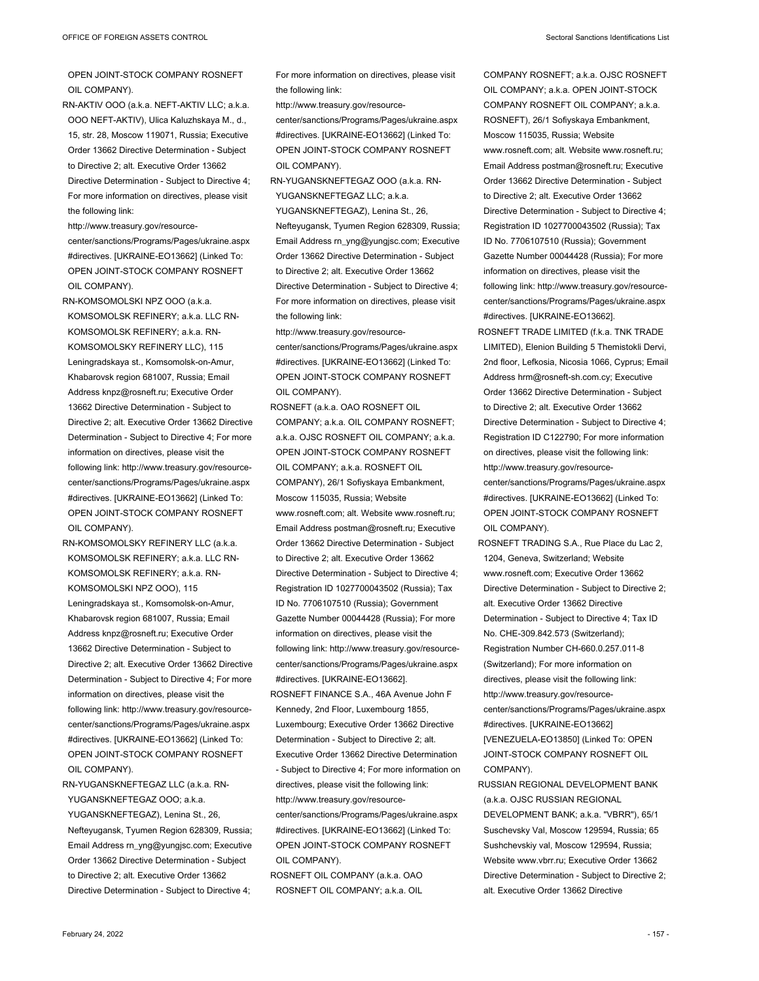OPEN JOINT-STOCK COMPANY ROSNEFT OIL COMPANY).

RN-AKTIV OOO (a.k.a. NEFT-AKTIV LLC; a.k.a. OOO NEFT-AKTIV), Ulica Kaluzhskaya M., d., 15, str. 28, Moscow 119071, Russia; Executive Order 13662 Directive Determination - Subject to Directive 2; alt. Executive Order 13662 Directive Determination - Subject to Directive 4; For more information on directives, please visit the following link:

http://www.treasury.gov/resourcecenter/sanctions/Programs/Pages/ukraine.aspx #directives. [UKRAINE-EO13662] (Linked To: OPEN JOINT-STOCK COMPANY ROSNEFT OIL COMPANY).

RN-KOMSOMOLSKI NPZ OOO (a.k.a. KOMSOMOLSK REFINERY; a.k.a. LLC RN-KOMSOMOLSK REFINERY; a.k.a. RN-KOMSOMOLSKY REFINERY LLC), 115 Leningradskaya st., Komsomolsk-on-Amur, Khabarovsk region 681007, Russia; Email Address knpz@rosneft.ru; Executive Order 13662 Directive Determination - Subject to Directive 2; alt. Executive Order 13662 Directive Determination - Subject to Directive 4; For more information on directives, please visit the following link: http://www.treasury.gov/resourcecenter/sanctions/Programs/Pages/ukraine.aspx #directives. [UKRAINE-EO13662] (Linked To: OPEN JOINT-STOCK COMPANY ROSNEFT OIL COMPANY).

RN-KOMSOMOLSKY REFINERY LLC (a.k.a. KOMSOMOLSK REFINERY; a.k.a. LLC RN-KOMSOMOLSK REFINERY; a.k.a. RN-KOMSOMOLSKI NPZ OOO), 115 Leningradskaya st., Komsomolsk-on-Amur, Khabarovsk region 681007, Russia; Email Address knpz@rosneft.ru; Executive Order 13662 Directive Determination - Subject to Directive 2; alt. Executive Order 13662 Directive Determination - Subject to Directive 4; For more information on directives, please visit the following link: http://www.treasury.gov/resourcecenter/sanctions/Programs/Pages/ukraine.aspx #directives. [UKRAINE-EO13662] (Linked To: OPEN JOINT-STOCK COMPANY ROSNEFT OIL COMPANY).

RN-YUGANSKNEFTEGAZ LLC (a.k.a. RN-YUGANSKNEFTEGAZ OOO; a.k.a. YUGANSKNEFTEGAZ), Lenina St., 26, Nefteyugansk, Tyumen Region 628309, Russia; Email Address rn\_yng@yungjsc.com; Executive Order 13662 Directive Determination - Subject to Directive 2; alt. Executive Order 13662 Directive Determination - Subject to Directive 4; For more information on directives, please visit the following link:

http://www.treasury.gov/resource-

center/sanctions/Programs/Pages/ukraine.aspx #directives. [UKRAINE-EO13662] (Linked To: OPEN JOINT-STOCK COMPANY ROSNEFT OIL COMPANY).

RN-YUGANSKNEFTEGAZ OOO (a.k.a. RN-YUGANSKNEFTEGAZ LLC; a.k.a.

YUGANSKNEFTEGAZ), Lenina St., 26, Nefteyugansk, Tyumen Region 628309, Russia; Email Address rn\_yng@yungjsc.com; Executive Order 13662 Directive Determination - Subject to Directive 2; alt. Executive Order 13662 Directive Determination - Subject to Directive 4; For more information on directives, please visit the following link:

http://www.treasury.gov/resourcecenter/sanctions/Programs/Pages/ukraine.aspx #directives. [UKRAINE-EO13662] (Linked To: OPEN JOINT-STOCK COMPANY ROSNEFT OIL COMPANY).

ROSNEFT (a.k.a. OAO ROSNEFT OIL COMPANY; a.k.a. OIL COMPANY ROSNEFT; a.k.a. OJSC ROSNEFT OIL COMPANY; a.k.a. OPEN JOINT-STOCK COMPANY ROSNEFT OIL COMPANY; a.k.a. ROSNEFT OIL COMPANY), 26/1 Sofiyskaya Embankment, Moscow 115035, Russia; Website www.rosneft.com; alt. Website www.rosneft.ru; Email Address postman@rosneft.ru; Executive Order 13662 Directive Determination - Subject to Directive 2; alt. Executive Order 13662 Directive Determination - Subject to Directive 4; Registration ID 1027700043502 (Russia); Tax ID No. 7706107510 (Russia); Government Gazette Number 00044428 (Russia); For more information on directives, please visit the following link: http://www.treasury.gov/resourcecenter/sanctions/Programs/Pages/ukraine.aspx #directives. [UKRAINE-EO13662].

ROSNEFT FINANCE S.A., 46A Avenue John F Kennedy, 2nd Floor, Luxembourg 1855, Luxembourg; Executive Order 13662 Directive Determination - Subject to Directive 2; alt. Executive Order 13662 Directive Determination - Subject to Directive 4; For more information on directives, please visit the following link: http://www.treasury.gov/resourcecenter/sanctions/Programs/Pages/ukraine.aspx #directives. [UKRAINE-EO13662] (Linked To: OPEN JOINT-STOCK COMPANY ROSNEFT OIL COMPANY).

ROSNEFT OIL COMPANY (a.k.a. OAO ROSNEFT OIL COMPANY; a.k.a. OIL COMPANY ROSNEFT; a.k.a. OJSC ROSNEFT OIL COMPANY; a.k.a. OPEN JOINT-STOCK COMPANY ROSNEFT OIL COMPANY; a.k.a. ROSNEFT), 26/1 Sofiyskaya Embankment, Moscow 115035, Russia; Website www.rosneft.com; alt. Website www.rosneft.ru; Email Address postman@rosneft.ru; Executive Order 13662 Directive Determination - Subject to Directive 2; alt. Executive Order 13662 Directive Determination - Subject to Directive 4; Registration ID 1027700043502 (Russia); Tax ID No. 7706107510 (Russia); Government Gazette Number 00044428 (Russia); For more information on directives, please visit the following link: http://www.treasury.gov/resourcecenter/sanctions/Programs/Pages/ukraine.aspx #directives. [UKRAINE-EO13662].

- ROSNEFT TRADE LIMITED (f.k.a. TNK TRADE LIMITED), Elenion Building 5 Themistokli Dervi, 2nd floor, Lefkosia, Nicosia 1066, Cyprus; Email Address hrm@rosneft-sh.com.cy; Executive Order 13662 Directive Determination - Subject to Directive 2; alt. Executive Order 13662 Directive Determination - Subject to Directive 4; Registration ID C122790; For more information on directives, please visit the following link: http://www.treasury.gov/resourcecenter/sanctions/Programs/Pages/ukraine.aspx #directives. [UKRAINE-EO13662] (Linked To: OPEN JOINT-STOCK COMPANY ROSNEFT OIL COMPANY).
- ROSNEFT TRADING S.A., Rue Place du Lac 2, 1204, Geneva, Switzerland; Website www.rosneft.com; Executive Order 13662 Directive Determination - Subject to Directive 2; alt. Executive Order 13662 Directive Determination - Subject to Directive 4; Tax ID No. CHE-309.842.573 (Switzerland); Registration Number CH-660.0.257.011-8 (Switzerland); For more information on directives, please visit the following link: http://www.treasury.gov/resourcecenter/sanctions/Programs/Pages/ukraine.aspx #directives. [UKRAINE-EO13662] [VENEZUELA-EO13850] (Linked To: OPEN JOINT-STOCK COMPANY ROSNEFT OIL COMPANY).
- RUSSIAN REGIONAL DEVELOPMENT BANK (a.k.a. OJSC RUSSIAN REGIONAL DEVELOPMENT BANK; a.k.a. "VBRR"), 65/1 Suschevsky Val, Moscow 129594, Russia; 65 Sushchevskiy val, Moscow 129594, Russia; Website www.vbrr.ru; Executive Order 13662 Directive Determination - Subject to Directive 2; alt. Executive Order 13662 Directive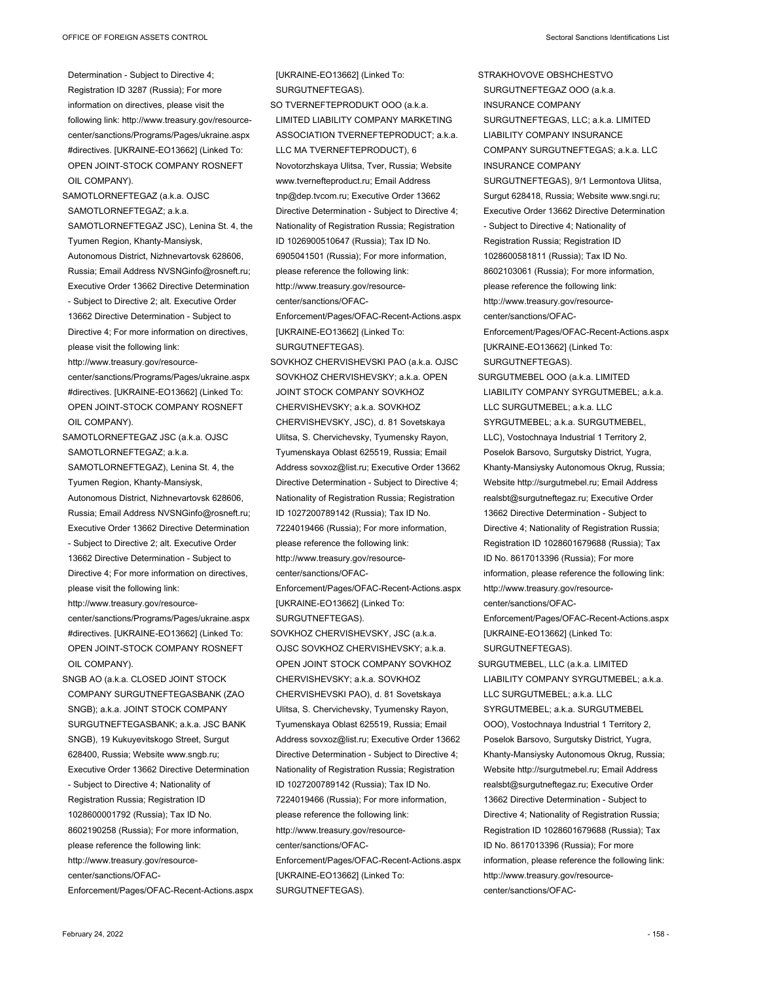Determination - Subject to Directive 4; Registration ID 3287 (Russia); For more information on directives, please visit the following link: http://www.treasury.gov/resourcecenter/sanctions/Programs/Pages/ukraine.aspx #directives. [UKRAINE-EO13662] (Linked To: OPEN JOINT-STOCK COMPANY ROSNEFT OIL COMPANY).

SAMOTLORNEFTEGAZ (a.k.a. OJSC SAMOTLORNEFTEGAZ; a.k.a. SAMOTLORNEFTEGAZ JSC), Lenina St. 4, the Tyumen Region, Khanty-Mansiysk, Autonomous District, Nizhnevartovsk 628606, Russia; Email Address NVSNGinfo@rosneft.ru; Executive Order 13662 Directive Determination - Subject to Directive 2; alt. Executive Order 13662 Directive Determination - Subject to Directive 4; For more information on directives, please visit the following link: http://www.treasury.gov/resourcecenter/sanctions/Programs/Pages/ukraine.aspx #directives. [UKRAINE-EO13662] (Linked To: OPEN JOINT-STOCK COMPANY ROSNEFT OIL COMPANY).

SAMOTLORNEFTEGAZ JSC (a.k.a. OJSC SAMOTLORNEFTEGAZ; a.k.a. SAMOTLORNEFTEGAZ), Lenina St. 4, the Tyumen Region, Khanty-Mansiysk, Autonomous District, Nizhnevartovsk 628606, Russia; Email Address NVSNGinfo@rosneft.ru; Executive Order 13662 Directive Determination - Subject to Directive 2; alt. Executive Order 13662 Directive Determination - Subject to Directive 4; For more information on directives, please visit the following link: http://www.treasury.gov/resourcecenter/sanctions/Programs/Pages/ukraine.aspx #directives. [UKRAINE-EO13662] (Linked To: OPEN JOINT-STOCK COMPANY ROSNEFT OIL COMPANY).

SNGB AO (a.k.a. CLOSED JOINT STOCK COMPANY SURGUTNEFTEGASBANK (ZAO SNGB); a.k.a. JOINT STOCK COMPANY SURGUTNEFTEGASBANK; a.k.a. JSC BANK SNGB), 19 Kukuyevitskogo Street, Surgut 628400, Russia; Website www.sngb.ru; Executive Order 13662 Directive Determination - Subject to Directive 4; Nationality of Registration Russia; Registration ID 1028600001792 (Russia); Tax ID No. 8602190258 (Russia); For more information, please reference the following link: http://www.treasury.gov/resourcecenter/sanctions/OFAC-Enforcement/Pages/OFAC-Recent-Actions.aspx

[UKRAINE-EO13662] (Linked To: SURGUTNEFTEGAS). SO TVERNEFTEPRODUKT OOO (a.k.a. LIMITED LIABILITY COMPANY MARKETING ASSOCIATION TVERNEFTEPRODUCT; a.k.a. LLC MA TVERNEFTEPRODUCT), 6 Novotorzhskaya Ulitsa, Tver, Russia; Website www.tvernefteproduct.ru; Email Address tnp@dep.tvcom.ru; Executive Order 13662 Directive Determination - Subject to Directive 4; Nationality of Registration Russia; Registration ID 1026900510647 (Russia); Tax ID No. 6905041501 (Russia); For more information, please reference the following link: http://www.treasury.gov/resourcecenter/sanctions/OFAC-Enforcement/Pages/OFAC-Recent-Actions.aspx [UKRAINE-EO13662] (Linked To: SURGUTNEFTEGAS). SOVKHOZ CHERVISHEVSKI PAO (a.k.a. OJSC SOVKHOZ CHERVISHEVSKY; a.k.a. OPEN JOINT STOCK COMPANY SOVKHOZ CHERVISHEVSKY; a.k.a. SOVKHOZ CHERVISHEVSKY, JSC), d. 81 Sovetskaya Ulitsa, S. Chervichevsky, Tyumensky Rayon, Tyumenskaya Oblast 625519, Russia; Email Address sovxoz@list.ru; Executive Order 13662 Directive Determination - Subject to Directive 4; Nationality of Registration Russia; Registration ID 1027200789142 (Russia); Tax ID No. 7224019466 (Russia); For more information, please reference the following link: http://www.treasury.gov/resourcecenter/sanctions/OFAC-Enforcement/Pages/OFAC-Recent-Actions.aspx [UKRAINE-EO13662] (Linked To:

SOVKHOZ CHERVISHEVSKY, JSC (a.k.a. OJSC SOVKHOZ CHERVISHEVSKY; a.k.a. OPEN JOINT STOCK COMPANY SOVKHOZ CHERVISHEVSKY; a.k.a. SOVKHOZ CHERVISHEVSKI PAO), d. 81 Sovetskaya Ulitsa, S. Chervichevsky, Tyumensky Rayon, Tyumenskaya Oblast 625519, Russia; Email Address sovxoz@list.ru; Executive Order 13662 Directive Determination - Subject to Directive 4; Nationality of Registration Russia; Registration ID 1027200789142 (Russia); Tax ID No. 7224019466 (Russia); For more information, please reference the following link: http://www.treasury.gov/resourcecenter/sanctions/OFAC-Enforcement/Pages/OFAC-Recent-Actions.aspx [UKRAINE-EO13662] (Linked To: SURGUTNEFTEGAS).

SURGUTNEFTEGAS).

Executive Order 13662 Directive Determination - Subject to Directive 4; Nationality of Registration Russia; Registration ID 1028600581811 (Russia); Tax ID No. 8602103061 (Russia); For more information, please reference the following link: http://www.treasury.gov/resourcecenter/sanctions/OFAC-Enforcement/Pages/OFAC-Recent-Actions.aspx [UKRAINE-EO13662] (Linked To: SURGUTNEFTEGAS). SURGUTMEBEL OOO (a.k.a. LIMITED LIABILITY COMPANY SYRGUTMEBEL; a.k.a. LLC SURGUTMEBEL; a.k.a. LLC SYRGUTMEBEL; a.k.a. SURGUTMEBEL, LLC), Vostochnaya Industrial 1 Territory 2, Poselok Barsovo, Surgutsky District, Yugra, Khanty-Mansiysky Autonomous Okrug, Russia; Website http://surgutmebel.ru; Email Address realsbt@surgutneftegaz.ru; Executive Order 13662 Directive Determination - Subject to Directive 4; Nationality of Registration Russia; Registration ID 1028601679688 (Russia); Tax ID No. 8617013396 (Russia); For more information, please reference the following link: http://www.treasury.gov/resourcecenter/sanctions/OFAC-Enforcement/Pages/OFAC-Recent-Actions.aspx [UKRAINE-EO13662] (Linked To: SURGUTNEFTEGAS). SURGUTMEBEL, LLC (a.k.a. LIMITED LIABILITY COMPANY SYRGUTMEBEL; a.k.a. LLC SURGUTMEBEL; a.k.a. LLC SYRGUTMEBEL; a.k.a. SURGUTMEBEL OOO), Vostochnaya Industrial 1 Territory 2, Poselok Barsovo, Surgutsky District, Yugra, Khanty-Mansiysky Autonomous Okrug, Russia;

Website http://surgutmebel.ru; Email Address realsbt@surgutneftegaz.ru; Executive Order 13662 Directive Determination - Subject to Directive 4; Nationality of Registration Russia; Registration ID 1028601679688 (Russia); Tax ID No. 8617013396 (Russia); For more information, please reference the following link:

http://www.treasury.gov/resourcecenter/sanctions/OFAC-

STRAKHOVOVE OBSHCHESTVO SURGUTNEFTEGAZ OOO (a.k.a. INSURANCE COMPANY

INSURANCE COMPANY

SURGUTNEFTEGAS, LLC; a.k.a. LIMITED LIABILITY COMPANY INSURANCE COMPANY SURGUTNEFTEGAS; a.k.a. LLC

SURGUTNEFTEGAS), 9/1 Lermontova Ulitsa, Surgut 628418, Russia; Website www.sngi.ru;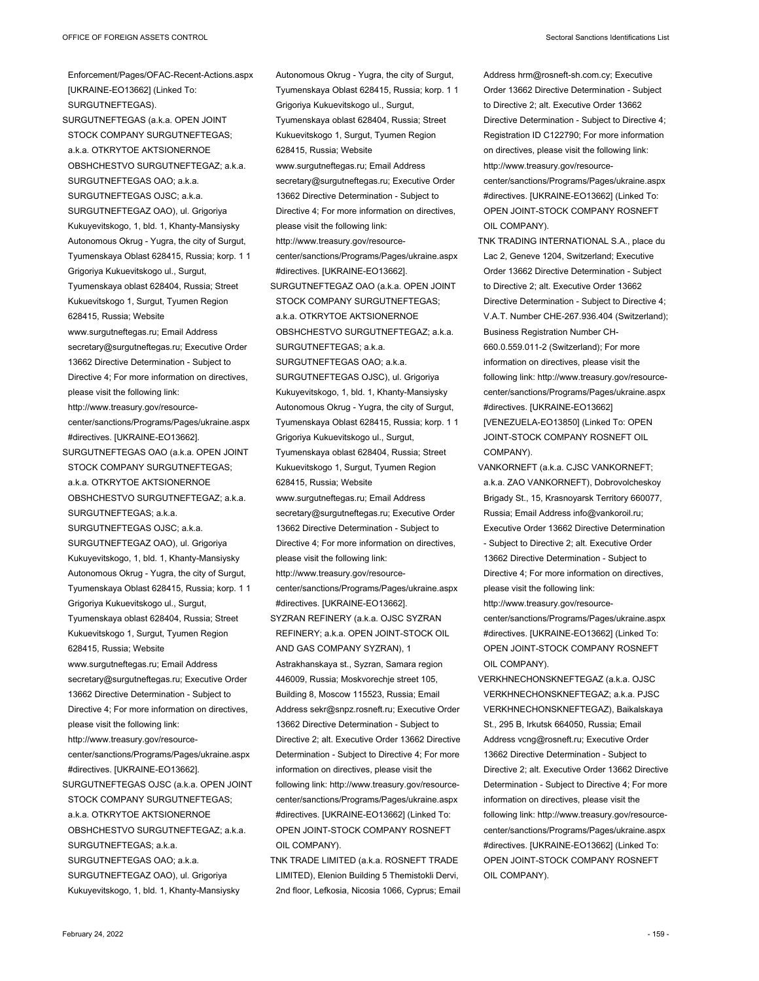Enforcement/Pages/OFAC-Recent-Actions.aspx [UKRAINE-EO13662] (Linked To: SURGUTNEFTEGAS). SURGUTNEFTEGAS (a.k.a. OPEN JOINT STOCK COMPANY SURGUTNEFTEGAS; a.k.a. OTKRYTOE AKTSIONERNOE OBSHCHESTVO SURGUTNEFTEGAZ; a.k.a. SURGUTNEFTEGAS OAO; a.k.a. SURGUTNEFTEGAS OJSC; a.k.a. SURGUTNEFTEGAZ OAO), ul. Grigoriya Kukuyevitskogo, 1, bld. 1, Khanty-Mansiysky Autonomous Okrug - Yugra, the city of Surgut, Tyumenskaya Oblast 628415, Russia; korp. 1 1 Grigoriya Kukuevitskogo ul., Surgut, Tyumenskaya oblast 628404, Russia; Street Kukuevitskogo 1, Surgut, Tyumen Region 628415, Russia; Website www.surgutneftegas.ru; Email Address secretary@surgutneftegas.ru; Executive Order 13662 Directive Determination - Subject to Directive 4; For more information on directives, please visit the following link: http://www.treasury.gov/resourcecenter/sanctions/Programs/Pages/ukraine.aspx #directives. [UKRAINE-EO13662]. SURGUTNEFTEGAS OAO (a.k.a. OPEN JOINT STOCK COMPANY SURGUTNEFTEGAS; a.k.a. OTKRYTOE AKTSIONERNOE OBSHCHESTVO SURGUTNEFTEGAZ; a.k.a. SURGUTNEFTEGAS; a.k.a. SURGUTNEFTEGAS OJSC; a.k.a. SURGUTNEFTEGAZ OAO), ul. Grigoriya Kukuyevitskogo, 1, bld. 1, Khanty-Mansiysky Autonomous Okrug - Yugra, the city of Surgut, Tyumenskaya Oblast 628415, Russia; korp. 1 1 Grigoriya Kukuevitskogo ul., Surgut, Tyumenskaya oblast 628404, Russia; Street Kukuevitskogo 1, Surgut, Tyumen Region 628415, Russia; Website www.surgutneftegas.ru; Email Address secretary@surgutneftegas.ru; Executive Order 13662 Directive Determination - Subject to Directive 4; For more information on directives, please visit the following link: http://www.treasury.gov/resourcecenter/sanctions/Programs/Pages/ukraine.aspx #directives. [UKRAINE-EO13662]. SURGUTNEFTEGAS OJSC (a.k.a. OPEN JOINT STOCK COMPANY SURGUTNEFTEGAS; a.k.a. OTKRYTOE AKTSIONERNOE OBSHCHESTVO SURGUTNEFTEGAZ; a.k.a. SURGUTNEFTEGAS; a k a SURGUTNEFTEGAS OAO; a.k.a. SURGUTNEFTEGAZ OAO), ul. Grigoriya Kukuyevitskogo, 1, bld. 1, Khanty-Mansiysky

Autonomous Okrug - Yugra, the city of Surgut, Tyumenskaya Oblast 628415, Russia; korp. 1 1 Grigoriya Kukuevitskogo ul., Surgut, Tyumenskaya oblast 628404, Russia; Street Kukuevitskogo 1, Surgut, Tyumen Region 628415, Russia; Website www.surgutneftegas.ru; Email Address secretary@surgutneftegas.ru; Executive Order 13662 Directive Determination - Subject to Directive 4; For more information on directives, please visit the following link: http://www.treasury.gov/resourcecenter/sanctions/Programs/Pages/ukraine.aspx #directives. [UKRAINE-EO13662]. SURGUTNEFTEGAZ OAO (a.k.a. OPEN JOINT STOCK COMPANY SURGUTNEFTEGAS; a.k.a. OTKRYTOE AKTSIONERNOE OBSHCHESTVO SURGUTNEFTEGAZ; a.k.a. SURGUTNEFTEGAS; a.k.a. SURGUTNEFTEGAS OAO; a.k.a. SURGUTNEFTEGAS OJSC), ul. Grigoriya Kukuyevitskogo, 1, bld. 1, Khanty-Mansiysky Autonomous Okrug - Yugra, the city of Surgut, Tyumenskaya Oblast 628415, Russia; korp. 1 1 Grigoriya Kukuevitskogo ul., Surgut, Tyumenskaya oblast 628404, Russia; Street Kukuevitskogo 1, Surgut, Tyumen Region 628415, Russia; Website www.surgutneftegas.ru; Email Address secretary@surgutneftegas.ru; Executive Order 13662 Directive Determination - Subject to Directive 4; For more information on directives, please visit the following link: http://www.treasury.gov/resourcecenter/sanctions/Programs/Pages/ukraine.aspx #directives. [UKRAINE-EO13662]. SYZRAN REFINERY (a.k.a. OJSC SYZRAN REFINERY; a.k.a. OPEN JOINT-STOCK OIL AND GAS COMPANY SYZRAN), 1 Astrakhanskaya st., Syzran, Samara region 446009, Russia; Moskvorechje street 105, Building 8, Moscow 115523, Russia; Email Address sekr@snpz.rosneft.ru; Executive Order 13662 Directive Determination - Subject to Directive 2; alt. Executive Order 13662 Directive Determination - Subject to Directive 4; For more information on directives, please visit the following link: http://www.treasury.gov/resourcecenter/sanctions/Programs/Pages/ukraine.aspx #directives. [UKRAINE-EO13662] (Linked To: OPEN JOINT-STOCK COMPANY ROSNEFT OIL COMPANY). TNK TRADE LIMITED (a.k.a. ROSNEFT TRADE

LIMITED), Elenion Building 5 Themistokli Dervi, 2nd floor, Lefkosia, Nicosia 1066, Cyprus; Email Address hrm@rosneft-sh.com.cy; Executive Order 13662 Directive Determination - Subject to Directive 2; alt. Executive Order 13662 Directive Determination - Subject to Directive 4; Registration ID C122790; For more information on directives, please visit the following link: http://www.treasury.gov/resourcecenter/sanctions/Programs/Pages/ukraine.aspx #directives. [UKRAINE-EO13662] (Linked To: OPEN JOINT-STOCK COMPANY ROSNEFT OIL COMPANY).

- TNK TRADING INTERNATIONAL S.A., place du Lac 2, Geneve 1204, Switzerland; Executive Order 13662 Directive Determination - Subject to Directive 2; alt. Executive Order 13662 Directive Determination - Subject to Directive 4; V.A.T. Number CHE-267.936.404 (Switzerland); Business Registration Number CH-660.0.559.011-2 (Switzerland); For more information on directives, please visit the following link: http://www.treasury.gov/resourcecenter/sanctions/Programs/Pages/ukraine.aspx #directives. [UKRAINE-EO13662] [VENEZUELA-EO13850] (Linked To: OPEN JOINT-STOCK COMPANY ROSNEFT OIL COMPANY).
- VANKORNEFT (a.k.a. CJSC VANKORNEFT; a.k.a. ZAO VANKORNEFT), Dobrovolcheskoy Brigady St., 15, Krasnoyarsk Territory 660077, Russia; Email Address info@vankoroil.ru; Executive Order 13662 Directive Determination - Subject to Directive 2; alt. Executive Order 13662 Directive Determination - Subject to Directive 4; For more information on directives, please visit the following link: http://www.treasury.gov/resourcecenter/sanctions/Programs/Pages/ukraine.aspx #directives. [UKRAINE-EO13662] (Linked To: OPEN JOINT-STOCK COMPANY ROSNEFT
- OIL COMPANY). VERKHNECHONSKNEFTEGAZ (a.k.a. OJSC VERKHNECHONSKNEFTEGAZ; a.k.a. PJSC VERKHNECHONSKNEFTEGAZ), Baikalskaya St., 295 B, Irkutsk 664050, Russia; Email Address vcng@rosneft.ru; Executive Order 13662 Directive Determination - Subject to Directive 2; alt. Executive Order 13662 Directive Determination - Subject to Directive 4; For more information on directives, please visit the following link: http://www.treasury.gov/resourcecenter/sanctions/Programs/Pages/ukraine.aspx #directives. [UKRAINE-EO13662] (Linked To: OPEN JOINT-STOCK COMPANY ROSNEFT OIL COMPANY).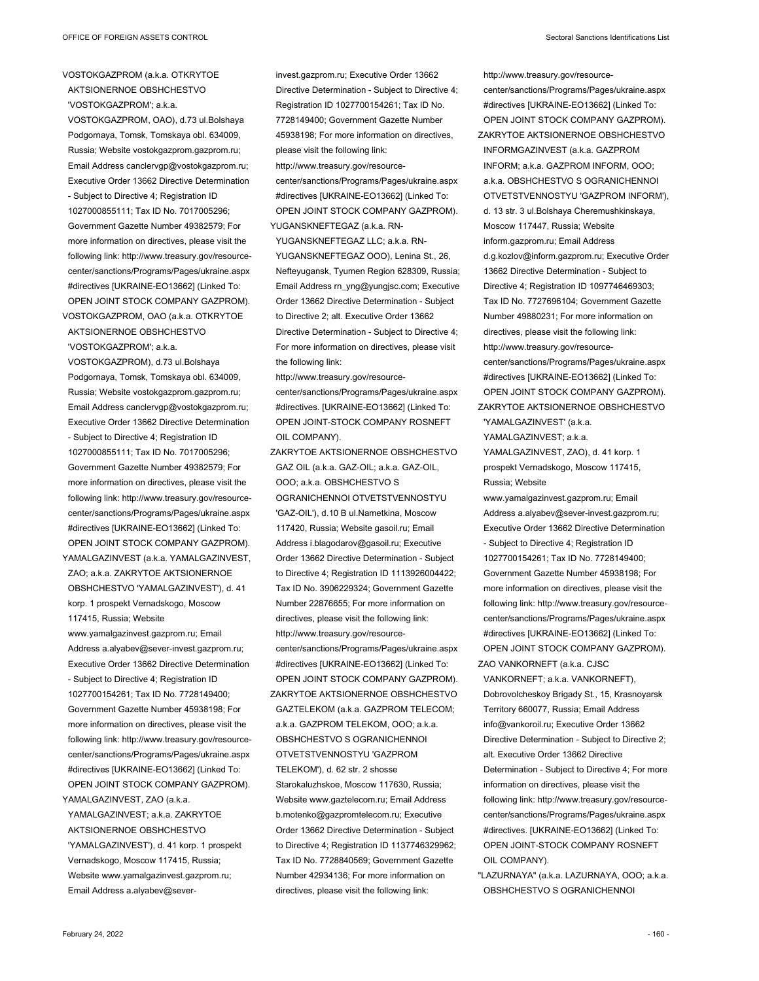VOSTOKGAZPROM, OAO), d.73 ul.Bolshaya Podgornaya, Tomsk, Tomskaya obl. 634009, Russia; Website vostokgazprom.gazprom.ru; Email Address canclervgp@vostokgazprom.ru; Executive Order 13662 Directive Determination - Subject to Directive 4; Registration ID 1027000855111; Tax ID No. 7017005296; Government Gazette Number 49382579; For more information on directives, please visit the following link: http://www.treasury.gov/resourcecenter/sanctions/Programs/Pages/ukraine.aspx #directives [UKRAINE-EO13662] (Linked To: OPEN JOINT STOCK COMPANY GAZPROM).

VOSTOKGAZPROM, OAO (a.k.a. OTKRYTOE AKTSIONERNOE OBSHCHESTVO 'VOSTOKGAZPROM'; a.k.a. VOSTOKGAZPROM), d.73 ul.Bolshaya Podgornaya, Tomsk, Tomskaya obl. 634009, Russia; Website vostokgazprom.gazprom.ru; Email Address canclervgp@vostokgazprom.ru; Executive Order 13662 Directive Determination - Subject to Directive 4; Registration ID 1027000855111; Tax ID No. 7017005296; Government Gazette Number 49382579; For more information on directives, please visit the following link: http://www.treasury.gov/resourcecenter/sanctions/Programs/Pages/ukraine.aspx #directives [UKRAINE-EO13662] (Linked To: OPEN JOINT STOCK COMPANY GAZPROM). YAMALGAZINVEST (a.k.a. YAMALGAZINVEST,

ZAO; a.k.a. ZAKRYTOE AKTSIONERNOE OBSHCHESTVO 'YAMALGAZINVEST'), d. 41 korp. 1 prospekt Vernadskogo, Moscow 117415, Russia; Website www.yamalgazinvest.gazprom.ru; Email Address a.alyabev@sever-invest.gazprom.ru; Executive Order 13662 Directive Determination - Subject to Directive 4; Registration ID 1027700154261; Tax ID No. 7728149400; Government Gazette Number 45938198; For more information on directives, please visit the following link: http://www.treasury.gov/resourcecenter/sanctions/Programs/Pages/ukraine.aspx #directives [UKRAINE-EO13662] (Linked To: OPEN JOINT STOCK COMPANY GAZPROM). YAMALGAZINVEST, ZAO (a.k.a.

YAMALGAZINVEST; a.k.a. ZAKRYTOE AKTSIONERNOE OBSHCHESTVO 'YAMALGAZINVEST'), d. 41 korp. 1 prospekt Vernadskogo, Moscow 117415, Russia; Website www.yamalgazinvest.gazprom.ru; Email Address a.alyabev@sever-

invest.gazprom.ru; Executive Order 13662 Directive Determination - Subject to Directive 4; Registration ID 1027700154261; Tax ID No. 7728149400; Government Gazette Number 45938198; For more information on directives, please visit the following link: http://www.treasury.gov/resourcecenter/sanctions/Programs/Pages/ukraine.aspx #directives [UKRAINE-EO13662] (Linked To: OPEN JOINT STOCK COMPANY GAZPROM). YUGANSKNEFTEGAZ (a.k.a. RN-

YUGANSKNEFTEGAZ LLC; a.k.a. RN-YUGANSKNEFTEGAZ OOO), Lenina St., 26, Nefteyugansk, Tyumen Region 628309, Russia; Email Address rn\_yng@yungjsc.com; Executive Order 13662 Directive Determination - Subject to Directive 2; alt. Executive Order 13662 Directive Determination - Subject to Directive 4; For more information on directives, please visit the following link:

http://www.treasury.gov/resourcecenter/sanctions/Programs/Pages/ukraine.aspx #directives. [UKRAINE-EO13662] (Linked To: OPEN JOINT-STOCK COMPANY ROSNEFT OIL COMPANY).

ZAKRYTOE AKTSIONERNOE OBSHCHESTVO GAZ OIL (a.k.a. GAZ-OIL; a.k.a. GAZ-OIL, OOO; a.k.a. OBSHCHESTVO S OGRANICHENNOI OTVETSTVENNOSTYU 'GAZ-OIL'), d.10 B ul.Nametkina, Moscow 117420, Russia; Website gasoil.ru; Email Address i.blagodarov@gasoil.ru; Executive Order 13662 Directive Determination - Subject to Directive 4; Registration ID 1113926004422; Tax ID No. 3906229324; Government Gazette Number 22876655; For more information on directives, please visit the following link: http://www.treasury.gov/resourcecenter/sanctions/Programs/Pages/ukraine.aspx #directives [UKRAINE-EO13662] (Linked To: OPEN JOINT STOCK COMPANY GAZPROM). ZAKRYTOE AKTSIONERNOE OBSHCHESTVO GAZTELEKOM (a.k.a. GAZPROM TELECOM; a.k.a. GAZPROM TELEKOM, OOO; a.k.a. OBSHCHESTVO S OGRANICHENNOI OTVETSTVENNOSTYU 'GAZPROM TELEKOM'), d. 62 str. 2 shosse Starokaluzhskoe, Moscow 117630, Russia; Website www.gaztelecom.ru; Email Address b.motenko@gazpromtelecom.ru; Executive Order 13662 Directive Determination - Subject to Directive 4; Registration ID 1137746329962; Tax ID No. 7728840569; Government Gazette Number 42934136; For more information on directives, please visit the following link:

INFORM; a.k.a. GAZPROM INFORM, OOO; a.k.a. OBSHCHESTVO S OGRANICHENNOI OTVETSTVENNOSTYU 'GAZPROM INFORM'), d. 13 str. 3 ul.Bolshaya Cheremushkinskaya, Moscow 117447, Russia; Website inform.gazprom.ru; Email Address d.g.kozlov@inform.gazprom.ru; Executive Order 13662 Directive Determination - Subject to Directive 4; Registration ID 1097746469303; Tax ID No. 7727696104; Government Gazette Number 49880231; For more information on directives, please visit the following link: http://www.treasury.gov/resourcecenter/sanctions/Programs/Pages/ukraine.aspx #directives [UKRAINE-EO13662] (Linked To: OPEN JOINT STOCK COMPANY GAZPROM). ZAKRYTOE AKTSIONERNOE OBSHCHESTVO 'YAMALGAZINVEST' (a.k.a.

http://www.treasury.gov/resource-

center/sanctions/Programs/Pages/ukraine.aspx #directives [UKRAINE-EO13662] (Linked To: OPEN JOINT STOCK COMPANY GAZPROM). ZAKRYTOE AKTSIONERNOE OBSHCHESTVO INFORMGAZINVEST (a.k.a. GAZPROM

YAMALGAZINVEST; a.k.a. YAMALGAZINVEST, ZAO), d. 41 korp. 1 prospekt Vernadskogo, Moscow 117415, Russia; Website

www.yamalgazinvest.gazprom.ru; Email Address a.alyabev@sever-invest.gazprom.ru; Executive Order 13662 Directive Determination - Subject to Directive 4; Registration ID 1027700154261; Tax ID No. 7728149400; Government Gazette Number 45938198; For more information on directives, please visit the following link: http://www.treasury.gov/resourcecenter/sanctions/Programs/Pages/ukraine.aspx #directives [UKRAINE-EO13662] (Linked To: OPEN JOINT STOCK COMPANY GAZPROM). ZAO VANKORNEFT (a.k.a. CJSC

VANKORNEFT; a.k.a. VANKORNEFT), Dobrovolcheskoy Brigady St., 15, Krasnoyarsk Territory 660077, Russia; Email Address info@vankoroil.ru; Executive Order 13662 Directive Determination - Subject to Directive 2; alt. Executive Order 13662 Directive Determination - Subject to Directive 4; For more information on directives, please visit the following link: http://www.treasury.gov/resourcecenter/sanctions/Programs/Pages/ukraine.aspx #directives. [UKRAINE-EO13662] (Linked To: OPEN JOINT-STOCK COMPANY ROSNEFT OIL COMPANY).

"LAZURNAYA" (a.k.a. LAZURNAYA, OOO; a.k.a. OBSHCHESTVO S OGRANICHENNOI